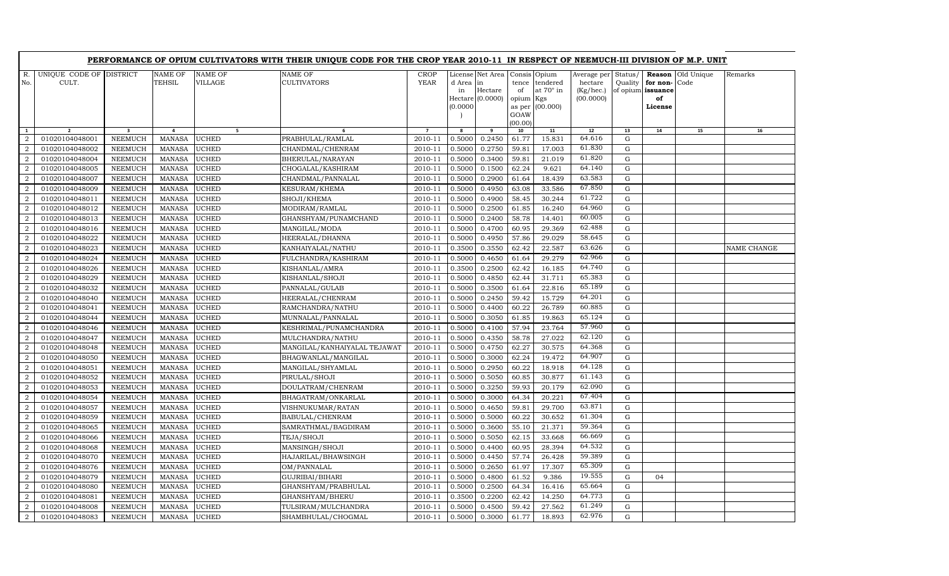|                |                         |                         |               |                | PERFORMANCE OF OPIUM CULTIVATORS WITH THEIR UNIQUE CODE FOR THE CROP YEAR 2010-11 IN RESPECT OF NEEMUCH-III DIVISION OF M.P. UNIT |                |           |                               |           |                 |                     |                   |          |            |             |
|----------------|-------------------------|-------------------------|---------------|----------------|-----------------------------------------------------------------------------------------------------------------------------------|----------------|-----------|-------------------------------|-----------|-----------------|---------------------|-------------------|----------|------------|-------------|
| R.             | UNIQUE CODE OF DISTRICT |                         | NAME OF       | <b>NAME OF</b> | NAME OF                                                                                                                           | <b>CROP</b>    |           | License Net Area Consis Opium |           |                 | Average per Status/ |                   | Reason   | Old Unique | Remarks     |
| No.            | CULT.                   |                         | TEHSIL        | <b>VILLAGE</b> | <b>CULTIVATORS</b>                                                                                                                | YEAR           | d Area in |                               | tence     | tendered        | hectare             | Quality           | for non- | Code       |             |
|                |                         |                         |               |                |                                                                                                                                   |                | in        | Hectare                       | of        | at 70° in       | (Kg/hec.)           | of opium issuance |          |            |             |
|                |                         |                         |               |                |                                                                                                                                   |                |           | Hectare (0.0000)              | opium Kgs |                 | (00.0000)           |                   | of       |            |             |
|                |                         |                         |               |                |                                                                                                                                   |                | (0.0000)  |                               | GOAW      | as per (00.000) |                     |                   | License  |            |             |
|                |                         |                         |               |                |                                                                                                                                   |                |           |                               | (00.00)   |                 |                     |                   |          |            |             |
| 1              | $\overline{2}$          | $\overline{\mathbf{3}}$ | 4             | 5 <sub>1</sub> | 6                                                                                                                                 | $\overline{7}$ | 8         | 9                             | 10        | 11              | 12                  | 13                | 14       | 15         | 16          |
| $\mathcal{D}$  | 01020104048001          | <b>NEEMUCH</b>          | <b>MANASA</b> | <b>UCHED</b>   | PRABHULAL/RAMLAL                                                                                                                  | 2010-11        | 0.5000    | 0.2450                        | 61.77     | 15.831          | 64.616              | $\mathbf G$       |          |            |             |
| 2              | 01020104048002          | <b>NEEMUCH</b>          | <b>MANASA</b> | <b>UCHED</b>   | CHANDMAL/CHENRAM                                                                                                                  | 2010-11        | 0.5000    | 0.2750                        | 59.81     | 17.003          | 61.830              | $\mathbf G$       |          |            |             |
| 2              | 01020104048004          | <b>NEEMUCH</b>          | <b>MANASA</b> | <b>UCHED</b>   | BHERULAL/NARAYAN                                                                                                                  | 2010-11        | 0.5000    | 0.3400                        | 59.81     | 21.019          | 61.820              | $\mathbf G$       |          |            |             |
| 2              | 01020104048005          | <b>NEEMUCH</b>          | <b>MANASA</b> | <b>UCHED</b>   | CHOGALAL/KASHIRAM                                                                                                                 | 2010-11        | 0.5000    | 0.1500                        | 62.24     | 9.621           | 64.140              | $\mathbf G$       |          |            |             |
| 2              | 01020104048007          | <b>NEEMUCH</b>          | MANASA        | <b>UCHED</b>   | CHANDMAL/PANNALAL                                                                                                                 | 2010-11        | 0.5000    | 0.2900                        | 61.64     | 18.439          | 63.583              | $\mathbf G$       |          |            |             |
| $\overline{2}$ | 01020104048009          | <b>NEEMUCH</b>          | <b>MANASA</b> | <b>UCHED</b>   | <b>KESURAM/KHEMA</b>                                                                                                              | 2010-11        | 0.5000    | 0.4950                        | 63.08     | 33.586          | 67.850              | $\mathbf G$       |          |            |             |
| $\overline{2}$ | 01020104048011          | <b>NEEMUCH</b>          | <b>MANASA</b> | <b>UCHED</b>   | SHOJI/KHEMA                                                                                                                       | 2010-11        | 0.5000    | 0.4900                        | 58.45     | 30.244          | 61.722              | ${\rm G}$         |          |            |             |
| 2              | 01020104048012          | <b>NEEMUCH</b>          | <b>MANASA</b> | <b>UCHED</b>   | MODIRAM/RAMLAL                                                                                                                    | 2010-11        | 0.5000    | 0.2500                        | 61.85     | 16.240          | 64.960              | $\mathbf G$       |          |            |             |
| 2              | 01020104048013          | <b>NEEMUCH</b>          | <b>MANASA</b> | <b>UCHED</b>   | GHANSHYAM/PUNAMCHAND                                                                                                              | 2010-11        | 0.5000    | 0.2400                        | 58.78     | 14.401          | 60.005              | $\mathbf G$       |          |            |             |
| 2              | 01020104048016          | <b>NEEMUCH</b>          | <b>MANASA</b> | <b>UCHED</b>   | MANGILAL/MODA                                                                                                                     | 2010-11        | 0.5000    | 0.4700                        | 60.95     | 29.369          | 62.488              | ${\bf G}$         |          |            |             |
| $\overline{2}$ | 01020104048022          | <b>NEEMUCH</b>          | <b>MANASA</b> | <b>UCHED</b>   | HEERALAL/DHANNA                                                                                                                   | 2010-11        | 0.5000    | 0.4950                        | 57.86     | 29.029          | 58.645              | $\mathbf G$       |          |            |             |
| $\overline{2}$ | 01020104048023          | <b>NEEMUCH</b>          | <b>MANASA</b> | <b>UCHED</b>   | KANHAIYALAL/NATHU                                                                                                                 | 2010-11        | 0.3500    | 0.3550                        | 62.42     | 22.587          | 63.626              | ${\bf G}$         |          |            | NAME CHANGE |
| $\overline{2}$ | 01020104048024          | <b>NEEMUCH</b>          | <b>MANASA</b> | <b>UCHED</b>   | FULCHANDRA/KASHIRAM                                                                                                               | 2010-11        | 0.5000    | 0.4650                        | 61.64     | 29.279          | 62.966              | ${\bf G}$         |          |            |             |
| 2              | 01020104048026          | <b>NEEMUCH</b>          | <b>MANASA</b> | <b>UCHED</b>   | KISHANLAL/AMRA                                                                                                                    | 2010-11        | 0.3500    | 0.2500                        | 62.42     | 16.185          | 64.740              | $\mathbf G$       |          |            |             |
| 2              | 01020104048029          | <b>NEEMUCH</b>          | <b>MANASA</b> | <b>UCHED</b>   | KISHANLAL/SHOJI                                                                                                                   | 2010-11        | 0.5000    | 0.4850                        | 62.44     | 31.711          | 65.383              | ${\bf G}$         |          |            |             |
| 2              | 01020104048032          | <b>NEEMUCH</b>          | <b>MANASA</b> | <b>UCHED</b>   | PANNALAL/GULAB                                                                                                                    | 2010-11        | 0.5000    | 0.3500                        | 61.64     | 22.816          | 65.189              | $\mathbf G$       |          |            |             |
| 2              | 01020104048040          | <b>NEEMUCH</b>          | <b>MANASA</b> | <b>UCHED</b>   | HEERALAL/CHENRAM                                                                                                                  | 2010-11        | 0.5000    | 0.2450                        | 59.42     | 15.729          | 64.201              | G                 |          |            |             |
| $\overline{2}$ | 01020104048041          | <b>NEEMUCH</b>          | <b>MANASA</b> | <b>UCHED</b>   | RAMCHANDRA/NATHU                                                                                                                  | 2010-11        | 0.5000    | 0.4400                        | 60.22     | 26.789          | 60.885              | ${\bf G}$         |          |            |             |
| $\overline{a}$ | 01020104048044          | <b>NEEMUCH</b>          | <b>MANASA</b> | <b>UCHED</b>   | MUNNALAL/PANNALAL                                                                                                                 | 2010-11        | 0.5000    | 0.3050                        | 61.85     | 19.863          | 65.124              | G                 |          |            |             |
| 2              | 01020104048046          | <b>NEEMUCH</b>          | <b>MANASA</b> | <b>UCHED</b>   | KESHRIMAL/PUNAMCHANDRA                                                                                                            | 2010-11        | 0.5000    | 0.4100                        | 57.94     | 23.764          | 57.960              | $\mathbf G$       |          |            |             |
| 2              | 01020104048047          | <b>NEEMUCH</b>          | <b>MANASA</b> | <b>UCHED</b>   | MULCHANDRA/NATHU                                                                                                                  | 2010-11        | 0.5000    | 0.4350                        | 58.78     | 27.022          | 62.120              | ${\rm G}$         |          |            |             |
| $\overline{2}$ | 01020104048048          | <b>NEEMUCH</b>          | <b>MANASA</b> | <b>UCHED</b>   | MANGILAL/KANHAIYALAL TEJAWAT                                                                                                      | 2010-11        | 0.5000    | 0.4750                        | 62.27     | 30.575          | 64.368              | G                 |          |            |             |
| $\overline{2}$ | 01020104048050          | <b>NEEMUCH</b>          | <b>MANASA</b> | <b>UCHED</b>   | BHAGWANLAL/MANGILAL                                                                                                               | 2010-11        | 0.5000    | 0.3000                        | 62.24     | 19.472          | 64.907              | G                 |          |            |             |
| $\overline{a}$ | 01020104048051          | <b>NEEMUCH</b>          | <b>MANASA</b> | <b>UCHED</b>   | MANGILAL/SHYAMLAL                                                                                                                 | 2010-11        | 0.5000    | 0.2950                        | 60.22     | 18.918          | 64.128              | ${\rm G}$         |          |            |             |
| 2              | 01020104048052          | <b>NEEMUCH</b>          | <b>MANASA</b> | <b>UCHED</b>   | PIRULAL/SHOJI                                                                                                                     | 2010-11        | 0.5000    | 0.5050                        | 60.85     | 30.877          | 61.143              | G                 |          |            |             |
| 2              | 01020104048053          | <b>NEEMUCH</b>          | <b>MANASA</b> | <b>UCHED</b>   | DOULATRAM/CHENRAM                                                                                                                 | 2010-11        | 0.5000    | 0.3250                        | 59.93     | 20.179          | 62.090              | $\mathbf G$       |          |            |             |
| 2              | 01020104048054          | <b>NEEMUCH</b>          | <b>MANASA</b> | <b>UCHED</b>   | BHAGATRAM/ONKARLAL                                                                                                                | 2010-11        | 0.5000    | 0.3000                        | 64.34     | 20.221          | 67.404              | $\mathbf G$       |          |            |             |
| $\overline{2}$ | 01020104048057          | <b>NEEMUCH</b>          | <b>MANASA</b> | <b>UCHED</b>   | VISHNUKUMAR/RATAN                                                                                                                 | 2010-11        | 0.5000    | 0.4650                        | 59.81     | 29.700          | 63.871              | $\mathbf G$       |          |            |             |
| 2              | 01020104048059          | <b>NEEMUCH</b>          | <b>MANASA</b> | <b>UCHED</b>   | BABULAL/CHENRAM                                                                                                                   | 2010-11        | 0.5000    | 0.5000                        | 60.22     | 30.652          | 61.304              | $\mathbf G$       |          |            |             |
| 2              | 01020104048065          | <b>NEEMUCH</b>          | <b>MANASA</b> | <b>UCHED</b>   | SAMRATHMAL/BAGDIRAM                                                                                                               | 2010-11        | 0.5000    | 0.3600                        | 55.10     | 21.371          | 59.364              | $\mathbf G$       |          |            |             |
| 2              | 01020104048066          | <b>NEEMUCH</b>          | MANASA        | <b>UCHED</b>   | TEJA/SHOJI                                                                                                                        | 2010-11        | 0.5000    | 0.5050                        | 62.15     | 33.668          | 66.669              | G                 |          |            |             |
| 2              | 01020104048068          | <b>NEEMUCH</b>          | <b>MANASA</b> | <b>UCHED</b>   | MANSINGH/SHOJI                                                                                                                    | 2010-11        | 0.5000    | 0.4400                        | 60.95     | 28.394          | 64.532              | ${\rm G}$         |          |            |             |
| $\overline{2}$ | 01020104048070          | <b>NEEMUCH</b>          | <b>MANASA</b> | <b>UCHED</b>   | HAJARILAL/BHAWSINGH                                                                                                               | 2010-11        | 0.5000    | 0.4450                        | 57.74     | 26.428          | 59.389              | G                 |          |            |             |
| 2              | 01020104048076          | <b>NEEMUCH</b>          | <b>MANASA</b> | <b>UCHED</b>   | OM/PANNALAL                                                                                                                       | 2010-11        | 0.5000    | 0.2650                        | 61.97     | 17.307          | 65.309              | $\mathbf G$       |          |            |             |
| 2              | 01020104048079          | <b>NEEMUCH</b>          | <b>MANASA</b> | <b>UCHED</b>   | GUJRIBAI/BIHARI                                                                                                                   | 2010-11        | 0.5000    | 0.4800                        | 61.52     | 9.386           | 19.555              | $\mathbf G$       | 04       |            |             |
| $\overline{2}$ | 01020104048080          | <b>NEEMUCH</b>          | <b>MANASA</b> | <b>UCHED</b>   | GHANSHYAM/PRABHULAL                                                                                                               | 2010-11        | 0.5000    | 0.2500                        | 64.34     | 16.416          | 65.664              | ${\bf G}$         |          |            |             |
| 2              | 01020104048081          | <b>NEEMUCH</b>          | <b>MANASA</b> | <b>UCHED</b>   | GHANSHYAM/BHERU                                                                                                                   | 2010-11        | 0.3500    | 0.2200                        | 62.42     | 14.250          | 64.773              | G                 |          |            |             |
| 2              | 01020104048008          | <b>NEEMUCH</b>          | <b>MANASA</b> | <b>UCHED</b>   | TULSIRAM/MULCHANDRA                                                                                                               | 2010-11        | 0.5000    | 0.4500                        | 59.42     | 27.562          | 61.249              | $\mathbf G$       |          |            |             |
| $\overline{a}$ | 01020104048083          | <b>NEEMUCH</b>          | <b>MANASA</b> | <b>UCHED</b>   | SHAMBHULAL/CHOGMAL                                                                                                                | 2010-11        | 0.5000    | 0.3000                        | 61.77     | 18.893          | 62.976              | G                 |          |            |             |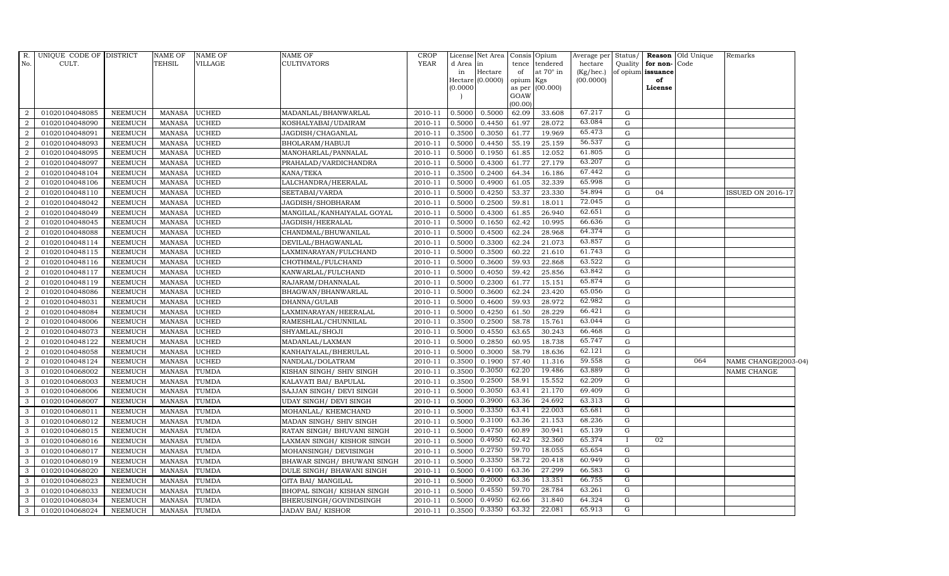| Average per Status/<br><b>YEAR</b><br>CULT.<br><b>TEHSIL</b><br><b>VILLAGE</b><br><b>CULTIVATORS</b><br>tence tendered<br>No.<br>d Area in<br>hectare<br>Quality<br>for non-<br>Code<br>Hectare<br>at $70^\circ$ in<br>(Kg/hec.)<br>of opium issuance<br>in<br>of<br>Hectare (0.0000)<br>(00.0000)<br>opium Kgs<br>of<br>(0.0000)<br>as per (00.000)<br>License<br>GOAW<br>(00.00)<br>67.217<br>0.5000<br>0.5000<br>62.09<br>G<br>01020104048085<br><b>NEEMUCH</b><br>MANASA<br><b>UCHED</b><br>MADANLAL/BHANWARLAL<br>33.608<br>2<br>2010-11<br>63.084<br><b>UCHED</b><br>0.4450<br>01020104048090<br><b>NEEMUCH</b><br><b>MANASA</b><br>KOSHALYABAI/UDAIRAM<br>2010-11<br>0.5000<br>61.97<br>28.072<br>G<br>$\overline{2}$<br>65.473<br>01020104048091<br><b>MANASA</b><br><b>UCHED</b><br>JAGDISH/CHAGANLAL<br>2010-11<br>0.3500<br>0.3050<br>61.77<br>19.969<br>2<br>NEEMUCH<br>G<br>56.537<br><b>MANASA</b><br><b>UCHED</b><br>0.5000<br>0.4450<br>25.159<br>2<br>01020104048093<br><b>NEEMUCH</b><br>BHOLARAM/HABUJI<br>2010-11<br>55.19<br>G<br>61.805<br>01020104048095<br><b>MANASA</b><br><b>UCHED</b><br>MANOHARLAL/PANNALAL<br>2010-11<br>0.5000<br>0.1950<br>61.85<br>12.052<br>G<br>$\overline{2}$<br><b>NEEMUCH</b><br>63.207<br>2<br>01020104048097<br><b>NEEMUCH</b><br><b>MANASA</b><br><b>UCHED</b><br>2010-11<br>0.5000<br>0.4300<br>61.77<br>27.179<br>G<br>PRAHALAD/VARDICHANDRA | ISSUED ON 2016-17    |
|--------------------------------------------------------------------------------------------------------------------------------------------------------------------------------------------------------------------------------------------------------------------------------------------------------------------------------------------------------------------------------------------------------------------------------------------------------------------------------------------------------------------------------------------------------------------------------------------------------------------------------------------------------------------------------------------------------------------------------------------------------------------------------------------------------------------------------------------------------------------------------------------------------------------------------------------------------------------------------------------------------------------------------------------------------------------------------------------------------------------------------------------------------------------------------------------------------------------------------------------------------------------------------------------------------------------------------------------------------------------------------------------------------|----------------------|
|                                                                                                                                                                                                                                                                                                                                                                                                                                                                                                                                                                                                                                                                                                                                                                                                                                                                                                                                                                                                                                                                                                                                                                                                                                                                                                                                                                                                        |                      |
|                                                                                                                                                                                                                                                                                                                                                                                                                                                                                                                                                                                                                                                                                                                                                                                                                                                                                                                                                                                                                                                                                                                                                                                                                                                                                                                                                                                                        |                      |
|                                                                                                                                                                                                                                                                                                                                                                                                                                                                                                                                                                                                                                                                                                                                                                                                                                                                                                                                                                                                                                                                                                                                                                                                                                                                                                                                                                                                        |                      |
|                                                                                                                                                                                                                                                                                                                                                                                                                                                                                                                                                                                                                                                                                                                                                                                                                                                                                                                                                                                                                                                                                                                                                                                                                                                                                                                                                                                                        |                      |
|                                                                                                                                                                                                                                                                                                                                                                                                                                                                                                                                                                                                                                                                                                                                                                                                                                                                                                                                                                                                                                                                                                                                                                                                                                                                                                                                                                                                        |                      |
|                                                                                                                                                                                                                                                                                                                                                                                                                                                                                                                                                                                                                                                                                                                                                                                                                                                                                                                                                                                                                                                                                                                                                                                                                                                                                                                                                                                                        |                      |
|                                                                                                                                                                                                                                                                                                                                                                                                                                                                                                                                                                                                                                                                                                                                                                                                                                                                                                                                                                                                                                                                                                                                                                                                                                                                                                                                                                                                        |                      |
|                                                                                                                                                                                                                                                                                                                                                                                                                                                                                                                                                                                                                                                                                                                                                                                                                                                                                                                                                                                                                                                                                                                                                                                                                                                                                                                                                                                                        |                      |
|                                                                                                                                                                                                                                                                                                                                                                                                                                                                                                                                                                                                                                                                                                                                                                                                                                                                                                                                                                                                                                                                                                                                                                                                                                                                                                                                                                                                        |                      |
|                                                                                                                                                                                                                                                                                                                                                                                                                                                                                                                                                                                                                                                                                                                                                                                                                                                                                                                                                                                                                                                                                                                                                                                                                                                                                                                                                                                                        |                      |
|                                                                                                                                                                                                                                                                                                                                                                                                                                                                                                                                                                                                                                                                                                                                                                                                                                                                                                                                                                                                                                                                                                                                                                                                                                                                                                                                                                                                        |                      |
| 67.442<br>01020104048104<br><b>UCHED</b><br>2010-11<br>0.3500<br>0.2400<br>64.34<br>16.186<br>${\rm G}$<br><b>NEEMUCH</b><br><b>MANASA</b><br>KANA/TEKA<br>2                                                                                                                                                                                                                                                                                                                                                                                                                                                                                                                                                                                                                                                                                                                                                                                                                                                                                                                                                                                                                                                                                                                                                                                                                                           |                      |
| 65.998<br>LALCHANDRA/HEERALAL<br>$\overline{2}$<br>01020104048106<br><b>NEEMUCH</b><br><b>MANASA</b><br><b>UCHED</b><br>2010-11<br>0.5000<br>0.4900<br>61.05<br>32.339<br>G                                                                                                                                                                                                                                                                                                                                                                                                                                                                                                                                                                                                                                                                                                                                                                                                                                                                                                                                                                                                                                                                                                                                                                                                                            |                      |
| 54.894<br>01020104048110<br><b>NEEMUCH</b><br><b>MANASA</b><br><b>UCHED</b><br>SEETABAI/VARDA<br>2010-11<br>0.5000<br>0.4250<br>53.37<br>23.330<br>G<br>$\overline{2}$<br>04                                                                                                                                                                                                                                                                                                                                                                                                                                                                                                                                                                                                                                                                                                                                                                                                                                                                                                                                                                                                                                                                                                                                                                                                                           |                      |
| 72.045<br>$\overline{2}$<br>01020104048042<br><b>MANASA</b><br><b>UCHED</b><br>2010-11<br>0.5000<br>0.2500<br>59.81<br>18.011<br>G<br><b>NEEMUCH</b><br>JAGDISH/SHOBHARAM                                                                                                                                                                                                                                                                                                                                                                                                                                                                                                                                                                                                                                                                                                                                                                                                                                                                                                                                                                                                                                                                                                                                                                                                                              |                      |
| 62.651<br>$\overline{2}$<br>01020104048049<br><b>NEEMUCH</b><br><b>MANASA</b><br><b>UCHED</b><br>MANGILAL/KANHAIYALAL GOYAL<br>2010-11<br>0.5000<br>0.4300<br>61.85<br>26.940<br>G                                                                                                                                                                                                                                                                                                                                                                                                                                                                                                                                                                                                                                                                                                                                                                                                                                                                                                                                                                                                                                                                                                                                                                                                                     |                      |
| 66.636<br>01020104048045<br><b>NEEMUCH</b><br><b>UCHED</b><br>2010-11<br>0.5000<br>0.1650<br>62.42<br>10.995<br>G<br>$\overline{2}$<br><b>MANASA</b><br>JAGDISH/HEERALAL                                                                                                                                                                                                                                                                                                                                                                                                                                                                                                                                                                                                                                                                                                                                                                                                                                                                                                                                                                                                                                                                                                                                                                                                                               |                      |
| 64.374<br>62.24<br>2<br>01020104048088<br><b>NEEMUCH</b><br><b>MANASA</b><br><b>UCHED</b><br>CHANDMAL/BHUWANILAL<br>2010-11<br>0.5000<br>0.4500<br>28.968<br>G                                                                                                                                                                                                                                                                                                                                                                                                                                                                                                                                                                                                                                                                                                                                                                                                                                                                                                                                                                                                                                                                                                                                                                                                                                         |                      |
| 63.857<br><b>UCHED</b><br>01020104048114<br><b>NEEMUCH</b><br><b>MANASA</b><br>DEVILAL/BHAGWANLAL<br>2010-11<br>0.5000<br>0.3300<br>62.24<br>21.073<br>G<br>$\overline{2}$                                                                                                                                                                                                                                                                                                                                                                                                                                                                                                                                                                                                                                                                                                                                                                                                                                                                                                                                                                                                                                                                                                                                                                                                                             |                      |
| 61.743<br>0.3500<br>01020104048115<br><b>NEEMUCH</b><br><b>MANASA</b><br><b>UCHED</b><br>LAXMINARAYAN/FULCHAND<br>2010-11<br>0.5000<br>60.22<br>21.610<br>G<br>2                                                                                                                                                                                                                                                                                                                                                                                                                                                                                                                                                                                                                                                                                                                                                                                                                                                                                                                                                                                                                                                                                                                                                                                                                                       |                      |
| 63.522<br>0.3600<br>2<br>01020104048116<br><b>NEEMUCH</b><br><b>MANASA</b><br><b>UCHED</b><br>CHOTHMAL/FULCHAND<br>2010-11<br>0.5000<br>59.93<br>22.868<br>G                                                                                                                                                                                                                                                                                                                                                                                                                                                                                                                                                                                                                                                                                                                                                                                                                                                                                                                                                                                                                                                                                                                                                                                                                                           |                      |
| 63.842<br>01020104048117<br><b>NEEMUCH</b><br><b>MANASA</b><br><b>UCHED</b><br>2010-11<br>0.5000<br>0.4050<br>59.42<br>25.856<br>G<br>2<br>KANWARLAL/FULCHAND                                                                                                                                                                                                                                                                                                                                                                                                                                                                                                                                                                                                                                                                                                                                                                                                                                                                                                                                                                                                                                                                                                                                                                                                                                          |                      |
| 65.874<br>0.2300<br>61.77<br>2<br>01020104048119<br><b>NEEMUCH</b><br><b>MANASA</b><br><b>UCHED</b><br>RAJARAM/DHANNALAL<br>2010-11<br>0.5000<br>15.151<br>G                                                                                                                                                                                                                                                                                                                                                                                                                                                                                                                                                                                                                                                                                                                                                                                                                                                                                                                                                                                                                                                                                                                                                                                                                                           |                      |
| 65.056<br>01020104048086<br><b>UCHED</b><br>23.420<br>$\overline{2}$<br><b>NEEMUCH</b><br><b>MANASA</b><br>BHAGWAN/BHANWARLAL<br>2010-11<br>0.5000<br>0.3600<br>62.24<br>G                                                                                                                                                                                                                                                                                                                                                                                                                                                                                                                                                                                                                                                                                                                                                                                                                                                                                                                                                                                                                                                                                                                                                                                                                             |                      |
| 62.982<br>01020104048031<br><b>NEEMUCH</b><br><b>UCHED</b><br>DHANNA/GULAB<br>2010-11<br>0.5000<br>0.4600<br>59.93<br>28.972<br>G<br>$\overline{2}$<br><b>MANASA</b>                                                                                                                                                                                                                                                                                                                                                                                                                                                                                                                                                                                                                                                                                                                                                                                                                                                                                                                                                                                                                                                                                                                                                                                                                                   |                      |
| 66.421<br>0.4250<br>2<br>01020104048084<br><b>NEEMUCH</b><br><b>MANASA</b><br><b>UCHED</b><br>LAXMINARAYAN/HEERALAL<br>2010-11<br>0.5000<br>61.50<br>28.229<br>G                                                                                                                                                                                                                                                                                                                                                                                                                                                                                                                                                                                                                                                                                                                                                                                                                                                                                                                                                                                                                                                                                                                                                                                                                                       |                      |
| 63.044<br>01020104048006<br><b>NEEMUCH</b><br><b>MANASA</b><br><b>UCHED</b><br>RAMESHLAL/CHUNNILAL<br>2010-11<br>0.3500<br>0.2500<br>58.78<br>15.761<br>G<br>2                                                                                                                                                                                                                                                                                                                                                                                                                                                                                                                                                                                                                                                                                                                                                                                                                                                                                                                                                                                                                                                                                                                                                                                                                                         |                      |
| 66.468<br>01020104048073<br><b>UCHED</b><br>2010-11<br>0.5000<br>0.4550<br>63.65<br>2<br><b>NEEMUCH</b><br><b>MANASA</b><br>SHYAMLAL/SHOJI<br>30.243<br>G                                                                                                                                                                                                                                                                                                                                                                                                                                                                                                                                                                                                                                                                                                                                                                                                                                                                                                                                                                                                                                                                                                                                                                                                                                              |                      |
| 65.747<br>01020104048122<br><b>NEEMUCH</b><br><b>MANASA</b><br><b>UCHED</b><br>0.5000<br>0.2850<br>60.95<br>18.738<br>${\rm G}$<br>2<br>MADANLAL/LAXMAN<br>2010-11                                                                                                                                                                                                                                                                                                                                                                                                                                                                                                                                                                                                                                                                                                                                                                                                                                                                                                                                                                                                                                                                                                                                                                                                                                     |                      |
| 62.121<br>2<br>01020104048058<br><b>MANASA</b><br><b>UCHED</b><br>2010-11<br>0.5000<br>0.3000<br>58.79<br>18.636<br>G<br><b>NEEMUCH</b><br>KANHAIYALAL/BHERULAL                                                                                                                                                                                                                                                                                                                                                                                                                                                                                                                                                                                                                                                                                                                                                                                                                                                                                                                                                                                                                                                                                                                                                                                                                                        |                      |
| 59.558<br>064<br><b>UCHED</b><br>0.3500<br>0.1900<br>57.40<br>G<br>$\overline{2}$<br>01020104048124<br><b>NEEMUCH</b><br><b>MANASA</b><br>2010-11<br>11.316<br>NANDLAL/DOLATRAM                                                                                                                                                                                                                                                                                                                                                                                                                                                                                                                                                                                                                                                                                                                                                                                                                                                                                                                                                                                                                                                                                                                                                                                                                        | NAME CHANGE(2003-04) |
| 19.486<br>0.3050<br>62.20<br>63.889<br>G<br>01020104068002<br>2010-11<br>0.3500<br><b>NEEMUCH</b><br><b>MANASA</b><br><b>TUMDA</b><br>KISHAN SINGH/ SHIV SINGH<br>3                                                                                                                                                                                                                                                                                                                                                                                                                                                                                                                                                                                                                                                                                                                                                                                                                                                                                                                                                                                                                                                                                                                                                                                                                                    | NAME CHANGE          |
| 0.2500<br>58.91<br>15.552<br>62.209<br>G<br>01020104068003<br><b>NEEMUCH</b><br>TUMDA<br>2010-11<br>0.3500<br>3<br><b>MANASA</b><br>KALAVATI BAI/ BAPULAL                                                                                                                                                                                                                                                                                                                                                                                                                                                                                                                                                                                                                                                                                                                                                                                                                                                                                                                                                                                                                                                                                                                                                                                                                                              |                      |
| 0.3050<br>63.41<br>21.170<br>69.409<br>$\overline{G}$<br>01020104068006<br><b>TUMDA</b><br>2010-11<br>0.5000<br><b>NEEMUCH</b><br><b>MANASA</b><br>SAJJAN SINGH/ DEVI SINGH<br>3                                                                                                                                                                                                                                                                                                                                                                                                                                                                                                                                                                                                                                                                                                                                                                                                                                                                                                                                                                                                                                                                                                                                                                                                                       |                      |
| 0.3900<br>63.36<br>24.692<br>63.313<br>G<br>01020104068007<br><b>NEEMUCH</b><br><b>MANASA</b><br><b>TUMDA</b><br><b>UDAY SINGH/ DEVI SINGH</b><br>2010-11<br>0.5000<br>3                                                                                                                                                                                                                                                                                                                                                                                                                                                                                                                                                                                                                                                                                                                                                                                                                                                                                                                                                                                                                                                                                                                                                                                                                               |                      |
| 22.003<br>0.3350<br>63.41<br>65.681<br>$\mathbf G$<br><b>TUMDA</b><br>0.5000<br>3<br>01020104068011<br><b>NEEMUCH</b><br><b>MANASA</b><br>MOHANLAL/ KHEMCHAND<br>2010-11                                                                                                                                                                                                                                                                                                                                                                                                                                                                                                                                                                                                                                                                                                                                                                                                                                                                                                                                                                                                                                                                                                                                                                                                                               |                      |
| 0.3100<br>63.36<br>21.153<br>68.236<br>${\rm G}$<br>01020104068012<br><b>TUMDA</b><br>2010-11<br>0.5000<br>3<br><b>NEEMUCH</b><br><b>MANASA</b><br>MADAN SINGH/ SHIV SINGH                                                                                                                                                                                                                                                                                                                                                                                                                                                                                                                                                                                                                                                                                                                                                                                                                                                                                                                                                                                                                                                                                                                                                                                                                             |                      |
| 0.4750<br>60.89<br>30.941<br>65.139<br>G<br>01020104068015<br><b>NEEMUCH</b><br><b>TUMDA</b><br>2010-11<br>0.5000<br>3<br><b>MANASA</b><br>RATAN SINGH/ BHUVANI SINGH                                                                                                                                                                                                                                                                                                                                                                                                                                                                                                                                                                                                                                                                                                                                                                                                                                                                                                                                                                                                                                                                                                                                                                                                                                  |                      |
| 32.360<br>65.374<br>0.4950<br>62.42<br>02<br>01020104068016<br><b>MANASA</b><br><b>TUMDA</b><br>2010-11<br>0.5000<br>$\mathbf{I}$<br><b>NEEMUCH</b><br>LAXMAN SINGH/KISHOR SINGH<br>3                                                                                                                                                                                                                                                                                                                                                                                                                                                                                                                                                                                                                                                                                                                                                                                                                                                                                                                                                                                                                                                                                                                                                                                                                  |                      |
| 59.70<br>18.055<br>65.654<br>0.2750<br>G<br>01020104068017<br><b>NEEMUCH</b><br><b>MANASA</b><br><b>TUMDA</b><br>MOHANSINGH/ DEVISINGH<br>2010-11<br>0.5000<br>3                                                                                                                                                                                                                                                                                                                                                                                                                                                                                                                                                                                                                                                                                                                                                                                                                                                                                                                                                                                                                                                                                                                                                                                                                                       |                      |
| 0.3350<br>58.72<br>20.418<br>60.949<br>G<br>TUMDA<br>2010-11<br>0.5000<br>3<br>01020104068019<br><b>NEEMUCH</b><br><b>MANASA</b><br>BHAWAR SINGH / BHUWANI SINGH                                                                                                                                                                                                                                                                                                                                                                                                                                                                                                                                                                                                                                                                                                                                                                                                                                                                                                                                                                                                                                                                                                                                                                                                                                       |                      |
| 27.299<br>0.4100<br>63.36<br>66.583<br>${\rm G}$<br>01020104068020<br><b>TUMDA</b><br>2010-11<br>0.5000<br>3<br><b>NEEMUCH</b><br><b>MANASA</b><br>DULE SINGH / BHAWANI SINGH                                                                                                                                                                                                                                                                                                                                                                                                                                                                                                                                                                                                                                                                                                                                                                                                                                                                                                                                                                                                                                                                                                                                                                                                                          |                      |
| 13.351<br>66.755<br>0.2000<br>63.36<br>G<br>3<br>01020104068023<br><b>NEEMUCH</b><br><b>MANASA</b><br><b>TUMDA</b><br>2010-11<br>0.5000<br>GITA BAI/ MANGILAL                                                                                                                                                                                                                                                                                                                                                                                                                                                                                                                                                                                                                                                                                                                                                                                                                                                                                                                                                                                                                                                                                                                                                                                                                                          |                      |
| 0.4550<br>59.70<br>28.784<br>63.261<br>G<br>01020104068033<br><b>MANASA</b><br><b>TUMDA</b><br>BHOPAL SINGH/ KISHAN SINGH<br>2010-11<br>0.5000<br>3<br><b>NEEMUCH</b>                                                                                                                                                                                                                                                                                                                                                                                                                                                                                                                                                                                                                                                                                                                                                                                                                                                                                                                                                                                                                                                                                                                                                                                                                                  |                      |
| 31.840<br>64.324<br>0.4950<br>62.66<br>G<br>3<br>01020104068034<br><b>NEEMUCH</b><br><b>MANASA</b><br><b>TUMDA</b><br>BHERUSINGH/GOVINDSINGH<br>2010-11<br>0.5000                                                                                                                                                                                                                                                                                                                                                                                                                                                                                                                                                                                                                                                                                                                                                                                                                                                                                                                                                                                                                                                                                                                                                                                                                                      |                      |
| 22.081<br>65.913<br>0.3350<br>63.32<br>G<br>0.3500<br>3<br><b>NEEMUCH</b><br><b>MANASA</b><br><b>TUMDA</b><br>2010-11<br>01020104068024<br><b>JADAV BAI/ KISHOR</b>                                                                                                                                                                                                                                                                                                                                                                                                                                                                                                                                                                                                                                                                                                                                                                                                                                                                                                                                                                                                                                                                                                                                                                                                                                    |                      |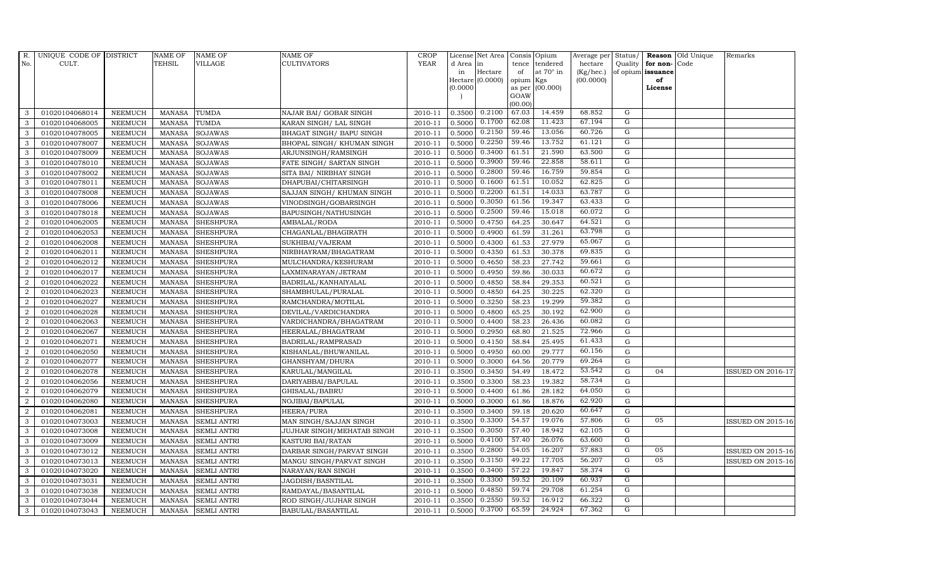| R.             | UNIQUE CODE OF DISTRICT |                | <b>NAME OF</b> | <b>NAME OF</b>     | <b>NAME OF</b>             | CROP        |           | License Net Area   Consis   Opium |           |                  | Average per | Status/        | Reason            | Old Unique | Remarks                  |
|----------------|-------------------------|----------------|----------------|--------------------|----------------------------|-------------|-----------|-----------------------------------|-----------|------------------|-------------|----------------|-------------------|------------|--------------------------|
| No.            | CULT.                   |                | <b>TEHSIL</b>  | <b>VILLAGE</b>     | <b>CULTIVATORS</b>         | <b>YEAR</b> | d Area in |                                   | tence     | tendered         | hectare     | Quality        | for non-          | Code       |                          |
|                |                         |                |                |                    |                            |             | in        | Hectare                           | of        | at $70^\circ$ in | (Kg/hec.)   |                | of opium issuance |            |                          |
|                |                         |                |                |                    |                            |             |           | Hectare (0.0000)                  | opium Kgs |                  | (00.0000)   |                | of                |            |                          |
|                |                         |                |                |                    |                            |             | (0.0000)  |                                   | GOAW      | as per (00.000)  |             |                | License           |            |                          |
|                |                         |                |                |                    |                            |             |           |                                   | (00.00)   |                  |             |                |                   |            |                          |
| 3              | 01020104068014          | <b>NEEMUCH</b> | MANASA         | <b>TUMDA</b>       | NAJAR BAI/ GOBAR SINGH     | 2010-11     | 0.3500    | 0.2100                            | 67.03     | 14.459           | 68.852      | G              |                   |            |                          |
| 3              | 01020104068005          | <b>NEEMUCH</b> | <b>MANASA</b>  | TUMDA              | KARAN SINGH/ LAL SINGH     | 2010-11     | 0.5000    | 0.1700                            | 62.08     | 11.423           | 67.194      | G              |                   |            |                          |
| 3              | 01020104078005          | <b>NEEMUCH</b> | <b>MANASA</b>  | <b>SOJAWAS</b>     | BHAGAT SINGH/ BAPU SINGH   | 2010-11     | 0.5000    | 0.2150                            | 59.46     | 13.056           | 60.726      | G              |                   |            |                          |
| 3              | 01020104078007          | <b>NEEMUCH</b> | <b>MANASA</b>  | <b>SOJAWAS</b>     | BHOPAL SINGH/ KHUMAN SINGH | 2010-11     | 0.5000    | 0.2250                            | 59.46     | 13.752           | 61.121      | G              |                   |            |                          |
| 3              | 01020104078009          | <b>NEEMUCH</b> | <b>MANASA</b>  | SOJAWAS            | ARJUNSINGH/RAMSINGH        | 2010-11     | 0.5000    | 0.3400                            | 61.51     | 21.590           | 63.500      | G              |                   |            |                          |
| 3              | 01020104078010          | <b>NEEMUCH</b> | <b>MANASA</b>  | <b>SOJAWAS</b>     | FATE SINGH/ SARTAN SINGH   | 2010-11     | 0.5000    | 0.3900                            | 59.46     | 22.858           | 58.611      | G              |                   |            |                          |
| 3              | 01020104078002          | <b>NEEMUCH</b> | <b>MANASA</b>  | <b>SOJAWAS</b>     | SITA BAI / NIRBHAY SINGH   | 2010-11     | 0.5000    | 0.2800                            | 59.46     | 16.759           | 59.854      | G              |                   |            |                          |
| 3              | 01020104078011          | <b>NEEMUCH</b> | <b>MANASA</b>  | <b>SOJAWAS</b>     | DHAPUBAI/CHITARSINGH       | 2010-11     | 0.5000    | 0.1600                            | 61.51     | 10.052           | 62.825      | $\overline{G}$ |                   |            |                          |
| 3              | 01020104078008          | <b>NEEMUCH</b> | <b>MANASA</b>  | <b>SOJAWAS</b>     | SAJJAN SINGH/ KHUMAN SINGH | 2010-11     | 0.5000    | 0.2200                            | 61.51     | 14.033           | 63.787      | $\overline{G}$ |                   |            |                          |
| 3              | 01020104078006          | <b>NEEMUCH</b> | <b>MANASA</b>  | <b>SOJAWAS</b>     | VINODSINGH/GOBARSINGH      | 2010-11     | 0.5000    | 0.3050                            | 61.56     | 19.347           | 63.433      | G              |                   |            |                          |
| 3              | 01020104078018          | <b>NEEMUCH</b> | <b>MANASA</b>  | <b>SOJAWAS</b>     | BAPUSINGH/NATHUSINGH       | 2010-11     | 0.5000    | 0.2500                            | 59.46     | 15.018           | 60.072      | G              |                   |            |                          |
| 2              | 01020104062005          | <b>NEEMUCH</b> | <b>MANASA</b>  | <b>SHESHPURA</b>   | AMBALAL/RODA               | 2010-11     | 0.5000    | 0.4750                            | 64.25     | 30.647           | 64.521      | $\mathbf G$    |                   |            |                          |
| 2              | 01020104062053          | <b>NEEMUCH</b> | <b>MANASA</b>  | <b>SHESHPURA</b>   | CHAGANLAL/BHAGIRATH        | 2010-11     | 0.5000    | 0.4900                            | 61.59     | 31.261           | 63.798      | $\mathbf G$    |                   |            |                          |
| $\overline{2}$ | 01020104062008          | <b>NEEMUCH</b> | <b>MANASA</b>  | <b>SHESHPURA</b>   | SUKHIBAI/VAJERAM           | 2010-11     | 0.5000    | 0.4300                            | 61.53     | 27.979           | 65.067      | $\mathbf G$    |                   |            |                          |
| $\overline{2}$ | 01020104062011          | <b>NEEMUCH</b> | <b>MANASA</b>  | <b>SHESHPURA</b>   | NIRBHAYRAM/BHAGATRAM       | 2010-11     | 0.5000    | 0.4350                            | 61.53     | 30.378           | 69.835      | ${\rm G}$      |                   |            |                          |
| $\overline{2}$ | 01020104062012          | <b>NEEMUCH</b> | <b>MANASA</b>  | <b>SHESHPURA</b>   | MULCHANDRA/KESHURAM        | 2010-11     | 0.5000    | 0.4650                            | 58.23     | 27.742           | 59.661      | $\mathbf G$    |                   |            |                          |
| $\overline{a}$ | 01020104062017          | <b>NEEMUCH</b> | <b>MANASA</b>  | <b>SHESHPURA</b>   | LAXMINARAYAN/JETRAM        | 2010-11     | 0.5000    | 0.4950                            | 59.86     | 30.033           | 60.672      | $\mathbf G$    |                   |            |                          |
| 2              | 01020104062022          | <b>NEEMUCH</b> | <b>MANASA</b>  | <b>SHESHPURA</b>   | BADRILAL/KANHAIYALAL       | 2010-11     | 0.5000    | 0.4850                            | 58.84     | 29.353           | 60.521      | $\mathbf G$    |                   |            |                          |
| $\overline{2}$ | 01020104062023          | <b>NEEMUCH</b> | <b>MANASA</b>  | <b>SHESHPURA</b>   | SHAMBHULAL/PURALAL         | 2010-11     | 0.5000    | 0.4850                            | 64.25     | 30.225           | 62.320      | $\mathbf G$    |                   |            |                          |
| 2              | 01020104062027          | <b>NEEMUCH</b> | <b>MANASA</b>  | <b>SHESHPURA</b>   | RAMCHANDRA/MOTILAL         | 2010-11     | 0.5000    | 0.3250                            | 58.23     | 19.299           | 59.382      | ${\bf G}$      |                   |            |                          |
| 2              | 01020104062028          | <b>NEEMUCH</b> | <b>MANASA</b>  | <b>SHESHPURA</b>   | DEVILAL/VARDICHANDRA       | 2010-11     | 0.5000    | 0.4800                            | 65.25     | 30.192           | 62.900      | $\mathbf G$    |                   |            |                          |
| 2              | 01020104062063          | <b>NEEMUCH</b> | <b>MANASA</b>  | <b>SHESHPURA</b>   | VARDICHANDRA/BHAGATRAM     | 2010-11     | 0.5000    | 0.4400                            | 58.23     | 26.436           | 60.082      | ${\rm G}$      |                   |            |                          |
| 2              | 01020104062067          | <b>NEEMUCH</b> | <b>MANASA</b>  | <b>SHESHPURA</b>   | HEERALAL/BHAGATRAM         | 2010-11     | 0.5000    | 0.2950                            | 68.80     | 21.525           | 72.966      | $\mathbf G$    |                   |            |                          |
| $\overline{2}$ | 01020104062071          | <b>NEEMUCH</b> | <b>MANASA</b>  | <b>SHESHPURA</b>   | BADRILAL/RAMPRASAD         | 2010-11     | 0.5000    | 0.4150                            | 58.84     | 25.495           | 61.433      | G              |                   |            |                          |
| $\overline{2}$ | 01020104062050          | <b>NEEMUCH</b> | <b>MANASA</b>  | <b>SHESHPURA</b>   | KISHANLAL/BHUWANILAL       | 2010-11     | 0.5000    | 0.4950                            | 60.00     | 29.777           | 60.156      | $\mathbf G$    |                   |            |                          |
| $\overline{2}$ | 01020104062077          | <b>NEEMUCH</b> | <b>MANASA</b>  | <b>SHESHPURA</b>   | GHANSHYAM/DHURA            | 2010-11     | 0.5000    | 0.3000                            | 64.56     | 20.779           | 69.264      | ${\rm G}$      |                   |            |                          |
| $\overline{2}$ | 01020104062078          | <b>NEEMUCH</b> | <b>MANASA</b>  | <b>SHESHPURA</b>   | KARULAL/MANGILAL           | 2010-11     | 0.3500    | 0.3450                            | 54.49     | 18.472           | 53.542      | $\mathbf G$    | 04                |            | <b>ISSUED ON 2016-17</b> |
| 2              | 01020104062056          | <b>NEEMUCH</b> | <b>MANASA</b>  | <b>SHESHPURA</b>   | DARIYABBAI/BAPULAL         | 2010-11     | 0.3500    | 0.3300                            | 58.23     | 19.382           | 58.734      | $\mathbf G$    |                   |            |                          |
| $\overline{2}$ | 01020104062079          | <b>NEEMUCH</b> | <b>MANASA</b>  | <b>SHESHPURA</b>   | GHISALAL/BABRU             | 2010-11     | 0.5000    | 0.4400                            | 61.86     | 28.182           | 64.050      | G              |                   |            |                          |
| $\overline{2}$ | 01020104062080          | <b>NEEMUCH</b> | <b>MANASA</b>  | <b>SHESHPURA</b>   | NOJIBAI/BAPULAL            | 2010-11     | 0.5000    | 0.3000                            | 61.86     | 18.876           | 62.920      | $\mathbf G$    |                   |            |                          |
| $\overline{a}$ | 01020104062081          | <b>NEEMUCH</b> | <b>MANASA</b>  | <b>SHESHPURA</b>   | HEERA/PURA                 | 2010-11     | 0.3500    | 0.3400                            | 59.18     | 20.620           | 60.647      | $\mathbf G$    |                   |            |                          |
| 3              | 01020104073003          | <b>NEEMUCH</b> | MANASA         | <b>SEMLI ANTRI</b> | MAN SINGH/SAJJAN SINGH     | 2010-11     | 0.3500    | 0.3300                            | 54.57     | 19.076           | 57.806      | G              | 05                |            | <b>ISSUED ON 2015-16</b> |
| 3              | 01020104073008          | <b>NEEMUCH</b> | <b>MANASA</b>  | <b>SEMLI ANTRI</b> | JUJHAR SINGH/MEHATAB SINGH | 2010-11     | 0.3500    | 0.3050                            | 57.40     | 18.942           | 62.105      | G              |                   |            |                          |
| 3              | 01020104073009          | <b>NEEMUCH</b> | <b>MANASA</b>  | <b>SEMLI ANTRI</b> | KASTURI BAI/RATAN          | 2010-11     | 0.5000    | 0.4100                            | 57.40     | 26.076           | 63.600      | $\overline{G}$ |                   |            |                          |
| 3              | 01020104073012          | <b>NEEMUCH</b> | <b>MANASA</b>  | <b>SEMLI ANTRI</b> | DARBAR SINGH/PARVAT SINGH  | 2010-11     | 0.3500    | 0.2800                            | 54.05     | 16.207           | 57.883      | G              | 05                |            | <b>ISSUED ON 2015-16</b> |
| 3              | 01020104073013          | <b>NEEMUCH</b> | <b>MANASA</b>  | <b>SEMLI ANTRI</b> | MANGU SINGH/PARVAT SINGH   | 2010-11     | 0.3500    | 0.3150                            | 49.22     | 17.705           | 56.207      | G              | 05                |            | <b>ISSUED ON 2015-16</b> |
| 3              | 01020104073020          | <b>NEEMUCH</b> | MANASA         | <b>SEMLI ANTRI</b> | NARAYAN/RAN SINGH          | 2010-11     | 0.3500    | 0.3400                            | 57.22     | 19.847           | 58.374      | G              |                   |            |                          |
| $\mathbf{3}$   | 01020104073031          | <b>NEEMUCH</b> | <b>MANASA</b>  | <b>SEMLI ANTRI</b> | JAGDISH/BASNTILAL          | 2010-11     | 0.3500    | 0.3300                            | 59.52     | 20.109           | 60.937      | G              |                   |            |                          |
| 3              | 01020104073038          | <b>NEEMUCH</b> | <b>MANASA</b>  | <b>SEMLI ANTRI</b> | RAMDAYAL/BASANTILAL        | 2010-11     | 0.5000    | 0.4850                            | 59.74     | 29.708           | 61.254      | G              |                   |            |                          |
| 3              | 01020104073044          | <b>NEEMUCH</b> | <b>MANASA</b>  | <b>SEMLI ANTRI</b> | ROD SINGH/JUJHAR SINGH     | 2010-11     | 0.3500    | 0.2550                            | 59.52     | 16.912           | 66.322      | G              |                   |            |                          |
| 3              | 01020104073043          | <b>NEEMUCH</b> |                | MANASA SEMLI ANTRI | BABULAL/BASANTILAL         | 2010-11     | 0.5000    | 0.3700                            | 65.59     | 24.924           | 67.362      | G              |                   |            |                          |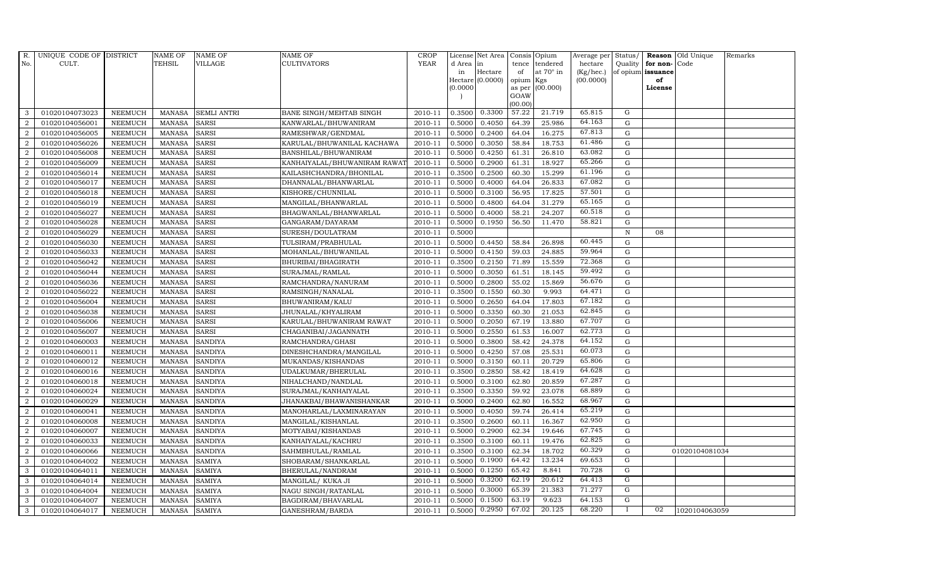| R.             | UNIQUE CODE OF DISTRICT |                | <b>NAME OF</b> | <b>NAME OF</b>     | <b>NAME OF</b>               | CROP        |          | License Net Area   Consis   Opium |           |                  | Average per | Status/      | Reason            | Old Unique     | Remarks |
|----------------|-------------------------|----------------|----------------|--------------------|------------------------------|-------------|----------|-----------------------------------|-----------|------------------|-------------|--------------|-------------------|----------------|---------|
| No.            | CULT.                   |                | <b>TEHSIL</b>  | <b>VILLAGE</b>     | <b>CULTIVATORS</b>           | <b>YEAR</b> | d Area   | in                                | tence     | tendered         | hectare     | Quality      | for non-          | Code           |         |
|                |                         |                |                |                    |                              |             | in       | Hectare                           | of        | at $70^\circ$ in | (Kg/hec.)   |              | of opium issuance |                |         |
|                |                         |                |                |                    |                              |             |          | Hectare (0.0000)                  | opium Kgs |                  | (00.0000)   |              | of                |                |         |
|                |                         |                |                |                    |                              |             | (0.0000) |                                   | GOAW      | as per (00.000)  |             |              | License           |                |         |
|                |                         |                |                |                    |                              |             |          |                                   | (00.00)   |                  |             |              |                   |                |         |
| 3              | 01020104073023          | <b>NEEMUCH</b> | MANASA         | <b>SEMLI ANTRI</b> | BANE SINGH/MEHTAB SINGH      | 2010-11     | 0.3500   | 0.3300                            | 57.22     | 21.719           | 65.815      | G            |                   |                |         |
| $\overline{2}$ | 01020104056001          | <b>NEEMUCH</b> | <b>MANASA</b>  | <b>SARSI</b>       | KANWARLAL/BHUWANIRAM         | 2010-11     | 0.5000   | 0.4050                            | 64.39     | 25.986           | 64.163      | $\mathbf G$  |                   |                |         |
| $\overline{2}$ | 01020104056005          | <b>NEEMUCH</b> | <b>MANASA</b>  | <b>SARSI</b>       | RAMESHWAR/GENDMAL            | 2010-11     | 0.5000   | 0.2400                            | 64.04     | 16.275           | 67.813      | G            |                   |                |         |
| $\overline{2}$ | 01020104056026          | <b>NEEMUCH</b> | <b>MANASA</b>  | <b>SARSI</b>       | KARULAL/BHUWANILAL KACHAWA   | 2010-11     | 0.5000   | 0.3050                            | 58.84     | 18.753           | 61.486      | $\mathbf G$  |                   |                |         |
| 2              | 01020104056008          | <b>NEEMUCH</b> | <b>MANASA</b>  | <b>SARSI</b>       | BANSHILAL/BHUWANIRAM         | 2010-11     | 0.5000   | 0.4250                            | 61.31     | 26.810           | 63.082      | $\mathbf G$  |                   |                |         |
| 2              | 01020104056009          | <b>NEEMUCH</b> | MANASA         | <b>SARSI</b>       | KANHAIYALAL/BHUWANIRAM RAWA' | 2010-11     | 0.5000   | 0.2900                            | 61.31     | 18.927           | 65.266      | $\mathbf G$  |                   |                |         |
| 2              | 01020104056014          | <b>NEEMUCH</b> | <b>MANASA</b>  | <b>SARSI</b>       | KAILASHCHANDRA/BHONILAL      | 2010-11     | 0.3500   | 0.2500                            | 60.30     | 15.299           | 61.196      | $\mathbf G$  |                   |                |         |
| $\overline{2}$ | 01020104056017          | <b>NEEMUCH</b> | <b>MANASA</b>  | <b>SARSI</b>       | DHANNALAL/BHANWARLAL         | 2010-11     | 0.5000   | 0.4000                            | 64.04     | 26.833           | 67.082      | $\mathbf G$  |                   |                |         |
| $\overline{2}$ | 01020104056018          | <b>NEEMUCH</b> | <b>MANASA</b>  | <b>SARSI</b>       | KISHORE/CHUNNILAL            | 2010-11     | 0.5000   | 0.3100                            | 56.95     | 17.825           | 57.501      | $\mathbf G$  |                   |                |         |
| $\overline{2}$ | 01020104056019          | <b>NEEMUCH</b> | <b>MANASA</b>  | <b>SARSI</b>       | MANGILAL/BHANWARLAL          | 2010-11     | 0.5000   | 0.4800                            | 64.04     | 31.279           | 65.165      | $\mathbf G$  |                   |                |         |
| $\overline{a}$ | 01020104056027          | <b>NEEMUCH</b> | <b>MANASA</b>  | <b>SARSI</b>       | BHAGWANLAL/BHANWARLAL        | 2010-11     | 0.5000   | 0.4000                            | 58.21     | 24.207           | 60.518      | ${\rm G}$    |                   |                |         |
| $\overline{2}$ | 01020104056028          | <b>NEEMUCH</b> | <b>MANASA</b>  | <b>SARSI</b>       | GANGARAM/DAYARAM             | 2010-11     | 0.5000   | 0.1950                            | 56.50     | 11.470           | 58.821      | G            |                   |                |         |
| 2              | 01020104056029          | <b>NEEMUCH</b> | <b>MANASA</b>  | <b>SARSI</b>       | SURESH/DOULATRAM             | 2010-11     | 0.5000   |                                   |           |                  |             | $\, {\rm N}$ | 08                |                |         |
| 2              | 01020104056030          | <b>NEEMUCH</b> | <b>MANASA</b>  | <b>SARSI</b>       | TULSIRAM/PRABHULAL           | 2010-11     | 0.5000   | 0.4450                            | 58.84     | 26.898           | 60.445      | G            |                   |                |         |
| $\overline{2}$ | 01020104056033          | <b>NEEMUCH</b> | <b>MANASA</b>  | <b>SARSI</b>       | MOHANLAL/BHUWANILAL          | 2010-11     | 0.5000   | 0.4150                            | 59.03     | 24.885           | 59.964      | G            |                   |                |         |
| $\overline{a}$ | 01020104056042          | <b>NEEMUCH</b> | <b>MANASA</b>  | <b>SARSI</b>       | BHURIBAI/BHAGIRATH           | 2010-11     | 0.3500   | 0.2150                            | 71.89     | 15.559           | 72.368      | $\mathbf G$  |                   |                |         |
| $\overline{2}$ | 01020104056044          | <b>NEEMUCH</b> | <b>MANASA</b>  | <b>SARSI</b>       | SURAJMAL/RAMLAL              | 2010-11     | 0.5000   | 0.3050                            | 61.51     | 18.145           | 59.492      | G            |                   |                |         |
| 2              | 01020104056036          | <b>NEEMUCH</b> | <b>MANASA</b>  | <b>SARSI</b>       | RAMCHANDRA/NANURAM           | 2010-11     | 0.5000   | 0.2800                            | 55.02     | 15.869           | 56.676      | $\mathbf G$  |                   |                |         |
| $\overline{2}$ | 01020104056022          | <b>NEEMUCH</b> | <b>MANASA</b>  | <b>SARSI</b>       | RAMSINGH/NANALAL             | 2010-11     | 0.3500   | 0.1550                            | 60.30     | 9.993            | 64.471      | $\mathbf G$  |                   |                |         |
| $\overline{2}$ | 01020104056004          | <b>NEEMUCH</b> | <b>MANASA</b>  | <b>SARSI</b>       | BHUWANIRAM/KALU              | 2010-11     | 0.5000   | 0.2650                            | 64.04     | 17.803           | 67.182      | $\mathbf G$  |                   |                |         |
| 2              | 01020104056038          | <b>NEEMUCH</b> | <b>MANASA</b>  | <b>SARSI</b>       | JHUNALAL/KHYALIRAM           | 2010-11     | 0.5000   | 0.3350                            | 60.30     | 21.053           | 62.845      | ${\rm G}$    |                   |                |         |
| $\overline{2}$ | 01020104056006          | <b>NEEMUCH</b> | <b>MANASA</b>  | <b>SARSI</b>       | KARULAL/BHUWANIRAM RAWAT     | 2010-11     | 0.5000   | 0.2050                            | 67.19     | 13.880           | 67.707      | ${\rm G}$    |                   |                |         |
| $\overline{2}$ | 01020104056007          | <b>NEEMUCH</b> | MANASA         | <b>SARSI</b>       | CHAGANIBAI/JAGANNATH         | 2010-11     | 0.5000   | 0.2550                            | 61.53     | 16.007           | 62.773      | G            |                   |                |         |
| $\overline{2}$ | 01020104060003          | <b>NEEMUCH</b> | <b>MANASA</b>  | <b>SANDIYA</b>     | RAMCHANDRA/GHASI             | 2010-11     | 0.5000   | 0.3800                            | 58.42     | 24.378           | 64.152      | $\mathbf G$  |                   |                |         |
| 2              | 01020104060011          | <b>NEEMUCH</b> | <b>MANASA</b>  | <b>SANDIYA</b>     | DINESHCHANDRA/MANGILAL       | 2010-11     | 0.5000   | 0.4250                            | 57.08     | 25.531           | 60.073      | $\mathbf G$  |                   |                |         |
| $\overline{2}$ | 01020104060012          | <b>NEEMUCH</b> | <b>MANASA</b>  | <b>SANDIYA</b>     | MUKANDAS/KISHANDAS           | 2010-11     | 0.5000   | 0.3150                            | 60.11     | 20.729           | 65.806      | ${\rm G}$    |                   |                |         |
| 2              | 01020104060016          | <b>NEEMUCH</b> | <b>MANASA</b>  | <b>SANDIYA</b>     | UDALKUMAR/BHERULAL           | 2010-11     | 0.3500   | 0.2850                            | 58.42     | 18.419           | 64.628      | $\mathbf G$  |                   |                |         |
| 2              | 01020104060018          | <b>NEEMUCH</b> | <b>MANASA</b>  | <b>SANDIYA</b>     | NIHALCHAND/NANDLAL           | 2010-11     | 0.5000   | 0.3100                            | 62.80     | 20.859           | 67.287      | $\mathbf G$  |                   |                |         |
| 2              | 01020104060024          | <b>NEEMUCH</b> | <b>MANASA</b>  | <b>SANDIYA</b>     | SURAJMAL/KANHAIYALAL         | 2010-11     | 0.3500   | 0.3350                            | 59.92     | 23.078           | 68.889      | $\mathbf G$  |                   |                |         |
| $\overline{2}$ | 01020104060029          | <b>NEEMUCH</b> | <b>MANASA</b>  | <b>SANDIYA</b>     | JHANAKBAI/BHAWANISHANKAR     | 2010-11     | 0.5000   | 0.2400                            | 62.80     | 16.552           | 68.967      | $\mathbf G$  |                   |                |         |
| $\overline{2}$ | 01020104060041          | <b>NEEMUCH</b> | <b>MANASA</b>  | <b>SANDIYA</b>     | MANOHARLAL/LAXMINARAYAN      | 2010-11     | 0.5000   | 0.4050                            | 59.74     | 26.414           | 65.219      | $\mathbf G$  |                   |                |         |
| $\overline{a}$ | 01020104060008          | <b>NEEMUCH</b> | <b>MANASA</b>  | <b>SANDIYA</b>     | MANGILAL/KISHANLAL           | 2010-11     | 0.3500   | 0.2600                            | 60.11     | 16.367           | 62.950      | ${\rm G}$    |                   |                |         |
| $\overline{a}$ | 01020104060007          | <b>NEEMUCH</b> | MANASA         | <b>SANDIYA</b>     | MOTYABAI/KISHANDAS           | 2010-11     | 0.5000   | 0.2900                            | 62.34     | 19.646           | 67.745      | ${\rm G}$    |                   |                |         |
| 2              | 01020104060033          | <b>NEEMUCH</b> | <b>MANASA</b>  | <b>SANDIYA</b>     | KANHAIYALAL/KACHRU           | 2010-11     | 0.3500   | 0.3100                            | 60.11     | 19.476           | 62.825      | $\mathbf G$  |                   |                |         |
| $\overline{2}$ | 01020104060066          | <b>NEEMUCH</b> | <b>MANASA</b>  | <b>SANDIYA</b>     | SAHMBHULAL/RAMLAL            | 2010-11     | 0.3500   | 0.3100                            | 62.34     | 18.702           | 60.329      | $\mathbf G$  |                   | 01020104081034 |         |
| 3              | 01020104064002          | <b>NEEMUCH</b> | <b>MANASA</b>  | <b>SAMIYA</b>      | SHOBARAM/SHANKARLAL          | 2010-11     | 0.5000   | 0.1900                            | 64.42     | 13.234           | 69.653      | $\mathbf G$  |                   |                |         |
| 3              | 01020104064011          | <b>NEEMUCH</b> | <b>MANASA</b>  | <b>SAMIYA</b>      | BHERULAL/NANDRAM             | 2010-11     | 0.5000   | 0.1250                            | 65.42     | 8.841            | 70.728      | $\mathbf G$  |                   |                |         |
| 3              | 01020104064014          | <b>NEEMUCH</b> | <b>MANASA</b>  | <b>SAMIYA</b>      | MANGILAL/ KUKA JI            | 2010-11     | 0.5000   | 0.3200                            | 62.19     | 20.612           | 64.413      | G            |                   |                |         |
| 3              | 01020104064004          | <b>NEEMUCH</b> | <b>MANASA</b>  | <b>SAMIYA</b>      | NAGU SINGH/RATANLAL          | 2010-11     | 0.5000   | 0.3000                            | 65.39     | 21.383           | 71.277      | G            |                   |                |         |
| 3              | 01020104064007          | <b>NEEMUCH</b> | <b>MANASA</b>  | <b>SAMIYA</b>      | BAGDIRAM/BHAVARLAL           | 2010-11     | 0.5000   | 0.1500                            | 63.19     | 9.623            | 64.153      | G            |                   |                |         |
| 3              | 01020104064017          | <b>NEEMUCH</b> | MANASA         | <b>SAMIYA</b>      | GANESHRAM/BARDA              | 2010-11     | 0.5000   | 0.2950                            | 67.02     | 20.125           | 68.220      |              | 02                | 1020104063059  |         |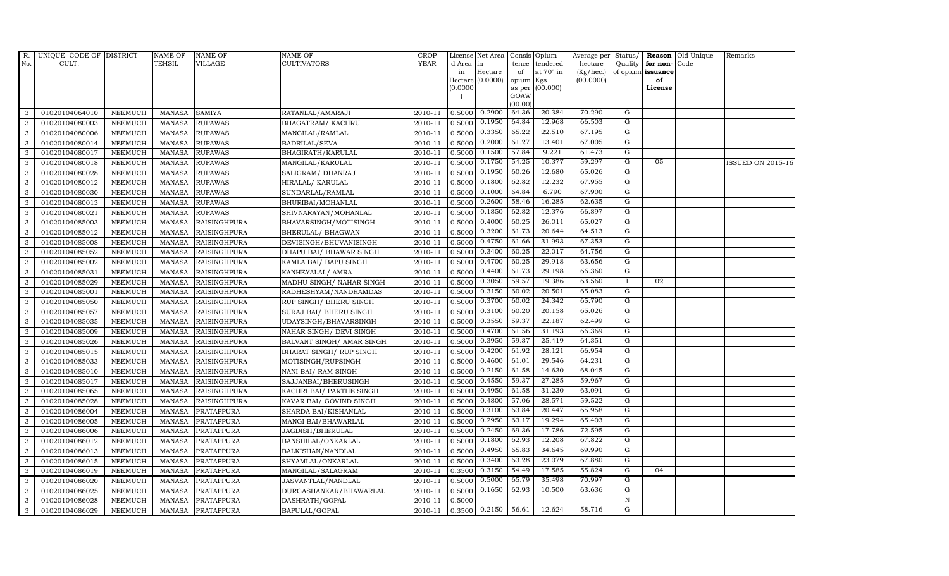| R.           | UNIQUE CODE OF DISTRICT |                | <b>NAME OF</b> | <b>NAME OF</b>      | <b>NAME OF</b>            | CROP    |           | License Net Area   Consis   Opium |           |                  | Average per | Status/        |                   | <b>Reason</b> Old Unique | Remarks                  |
|--------------|-------------------------|----------------|----------------|---------------------|---------------------------|---------|-----------|-----------------------------------|-----------|------------------|-------------|----------------|-------------------|--------------------------|--------------------------|
| No.          | CULT.                   |                | TEHSIL         | <b>VILLAGE</b>      | <b>CULTIVATORS</b>        | YEAR    | d Area in |                                   |           | tence tendered   | hectare     | Quality        | for non-          | Code                     |                          |
|              |                         |                |                |                     |                           |         | in        | Hectare                           | of        | at $70^\circ$ in | (Kg/hec.)   |                | of opium issuance |                          |                          |
|              |                         |                |                |                     |                           |         |           | Hectare (0.0000)                  | opium Kgs |                  | (00.0000)   |                | of<br>License     |                          |                          |
|              |                         |                |                |                     |                           |         | (0.0000)  |                                   | GOAW      | as per (00.000)  |             |                |                   |                          |                          |
|              |                         |                |                |                     |                           |         |           |                                   | (00.00)   |                  |             |                |                   |                          |                          |
| 3            | 01020104064010          | <b>NEEMUCH</b> | MANASA         | <b>SAMIYA</b>       | RATANLAL/AMARAJI          | 2010-11 | 0.5000    | 0.2900                            | 64.36     | 20.384           | 70.290      | G              |                   |                          |                          |
| 3            | 01020104080003          | <b>NEEMUCH</b> | <b>MANASA</b>  | <b>RUPAWAS</b>      | BHAGATRAM/KACHRU          | 2010-11 | 0.5000    | 0.1950                            | 64.84     | 12.968           | 66.503      | G              |                   |                          |                          |
| 3            | 01020104080006          | <b>NEEMUCH</b> | <b>MANASA</b>  | <b>RUPAWAS</b>      | MANGILAL/RAMLAL           | 2010-11 | 0.5000    | 0.3350                            | 65.22     | 22.510           | 67.195      | G              |                   |                          |                          |
| 3            | 01020104080014          | <b>NEEMUCH</b> | <b>MANASA</b>  | <b>RUPAWAS</b>      | BADRILAL/SEVA             | 2010-11 | 0.5000    | 0.2000                            | 61.27     | 13.401           | 67.005      | G              |                   |                          |                          |
| 3            | 01020104080017          | <b>NEEMUCH</b> | <b>MANASA</b>  | <b>RUPAWAS</b>      | BHAGIRATH/KARULAL         | 2010-11 | 0.5000    | 0.1500                            | 57.84     | 9.221            | 61.473      | $\mathbf G$    |                   |                          |                          |
| $\mathbf{3}$ | 01020104080018          | <b>NEEMUCH</b> | MANASA         | <b>RUPAWAS</b>      | MANGILAL/KARULAL          | 2010-11 | 0.5000    | 0.1750                            | 54.25     | 10.377           | 59.297      | G              | 05                |                          | <b>ISSUED ON 2015-16</b> |
| 3            | 01020104080028          | <b>NEEMUCH</b> | <b>MANASA</b>  | <b>RUPAWAS</b>      | SALIGRAM/ DHANRAJ         | 2010-11 | 0.5000    | 0.1950                            | 60.26     | 12.680           | 65.026      | G              |                   |                          |                          |
| 3            | 01020104080012          | <b>NEEMUCH</b> | <b>MANASA</b>  | <b>RUPAWAS</b>      | HIRALAL/ KARULAL          | 2010-11 | 0.5000    | 0.1800                            | 62.82     | 12.232           | 67.955      | G              |                   |                          |                          |
| 3            | 01020104080030          | <b>NEEMUCH</b> | <b>MANASA</b>  | <b>RUPAWAS</b>      | SUNDARLAL/RAMLAL          | 2010-11 | 0.5000    | 0.1000                            | 64.84     | 6.790            | 67.900      | G              |                   |                          |                          |
| 3            | 01020104080013          | <b>NEEMUCH</b> | <b>MANASA</b>  | <b>RUPAWAS</b>      | BHURIBAI/MOHANLAL         | 2010-11 | 0.5000    | 0.2600                            | 58.46     | 16.285           | 62.635      | G              |                   |                          |                          |
| 3            | 01020104080021          | <b>NEEMUCH</b> | <b>MANASA</b>  | <b>RUPAWAS</b>      | SHIVNARAYAN/MOHANLAL      | 2010-11 | 0.5000    | 0.1850                            | 62.82     | 12.376           | 66.897      | G              |                   |                          |                          |
| 3            | 01020104085003          | <b>NEEMUCH</b> | <b>MANASA</b>  | <b>RAISINGHPURA</b> | BHAVARSINGH/MOTISINGH     | 2010-11 | 0.5000    | 0.4000                            | 60.25     | 26.011           | 65.027      | G              |                   |                          |                          |
| 3            | 01020104085012          | <b>NEEMUCH</b> | <b>MANASA</b>  | <b>RAISINGHPURA</b> | BHERULAL/ BHAGWAN         | 2010-11 | 0.5000    | 0.3200                            | 61.73     | 20.644           | 64.513      | G              |                   |                          |                          |
| 3            | 01020104085008          | <b>NEEMUCH</b> | <b>MANASA</b>  | <b>RAISINGHPURA</b> | DEVISINGH/BHUVANISINGH    | 2010-11 | 0.5000    | 0.4750                            | 61.66     | 31.993           | 67.353      | G              |                   |                          |                          |
| 3            | 01020104085052          | <b>NEEMUCH</b> | <b>MANASA</b>  | <b>RAISINGHPURA</b> | DHAPU BAI / BHAWAR SINGH  | 2010-11 | 0.5000    | 0.3400                            | 60.25     | 22.017           | 64.756      | G              |                   |                          |                          |
| 3            | 01020104085002          | <b>NEEMUCH</b> | <b>MANASA</b>  | <b>RAISINGHPURA</b> | KAMLA BAI/ BAPU SINGH     | 2010-11 | 0.5000    | 0.4700                            | 60.25     | 29.918           | 63.656      | G              |                   |                          |                          |
| 3            | 01020104085031          | <b>NEEMUCH</b> | <b>MANASA</b>  | <b>RAISINGHPURA</b> | KANHEYALAL/ AMRA          | 2010-11 | 0.5000    | 0.4400                            | 61.73     | 29.198           | 66.360      | G              |                   |                          |                          |
| 3            | 01020104085029          | <b>NEEMUCH</b> | MANASA         | <b>RAISINGHPURA</b> | MADHU SINGH/ NAHAR SINGH  | 2010-11 | 0.5000    | 0.3050                            | 59.57     | 19.386           | 63.560      | $\bf{I}$       | 02                |                          |                          |
| 3            | 01020104085001          | <b>NEEMUCH</b> | <b>MANASA</b>  | <b>RAISINGHPURA</b> | RADHESHYAM/NANDRAMDAS     | 2010-11 | 0.5000    | 0.3150                            | 60.02     | 20.501           | 65.083      | G              |                   |                          |                          |
| 3            | 01020104085050          | <b>NEEMUCH</b> | <b>MANASA</b>  | <b>RAISINGHPURA</b> | RUP SINGH/ BHERU SINGH    | 2010-11 | 0.5000    | 0.3700                            | 60.02     | 24.342           | 65.790      | G              |                   |                          |                          |
| $\mathbf{3}$ | 01020104085057          | <b>NEEMUCH</b> | <b>MANASA</b>  | <b>RAISINGHPURA</b> | SURAJ BAI/ BHERU SINGH    | 2010-11 | 0.5000    | 0.3100                            | 60.20     | 20.158           | 65.026      | $\overline{G}$ |                   |                          |                          |
| 3            | 01020104085035          | <b>NEEMUCH</b> | <b>MANASA</b>  | <b>RAISINGHPURA</b> | UDAYSINGH/BHAVARSINGH     | 2010-11 | 0.5000    | 0.3550                            | 59.37     | 22.187           | 62.499      | G              |                   |                          |                          |
| $\mathbf{3}$ | 01020104085009          | <b>NEEMUCH</b> | MANASA         | <b>RAISINGHPURA</b> | NAHAR SINGH/ DEVI SINGH   | 2010-11 | 0.5000    | 0.4700                            | 61.56     | 31.193           | 66.369      | G              |                   |                          |                          |
| 3            | 01020104085026          | <b>NEEMUCH</b> | <b>MANASA</b>  | <b>RAISINGHPURA</b> | BALVANT SINGH/ AMAR SINGH | 2010-11 | 0.5000    | 0.3950                            | 59.37     | 25.419           | 64.351      | $\mathbf G$    |                   |                          |                          |
| 3            | 01020104085015          | <b>NEEMUCH</b> | <b>MANASA</b>  | <b>RAISINGHPURA</b> | BHARAT SINGH/ RUP SINGH   | 2010-11 | 0.5000    | 0.4200                            | 61.92     | 28.121           | 66.954      | G              |                   |                          |                          |
| 3            | 01020104085033          | <b>NEEMUCH</b> | <b>MANASA</b>  | RAISINGHPURA        | MOTISINGH/RUPSINGH        | 2010-11 | 0.5000    | 0.4600                            | 61.01     | 29.546           | 64.231      | G              |                   |                          |                          |
| 3            | 01020104085010          | <b>NEEMUCH</b> | <b>MANASA</b>  | <b>RAISINGHPURA</b> | NANI BAI/ RAM SINGH       | 2010-11 | 0.5000    | 0.2150                            | 61.58     | 14.630           | 68.045      | G              |                   |                          |                          |
| 3            | 01020104085017          | <b>NEEMUCH</b> | MANASA         | <b>RAISINGHPURA</b> | SAJJANBAI/BHERUSINGH      | 2010-11 | 0.5000    | 0.4550                            | 59.37     | 27.285           | 59.967      | G              |                   |                          |                          |
| 3            | 01020104085065          | <b>NEEMUCH</b> | <b>MANASA</b>  | <b>RAISINGHPURA</b> | KACHRI BAI/ PARTHE SINGH  | 2010-11 | 0.5000    | 0.4950                            | 61.58     | 31.230           | 63.091      | $\overline{G}$ |                   |                          |                          |
| 3            | 01020104085028          | <b>NEEMUCH</b> | <b>MANASA</b>  | <b>RAISINGHPURA</b> | KAVAR BAI/ GOVIND SINGH   | 2010-11 | 0.5000    | 0.4800                            | 57.06     | 28.571           | 59.522      | G              |                   |                          |                          |
| 3            | 01020104086004          | <b>NEEMUCH</b> | <b>MANASA</b>  | PRATAPPURA          | SHARDA BAI/KISHANLAL      | 2010-11 | 0.5000    | 0.3100                            | 63.84     | 20.447           | 65.958      | G              |                   |                          |                          |
| 3            | 01020104086005          | <b>NEEMUCH</b> | <b>MANASA</b>  | PRATAPPURA          | MANGI BAI/BHAWARLAL       | 2010-11 | 0.5000    | 0.2950                            | 63.17     | 19.294           | 65.403      | G              |                   |                          |                          |
| 3            | 01020104086006          | <b>NEEMUCH</b> | <b>MANASA</b>  | PRATAPPURA          | JAGDISH/BHERULAL          | 2010-11 | 0.5000    | 0.2450                            | 69.36     | 17.786           | 72.595      | G              |                   |                          |                          |
| 3            | 01020104086012          | <b>NEEMUCH</b> | <b>MANASA</b>  | <b>PRATAPPURA</b>   | BANSHILAL/ONKARLAL        | 2010-11 | 0.5000    | 0.1800                            | 62.93     | 12.208           | 67.822      | G              |                   |                          |                          |
| 3            | 01020104086013          | <b>NEEMUCH</b> | <b>MANASA</b>  | <b>PRATAPPURA</b>   | BALKISHAN/NANDLAL         | 2010-11 | 0.5000    | 0.4950                            | 65.83     | 34.645           | 69.990      | G              |                   |                          |                          |
| 3            | 01020104086015          | <b>NEEMUCH</b> | <b>MANASA</b>  | PRATAPPURA          | SHYAMLAL/ONKARLAL         | 2010-11 | 0.5000    | 0.3400                            | 63.28     | 23.079           | 67.880      | G              |                   |                          |                          |
| 3            | 01020104086019          | <b>NEEMUCH</b> | <b>MANASA</b>  | <b>PRATAPPURA</b>   | MANGILAL/SALAGRAM         | 2010-11 | 0.3500    | 0.3150                            | 54.49     | 17.585           | 55.824      | G              | 04                |                          |                          |
| 3            | 01020104086020          | <b>NEEMUCH</b> | <b>MANASA</b>  | PRATAPPURA          | JASVANTLAL/NANDLAL        | 2010-11 | 0.5000    | 0.5000                            | 65.79     | 35.498           | 70.997      | G              |                   |                          |                          |
| 3            | 01020104086025          | <b>NEEMUCH</b> | <b>MANASA</b>  | <b>PRATAPPURA</b>   | DURGASHANKAR/BHAWARLAL    | 2010-11 | 0.5000    | 0.1650                            | 62.93     | 10.500           | 63.636      | G              |                   |                          |                          |
| 3            | 01020104086028          | <b>NEEMUCH</b> | <b>MANASA</b>  | <b>PRATAPPURA</b>   | DASHRATH/GOPAL            | 2010-11 | 0.5000    |                                   |           |                  |             | N              |                   |                          |                          |
| 3            | 01020104086029          | <b>NEEMUCH</b> |                | MANASA PRATAPPURA   | BAPULAL/GOPAL             | 2010-11 | 0.3500    | 0.2150 56.61                      |           | 12.624           | 58.716      | $\overline{G}$ |                   |                          |                          |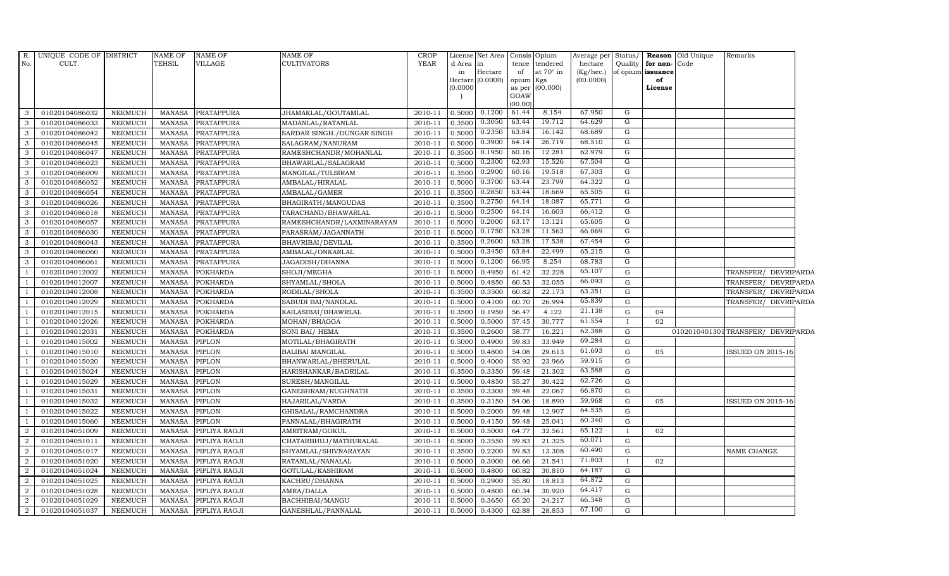|                | R. UNIQUE CODE OF DISTRICT |                | NAME OF       | <b>NAME OF</b>    | NAME OF                    | <b>CROP</b> |           | License Net Area              |                 | Consis Opium     | Average per Status/    |                |                         | Reason Old Unique | Remarks                          |  |
|----------------|----------------------------|----------------|---------------|-------------------|----------------------------|-------------|-----------|-------------------------------|-----------------|------------------|------------------------|----------------|-------------------------|-------------------|----------------------------------|--|
| No.            | CULT.                      |                | TEHSIL        | VILLAGE           | <b>CULTIVATORS</b>         | <b>YEAR</b> | d Area in |                               |                 | tence tendered   | hectare                | Quality        | for non-Code            |                   |                                  |  |
|                |                            |                |               |                   |                            |             | in        | Hectare<br>Hectare $(0.0000)$ | of<br>opium Kgs | at $70^\circ$ in | (Kg/hec.)<br>(00.0000) |                | of opium issuance<br>of |                   |                                  |  |
|                |                            |                |               |                   |                            |             | (0.0000)  |                               | as per          | (00.000)         |                        |                | License                 |                   |                                  |  |
|                |                            |                |               |                   |                            |             |           |                               | GOAW            |                  |                        |                |                         |                   |                                  |  |
|                |                            |                |               |                   |                            |             |           |                               | (00.00)         |                  |                        |                |                         |                   |                                  |  |
| 3              | 01020104086032             | <b>NEEMUCH</b> | MANASA        | <b>PRATAPPURA</b> | JHAMAKLAL/GOUTAMLAL        | 2010-11     |           | $0.5000$ $0.1200$             | 61.44           | 8.154            | 67.950                 | G              |                         |                   |                                  |  |
| 3              | 01020104086033             | <b>NEEMUCH</b> | MANASA        | <b>PRATAPPURA</b> | MADANLAL/RATANLAL          | 2010-11     | 0.3500    | 0.3050                        | 63.44           | 19.712           | 64.629                 | G              |                         |                   |                                  |  |
| $\overline{3}$ | 01020104086042             | <b>NEEMUCH</b> | MANASA        | <b>PRATAPPURA</b> | SARDAR SINGH./DUNGAR SINGH | 2010-11     | 0.5000    | 0.2350                        | 63.84           | 16.142           | 68.689                 | G              |                         |                   |                                  |  |
| 3              | 01020104086045             | <b>NEEMUCH</b> | <b>MANASA</b> | <b>PRATAPPURA</b> | SALAGRAM/NANURAM           | 2010-11     | 0.5000    | 0.3900                        | 64.14           | 26.719           | 68.510                 | G              |                         |                   |                                  |  |
| $\mathbf{3}$   | 01020104086047             | <b>NEEMUCH</b> | MANASA        | PRATAPPURA        | RAMESHCHANDR/MOHANLAL      | 2010-11     | 0.3500    | 0.1950                        | 60.16           | 12.281           | 62.979                 | G              |                         |                   |                                  |  |
| $\mathbf{3}$   | 01020104086023             | <b>NEEMUCH</b> | MANASA        | PRATAPPURA        | BHAWARLAL/SALAGRAM         | 2010-11     | 0.5000    | 0.2300                        | 62.93           | 15.526           | 67.504                 | $\overline{G}$ |                         |                   |                                  |  |
| $\mathbf{3}$   | 01020104086009             | <b>NEEMUCH</b> | <b>MANASA</b> | <b>PRATAPPURA</b> | MANGILAL/TULSIRAM          | 2010-11     | 0.3500    | 0.2900                        | 60.16           | 19.518           | 67.303                 | G              |                         |                   |                                  |  |
| $\mathbf{3}$   | 01020104086052             | <b>NEEMUCH</b> | MANASA        | <b>PRATAPPURA</b> | AMBALAL/HIRALAL            | 2010-11     | 0.5000    | 0.3700                        | 63.44           | 23.799           | 64.322                 | G              |                         |                   |                                  |  |
| 3              | 01020104086054             | <b>NEEMUCH</b> | <b>MANASA</b> | <b>PRATAPPURA</b> | AMBALAL/GAMER              | 2010-11     | 0.3500    | 0.2850                        | 63.44           | 18.669           | 65.505                 | G              |                         |                   |                                  |  |
| $\mathbf{3}$   | 01020104086026             | <b>NEEMUCH</b> | MANASA        | PRATAPPURA        | BHAGIRATH/MANGUDAS         | 2010-11     | 0.3500    | 0.2750                        | 64.14           | 18.087           | 65.771                 | G              |                         |                   |                                  |  |
| $\mathbf{3}$   | 01020104086018             | <b>NEEMUCH</b> | <b>MANASA</b> | PRATAPPURA        | TARACHAND/BHAWARLAL        | 2010-11     | 0.5000    | 0.2500                        | 64.14           | 16.603           | 66.412                 | G              |                         |                   |                                  |  |
| $\mathbf{3}$   | 01020104086057             | <b>NEEMUCH</b> | MANASA        | PRATAPPURA        | RAMESHCHANDR/LAXMINARAYAN  | 2010-11     | 0.5000    | 0.2000                        | 63.17           | 13.121           | 65.605                 | G              |                         |                   |                                  |  |
| $\mathbf{3}$   | 01020104086030             | <b>NEEMUCH</b> | <b>MANASA</b> | <b>PRATAPPURA</b> | PARASRAM/JAGANNATH         | 2010-11     | 0.5000    | 0.1750                        | 63.28           | 11.562           | 66.069                 | G              |                         |                   |                                  |  |
| 3              | 01020104086043             | <b>NEEMUCH</b> | <b>MANASA</b> | <b>PRATAPPURA</b> | BHAVRIBAI/DEVILAL          | 2010-11     | 0.3500    | 0.2600                        | 63.28           | 17.538           | 67.454                 | G              |                         |                   |                                  |  |
| $\mathbf{3}$   | 01020104086060             | <b>NEEMUCH</b> | <b>MANASA</b> | <b>PRATAPPURA</b> | AMBALAL/ONKARLAL           | 2010-11     | 0.5000    | 0.3450                        | 63.84           | 22.499           | 65.215                 | $\overline{G}$ |                         |                   |                                  |  |
| $\mathbf{3}$   | 01020104086061             | <b>NEEMUCH</b> | <b>MANASA</b> | PRATAPPURA        | JAGADISH/DHANNA            | 2010-11     | 0.5000    | 0.1200                        | 66.95           | 8.254            | 68.783                 | $\overline{G}$ |                         |                   |                                  |  |
| 1              | 01020104012002             | <b>NEEMUCH</b> | MANASA        | <b>POKHARDA</b>   | SHOJI/MEGHA                | 2010-11     | 0.5000    | 0.4950                        | 61.42           | 32.228           | 65.107                 | G              |                         |                   | TRANSFER/ DEVRIPARDA             |  |
| $\overline{1}$ | 01020104012007             | <b>NEEMUCH</b> | <b>MANASA</b> | <b>POKHARDA</b>   | SHYAMLAL/SHOLA             | 2010-11     | 0.5000    | 0.4850                        | 60.53           | 32.055           | 66.093                 | $\mathbf G$    |                         |                   | TRANSFER/ DEVRIPARDA             |  |
| $\overline{1}$ | 01020104012008             | <b>NEEMUCH</b> | <b>MANASA</b> | <b>POKHARDA</b>   | RODILAL/SHOLA              | 2010-11     | 0.3500    | 0.3500                        | 60.82           | 22.173           | 63.351                 | $\mathbf G$    |                         |                   | TRANSFER/ DEVRIPARDA             |  |
| $\overline{1}$ | 01020104012029             | <b>NEEMUCH</b> | MANASA        | <b>POKHARDA</b>   | SABUDI BAI/NANDLAL         | 2010-11     | 0.5000    | 0.4100                        | 60.70           | 26.994           | 65.839                 | $\mathbf G$    |                         |                   | TRANSFER/ DEVRIPARDA             |  |
| $\overline{1}$ | 01020104012015             | <b>NEEMUCH</b> | <b>MANASA</b> | <b>POKHARDA</b>   | KAILASIBAI/BHAWRLAL        | 2010-11     | 0.3500    | 0.1950                        | 56.47           | 4.122            | 21.138                 | G              | 04                      |                   |                                  |  |
| <sup>1</sup>   | 01020104012026             | <b>NEEMUCH</b> | <b>MANASA</b> | <b>POKHARDA</b>   | MOHAN/BHAGGA               | 2010-11     | 0.5000    | 0.5000                        | 57.45           | 30.777           | 61.554                 | $\mathbf{I}$   | 02                      |                   |                                  |  |
| $\overline{1}$ | 01020104012031             | <b>NEEMUCH</b> | MANASA        | <b>POKHARDA</b>   | SONI BAI/ HEMA             | 2010-11     | 0.3500    | 0.2600                        | 58.77           | 16.221           | 62.388                 | G              |                         |                   | 0102010401301TRANSFER/DEVRIPARDA |  |
| $\overline{1}$ | 01020104015002             | <b>NEEMUCH</b> | <b>MANASA</b> | PIPLON            | MOTILAL/BHAGIRATH          | 2010-11     | 0.5000    | 0.4900                        | 59.83           | 33.949           | 69.284                 | G              |                         |                   |                                  |  |
| $\overline{1}$ | 01020104015010             | <b>NEEMUCH</b> | <b>MANASA</b> | <b>PIPLON</b>     | BALIBAI MANGILAL           | 2010-11     | 0.5000    | 0.4800                        | 54.08           | 29.613           | 61.693                 | ${\rm G}$      | 05                      |                   | SSUED ON 2015-16                 |  |
| $\overline{1}$ | 01020104015020             | <b>NEEMUCH</b> | <b>MANASA</b> | <b>PIPLON</b>     | BHANWARLAL/BHERULAL        | 2010-11     | 0.5000    | 0.4000                        | 55.92           | 23.966           | 59.915                 | G              |                         |                   |                                  |  |
| -1             | 01020104015024             | <b>NEEMUCH</b> | <b>MANASA</b> | <b>PIPLON</b>     | HARISHANKAR/BADRILAL       | 2010-11     | 0.3500    | 0.3350                        | 59.48           | 21.302           | 63.588                 | G              |                         |                   |                                  |  |
| $\overline{1}$ | 01020104015029             | <b>NEEMUCH</b> | MANASA        | <b>PIPLON</b>     | SURESH/MANGILAL            | 2010-11     | 0.5000    | 0.4850                        | 55.27           | 30.422           | 62.726                 | G              |                         |                   |                                  |  |
| $\overline{1}$ | 01020104015031             | <b>NEEMUCH</b> | <b>MANASA</b> | PIPLON            | GANESHRAM/RUGHNATH         | 2010-11     | 0.3500    | 0.3300                        | 59.48           | 22.067           | 66.870                 | G              |                         |                   |                                  |  |
| $\overline{1}$ | 01020104015032             | <b>NEEMUCH</b> | <b>MANASA</b> | <b>PIPLON</b>     | HAJARILAL/VARDA            | 2010-11     | 0.3500    | 0.3150                        | 54.06           | 18.890           | 59.968                 | $\mathbf G$    | 05                      |                   | SSUED ON 2015-16                 |  |
| $\overline{1}$ | 01020104015022             | <b>NEEMUCH</b> | MANASA        | <b>PIPLON</b>     | GHISALAL/RAMCHANDRA        | 2010-11     | 0.5000    | 0.2000                        | 59.48           | 12.907           | 64.535                 | G              |                         |                   |                                  |  |
| <sup>1</sup>   | 01020104015060             | <b>NEEMUCH</b> | MANASA        | <b>PIPLON</b>     | PANNALAL/BHAGIRATH         | 2010-11     | 0.5000    | 0.4150                        | 59.48           | 25.041           | 60.340                 | $\mathbf G$    |                         |                   |                                  |  |
| $\overline{2}$ | 01020104051009             | <b>NEEMUCH</b> | MANASA        | PIPLIYA RAOJI     | AMRITRAM/GOKUL             | 2010-11     | 0.5000    | 0.5000                        | 64.77           | 32.561           | 65.122                 | $\mathbf{I}$   | 02                      |                   |                                  |  |
| 2              | 01020104051011             | <b>NEEMUCH</b> | MANASA        | PIPLIYA RAOJI     | CHATARBHUJ/MATHURALAL      | 2010-11     | 0.5000    | 0.3550                        | 59.83           | 21.325           | 60.071                 | G              |                         |                   |                                  |  |
| 2              | 01020104051017             | <b>NEEMUCH</b> | <b>MANASA</b> | PIPLIYA RAOJI     | SHYAMLAL/SHIVNARAYAN       | 2010-11     | 0.3500    | 0.2200                        | 59.83           | 13.308           | 60.490                 | $\mathbf G$    |                         |                   | NAME CHANGE                      |  |
| $\overline{2}$ | 01020104051020             | <b>NEEMUCH</b> | MANASA        | PIPLIYA RAOJI     | RATANLAL/NANALAL           | 2010-11     | 0.5000    | 0.3000                        | 66.66           | 21.541           | 71.803                 | $\mathbf{I}$   | 02                      |                   |                                  |  |
| 2              | 01020104051024             | <b>NEEMUCH</b> | <b>MANASA</b> | PIPLIYA RAOJI     | GOTULAL/KASHIRAM           | 2010-11     | 0.5000    | 0.4800                        | 60.82           | 30.810           | 64.187                 | G              |                         |                   |                                  |  |
| $\overline{2}$ | 01020104051025             | <b>NEEMUCH</b> | MANASA        | PIPLIYA RAOJI     | KACHRU/DHANNA              | 2010-11     | 0.5000    | 0.2900                        | 55.80           | 18.813           | 64.872                 | G              |                         |                   |                                  |  |
| 2              | 01020104051028             | <b>NEEMUCH</b> | MANASA        | PIPLIYA RAOJI     | AMRA/DALLA                 | 2010-11     | 0.5000    | 0.4800                        | 60.34           | 30.920           | 64.417                 | G              |                         |                   |                                  |  |
| 2              | 01020104051029             | <b>NEEMUCH</b> | <b>MANASA</b> | PIPLIYA RAOJI     | BACHHIBAI/MANGU            | 2010-11     | 0.5000    | 0.3650                        | 65.20           | 24.217           | 66.348                 | $\mathbf G$    |                         |                   |                                  |  |
| $\overline{2}$ | 01020104051037             | NEEMUCH        | MANASA        | PIPLIYA RAOJI     | GANESHLAL/PANNALAL         | 2010-11     | 0.5000    | 0.4300                        | 62.88           | 28.853           | 67.100                 | G              |                         |                   |                                  |  |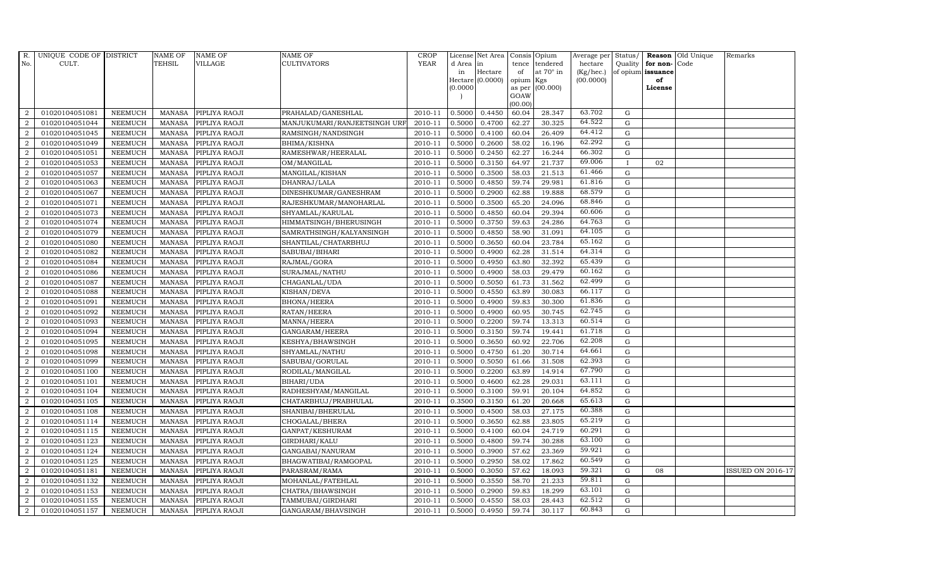| $R_{\cdot}$      | UNIQUE CODE OF DISTRICT |                | <b>NAME OF</b> | <b>NAME OF</b>       | <b>NAME OF</b>               | CROP        |          | License Net Area |           | Consis Opium     | Average per |              |                   | Status/ Reason Old Unique | Remarks                  |
|------------------|-------------------------|----------------|----------------|----------------------|------------------------------|-------------|----------|------------------|-----------|------------------|-------------|--------------|-------------------|---------------------------|--------------------------|
| No.              | CULT.                   |                | <b>TEHSIL</b>  | VILLAGE              | <b>CULTIVATORS</b>           | <b>YEAR</b> | d Area   | in               | tence     | tendered         | hectare     |              | Quality for non-  | Code                      |                          |
|                  |                         |                |                |                      |                              |             | in       | Hectare          | of        | at $70^\circ$ in | (Kg/hec.)   |              | of opium issuance |                           |                          |
|                  |                         |                |                |                      |                              |             |          | Hectare (0.0000) | opium Kgs |                  | (00.0000)   |              | of                |                           |                          |
|                  |                         |                |                |                      |                              |             | (0.0000) |                  | GOAW      | as per (00.000)  |             |              | License           |                           |                          |
|                  |                         |                |                |                      |                              |             |          |                  | (00.00)   |                  |             |              |                   |                           |                          |
| 2                | 01020104051081          | <b>NEEMUCH</b> | MANASA         | PIPLIYA RAOJI        | PRAHALAD/GANESHLAL           | 2010-11     | 0.5000   | 0.4450           | 60.04     | 28.347           | 63.702      | G            |                   |                           |                          |
| 2                | 01020104051044          | <b>NEEMUCH</b> | <b>MANASA</b>  | PIPLIYA RAOJI        | MANJUKUMARI/RANJEETSINGH URI | 2010-11     | 0.5000   | 0.4700           | 62.27     | 30.325           | 64.522      | G            |                   |                           |                          |
| 2                | 01020104051045          | <b>NEEMUCH</b> | <b>MANASA</b>  | PIPLIYA RAOJI        | RAMSINGH/NANDSINGH           | 2010-11     | 0.5000   | 0.4100           | 60.04     | 26.409           | 64.412      | G            |                   |                           |                          |
| $\boldsymbol{2}$ | 01020104051049          | <b>NEEMUCH</b> | <b>MANASA</b>  | PIPLIYA RAOJI        | BHIMA/KISHNA                 | 2010-11     | 0.5000   | 0.2600           | 58.02     | 16.196           | 62.292      | $\mathbf G$  |                   |                           |                          |
| 2                | 01020104051051          | <b>NEEMUCH</b> | <b>MANASA</b>  | PIPLIYA RAOJI        | RAMESHWAR/HEERALAL           | 2010-11     | 0.5000   | 0.2450           | 62.27     | 16.244           | 66.302      | ${\rm G}$    |                   |                           |                          |
| 2                | 01020104051053          | <b>NEEMUCH</b> | <b>MANASA</b>  | PIPLIYA RAOJI        | OM/MANGILAL                  | 2010-11     | 0.5000   | 0.3150           | 64.97     | 21.737           | 69.006      | $\mathbf{I}$ | 02                |                           |                          |
| $\overline{2}$   | 01020104051057          | <b>NEEMUCH</b> | <b>MANASA</b>  | PIPLIYA RAOJI        | MANGILAL/KISHAN              | 2010-11     | 0.5000   | 0.3500           | 58.03     | 21.513           | 61.466      | ${\rm G}$    |                   |                           |                          |
| 2                | 01020104051063          | <b>NEEMUCH</b> | <b>MANASA</b>  | PIPLIYA RAOJI        | DHANRAJ/LALA                 | 2010-11     | 0.5000   | 0.4850           | 59.74     | 29.981           | 61.816      | $\mathbf G$  |                   |                           |                          |
| 2                | 01020104051067          | <b>NEEMUCH</b> | <b>MANASA</b>  | PIPLIYA RAOJI        | DINESHKUMAR/GANESHRAM        | 2010-11     | 0.5000   | 0.2900           | 62.88     | 19.888           | 68.579      | ${\rm G}$    |                   |                           |                          |
| 2                | 01020104051071          | <b>NEEMUCH</b> | <b>MANASA</b>  | PIPLIYA RAOJI        | RAJESHKUMAR/MANOHARLAL       | 2010-11     | 0.5000   | 0.3500           | 65.20     | 24.096           | 68.846      | ${\rm G}$    |                   |                           |                          |
| 2                | 01020104051073          | <b>NEEMUCH</b> | <b>MANASA</b>  | PIPLIYA RAOJI        | SHYAMLAL/KARULAL             | 2010-11     | 0.5000   | 0.4850           | 60.04     | 29.394           | 60.606      | G            |                   |                           |                          |
| 2                | 01020104051074          | <b>NEEMUCH</b> | MANASA         | PIPLIYA RAOJI        | HIMMATSINGH/BHERUSINGH       | 2010-11     | 0.5000   | 0.3750           | 59.63     | 24.286           | 64.763      | ${\rm G}$    |                   |                           |                          |
| 2                | 01020104051079          | <b>NEEMUCH</b> | <b>MANASA</b>  | PIPLIYA RAOJI        | SAMRATHSINGH/KALYANSINGH     | 2010-11     | 0.5000   | 0.4850           | 58.90     | 31.091           | 64.105      | $\mathbf G$  |                   |                           |                          |
| $\overline{2}$   | 01020104051080          | <b>NEEMUCH</b> | <b>MANASA</b>  | PIPLIYA RAOJI        | SHANTILAL/CHATARBHUJ         | 2010-11     | 0.5000   | 0.3650           | 60.04     | 23.784           | 65.162      | ${\rm G}$    |                   |                           |                          |
| 2                | 01020104051082          | <b>NEEMUCH</b> | <b>MANASA</b>  | PIPLIYA RAOJI        | SABUBAI/BIHARI               | 2010-11     | 0.5000   | 0.4900           | 62.28     | 31.514           | 64.314      | ${\rm G}$    |                   |                           |                          |
| 2                | 01020104051084          | <b>NEEMUCH</b> | <b>MANASA</b>  | PIPLIYA RAOJI        | RAJMAL/GORA                  | 2010-11     | 0.5000   | 0.4950           | 63.80     | 32.392           | 65.439      | G            |                   |                           |                          |
| $\overline{2}$   | 01020104051086          | <b>NEEMUCH</b> | <b>MANASA</b>  | PIPLIYA RAOJI        | SURAJMAL/NATHU               | 2010-11     | 0.5000   | 0.4900           | 58.03     | 29.479           | 60.162      | ${\rm G}$    |                   |                           |                          |
| 2                | 01020104051087          | <b>NEEMUCH</b> | <b>MANASA</b>  | PIPLIYA RAOJI        | CHAGANLAL/UDA                | 2010-11     | 0.5000   | 0.5050           | 61.73     | 31.562           | 62.499      | $\mathbf G$  |                   |                           |                          |
| 2                | 01020104051088          | <b>NEEMUCH</b> | <b>MANASA</b>  | PIPLIYA RAOJI        | KISHAN/DEVA                  | 2010-11     | 0.5000   | 0.4550           | 63.89     | 30.083           | 66.117      | $\mathbf G$  |                   |                           |                          |
| 2                | 01020104051091          | <b>NEEMUCH</b> | <b>MANASA</b>  | PIPLIYA RAOJI        | <b>BHONA/HEERA</b>           | 2010-11     | 0.5000   | 0.4900           | 59.83     | 30.300           | 61.836      | ${\rm G}$    |                   |                           |                          |
| 2                | 01020104051092          | <b>NEEMUCH</b> | <b>MANASA</b>  | PIPLIYA RAOJI        | RATAN/HEERA                  | 2010-11     | 0.5000   | 0.4900           | 60.95     | 30.745           | 62.745      | G            |                   |                           |                          |
| 2                | 01020104051093          | <b>NEEMUCH</b> | <b>MANASA</b>  | PIPLIYA RAOJI        | MANNA/HEERA                  | 2010-11     | 0.5000   | 0.2200           | 59.74     | 13.313           | 60.514      | ${\rm G}$    |                   |                           |                          |
| $\overline{2}$   | 01020104051094          | <b>NEEMUCH</b> | <b>MANASA</b>  | PIPLIYA RAOJI        | GANGARAM/HEERA               | 2010-11     | 0.5000   | 0.3150           | 59.74     | 19.441           | 61.718      | $\mathbf G$  |                   |                           |                          |
| 2                | 01020104051095          | <b>NEEMUCH</b> | <b>MANASA</b>  | PIPLIYA RAOJI        | KESHYA/BHAWSINGH             | 2010-11     | 0.5000   | 0.3650           | 60.92     | 22.706           | 62.208      | G            |                   |                           |                          |
| $\overline{2}$   | 01020104051098          | <b>NEEMUCH</b> | <b>MANASA</b>  | PIPLIYA RAOJI        | SHYAMLAL/NATHU               | 2010-11     | 0.5000   | 0.4750           | 61.20     | 30.714           | 64.661      | $\mathbf G$  |                   |                           |                          |
| $\overline{2}$   | 01020104051099          | <b>NEEMUCH</b> | <b>MANASA</b>  | PIPLIYA RAOJI        | SABUBAI/GORULAL              | 2010-11     | 0.5000   | 0.5050           | 61.66     | 31.508           | 62.393      | G            |                   |                           |                          |
| 2                | 01020104051100          | <b>NEEMUCH</b> | <b>MANASA</b>  | PIPLIYA RAOJI        | RODILAL/MANGILAL             | 2010-11     | 0.5000   | 0.2200           | 63.89     | 14.914           | 67.790      | ${\rm G}$    |                   |                           |                          |
| 2                | 01020104051101          | <b>NEEMUCH</b> | <b>MANASA</b>  | PIPLIYA RAOJI        | BIHARI/UDA                   | 2010-11     | 0.5000   | 0.4600           | 62.28     | 29.031           | 63.111      | ${\rm G}$    |                   |                           |                          |
| 2                | 01020104051104          | <b>NEEMUCH</b> | <b>MANASA</b>  | PIPLIYA RAOJI        | RADHESHYAM/MANGILAL          | 2010-11     | 0.5000   | 0.3100           | 59.91     | 20.104           | 64.852      | G            |                   |                           |                          |
| $\overline{2}$   | 01020104051105          | <b>NEEMUCH</b> | <b>MANASA</b>  | PIPLIYA RAOJI        | CHATARBHUJ/PRABHULAL         | 2010-11     | 0.3500   | 0.3150           | 61.20     | 20.668           | 65.613      | $\mathbf G$  |                   |                           |                          |
| $\overline{2}$   | 01020104051108          | <b>NEEMUCH</b> | <b>MANASA</b>  | PIPLIYA RAOJI        | SHANIBAI/BHERULAL            | 2010-11     | 0.5000   | 0.4500           | 58.03     | 27.175           | 60.388      | ${\rm G}$    |                   |                           |                          |
| 2                | 01020104051114          | <b>NEEMUCH</b> | <b>MANASA</b>  | PIPLIYA RAOJI        | CHOGALAL/BHERA               | 2010-11     | 0.5000   | 0.3650           | 62.88     | 23.805           | 65.219      | G            |                   |                           |                          |
| $\overline{2}$   | 01020104051115          | <b>NEEMUCH</b> | <b>MANASA</b>  | PIPLIYA RAOJI        | GANPAT/KESHURAM              | 2010-11     | 0.5000   | 0.4100           | 60.04     | 24.719           | 60.291      | $\mathbf G$  |                   |                           |                          |
| 2                | 01020104051123          | <b>NEEMUCH</b> | <b>MANASA</b>  | PIPLIYA RAOJI        | GIRDHARI/KALU                | 2010-11     | 0.5000   | 0.4800           | 59.74     | 30.288           | 63.100      | $\mathbf G$  |                   |                           |                          |
| $\overline{2}$   | 01020104051124          | <b>NEEMUCH</b> | <b>MANASA</b>  | PIPLIYA RAOJI        | GANGABAI/NANURAM             | 2010-11     | 0.5000   | 0.3900           | 57.62     | 23.369           | 59.921      | ${\rm G}$    |                   |                           |                          |
| $\overline{2}$   | 01020104051125          | <b>NEEMUCH</b> | <b>MANASA</b>  | PIPLIYA RAOJI        | BHAGWATIBAI/RAMGOPAL         | 2010-11     | 0.5000   | 0.2950           | 58.02     | 17.862           | 60.549      | G            |                   |                           |                          |
| 2                | 01020104051181          | <b>NEEMUCH</b> | <b>MANASA</b>  | PIPLIYA RAOJI        | PARASRAM/RAMA                | 2010-11     | 0.5000   | 0.3050           | 57.62     | 18.093           | 59.321      | G            | 08                |                           | <b>ISSUED ON 2016-17</b> |
| $\overline{2}$   | 01020104051132          | <b>NEEMUCH</b> | <b>MANASA</b>  | PIPLIYA RAOJI        | MOHANLAL/FATEHLAL            | 2010-11     | 0.5000   | 0.3550           | 58.70     | 21.233           | 59.811      | $\mathbf G$  |                   |                           |                          |
| $\overline{2}$   | 01020104051153          | <b>NEEMUCH</b> | <b>MANASA</b>  | PIPLIYA RAOJI        | CHATRA/BHAWSINGH             | 2010-11     | 0.5000   | 0.2900           | 59.83     | 18.299           | 63.101      | G            |                   |                           |                          |
| $\overline{a}$   | 01020104051155          | <b>NEEMUCH</b> | <b>MANASA</b>  | PIPLIYA RAOJI        | TAMMUBAI/GIRDHARI            | 2010-11     | 0.5000   | 0.4550           | 58.03     | 28.443           | 62.512      | $\mathbf G$  |                   |                           |                          |
| $\overline{2}$   | 01020104051157          | <b>NEEMUCH</b> |                | MANASA PIPLIYA RAOJI | GANGARAM/BHAVSINGH           | 2010-11     | 0.5000   | 0.4950           | 59.74     | 30.117           | 60.843      | ${\rm G}$    |                   |                           |                          |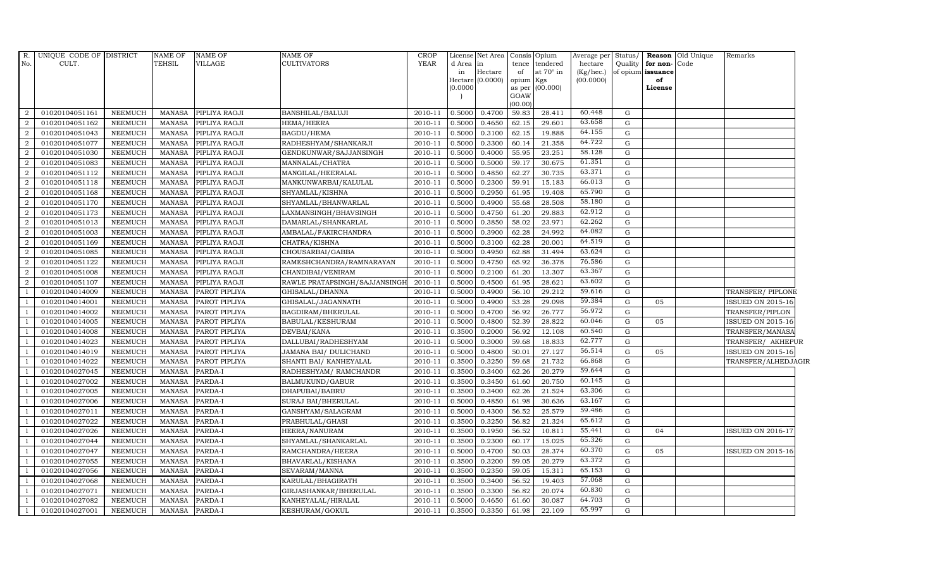| R.             | UNIQUE CODE OF DISTRICT |                | <b>NAME OF</b> | <b>NAME OF</b> | <b>NAME OF</b>                | <b>CROP</b> |          | License Net Area              | Consis Opium     |                              | Average per            | Status/     |                         | Reason Old Unique | Remarks                  |  |
|----------------|-------------------------|----------------|----------------|----------------|-------------------------------|-------------|----------|-------------------------------|------------------|------------------------------|------------------------|-------------|-------------------------|-------------------|--------------------------|--|
| No.            | CULT.                   |                | <b>TEHSIL</b>  | <b>VILLAGE</b> | CULTIVATORS                   | <b>YEAR</b> | d Area   | in                            | tence            | tendered<br>at $70^\circ$ in | hectare                | Quality     | for non-Code            |                   |                          |  |
|                |                         |                |                |                |                               |             | in       | Hectare<br>Hectare $(0.0000)$ | of<br>opium      | Kgs                          | (Kg/hec.)<br>(00.0000) |             | of opium issuance<br>of |                   |                          |  |
|                |                         |                |                |                |                               |             | (0.0000) |                               |                  | as per (00.000)              |                        |             | License                 |                   |                          |  |
|                |                         |                |                |                |                               |             |          |                               | GOAW             |                              |                        |             |                         |                   |                          |  |
| 2              | 01020104051161          | <b>NEEMUCH</b> | MANASA         | PIPLIYA RAOJI  | BANSHILAL/BALUJI              | 2010-11     | 0.5000   | 0.4700                        | (00.00)<br>59.83 | 28.411                       | 60.448                 | G           |                         |                   |                          |  |
| 2              | 01020104051162          | <b>NEEMUCH</b> | <b>MANASA</b>  | PIPLIYA RAOJI  | HEMA/HEERA                    | 2010-11     | 0.5000   | 0.4650                        | 62.15            | 29.601                       | 63.658                 | G           |                         |                   |                          |  |
| 2              | 01020104051043          | <b>NEEMUCH</b> | <b>MANASA</b>  | PIPLIYA RAOJI  | BAGDU/HEMA                    | 2010-11     | 0.5000   | 0.3100                        | 62.15            | 19.888                       | 64.155                 | G           |                         |                   |                          |  |
| $\overline{2}$ | 01020104051077          | <b>NEEMUCH</b> | <b>MANASA</b>  | PIPLIYA RAOJI  | RADHESHYAM/SHANKARJI          | 2010-11     | 0.5000   | 0.3300                        | 60.14            | 21.358                       | 64.722                 | $\mathbf G$ |                         |                   |                          |  |
| $\overline{2}$ | 01020104051030          | <b>NEEMUCH</b> | <b>MANASA</b>  | PIPLIYA RAOJI  | GENDKUNWAR/SAJJANSINGH        | 2010-11     | 0.5000   | 0.4000                        | 55.95            | 23.251                       | 58.128                 | $\mathbf G$ |                         |                   |                          |  |
| 2              | 01020104051083          | <b>NEEMUCH</b> | <b>MANASA</b>  | PIPLIYA RAOJI  | MANNALAL/CHATRA               | 2010-11     | 0.5000   | 0.5000                        | 59.17            | 30.675                       | 61.351                 | G           |                         |                   |                          |  |
| 2              | 01020104051112          | <b>NEEMUCH</b> | <b>MANASA</b>  | PIPLIYA RAOJI  | MANGILAL/HEERALAL             | 2010-11     | 0.5000   | 0.4850                        | 62.27            | 30.735                       | 63.371                 | $\mathbf G$ |                         |                   |                          |  |
| 2              | 01020104051118          | <b>NEEMUCH</b> | <b>MANASA</b>  | PIPLIYA RAOJI  | MANKUNWARBAI/KALULAL          | 2010-11     | 0.5000   | 0.2300                        | 59.91            | 15.183                       | 66.013                 | $\mathbf G$ |                         |                   |                          |  |
| 2              | 01020104051168          | <b>NEEMUCH</b> | <b>MANASA</b>  | PIPLIYA RAOJI  | SHYAMLAL/KISHNA               | 2010-11     | 0.5000   | 0.2950                        | 61.95            | 19.408                       | 65.790                 | G           |                         |                   |                          |  |
| $\overline{2}$ | 01020104051170          | <b>NEEMUCH</b> | <b>MANASA</b>  | PIPLIYA RAOJI  | SHYAMLAL/BHANWARLAL           | 2010-11     | 0.5000   | 0.4900                        | 55.68            | 28.508                       | 58.180                 | $\mathbf G$ |                         |                   |                          |  |
| $\overline{2}$ | 01020104051173          | <b>NEEMUCH</b> | <b>MANASA</b>  | PIPLIYA RAOJI  | LAXMANSINGH/BHAVSINGH         | 2010-11     | 0.5000   | 0.4750                        | 61.20            | 29.883                       | 62.912                 | ${\rm G}$   |                         |                   |                          |  |
| 2              | 01020104051013          | <b>NEEMUCH</b> | <b>MANASA</b>  | PIPLIYA RAOJI  | DAMARLAL/SHANKARLAL           | 2010-11     | 0.5000   | 0.3850                        | 58.02            | 23.971                       | 62.262                 | G           |                         |                   |                          |  |
| 2              | 01020104051003          | <b>NEEMUCH</b> | <b>MANASA</b>  | PIPLIYA RAOJI  | AMBALAL/FAKIRCHANDRA          | 2010-11     | 0.5000   | 0.3900                        | 62.28            | 24.992                       | 64.082                 | $\mathbf G$ |                         |                   |                          |  |
| 2              | 01020104051169          | <b>NEEMUCH</b> | <b>MANASA</b>  | PIPLIYA RAOJI  | CHATRA/KISHNA                 | 2010-11     | 0.5000   | 0.3100                        | 62.28            | 20.001                       | 64.519                 | G           |                         |                   |                          |  |
| 2              | 01020104051085          | <b>NEEMUCH</b> | <b>MANASA</b>  | PIPLIYA RAOJI  | CHOUSARBAI/GABBA              | 2010-11     | 0.5000   | 0.4950                        | 62.88            | 31.494                       | 63.624                 | ${\bf G}$   |                         |                   |                          |  |
| $\overline{2}$ | 01020104051122          | <b>NEEMUCH</b> | <b>MANASA</b>  | PIPLIYA RAOJI  | RAMESHCHANDRA/RAMNARAYAN      | 2010-11     | 0.5000   | 0.4750                        | 65.92            | 36.378                       | 76.586                 | $\mathbf G$ |                         |                   |                          |  |
| 2              | 01020104051008          | <b>NEEMUCH</b> | <b>MANASA</b>  | PIPLIYA RAOJI  | CHANDIBAI/VENIRAM             | 2010-11     | 0.5000   | 0.2100                        | 61.20            | 13.307                       | 63.367                 | $\mathbf G$ |                         |                   |                          |  |
| 2              | 01020104051107          | <b>NEEMUCH</b> | <b>MANASA</b>  | PIPLIYA RAOJI  | RAWLE PRATAPSINGH/SAJJANSINGH | 2010-11     | 0.5000   | 0.4500                        | 61.95            | 28.621                       | 63.602                 | G           |                         |                   |                          |  |
| $\overline{1}$ | 01020104014009          | <b>NEEMUCH</b> | <b>MANASA</b>  | PAROT PIPLIYA  | GHISALAL/DHANNA               | 2010-11     | 0.5000   | 0.4900                        | 56.10            | 29.212                       | 59.616                 | $\mathbf G$ |                         |                   | TRANSFER/ PIPLONE        |  |
| $\overline{1}$ | 01020104014001          | <b>NEEMUCH</b> | <b>MANASA</b>  | PAROT PIPLIYA  | GHISALAL/JAGANNATH            | 2010-11     | 0.5000   | 0.4900                        | 53.28            | 29.098                       | 59.384                 | G           | 05                      |                   | <b>ISSUED ON 2015-16</b> |  |
| $\overline{1}$ | 01020104014002          | <b>NEEMUCH</b> | <b>MANASA</b>  | PAROT PIPLIYA  | BAGDIRAM/BHERULAL             | 2010-11     | 0.5000   | 0.4700                        | 56.92            | 26.777                       | 56.972                 | $\mathbf G$ |                         |                   | TRANSFER/PIPLON          |  |
| $\overline{1}$ | 01020104014005          | <b>NEEMUCH</b> | <b>MANASA</b>  | PAROT PIPLIYA  | BABULAL/KESHURAM              | 2010-11     | 0.5000   | 0.4800                        | 52.39            | 28.822                       | 60.046                 | G           | 05                      |                   | <b>ISSUED ON 2015-16</b> |  |
| $\overline{1}$ | 01020104014008          | <b>NEEMUCH</b> | <b>MANASA</b>  | PAROT PIPLIYA  | DEVBAI/KANA                   | 2010-11     | 0.3500   | 0.2000                        | 56.92            | 12.108                       | 60.540                 | G           |                         |                   | TRANSFER/MANASA          |  |
| $\overline{1}$ | 01020104014023          | <b>NEEMUCH</b> | <b>MANASA</b>  | PAROT PIPLIYA  | DALLUBAI/RADHESHYAM           | 2010-11     | 0.5000   | 0.3000                        | 59.68            | 18.833                       | 62.777                 | G           |                         |                   | TRANSFER/ AKHEPUR        |  |
| $\overline{1}$ | 01020104014019          | <b>NEEMUCH</b> | <b>MANASA</b>  | PAROT PIPLIYA  | JAMANA BAI/ DULICHAND         | 2010-11     | 0.5000   | 0.4800                        | 50.01            | 27.127                       | 56.514                 | G           | 05                      |                   | <b>ISSUED ON 2015-16</b> |  |
| $\overline{1}$ | 01020104014022          | <b>NEEMUCH</b> | <b>MANASA</b>  | PAROT PIPLIYA  | SHANTI BAI/ KANHEYALAL        | 2010-11     | 0.3500   | 0.3250                        | 59.68            | 21.732                       | 66.868                 | $\mathbf G$ |                         |                   | TRANSFER/ALHEDJAGIR      |  |
| $\overline{1}$ | 01020104027045          | <b>NEEMUCH</b> | <b>MANASA</b>  | PARDA-I        | RADHESHYAM / RAMCHANDR        | 2010-11     | 0.3500   | 0.3400                        | 62.26            | 20.279                       | 59.644                 | G           |                         |                   |                          |  |
| $\overline{1}$ | 01020104027002          | <b>NEEMUCH</b> | <b>MANASA</b>  | PARDA-I        | BALMUKUND/GABUR               | 2010-11     | 0.3500   | 0.3450                        | 61.60            | 20.750                       | 60.145                 | $\mathbf G$ |                         |                   |                          |  |
| <sup>1</sup>   | 01020104027005          | <b>NEEMUCH</b> | <b>MANASA</b>  | PARDA-I        | DHAPUBAI/BABRU                | 2010-11     | 0.3500   | 0.3400                        | 62.26            | 21.524                       | 63.306                 | $\mathbf G$ |                         |                   |                          |  |
|                | 01020104027006          | <b>NEEMUCH</b> | <b>MANASA</b>  | PARDA-I        | SURAJ BAI/BHERULAL            | 2010-11     | 0.5000   | 0.4850                        | 61.98            | 30.636                       | 63.167                 | G           |                         |                   |                          |  |
| <sup>1</sup>   | 01020104027011          | <b>NEEMUCH</b> | <b>MANASA</b>  | PARDA-I        | GANSHYAM/SALAGRAM             | 2010-11     | 0.5000   | 0.4300                        | 56.52            | 25.579                       | 59.486                 | G           |                         |                   |                          |  |
| - 1            | 01020104027022          | <b>NEEMUCH</b> | <b>MANASA</b>  | PARDA-I        | PRABHULAL/GHASI               | 2010-11     | 0.3500   | 0.3250                        | 56.82            | 21.324                       | 65.612                 | $\mathbf G$ |                         |                   |                          |  |
| $\overline{1}$ | 01020104027026          | <b>NEEMUCH</b> | <b>MANASA</b>  | PARDA-I        | HEERA/NANURAM                 | 2010-11     | 0.3500   | 0.1950                        | 56.52            | 10.811                       | 55.441                 | $\mathbf G$ | 04                      |                   | <b>ISSUED ON 2016-17</b> |  |
| $\overline{1}$ | 01020104027044          | <b>NEEMUCH</b> | <b>MANASA</b>  | PARDA-I        | SHYAMLAL/SHANKARLAL           | 2010-11     | 0.3500   | 0.2300                        | 60.17            | 15.025                       | 65.326                 | G           |                         |                   |                          |  |
| $\overline{1}$ | 01020104027047          | <b>NEEMUCH</b> | <b>MANASA</b>  | PARDA-I        | RAMCHANDRA/HEERA              | 2010-11     | 0.5000   | 0.4700                        | 50.03            | 28.374                       | 60.370                 | G           | 05                      |                   | ISSUED ON 2015-16        |  |
| $\overline{1}$ | 01020104027055          | <b>NEEMUCH</b> | <b>MANASA</b>  | PARDA-I        | BHAVARLAL/KISHANA             | 2010-11     | 0.3500   | 0.3200                        | 59.05            | 20.279                       | 63.372                 | $\mathbf G$ |                         |                   |                          |  |
| $\overline{1}$ | 01020104027056          | <b>NEEMUCH</b> | <b>MANASA</b>  | PARDA-I        | SEVARAM/MANNA                 | 2010-11     | 0.3500   | 0.2350                        | 59.05            | 15.311                       | 65.153                 | G           |                         |                   |                          |  |
| $\overline{1}$ | 01020104027068          | <b>NEEMUCH</b> | <b>MANASA</b>  | PARDA-I        | KARULAL/BHAGIRATH             | 2010-11     | 0.3500   | 0.3400                        | 56.52            | 19.403                       | 57.068                 | $\mathbf G$ |                         |                   |                          |  |
| $\overline{1}$ | 01020104027071          | <b>NEEMUCH</b> | <b>MANASA</b>  | PARDA-I        | GIRJASHANKAR/BHERULAL         | 2010-11     | 0.3500   | 0.3300                        | 56.82            | 20.074                       | 60.830                 | G           |                         |                   |                          |  |
| $\overline{1}$ | 01020104027082          | <b>NEEMUCH</b> | <b>MANASA</b>  | PARDA-I        | KANHEYALAL/HIRALAL            | 2010-11     | 0.5000   | 0.4650                        | 61.60            | 30.087                       | 64.703                 | G           |                         |                   |                          |  |
| $\overline{1}$ | 01020104027001          | <b>NEEMUCH</b> | MANASA         | PARDA-I        | KESHURAM/GOKUL                | 2010-11     | 0.3500   | 0.3350                        | 61.98            | 22.109                       | 65.997                 | G           |                         |                   |                          |  |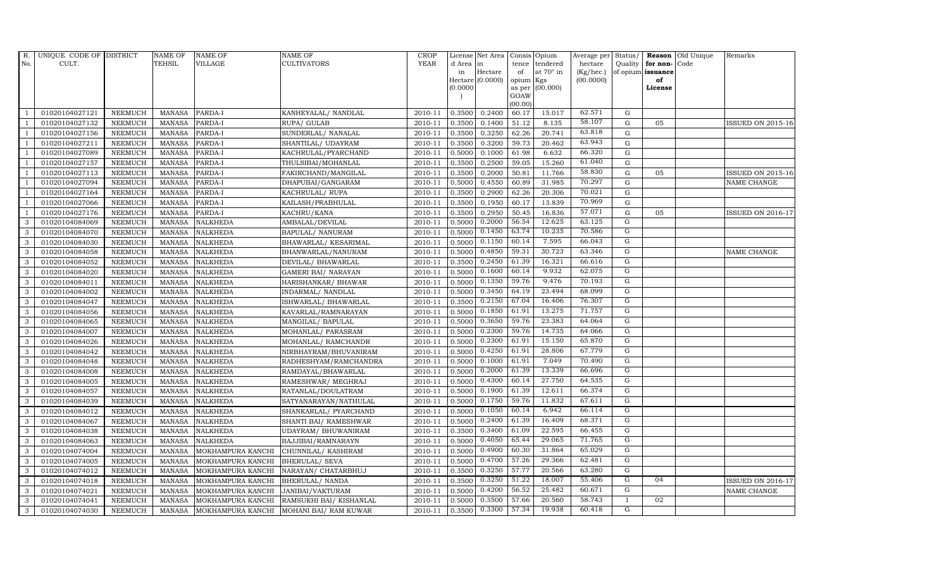| R.             | UNIQUE CODE OF DISTRICT |                | <b>NAME OF</b> | <b>NAME OF</b>    | <b>NAME OF</b>             | CROP        |           | License Net Area Consis Opium |           |                  | Average per | Status/        | Reason            | Old Unique | Remarks                  |
|----------------|-------------------------|----------------|----------------|-------------------|----------------------------|-------------|-----------|-------------------------------|-----------|------------------|-------------|----------------|-------------------|------------|--------------------------|
| No.            | CULT.                   |                | <b>TEHSIL</b>  | <b>VILLAGE</b>    | <b>CULTIVATORS</b>         | <b>YEAR</b> | d Area in |                               |           | tence tendered   | hectare     | Quality        | for non-          | Code       |                          |
|                |                         |                |                |                   |                            |             | in        | Hectare                       | of        | at $70^\circ$ in | (Kg/hec.)   |                | of opium issuance |            |                          |
|                |                         |                |                |                   |                            |             |           | Hectare (0.0000)              | opium Kgs |                  | (00.0000)   |                | of<br>License     |            |                          |
|                |                         |                |                |                   |                            |             | (0.0000)  |                               | GOAW      | as per (00.000)  |             |                |                   |            |                          |
|                |                         |                |                |                   |                            |             |           |                               | (00.00)   |                  |             |                |                   |            |                          |
|                | 01020104027121          | <b>NEEMUCH</b> | MANASA         | PARDA-I           | KANHEYALAL/ NANDLAL        | 2010-11     | 0.3500    | 0.2400                        | 60.17     | 15.017           | 62.571      | $\mathbf G$    |                   |            |                          |
| -1             | 01020104027132          | <b>NEEMUCH</b> | <b>MANASA</b>  | PARDA-I           | RUPA/ GULAB                | 2010-11     | 0.3500    | 0.1400                        | 51.12     | 8.135            | 58.107      | $\mathbf G$    | 05                |            | <b>ISSUED ON 2015-16</b> |
|                | 01020104027156          | <b>NEEMUCH</b> | <b>MANASA</b>  | PARDA-I           | SUNDERLAL/ NANALAL         | 2010-11     | 0.3500    | 0.3250                        | 62.26     | 20.741           | 63.818      | G              |                   |            |                          |
|                | 01020104027211          | <b>NEEMUCH</b> | <b>MANASA</b>  | PARDA-I           | SHANTILAL/ UDAYRAM         | 2010-11     | 0.3500    | 0.3200                        | 59.73     | 20.462           | 63.943      | $\mathbf G$    |                   |            |                          |
| $\overline{1}$ | 01020104027089          | <b>NEEMUCH</b> | <b>MANASA</b>  | PARDA-I           | KACHRULAL/PYARCHAND        | 2010-11     | 0.5000    | 0.1000                        | 61.98     | 6.632            | 66.320      | ${\rm G}$      |                   |            |                          |
| $\overline{1}$ | 01020104027157          | <b>NEEMUCH</b> | MANASA         | PARDA-I           | THULSIBAI/MOHANLAL         | 2010-11     | 0.3500    | 0.2500                        | 59.05     | 15.260           | 61.040      | $\mathbf G$    |                   |            |                          |
| $\overline{1}$ | 01020104027113          | <b>NEEMUCH</b> | <b>MANASA</b>  | PARDA-I           | FAKIRCHAND/MANGILAL        | 2010-11     | 0.3500    | 0.2000                        | 50.81     | 11.766           | 58.830      | $\mathbf G$    | 05                |            | <b>ISSUED ON 2015-16</b> |
| $\overline{1}$ | 01020104027094          | <b>NEEMUCH</b> | <b>MANASA</b>  | PARDA-I           | DHAPUBAI/GANGARAM          | 2010-11     | 0.5000    | 0.4550                        | 60.89     | 31.985           | 70.297      | $\mathbf G$    |                   |            | NAME CHANGE              |
|                | 01020104027164          | <b>NEEMUCH</b> | <b>MANASA</b>  | PARDA-I           | KACHRULAL/RUPA             | 2010-11     | 0.3500    | 0.2900                        | 62.26     | 20.306           | 70.021      | G              |                   |            |                          |
|                | 01020104027066          | <b>NEEMUCH</b> | <b>MANASA</b>  | PARDA-I           | KAILASH/PRABHULAL          | 2010-11     | 0.3500    | 0.1950                        | 60.17     | 13.839           | 70.969      | $\mathbf G$    |                   |            |                          |
| $\overline{1}$ | 01020104027176          | <b>NEEMUCH</b> | <b>MANASA</b>  | PARDA-I           | KACHRU/KANA                | 2010-11     | 0.3500    | 0.2950                        | 50.45     | 16.836           | 57.071      | ${\rm G}$      | 05                |            | <b>ISSUED ON 2016-17</b> |
| 3              | 01020104084069          | <b>NEEMUCH</b> | <b>MANASA</b>  | <b>NALKHEDA</b>   | AMBALAL/DEVILAL            | 2010-11     | 0.5000    | 0.2000                        | 56.54     | 12.625           | 63.125      | G              |                   |            |                          |
| 3              | 01020104084070          | <b>NEEMUCH</b> | <b>MANASA</b>  | <b>NALKHEDA</b>   | BAPULAL/ NANURAM           | 2010-11     | 0.5000    | 0.1450                        | 63.74     | 10.235           | 70.586      | G              |                   |            |                          |
| 3              | 01020104084030          | <b>NEEMUCH</b> | <b>MANASA</b>  | <b>NALKHEDA</b>   | BHAWARLAL/ KESARIMAL       | 2010-11     | 0.5000    | 0.1150                        | 60.14     | 7.595            | 66.043      | G              |                   |            |                          |
| 3              | 01020104084058          | <b>NEEMUCH</b> | <b>MANASA</b>  | <b>NALKHEDA</b>   | BHANWARLAL/NANURAM         | 2010-11     | 0.5000    | 0.4850                        | 59.31     | 30.723           | 63.346      | G              |                   |            | NAME CHANGE              |
| 3              | 01020104084052          | <b>NEEMUCH</b> | <b>MANASA</b>  | <b>NALKHEDA</b>   | DEVILAL/ BHAWARLAL         | 2010-11     | 0.3500    | 0.2450                        | 61.39     | 16.321           | 66.616      | $\overline{G}$ |                   |            |                          |
| 3              | 01020104084020          | <b>NEEMUCH</b> | <b>MANASA</b>  | <b>NALKHEDA</b>   | <b>GAMERI BAI/ NARAYAN</b> | 2010-11     | 0.5000    | 0.1600                        | 60.14     | 9.932            | 62.075      | $\overline{G}$ |                   |            |                          |
| 3              | 01020104084011          | <b>NEEMUCH</b> | <b>MANASA</b>  | <b>NALKHEDA</b>   | HARISHANKAR/ BHAWAR        | 2010-11     | 0.5000    | 0.1350                        | 59.76     | 9.476            | 70.193      | G              |                   |            |                          |
| 3              | 01020104084002          | <b>NEEMUCH</b> | <b>MANASA</b>  | <b>NALKHEDA</b>   | INDARMAL/ NANDLAL          | 2010-11     | 0.5000    | 0.3450                        | 64.19     | 23.494           | 68.099      | $\overline{G}$ |                   |            |                          |
| 3              | 01020104084047          | <b>NEEMUCH</b> | <b>MANASA</b>  | <b>NALKHEDA</b>   | ISHWARLAL/ BHAWARLAL       | 2010-11     | 0.3500    | 0.2150                        | 67.04     | 16.406           | 76.307      | G              |                   |            |                          |
| $\mathbf{3}$   | 01020104084056          | <b>NEEMUCH</b> | <b>MANASA</b>  | <b>NALKHEDA</b>   | KAVARLAL/RAMNARAYAN        | 2010-11     | 0.5000    | 0.1850                        | 61.91     | 13.275           | 71.757      | $\overline{G}$ |                   |            |                          |
| 3              | 01020104084065          | <b>NEEMUCH</b> | <b>MANASA</b>  | <b>NALKHEDA</b>   | MANGILAL/ BAPULAL          | 2010-11     | 0.5000    | 0.3650                        | 59.76     | 23.383           | 64.064      | G              |                   |            |                          |
| $\mathbf{3}$   | 01020104084007          | <b>NEEMUCH</b> | <b>MANASA</b>  | <b>NALKHEDA</b>   | MOHANLAL/ PARASRAM         | 2010-11     | 0.5000    | 0.2300                        | 59.76     | 14.735           | 64.066      | $\mathbf G$    |                   |            |                          |
| 3              | 01020104084026          | <b>NEEMUCH</b> | <b>MANASA</b>  | <b>NALKHEDA</b>   | MOHANLAL/ RAMCHANDR        | 2010-11     | 0.5000    | 0.2300                        | 61.91     | 15.150           | 65.870      | $\overline{G}$ |                   |            |                          |
| 3              | 01020104084042          | <b>NEEMUCH</b> | <b>MANASA</b>  | <b>NALKHEDA</b>   | NIRBHAYRAM/BHUVANIRAM      | 2010-11     | 0.5000    | 0.4250                        | 61.91     | 28.806           | 67.779      | G              |                   |            |                          |
| 3              | 01020104084048          | <b>NEEMUCH</b> | <b>MANASA</b>  | <b>NALKHEDA</b>   | RADHESHYAM/RAMCHANDRA      | 2010-11     | 0.5000    | 0.1000                        | 61.91     | 7.049            | 70.490      | G              |                   |            |                          |
| 3              | 01020104084008          | <b>NEEMUCH</b> | <b>MANASA</b>  | <b>NALKHEDA</b>   | RAMDAYAL/BHAWARLAL         | 2010-11     | 0.5000    | 0.2000                        | 61.39     | 13.339           | 66.696      | $\overline{G}$ |                   |            |                          |
| 3              | 01020104084005          | <b>NEEMUCH</b> | MANASA         | <b>NALKHEDA</b>   | RAMESHWAR/ MEGHRAJ         | 2010-11     | 0.5000    | 0.4300                        | 60.14     | 27.750           | 64.535      | G              |                   |            |                          |
| 3              | 01020104084057          | <b>NEEMUCH</b> | <b>MANASA</b>  | <b>NALKHEDA</b>   | RATANLAL/DOULATRAM         | 2010-11     | 0.5000    | 0.1900                        | 61.39     | 12.611           | 66.374      | $\overline{G}$ |                   |            |                          |
| 3              | 01020104084039          | <b>NEEMUCH</b> | <b>MANASA</b>  | <b>NALKHEDA</b>   | SATYANARAYAN/NATHULAL      | 2010-11     | 0.5000    | 0.1750                        | 59.76     | 11.832           | 67.611      | G              |                   |            |                          |
| 3              | 01020104084012          | <b>NEEMUCH</b> | <b>MANASA</b>  | <b>NALKHEDA</b>   | SHANKARLAL/ PYARCHAND      | 2010-11     | 0.5000    | 0.1050                        | 60.14     | 6.942            | 66.114      | G              |                   |            |                          |
| 3              | 01020104084067          | <b>NEEMUCH</b> | <b>MANASA</b>  | <b>NALKHEDA</b>   | SHANTI BAI/ RAMESHWAR      | 2010-11     | 0.5000    | 0.2400                        | 61.39     | 16.409           | 68.371      | G              |                   |            |                          |
| 3              | 01020104084038          | <b>NEEMUCH</b> | MANASA         | <b>NALKHEDA</b>   | UDAYRAM/ BHUWANIRAM        | 2010-11     | 0.3500    | 0.3400                        | 61.09     | 22.595           | 66.455      | G              |                   |            |                          |
| 3              | 01020104084063          | <b>NEEMUCH</b> | <b>MANASA</b>  | <b>NALKHEDA</b>   | BAJJIBAI/RAMNARAYN         | 2010-11     | 0.5000    | 0.4050                        | 65.44     | 29.065           | 71.765      | G              |                   |            |                          |
| 3              | 01020104074004          | <b>NEEMUCH</b> | <b>MANASA</b>  | MOKHAMPURA KANCHI | CHUNNILAL/ KASHIRAM        | 2010-11     | 0.5000    | 0.4900                        | 60.30     | 31.864           | 65.029      | G              |                   |            |                          |
| 3              | 01020104074005          | <b>NEEMUCH</b> | <b>MANASA</b>  | MOKHAMPURA KANCHI | <b>BHERULAL/ SEVA</b>      | 2010-11     | 0.5000    | 0.4700                        | 57.26     | 29.366           | 62.481      | G              |                   |            |                          |
| 3              | 01020104074012          | <b>NEEMUCH</b> | <b>MANASA</b>  | MOKHAMPURA KANCHI | NARAYAN/ CHATARBHUJ        | 2010-11     | 0.3500    | 0.3250                        | 57.77     | 20.566           | 63.280      | $\overline{G}$ |                   |            |                          |
| 3              | 01020104074018          | <b>NEEMUCH</b> | <b>MANASA</b>  | MOKHAMPURA KANCHI | BHERULAL/ NANDA            | 2010-11     | 0.3500    | 0.3250                        | 51.22     | 18.007           | 55.406      | G              | 0 <sub>4</sub>    |            | <b>ISSUED ON 2016-17</b> |
| 3              | 01020104074021          | <b>NEEMUCH</b> | <b>MANASA</b>  | MOKHAMPURA KANCHI | JANIBAI/VAKTURAM           | 2010-11     | 0.5000    | 0.4200                        | 56.52     | 25.482           | 60.671      | G              |                   |            | NAME CHANGE              |
| 3              | 01020104074041          | <b>NEEMUCH</b> | <b>MANASA</b>  | MOKHAMPURA KANCHI | RAMSUKHI BAI/ KISHANLAL    | 2010-11     | 0.5000    | 0.3500                        | 57.66     | 20.560           | 58.743      | $\bf{I}$       | 02                |            |                          |
| 3              | 01020104074030          | <b>NEEMUCH</b> | MANASA         | MOKHAMPURA KANCHI | MOHANI BAI/ RAM KUWAR      | 2010-11     | 0.3500    | 0.3300                        | 57.34     | 19.938           | 60.418      | G              |                   |            |                          |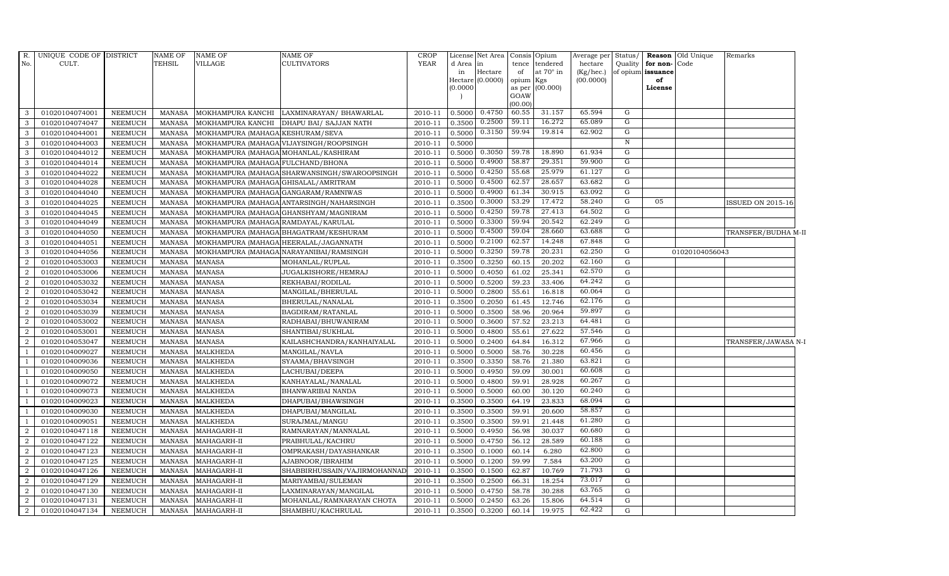|                | R. UNIQUE CODE OF DISTRICT |                | <b>NAME OF</b> | <b>NAME OF</b>                        | <b>NAME OF</b>                               | <b>CROP</b> |           | License Net Area | Consis Opium |                        | Average per | Status/      |                      | <b>Reason</b> Old Unique | Remarks             |
|----------------|----------------------------|----------------|----------------|---------------------------------------|----------------------------------------------|-------------|-----------|------------------|--------------|------------------------|-------------|--------------|----------------------|--------------------------|---------------------|
| No.            | CULT.                      |                | <b>TEHSIL</b>  | VILLAGE                               | <b>CULTIVATORS</b>                           | <b>YEAR</b> | d Area in |                  | tence        | tendered               | hectare     |              | Quality for non-Code |                          |                     |
|                |                            |                |                |                                       |                                              |             | in        | Hectare          | of           | at $70^\circ$ in       | (Kg/hec.)   |              | of opium issuance    |                          |                     |
|                |                            |                |                |                                       |                                              |             | (0.0000)  | Hectare (0.0000) | opium        | Kgs<br>as per (00.000) | (00.0000)   |              | of<br>License        |                          |                     |
|                |                            |                |                |                                       |                                              |             |           |                  | GOAW         |                        |             |              |                      |                          |                     |
|                |                            |                |                |                                       |                                              |             |           |                  | (00.00)      |                        |             |              |                      |                          |                     |
| 3              | 01020104074001             | <b>NEEMUCH</b> | MANASA         | MOKHAMPURA KANCHI                     | LAXMINARAYAN / BHAWARLAL                     | 2010-11     |           | 0.5000 0.4750    | 60.55        | 31.157                 | 65.594      | G            |                      |                          |                     |
| 3              | 01020104074047             | <b>NEEMUCH</b> | <b>MANASA</b>  | MOKHAMPURA KANCHI                     | DHAPU BAI / SAJJAN NATH                      | 2010-11     | 0.3500    | 0.2500           | 59.11        | 16.272                 | 65.089      | G            |                      |                          |                     |
| 3              | 01020104044001             | <b>NEEMUCH</b> | <b>MANASA</b>  | MOKHAMPURA (MAHAGA KESHURAM/SEVA      |                                              | 2010-11     | 0.5000    | 0.3150           | 59.94        | 19.814                 | 62.902      | G            |                      |                          |                     |
| 3              | 01020104044003             | <b>NEEMUCH</b> | <b>MANASA</b>  |                                       | MOKHAMPURA (MAHAGA VIJAYSINGH/ROOPSINGH      | 2010-11     | 0.5000    |                  |              |                        |             | $\, {\rm N}$ |                      |                          |                     |
| 3              | 01020104044012             | <b>NEEMUCH</b> | <b>MANASA</b>  | MOKHAMPURA (MAHAGA MOHANLAL/KASHIRAM  |                                              | 2010-11     | 0.5000    | 0.3050           | 59.78        | 18.890                 | 61.934      | G            |                      |                          |                     |
| $\mathbf{3}$   | 01020104044014             | <b>NEEMUCH</b> | <b>MANASA</b>  | MOKHAMPURA (MAHAGA FULCHAND/BHONA     |                                              | 2010-11     | 0.5000    | 0.4900           | 58.87        | 29.351                 | 59.900      | G            |                      |                          |                     |
| 3              | 01020104044022             | <b>NEEMUCH</b> | <b>MANASA</b>  |                                       | MOKHAMPURA (MAHAGA SHARWANSINGH/SWAROOPSINGH | 2010-11     | 0.5000    | 0.4250           | 55.68        | 25.979                 | 61.127      | G            |                      |                          |                     |
| $\mathbf{3}$   | 01020104044028             | <b>NEEMUCH</b> | <b>MANASA</b>  | MOKHAMPURA (MAHAGA GHISALAL/AMRITRAM  |                                              | 2010-11     | 0.5000    | 0.4500           | 62.57        | 28.657                 | 63.682      | G            |                      |                          |                     |
| 3              | 01020104044040             | <b>NEEMUCH</b> | <b>MANASA</b>  | MOKHAMPURA (MAHAGA GANGARAM/RAMNIWAS  |                                              | 2010-11     | 0.5000    | 0.4900           | 61.34        | 30.915                 | 63.092      | G            |                      |                          |                     |
| 3              | 01020104044025             | <b>NEEMUCH</b> | <b>MANASA</b>  |                                       | MOKHAMPURA (MAHAGA ANTARSINGH/NAHARSINGH     | 2010-11     | 0.3500    | 0.3000           | 53.29        | 17.472                 | 58.240      | G            | 05                   |                          | ISSUED ON 2015-16   |
| $\mathbf{3}$   | 01020104044045             | <b>NEEMUCH</b> | <b>MANASA</b>  |                                       | MOKHAMPURA (MAHAGA GHANSHYAM/MAGNIRAM        | 2010-11     | 0.5000    | 0.4250           | 59.78        | 27.413                 | 64.502      | G            |                      |                          |                     |
| 3              | 01020104044049             | <b>NEEMUCH</b> | <b>MANASA</b>  | MOKHAMPURA (MAHAGA RAMDAYAL/KARULAL   |                                              | 2010-11     | 0.5000    | 0.3300           | 59.94        | 20.542                 | 62.249      | G            |                      |                          |                     |
| 3              | 01020104044050             | <b>NEEMUCH</b> | <b>MANASA</b>  |                                       | MOKHAMPURA (MAHAGA BHAGATRAM/KESHURAM        | 2010-11     | 0.5000    | 0.4500           | 59.04        | 28.660                 | 63.688      | G            |                      |                          | TRANSFER/BUDHA M-II |
| 3              | 01020104044051             | <b>NEEMUCH</b> | <b>MANASA</b>  | MOKHAMPURA (MAHAGA HEERALAL/JAGANNATH |                                              | 2010-11     | 0.5000    | 0.2100           | 62.57        | 14.248                 | 67.848      | G            |                      |                          |                     |
| 3              | 01020104044056             | <b>NEEMUCH</b> | <b>MANASA</b>  |                                       | MOKHAMPURA (MAHAGA NARAYANIBAI/RAMSINGH      | 2010-11     | 0.5000    | 0.3250           | 59.78        | 20.231                 | 62.250      | G            |                      | 01020104056043           |                     |
| $\overline{2}$ | 01020104053003             | <b>NEEMUCH</b> | <b>MANASA</b>  | <b>MANASA</b>                         | MOHANLAL/RUPLAL                              | 2010-11     | 0.3500    | 0.3250           | 60.15        | 20.202                 | 62.160      | G            |                      |                          |                     |
| $\overline{2}$ | 01020104053006             | <b>NEEMUCH</b> | <b>MANASA</b>  | <b>MANASA</b>                         | JUGALKISHORE/HEMRAJ                          | 2010-11     | 0.5000    | 0.4050           | 61.02        | 25.341                 | 62.570      | G            |                      |                          |                     |
| $\overline{2}$ | 01020104053032             | NEEMUCH        | <b>MANASA</b>  | <b>MANASA</b>                         | REKHABAI/RODILAL                             | 2010-11     | 0.5000    | 0.5200           | 59.23        | 33.406                 | 64.242      | G            |                      |                          |                     |
| 2              | 01020104053042             | <b>NEEMUCH</b> | <b>MANASA</b>  | <b>MANASA</b>                         | MANGILAL/BHERULAL                            | 2010-11     | 0.5000    | 0.2800           | 55.61        | 16.818                 | 60.064      | G            |                      |                          |                     |
| $\overline{2}$ | 01020104053034             | <b>NEEMUCH</b> | <b>MANASA</b>  | <b>MANASA</b>                         | BHERULAL/NANALAL                             | 2010-11     | 0.3500    | 0.2050           | 61.45        | 12.746                 | 62.176      | G            |                      |                          |                     |
| $\overline{2}$ | 01020104053039             | <b>NEEMUCH</b> | <b>MANASA</b>  | <b>MANASA</b>                         | BAGDIRAM/RATANLAL                            | 2010-11     | 0.5000    | 0.3500           | 58.96        | 20.964                 | 59.897      | $\mathbf{G}$ |                      |                          |                     |
| $\overline{2}$ | 01020104053002             | <b>NEEMUCH</b> | <b>MANASA</b>  | <b>MANASA</b>                         | RADHABAI/BHUWANIRAM                          | 2010-11     | 0.5000    | 0.3600           | 57.52        | 23.213                 | 64.481      | G            |                      |                          |                     |
| $\overline{2}$ | 01020104053001             | NEEMUCH        | <b>MANASA</b>  | <b>MANASA</b>                         | SHANTIBAI/SUKHLAL                            | 2010-11     | 0.5000    | 0.4800           | 55.61        | 27.622                 | 57.546      | G            |                      |                          |                     |
| 2              | 01020104053047             | NEEMUCH        | <b>MANASA</b>  | <b>MANASA</b>                         | KAILASHCHANDRA/KANHAIYALAL                   | 2010-11     | 0.5000    | 0.2400           | 64.84        | 16.312                 | 67.966      | G            |                      |                          | TRANSFER/JAWASA N-I |
| $\overline{1}$ | 01020104009027             | <b>NEEMUCH</b> | <b>MANASA</b>  | <b>MALKHEDA</b>                       | MANGILAL/NAVLA                               | 2010-11     | 0.5000    | 0.5000           | 58.76        | 30.228                 | 60.456      | G            |                      |                          |                     |
| $\overline{1}$ | 01020104009036             | <b>NEEMUCH</b> | <b>MANASA</b>  | <b>MALKHEDA</b>                       | SYAAMA/BHAVSINGH                             | 2010-11     | 0.3500    | 0.3350           | 58.76        | 21.380                 | 63.821      | G            |                      |                          |                     |
| -1             | 01020104009050             | <b>NEEMUCH</b> | <b>MANASA</b>  | <b>MALKHEDA</b>                       | LACHUBAI/DEEPA                               | 2010-11     | 0.5000    | 0.4950           | 59.09        | 30.001                 | 60.608      | G            |                      |                          |                     |
| $\overline{1}$ | 01020104009072             | <b>NEEMUCH</b> | <b>MANASA</b>  | <b>MALKHEDA</b>                       | KANHAYALAL/NANALAL                           | 2010-11     | 0.5000    | 0.4800           | 59.91        | 28.928                 | 60.267      | G            |                      |                          |                     |
| $\overline{1}$ | 01020104009073             | NEEMUCH        | <b>MANASA</b>  | <b>MALKHEDA</b>                       | BHANWARIBAI NANDA                            | 2010-11     | 0.5000    | 0.5000           | 60.00        | 30.120                 | 60.240      | ${\rm G}$    |                      |                          |                     |
| $\overline{1}$ | 01020104009023             | <b>NEEMUCH</b> | <b>MANASA</b>  | <b>MALKHEDA</b>                       | DHAPUBAI/BHAWSINGH                           | 2010-11     | 0.3500    | 0.3500           | 64.19        | 23.833                 | 68.094      | G            |                      |                          |                     |
| $\overline{1}$ | 01020104009030             | <b>NEEMUCH</b> | <b>MANASA</b>  | <b>MALKHEDA</b>                       | DHAPUBAI/MANGILAL                            | 2010-11     | 0.3500    | 0.3500           | 59.91        | 20.600                 | 58.857      | G            |                      |                          |                     |
| <sup>1</sup>   | 01020104009051             | <b>NEEMUCH</b> | <b>MANASA</b>  | <b>MALKHEDA</b>                       | SURAJMAL/MANGU                               | 2010-11     | 0.3500    | 0.3500           | 59.91        | 21.448                 | 61.280      | G            |                      |                          |                     |
| $\overline{2}$ | 01020104047118             | <b>NEEMUCH</b> | <b>MANASA</b>  | MAHAGARH-II                           | RAMNARAYAN/MANNALAL                          | 2010-11     | 0.5000    | 0.4950           | 56.98        | 30.037                 | 60.680      | G            |                      |                          |                     |
| $\overline{2}$ | 01020104047122             | <b>NEEMUCH</b> | <b>MANASA</b>  | MAHAGARH-II                           | PRABHULAL/KACHRU                             | 2010-11     | 0.5000    | 0.4750           | 56.12        | 28.589                 | 60.188      | G            |                      |                          |                     |
| 2              | 01020104047123             | <b>NEEMUCH</b> | <b>MANASA</b>  | MAHAGARH-II                           | OMPRAKASH/DAYASHANKAR                        | 2010-11     | 0.3500    | 0.1000           | 60.14        | 6.280                  | 62.800      | G            |                      |                          |                     |
| $\overline{2}$ | 01020104047125             | <b>NEEMUCH</b> | <b>MANASA</b>  | MAHAGARH-II                           | AJABNOOR/IBRAHIM                             | 2010-11     | 0.5000    | 0.1200           | 59.99        | 7.584                  | 63.200      | G            |                      |                          |                     |
| $\overline{2}$ | 01020104047126             | <b>NEEMUCH</b> | <b>MANASA</b>  | MAHAGARH-II                           | SHABBIRHUSSAIN/VAJIRMOHANNAD                 | 2010-11     | 0.3500    | 0.1500           | 62.87        | 10.769                 | 71.793      | G            |                      |                          |                     |
| $\overline{2}$ | 01020104047129             | <b>NEEMUCH</b> | <b>MANASA</b>  | MAHAGARH-II                           | MARIYAMBAI/SULEMAN                           | 2010-11     | 0.3500    | 0.2500           | 66.31        | 18.254                 | 73.017      | G            |                      |                          |                     |
| $\overline{2}$ | 01020104047130             | <b>NEEMUCH</b> | <b>MANASA</b>  | MAHAGARH-II                           | LAXMINARAYAN/MANGILAL                        | 2010-11     | 0.5000    | 0.4750           | 58.78        | 30.288                 | 63.765      | G            |                      |                          |                     |
| $\overline{2}$ | 01020104047131             | <b>NEEMUCH</b> | <b>MANASA</b>  | MAHAGARH-II                           | MOHANLAL/RAMNARAYAN CHOTA                    | 2010-11     | 0.5000    | 0.2450           | 63.26        | 15.806                 | 64.514      | G            |                      |                          |                     |
| $\overline{2}$ | 01020104047134             | NEEMUCH        | MANASA         | MAHAGARH-II                           | SHAMBHU/KACHRULAL                            | 2010-11     |           | 0.3500 0.3200    | 60.14        | 19.975                 | 62.422      | $\mathbf{G}$ |                      |                          |                     |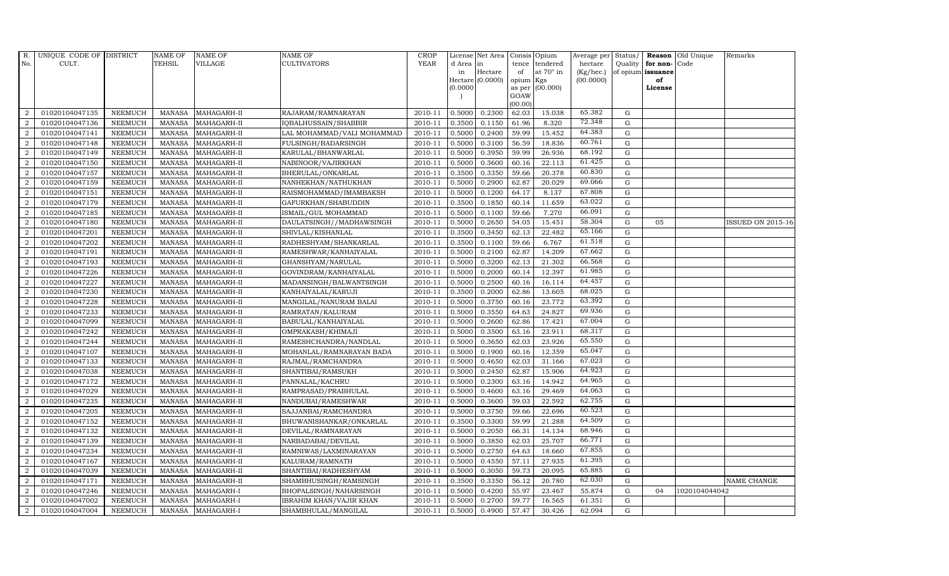| R.             | UNIQUE CODE OF DISTRICT |                | NAME OF         | <b>NAME OF</b>    | <b>NAME OF</b>                 | CROP    |           | License Net Area   Consis   Opium |           |                  | Average per | Status/     | Reason            | Old Unique    | Remarks                  |
|----------------|-------------------------|----------------|-----------------|-------------------|--------------------------------|---------|-----------|-----------------------------------|-----------|------------------|-------------|-------------|-------------------|---------------|--------------------------|
| No.            | CULT.                   |                | <b>TEHSIL</b>   | VILLAGE           | <b>CULTIVATORS</b>             | YEAR    | d Area in |                                   | tence     | tendered         | hectare     | Quality     | for non-          | Code          |                          |
|                |                         |                |                 |                   |                                |         | in        | Hectare                           | of        | at $70^\circ$ in | (Kg/hec.)   |             | of opium issuance |               |                          |
|                |                         |                |                 |                   |                                |         |           | Hectare (0.0000)                  | opium Kgs |                  | (00.0000)   |             | of                |               |                          |
|                |                         |                |                 |                   |                                |         | (0.0000)  |                                   | GOAW      | as per (00.000)  |             |             | License           |               |                          |
|                |                         |                |                 |                   |                                |         |           |                                   | (00.00)   |                  |             |             |                   |               |                          |
| $\overline{2}$ | 01020104047135          | <b>NEEMUCH</b> | MANASA          | MAHAGARH-II       | RAJARAM/RAMNARAYAN             | 2010-11 | 0.5000    | 0.2300                            | 62.03     | 15.038           | 65.382      | G           |                   |               |                          |
| $\overline{2}$ | 01020104047136          | <b>NEEMUCH</b> | MANASA          | MAHAGARH-II       | IQBALHUSSAIN/SHABBIR           | 2010-11 | 0.3500    | 0.1150                            | 61.96     | 8.320            | 72.348      | $\mathbf G$ |                   |               |                          |
| $\overline{2}$ | 01020104047141          | <b>NEEMUCH</b> | <b>MANASA</b>   | MAHAGARH-II       | LAL MOHAMMAD/VALI MOHAMMAD     | 2010-11 | 0.5000    | 0.2400                            | 59.99     | 15.452           | 64.383      | G           |                   |               |                          |
| $\overline{2}$ | 01020104047148          | <b>NEEMUCH</b> | MANASA          | MAHAGARH-II       | FULSINGH/BADARSINGH            | 2010-11 | 0.5000    | 0.3100                            | 56.59     | 18.836           | 60.761      | $\mathbf G$ |                   |               |                          |
| $\overline{2}$ | 01020104047149          | <b>NEEMUCH</b> | <b>MANASA</b>   | MAHAGARH-II       | KARULAL/BHANWARLAL             | 2010-11 | 0.5000    | 0.3950                            | 59.99     | 26.936           | 68.192      | ${\rm G}$   |                   |               |                          |
| $\overline{a}$ | 01020104047150          | <b>NEEMUCH</b> | <b>MANASA</b>   | MAHAGARH-II       | NABINOOR/VAJIRKHAN             | 2010-11 | 0.5000    | 0.3600                            | 60.16     | 22.113           | 61.425      | ${\rm G}$   |                   |               |                          |
| $\overline{2}$ | 01020104047157          | <b>NEEMUCH</b> | <b>MANASA</b>   | MAHAGARH-II       | BHERULAL/ONKARLAL              | 2010-11 | 0.3500    | 0.3350                            | 59.66     | 20.378           | 60.830      | G           |                   |               |                          |
| 2              | 01020104047159          | <b>NEEMUCH</b> | <b>MANASA</b>   | MAHAGARH-II       | NANHEKHAN/NATHUKHAN            | 2010-11 | 0.5000    | 0.2900                            | 62.87     | 20.029           | 69.066      | $\mathbf G$ |                   |               |                          |
| $\overline{2}$ | 01020104047151          | <b>NEEMUCH</b> | <b>MANASA</b>   | MAHAGARH-II       | RAISMOHAMMAD/IMAMBAKSH         | 2010-11 | 0.5000    | 0.1200                            | 64.17     | 8.137            | 67.808      | G           |                   |               |                          |
| 2              | 01020104047179          | <b>NEEMUCH</b> | <b>MANASA</b>   | MAHAGARH-II       | GAFURKHAN/SHABUDDIN            | 2010-11 | 0.3500    | 0.1850                            | 60.14     | 11.659           | 63.022      | ${\rm G}$   |                   |               |                          |
| $\overline{a}$ | 01020104047185          | <b>NEEMUCH</b> | <b>MANASA</b>   | MAHAGARH-II       | ISMAIL/GUL MOHAMMAD            | 2010-11 | 0.5000    | 0.1100                            | 59.66     | 7.270            | 66.091      | $\mathbf G$ |                   |               |                          |
| $\overline{a}$ | 01020104047180          | <b>NEEMUCH</b> | MANASA          | MAHAGARH-II       | DAULATSINGH//MADHAWSINGH       | 2010-11 | 0.5000    | 0.2650                            | 54.05     | 15.451           | 58.304      | $\mathbf G$ | 05                |               | <b>ISSUED ON 2015-16</b> |
| $\overline{2}$ | 01020104047201          | <b>NEEMUCH</b> | MANASA          | MAHAGARH-II       | SHIVLAL/KISHANLAL              | 2010-11 | 0.3500    | 0.3450                            | 62.13     | 22.482           | 65.166      | G           |                   |               |                          |
| $\overline{2}$ | 01020104047202          | <b>NEEMUCH</b> | <b>MANASA</b>   | MAHAGARH-II       | RADHESHYAM/SHANKARLAL          | 2010-11 | 0.3500    | 0.1100                            | 59.66     | 6.767            | 61.518      | $\mathbf G$ |                   |               |                          |
| $\overline{2}$ | 01020104047191          | <b>NEEMUCH</b> | $\mbox{MANASA}$ | MAHAGARH-II       | RAMESHWAR/KANHAIYALAL          | 2010-11 | 0.5000    | 0.2100                            | 62.87     | 14.209           | 67.662      | ${\rm G}$   |                   |               |                          |
| 2              | 01020104047193          | <b>NEEMUCH</b> | <b>MANASA</b>   | MAHAGARH-II       | GHANSHYAM/NARULAL              | 2010-11 | 0.5000    | 0.3200                            | 62.13     | 21.302           | 66.568      | ${\rm G}$   |                   |               |                          |
| $\overline{a}$ | 01020104047226          | <b>NEEMUCH</b> | <b>MANASA</b>   | MAHAGARH-II       | GOVINDRAM/KANHAIYALAL          | 2010-11 | 0.5000    | 0.2000                            | 60.14     | 12.397           | 61.985      | $\mathbf G$ |                   |               |                          |
| $\overline{a}$ | 01020104047227          | <b>NEEMUCH</b> | MANASA          | MAHAGARH-II       | MADANSINGH/BALWANTSINGH        | 2010-11 | 0.5000    | 0.2500                            | 60.16     | 16.114           | 64.457      | G           |                   |               |                          |
| $\overline{2}$ | 01020104047230          | <b>NEEMUCH</b> | <b>MANASA</b>   | MAHAGARH-II       | KANHAIYALAL/KARUJI             | 2010-11 | 0.3500    | 0.2000                            | 62.86     | 13.605           | 68.025      | $\mathbf G$ |                   |               |                          |
| $\overline{2}$ | 01020104047228          | <b>NEEMUCH</b> | <b>MANASA</b>   | MAHAGARH-II       | MANGILAL/NANURAM BALAI         | 2010-11 | 0.5000    | 0.3750                            | 60.16     | 23.772           | 63.392      | $\mathbf G$ |                   |               |                          |
| 2              | 01020104047233          | <b>NEEMUCH</b> | <b>MANASA</b>   | MAHAGARH-II       | RAMRATAN/KALURAM               | 2010-11 | 0.5000    | 0.3550                            | 64.63     | 24.827           | 69.936      | ${\rm G}$   |                   |               |                          |
| 2              | 01020104047099          | <b>NEEMUCH</b> | <b>MANASA</b>   | MAHAGARH-II       | BABULAL/KANHAIYALAL            | 2010-11 | 0.5000    | 0.2600                            | 62.86     | 17.421           | 67.004      | $\mathbf G$ |                   |               |                          |
| $\overline{a}$ | 01020104047242          | <b>NEEMUCH</b> | MANASA          | MAHAGARH-II       | OMPRAKASH/KHIMAJI              | 2010-11 | 0.5000    | 0.3500                            | 63.16     | 23.911           | 68.317      | ${\rm G}$   |                   |               |                          |
| 2              | 01020104047244          | <b>NEEMUCH</b> | <b>MANASA</b>   | MAHAGARH-II       | RAMESHCHANDRA/NANDLAL          | 2010-11 | 0.5000    | 0.3650                            | 62.03     | 23.926           | 65.550      | $\mathbf G$ |                   |               |                          |
| $\overline{2}$ | 01020104047107          | <b>NEEMUCH</b> | <b>MANASA</b>   | MAHAGARH-II       | MOHANLAL/RAMNARAYAN BADA       | 2010-11 | 0.5000    | 0.1900                            | 60.16     | 12.359           | 65.047      | $\mathbf G$ |                   |               |                          |
| $\overline{a}$ | 01020104047133          | <b>NEEMUCH</b> | MANASA          | MAHAGARH-II       | RAJMAL/RAMCHANDRA              | 2010-11 | 0.5000    | 0.4650                            | 62.03     | 31.166           | 67.023      | ${\rm G}$   |                   |               |                          |
| 2              | 01020104047038          | <b>NEEMUCH</b> | <b>MANASA</b>   | MAHAGARH-II       | SHANTIBAI/RAMSUKH              | 2010-11 | 0.5000    | 0.2450                            | 62.87     | 15.906           | 64.923      | $\mathbf G$ |                   |               |                          |
| $\overline{a}$ | 01020104047172          | <b>NEEMUCH</b> | MANASA          | MAHAGARH-II       | PANNALAL/KACHRU                | 2010-11 | 0.5000    | 0.2300                            | 63.16     | 14.942           | 64.965      | ${\bf G}$   |                   |               |                          |
| $\overline{2}$ | 01020104047029          | <b>NEEMUCH</b> | MANASA          | MAHAGARH-II       | RAMPRASAD/PRABHULAL            | 2010-11 | 0.5000    | 0.4600                            | 63.16     | 29.469           | 64.063      | $\mathbf G$ |                   |               |                          |
| 2              | 01020104047235          | <b>NEEMUCH</b> | <b>MANASA</b>   | MAHAGARH-II       | NANDUBAI/RAMESHWAR             | 2010-11 | 0.5000    | 0.3600                            | 59.03     | 22.592           | 62.755      | $\mathbf G$ |                   |               |                          |
| $\overline{2}$ | 01020104047205          | <b>NEEMUCH</b> | <b>MANASA</b>   | MAHAGARH-II       | SAJJANBAI/RAMCHANDRA           | 2010-11 | 0.5000    | 0.3750                            | 59.66     | 22.696           | 60.523      | $\mathbf G$ |                   |               |                          |
| 2              | 01020104047152          | <b>NEEMUCH</b> | <b>MANASA</b>   | MAHAGARH-II       | BHUWANISHANKAR/ONKARLAL        | 2010-11 | 0.3500    | 0.3300                            | 59.99     | 21.288           | 64.509      | ${\rm G}$   |                   |               |                          |
| 2              | 01020104047132          | <b>NEEMUCH</b> | MANASA          | MAHAGARH-II       | DEVILAL/RAMNARAYAN             | 2010-11 | 0.5000    | 0.2050                            | 66.31     | 14.134           | 68.946      | $\mathbf G$ |                   |               |                          |
| $\overline{a}$ | 01020104047139          | <b>NEEMUCH</b> | MANASA          | MAHAGARH-II       | NARBADABAI/DEVILAL             | 2010-11 | 0.5000    | 0.3850                            | 62.03     | 25.707           | 66.771      | $\mathbf G$ |                   |               |                          |
| $\overline{2}$ | 01020104047234          | <b>NEEMUCH</b> | <b>MANASA</b>   | MAHAGARH-II       | RAMNIWAS/LAXMINARAYAN          | 2010-11 | 0.5000    | 0.2750                            | 64.63     | 18.660           | 67.855      | $\mathbf G$ |                   |               |                          |
| $\overline{2}$ | 01020104047167          | <b>NEEMUCH</b> | <b>MANASA</b>   | MAHAGARH-II       | KALURAM/RAMNATH                | 2010-11 | 0.5000    | 0.4550                            | 57.11     | 27.935           | 61.395      | G           |                   |               |                          |
| 2              | 01020104047039          | <b>NEEMUCH</b> | <b>MANASA</b>   | MAHAGARH-II       | SHANTIBAI/RADHESHYAM           | 2010-11 | 0.5000    | 0.3050                            | 59.73     | 20.095           | 65.885      | ${\rm G}$   |                   |               |                          |
| $\overline{a}$ | 01020104047171          | <b>NEEMUCH</b> | <b>MANASA</b>   | MAHAGARH-II       | SHAMBHUSINGH/RAMSINGH          | 2010-11 | 0.3500    | 0.3350                            | 56.12     | 20.780           | 62.030      | $\mathbf G$ |                   |               | NAME CHANGE              |
| 2              | 01020104047246          | <b>NEEMUCH</b> | MANASA          | MAHAGARH-I        | BHOPALSINGH/NAHARSINGH         | 2010-11 | 0.5000    | 0.4200                            | 55.97     | 23.467           | 55.874      | $\mathbf G$ | 04                | 1020104044042 |                          |
| 2              | 01020104047002          | <b>NEEMUCH</b> | <b>MANASA</b>   | MAHAGARH-I        | <b>IBRAHIM KHAN/VAJIR KHAN</b> | 2010-11 | 0.5000    | 0.2700                            | 59.77     | 16.565           | 61.351      | $\mathbf G$ |                   |               |                          |
| $\overline{a}$ | 01020104047004          | <b>NEEMUCH</b> |                 | MANASA MAHAGARH-I | SHAMBHULAL/MANGILAL            | 2010-11 | 0.5000    | 0.4900                            | 57.47     | 30.426           | 62.094      | G           |                   |               |                          |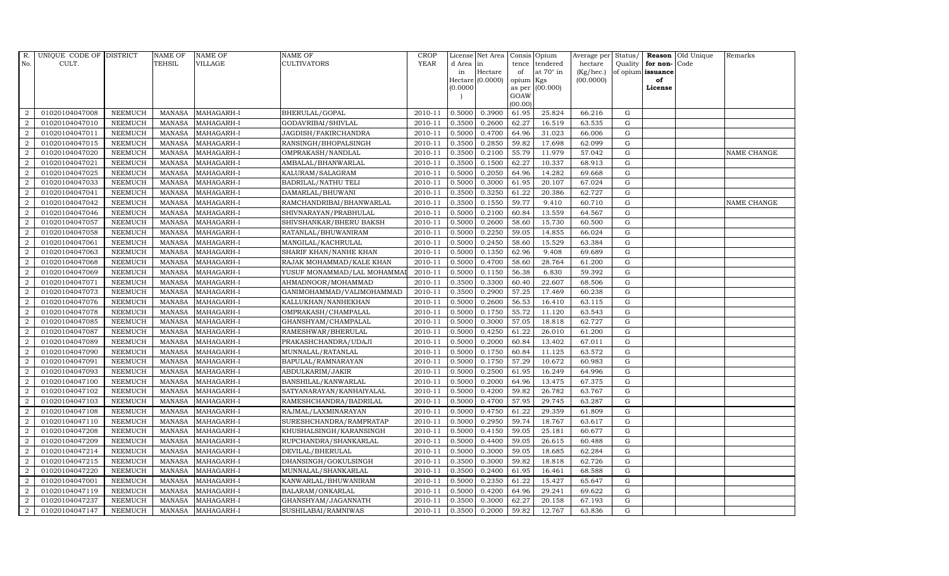| R.             | UNIQUE CODE OF DISTRICT |                | NAME OF       | <b>NAME OF</b>    | <b>NAME OF</b>             | CROP    |           | License Net Area   Consis   Opium |           |                  | Average per | Status/     | Reason            | Old Unique | Remarks     |
|----------------|-------------------------|----------------|---------------|-------------------|----------------------------|---------|-----------|-----------------------------------|-----------|------------------|-------------|-------------|-------------------|------------|-------------|
| No.            | CULT.                   |                | TEHSIL        | <b>VILLAGE</b>    | <b>CULTIVATORS</b>         | YEAR    | d Area in |                                   | tence     | tendered         | hectare     | Quality     | for non-          | Code       |             |
|                |                         |                |               |                   |                            |         | in        | Hectare                           | of        | at $70^\circ$ in | (Kg/hec.)   |             | of opium issuance |            |             |
|                |                         |                |               |                   |                            |         |           | Hectare (0.0000)                  | opium Kgs |                  | (00.0000)   |             | of                |            |             |
|                |                         |                |               |                   |                            |         | (0.0000)  |                                   | GOAW      | as per (00.000)  |             |             | License           |            |             |
|                |                         |                |               |                   |                            |         |           |                                   | (00.00)   |                  |             |             |                   |            |             |
| $\overline{2}$ | 01020104047008          | <b>NEEMUCH</b> | MANASA        | MAHAGARH-I        | BHERULAL/GOPAL             | 2010-11 | 0.5000    | 0.3900                            | 61.95     | 25.824           | 66.216      | G           |                   |            |             |
| $\overline{2}$ | 01020104047010          | <b>NEEMUCH</b> | MANASA        | MAHAGARH-I        | GODAVRIBAI/SHIVLAL         | 2010-11 | 0.3500    | 0.2600                            | 62.27     | 16.519           | 63.535      | ${\rm G}$   |                   |            |             |
| $\overline{2}$ | 01020104047011          | <b>NEEMUCH</b> | <b>MANASA</b> | MAHAGARH-I        | JAGDISH/FAKIRCHANDRA       | 2010-11 | 0.5000    | 0.4700                            | 64.96     | 31.023           | 66.006      | G           |                   |            |             |
| $\overline{2}$ | 01020104047015          | <b>NEEMUCH</b> | <b>MANASA</b> | MAHAGARH-I        | RANSINGH/BHOPALSINGH       | 2010-11 | 0.3500    | 0.2850                            | 59.82     | 17.698           | 62.099      | $\mathbf G$ |                   |            |             |
| $\overline{2}$ | 01020104047020          | <b>NEEMUCH</b> | <b>MANASA</b> | MAHAGARH-I        | OMPRAKASH/NANDLAL          | 2010-11 | 0.3500    | 0.2100                            | 55.79     | 11.979           | 57.042      | ${\rm G}$   |                   |            | NAME CHANGE |
| 2              | 01020104047021          | <b>NEEMUCH</b> | <b>MANASA</b> | MAHAGARH-I        | AMBALAL/BHANWARLAL         | 2010-11 | 0.3500    | 0.1500                            | 62.27     | 10.337           | 68.913      | $\mathbf G$ |                   |            |             |
| $\overline{a}$ | 01020104047025          | <b>NEEMUCH</b> | <b>MANASA</b> | MAHAGARH-I        | KALURAM/SALAGRAM           | 2010-11 | 0.5000    | 0.2050                            | 64.96     | 14.282           | 69.668      | $\mathbf G$ |                   |            |             |
| $\overline{2}$ | 01020104047033          | <b>NEEMUCH</b> | <b>MANASA</b> | MAHAGARH-I        | <b>BADRILAL/NATHU TELI</b> | 2010-11 | 0.5000    | 0.3000                            | 61.95     | 20.107           | 67.024      | $\mathbf G$ |                   |            |             |
| $\overline{2}$ | 01020104047041          | <b>NEEMUCH</b> | <b>MANASA</b> | MAHAGARH-I        | DAMARLAL/BHUWANI           | 2010-11 | 0.3500    | 0.3250                            | 61.22     | 20.386           | 62.727      | $\mathbf G$ |                   |            |             |
| $\overline{2}$ | 01020104047042          | <b>NEEMUCH</b> | <b>MANASA</b> | MAHAGARH-I        | RAMCHANDRIBAI/BHANWARLAL   | 2010-11 | 0.3500    | 0.1550                            | 59.77     | 9.410            | 60.710      | ${\bf G}$   |                   |            | NAME CHANGE |
| $\overline{a}$ | 01020104047046          | <b>NEEMUCH</b> | <b>MANASA</b> | MAHAGARH-I        | SHIVNARAYAN/PRABHULAL      | 2010-11 | 0.5000    | 0.2100                            | 60.84     | 13.559           | 64.567      | ${\rm G}$   |                   |            |             |
| $\overline{2}$ | 01020104047057          | <b>NEEMUCH</b> | <b>MANASA</b> | MAHAGARH-I        | SHIVSHANKAR/BHERU BAKSH    | 2010-11 | 0.5000    | 0.2600                            | 58.60     | 15.730           | 60.500      | $\mathbf G$ |                   |            |             |
| 2              | 01020104047058          | <b>NEEMUCH</b> | <b>MANASA</b> | MAHAGARH-I        | RATANLAL/BHUWANIRAM        | 2010-11 | 0.5000    | 0.2250                            | 59.05     | 14.855           | 66.024      | $\mathbf G$ |                   |            |             |
| $\overline{2}$ | 01020104047061          | <b>NEEMUCH</b> | <b>MANASA</b> | MAHAGARH-I        | MANGILAL/KACHRULAL         | 2010-11 | 0.5000    | 0.2450                            | 58.60     | 15.529           | 63.384      | $\mathbf G$ |                   |            |             |
| $\overline{2}$ | 01020104047063          | <b>NEEMUCH</b> | <b>MANASA</b> | MAHAGARH-I        | SHARIF KHAN/NANHE KHAN     | 2010-11 | 0.5000    | 0.1350                            | 62.96     | 9.408            | 69.689      | G           |                   |            |             |
| $\overline{a}$ | 01020104047068          | <b>NEEMUCH</b> | <b>MANASA</b> | MAHAGARH-I        | RAJAK MOHAMMAD/KALE KHAN   | 2010-11 | 0.5000    | 0.4700                            | 58.60     | 28.764           | 61.200      | ${\rm G}$   |                   |            |             |
| $\overline{2}$ | 01020104047069          | <b>NEEMUCH</b> | <b>MANASA</b> | MAHAGARH-I        | YUSUF MONAMMAD/LAL MOHAMMA | 2010-11 | 0.5000    | 0.1150                            | 56.38     | 6.830            | 59.392      | G           |                   |            |             |
| 2              | 01020104047071          | <b>NEEMUCH</b> | MANASA        | MAHAGARH-I        | AHMADNOOR/MOHAMMAD         | 2010-11 | 0.3500    | 0.3300                            | 60.40     | 22.607           | 68.506      | G           |                   |            |             |
| $\overline{2}$ | 01020104047073          | <b>NEEMUCH</b> | <b>MANASA</b> | MAHAGARH-I        | GANIMOHAMMAD/VALIMOHAMMAD  | 2010-11 | 0.3500    | 0.2900                            | 57.25     | 17.469           | 60.238      | $\mathbf G$ |                   |            |             |
| $\overline{2}$ | 01020104047076          | <b>NEEMUCH</b> | <b>MANASA</b> | MAHAGARH-I        | KALLUKHAN/NANHEKHAN        | 2010-11 | 0.5000    | 0.2600                            | 56.53     | 16.410           | 63.115      | $\mathbf G$ |                   |            |             |
| 2              | 01020104047078          | <b>NEEMUCH</b> | <b>MANASA</b> | MAHAGARH-I        | OMPRAKASH/CHAMPALAL        | 2010-11 | 0.5000    | 0.1750                            | 55.72     | 11.120           | 63.543      | ${\rm G}$   |                   |            |             |
| $\overline{2}$ | 01020104047085          | <b>NEEMUCH</b> | <b>MANASA</b> | MAHAGARH-I        | GHANSHYAM/CHAMPALAL        | 2010-11 | 0.5000    | 0.3000                            | 57.05     | 18.818           | 62.727      | ${\rm G}$   |                   |            |             |
| $\overline{2}$ | 01020104047087          | <b>NEEMUCH</b> | MANASA        | MAHAGARH-I        | RAMESHWAR/BHERULAL         | 2010-11 | 0.5000    | 0.4250                            | 61.22     | 26.010           | 61.200      | G           |                   |            |             |
| $\overline{2}$ | 01020104047089          | <b>NEEMUCH</b> | <b>MANASA</b> | MAHAGARH-I        | PRAKASHCHANDRA/UDAJI       | 2010-11 | 0.5000    | 0.2000                            | 60.84     | 13.402           | 67.011      | $\mathbf G$ |                   |            |             |
| 2              | 01020104047090          | <b>NEEMUCH</b> | <b>MANASA</b> | MAHAGARH-I        | MUNNALAL/RATANLAL          | 2010-11 | 0.5000    | 0.1750                            | 60.84     | 11.125           | 63.572      | ${\rm G}$   |                   |            |             |
| $\overline{2}$ | 01020104047091          | <b>NEEMUCH</b> | <b>MANASA</b> | MAHAGARH-I        | BAPULAL/RAMNARAYAN         | 2010-11 | 0.5000    | 0.1750                            | 57.29     | 10.672           | 60.983      | G           |                   |            |             |
| $\overline{a}$ | 01020104047093          | <b>NEEMUCH</b> | <b>MANASA</b> | MAHAGARH-I        | ABDULKARIM/JAKIR           | 2010-11 | 0.5000    | 0.2500                            | 61.95     | 16.249           | 64.996      | ${\rm G}$   |                   |            |             |
| 2              | 01020104047100          | <b>NEEMUCH</b> | MANASA        | MAHAGARH-I        | BANSHILAL/KANWARLAL        | 2010-11 | 0.5000    | 0.2000                            | 64.96     | 13.475           | 67.375      | G           |                   |            |             |
| 2              | 01020104047102          | <b>NEEMUCH</b> | <b>MANASA</b> | MAHAGARH-I        | SATYANARAYAN/KANHAIYALAL   | 2010-11 | 0.5000    | 0.4200                            | 59.82     | 26.782           | 63.767      | $\mathbf G$ |                   |            |             |
| $\overline{2}$ | 01020104047103          | <b>NEEMUCH</b> | <b>MANASA</b> | MAHAGARH-I        | RAMESHCHANDRA/BADRILAL     | 2010-11 | 0.5000    | 0.4700                            | 57.95     | 29.745           | 63.287      | G           |                   |            |             |
| $\overline{2}$ | 01020104047108          | <b>NEEMUCH</b> | <b>MANASA</b> | MAHAGARH-I        | RAJMAL/LAXMINARAYAN        | 2010-11 | 0.5000    | 0.4750                            | 61.22     | 29.359           | 61.809      | G           |                   |            |             |
| $\overline{a}$ | 01020104047110          | <b>NEEMUCH</b> | <b>MANASA</b> | MAHAGARH-I        | SURESHCHANDRA/RAMPRATAP    | 2010-11 | 0.5000    | 0.2950                            | 59.74     | 18.767           | 63.617      | ${\rm G}$   |                   |            |             |
| $\overline{a}$ | 01020104047208          | <b>NEEMUCH</b> | MANASA        | MAHAGARH-I        | KHUSHALSINGH/KARANSINGH    | 2010-11 | 0.5000    | 0.4150                            | 59.05     | 25.181           | 60.677      | $\mathbf G$ |                   |            |             |
| 2              | 01020104047209          | <b>NEEMUCH</b> | <b>MANASA</b> | MAHAGARH-I        | RUPCHANDRA/SHANKARLAL      | 2010-11 | 0.5000    | 0.4400                            | 59.05     | 26.615           | 60.488      | $\mathbf G$ |                   |            |             |
| $\overline{2}$ | 01020104047214          | <b>NEEMUCH</b> | <b>MANASA</b> | MAHAGARH-I        | DEVILAL/BHERULAL           | 2010-11 | 0.5000    | 0.3000                            | 59.05     | 18.685           | 62.284      | $\mathbf G$ |                   |            |             |
| $\overline{a}$ | 01020104047215          | <b>NEEMUCH</b> | <b>MANASA</b> | MAHAGARH-I        | DHANSINGH/GOKULSINGH       | 2010-11 | 0.3500    | 0.3000                            | 59.82     | 18.818           | 62.726      | ${\rm G}$   |                   |            |             |
| $\overline{2}$ | 01020104047220          | <b>NEEMUCH</b> | <b>MANASA</b> | MAHAGARH-I        | MUNNALAL/SHANKARLAL        | 2010-11 | 0.3500    | 0.2400                            | 61.95     | 16.461           | 68.588      | G           |                   |            |             |
| $\overline{a}$ | 01020104047001          | <b>NEEMUCH</b> | <b>MANASA</b> | MAHAGARH-I        | KANWARLAL/BHUWANIRAM       | 2010-11 | 0.5000    | 0.2350                            | 61.22     | 15.427           | 65.647      | $\mathbf G$ |                   |            |             |
| $\overline{2}$ | 01020104047119          | <b>NEEMUCH</b> | <b>MANASA</b> | MAHAGARH-I        | BALARAM/ONKARLAL           | 2010-11 | 0.5000    | 0.4200                            | 64.96     | 29.241           | 69.622      | $\mathbf G$ |                   |            |             |
| 2              | 01020104047237          | <b>NEEMUCH</b> | <b>MANASA</b> | MAHAGARH-I        | GHANSHYAM/JAGANNATH        | 2010-11 | 0.3500    | 0.3000                            | 62.27     | 20.158           | 67.193      | $\mathbf G$ |                   |            |             |
| $\overline{a}$ | 01020104047147          | <b>NEEMUCH</b> |               | MANASA MAHAGARH-I | SUSHILABAI/RAMNIWAS        | 2010-11 | 0.3500    | 0.2000                            | 59.82     | 12.767           | 63.836      | G           |                   |            |             |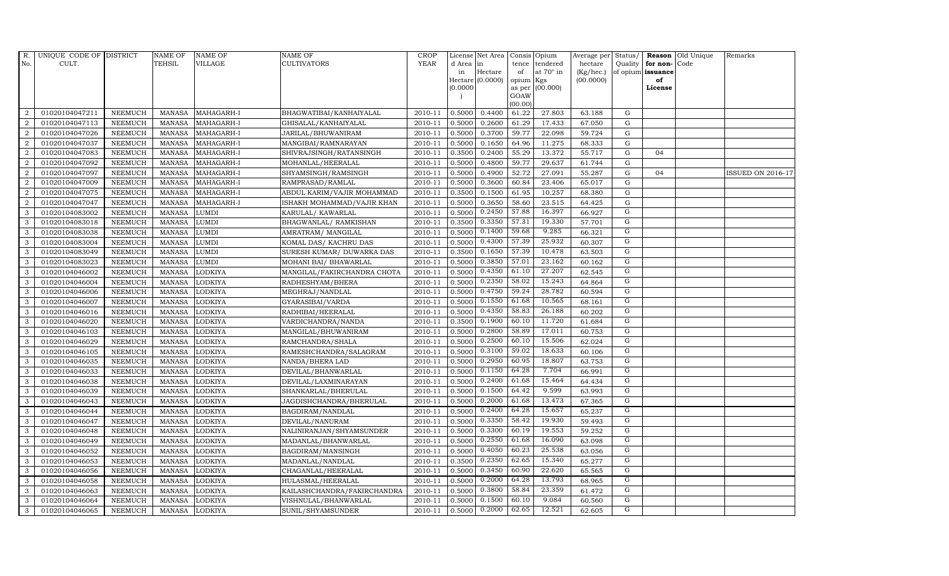| R.             | UNIQUE CODE OF DISTRICT |                | <b>NAME OF</b> | <b>NAME OF</b> | NAME OF                     | <b>CROP</b> |           | License Net Area   |                | Consis Opium     | Average per Status/ |                |                   | Reason Old Unique | Remarks                  |
|----------------|-------------------------|----------------|----------------|----------------|-----------------------------|-------------|-----------|--------------------|----------------|------------------|---------------------|----------------|-------------------|-------------------|--------------------------|
| No.            | CULT.                   |                | <b>TEHSIL</b>  | <b>VILLAGE</b> | CULTIVATORS                 | <b>YEAR</b> | d Area in |                    | tence          | tendered         | hectare             | Quality        | for non-          | Code              |                          |
|                |                         |                |                |                |                             |             | in        | Hectare            | of             | at $70^\circ$ in | (Kg/hec.)           |                | of opium issuance |                   |                          |
|                |                         |                |                |                |                             |             |           | Hectare $(0.0000)$ | opium          | Kgs              | (00.0000)           |                | of                |                   |                          |
|                |                         |                |                |                |                             |             | (0.0000)  |                    | as per<br>GOAW | (00.000)         |                     |                | License           |                   |                          |
|                |                         |                |                |                |                             |             |           |                    | (00.00)        |                  |                     |                |                   |                   |                          |
| 2              | 01020104047211          | <b>NEEMUCH</b> | <b>MANASA</b>  | MAHAGARH-I     | BHAGWATIBAI/KANHAIYALAL     | 2010-11     | 0.5000    | 0.4400             | 61.22          | 27.803           | 63.188              | G              |                   |                   |                          |
| $\overline{2}$ | 01020104047113          | <b>NEEMUCH</b> | <b>MANASA</b>  | MAHAGARH-I     | GHISALAL/KANHAIYALAL        | 2010-11     | 0.5000    | 0.2600             | 61.29          | 17.433           | 67.050              | $\mathbf G$    |                   |                   |                          |
| 2              | 01020104047026          | <b>NEEMUCH</b> | <b>MANASA</b>  | MAHAGARH-I     | JARILAL/BHUWANIRAM          | 2010-11     | 0.5000    | 0.3700             | 59.77          | 22.098           | 59.724              | G              |                   |                   |                          |
| $\overline{2}$ | 01020104047037          | <b>NEEMUCH</b> | <b>MANASA</b>  | MAHAGARH-I     | MANGIBAI/RAMNARAYAN         | 2010-11     | 0.5000    | 0.1650             | 64.96          | 11.275           | 68.333              | G              |                   |                   |                          |
| $\overline{2}$ | 01020104047083          | <b>NEEMUCH</b> | <b>MANASA</b>  | MAHAGARH-I     | SHIVRAJSINGH/RATANSINGH     | 2010-11     | 0.3500    | 0.2400             | 55.29          | 13.372           | 55.717              | G              | 04                |                   |                          |
| $\overline{2}$ | 01020104047092          | <b>NEEMUCH</b> | <b>MANASA</b>  | MAHAGARH-I     | MOHANLAL/HEERALAL           | 2010-11     | 0.5000    | 0.4800             | 59.77          | 29.637           | 61.744              | G              |                   |                   |                          |
| $\overline{2}$ | 01020104047097          | <b>NEEMUCH</b> | <b>MANASA</b>  | MAHAGARH-I     | SHYAMSINGH/RAMSINGH         | 2010-11     | 0.5000    | 0.4900             | 52.72          | 27.091           | 55.287              | G              | 04                |                   | <b>ISSUED ON 2016-17</b> |
| $\overline{2}$ | 01020104047009          | <b>NEEMUCH</b> | <b>MANASA</b>  | MAHAGARH-I     | RAMPRASAD/RAMLAL            | 2010-11     | 0.5000    | 0.3600             | 60.84          | 23.406           | 65.017              | $\mathbf G$    |                   |                   |                          |
| $\overline{2}$ | 01020104047075          | <b>NEEMUCH</b> | <b>MANASA</b>  | MAHAGARH-I     | ABDUL KARIM/VAJIR MOHAMMAD  | 2010-11     | 0.3500    | 0.1500             | 61.95          | 10.257           | 68.380              | G              |                   |                   |                          |
| $\overline{a}$ | 01020104047047          | <b>NEEMUCH</b> | <b>MANASA</b>  | MAHAGARH-I     | ISHAKH MOHAMMAD/VAJIR KHAN  | 2010-11     | 0.5000    | 0.3650             | 58.60          | 23.515           | 64.425              | G              |                   |                   |                          |
| 3              | 01020104083002          | <b>NEEMUCH</b> | <b>MANASA</b>  | LUMDI          | KARULAL/KAWARLAL            | 2010-11     | 0.5000    | 0.2450             | 57.88          | 16.397           | 66.927              | G              |                   |                   |                          |
| 3              | 01020104083018          | <b>NEEMUCH</b> | <b>MANASA</b>  | LUMDI          | BHAGWANLAL/ RAMKISHAN       | 2010-11     | 0.3500    | 0.3350             | 57.31          | 19.330           | 57.701              | G              |                   |                   |                          |
| 3              | 01020104083038          | <b>NEEMUCH</b> | <b>MANASA</b>  | LUMDI          | AMRATRAM / MANGILAL         | 2010-11     | 0.5000    | 0.1400             | 59.68          | 9.285            | 66.321              | G              |                   |                   |                          |
| 3              | 01020104083004          | <b>NEEMUCH</b> | <b>MANASA</b>  | LUMDI          | KOMAL DAS/KACHRU DAS        | 2010-11     | 0.5000    | 0.4300             | 57.39          | 25.932           | 60.307              | G              |                   |                   |                          |
| 3              | 01020104083049          | <b>NEEMUCH</b> | <b>MANASA</b>  | LUMDI          | SURESH KUMAR/ DUWARKA DAS   | 2010-11     | 0.3500    | 0.1650             | 57.39          | 10.478           | 63.503              | G              |                   |                   |                          |
| 3              | 01020104083023          | <b>NEEMUCH</b> | <b>MANASA</b>  | LUMDI          | MOHANI BAI/ BHAWARLAL       | 2010-11     | 0.5000    | 0.3850             | 57.01          | 23.162           | 60.162              | G              |                   |                   |                          |
| 3              | 01020104046002          | <b>NEEMUCH</b> | <b>MANASA</b>  | LODKIYA        | MANGILAL/FAKIRCHANDRA CHOTA | 2010-11     | 0.5000    | 0.4350             | 61.10          | 27.207           | 62.545              | G              |                   |                   |                          |
| 3              | 01020104046004          | <b>NEEMUCH</b> | <b>MANASA</b>  | LODKIYA        | RADHESHYAM/BHERA            | 2010-11     | 0.5000    | 0.2350             | 58.02          | 15.243           | 64.864              | G              |                   |                   |                          |
| 3              | 01020104046006          | <b>NEEMUCH</b> | <b>MANASA</b>  | LODKIYA        | MEGHRAJ/NANDLAL             | 2010-11     | 0.5000    | 0.4750             | 59.24          | 28.782           | 60.594              | $\mathbf G$    |                   |                   |                          |
| 3              | 01020104046007          | <b>NEEMUCH</b> | <b>MANASA</b>  | LODKIYA        | GYARASIBAI/VARDA            | 2010-11     | 0.5000    | 0.1550             | 61.68          | 10.565           | 68.161              | $\mathbf G$    |                   |                   |                          |
| 3              | 01020104046016          | <b>NEEMUCH</b> | <b>MANASA</b>  | LODKIYA        | RADHIBAI/HEERALAL           | 2010-11     | 0.5000    | 0.4350             | 58.83          | 26.188           | 60.202              | $\overline{G}$ |                   |                   |                          |
| 3              | 01020104046020          | <b>NEEMUCH</b> | <b>MANASA</b>  | LODKIYA        | VARDICHANDRA/NANDA          | 2010-11     | 0.3500    | 0.1900             | 60.10          | 11.720           | 61.684              | G              |                   |                   |                          |
| 3              | 01020104046103          | <b>NEEMUCH</b> | <b>MANASA</b>  | LODKIYA        | MANGILAL/BHUWANIRAM         | 2010-11     | 0.5000    | 0.2800             | 58.89          | 17.011           | 60.753              | G              |                   |                   |                          |
| 3              | 01020104046029          | <b>NEEMUCH</b> | <b>MANASA</b>  | LODKIYA        | RAMCHANDRA/SHALA            | 2010-11     | 0.5000    | 0.2500             | 60.10          | 15.506           | 62.024              | $\overline{G}$ |                   |                   |                          |
| 3              | 01020104046105          | <b>NEEMUCH</b> | <b>MANASA</b>  | LODKIYA        | RAMESHCHANDRA/SALAGRAM      | 2010-11     | 0.5000    | 0.3100             | 59.02          | 18.633           | 60.106              | G              |                   |                   |                          |
| 3              | 01020104046035          | <b>NEEMUCH</b> | <b>MANASA</b>  | LODKIYA        | NANDA/BHERA LAD             | 2010-11     | 0.5000    | 0.2950             | 60.95          | 18.807           | 63.753              | ${\rm G}$      |                   |                   |                          |
| 3              | 01020104046033          | <b>NEEMUCH</b> | <b>MANASA</b>  | LODKIYA        | DEVILAL/BHANWARLAL          | 2010-11     | 0.5000    | 0.1150             | 64.28          | 7.704            | 66.991              | G              |                   |                   |                          |
| 3              | 01020104046038          | <b>NEEMUCH</b> | <b>MANASA</b>  | LODKIYA        | DEVILAL/LAXMINARAYAN        | 2010-11     | 0.5000    | 0.2400             | 61.68          | 15.464           | 64.434              | G              |                   |                   |                          |
| 3              | 01020104046039          | <b>NEEMUCH</b> | <b>MANASA</b>  | LODKIYA        | SHANKARLAL/BHERULAL         | 2010-11     | 0.5000    | 0.1500             | 64.42          | 9.599            | 63.993              | G              |                   |                   |                          |
| 3              | 01020104046043          | <b>NEEMUCH</b> | <b>MANASA</b>  | LODKIYA        | JAGDISHCHANDRA/BHERULAL     | 2010-11     | 0.5000    | 0.2000             | 61.68          | 13.473           | 67.365              | G              |                   |                   |                          |
| 3              | 01020104046044          | <b>NEEMUCH</b> | <b>MANASA</b>  | LODKIYA        | BAGDIRAM/NANDLAL            | 2010-11     | 0.5000    | 0.2400             | 64.28          | 15.657           | 65.237              | G              |                   |                   |                          |
| 3              | 01020104046047          | <b>NEEMUCH</b> | <b>MANASA</b>  | LODKIYA        | DEVILAL/NANURAM             | 2010-11     | 0.5000    | 0.3350             | 58.42          | 19.930           | 59.493              | ${\rm G}$      |                   |                   |                          |
| 3              | 01020104046048          | <b>NEEMUCH</b> | <b>MANASA</b>  | <b>ODKIYA</b>  | NALINIRANJAN/SHYAMSUNDER    | 2010-11     | 0.5000    | 0.3300             | 60.19          | 19.553           | 59.252              | G              |                   |                   |                          |
| 3              | 01020104046049          | <b>NEEMUCH</b> | <b>MANASA</b>  | LODKIYA        | MADANLAL/BHANWARLAL         | 2010-11     | 0.5000    | 0.2550             | 61.68          | 16.090           | 63.098              | G              |                   |                   |                          |
| 3              | 01020104046052          | <b>NEEMUCH</b> | <b>MANASA</b>  | LODKIYA        | BAGDIRAM/MANSINGH           | 2010-11     | 0.5000    | 0.4050             | 60.23          | 25.538           | 63.056              | G              |                   |                   |                          |
| 3              | 01020104046053          | <b>NEEMUCH</b> | <b>MANASA</b>  | <b>ODKIYA</b>  | MADANLAL/NANDLAL            | 2010-11     | 0.3500    | 0.2350             | 62.65          | 15.340           | 65.277              | G              |                   |                   |                          |
| 3              | 01020104046056          | <b>NEEMUCH</b> | <b>MANASA</b>  | LODKIYA        | CHAGANLAL/HEERALAL          | 2010-11     | 0.5000    | 0.3450             | 60.90          | 22.620           | 65.565              | ${\rm G}$      |                   |                   |                          |
| 3              | 01020104046058          | <b>NEEMUCH</b> | <b>MANASA</b>  | LODKIYA        | HULASMAL/HEERALAL           | 2010-11     | 0.5000    | 0.2000             | 64.28          | 13.793           | 68.965              | G              |                   |                   |                          |
| 3              | 01020104046063          | <b>NEEMUCH</b> | <b>MANASA</b>  | LODKIYA        | KAILASHCHANDRA/FAKIRCHANDRA | 2010-11     | 0.5000    | 0.3800             | 58.84          | 23.359           | 61.472              | G              |                   |                   |                          |
| 3              | 01020104046064          | <b>NEEMUCH</b> | <b>MANASA</b>  | LODKIYA        | VISHNULAL/BHANWARLAL        | 2010-11     | 0.5000    | 0.1500             | 60.10          | 9.084            | 60.560              | G              |                   |                   |                          |
| 3              | 01020104046065          | <b>NEEMUCH</b> | MANASA         | <b>LODKIYA</b> | SUNIL/SHYAMSUNDER           | 2010-11     | 0.5000    | 0.2000             | 62.65          | 12.521           | 62.605              | G              |                   |                   |                          |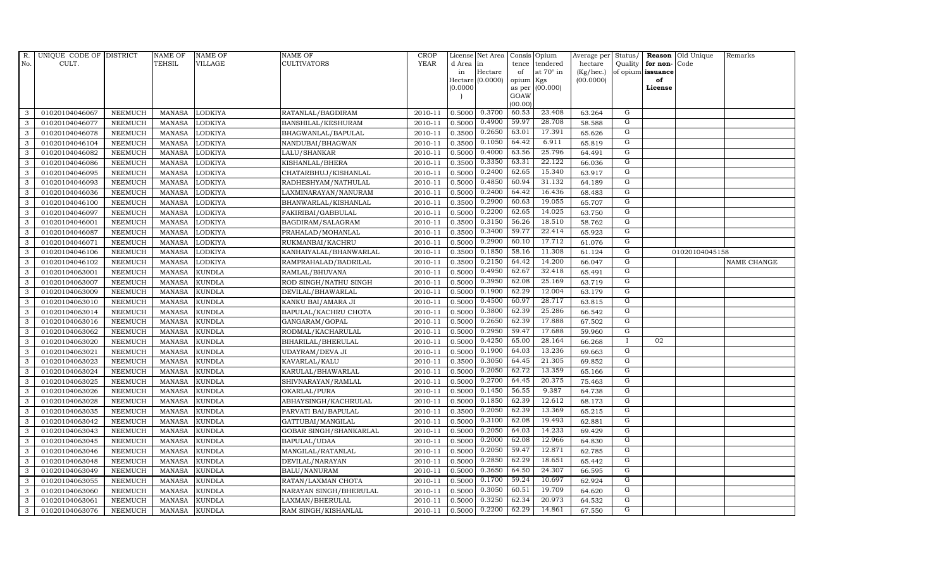| R.  | UNIQUE CODE OF DISTRICT |                | <b>NAME OF</b> | <b>NAME OF</b> | <b>NAME OF</b>         | <b>CROP</b> |          | License Net Area   |           | Consis Opium    | Average per | Status/        | Reason            | Old Unique     | Remarks     |
|-----|-------------------------|----------------|----------------|----------------|------------------------|-------------|----------|--------------------|-----------|-----------------|-------------|----------------|-------------------|----------------|-------------|
| No. | CULT.                   |                | <b>TEHSIL</b>  | VILLAGE        | <b>CULTIVATORS</b>     | <b>YEAR</b> | d Area   | in                 | tence     | tendered        | hectare     | Quality        | for non-          | Code           |             |
|     |                         |                |                |                |                        |             | in       | Hectare            | of        | at 70° in       | (Kg/hec.)   |                | of opium issuance |                |             |
|     |                         |                |                |                |                        |             |          | $Hectare (0.0000)$ | opium Kgs |                 | (00.0000)   |                | of                |                |             |
|     |                         |                |                |                |                        |             | (0.0000) |                    | GOAW      | as per (00.000) |             |                | License           |                |             |
|     |                         |                |                |                |                        |             |          |                    | (00.00)   |                 |             |                |                   |                |             |
| 3   | 01020104046067          | <b>NEEMUCH</b> | MANASA         | LODKIYA        | RATANLAL/BAGDIRAM      | 2010-11     | 0.5000   | 0.3700             | 60.53     | 23.408          | 63.264      | G              |                   |                |             |
| 3   | 01020104046077          | <b>NEEMUCH</b> | <b>MANASA</b>  | LODKIYA        | BANSHILAL/KESHURAM     | 2010-11     | 0.5000   | 0.4900             | 59.97     | 28.708          | 58.588      | G              |                   |                |             |
| 3   | 01020104046078          | <b>NEEMUCH</b> | <b>MANASA</b>  | LODKIYA        | BHAGWANLAL/BAPULAL     | 2010-11     | 0.3500   | 0.2650             | 63.01     | 17.391          | 65.626      | G              |                   |                |             |
| 3   | 01020104046104          | <b>NEEMUCH</b> | <b>MANASA</b>  | LODKIYA        | NANDUBAI/BHAGWAN       | 2010-11     | 0.3500   | 0.1050             | 64.42     | 6.911           | 65.819      | G              |                   |                |             |
| 3   | 01020104046082          | <b>NEEMUCH</b> | <b>MANASA</b>  | LODKIYA        | LALU/SHANKAR           | 2010-11     | 0.5000   | 0.4000             | 63.56     | 25.796          | 64.491      | $\mathbf G$    |                   |                |             |
| 3   | 01020104046086          | <b>NEEMUCH</b> | <b>MANASA</b>  | LODKIYA        | KISHANLAL/BHERA        | 2010-11     | 0.3500   | 0.3350             | 63.31     | 22.122          | 66.036      | $\overline{G}$ |                   |                |             |
| 3   | 01020104046095          | <b>NEEMUCH</b> | <b>MANASA</b>  | LODKIYA        | CHATARBHUJ/KISHANLAL   | 2010-11     | 0.5000   | 0.2400             | 62.65     | 15.340          | 63.917      | G              |                   |                |             |
| 3   | 01020104046093          | <b>NEEMUCH</b> | <b>MANASA</b>  | LODKIYA        | RADHESHYAM/NATHULAL    | 2010-11     | 0.5000   | 0.4850             | 60.94     | 31.132          | 64.189      | G              |                   |                |             |
| 3   | 01020104046036          | <b>NEEMUCH</b> | <b>MANASA</b>  | LODKIYA        | LAXMINARAYAN/NANURAM   | 2010-11     | 0.5000   | 0.2400             | 64.42     | 16.436          | 68.483      | G              |                   |                |             |
| 3   | 01020104046100          | <b>NEEMUCH</b> | <b>MANASA</b>  | LODKIYA        | BHANWARLAL/KISHANLAL   | 2010-11     | 0.3500   | 0.2900             | 60.63     | 19.055          | 65.707      | G              |                   |                |             |
| 3   | 01020104046097          | <b>NEEMUCH</b> | <b>MANASA</b>  | LODKIYA        | FAKIRIBAI/GABBULAL     | 2010-11     | 0.5000   | 0.2200             | 62.65     | 14.025          | 63.750      | G              |                   |                |             |
| 3   | 01020104046001          | <b>NEEMUCH</b> | <b>MANASA</b>  | LODKIYA        | BAGDIRAM/SALAGRAM      | 2010-11     | 0.3500   | 0.3150             | 56.26     | 18.510          | 58.762      | G              |                   |                |             |
| 3   | 01020104046087          | <b>NEEMUCH</b> | <b>MANASA</b>  | LODKIYA        | PRAHALAD/MOHANLAL      | 2010-11     | 0.3500   | 0.3400             | 59.77     | 22.414          | 65.923      | G              |                   |                |             |
| 3   | 01020104046071          | <b>NEEMUCH</b> | <b>MANASA</b>  | LODKIYA        | RUKMANBAI/KACHRU       | 2010-11     | 0.5000   | 0.2900             | 60.10     | 17.712          | 61.076      | $\mathbf G$    |                   |                |             |
| 3   | 01020104046106          | <b>NEEMUCH</b> | <b>MANASA</b>  | LODKIYA        | KANHAIYALAL/BHANWARLAL | 2010-11     | 0.3500   | 0.1850             | 58.16     | 11.308          | 61.124      | G              |                   | 01020104045158 |             |
| 3   | 01020104046102          | <b>NEEMUCH</b> | <b>MANASA</b>  | LODKIYA        | RAMPRAHALAD/BADRILAL   | 2010-11     | 0.3500   | 0.2150             | 64.42     | 14.200          | 66.047      | G              |                   |                | NAME CHANGE |
| 3   | 01020104063001          | <b>NEEMUCH</b> | <b>MANASA</b>  | <b>KUNDLA</b>  | RAMLAL/BHUVANA         | 2010-11     | 0.5000   | 0.4950             | 62.67     | 32.418          | 65.491      | G              |                   |                |             |
| 3   | 01020104063007          | <b>NEEMUCH</b> | <b>MANASA</b>  | <b>KUNDLA</b>  | ROD SINGH/NATHU SINGH  | 2010-11     | 0.5000   | 0.3950             | 62.08     | 25.169          | 63.719      | G              |                   |                |             |
| 3   | 01020104063009          | <b>NEEMUCH</b> | <b>MANASA</b>  | <b>KUNDLA</b>  | DEVILAL/BHAWARLAL      | 2010-11     | 0.5000   | 0.1900             | 62.29     | 12.004          | 63.179      | G              |                   |                |             |
| 3   | 01020104063010          | <b>NEEMUCH</b> | <b>MANASA</b>  | <b>KUNDLA</b>  | KANKU BAI/AMARA JI     | 2010-11     | 0.5000   | 0.4500             | 60.97     | 28.717          | 63.815      | $\mathbf G$    |                   |                |             |
| 3   | 01020104063014          | <b>NEEMUCH</b> | <b>MANASA</b>  | <b>KUNDLA</b>  | BAPULAL/KACHRU CHOTA   | 2010-11     | 0.5000   | 0.3800             | 62.39     | 25.286          | 66.542      | $\overline{G}$ |                   |                |             |
| 3   | 01020104063016          | <b>NEEMUCH</b> | <b>MANASA</b>  | <b>KUNDLA</b>  | GANGARAM/GOPAL         | 2010-11     | 0.5000   | 0.2650             | 62.39     | 17.888          | 67.502      | G              |                   |                |             |
| 3   | 01020104063062          | <b>NEEMUCH</b> | <b>MANASA</b>  | <b>KUNDLA</b>  | RODMAL/KACHARULAL      | 2010-11     | 0.5000   | 0.2950             | 59.47     | 17.688          | 59.960      | ${\rm G}$      |                   |                |             |
| 3   | 01020104063020          | <b>NEEMUCH</b> | <b>MANASA</b>  | <b>KUNDLA</b>  | BIHARILAL/BHERULAL     | 2010-11     | 0.5000   | 0.4250             | 65.00     | 28.164          | 66.268      | $\bf{I}$       | 02                |                |             |
| 3   | 01020104063021          | <b>NEEMUCH</b> | <b>MANASA</b>  | <b>KUNDLA</b>  | UDAYRAM/DEVA JI        | 2010-11     | 0.5000   | 0.1900             | 64.03     | 13.236          | 69.663      | G              |                   |                |             |
| 3   | 01020104063023          | <b>NEEMUCH</b> | <b>MANASA</b>  | <b>KUNDLA</b>  | KAVARLAL/KALU          | 2010-11     | 0.3500   | 0.3050             | 64.45     | 21.305          | 69.852      | G              |                   |                |             |
| 3   | 01020104063024          | <b>NEEMUCH</b> | <b>MANASA</b>  | <b>KUNDLA</b>  | KARULAL/BHAWARLAL      | 2010-11     | 0.5000   | 0.2050             | 62.72     | 13.359          | 65.166      | G              |                   |                |             |
| 3   | 01020104063025          | <b>NEEMUCH</b> | <b>MANASA</b>  | <b>KUNDLA</b>  | SHIVNARAYAN/RAMLAL     | 2010-11     | 0.5000   | 0.2700             | 64.45     | 20.375          | 75.463      | G              |                   |                |             |
| 3   | 01020104063026          | <b>NEEMUCH</b> | <b>MANASA</b>  | <b>KUNDLA</b>  | OKARLAL/PURA           | 2010-11     | 0.5000   | 0.1450             | 56.55     | 9.387           | 64.738      | G              |                   |                |             |
| 3   | 01020104063028          | <b>NEEMUCH</b> | <b>MANASA</b>  | <b>KUNDLA</b>  | ABHAYSINGH/KACHRULAL   | 2010-11     | 0.5000   | 0.1850             | 62.39     | 12.612          | 68.173      | G              |                   |                |             |
| 3   | 01020104063035          | <b>NEEMUCH</b> | <b>MANASA</b>  | <b>KUNDLA</b>  | PARVATI BAI/BAPULAL    | 2010-11     | 0.3500   | 0.2050             | 62.39     | 13.369          | 65.215      | G              |                   |                |             |
| 3   | 01020104063042          | <b>NEEMUCH</b> | <b>MANASA</b>  | <b>KUNDLA</b>  | GATTUBAI/MANGILAL      | 2010-11     | 0.5000   | 0.3100             | 62.08     | 19.493          | 62.881      | G              |                   |                |             |
| 3   | 01020104063043          | NEEMUCH        | <b>MANASA</b>  | <b>KUNDLA</b>  | GOBAR SINGH/SHANKARLAL | 2010-11     | 0.5000   | 0.2050             | 64.03     | 14.233          | 69.429      | G              |                   |                |             |
| 3   | 01020104063045          | <b>NEEMUCH</b> | <b>MANASA</b>  | <b>KUNDLA</b>  | BAPULAL/UDAA           | 2010-11     | 0.5000   | 0.2000             | 62.08     | 12.966          | 64.830      | G              |                   |                |             |
| 3   | 01020104063046          | <b>NEEMUCH</b> | <b>MANASA</b>  | <b>KUNDLA</b>  | MANGILAL/RATANLAL      | 2010-11     | 0.5000   | 0.2050             | 59.47     | 12.871          | 62.785      | G              |                   |                |             |
| 3   | 01020104063048          | <b>NEEMUCH</b> | <b>MANASA</b>  | <b>KUNDLA</b>  | DEVILAL/NARAYAN        | 2010-11     | 0.5000   | 0.2850             | 62.29     | 18.651          | 65.442      | G              |                   |                |             |
| 3   | 01020104063049          | <b>NEEMUCH</b> | <b>MANASA</b>  | <b>KUNDLA</b>  | <b>BALU/NANURAM</b>    | 2010-11     | 0.5000   | 0.3650             | 64.50     | 24.307          | 66.595      | G              |                   |                |             |
| 3   | 01020104063055          | NEEMUCH        | <b>MANASA</b>  | <b>KUNDLA</b>  | RATAN/LAXMAN CHOTA     | 2010-11     | 0.5000   | 0.1700             | 59.24     | 10.697          | 62.924      | G              |                   |                |             |
| 3   | 01020104063060          | <b>NEEMUCH</b> | <b>MANASA</b>  | <b>KUNDLA</b>  | NARAYAN SINGH/BHERULAL | 2010-11     | 0.5000   | 0.3050             | 60.51     | 19.709          | 64.620      | G              |                   |                |             |
| 3   | 01020104063061          | <b>NEEMUCH</b> | <b>MANASA</b>  | <b>KUNDLA</b>  | LAXMAN/BHERULAL        | 2010-11     | 0.5000   | 0.3250             | 62.34     | 20.973          | 64.532      | G              |                   |                |             |
| 3   | 01020104063076          | <b>NEEMUCH</b> | MANASA         | <b>KUNDLA</b>  | RAM SINGH/KISHANLAL    | 2010-11     | 0.5000   | 0.2200             | 62.29     | 14.861          | 67.550      | $\overline{G}$ |                   |                |             |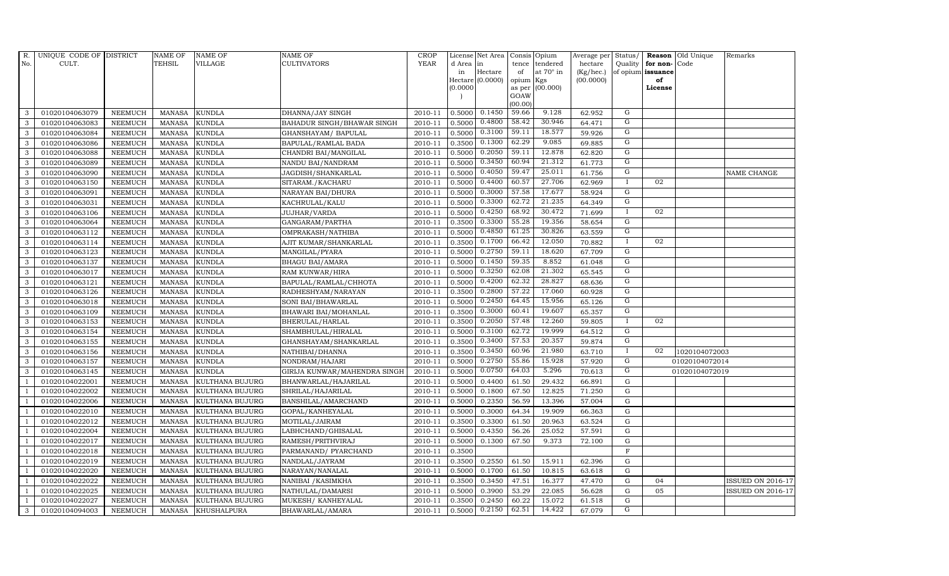| R.             | UNIQUE CODE OF DISTRICT |                | <b>NAME OF</b> | <b>NAME OF</b>         | <b>NAME OF</b>               | CROP        |           | License Net Area   Consis   Opium |                 |                  | Average per | Status/        | Reason            | Old Unique     | Remarks                  |
|----------------|-------------------------|----------------|----------------|------------------------|------------------------------|-------------|-----------|-----------------------------------|-----------------|------------------|-------------|----------------|-------------------|----------------|--------------------------|
| No.            | CULT.                   |                | <b>TEHSIL</b>  | VILLAGE                | <b>CULTIVATORS</b>           | <b>YEAR</b> | d Area in |                                   | tence           | tendered         | hectare     | Quality        | for non-          | Code           |                          |
|                |                         |                |                |                        |                              |             | in        | Hectare                           | of              | at $70^\circ$ in | (Kg/hec.)   |                | of opium issuance |                |                          |
|                |                         |                |                |                        |                              |             |           | Hectare (0.0000)                  | opium Kgs       |                  | (00.0000)   |                | of                |                |                          |
|                |                         |                |                |                        |                              |             | (0.0000)  |                                   |                 | as per (00.000)  |             |                | License           |                |                          |
|                |                         |                |                |                        |                              |             |           |                                   | GOAW<br>(00.00) |                  |             |                |                   |                |                          |
| 3              | 01020104063079          | <b>NEEMUCH</b> | MANASA         | <b>KUNDLA</b>          | DHANNA/JAY SINGH             | 2010-11     | 0.5000    | 0.1450                            | 59.66           | 9.128            | 62.952      | G              |                   |                |                          |
| 3              | 01020104063083          | <b>NEEMUCH</b> | MANASA         | <b>KUNDLA</b>          | BAHADUR SINGH/BHAWAR SINGH   | 2010-11     | 0.5000    | 0.4800                            | 58.42           | 30.946           | 64.471      | G              |                   |                |                          |
| 3              | 01020104063084          | <b>NEEMUCH</b> | <b>MANASA</b>  | <b>KUNDLA</b>          | GHANSHAYAM / BAPULAL         | 2010-11     | 0.5000    | 0.3100                            | 59.11           | 18.577           | 59.926      | G              |                   |                |                          |
| 3              | 01020104063086          | <b>NEEMUCH</b> | <b>MANASA</b>  | <b>KUNDLA</b>          | BAPULAL/RAMLAL BADA          | 2010-11     | 0.3500    | 0.1300                            | 62.29           | 9.085            | 69.885      | G              |                   |                |                          |
| 3              | 01020104063088          | <b>NEEMUCH</b> | <b>MANASA</b>  | <b>KUNDLA</b>          | CHANDRI BAI/MANGILAL         | 2010-11     | 0.5000    | 0.2050                            | 59.11           | 12.878           | 62.820      | $\mathbf G$    |                   |                |                          |
| $\mathbf{3}$   | 01020104063089          | <b>NEEMUCH</b> | <b>MANASA</b>  | <b>KUNDLA</b>          | NANDU BAI/NANDRAM            | 2010-11     | 0.5000    | 0.3450                            | 60.94           | 21.312           | 61.773      | G              |                   |                |                          |
| 3              | 01020104063090          | <b>NEEMUCH</b> | <b>MANASA</b>  | <b>KUNDLA</b>          | JAGDISH/SHANKARLAL           | 2010-11     | 0.5000    | 0.4050                            | 59.47           | 25.011           | 61.756      | G              |                   |                | NAME CHANGE              |
| 3              | 01020104063150          | <b>NEEMUCH</b> | <b>MANASA</b>  | <b>KUNDLA</b>          | SITARAM./KACHARU             | 2010-11     | 0.5000    | 0.4400                            | 60.57           | 27.706           | 62.969      | $\bf{I}$       | 02                |                |                          |
| 3              | 01020104063091          | <b>NEEMUCH</b> | <b>MANASA</b>  | <b>KUNDLA</b>          | NARAYAN BAI/DHURA            | 2010-11     | 0.5000    | 0.3000                            | 57.58           | 17.677           | 58.924      | G              |                   |                |                          |
| 3              | 01020104063031          | <b>NEEMUCH</b> | <b>MANASA</b>  | <b>KUNDLA</b>          | KACHRULAL/KALU               | 2010-11     | 0.5000    | 0.3300                            | 62.72           | 21.235           | 64.349      | G              |                   |                |                          |
| 3              | 01020104063106          | <b>NEEMUCH</b> | <b>MANASA</b>  | <b>KUNDLA</b>          | JUJHAR/VARDA                 | 2010-11     | 0.5000    | 0.4250                            | 68.92           | 30.472           | 71.699      | $\bf{I}$       | 02                |                |                          |
| 3              | 01020104063064          | <b>NEEMUCH</b> | MANASA         | <b>KUNDLA</b>          | GANGARAM/PARTHA              | 2010-11     | 0.3500    | 0.3300                            | 55.28           | 19.356           | 58.654      | G              |                   |                |                          |
| 3              | 01020104063112          | <b>NEEMUCH</b> | <b>MANASA</b>  | <b>KUNDLA</b>          | OMPRAKASH/NATHIBA            | 2010-11     | 0.5000    | 0.4850                            | 61.25           | 30.826           | 63.559      | G              |                   |                |                          |
| 3              | 01020104063114          | <b>NEEMUCH</b> | <b>MANASA</b>  | <b>KUNDLA</b>          | AJIT KUMAR/SHANKARLAL        | 2010-11     | 0.3500    | 0.1700                            | 66.42           | 12.050           | 70.882      | $\mathbf{I}$   | 02                |                |                          |
| 3              | 01020104063123          | <b>NEEMUCH</b> | MANASA         | <b>KUNDLA</b>          | MANGILAL/PYARA               | 2010-11     | 0.5000    | 0.2750                            | 59.11           | 18.620           | 67.709      | G              |                   |                |                          |
| 3              | 01020104063137          | <b>NEEMUCH</b> | <b>MANASA</b>  | <b>KUNDLA</b>          | <b>BHAGU BAI/AMARA</b>       | 2010-11     | 0.5000    | 0.1450                            | 59.35           | 8.852            | 61.048      | $\overline{G}$ |                   |                |                          |
| 3              | 01020104063017          | <b>NEEMUCH</b> | <b>MANASA</b>  | <b>KUNDLA</b>          | RAM KUNWAR/HIRA              | 2010-11     | 0.5000    | 0.3250                            | 62.08           | 21.302           | 65.545      | G              |                   |                |                          |
| $\mathbf{3}$   | 01020104063121          | <b>NEEMUCH</b> | <b>MANASA</b>  | <b>KUNDLA</b>          | BAPULAL/RAMLAL/CHHOTA        | 2010-11     | 0.5000    | 0.4200                            | 62.32           | 28.827           | 68.636      | G              |                   |                |                          |
| 3              | 01020104063126          | <b>NEEMUCH</b> | <b>MANASA</b>  | <b>KUNDLA</b>          | RADHESHYAM/NARAYAN           | 2010-11     | 0.3500    | 0.2800                            | 57.22           | 17.060           | 60.928      | $\overline{G}$ |                   |                |                          |
| 3              | 01020104063018          | NEEMUCH        | <b>MANASA</b>  | <b>KUNDLA</b>          | SONI BAI/BHAWARLAL           | 2010-11     | 0.5000    | 0.2450                            | 64.45           | 15.956           | 65.126      | G              |                   |                |                          |
| 3              | 01020104063109          | <b>NEEMUCH</b> | <b>MANASA</b>  | <b>KUNDLA</b>          | BHAWARI BAI/MOHANLAL         | 2010-11     | 0.3500    | 0.3000                            | 60.41           | 19.607           | 65.357      | G              |                   |                |                          |
| 3              | 01020104063153          | <b>NEEMUCH</b> | <b>MANASA</b>  | <b>KUNDLA</b>          | BHERULAL/HARLAL              | 2010-11     | 0.3500    | 0.2050                            | 57.48           | 12.260           | 59.805      | $\mathbf{I}$   | 02                |                |                          |
| 3              | 01020104063154          | <b>NEEMUCH</b> | <b>MANASA</b>  | <b>KUNDLA</b>          | SHAMBHULAL/HIRALAL           | 2010-11     | 0.5000    | 0.3100                            | 62.72           | 19.999           | 64.512      | G              |                   |                |                          |
| 3              | 01020104063155          | <b>NEEMUCH</b> | <b>MANASA</b>  | <b>KUNDLA</b>          | GHANSHAYAM/SHANKARLAL        | 2010-11     | 0.3500    | 0.3400                            | 57.53           | 20.357           | 59.874      | $\overline{G}$ |                   |                |                          |
| 3              | 01020104063156          | <b>NEEMUCH</b> | <b>MANASA</b>  | <b>KUNDLA</b>          | NATHIBAI/DHANNA              | 2010-11     | 0.3500    | 0.3450                            | 60.96           | 21.980           | 63.710      | $\bf{I}$       | 02                | 1020104072003  |                          |
| 3              | 01020104063157          | <b>NEEMUCH</b> | <b>MANASA</b>  | <b>KUNDLA</b>          | NONDRAM/HAJARI               | 2010-11     | 0.5000    | 0.2750                            | 55.86           | 15.928           | 57.920      | G              |                   | 01020104072014 |                          |
| 3              | 01020104063145          | <b>NEEMUCH</b> | <b>MANASA</b>  | <b>KUNDLA</b>          | GIRIJA KUNWAR/MAHENDRA SINGH | 2010-11     | 0.5000    | 0.0750                            | 64.03           | 5.296            | 70.613      | G              |                   | 01020104072019 |                          |
| $\overline{1}$ | 01020104022001          | <b>NEEMUCH</b> | <b>MANASA</b>  | KULTHANA BUJURG        | BHANWARLAL/HAJARILAL         | 2010-11     | 0.5000    | 0.4400                            | 61.50           | 29.432           | 66.891      | ${\rm G}$      |                   |                |                          |
| $\overline{1}$ | 01020104022002          | <b>NEEMUCH</b> | <b>MANASA</b>  | KULTHANA BUJURG        | SHRILAL/HAJARILAL            | 2010-11     | 0.5000    | 0.1800                            | 67.50           | 12.825           | 71.250      | ${\bf G}$      |                   |                |                          |
|                | 01020104022006          | NEEMUCH        | <b>MANASA</b>  | <b>KULTHANA BUJURG</b> | BANSHILAL/AMARCHAND          | 2010-11     | 0.5000    | 0.2350                            | 56.59           | 13.396           | 57.004      | $\mathbf G$    |                   |                |                          |
|                | 01020104022010          | <b>NEEMUCH</b> | <b>MANASA</b>  | KULTHANA BUJURG        | GOPAL/KANHEYALAL             | 2010-11     | 0.5000    | 0.3000                            | 64.34           | 19.909           | 66.363      | $\mathbf G$    |                   |                |                          |
| $\overline{1}$ | 01020104022012          | <b>NEEMUCH</b> | <b>MANASA</b>  | KULTHANA BUJURG        | MOTILAL/JAIRAM               | 2010-11     | 0.3500    | 0.3300                            | 61.50           | 20.963           | 63.524      | ${\rm G}$      |                   |                |                          |
| $\overline{1}$ | 01020104022004          | <b>NEEMUCH</b> | <b>MANASA</b>  | KULTHANA BUJURG        | LABHCHAND/GHISALAL           | 2010-11     | 0.5000    | 0.4350                            | 56.26           | 25.052           | 57.591      | $\mathbf G$    |                   |                |                          |
| $\overline{1}$ | 01020104022017          | <b>NEEMUCH</b> | <b>MANASA</b>  | KULTHANA BUJURG        | RAMESH/PRITHVIRAJ            | 2010-11     | 0.5000    | 0.1300                            | 67.50           | 9.373            | 72.100      | $\mathbf G$    |                   |                |                          |
|                | 01020104022018          | <b>NEEMUCH</b> | <b>MANASA</b>  | <b>KULTHANA BUJURG</b> | PARMANAND/ PYARCHAND         | 2010-11     | 0.3500    |                                   |                 |                  |             | $\mathbf F$    |                   |                |                          |
|                | 01020104022019          | <b>NEEMUCH</b> | <b>MANASA</b>  | <b>KULTHANA BUJURG</b> | NANDLAL/JAYRAM               | 2010-11     | 0.3500    | 0.2550                            | 61.50           | 15.911           | 62.396      | G              |                   |                |                          |
|                | 01020104022020          | <b>NEEMUCH</b> | <b>MANASA</b>  | KULTHANA BUJURG        | NARAYAN/NANALAL              | 2010-11     | 0.5000    | 0.1700                            | 61.50           | 10.815           | 63.618      | ${\rm G}$      |                   |                |                          |
| $\overline{1}$ | 01020104022022          | <b>NEEMUCH</b> | <b>MANASA</b>  | KULTHANA BUJURG        | NANIBAI / KASIMKHA           | 2010-11     | 0.3500    | 0.3450                            | 47.51           | 16.377           | 47.470      | $\mathbf G$    | 04                |                | <b>ISSUED ON 2016-17</b> |
| $\overline{1}$ | 01020104022025          | <b>NEEMUCH</b> | <b>MANASA</b>  | KULTHANA BUJURG        | NATHULAL/DAMARSI             | 2010-11     | 0.5000    | 0.3900                            | 53.29           | 22.085           | 56.628      | $\mathbf G$    | 05                |                | <b>ISSUED ON 2016-17</b> |
| $\overline{1}$ | 01020104022027          | <b>NEEMUCH</b> | <b>MANASA</b>  | KULTHANA BUJURG        | MUKESH/ KANHEYALAL           | 2010-11     | 0.3500    | 0.2450                            | 60.22           | 15.072           | 61.518      | $\mathbf G$    |                   |                |                          |
| 3              | 01020104094003          | <b>NEEMUCH</b> |                | MANASA KHUSHALPURA     | BHAWARLAL/AMARA              | 2010-11     | 0.5000    | 0.2150                            | 62.51           | 14.422           | 67.079      | G              |                   |                |                          |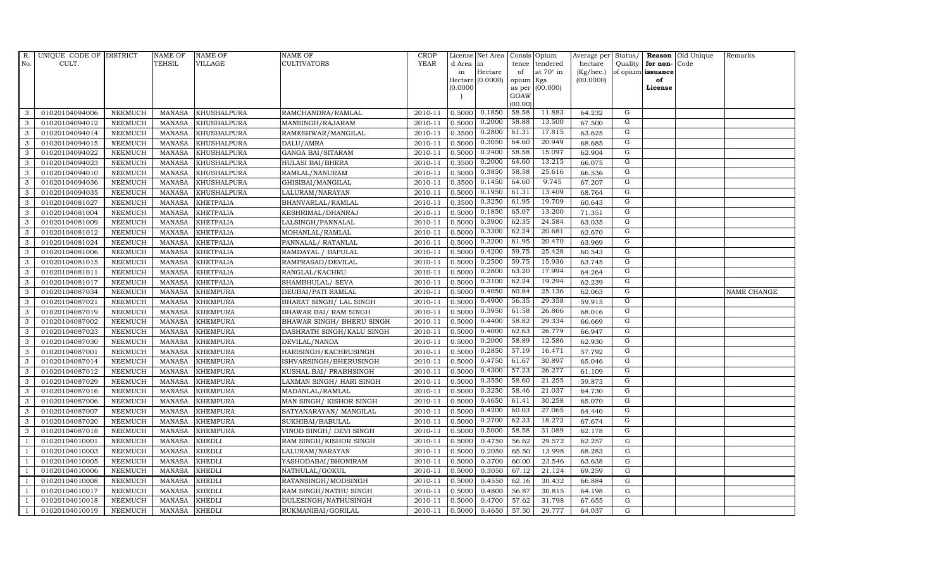| R.             | UNIQUE CODE OF DISTRICT |                | <b>NAME OF</b> | <b>NAME OF</b>     | <b>NAME OF</b>             | CROP    |           | License Net Area   Consis   Opium |           |                  | Average per | Status/        | Reason            | Old Unique | Remarks     |
|----------------|-------------------------|----------------|----------------|--------------------|----------------------------|---------|-----------|-----------------------------------|-----------|------------------|-------------|----------------|-------------------|------------|-------------|
| No.            | CULT.                   |                | <b>TEHSIL</b>  | <b>VILLAGE</b>     | <b>CULTIVATORS</b>         | YEAR    | d Area in |                                   | tence     | tendered         | hectare     | Quality        | for non-          | Code       |             |
|                |                         |                |                |                    |                            |         | in        | Hectare                           | of        | at $70^\circ$ in | (Kg/hec.)   |                | of opium issuance |            |             |
|                |                         |                |                |                    |                            |         |           | Hectare (0.0000)                  | opium Kgs |                  | (00.0000)   |                | of                |            |             |
|                |                         |                |                |                    |                            |         | (0.0000)  |                                   | GOAW      | as per (00.000)  |             |                | License           |            |             |
|                |                         |                |                |                    |                            |         |           |                                   | (00.00)   |                  |             |                |                   |            |             |
| 3              | 01020104094006          | <b>NEEMUCH</b> | MANASA         | <b>KHUSHALPURA</b> | RAMCHANDRA/RAMLAL          | 2010-11 | 0.5000    | 0.1850                            | 58.58     | 11.883           | 64.232      | G              |                   |            |             |
| 3              | 01020104094012          | <b>NEEMUCH</b> | MANASA         | <b>KHUSHALPURA</b> | MANSINGH/RAJARAM           | 2010-11 | 0.5000    | 0.2000                            | 58.88     | 13.500           | 67.500      | G              |                   |            |             |
| 3              | 01020104094014          | <b>NEEMUCH</b> | <b>MANASA</b>  | <b>KHUSHALPURA</b> | RAMESHWAR/MANGILAL         | 2010-11 | 0.3500    | 0.2800                            | 61.31     | 17.815           | 63.625      | G              |                   |            |             |
| 3              | 01020104094015          | <b>NEEMUCH</b> | <b>MANASA</b>  | <b>KHUSHALPURA</b> | DALU/AMRA                  | 2010-11 | 0.5000    | 0.3050                            | 64.60     | 20.949           | 68.685      | G              |                   |            |             |
| 3              | 01020104094022          | <b>NEEMUCH</b> | <b>MANASA</b>  | <b>KHUSHALPURA</b> | <b>GANGA BAI/SITARAM</b>   | 2010-11 | 0.5000    | 0.2400                            | 58.58     | 15.097           | 62.904      | G              |                   |            |             |
| $\mathbf{3}$   | 01020104094023          | <b>NEEMUCH</b> | <b>MANASA</b>  | <b>KHUSHALPURA</b> | HULASI BAI/BHERA           | 2010-11 | 0.3500    | 0.2000                            | 64.60     | 13.215           | 66.075      | G              |                   |            |             |
| 3              | 01020104094010          | <b>NEEMUCH</b> | <b>MANASA</b>  | KHUSHALPURA        | RAMLAL/NANURAM             | 2010-11 | 0.5000    | 0.3850                            | 58.58     | 25.616           | 66.536      | G              |                   |            |             |
| 3              | 01020104094036          | <b>NEEMUCH</b> | <b>MANASA</b>  | <b>KHUSHALPURA</b> | GHISIBAI/MANGILAL          | 2010-11 | 0.3500    | 0.1450                            | 64.60     | 9.745            | 67.207      | G              |                   |            |             |
| 3              | 01020104094035          | <b>NEEMUCH</b> | <b>MANASA</b>  | <b>KHUSHALPURA</b> | LALURAM/NARAYAN            | 2010-11 | 0.5000    | 0.1950                            | 61.31     | 13.409           | 68.764      | $\overline{G}$ |                   |            |             |
| 3              | 01020104081027          | <b>NEEMUCH</b> | <b>MANASA</b>  | <b>KHETPALIA</b>   | BHANVARLAL/RAMLAL          | 2010-11 | 0.3500    | 0.3250                            | 61.95     | 19.709           | 60.643      | G              |                   |            |             |
| 3              | 01020104081004          | <b>NEEMUCH</b> | <b>MANASA</b>  | <b>KHETPALIA</b>   | KESHRIMAL/DHANRAJ          | 2010-11 | 0.5000    | 0.1850                            | 65.07     | 13.200           | 71.351      | G              |                   |            |             |
| 3              | 01020104081009          | <b>NEEMUCH</b> | <b>MANASA</b>  | <b>KHETPALIA</b>   | LALSINGH/PANNALAL          | 2010-11 | 0.5000    | 0.3900                            | 62.35     | 24.584           | 63.035      | G              |                   |            |             |
| 3              | 01020104081012          | <b>NEEMUCH</b> | <b>MANASA</b>  | <b>KHETPALIA</b>   | MOHANLAL/RAMLAL            | 2010-11 | 0.5000    | 0.3300                            | 62.24     | 20.681           | 62.670      | G              |                   |            |             |
| 3              | 01020104081024          | <b>NEEMUCH</b> | <b>MANASA</b>  | <b>KHETPALIA</b>   | PANNALAL/ RATANLAL         | 2010-11 | 0.5000    | 0.3200                            | 61.95     | 20.470           | 63.969      | G              |                   |            |             |
| 3              | 01020104081006          | <b>NEEMUCH</b> | <b>MANASA</b>  | <b>KHETPALIA</b>   | RAMDAYAL / BAPULAL         | 2010-11 | 0.5000    | 0.4200                            | 59.75     | 25.428           | 60.543      | G              |                   |            |             |
| 3              | 01020104081015          | <b>NEEMUCH</b> | <b>MANASA</b>  | <b>KHETPALIA</b>   | RAMPRASAD/DEVILAL          | 2010-11 | 0.5000    | 0.2500                            | 59.75     | 15.936           | 63.745      | G              |                   |            |             |
| 3              | 01020104081011          | <b>NEEMUCH</b> | <b>MANASA</b>  | <b>KHETPALIA</b>   | RANGLAL/KACHRU             | 2010-11 | 0.5000    | 0.2800                            | 63.20     | 17.994           | 64.264      | G              |                   |            |             |
| 3              | 01020104081017          | <b>NEEMUCH</b> | MANASA         | <b>KHETPALIA</b>   | SHAMBHULAL/ SEVA           | 2010-11 | 0.5000    | 0.3100                            | 62.24     | 19.294           | 62.239      | G              |                   |            |             |
| 3              | 01020104087034          | <b>NEEMUCH</b> | <b>MANASA</b>  | <b>KHEMPURA</b>    | DEUBAI/PATI RAMLAL         | 2010-11 | 0.5000    | 0.4050                            | 60.84     | 25.136           | 62.063      | G              |                   |            | NAME CHANGE |
| 3              | 01020104087021          | <b>NEEMUCH</b> | <b>MANASA</b>  | <b>KHEMPURA</b>    | BHARAT SINGH/ LAL SINGH    | 2010-11 | 0.5000    | 0.4900                            | 56.35     | 29.358           | 59.915      | G              |                   |            |             |
| $\mathbf{3}$   | 01020104087019          | <b>NEEMUCH</b> | <b>MANASA</b>  | <b>KHEMPURA</b>    | BHAWAR BAI/ RAM SINGH      | 2010-11 | 0.5000    | 0.3950                            | 61.58     | 26.866           | 68.016      | G              |                   |            |             |
| 3              | 01020104087002          | <b>NEEMUCH</b> | <b>MANASA</b>  | <b>KHEMPURA</b>    | BHAWAR SINGH / BHERU SINGH | 2010-11 | 0.5000    | 0.4400                            | 58.82     | 29.334           | 66.669      | G              |                   |            |             |
| $\mathbf{3}$   | 01020104087023          | <b>NEEMUCH</b> | MANASA         | <b>KHEMPURA</b>    | DASHRATH SINGH/KALU SINGH  | 2010-11 | 0.5000    | 0.4000                            | 62.63     | 26.779           | 66.947      | G              |                   |            |             |
| 3              | 01020104087030          | <b>NEEMUCH</b> | <b>MANASA</b>  | <b>KHEMPURA</b>    | DEVILAL/NANDA              | 2010-11 | 0.5000    | 0.2000                            | 58.89     | 12.586           | 62.930      | $\mathbf G$    |                   |            |             |
| 3              | 01020104087001          | <b>NEEMUCH</b> | <b>MANASA</b>  | <b>KHEMPURA</b>    | HARISINGH/KACHRUSINGH      | 2010-11 | 0.5000    | 0.2850                            | 57.19     | 16.471           | 57.792      | G              |                   |            |             |
| 3              | 01020104087014          | <b>NEEMUCH</b> | <b>MANASA</b>  | <b>KHEMPURA</b>    | ISHVARSINGH/BHERUSINGH     | 2010-11 | 0.5000    | 0.4750                            | 61.67     | 30.897           | 65.046      | G              |                   |            |             |
| 3              | 01020104087012          | <b>NEEMUCH</b> | <b>MANASA</b>  | <b>KHEMPURA</b>    | KUSHAL BAI/ PRABHSINGH     | 2010-11 | 0.5000    | 0.4300                            | 57.23     | 26.277           | 61.109      | G              |                   |            |             |
| 3              | 01020104087029          | <b>NEEMUCH</b> | <b>MANASA</b>  | <b>KHEMPURA</b>    | LAXMAN SINGH/ HARI SINGH   | 2010-11 | 0.5000    | 0.3550                            | 58.60     | 21.255           | 59.873      | G              |                   |            |             |
| 3              | 01020104087016          | <b>NEEMUCH</b> | <b>MANASA</b>  | <b>KHEMPURA</b>    | MADANLAL/RAMLAL            | 2010-11 | 0.5000    | 0.3250                            | 58.46     | 21.037           | 64.730      | $\overline{G}$ |                   |            |             |
| 3              | 01020104087006          | <b>NEEMUCH</b> | <b>MANASA</b>  | <b>KHEMPURA</b>    | MAN SINGH/KISHOR SINGH     | 2010-11 | 0.5000    | 0.4650                            | 61.41     | 30.258           | 65.070      | G              |                   |            |             |
| 3              | 01020104087007          | <b>NEEMUCH</b> | <b>MANASA</b>  | <b>KHEMPURA</b>    | SATYANARAYAN/ MANGILAL     | 2010-11 | 0.5000    | 0.4200                            | 60.03     | 27.065           | 64.440      | G              |                   |            |             |
| 3              | 01020104087020          | <b>NEEMUCH</b> | <b>MANASA</b>  | <b>KHEMPURA</b>    | SUKHIBAI/BABULAL           | 2010-11 | 0.5000    | 0.2700                            | 62.33     | 18.272           | 67.674      | G              |                   |            |             |
| 3              | 01020104087018          | <b>NEEMUCH</b> | MANASA         | <b>KHEMPURA</b>    | VINOD SINGH/ DEVI SINGH    | 2010-11 | 0.5000    | 0.5000                            | 58.58     | 31.089           | 62.178      | G              |                   |            |             |
| $\overline{1}$ | 01020104010001          | <b>NEEMUCH</b> | <b>MANASA</b>  | <b>KHEDLI</b>      | RAM SINGH/KISHOR SINGH     | 2010-11 | 0.5000    | 0.4750                            | 56.62     | 29.572           | 62.257      | G              |                   |            |             |
|                | 01020104010003          | <b>NEEMUCH</b> | <b>MANASA</b>  | <b>KHEDLI</b>      | LALURAM/NARAYAN            | 2010-11 | 0.5000    | 0.2050                            | 65.50     | 13.998           | 68.283      | $\mathbf G$    |                   |            |             |
| $\overline{1}$ | 01020104010005          | <b>NEEMUCH</b> | <b>MANASA</b>  | <b>KHEDLI</b>      | YASHODABAI/BHONIRAM        | 2010-11 | 0.5000    | 0.3700                            | 60.00     | 23.546           | 63.638      | $\mathbf G$    |                   |            |             |
|                | 01020104010006          | <b>NEEMUCH</b> | <b>MANASA</b>  | <b>KHEDLI</b>      | NATHULAL/GOKUL             | 2010-11 | 0.5000    | 0.3050                            | 67.12     | 21.124           | 69.259      | ${\rm G}$      |                   |            |             |
| $\overline{1}$ | 01020104010008          | <b>NEEMUCH</b> | MANASA         | <b>KHEDLI</b>      | RATANSINGH/MODSINGH        | 2010-11 | 0.5000    | 0.4550                            | 62.16     | 30.432           | 66.884      | $\mathbf G$    |                   |            |             |
| $\overline{1}$ | 01020104010017          | <b>NEEMUCH</b> | <b>MANASA</b>  | <b>KHEDLI</b>      | RAM SINGH/NATHU SINGH      | 2010-11 | 0.5000    | 0.4800                            | 56.87     | 30.815           | 64.198      | $\mathbf G$    |                   |            |             |
|                | 01020104010018          | <b>NEEMUCH</b> | <b>MANASA</b>  | <b>KHEDLI</b>      | DULESINGH/NATHUSINGH       | 2010-11 | 0.5000    | 0.4700                            | 57.62     | 31.798           | 67.655      | $\mathbf G$    |                   |            |             |
| $\mathbf{1}$   | 01020104010019          | <b>NEEMUCH</b> | MANASA KHEDLI  |                    | RUKMANIBAI/GORILAL         | 2010-11 | 0.5000    | 0.4650                            | 57.50     | 29.777           | 64.037      | G              |                   |            |             |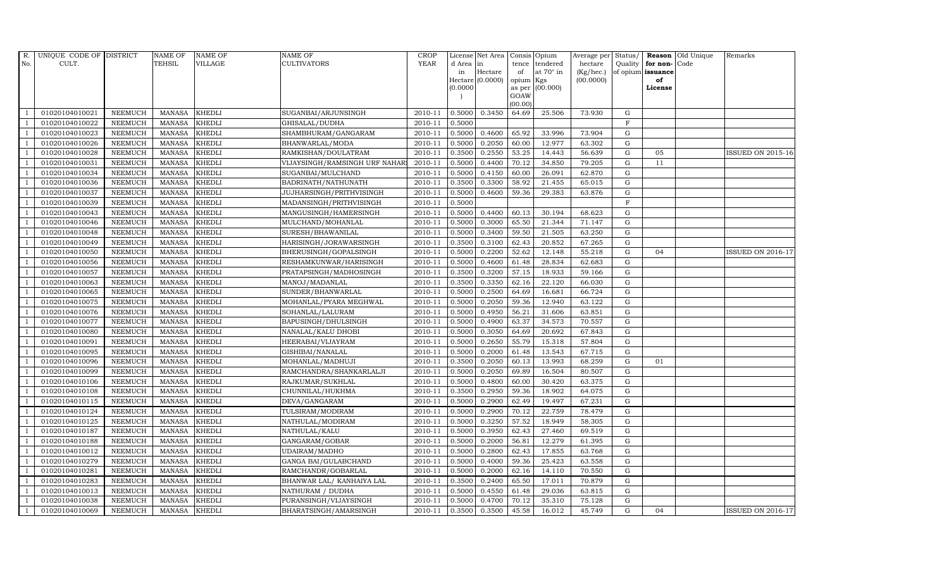| R.  | UNIQUE CODE OF DISTRICT |                | NAME OF       | <b>NAME OF</b> | <b>NAME OF</b>                  | CROP        |           | License Net Area Consis Opium |           |                  | Average per Status/ |             | Reason            | Old Unique | Remarks                  |
|-----|-------------------------|----------------|---------------|----------------|---------------------------------|-------------|-----------|-------------------------------|-----------|------------------|---------------------|-------------|-------------------|------------|--------------------------|
| No. | CULT.                   |                | TEHSIL        | <b>VILLAGE</b> | <b>CULTIVATORS</b>              | <b>YEAR</b> | d Area in |                               |           | tence tendered   | hectare             | Quality     | for non-          | Code       |                          |
|     |                         |                |               |                |                                 |             | in        | Hectare                       | of        | at $70^\circ$ in | $(Kg/$ hec. $)$     |             | of opium issuance |            |                          |
|     |                         |                |               |                |                                 |             | (0.0000)  | Hectare (0.0000)              | opium Kgs | as per (00.000)  | (00.0000)           |             | of<br>License     |            |                          |
|     |                         |                |               |                |                                 |             |           |                               | GOAW      |                  |                     |             |                   |            |                          |
|     |                         |                |               |                |                                 |             |           |                               | (00.00)   |                  |                     |             |                   |            |                          |
|     | 01020104010021          | <b>NEEMUCH</b> | <b>MANASA</b> | <b>KHEDLI</b>  | SUGANBAI/ARJUNSINGH             | 2010-11     | 0.5000    | 0.3450                        | 64.69     | 25.506           | 73.930              | ${\rm G}$   |                   |            |                          |
|     | 01020104010022          | <b>NEEMUCH</b> | <b>MANASA</b> | <b>KHEDLI</b>  | GHISALAL/DUDHA                  | 2010-11     | 0.5000    |                               |           |                  |                     | $\mathbf F$ |                   |            |                          |
|     | 01020104010023          | <b>NEEMUCH</b> | <b>MANASA</b> | <b>KHEDLI</b>  | SHAMBHURAM/GANGARAM             | 2010-11     | 0.5000    | 0.4600                        | 65.92     | 33.996           | 73.904              | G           |                   |            |                          |
|     | 01020104010026          | <b>NEEMUCH</b> | <b>MANASA</b> | <b>KHEDLI</b>  | BHANWARLAL/MODA                 | 2010-11     | 0.5000    | 0.2050                        | 60.00     | 12.977           | 63.302              | $\mathbf G$ |                   |            |                          |
|     | 01020104010028          | <b>NEEMUCH</b> | MANASA        | <b>KHEDLI</b>  | RAMKISHAN/DOULATRAM             | 2010-11     | 0.3500    | 0.2550                        | 53.25     | 14.443           | 56.639              | $\mathbf G$ | 05                |            | <b>ISSUED ON 2015-16</b> |
|     | 01020104010031          | <b>NEEMUCH</b> | <b>MANASA</b> | KHEDLI         | VIJAYSINGH/RAMSINGH URF NAHAR   | 2010-11     | 0.5000    | 0.4400                        | 70.12     | 34.850           | 79.205              | ${\rm G}$   | 11                |            |                          |
|     | 01020104010034          | <b>NEEMUCH</b> | <b>MANASA</b> | <b>KHEDLI</b>  | SUGANBAI/MULCHAND               | 2010-11     | 0.5000    | 0.4150                        | 60.00     | 26.091           | 62.870              | $\mathbf G$ |                   |            |                          |
|     | 01020104010036          | <b>NEEMUCH</b> | <b>MANASA</b> | <b>KHEDLI</b>  | BADRINATH/NATHUNATH             | 2010-11     | 0.3500    | 0.3300                        | 58.92     | 21.455           | 65.015              | G           |                   |            |                          |
|     | 01020104010037          | <b>NEEMUCH</b> | <b>MANASA</b> | KHEDLI         | <b>JUJHARSINGH/PRITHVISINGH</b> | 2010-11     | 0.5000    | 0.4600                        | 59.36     | 29.383           | 63.876              | $\mathbf G$ |                   |            |                          |
|     | 01020104010039          | <b>NEEMUCH</b> | <b>MANASA</b> | <b>KHEDLI</b>  | MADANSINGH/PRITHVISINGH         | 2010-11     | 0.5000    |                               |           |                  |                     | $\mathbf F$ |                   |            |                          |
|     | 01020104010043          | <b>NEEMUCH</b> | <b>MANASA</b> | <b>KHEDLI</b>  | MANGUSINGH/HAMERSINGH           | 2010-11     | 0.5000    | 0.4400                        | 60.13     | 30.194           | 68.623              | G           |                   |            |                          |
|     | 01020104010046          | <b>NEEMUCH</b> | <b>MANASA</b> | <b>KHEDLI</b>  | MULCHAND/MOHANLAL               | 2010-11     | 0.5000    | 0.3000                        | 65.50     | 21.344           | 71.147              | $\mathbf G$ |                   |            |                          |
|     | 01020104010048          | <b>NEEMUCH</b> | <b>MANASA</b> | <b>KHEDLI</b>  | SURESH/BHAWANILAL               | 2010-11     | 0.5000    | 0.3400                        | 59.50     | 21.505           | 63.250              | G           |                   |            |                          |
|     | 01020104010049          | <b>NEEMUCH</b> | <b>MANASA</b> | <b>KHEDLI</b>  | HARISINGH/JORAWARSINGH          | 2010-11     | 0.3500    | 0.3100                        | 62.43     | 20.852           | 67.265              | $\mathbf G$ |                   |            |                          |
|     | 01020104010050          | NEEMUCH        | <b>MANASA</b> | <b>KHEDLI</b>  | BHERUSINGH/GOPALSINGH           | 2010-11     | 0.5000    | 0.2200                        | 52.62     | 12.148           | 55.218              | $\mathbf G$ | 04                |            | <b>ISSUED ON 2016-17</b> |
|     | 01020104010056          | <b>NEEMUCH</b> | <b>MANASA</b> | <b>KHEDLI</b>  | RESHAMKUNWAR/HARISINGH          | 2010-11     | 0.5000    | 0.4600                        | 61.48     | 28.834           | 62.683              | $\mathbf G$ |                   |            |                          |
|     | 01020104010057          | <b>NEEMUCH</b> | <b>MANASA</b> | <b>KHEDLI</b>  | PRATAPSINGH/MADHOSINGH          | 2010-11     | 0.3500    | 0.3200                        | 57.15     | 18.933           | 59.166              | ${\rm G}$   |                   |            |                          |
|     | 01020104010063          | <b>NEEMUCH</b> | <b>MANASA</b> | <b>KHEDLI</b>  | MANOJ/MADANLAL                  | 2010-11     | 0.3500    | 0.3350                        | 62.16     | 22.120           | 66.030              | G           |                   |            |                          |
|     | 01020104010065          | <b>NEEMUCH</b> | <b>MANASA</b> | <b>KHEDLI</b>  | SUNDER/BHANWARLAL               | 2010-11     | 0.5000    | 0.2500                        | 64.69     | 16.681           | 66.724              | $\mathbf G$ |                   |            |                          |
|     | 01020104010075          | <b>NEEMUCH</b> | <b>MANASA</b> | <b>KHEDLI</b>  | MOHANLAL/PYARA MEGHWAL          | 2010-11     | 0.5000    | 0.2050                        | 59.36     | 12.940           | 63.122              | $\mathbf G$ |                   |            |                          |
|     | 01020104010076          | <b>NEEMUCH</b> | <b>MANASA</b> | <b>KHEDLI</b>  | SOHANLAL/LALURAM                | 2010-11     | 0.5000    | 0.4950                        | 56.21     | 31.606           | 63.851              | $\mathbf G$ |                   |            |                          |
|     | 01020104010077          | <b>NEEMUCH</b> | <b>MANASA</b> | <b>KHEDLI</b>  | BAPUSINGH/DHULSINGH             | 2010-11     | 0.5000    | 0.4900                        | 63.37     | 34.573           | 70.557              | ${\rm G}$   |                   |            |                          |
|     | 01020104010080          | NEEMUCH        | <b>MANASA</b> | <b>KHEDLI</b>  | NANALAL/KALU DHOBI              | 2010-11     | 0.5000    | 0.3050                        | 64.69     | 20.692           | 67.843              | $\mathbf G$ |                   |            |                          |
|     | 01020104010091          | <b>NEEMUCH</b> | <b>MANASA</b> | <b>KHEDLI</b>  | HEERABAI/VIJAYRAM               | 2010-11     | 0.5000    | 0.2650                        | 55.79     | 15.318           | 57.804              | $\mathbf G$ |                   |            |                          |
|     | 01020104010095          | <b>NEEMUCH</b> | <b>MANASA</b> | <b>KHEDLI</b>  | GISHIBAI/NANALAL                | 2010-11     | 0.5000    | 0.2000                        | 61.48     | 13.543           | 67.715              | $\mathbf G$ |                   |            |                          |
|     | 01020104010096          | <b>NEEMUCH</b> | <b>MANASA</b> | <b>KHEDLI</b>  | MOHANLAL/MADHUJI                | 2010-11     | 0.3500    | 0.2050                        | 60.13     | 13.993           | 68.259              | $\mathbf G$ | 01                |            |                          |
|     | 01020104010099          | <b>NEEMUCH</b> | <b>MANASA</b> | <b>KHEDLI</b>  | RAMCHANDRA/SHANKARLALJI         | 2010-11     | 0.5000    | 0.2050                        | 69.89     | 16.504           | 80.507              | $\mathbf G$ |                   |            |                          |
|     | 01020104010106          | <b>NEEMUCH</b> | <b>MANASA</b> | <b>KHEDLI</b>  | RAJKUMAR/SUKHLAL                | 2010-11     | 0.5000    | 0.4800                        | 60.00     | 30.420           | 63.375              | $\mathbf G$ |                   |            |                          |
|     | 01020104010108          | <b>NEEMUCH</b> | <b>MANASA</b> | <b>KHEDLI</b>  | CHUNNILAL/HUKHMA                | 2010-11     | 0.3500    | 0.2950                        | 59.36     | 18.902           | 64.075              | $\mathbf G$ |                   |            |                          |
|     | 01020104010115          | <b>NEEMUCH</b> | <b>MANASA</b> | <b>KHEDLI</b>  | DEVA/GANGARAM                   | 2010-11     | 0.5000    | 0.2900                        | 62.49     | 19.497           | 67.231              | $\mathbf G$ |                   |            |                          |
|     | 01020104010124          | <b>NEEMUCH</b> | <b>MANASA</b> | <b>KHEDLI</b>  | TULSIRAM/MODIRAM                | 2010-11     | 0.5000    | 0.2900                        | 70.12     | 22.759           | 78.479              | ${\rm G}$   |                   |            |                          |
|     | 01020104010125          | <b>NEEMUCH</b> | <b>MANASA</b> | <b>KHEDLI</b>  | NATHULAL/MODIRAM                | 2010-11     | 0.5000    | 0.3250                        | 57.52     | 18.949           | 58.305              | $\mathbf G$ |                   |            |                          |
|     | 01020104010187          | <b>NEEMUCH</b> | <b>MANASA</b> | <b>KHEDLI</b>  | NATHULAL/KALU                   | 2010-11     | 0.5000    | 0.3950                        | 62.43     | 27.460           | 69.519              | $\mathbf G$ |                   |            |                          |
|     | 01020104010188          | <b>NEEMUCH</b> | <b>MANASA</b> | <b>KHEDLI</b>  | GANGARAM/GOBAR                  | 2010-11     | 0.5000    | 0.2000                        | 56.81     | 12.279           | 61.395              | $\mathbf G$ |                   |            |                          |
|     | 01020104010012          | <b>NEEMUCH</b> | <b>MANASA</b> | KHEDLI         | UDAIRAM/MADHO                   | 2010-11     | 0.5000    | 0.2800                        | 62.43     | 17.855           | 63.768              | $\mathbf G$ |                   |            |                          |
|     | 01020104010279          | <b>NEEMUCH</b> | <b>MANASA</b> | KHEDLI         | GANGA BAI/GULABCHAND            | 2010-11     | 0.5000    | 0.4000                        | 59.36     | 25.423           | 63.558              | $\mathbf G$ |                   |            |                          |
|     | 01020104010281          | <b>NEEMUCH</b> | <b>MANASA</b> | <b>KHEDLI</b>  | RAMCHANDR/GOBARLAL              | 2010-11     | 0.5000    | 0.2000                        | 62.16     | 14.110           | 70.550              | ${\rm G}$   |                   |            |                          |
|     | 01020104010283          | <b>NEEMUCH</b> | <b>MANASA</b> | <b>KHEDLI</b>  | BHANWAR LAL/ KANHAIYA LAL       | 2010-11     | 0.3500    | 0.2400                        | 65.50     | 17.011           | 70.879              | $\mathbf G$ |                   |            |                          |
|     | 01020104010013          | <b>NEEMUCH</b> | <b>MANASA</b> | <b>KHEDLI</b>  | NATHURAM / DUDHA                | 2010-11     | 0.5000    | 0.4550                        | 61.48     | 29.036           | 63.815              | $\mathbf G$ |                   |            |                          |
|     | 01020104010038          | <b>NEEMUCH</b> | <b>MANASA</b> | <b>KHEDLI</b>  | PURANSINGH/VIJAYSINGH           | 2010-11     | 0.5000    | 0.4700                        | 70.12     | 35.310           | 75.128              | $\mathbf G$ |                   |            |                          |
|     | 01020104010069          | <b>NEEMUCH</b> | <b>MANASA</b> | <b>KHEDLI</b>  | BHARATSINGH/AMARSINGH           | 2010-11     | 0.3500    | 0.3500                        | 45.58     | 16.012           | 45.749              | G           | 04                |            | <b>ISSUED ON 2016-17</b> |
|     |                         |                |               |                |                                 |             |           |                               |           |                  |                     |             |                   |            |                          |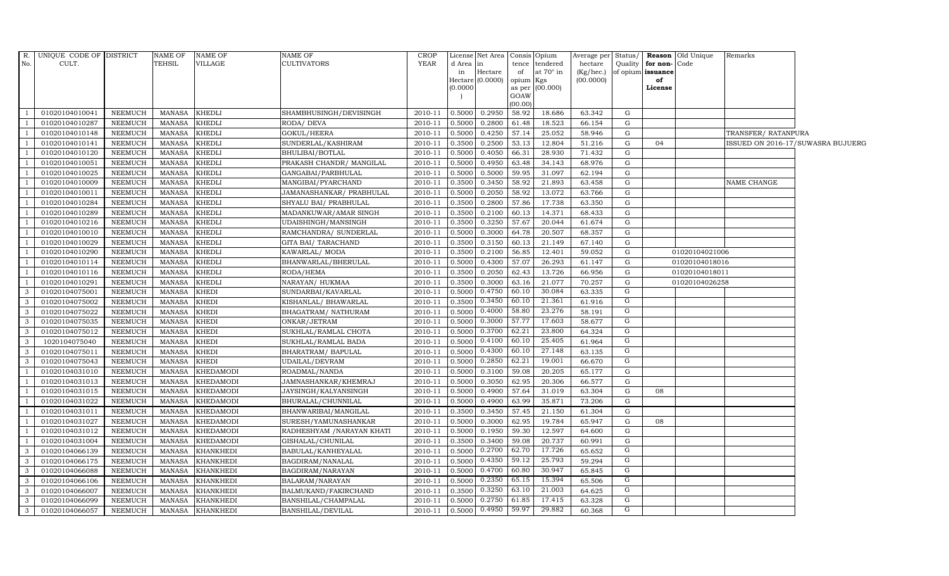| R.                      | UNIQUE CODE OF DISTRICT          |                                  | NAME OF                        | <b>NAME OF</b>                 | <b>NAME OF</b>                        | <b>CROP</b>        |                  | License Net Area              |                 | Consis Opium     | Average per Status/    |        |                         | <b>Reason</b> Old Unique | Remarks             |                                   |
|-------------------------|----------------------------------|----------------------------------|--------------------------------|--------------------------------|---------------------------------------|--------------------|------------------|-------------------------------|-----------------|------------------|------------------------|--------|-------------------------|--------------------------|---------------------|-----------------------------------|
| No.                     | CULT.                            |                                  | <b>TEHSIL</b>                  | VILLAGE                        | <b>CULTIVATORS</b>                    | YEAR               | d Area in        |                               |                 | tence tendered   | hectare                |        | Quality   for non- Code |                          |                     |                                   |
|                         |                                  |                                  |                                |                                |                                       |                    | in               | Hectare<br>Hectare $(0.0000)$ | of<br>opium Kgs | at $70^\circ$ in | (Kg/hec.)<br>(00.0000) |        | of opium issuance<br>of |                          |                     |                                   |
|                         |                                  |                                  |                                |                                |                                       |                    | (0.0000)         |                               |                 | as per (00.000)  |                        |        | License                 |                          |                     |                                   |
|                         |                                  |                                  |                                |                                |                                       |                    |                  |                               | GOAW            |                  |                        |        |                         |                          |                     |                                   |
|                         |                                  |                                  |                                |                                |                                       |                    |                  |                               | (00.00)         |                  |                        |        |                         |                          |                     |                                   |
| $\overline{1}$          | 01020104010041                   | NEEMUCH                          | MANASA                         | <b>KHEDLI</b>                  | SHAMBHUSINGH/DEVISINGH                | 2010-11            | 0.5000           | 0.2950                        | 58.92           | 18.686           | 63.342                 | G      |                         |                          |                     |                                   |
| - 1                     | 01020104010287                   | <b>NEEMUCH</b>                   | MANASA                         | <b>KHEDLI</b>                  | RODA/ DEVA                            | 2010-11            | 0.5000           | 0.2800                        | 61.48           | 18.523           | 66.154                 | G      |                         |                          |                     |                                   |
| $\overline{1}$          | 01020104010148                   | <b>NEEMUCH</b>                   | <b>MANASA</b>                  | <b>KHEDLI</b><br><b>KHEDLI</b> | GOKUL/HEERA                           | 2010-11            | 0.5000           | 0.4250<br>0.2500              | 57.14           | 25.052<br>12.804 | 58.946                 | G<br>G | 04                      |                          | TRANSFER/ RATANPURA |                                   |
| $\overline{1}$          | 01020104010141<br>01020104010120 | <b>NEEMUCH</b><br><b>NEEMUCH</b> | <b>MANASA</b><br><b>MANASA</b> | <b>KHEDLI</b>                  | SUNDERLAL/KASHIRAM<br>BHULIBAI/BOTLAL | 2010-11<br>2010-11 | 0.3500<br>0.5000 | 0.4050                        | 53.13<br>66.31  | 28.930           | 51.216<br>71.432       | G      |                         |                          |                     | ISSUED ON 2016-17/SUWASRA BUJUERG |
| $\overline{1}$          | 01020104010051                   | <b>NEEMUCH</b>                   | <b>MANASA</b>                  | KHEDLI                         | PRAKASH CHANDR/ MANGILAL              | 2010-11            | 0.5000           | 0.4950                        | 63.48           | 34.143           | 68.976                 | G      |                         |                          |                     |                                   |
| $\overline{1}$          | 01020104010025                   | <b>NEEMUCH</b>                   | <b>MANASA</b>                  | <b>KHEDLI</b>                  | GANGABAI/PARBHULAL                    | 2010-11            | 0.5000           | 0.5000                        | 59.95           | 31.097           | 62.194                 | G      |                         |                          |                     |                                   |
| $\overline{1}$          | 01020104010009                   | <b>NEEMUCH</b>                   | <b>MANASA</b>                  | <b>KHEDLI</b>                  | MANGIBAI/PYARCHAND                    | 2010-11            | 0.3500           | 0.3450                        | 58.92           | 21.893           | 63.458                 | G      |                         |                          | NAME CHANGE         |                                   |
|                         | 01020104010011                   | <b>NEEMUCH</b>                   | <b>MANASA</b>                  | <b>KHEDLI</b>                  | JAMANASHANKAR/ PRABHULAL              | 2010-11            | 0.5000           | 0.2050                        | 58.92           | 13.072           | 63.766                 | G      |                         |                          |                     |                                   |
| $\overline{1}$          | 01020104010284                   | <b>NEEMUCH</b>                   | <b>MANASA</b>                  | KHEDLI                         | SHYALU BAI / PRABHULAL                | 2010-11            | 0.3500           | 0.2800                        | 57.86           | 17.738           | 63.350                 | G      |                         |                          |                     |                                   |
| $\overline{1}$          | 01020104010289                   | NEEMUCH                          | <b>MANASA</b>                  | <b>KHEDLI</b>                  | MADANKUWAR/AMAR SINGH                 | 2010-11            | 0.3500           | 0.2100                        | 60.13           | 14.371           | 68.433                 | G      |                         |                          |                     |                                   |
| $\overline{1}$          | 01020104010216                   | <b>NEEMUCH</b>                   | <b>MANASA</b>                  | <b>KHEDLI</b>                  | UDAISHINGH/MANSINGH                   | 2010-11            | 0.3500           | 0.3250                        | 57.67           | 20.044           | 61.674                 | G      |                         |                          |                     |                                   |
| $\overline{1}$          | 01020104010010                   | NEEMUCH                          | MANASA                         | <b>KHEDLI</b>                  | RAMCHANDRA/ SUNDERLAL                 | 2010-11            | 0.5000           | 0.3000                        | 64.78           | 20.507           | 68.357                 | G      |                         |                          |                     |                                   |
|                         | 01020104010029                   | <b>NEEMUCH</b>                   | <b>MANASA</b>                  | <b>KHEDLI</b>                  | GITA BAI / TARACHAND                  | 2010-11            | 0.3500           | 0.3150                        | 60.13           | 21.149           | 67.140                 | G      |                         |                          |                     |                                   |
| $\overline{1}$          | 01020104010290                   | <b>NEEMUCH</b>                   | <b>MANASA</b>                  | <b>KHEDLI</b>                  | KAWARLAL/ MODA                        | 2010-11            | 0.3500           | 0.2100                        | 56.85           | 12.401           | 59.052                 | G      |                         | 01020104021006           |                     |                                   |
| $\mathbf{1}$            | 01020104010114                   | NEEMUCH                          | <b>MANASA</b>                  | <b>KHEDLI</b>                  | BHANWARLAL/BHERULAL                   | 2010-11            | 0.5000           | 0.4300                        | 57.07           | 26.293           | 61.147                 | G      |                         | 01020104018016           |                     |                                   |
| $\overline{1}$          | 01020104010116                   | NEEMUCH                          | <b>MANASA</b>                  | <b>KHEDLI</b>                  | RODA/HEMA                             | 2010-11            | 0.3500           | 0.2050                        | 62.43           | 13.726           | 66.956                 | G      |                         | 01020104018011           |                     |                                   |
| $\overline{1}$          | 01020104010291                   | <b>NEEMUCH</b>                   | MANASA                         | <b>KHEDLI</b>                  | NARAYAN/ HUKMAA                       | 2010-11            | 0.3500           | 0.3000                        | 63.16           | 21.077           | 70.257                 | G      |                         | 01020104026258           |                     |                                   |
| $\mathbf{3}$            | 01020104075001                   | <b>NEEMUCH</b>                   | <b>MANASA</b>                  | <b>KHEDI</b>                   | SUNDARBAI/KAVARLAL                    | 2010-11            | 0.5000           | 0.4750                        | 60.10           | 30.084           | 63.335                 | G      |                         |                          |                     |                                   |
| $\overline{3}$          | 01020104075002                   | <b>NEEMUCH</b>                   | <b>MANASA</b>                  | <b>KHEDI</b>                   | KISHANLAL/ BHAWARLAL                  | 2010-11            | 0.3500           | 0.3450                        | 60.10           | 21.361           | 61.916                 | G      |                         |                          |                     |                                   |
| $\mathbf{3}$            | 01020104075022                   | NEEMUCH                          | <b>MANASA</b>                  | <b>KHEDI</b>                   | BHAGATRAM/ NATHURAM                   | 2010-11            | 0.5000           | 0.4000                        | 58.80           | 23.276           | 58.191                 | G      |                         |                          |                     |                                   |
| $\mathbf{3}$            | 01020104075035                   | NEEMUCH                          | <b>MANASA</b>                  | <b>KHEDI</b>                   | ONKAR/JETRAM                          | 2010-11            | 0.5000           | 0.3000                        | 57.77           | 17.603           | 58.677                 | G      |                         |                          |                     |                                   |
| $\mathbf{3}$            | 01020104075012                   | <b>NEEMUCH</b>                   | <b>MANASA</b>                  | <b>KHEDI</b>                   | SUKHLAL/RAMLAL CHOTA                  | 2010-11            | 0.5000           | 0.3700                        | 62.21           | 23.800           | 64.324                 | G      |                         |                          |                     |                                   |
| $\mathbf{3}$            | 1020104075040                    | NEEMUCH                          | MANASA                         | <b>KHEDI</b>                   | SUKHLAL/RAMLAL BADA                   | 2010-11            | 0.5000           | 0.4100                        | 60.10           | 25.405           | 61.964                 | G      |                         |                          |                     |                                   |
| $\mathbf{3}$            | 01020104075011                   | <b>NEEMUCH</b>                   | <b>MANASA</b>                  | KHEDI                          | BHARATRAM / BAPULAL                   | 2010-11            | 0.5000           | 0.4300                        | 60.10           | 27.148           | 63.135                 | G      |                         |                          |                     |                                   |
| $\mathbf{3}$            | 01020104075043                   | <b>NEEMUCH</b>                   | <b>MANASA</b>                  | <b>KHEDI</b>                   | UDAILAL/DEVRAM                        | 2010-11            | 0.5000           | 0.2850                        | 62.21           | 19.001           | 66.670                 | G      |                         |                          |                     |                                   |
| $\overline{1}$          | 01020104031010                   | NEEMUCH                          | <b>MANASA</b>                  | <b>KHEDAMODI</b>               | ROADMAL/NANDA                         | 2010-11            | 0.5000           | 0.3100                        | 59.08           | 20.205           | 65.177                 | G      |                         |                          |                     |                                   |
| $\overline{1}$          | 01020104031013                   | <b>NEEMUCH</b>                   | MANASA                         | KHEDAMODI                      | JAMNASHANKAR/KHEMRAJ                  | 2010-11            | 0.5000           | 0.3050                        | 62.95           | 20.306           | 66.577                 | G      |                         |                          |                     |                                   |
| $\overline{1}$          | 01020104031015                   | <b>NEEMUCH</b>                   | <b>MANASA</b>                  | <b>KHEDAMODI</b>               | JAYSINGH/KALYANSINGH                  | 2010-11            | 0.5000           | 0.4900                        | 57.64           | 31.019           | 63.304                 | G      | 08                      |                          |                     |                                   |
| $\overline{1}$          | 01020104031022                   | <b>NEEMUCH</b>                   | <b>MANASA</b>                  | KHEDAMODI                      | BHURALAL/CHUNNILAL                    | 2010-11            | 0.5000           | 0.4900                        | 63.99           | 35.871           | 73.206                 | G      |                         |                          |                     |                                   |
| $\overline{1}$          | 01020104031011                   | <b>NEEMUCH</b>                   | <b>MANASA</b>                  | <b>KHEDAMODI</b>               | BHANWARIBAI/MANGILAL                  | 2010-11            | 0.3500           | 0.3450                        | 57.45           | 21.150           | 61.304                 | G      |                         |                          |                     |                                   |
| $\overline{1}$          | 01020104031027                   | <b>NEEMUCH</b>                   | <b>MANASA</b>                  | <b>KHEDAMODI</b>               | SURESH/YAMUNASHANKAR                  | 2010-11            | 0.5000           | 0.3000                        | 62.95           | 19.784           | 65.947                 | G      | 08                      |                          |                     |                                   |
| $\overline{1}$          | 01020104031012                   | <b>NEEMUCH</b>                   | <b>MANASA</b>                  | <b>KHEDAMODI</b>               | RADHESHYAM / NARAYAN KHATI            | 2010-11            | 0.5000           | 0.1950                        | 59.30           | 12.597           | 64.600                 | G      |                         |                          |                     |                                   |
| $\mathbf{1}$            | 01020104031004                   | <b>NEEMUCH</b>                   | MANASA                         | <b>KHEDAMODI</b>               | GISHALAL/CHUNILAL                     | 2010-11            | 0.3500           | 0.3400                        | 59.08           | 20.737           | 60.991                 | G      |                         |                          |                     |                                   |
| $\overline{\mathbf{3}}$ | 01020104066139                   | <b>NEEMUCH</b>                   | <b>MANASA</b>                  | <b>KHANKHEDI</b>               | BABULAL/KANHEYALAL                    | 2010-11            | 0.5000           | 0.2700                        | 62.70           | 17.726           | 65.652                 | G      |                         |                          |                     |                                   |
| $\mathbf{3}$            | 01020104066175                   | <b>NEEMUCH</b>                   | <b>MANASA</b>                  | <b>KHANKHEDI</b>               | BAGDIRAM/NANALAL                      | 2010-11            | 0.5000           | 0.4350                        | 59.12           | 25.793           | 59.294                 | G      |                         |                          |                     |                                   |
| $\mathbf{3}$            | 01020104066088                   | <b>NEEMUCH</b>                   | <b>MANASA</b>                  | <b>KHANKHEDI</b>               | BAGDIRAM/NARAYAN                      | 2010-11            | 0.5000           | 0.4700                        | 60.80           | 30.947           | 65.845                 | G      |                         |                          |                     |                                   |
| $\mathbf{3}$            | 01020104066106                   | <b>NEEMUCH</b>                   | <b>MANASA</b>                  | KHANKHEDI                      | BALARAM/NARAYAN                       | 2010-11            | 0.5000           | 0.2350                        | 65.15           | 15.394           | 65.506                 | G      |                         |                          |                     |                                   |
| $\mathbf{3}$            | 01020104066007                   | <b>NEEMUCH</b>                   | MANASA                         | <b>KHANKHEDI</b>               | BALMUKAND/FAKIRCHAND                  | 2010-11            | 0.3500           | 0.3250                        | 63.10           | 21.003           | 64.625                 | G      |                         |                          |                     |                                   |
| $\mathbf{3}$            | 01020104066099                   | <b>NEEMUCH</b>                   | <b>MANASA</b>                  | <b>KHANKHEDI</b>               | BANSHILAL/CHAMPALAL                   | 2010-11            | 0.5000           | 0.2750                        | 61.85           | 17.415           | 63.328                 | G      |                         |                          |                     |                                   |
| $\mathbf{3}$            | 01020104066057                   | NEEMUCH                          | MANASA                         | <b>KHANKHEDI</b>               | <b>BANSHILAL/DEVILAL</b>              | 2010-11            | 0.5000           | 0.4950                        | 59.97           | 29.882           | 60.368                 | G      |                         |                          |                     |                                   |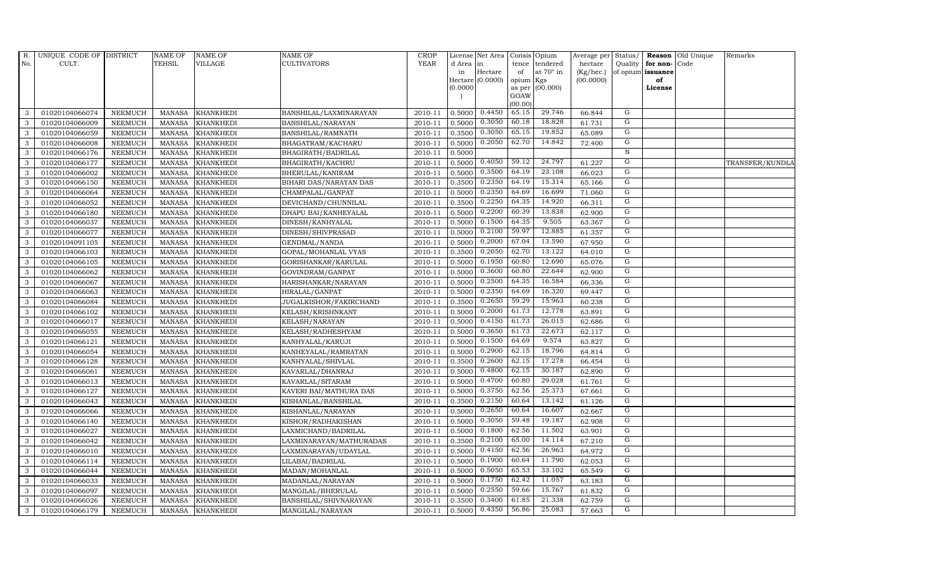| R.  | UNIQUE CODE OF DISTRICT |                | <b>NAME OF</b> | <b>NAME OF</b>   | <b>NAME OF</b>          | <b>CROP</b> |          | License Net Area   |           | Consis Opium    | Average per | Status/        | Reason            | Old Unique | Remarks         |
|-----|-------------------------|----------------|----------------|------------------|-------------------------|-------------|----------|--------------------|-----------|-----------------|-------------|----------------|-------------------|------------|-----------------|
| No. | CULT.                   |                | <b>TEHSIL</b>  | VILLAGE          | CULTIVATORS             | <b>YEAR</b> | d Area   | in                 | tence     | tendered        | hectare     | Quality        | for non-          | Code       |                 |
|     |                         |                |                |                  |                         |             | in       | Hectare            | of        | at 70° in       | (Kg/hec.)   |                | of opium issuance |            |                 |
|     |                         |                |                |                  |                         |             |          | $Hectare (0.0000)$ | opium Kgs |                 | (00.0000)   |                | of<br>License     |            |                 |
|     |                         |                |                |                  |                         |             | (0.0000) |                    | GOAW      | as per (00.000) |             |                |                   |            |                 |
|     |                         |                |                |                  |                         |             |          |                    | (00.00)   |                 |             |                |                   |            |                 |
| 3   | 01020104066074          | <b>NEEMUCH</b> | MANASA         | <b>KHANKHEDI</b> | BANSHILAL/LAXMINARAYAN  | 2010-11     | 0.5000   | 0.4450             | 65.15     | 29.746          | 66.844      | G              |                   |            |                 |
| 3   | 01020104066009          | <b>NEEMUCH</b> | <b>MANASA</b>  | <b>KHANKHEDI</b> | BANSHILAL/NARAYAN       | 2010-11     | 0.5000   | 0.3050             | 60.18     | 18.828          | 61.731      | G              |                   |            |                 |
| 3   | 01020104066059          | <b>NEEMUCH</b> | <b>MANASA</b>  | <b>KHANKHEDI</b> | BANSHILAL/RAMNATH       | 2010-11     | 0.3500   | 0.3050             | 65.15     | 19.852          | 65.089      | G              |                   |            |                 |
| 3   | 01020104066008          | <b>NEEMUCH</b> | <b>MANASA</b>  | <b>KHANKHEDI</b> | BHAGATRAM/KACHARU       | 2010-11     | 0.5000   | 0.2050             | 62.70     | 14.842          | 72.400      | G              |                   |            |                 |
| 3   | 01020104066176          | <b>NEEMUCH</b> | <b>MANASA</b>  | <b>KHANKHEDI</b> | BHAGIRATH/BADRILAL      | 2010-11     | 0.5000   |                    |           |                 |             | $\,$ N         |                   |            |                 |
| 3   | 01020104066177          | <b>NEEMUCH</b> | <b>MANASA</b>  | <b>KHANKHEDI</b> | BHAGIRATH/KACHRU        | 2010-11     | 0.5000   | 0.4050             | 59.12     | 24.797          | 61.227      | G              |                   |            | TRANSFER/KUNDLA |
| 3   | 01020104066002          | <b>NEEMUCH</b> | <b>MANASA</b>  | <b>KHANKHEDI</b> | BHERULAL/KANIRAM        | 2010-11     | 0.5000   | 0.3500             | 64.19     | 23.108          | 66.023      | G              |                   |            |                 |
| 3   | 01020104066150          | <b>NEEMUCH</b> | <b>MANASA</b>  | <b>KHANKHEDI</b> | BIHARI DAS/NARAYAN DAS  | 2010-11     | 0.3500   | 0.2350             | 64.19     | 15.314          | 65.166      | G              |                   |            |                 |
| 3   | 01020104066064          | <b>NEEMUCH</b> | <b>MANASA</b>  | <b>KHANKHEDI</b> | CHAMPALAL/GANPAT        | 2010-11     | 0.5000   | 0.2350             | 64.69     | 16.699          | 71.060      | G              |                   |            |                 |
| 3   | 01020104066052          | <b>NEEMUCH</b> | <b>MANASA</b>  | <b>KHANKHEDI</b> | DEVICHAND/CHUNNILAL     | 2010-11     | 0.3500   | 0.2250             | 64.35     | 14.920          | 66.311      | G              |                   |            |                 |
| 3   | 01020104066180          | <b>NEEMUCH</b> | <b>MANASA</b>  | <b>KHANKHEDI</b> | DHAPU BAI/KANHEYALAL    | 2010-11     | 0.5000   | 0.2200             | 60.39     | 13.838          | 62.900      | G              |                   |            |                 |
| 3   | 01020104066037          | <b>NEEMUCH</b> | <b>MANASA</b>  | <b>KHANKHEDI</b> | DINESH/KANHYALAL        | 2010-11     | 0.5000   | 0.1500             | 64.35     | 9.505           | 63.367      | G              |                   |            |                 |
| 3   | 01020104066077          | <b>NEEMUCH</b> | <b>MANASA</b>  | <b>KHANKHEDI</b> | DINESH/SHIVPRASAD       | 2010-11     | 0.5000   | 0.2100             | 59.97     | 12.885          | 61.357      | G              |                   |            |                 |
| 3   | 01020104091105          | <b>NEEMUCH</b> | <b>MANASA</b>  | <b>KHANKHEDI</b> | GENDMAL/NANDA           | 2010-11     | 0.5000   | 0.2000             | 67.04     | 13.590          | 67.950      | G              |                   |            |                 |
| 3   | 01020104066103          | <b>NEEMUCH</b> | <b>MANASA</b>  | <b>KHANKHEDI</b> | GOPAL/MOHANLAL VYAS     | 2010-11     | 0.3500   | 0.2050             | 62.70     | 13.122          | 64.010      | G              |                   |            |                 |
| 3   | 01020104066105          | <b>NEEMUCH</b> | <b>MANASA</b>  | <b>KHANKHEDI</b> | GORISHANKAR/KARULAL     | 2010-11     | 0.5000   | 0.1950             | 60.80     | 12.690          | 65.076      | G              |                   |            |                 |
| 3   | 01020104066062          | <b>NEEMUCH</b> | <b>MANASA</b>  | <b>KHANKHEDI</b> | GOVINDRAM/GANPAT        | 2010-11     | 0.5000   | 0.3600             | 60.80     | 22.644          | 62.900      | G              |                   |            |                 |
| 3   | 01020104066067          | <b>NEEMUCH</b> | <b>MANASA</b>  | <b>KHANKHEDI</b> | HARISHANKAR/NARAYAN     | 2010-11     | 0.5000   | 0.2500             | 64.35     | 16.584          | 66.336      | G              |                   |            |                 |
| 3   | 01020104066063          | <b>NEEMUCH</b> | <b>MANASA</b>  | <b>KHANKHEDI</b> | HIRALAL/GANPAT          | 2010-11     | 0.5000   | 0.2350             | 64.69     | 16.320          | 69.447      | G              |                   |            |                 |
| 3   | 01020104066084          | <b>NEEMUCH</b> | <b>MANASA</b>  | <b>KHANKHEDI</b> | JUGALKISHOR/FAKIRCHAND  | 2010-11     | 0.3500   | 0.2650             | 59.29     | 15.963          | 60.238      | $\mathbf G$    |                   |            |                 |
| 3   | 01020104066102          | <b>NEEMUCH</b> | <b>MANASA</b>  | <b>KHANKHEDI</b> | KELASH/KRISHNKANT       | 2010-11     | 0.5000   | 0.2000             | 61.73     | 12.778          | 63.891      | $\overline{G}$ |                   |            |                 |
| 3   | 01020104066017          | <b>NEEMUCH</b> | <b>MANASA</b>  | KHANKHEDI        | KELASH/NARAYAN          | 2010-11     | 0.5000   | 0.4150             | 61.73     | 26.015          | 62.686      | G              |                   |            |                 |
| 3   | 01020104066055          | <b>NEEMUCH</b> | <b>MANASA</b>  | <b>KHANKHEDI</b> | KELASH/RADHESHYAM       | 2010-11     | 0.5000   | 0.3650             | 61.73     | 22.673          | 62.117      | $\mathbf G$    |                   |            |                 |
| 3   | 01020104066121          | <b>NEEMUCH</b> | <b>MANASA</b>  | <b>KHANKHEDI</b> | KANHYALAL/KARUJI        | 2010-11     | 0.5000   | 0.1500             | 64.69     | 9.574           | 63.827      | $\overline{G}$ |                   |            |                 |
| 3   | 01020104066054          | <b>NEEMUCH</b> | <b>MANASA</b>  | <b>KHANKHEDI</b> | KANHEYALAL/RAMRATAN     | 2010-11     | 0.5000   | 0.2900             | 62.15     | 18.796          | 64.814      | G              |                   |            |                 |
| 3   | 01020104066128          | <b>NEEMUCH</b> | <b>MANASA</b>  | KHANKHEDI        | KANHYALAL/SHIVLAL       | 2010-11     | 0.3500   | 0.2600             | 62.15     | 17.278          | 66.454      | $\mathbf G$    |                   |            |                 |
| 3   | 01020104066061          | <b>NEEMUCH</b> | <b>MANASA</b>  | <b>KHANKHEDI</b> | KAVARLAL/DHANRAJ        | 2010-11     | 0.5000   | 0.4800             | 62.15     | 30.187          | 62.890      | G              |                   |            |                 |
| 3   | 01020104066013          | <b>NEEMUCH</b> | <b>MANASA</b>  | <b>KHANKHEDI</b> | KAVARLAL/SITARAM        | 2010-11     | 0.5000   | 0.4700             | 60.80     | 29.028          | 61.761      | G              |                   |            |                 |
| 3   | 01020104066127          | <b>NEEMUCH</b> | <b>MANASA</b>  | <b>KHANKHEDI</b> | KAVERI BAI/MATHURA DAS  | 2010-11     | 0.5000   | 0.3750             | 62.56     | 25.373          | 67.661      | G              |                   |            |                 |
| 3   | 01020104066043          | <b>NEEMUCH</b> | <b>MANASA</b>  | <b>KHANKHEDI</b> | KISHANLAL/BANSHILAL     | 2010-11     | 0.3500   | 0.2150             | 60.64     | 13.142          | 61.126      | G              |                   |            |                 |
| 3   | 01020104066066          | <b>NEEMUCH</b> | <b>MANASA</b>  | <b>KHANKHEDI</b> | KISHANLAL/NARAYAN       | 2010-11     | 0.5000   | 0.2650             | 60.64     | 16.607          | 62.667      | G              |                   |            |                 |
| 3   | 01020104066140          | <b>NEEMUCH</b> | <b>MANASA</b>  | <b>KHANKHEDI</b> | KISHOR/RADHAKISHAN      | 2010-11     | 0.5000   | 0.3050             | 59.48     | 19.187          | 62.908      | G              |                   |            |                 |
| 3   | 01020104066027          | NEEMUCH        | <b>MANASA</b>  | <b>KHANKHEDI</b> | LAXMICHAND/BADRILAL     | 2010-11     | 0.5000   | 0.1800             | 62.56     | 11.502          | 63.901      | G              |                   |            |                 |
| 3   | 01020104066042          | <b>NEEMUCH</b> | <b>MANASA</b>  | <b>KHANKHEDI</b> | LAXMINARAYAN/MATHURADAS | 2010-11     | 0.3500   | 0.2100             | 65.00     | 14.114          | 67.210      | G              |                   |            |                 |
| 3   | 01020104066010          | <b>NEEMUCH</b> | <b>MANASA</b>  | <b>KHANKHEDI</b> | LAXMINARAYAN/UDAYLAL    | 2010-11     | 0.5000   | 0.4150             | 62.56     | 26.963          | 64.972      | G              |                   |            |                 |
| 3   | 01020104066114          | <b>NEEMUCH</b> | <b>MANASA</b>  | <b>KHANKHEDI</b> | LILABAI/BADRILAL        | 2010-11     | 0.5000   | 0.1900             | 60.64     | 11.790          | 62.053      | G              |                   |            |                 |
| 3   | 01020104066044          | <b>NEEMUCH</b> | <b>MANASA</b>  | <b>KHANKHEDI</b> | MADAN/MOHANLAL          | 2010-11     | 0.5000   | 0.5050             | 65.53     | 33.102          | 65.549      | G              |                   |            |                 |
| 3   | 01020104066033          | NEEMUCH        | <b>MANASA</b>  | <b>KHANKHEDI</b> | MADANLAL/NARAYAN        | 2010-11     | 0.5000   | 0.1750             | 62.42     | 11.057          | 63.183      | G              |                   |            |                 |
| 3   | 01020104066097          | <b>NEEMUCH</b> | <b>MANASA</b>  | <b>KHANKHEDI</b> | MANGILAL/BHERULAL       | 2010-11     | 0.5000   | 0.2550             | 59.66     | 15.767          | 61.832      | G              |                   |            |                 |
| 3   | 01020104066026          | <b>NEEMUCH</b> | <b>MANASA</b>  | <b>KHANKHEDI</b> | BANSHILAL/SHIVNARAYAN   | 2010-11     | 0.3500   | 0.3400             | 61.85     | 21.338          | 62.759      | G              |                   |            |                 |
| 3   | 01020104066179          | <b>NEEMUCH</b> | MANASA         | <b>KHANKHEDI</b> | MANGILAL/NARAYAN        | 2010-11     | 0.5000   | 0.4350             | 56.86     | 25.083          | 57.663      | $\overline{G}$ |                   |            |                 |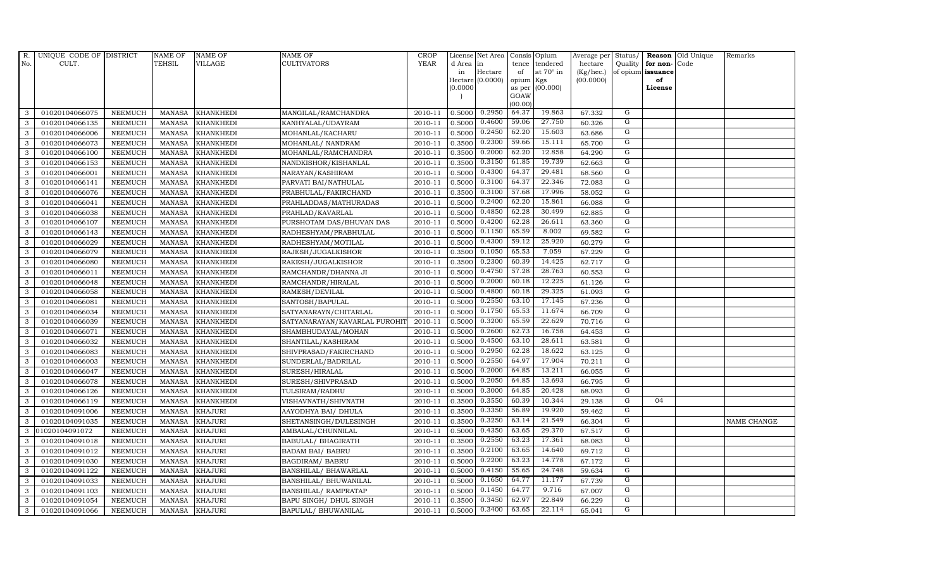| R.           | UNIQUE CODE OF DISTRICT |                | <b>NAME OF</b> | <b>NAME OF</b>   | <b>NAME OF</b>                | CROP        |           | License Net Area   Consis   Opium |           |                  | Average per | Status/        | Reason            | Old Unique | Remarks     |
|--------------|-------------------------|----------------|----------------|------------------|-------------------------------|-------------|-----------|-----------------------------------|-----------|------------------|-------------|----------------|-------------------|------------|-------------|
| No.          | CULT.                   |                | <b>TEHSIL</b>  | <b>VILLAGE</b>   | <b>CULTIVATORS</b>            | <b>YEAR</b> | d Area in |                                   |           | tence tendered   | hectare     | Quality        | for non-          | Code       |             |
|              |                         |                |                |                  |                               |             | in        | Hectare                           | of        | at $70^\circ$ in | (Kg/hec.)   |                | of opium issuance |            |             |
|              |                         |                |                |                  |                               |             |           | Hectare (0.0000)                  | opium Kgs |                  | (00.0000)   |                | of                |            |             |
|              |                         |                |                |                  |                               |             | (0.0000)  |                                   | GOAW      | as per (00.000)  |             |                | License           |            |             |
|              |                         |                |                |                  |                               |             |           |                                   | (00.00)   |                  |             |                |                   |            |             |
| 3            | 01020104066075          | <b>NEEMUCH</b> | MANASA         | <b>KHANKHEDI</b> | MANGILAL/RAMCHANDRA           | 2010-11     | 0.5000    | 0.2950                            | 64.37     | 19.863           | 67.332      | G              |                   |            |             |
| 3            | 01020104066135          | <b>NEEMUCH</b> | MANASA         | <b>KHANKHEDI</b> | KANHYALAL/UDAYRAM             | 2010-11     | 0.5000    | 0.4600                            | 59.06     | 27.750           | 60.326      | G              |                   |            |             |
| 3            | 01020104066006          | <b>NEEMUCH</b> | <b>MANASA</b>  | <b>KHANKHEDI</b> | MOHANLAL/KACHARU              | 2010-11     | 0.5000    | 0.2450                            | 62.20     | 15.603           | 63.686      | G              |                   |            |             |
| 3            | 01020104066073          | <b>NEEMUCH</b> | <b>MANASA</b>  | <b>KHANKHEDI</b> | MOHANLAL/ NANDRAM             | 2010-11     | 0.3500    | 0.2300                            | 59.66     | 15.111           | 65.700      | G              |                   |            |             |
| 3            | 01020104066100          | <b>NEEMUCH</b> | <b>MANASA</b>  | <b>KHANKHEDI</b> | MOHANLAL/RAMCHANDRA           | 2010-11     | 0.3500    | 0.2000                            | 62.20     | 12.858           | 64.290      | G              |                   |            |             |
| 3            | 01020104066153          | <b>NEEMUCH</b> | <b>MANASA</b>  | <b>KHANKHEDI</b> | NANDKISHOR/KISHANLAL          | 2010-11     | 0.3500    | 0.3150                            | 61.85     | 19.739           | 62.663      | G              |                   |            |             |
| 3            | 01020104066001          | <b>NEEMUCH</b> | <b>MANASA</b>  | <b>KHANKHEDI</b> | NARAYAN/KASHIRAM              | 2010-11     | 0.5000    | 0.4300                            | 64.37     | 29.481           | 68.560      | G              |                   |            |             |
| 3            | 01020104066141          | <b>NEEMUCH</b> | <b>MANASA</b>  | <b>KHANKHEDI</b> | PARVATI BAI/NATHULAL          | 2010-11     | 0.5000    | 0.3100                            | 64.37     | 22.346           | 72.083      | G              |                   |            |             |
| 3            | 01020104066076          | <b>NEEMUCH</b> | <b>MANASA</b>  | <b>KHANKHEDI</b> | PRABHULAL/FAKIRCHAND          | 2010-11     | 0.3500    | 0.3100                            | 57.68     | 17.996           | 58.052      | $\overline{G}$ |                   |            |             |
| 3            | 01020104066041          | <b>NEEMUCH</b> | <b>MANASA</b>  | <b>KHANKHEDI</b> | PRAHLADDAS/MATHURADAS         | 2010-11     | 0.5000    | 0.2400                            | 62.20     | 15.861           | 66.088      | G              |                   |            |             |
| 3            | 01020104066038          | <b>NEEMUCH</b> | <b>MANASA</b>  | <b>KHANKHEDI</b> | PRAHLAD/KAVARLAL              | 2010-11     | 0.5000    | 0.4850                            | 62.28     | 30.499           | 62.885      | G              |                   |            |             |
| 3            | 01020104066107          | <b>NEEMUCH</b> | MANASA         | <b>KHANKHEDI</b> | PURSHOTAM DAS/BHUVAN DAS      | 2010-11     | 0.5000    | 0.4200                            | 62.28     | 26.611           | 63.360      | G              |                   |            |             |
| 3            | 01020104066143          | <b>NEEMUCH</b> | MANASA         | <b>KHANKHEDI</b> | RADHESHYAM/PRABHULAL          | 2010-11     | 0.5000    | 0.1150                            | 65.59     | 8.002            | 69.582      | G              |                   |            |             |
| 3            | 01020104066029          | <b>NEEMUCH</b> | <b>MANASA</b>  | <b>KHANKHEDI</b> | RADHESHYAM/MOTILAL            | 2010-11     | 0.5000    | 0.4300                            | 59.12     | 25.920           | 60.279      | G              |                   |            |             |
| 3            | 01020104066079          | <b>NEEMUCH</b> | <b>MANASA</b>  | <b>KHANKHEDI</b> | RAJESH/JUGALKISHOR            | 2010-11     | 0.3500    | 0.1050                            | 65.53     | 7.059            | 67.229      | G              |                   |            |             |
| 3            | 01020104066080          | <b>NEEMUCH</b> | <b>MANASA</b>  | <b>KHANKHEDI</b> | RAKESH/JUGALKISHOR            | 2010-11     | 0.3500    | 0.2300                            | 60.39     | 14.425           | 62.717      | G              |                   |            |             |
| 3            | 01020104066011          | <b>NEEMUCH</b> | <b>MANASA</b>  | <b>KHANKHEDI</b> | RAMCHANDR/DHANNA JI           | 2010-11     | 0.5000    | 0.4750                            | 57.28     | 28.763           | 60.553      | G              |                   |            |             |
| 3            | 01020104066048          | <b>NEEMUCH</b> | <b>MANASA</b>  | <b>KHANKHEDI</b> | RAMCHANDR/HIRALAL             | 2010-11     | 0.5000    | 0.2000                            | 60.18     | 12.225           | 61.126      | G              |                   |            |             |
| 3            | 01020104066058          | <b>NEEMUCH</b> | <b>MANASA</b>  | <b>KHANKHEDI</b> | RAMESH/DEVILAL                | 2010-11     | 0.5000    | 0.4800                            | 60.18     | 29.325           | 61.093      | $\mathbf G$    |                   |            |             |
| 3            | 01020104066081          | <b>NEEMUCH</b> | <b>MANASA</b>  | <b>KHANKHEDI</b> | SANTOSH/BAPULAL               | 2010-11     | 0.5000    | 0.2550                            | 63.10     | 17.145           | 67.236      | G              |                   |            |             |
| 3            | 01020104066034          | <b>NEEMUCH</b> | <b>MANASA</b>  | <b>KHANKHEDI</b> | SATYANARAYN/CHITARLAL         | 2010-11     | 0.5000    | 0.1750                            | 65.53     | 11.674           | 66.709      | G              |                   |            |             |
| 3            | 01020104066039          | <b>NEEMUCH</b> | <b>MANASA</b>  | <b>KHANKHEDI</b> | SATYANARAYAN/KAVARLAL PUROHIT | 2010-11     | 0.5000    | 0.3200                            | 65.59     | 22.629           | 70.716      | G              |                   |            |             |
| 3            | 01020104066071          | <b>NEEMUCH</b> | <b>MANASA</b>  | <b>KHANKHEDI</b> | SHAMBHUDAYAL/MOHAN            | 2010-11     | 0.5000    | 0.2600                            | 62.73     | 16.758           | 64.453      | G              |                   |            |             |
| 3            | 01020104066032          | <b>NEEMUCH</b> | <b>MANASA</b>  | <b>KHANKHEDI</b> | SHANTILAL/KASHIRAM            | 2010-11     | 0.5000    | 0.4500                            | 63.10     | 28.611           | 63.581      | G              |                   |            |             |
| 3            | 01020104066083          | <b>NEEMUCH</b> | <b>MANASA</b>  | <b>KHANKHEDI</b> | SHIVPRASAD/FAKIRCHAND         | 2010-11     | 0.5000    | 0.2950                            | 62.28     | 18.622           | 63.125      | G              |                   |            |             |
| 3            | 01020104066003          | <b>NEEMUCH</b> | <b>MANASA</b>  | <b>KHANKHEDI</b> | SUNDERLAL/BADRILAL            | 2010-11     | 0.5000    | 0.2550                            | 64.97     | 17.904           | 70.211      | G              |                   |            |             |
| 3            | 01020104066047          | <b>NEEMUCH</b> | <b>MANASA</b>  | <b>KHANKHEDI</b> | SURESH/HIRALAL                | 2010-11     | 0.5000    | 0.2000                            | 64.85     | 13.211           | 66.055      | G              |                   |            |             |
| 3            | 01020104066078          | <b>NEEMUCH</b> | <b>MANASA</b>  | <b>KHANKHEDI</b> | SURESH/SHIVPRASAD             | 2010-11     | 0.5000    | 0.2050                            | 64.85     | 13.693           | 66.795      | G              |                   |            |             |
| 3            | 01020104066126          | <b>NEEMUCH</b> | <b>MANASA</b>  | <b>KHANKHEDI</b> | TULSIRAM/RADHU                | 2010-11     | 0.5000    | 0.3000                            | 64.85     | 20.428           | 68.093      | $\overline{G}$ |                   |            |             |
| 3            | 01020104066119          | <b>NEEMUCH</b> | <b>MANASA</b>  | <b>KHANKHEDI</b> | VISHAVNATH/SHIVNATH           | 2010-11     | 0.3500    | 0.3550                            | 60.39     | 10.344           | 29.138      | G              | 04                |            |             |
| 3            | 01020104091006          | <b>NEEMUCH</b> | <b>MANASA</b>  | <b>KHAJURI</b>   | AAYODHYA BAI/ DHULA           | 2010-11     | 0.3500    | 0.3350                            | 56.89     | 19.920           | 59.462      | G              |                   |            |             |
| 3            | 01020104091035          | <b>NEEMUCH</b> | <b>MANASA</b>  | <b>KHAJURI</b>   | SHETANSINGH/DULESINGH         | 2010-11     | 0.3500    | 0.3250                            | 63.14     | 21.549           | 66.304      | G              |                   |            | NAME CHANGE |
| 3            | 01020104091072          | <b>NEEMUCH</b> | <b>MANASA</b>  | <b>KHAJURI</b>   | AMBALAL/CHUNNILAL             | 2010-11     | 0.5000    | 0.4350                            | 63.65     | 29.370           | 67.517      | G              |                   |            |             |
| 3            | 01020104091018          | <b>NEEMUCH</b> | <b>MANASA</b>  | <b>KHAJURI</b>   | BABULAL/ BHAGIRATH            | 2010-11     | 0.3500    | 0.2550                            | 63.23     | 17.361           | 68.083      | G              |                   |            |             |
| 3            | 01020104091012          | <b>NEEMUCH</b> | <b>MANASA</b>  | <b>KHAJURI</b>   | <b>BADAM BAI/ BABRU</b>       | 2010-11     | 0.3500    | 0.2100                            | 63.65     | 14.640           | 69.712      | G              |                   |            |             |
| 3            | 01020104091030          | <b>NEEMUCH</b> | <b>MANASA</b>  | <b>KHAJURI</b>   | <b>BAGDIRAM/ BABRU</b>        | 2010-11     | 0.5000    | 0.2200                            | 63.23     | 14.778           | 67.172      | G              |                   |            |             |
| 3            | 01020104091122          | <b>NEEMUCH</b> | <b>MANASA</b>  | <b>KHAJURI</b>   | BANSHILAL/ BHAWARLAL          | 2010-11     | 0.5000    | 0.4150                            | 55.65     | 24.748           | 59.634      | G              |                   |            |             |
| $\mathbf{3}$ | 01020104091033          | <b>NEEMUCH</b> | <b>MANASA</b>  | <b>KHAJURI</b>   | BANSHILAL/ BHUWANILAL         | 2010-11     | 0.5000    | 0.1650                            | 64.77     | 11.177           | 67.739      | G              |                   |            |             |
| 3            | 01020104091103          | <b>NEEMUCH</b> | <b>MANASA</b>  | <b>KHAJURI</b>   | BANSHILAL/ RAMPRATAP          | 2010-11     | 0.5000    | 0.1450                            | 64.77     | 9.716            | 67.007      | G              |                   |            |             |
| 3            | 01020104091054          | <b>NEEMUCH</b> | <b>MANASA</b>  | <b>KHAJURI</b>   | BAPU SINGH/ DHUL SINGH        | 2010-11     | 0.3500    | 0.3450                            | 62.97     | 22.849           | 66.229      | G              |                   |            |             |
| $\mathbf{3}$ | 01020104091066          | <b>NEEMUCH</b> | MANASA KHAJURI |                  | BAPULAL/ BHUWANILAL           | 2010-11     | 0.5000    | 0.3400                            | 63.65     | 22.114           | 65.041      | G              |                   |            |             |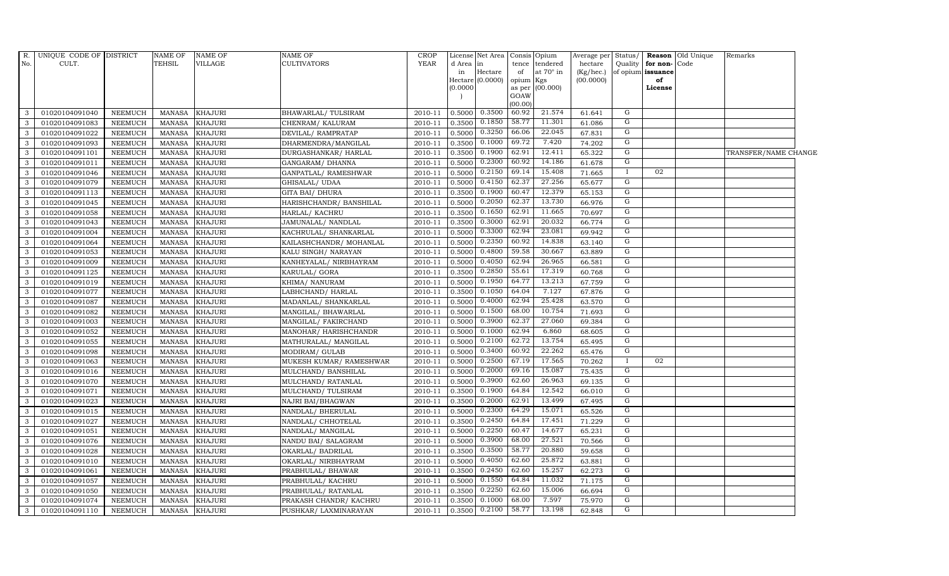|               | R. UNIQUE CODE OF DISTRICT |                | <b>NAME OF</b> | <b>NAME OF</b> | NAME OF                 | <b>CROP</b> |            | License Net Area Consis |                     | Opium            | Average per Status/ |                |                   | <b>Reason</b> Old Unique | Remarks              |  |
|---------------|----------------------------|----------------|----------------|----------------|-------------------------|-------------|------------|-------------------------|---------------------|------------------|---------------------|----------------|-------------------|--------------------------|----------------------|--|
| No.           | CULT.                      |                | <b>TEHSIL</b>  | <b>VILLAGE</b> | CULTIVATORS             | <b>YEAR</b> | d Area  in |                         | tence               | tendered         | hectare             | Quality        | for non-Code      |                          |                      |  |
|               |                            |                |                |                |                         |             | in         | Hectare                 | of                  | at $70^\circ$ in | $(Kg/$ hec. $)$     |                | of opium issuance |                          |                      |  |
|               |                            |                |                |                |                         |             | 00000(0)   | Hectare (0.0000)        | opium Kgs<br>as per | (00.000)         | (00.0000)           |                | of<br>License     |                          |                      |  |
|               |                            |                |                |                |                         |             |            |                         | GOAW                |                  |                     |                |                   |                          |                      |  |
|               |                            |                |                |                |                         |             |            |                         | (00.00)             |                  |                     |                |                   |                          |                      |  |
| 3             | 01020104091040             | NEEMUCH        | MANASA         | <b>KHAJURI</b> | BHAWARLAL/TULSIRAM      | 2010-11     | 0.5000     | 0.3500                  | 60.92               | 21.574           | 61.641              | G              |                   |                          |                      |  |
| 3             | 01020104091083             | NEEMUCH        | MANASA         | <b>KHAJURI</b> | CHENRAM/KALURAM         | 2010-11     | 0.3500     | 0.1850                  | 58.77               | 11.301           | 61.086              | G              |                   |                          |                      |  |
| 3             | 01020104091022             | <b>NEEMUCH</b> | MANASA         | <b>KHAJURI</b> | DEVILAL/RAMPRATAP       | 2010-11     | 0.5000     | 0.3250                  | 66.06               | 22.045           | 67.831              | G              |                   |                          |                      |  |
| 3             | 01020104091093             | <b>NEEMUCH</b> | <b>MANASA</b>  | <b>KHAJURI</b> | DHARMENDRA/MANGILAL     | 2010-11     | 0.3500     | 0.1000                  | 69.72               | 7.420            | 74.202              | G              |                   |                          |                      |  |
| 3             | 01020104091101             | <b>NEEMUCH</b> | MANASA         | <b>KHAJURI</b> | DURGASHANKAR/HARLAL     | 2010-11     | 0.3500     | 0.1900                  | 62.91               | 12.411           | 65.322              | G              |                   |                          | TRANSFER/NAME CHANGE |  |
| 3             | 01020104091011             | <b>NEEMUCH</b> | <b>MANASA</b>  | <b>KHAJURI</b> | GANGARAM/DHANNA         | 2010-11     | 0.5000     | 0.2300                  | 60.92               | 14.186           | 61.678              | G              |                   |                          |                      |  |
| 3             | 01020104091046             | NEEMUCH        | <b>MANASA</b>  | <b>KHAJURI</b> | GANPATLAL/RAMESHWAR     | 2010-11     | 0.5000     | 0.2150                  | 69.14               | 15.408           | 71.665              | $\bf{I}$       | 02                |                          |                      |  |
| 3             | 01020104091079             | <b>NEEMUCH</b> | <b>MANASA</b>  | <b>KHAJURI</b> | GHISALAL/UDAA           | 2010-11     | 0.5000     | 0.4150                  | 62.37               | 27.256           | 65.677              | G              |                   |                          |                      |  |
|               | 01020104091113             | <b>NEEMUCH</b> | <b>MANASA</b>  | <b>KHAJURI</b> | GITA BAI/ DHURA         | 2010-11     | 0.3500     | 0.1900                  | 60.47               | 12.379           | 65.153              | G              |                   |                          |                      |  |
| 3             | 01020104091045             | NEEMUCH        | <b>MANASA</b>  | <b>KHAJURI</b> | HARISHCHANDR/ BANSHILAL | 2010-11     | 0.5000     | 0.2050                  | 62.37               | 13.730           | 66.976              | G              |                   |                          |                      |  |
| 3             | 01020104091058             | <b>NEEMUCH</b> | <b>MANASA</b>  | <b>KHAJURI</b> | HARLAL/ KACHRU          | 2010-11     | 0.3500     | 0.1650                  | 62.91               | 11.665           | 70.697              | G              |                   |                          |                      |  |
| 3             | 01020104091043             | <b>NEEMUCH</b> | <b>MANASA</b>  | <b>KHAJURI</b> | JAMUNALAL/ NANDLAL      | 2010-11     | 0.3500     | 0.3000                  | 62.91               | 20.032           | 66.774              | G              |                   |                          |                      |  |
| 3             | 01020104091004             | NEEMUCH        | MANASA         | <b>KHAJURI</b> | KACHRULAL/ SHANKARLAL   | 2010-11     | 0.5000     | 0.3300                  | 62.94               | 23.081           | 69.942              | G              |                   |                          |                      |  |
| 3             | 01020104091064             | <b>NEEMUCH</b> | <b>MANASA</b>  | <b>KHAJURI</b> | KAILASHCHANDR/ MOHANLAL | 2010-11     | 0.5000     | 0.2350                  | 60.92               | 14.838           | 63.140              | G              |                   |                          |                      |  |
| 3             | 01020104091053             | <b>NEEMUCH</b> | <b>MANASA</b>  | <b>KHAJURI</b> | KALU SINGH/NARAYAN      | 2010-11     | 0.5000     | 0.4800                  | 59.58               | 30.667           | 63.889              | G              |                   |                          |                      |  |
| 3             | 01020104091009             | <b>NEEMUCH</b> | MANASA         | <b>KHAJURI</b> | KANHEYALAL/ NIRBHAYRAM  | 2010-11     | 0.5000     | 0.4050                  | 62.94               | 26.965           | 66.581              | $\overline{G}$ |                   |                          |                      |  |
| 3             | 01020104091125             | <b>NEEMUCH</b> | <b>MANASA</b>  | <b>KHAJURI</b> | KARULAL/ GORA           | 2010-11     | 0.3500     | 0.2850                  | 55.61               | 17.319           | 60.768              | G              |                   |                          |                      |  |
| 3             | 01020104091019             | NEEMUCH        | MANASA         | <b>KHAJURI</b> | KHIMA/NANURAM           | 2010-11     | 0.5000     | 0.1950                  | 64.77               | 13.213           | 67.759              | G              |                   |                          |                      |  |
| 3             | 01020104091077             | <b>NEEMUCH</b> | <b>MANASA</b>  | <b>KHAJURI</b> | LABHCHAND/HARLAL        | 2010-11     | 0.3500     | 0.1050                  | 64.04               | 7.127            | 67.876              | G              |                   |                          |                      |  |
| $\mathcal{A}$ | 01020104091087             | NEEMUCH        | <b>MANASA</b>  | KHAJURI        | MADANLAL/ SHANKARLAL    | 2010-11     | 0.5000     | 0.4000                  | 62.94               | 25.428           | 63.570              | G              |                   |                          |                      |  |
| 3             | 01020104091082             | <b>NEEMUCH</b> | <b>MANASA</b>  | <b>KHAJURI</b> | MANGILAL/BHAWARLAL      | 2010-11     | 0.5000     | 0.1500                  | 68.00               | 10.754           | 71.693              | G              |                   |                          |                      |  |
| 3             | 01020104091003             | <b>NEEMUCH</b> | <b>MANASA</b>  | <b>KHAJURI</b> | MANGILAL/FAKIRCHAND     | 2010-11     | 0.5000     | 0.3900                  | 62.37               | 27.060           | 69.384              | G              |                   |                          |                      |  |
| 3             | 01020104091052             | NEEMUCH        | <b>MANASA</b>  | <b>KHAJURI</b> | MANOHAR/HARISHCHANDR    | 2010-11     | 0.5000     | 0.1000                  | 62.94               | 6.860            | 68.605              | G              |                   |                          |                      |  |
| 3             | 01020104091055             | <b>NEEMUCH</b> | <b>MANASA</b>  | <b>KHAJURI</b> | MATHURALAL/ MANGILAL    | 2010-11     | 0.5000     | 0.2100                  | 62.72               | 13.754           | 65.495              | G              |                   |                          |                      |  |
| 3             | 01020104091098             | <b>NEEMUCH</b> | <b>MANASA</b>  | <b>KHAJURI</b> | MODIRAM/ GULAB          | 2010-11     | 0.5000     | 0.3400                  | 60.92               | 22.262           | 65.476              | G              |                   |                          |                      |  |
| 3             | 01020104091063             | <b>NEEMUCH</b> | MANASA         | <b>KHAJURI</b> | MUKESH KUMAR/ RAMESHWAR | 2010-11     | 0.5000     | 0.2500                  | 67.19               | 17.565           | 70.262              | $\bf{I}$       | 02                |                          |                      |  |
| 3             | 01020104091016             | <b>NEEMUCH</b> | <b>MANASA</b>  | <b>KHAJURI</b> | MULCHAND/ BANSHILAL     | 2010-11     | 0.5000     | 0.2000                  | 69.16               | 15.087           | 75.435              | G              |                   |                          |                      |  |
| 3             | 01020104091070             | <b>NEEMUCH</b> | <b>MANASA</b>  | <b>KHAJURI</b> | MULCHAND/RATANLAL       | 2010-11     | 0.5000     | 0.3900                  | 62.60               | 26.963           | 69.135              | G              |                   |                          |                      |  |
| 3             | 01020104091071             | <b>NEEMUCH</b> | <b>MANASA</b>  | <b>KHAJURI</b> | MULCHAND/ TULSIRAM      | 2010-11     | 0.3500     | 0.1900                  | 64.84               | 12.542           | 66.010              | G              |                   |                          |                      |  |
| 3             | 01020104091023             | <b>NEEMUCH</b> | <b>MANASA</b>  | <b>KHAJURI</b> | NAJRI BAI/BHAGWAN       | 2010-11     | 0.3500     | 0.2000                  | 62.91               | 13.499           | 67.495              | G              |                   |                          |                      |  |
| 3             | 01020104091015             | <b>NEEMUCH</b> | <b>MANASA</b>  | <b>KHAJURI</b> | NANDLAL/BHERULAL        | 2010-11     | 0.5000     | 0.2300                  | 64.29               | 15.071           | 65.526              | G              |                   |                          |                      |  |
| 3             | 01020104091027             | <b>NEEMUCH</b> | <b>MANASA</b>  | <b>KHAJURI</b> | NANDLAL/ CHHOTELAL      | 2010-11     | 0.3500     | 0.2450                  | 64.84               | 17.451           | 71.229              | G              |                   |                          |                      |  |
| 3             | 01020104091051             | NEEMUCH        | <b>MANASA</b>  | <b>KHAJURI</b> | NANDLAL/MANGILAL        | 2010-11     | 0.5000     | 0.2250                  | 60.47               | 14.677           | 65.231              | G              |                   |                          |                      |  |
| 3             | 01020104091076             | <b>NEEMUCH</b> | <b>MANASA</b>  | <b>KHAJURI</b> | NANDU BAI/ SALAGRAM     | 2010-11     | 0.5000     | 0.3900                  | 68.00               | 27.521           | 70.566              | $\overline{G}$ |                   |                          |                      |  |
| 3             | 01020104091028             | <b>NEEMUCH</b> | <b>MANASA</b>  | <b>KHAJURI</b> | OKARLAL/ BADRILAL       | 2010-11     | 0.3500     | 0.3500                  | 58.77               | 20.880           | 59.658              | G              |                   |                          |                      |  |
| 3             | 01020104091010             | NEEMUCH        | MANASA         | <b>KHAJURI</b> | OKARLAL/NIRBHAYRAM      | 2010-11     | 0.5000     | 0.4050                  | 62.60               | 25.872           | 63.881              | G              |                   |                          |                      |  |
| 3             | 01020104091061             | <b>NEEMUCH</b> | <b>MANASA</b>  | <b>KHAJURI</b> | PRABHULAL/ BHAWAR       | 2010-11     | 0.3500     | 0.2450                  | 62.60               | 15.257           | 62.273              | G              |                   |                          |                      |  |
| 3             | 01020104091057             | <b>NEEMUCH</b> | <b>MANASA</b>  | KHAJURI        | PRABHULAL/ KACHRU       | 2010-11     | 0.5000     | 0.1550                  | 64.84               | 11.032           | 71.175              | G              |                   |                          |                      |  |
| 3             | 01020104091050             | <b>NEEMUCH</b> | <b>MANASA</b>  | <b>KHAJURI</b> | PRABHULAL/ RATANLAL     | 2010-11     | 0.3500     | 0.2250                  | 62.60               | 15.006           | 66.694              | G              |                   |                          |                      |  |
| 3             | 01020104091074             | <b>NEEMUCH</b> | <b>MANASA</b>  | <b>KHAJURI</b> | PRAKASH CHANDR/ KACHRU  | 2010-11     | 0.3500     | 0.1000                  | 68.00               | 7.597            | 75.970              | G              |                   |                          |                      |  |
| 3             | 01020104091110             | NEEMUCH        | MANASA         | <b>KHAJURI</b> | PUSHKAR/ LAXMINARAYAN   | 2010-11     | 0.3500     | 0.2100                  | 58.77               | 13.198           | 62.848              | G              |                   |                          |                      |  |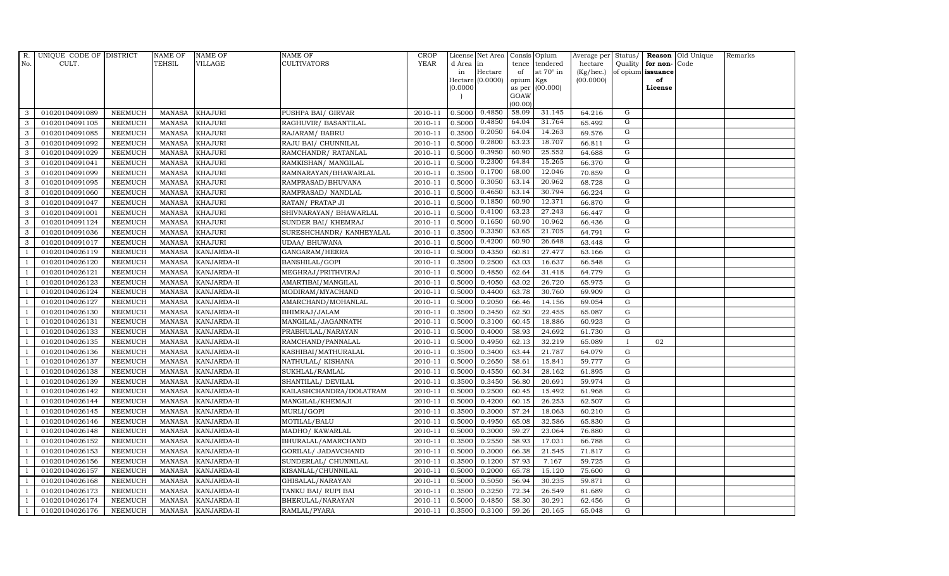| R.             | UNIQUE CODE OF DISTRICT |                | <b>NAME OF</b> | <b>NAME OF</b>     | <b>NAME OF</b>           | CROP        |           | License Net Area   Consis   Opium |           |                  | Average per Status/ |                |                   | <b>Reason</b> Old Unique | Remarks |
|----------------|-------------------------|----------------|----------------|--------------------|--------------------------|-------------|-----------|-----------------------------------|-----------|------------------|---------------------|----------------|-------------------|--------------------------|---------|
| No.            | CULT.                   |                | <b>TEHSIL</b>  | <b>VILLAGE</b>     | <b>CULTIVATORS</b>       | <b>YEAR</b> | d Area in |                                   |           | tence tendered   | hectare             | Quality        | for non-          | Code                     |         |
|                |                         |                |                |                    |                          |             | in        | Hectare                           | of        | at $70^\circ$ in | (Kg/hec.)           |                | of opium issuance |                          |         |
|                |                         |                |                |                    |                          |             |           | Hectare (0.0000)                  | opium Kgs |                  | (00.0000)           |                | of                |                          |         |
|                |                         |                |                |                    |                          |             | (0.0000)  |                                   | GOAW      | as per (00.000)  |                     |                | License           |                          |         |
|                |                         |                |                |                    |                          |             |           |                                   | (00.00)   |                  |                     |                |                   |                          |         |
| 3              | 01020104091089          | <b>NEEMUCH</b> | MANASA         | <b>KHAJURI</b>     | PUSHPA BAI/ GIRVAR       | 2010-11     | 0.5000    | 0.4850                            | 58.09     | 31.145           | 64.216              | G              |                   |                          |         |
| 3              | 01020104091105          | <b>NEEMUCH</b> | MANASA         | <b>KHAJURI</b>     | RAGHUVIR/ BASANTILAL     | 2010-11     | 0.5000    | 0.4850                            | 64.04     | 31.764           | 65.492              | G              |                   |                          |         |
| 3              | 01020104091085          | <b>NEEMUCH</b> | <b>MANASA</b>  | <b>KHAJURI</b>     | RAJARAM / BABRU          | 2010-11     | 0.3500    | 0.2050                            | 64.04     | 14.263           | 69.576              | G              |                   |                          |         |
| 3              | 01020104091092          | <b>NEEMUCH</b> | <b>MANASA</b>  | <b>KHAJURI</b>     | RAJU BAI/ CHUNNILAL      | 2010-11     | 0.5000    | 0.2800                            | 63.23     | 18.707           | 66.811              | G              |                   |                          |         |
| 3              | 01020104091029          | <b>NEEMUCH</b> | <b>MANASA</b>  | <b>KHAJURI</b>     | RAMCHANDR/ RATANLAL      | 2010-11     | 0.5000    | 0.3950                            | 60.90     | 25.552           | 64.688              | G              |                   |                          |         |
| $\mathbf{3}$   | 01020104091041          | <b>NEEMUCH</b> | MANASA         | <b>KHAJURI</b>     | RAMKISHAN/ MANGILAL      | 2010-11     | 0.5000    | 0.2300                            | 64.84     | 15.265           | 66.370              | G              |                   |                          |         |
| 3              | 01020104091099          | <b>NEEMUCH</b> | <b>MANASA</b>  | <b>KHAJURI</b>     | RAMNARAYAN/BHAWARLAL     | 2010-11     | 0.3500    | 0.1700                            | 68.00     | 12.046           | 70.859              | G              |                   |                          |         |
| 3              | 01020104091095          | <b>NEEMUCH</b> | <b>MANASA</b>  | <b>KHAJURI</b>     | RAMPRASAD/BHUVANA        | 2010-11     | 0.5000    | 0.3050                            | 63.14     | 20.962           | 68.728              | G              |                   |                          |         |
| 3              | 01020104091060          | <b>NEEMUCH</b> | <b>MANASA</b>  | <b>KHAJURI</b>     | RAMPRASAD/ NANDLAL       | 2010-11     | 0.5000    | 0.4650                            | 63.14     | 30.794           | 66.224              | $\overline{G}$ |                   |                          |         |
| 3              | 01020104091047          | <b>NEEMUCH</b> | <b>MANASA</b>  | <b>KHAJURI</b>     | RATAN/ PRATAP JI         | 2010-11     | 0.5000    | 0.1850                            | 60.90     | 12.371           | 66.870              | G              |                   |                          |         |
| 3              | 01020104091001          | <b>NEEMUCH</b> | <b>MANASA</b>  | <b>KHAJURI</b>     | SHIVNARAYAN / BHAWARLAL  | 2010-11     | 0.5000    | 0.4100                            | 63.23     | 27.243           | 66.447              | G              |                   |                          |         |
| 3              | 01020104091124          | <b>NEEMUCH</b> | <b>MANASA</b>  | <b>KHAJURI</b>     | SUNDER BAI/ KHEMRAJ      | 2010-11     | 0.5000    | 0.1650                            | 60.90     | 10.962           | 66.436              | G              |                   |                          |         |
| 3              | 01020104091036          | <b>NEEMUCH</b> | <b>MANASA</b>  | <b>KHAJURI</b>     | SURESHCHANDR/ KANHEYALAL | 2010-11     | 0.3500    | 0.3350                            | 63.65     | 21.705           | 64.791              | G              |                   |                          |         |
| 3              | 01020104091017          | <b>NEEMUCH</b> | MANASA         | <b>KHAJURI</b>     | <b>UDAA/ BHUWANA</b>     | 2010-11     | 0.5000    | 0.4200                            | 60.90     | 26.648           | 63.448              | G              |                   |                          |         |
| $\overline{1}$ | 01020104026119          | <b>NEEMUCH</b> | <b>MANASA</b>  | KANJARDA-II        | GANGARAM/HEERA           | 2010-11     | 0.5000    | 0.4350                            | 60.81     | 27.477           | 63.166              | G              |                   |                          |         |
| -1             | 01020104026120          | <b>NEEMUCH</b> | <b>MANASA</b>  | KANJARDA-II        | BANSHILAL/GOPI           | 2010-11     | 0.3500    | 0.2500                            | 63.03     | 16.637           | 66.548              | ${\rm G}$      |                   |                          |         |
|                | 01020104026121          | <b>NEEMUCH</b> | MANASA         | KANJARDA-II        | MEGHRAJ/PRITHVIRAJ       | 2010-11     | 0.5000    | 0.4850                            | 62.64     | 31.418           | 64.779              | $\mathbf G$    |                   |                          |         |
| $\overline{1}$ | 01020104026123          | <b>NEEMUCH</b> | MANASA         | KANJARDA-II        | AMARTIBAI/MANGILAL       | 2010-11     | 0.5000    | 0.4050                            | 63.02     | 26.720           | 65.975              | G              |                   |                          |         |
|                | 01020104026124          | <b>NEEMUCH</b> | MANASA         | KANJARDA-II        | MODIRAM/MYACHAND         | 2010-11     | 0.5000    | 0.4400                            | 63.78     | 30.760           | 69.909              | $\mathbf G$    |                   |                          |         |
|                | 01020104026127          | <b>NEEMUCH</b> | <b>MANASA</b>  | KANJARDA-II        | AMARCHAND/MOHANLAL       | 2010-11     | 0.5000    | 0.2050                            | 66.46     | 14.156           | 69.054              | G              |                   |                          |         |
| -1             | 01020104026130          | <b>NEEMUCH</b> | <b>MANASA</b>  | KANJARDA-II        | BHIMRAJ/JALAM            | 2010-11     | 0.3500    | 0.3450                            | 62.50     | 22.455           | 65.087              | G              |                   |                          |         |
|                | 01020104026131          | <b>NEEMUCH</b> | <b>MANASA</b>  | KANJARDA-II        | MANGILAL/JAGANNATH       | 2010-11     | 0.5000    | 0.3100                            | 60.45     | 18.886           | 60.923              | ${\rm G}$      |                   |                          |         |
| $\overline{1}$ | 01020104026133          | <b>NEEMUCH</b> | MANASA         | <b>KANJARDA-II</b> | PRABHULAL/NARAYAN        | 2010-11     | 0.5000    | 0.4000                            | 58.93     | 24.692           | 61.730              | G              |                   |                          |         |
|                | 01020104026135          | <b>NEEMUCH</b> | <b>MANASA</b>  | KANJARDA-II        | RAMCHAND/PANNALAL        | 2010-11     | 0.5000    | 0.4950                            | 62.13     | 32.219           | 65.089              | $\mathbf{I}$   | 02                |                          |         |
|                | 01020104026136          | <b>NEEMUCH</b> | <b>MANASA</b>  | KANJARDA-II        | KASHIBAI/MATHURALAL      | 2010-11     | 0.3500    | 0.3400                            | 63.44     | 21.787           | 64.079              | $\mathbf G$    |                   |                          |         |
| -1             | 01020104026137          | <b>NEEMUCH</b> | <b>MANASA</b>  | KANJARDA-II        | NATHULAL/KISHANA         | 2010-11     | 0.5000    | 0.2650                            | 58.61     | 15.841           | 59.777              | G              |                   |                          |         |
| $\overline{1}$ | 01020104026138          | <b>NEEMUCH</b> | <b>MANASA</b>  | KANJARDA-II        | SUKHLAL/RAMLAL           | 2010-11     | 0.5000    | 0.4550                            | 60.34     | 28.162           | 61.895              | ${\rm G}$      |                   |                          |         |
| $\overline{1}$ | 01020104026139          | <b>NEEMUCH</b> | MANASA         | KANJARDA-II        | SHANTILAL/ DEVILAL       | 2010-11     | 0.3500    | 0.3450                            | 56.80     | 20.691           | 59.974              | G              |                   |                          |         |
| $\overline{1}$ | 01020104026142          | <b>NEEMUCH</b> | <b>MANASA</b>  | KANJARDA-II        | KAILASHCHANDRA/DOLATRAM  | 2010-11     | 0.5000    | 0.2500                            | 60.45     | 15.492           | 61.968              | $\mathbf G$    |                   |                          |         |
|                | 01020104026144          | <b>NEEMUCH</b> | <b>MANASA</b>  | KANJARDA-II        | MANGILAL/KHEMAJI         | 2010-11     | 0.5000    | 0.4200                            | 60.15     | 26.253           | 62.507              | G              |                   |                          |         |
| -1             | 01020104026145          | <b>NEEMUCH</b> | <b>MANASA</b>  | KANJARDA-II        | MURLI/GOPI               | 2010-11     | 0.3500    | 0.3000                            | 57.24     | 18.063           | 60.210              | G              |                   |                          |         |
|                | 01020104026146          | <b>NEEMUCH</b> | MANASA         | KANJARDA-II        | MOTILAL/BALU             | 2010-11     | 0.5000    | 0.4950                            | 65.08     | 32.586           | 65.830              | ${\rm G}$      |                   |                          |         |
| $\overline{1}$ | 01020104026148          | <b>NEEMUCH</b> | MANASA         | KANJARDA-II        | MADHO/ KAWARLAL          | 2010-11     | 0.5000    | 0.3000                            | 59.27     | 23.064           | 76.880              | $\mathbf G$    |                   |                          |         |
| $\overline{1}$ | 01020104026152          | <b>NEEMUCH</b> | <b>MANASA</b>  | KANJARDA-II        | BHURALAL/AMARCHAND       | 2010-11     | 0.3500    | 0.2550                            | 58.93     | 17.031           | 66.788              | $\mathbf G$    |                   |                          |         |
|                | 01020104026153          | <b>NEEMUCH</b> | <b>MANASA</b>  | KANJARDA-II        | GORILAL/ JADAVCHAND      | 2010-11     | 0.5000    | 0.3000                            | 66.38     | 21.545           | 71.817              | $\mathbf G$    |                   |                          |         |
| $\overline{1}$ | 01020104026156          | <b>NEEMUCH</b> | <b>MANASA</b>  | KANJARDA-II        | SUNDERLAL/ CHUNNILAL     | 2010-11     | 0.3500    | 0.1200                            | 57.93     | 7.167            | 59.725              | ${\rm G}$      |                   |                          |         |
|                | 01020104026157          | <b>NEEMUCH</b> | <b>MANASA</b>  | KANJARDA-II        | KISANLAL/CHUNNILAL       | 2010-11     | 0.5000    | 0.2000                            | 65.78     | 15.120           | 75.600              | ${\rm G}$      |                   |                          |         |
| $\overline{1}$ | 01020104026168          | <b>NEEMUCH</b> | MANASA         | KANJARDA-II        | GHISALAL/NARAYAN         | 2010-11     | 0.5000    | 0.5050                            | 56.94     | 30.235           | 59.871              | $\mathbf G$    |                   |                          |         |
| $\overline{1}$ | 01020104026173          | <b>NEEMUCH</b> | <b>MANASA</b>  | KANJARDA-II        | TANKU BAI/RUPI BAI       | 2010-11     | 0.3500    | 0.3250                            | 72.34     | 26.549           | 81.689              | G              |                   |                          |         |
|                | 01020104026174          | <b>NEEMUCH</b> | <b>MANASA</b>  | KANJARDA-II        | BHERULAL/NARAYAN         | 2010-11     | 0.5000    | 0.4850                            | 58.30     | 30.291           | 62.456              | $\mathbf G$    |                   |                          |         |
| $\mathbf{1}$   | 01020104026176          | <b>NEEMUCH</b> |                | MANASA KANJARDA-II | RAMLAL/PYARA             | 2010-11     | 0.3500    | 0.3100                            | 59.26     | 20.165           | 65.048              | G              |                   |                          |         |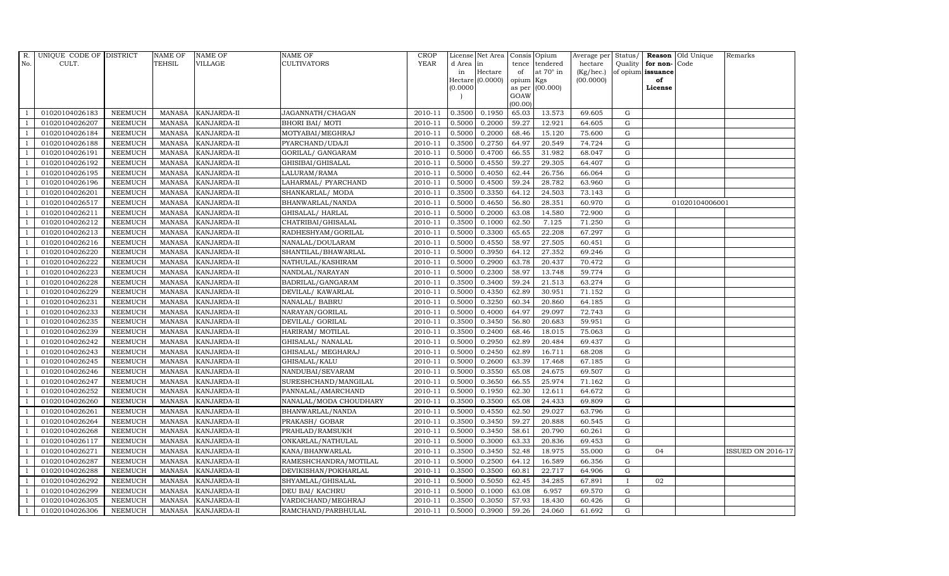| R.             | UNIQUE CODE OF DISTRICT |                | <b>NAME OF</b>  | <b>NAME OF</b>     | <b>NAME OF</b>         | CROP    |           | License Net Area   Consis   Opium |           |                  | Average per Status/ |              |                   | <b>Reason</b> Old Unique | Remarks                  |
|----------------|-------------------------|----------------|-----------------|--------------------|------------------------|---------|-----------|-----------------------------------|-----------|------------------|---------------------|--------------|-------------------|--------------------------|--------------------------|
| No.            | CULT.                   |                | <b>TEHSIL</b>   | <b>VILLAGE</b>     | <b>CULTIVATORS</b>     | YEAR    | d Area in |                                   |           | tence tendered   | hectare             | Quality      | for non-          | Code                     |                          |
|                |                         |                |                 |                    |                        |         | in        | Hectare                           | of        | at $70^\circ$ in | (Kg/hec.)           |              | of opium issuance |                          |                          |
|                |                         |                |                 |                    |                        |         |           | Hectare (0.0000)                  | opium Kgs |                  | (00.0000)           |              | of                |                          |                          |
|                |                         |                |                 |                    |                        |         | (0.0000)  |                                   | GOAW      | as per (00.000)  |                     |              | License           |                          |                          |
|                |                         |                |                 |                    |                        |         |           |                                   | (00.00)   |                  |                     |              |                   |                          |                          |
|                | 01020104026183          | <b>NEEMUCH</b> | MANASA          | <b>KANJARDA-II</b> | JAGANNATH/CHAGAN       | 2010-11 | 0.3500    | 0.1950                            | 65.03     | 13.573           | 69.605              | G            |                   |                          |                          |
| -1             | 01020104026207          | <b>NEEMUCH</b> | MANASA          | <b>KANJARDA-II</b> | <b>BHORI BAI/ MOTI</b> | 2010-11 | 0.5000    | 0.2000                            | 59.27     | 12.921           | 64.605              | ${\rm G}$    |                   |                          |                          |
|                | 01020104026184          | <b>NEEMUCH</b> | <b>MANASA</b>   | KANJARDA-II        | MOTYABAI/MEGHRAJ       | 2010-11 | 0.5000    | 0.2000                            | 68.46     | 15.120           | 75.600              | G            |                   |                          |                          |
|                | 01020104026188          | <b>NEEMUCH</b> | MANASA          | KANJARDA-II        | PYARCHAND/UDAJI        | 2010-11 | 0.3500    | 0.2750                            | 64.97     | 20.549           | 74.724              | $\mathbf G$  |                   |                          |                          |
| $\overline{1}$ | 01020104026191          | <b>NEEMUCH</b> | <b>MANASA</b>   | KANJARDA-II        | GORILAL/ GANGARAM      | 2010-11 | 0.5000    | 0.4700                            | 66.55     | 31.982           | 68.047              | ${\rm G}$    |                   |                          |                          |
| $\overline{1}$ | 01020104026192          | <b>NEEMUCH</b> | <b>MANASA</b>   | KANJARDA-II        | GHISIBAI/GHISALAL      | 2010-11 | 0.5000    | 0.4550                            | 59.27     | 29.305           | 64.407              | $\mathbf G$  |                   |                          |                          |
| $\overline{1}$ | 01020104026195          | <b>NEEMUCH</b> | <b>MANASA</b>   | KANJARDA-II        | LALURAM/RAMA           | 2010-11 | 0.5000    | 0.4050                            | 62.44     | 26.756           | 66.064              | $\mathbf G$  |                   |                          |                          |
| $\overline{1}$ | 01020104026196          | <b>NEEMUCH</b> | <b>MANASA</b>   | KANJARDA-II        | LAHARMAL/ PYARCHAND    | 2010-11 | 0.5000    | 0.4500                            | 59.24     | 28.782           | 63.960              | $\mathbf G$  |                   |                          |                          |
|                | 01020104026201          | <b>NEEMUCH</b> | <b>MANASA</b>   | KANJARDA-II        | SHANKARLAL/ MODA       | 2010-11 | 0.3500    | 0.3350                            | 64.12     | 24.503           | 73.143              | $\mathbf G$  |                   |                          |                          |
|                | 01020104026517          | <b>NEEMUCH</b> | <b>MANASA</b>   | KANJARDA-II        | BHANWARLAL/NANDA       | 2010-11 | 0.5000    | 0.4650                            | 56.80     | 28.351           | 60.970              | ${\bf G}$    |                   | 01020104006001           |                          |
| $\overline{1}$ | 01020104026211          | <b>NEEMUCH</b> | <b>MANASA</b>   | KANJARDA-II        | GHISALAL/ HARLAL       | 2010-11 | 0.5000    | 0.2000                            | 63.08     | 14.580           | 72.900              | ${\rm G}$    |                   |                          |                          |
| $\overline{1}$ | 01020104026212          | <b>NEEMUCH</b> | MANASA          | KANJARDA-II        | CHATRIBAI/GHISALAL     | 2010-11 | 0.3500    | 0.1000                            | 62.50     | 7.125            | 71.250              | $\mathbf G$  |                   |                          |                          |
| $\overline{1}$ | 01020104026213          | <b>NEEMUCH</b> | <b>MANASA</b>   | KANJARDA-II        | RADHESHYAM/GORILAL     | 2010-11 | 0.5000    | 0.3300                            | 65.65     | 22.208           | 67.297              | $\mathbf G$  |                   |                          |                          |
|                | 01020104026216          | <b>NEEMUCH</b> | MANASA          | KANJARDA-II        | NANALAL/DOULARAM       | 2010-11 | 0.5000    | 0.4550                            | 58.97     | 27.505           | 60.451              | $\mathbf G$  |                   |                          |                          |
| $\overline{1}$ | 01020104026220          | <b>NEEMUCH</b> | <b>MANASA</b>   | KANJARDA-II        | SHANTILAL/BHAWARLAL    | 2010-11 | 0.5000    | 0.3950                            | 64.12     | 27.352           | 69.246              | G            |                   |                          |                          |
| $\overline{1}$ | 01020104026222          | <b>NEEMUCH</b> | <b>MANASA</b>   | KANJARDA-II        | NATHULAL/KASHIRAM      | 2010-11 | 0.5000    | 0.2900                            | 63.78     | 20.437           | 70.472              | ${\rm G}$    |                   |                          |                          |
|                | 01020104026223          | <b>NEEMUCH</b> | MANASA          | KANJARDA-II        | NANDLAL/NARAYAN        | 2010-11 | 0.5000    | 0.2300                            | 58.97     | 13.748           | 59.774              | $\mathbf G$  |                   |                          |                          |
| $\overline{1}$ | 01020104026228          | <b>NEEMUCH</b> | MANASA          | <b>KANJARDA-II</b> | BADRILAL/GANGARAM      | 2010-11 | 0.3500    | 0.3400                            | 59.24     | 21.513           | 63.274              | G            |                   |                          |                          |
|                | 01020104026229          | <b>NEEMUCH</b> | MANASA          | KANJARDA-II        | DEVILAL/ KAWARLAL      | 2010-11 | 0.5000    | 0.4350                            | 62.89     | 30.951           | 71.152              | $\mathbf G$  |                   |                          |                          |
|                | 01020104026231          | <b>NEEMUCH</b> | <b>MANASA</b>   | KANJARDA-II        | NANALAL/ BABRU         | 2010-11 | 0.5000    | 0.3250                            | 60.34     | 20.860           | 64.185              | $\mathbf G$  |                   |                          |                          |
| -1             | 01020104026233          | <b>NEEMUCH</b> | <b>MANASA</b>   | KANJARDA-II        | NARAYAN/GORILAL        | 2010-11 | 0.5000    | 0.4000                            | 64.97     | 29.097           | 72.743              | ${\rm G}$    |                   |                          |                          |
| $\overline{1}$ | 01020104026235          | <b>NEEMUCH</b> | <b>MANASA</b>   | KANJARDA-II        | DEVILAL/ GORILAL       | 2010-11 | 0.3500    | 0.3450                            | 56.80     | 20.683           | 59.951              | ${\rm G}$    |                   |                          |                          |
| $\overline{1}$ | 01020104026239          | <b>NEEMUCH</b> | MANASA          | <b>KANJARDA-II</b> | HARIRAM/ MOTILAL       | 2010-11 | 0.3500    | 0.2400                            | 68.46     | 18.015           | 75.063              | G            |                   |                          |                          |
|                | 01020104026242          | <b>NEEMUCH</b> | <b>MANASA</b>   | KANJARDA-II        | GHISALAL/ NANALAL      | 2010-11 | 0.5000    | 0.2950                            | 62.89     | 20.484           | 69.437              | $\mathbf G$  |                   |                          |                          |
|                | 01020104026243          | <b>NEEMUCH</b> | $\mbox{MANASA}$ | KANJARDA-II        | GHISALAL/ MEGHARAJ     | 2010-11 | 0.5000    | 0.2450                            | 62.89     | 16.711           | 68.208              | ${\rm G}$    |                   |                          |                          |
| -1             | 01020104026245          | <b>NEEMUCH</b> | <b>MANASA</b>   | KANJARDA-II        | GHISALAL/KALU          | 2010-11 | 0.5000    | 0.2600                            | 63.39     | 17.468           | 67.185              | G            |                   |                          |                          |
| $\overline{1}$ | 01020104026246          | <b>NEEMUCH</b> | <b>MANASA</b>   | KANJARDA-II        | NANDUBAI/SEVARAM       | 2010-11 | 0.5000    | 0.3550                            | 65.08     | 24.675           | 69.507              | ${\rm G}$    |                   |                          |                          |
| $\overline{1}$ | 01020104026247          | <b>NEEMUCH</b> | MANASA          | <b>KANJARDA-II</b> | SURESHCHAND/MANGILAL   | 2010-11 | 0.5000    | 0.3650                            | 66.55     | 25.974           | 71.162              | G            |                   |                          |                          |
| $\overline{1}$ | 01020104026252          | <b>NEEMUCH</b> | <b>MANASA</b>   | KANJARDA-II        | PANNALAL/AMARCHAND     | 2010-11 | 0.5000    | 0.1950                            | 62.30     | 12.611           | 64.672              | $\mathbf G$  |                   |                          |                          |
|                | 01020104026260          | <b>NEEMUCH</b> | <b>MANASA</b>   | KANJARDA-II        | NANALAL/MODA CHOUDHARY | 2010-11 | 0.3500    | 0.3500                            | 65.08     | 24.433           | 69.809              | $\mathbf G$  |                   |                          |                          |
| -1             | 01020104026261          | <b>NEEMUCH</b> | <b>MANASA</b>   | KANJARDA-II        | BHANWARLAL/NANDA       | 2010-11 | 0.5000    | 0.4550                            | 62.50     | 29.027           | 63.796              | G            |                   |                          |                          |
|                | 01020104026264          | <b>NEEMUCH</b> | MANASA          | KANJARDA-II        | PRAKASH/ GOBAR         | 2010-11 | 0.3500    | 0.3450                            | 59.27     | 20.888           | 60.545              | ${\rm G}$    |                   |                          |                          |
| $\overline{1}$ | 01020104026268          | <b>NEEMUCH</b> | MANASA          | KANJARDA-II        | PRAHLAD/RAMSUKH        | 2010-11 | 0.5000    | 0.3450                            | 58.61     | 20.790           | 60.261              | $\mathbf G$  |                   |                          |                          |
| $\overline{1}$ | 01020104026117          | <b>NEEMUCH</b> | <b>MANASA</b>   | KANJARDA-II        | ONKARLAL/NATHULAL      | 2010-11 | 0.5000    | 0.3000                            | 63.33     | 20.836           | 69.453              | $\mathbf G$  |                   |                          |                          |
|                | 01020104026271          | <b>NEEMUCH</b> | <b>MANASA</b>   | KANJARDA-II        | KANA/BHANWARLAL        | 2010-11 | 0.3500    | 0.3450                            | 52.48     | 18.975           | 55.000              | $\mathbf G$  | 04                |                          | <b>ISSUED ON 2016-17</b> |
| $\overline{1}$ | 01020104026287          | <b>NEEMUCH</b> | <b>MANASA</b>   | KANJARDA-II        | RAMESHCHANDRA/MOTILAL  | 2010-11 | 0.5000    | 0.2500                            | 64.12     | 16.589           | 66.356              | G            |                   |                          |                          |
| -1             | 01020104026288          | <b>NEEMUCH</b> | <b>MANASA</b>   | KANJARDA-II        | DEVIKISHAN/POKHARLAL   | 2010-11 | 0.3500    | 0.3500                            | 60.81     | 22.717           | 64.906              | ${\bf G}$    |                   |                          |                          |
| $\overline{1}$ | 01020104026292          | <b>NEEMUCH</b> | <b>MANASA</b>   | KANJARDA-II        | SHYAMLAL/GHISALAL      | 2010-11 | 0.5000    | 0.5050                            | 62.45     | 34.285           | 67.891              | $\mathbf{I}$ | 02                |                          |                          |
| $\overline{1}$ | 01020104026299          | <b>NEEMUCH</b> | <b>MANASA</b>   | KANJARDA-II        | DEU BAI/ KACHRU        | 2010-11 | 0.5000    | 0.1000                            | 63.08     | 6.957            | 69.570              | G            |                   |                          |                          |
|                | 01020104026305          | <b>NEEMUCH</b> | <b>MANASA</b>   | KANJARDA-II        | VARDICHAND/MEGHRAJ     | 2010-11 | 0.3500    | 0.3050                            | 57.93     | 18.430           | 60.426              | $\mathbf G$  |                   |                          |                          |
| $\mathbf{1}$   | 01020104026306          | <b>NEEMUCH</b> |                 | MANASA KANJARDA-II | RAMCHAND/PARBHULAL     | 2010-11 | 0.5000    | 0.3900                            | 59.26     | 24.060           | 61.692              | G            |                   |                          |                          |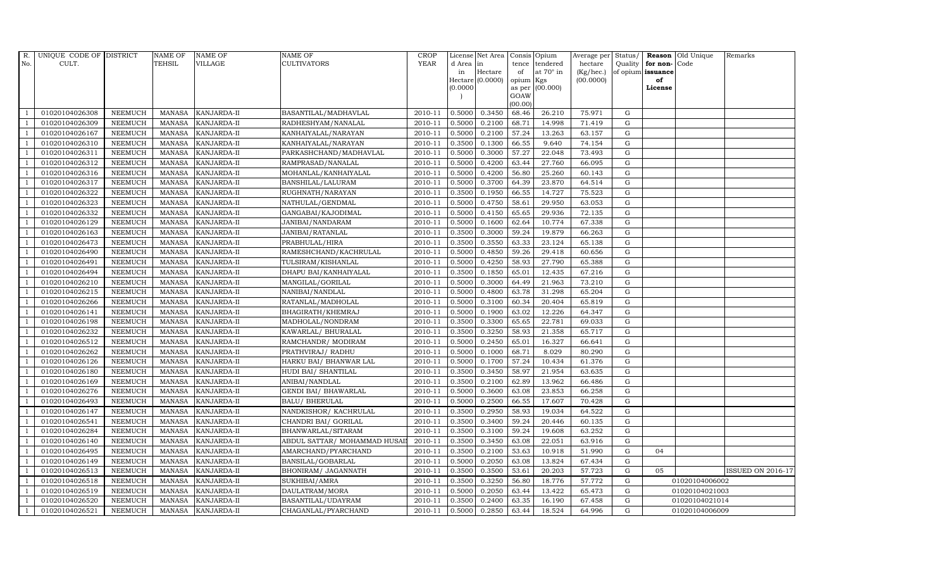| $R_{\cdot}$    | UNIQUE CODE OF DISTRICT |                | <b>NAME OF</b> | <b>NAME OF</b>     | <b>NAME OF</b>               | <b>CROP</b> |           | License Net Area Consis Opium |           |                  | Average per Status/ |             |                         | <b>Reason</b> Old Unique<br>Remarks |                          |  |  |
|----------------|-------------------------|----------------|----------------|--------------------|------------------------------|-------------|-----------|-------------------------------|-----------|------------------|---------------------|-------------|-------------------------|-------------------------------------|--------------------------|--|--|
| No.            | CULT.                   |                | <b>TEHSIL</b>  | <b>VILLAGE</b>     | <b>CULTIVATORS</b>           | <b>YEAR</b> | d Area in |                               |           | tence tendered   | hectare             |             | Quality   for non- Code |                                     |                          |  |  |
|                |                         |                |                |                    |                              |             | in        | Hectare                       | of        | at $70^\circ$ in | (Kg/hec.)           |             | of opium issuance       |                                     |                          |  |  |
|                |                         |                |                |                    |                              |             | 0.0000    | Hectare (0.0000)              | opium Kgs | as per (00.000)  | (00.0000)           |             | of<br>License           |                                     |                          |  |  |
|                |                         |                |                |                    |                              |             |           |                               | GOAW      |                  |                     |             |                         |                                     |                          |  |  |
|                |                         |                |                |                    |                              |             |           |                               | (00.00)   |                  |                     |             |                         |                                     |                          |  |  |
|                | 01020104026308          | <b>NEEMUCH</b> | MANASA         | <b>KANJARDA-II</b> | BASANTILAL/MADHAVLAL         | 2010-11     | 0.5000    | 0.3450                        | 68.46     | 26.210           | 75.971              | G           |                         |                                     |                          |  |  |
| -1             | 01020104026309          | <b>NEEMUCH</b> | <b>MANASA</b>  | <b>KANJARDA-II</b> | RADHESHYAM/NANALAL           | 2010-11     | 0.5000    | 0.2100                        | 68.71     | 14.998           | 71.419              | $\mathbf G$ |                         |                                     |                          |  |  |
|                | 01020104026167          | <b>NEEMUCH</b> | <b>MANASA</b>  | KANJARDA-II        | KANHAIYALAL/NARAYAN          | 2010-11     | 0.5000    | 0.2100                        | 57.24     | 13.263           | 63.157              | G           |                         |                                     |                          |  |  |
|                | 01020104026310          | <b>NEEMUCH</b> | <b>MANASA</b>  | KANJARDA-II        | KANHAIYALAL/NARAYAN          | 2010-11     | 0.3500    | 0.1300                        | 66.55     | 9.640            | 74.154              | $\mathbf G$ |                         |                                     |                          |  |  |
| $\overline{1}$ | 01020104026311          | <b>NEEMUCH</b> | <b>MANASA</b>  | KANJARDA-II        | PARKASHCHAND/MADHAVLAL       | 2010-11     | 0.5000    | 0.3000                        | 57.27     | 22.048           | 73.493              | ${\bf G}$   |                         |                                     |                          |  |  |
| $\overline{1}$ | 01020104026312          | <b>NEEMUCH</b> | <b>MANASA</b>  | KANJARDA-II        | RAMPRASAD/NANALAL            | 2010-11     | 0.5000    | 0.4200                        | 63.44     | 27.760           | 66.095              | $\mathbf G$ |                         |                                     |                          |  |  |
| $\overline{1}$ | 01020104026316          | <b>NEEMUCH</b> | <b>MANASA</b>  | KANJARDA-II        | MOHANLAL/KANHAIYALAL         | 2010-11     | 0.5000    | 0.4200                        | 56.80     | 25.260           | 60.143              | ${\rm G}$   |                         |                                     |                          |  |  |
| $\overline{1}$ | 01020104026317          | <b>NEEMUCH</b> | <b>MANASA</b>  | KANJARDA-II        | BANSHILAL/LALURAM            | 2010-11     | 0.5000    | 0.3700                        | 64.39     | 23.870           | 64.514              | $\mathbf G$ |                         |                                     |                          |  |  |
|                | 01020104026322          | <b>NEEMUCH</b> | <b>MANASA</b>  | KANJARDA-II        | RUGHNATH/NARAYAN             | 2010-11     | 0.3500    | 0.1950                        | 66.55     | 14.727           | 75.523              | G           |                         |                                     |                          |  |  |
| $\overline{1}$ | 01020104026323          | <b>NEEMUCH</b> | <b>MANASA</b>  | KANJARDA-II        | NATHULAL/GENDMAL             | 2010-11     | 0.5000    | 0.4750                        | 58.61     | 29.950           | 63.053              | ${\rm G}$   |                         |                                     |                          |  |  |
| $\overline{1}$ | 01020104026332          | <b>NEEMUCH</b> | <b>MANASA</b>  | KANJARDA-II        | GANGABAI/KAJODIMAL           | 2010-11     | 0.5000    | 0.4150                        | 65.65     | 29.936           | 72.135              | G           |                         |                                     |                          |  |  |
| $\overline{1}$ | 01020104026129          | <b>NEEMUCH</b> | <b>MANASA</b>  | <b>KANJARDA-II</b> | JANIBAI/NANDARAM             | 2010-11     | 0.5000    | 0.1600                        | 62.64     | 10.774           | 67.338              | $\mathbf G$ |                         |                                     |                          |  |  |
| $\overline{1}$ | 01020104026163          | <b>NEEMUCH</b> | <b>MANASA</b>  | <b>KANJARDA-II</b> | JANIBAI/RATANLAL             | 2010-11     | 0.3500    | 0.3000                        | 59.24     | 19.879           | 66.263              | G           |                         |                                     |                          |  |  |
|                | 01020104026473          | <b>NEEMUCH</b> | <b>MANASA</b>  | KANJARDA-II        | PRABHULAL/HIRA               | 2010-11     | 0.3500    | 0.3550                        | 63.33     | 23.124           | 65.138              | $\mathbf G$ |                         |                                     |                          |  |  |
|                | 01020104026490          | <b>NEEMUCH</b> | <b>MANASA</b>  | KANJARDA-II        | RAMESHCHAND/KACHRULAL        | 2010-11     | 0.5000    | 0.4850                        | 59.26     | 29.418           | 60.656              | $\mathbf G$ |                         |                                     |                          |  |  |
| $\overline{1}$ | 01020104026491          | <b>NEEMUCH</b> | <b>MANASA</b>  | KANJARDA-II        | TULSIRAM/KISHANLAL           | 2010-11     | 0.5000    | 0.4250                        | 58.93     | 27.790           | 65.388              | G           |                         |                                     |                          |  |  |
| $\overline{1}$ | 01020104026494          | <b>NEEMUCH</b> | <b>MANASA</b>  | KANJARDA-II        | DHAPU BAI/KANHAIYALAL        | 2010-11     | 0.3500    | 0.1850                        | 65.01     | 12.435           | 67.216              | $\mathbf G$ |                         |                                     |                          |  |  |
| $\overline{1}$ | 01020104026210          | <b>NEEMUCH</b> | MANASA         | <b>KANJARDA-II</b> | MANGILAL/GORILAL             | 2010-11     | 0.5000    | 0.3000                        | 64.49     | 21.963           | 73.210              | $\mathbf G$ |                         |                                     |                          |  |  |
|                | 01020104026215          | <b>NEEMUCH</b> | <b>MANASA</b>  | KANJARDA-II        | NANIBAI/NANDLAL              | 2010-11     | 0.5000    | 0.4800                        | 63.78     | 31.298           | 65.204              | $\mathbf G$ |                         |                                     |                          |  |  |
| $\overline{1}$ | 01020104026266          | <b>NEEMUCH</b> | <b>MANASA</b>  | KANJARDA-II        | RATANLAL/MADHOLAL            | 2010-11     | 0.5000    | 0.3100                        | 60.34     | 20.404           | 65.819              | $\mathbf G$ |                         |                                     |                          |  |  |
| $\overline{1}$ | 01020104026141          | <b>NEEMUCH</b> | <b>MANASA</b>  | KANJARDA-II        | BHAGIRATH/KHEMRAJ            | 2010-11     | 0.5000    | 0.1900                        | 63.02     | 12.226           | 64.347              | $\mathbf G$ |                         |                                     |                          |  |  |
| $\overline{1}$ | 01020104026198          | <b>NEEMUCH</b> | <b>MANASA</b>  | KANJARDA-II        | MADHOLAL/NONDRAM             | 2010-11     | 0.3500    | 0.3300                        | 65.65     | 22.781           | 69.033              | ${\rm G}$   |                         |                                     |                          |  |  |
| $\overline{1}$ | 01020104026232          | <b>NEEMUCH</b> | MANASA         | <b>KANJARDA-II</b> | KAWARLAL/ BHURALAL           | 2010-11     | 0.3500    | 0.3250                        | 58.93     | 21.358           | 65.717              | G           |                         |                                     |                          |  |  |
|                | 01020104026512          | <b>NEEMUCH</b> | <b>MANASA</b>  | KANJARDA-II        | RAMCHANDR/ MODIRAM           | 2010-11     | 0.5000    | 0.2450                        | 65.01     | 16.327           | 66.641              | $\mathbf G$ |                         |                                     |                          |  |  |
|                | 01020104026262          | <b>NEEMUCH</b> | <b>MANASA</b>  | KANJARDA-II        | PRATHVIRAJ / RADHU           | 2010-11     | 0.5000    | 0.1000                        | 68.71     | 8.029            | 80.290              | ${\rm G}$   |                         |                                     |                          |  |  |
| -1             | 01020104026126          | <b>NEEMUCH</b> | <b>MANASA</b>  | KANJARDA-II        | HARKU BAI/ BHANWAR LAL       | 2010-11     | 0.5000    | 0.1700                        | 57.24     | 10.434           | 61.376              | G           |                         |                                     |                          |  |  |
| $\mathbf{1}$   | 01020104026180          | <b>NEEMUCH</b> | <b>MANASA</b>  | KANJARDA-II        | HUDI BAI/ SHANTILAL          | 2010-11     | 0.3500    | 0.3450                        | 58.97     | 21.954           | 63.635              | ${\rm G}$   |                         |                                     |                          |  |  |
| $\overline{1}$ | 01020104026169          | <b>NEEMUCH</b> | <b>MANASA</b>  | KANJARDA-II        | ANIBAI/NANDLAL               | 2010-11     | 0.3500    | 0.2100                        | 62.89     | 13.962           | 66.486              | G           |                         |                                     |                          |  |  |
| $\overline{1}$ | 01020104026276          | <b>NEEMUCH</b> | <b>MANASA</b>  | KANJARDA-II        | <b>GENDI BAI/ BHAWARLAL</b>  | 2010-11     | 0.5000    | 0.3600                        | 63.08     | 23.853           | 66.258              | $\mathbf G$ |                         |                                     |                          |  |  |
|                | 01020104026493          | <b>NEEMUCH</b> | <b>MANASA</b>  | KANJARDA-II        | <b>BALU/ BHERULAL</b>        | 2010-11     | 0.5000    | 0.2500                        | 66.55     | 17.607           | 70.428              | $\mathbf G$ |                         |                                     |                          |  |  |
| -1             | 01020104026147          | <b>NEEMUCH</b> | <b>MANASA</b>  | KANJARDA-II        | NANDKISHOR/KACHRULAL         | 2010-11     | 0.3500    | 0.2950                        | 58.93     | 19.034           | 64.522              | G           |                         |                                     |                          |  |  |
|                | 01020104026541          | <b>NEEMUCH</b> | <b>MANASA</b>  | KANJARDA-II        | CHANDRI BAI / GORILAL        | 2010-11     | 0.3500    | 0.3400                        | 59.24     | 20.446           | 60.135              | ${\rm G}$   |                         |                                     |                          |  |  |
| $\overline{1}$ | 01020104026284          | <b>NEEMUCH</b> | <b>MANASA</b>  | KANJARDA-II        | BHANWARLAL/SITARAM           | 2010-11     | 0.3500    | 0.3100                        | 59.24     | 19.608           | 63.252              | ${\rm G}$   |                         |                                     |                          |  |  |
| $\overline{1}$ | 01020104026140          | <b>NEEMUCH</b> | <b>MANASA</b>  | KANJARDA-II        | ABDUL SATTAR/ MOHAMMAD HUSAI | 2010-11     | 0.3500    | 0.3450                        | 63.08     | 22.051           | 63.916              | $\mathbf G$ |                         |                                     |                          |  |  |
|                | 01020104026495          | <b>NEEMUCH</b> | <b>MANASA</b>  | KANJARDA-II        | AMARCHAND/PYARCHAND          | 2010-11     | 0.3500    | 0.2100                        | 53.63     | 10.918           | 51.990              | $\mathbf G$ | 04                      |                                     |                          |  |  |
| $\overline{1}$ | 01020104026149          | <b>NEEMUCH</b> | <b>MANASA</b>  | KANJARDA-II        | BANSILAL/GOBARLAL            | 2010-11     | 0.5000    | 0.2050                        | 63.08     | 13.824           | 67.434              | G           |                         |                                     |                          |  |  |
| -1             | 01020104026513          | <b>NEEMUCH</b> | <b>MANASA</b>  | KANJARDA-II        | BHONIRAM/ JAGANNATH          | 2010-11     | 0.3500    | 0.3500                        | 53.61     | 20.203           | 57.723              | G           | 05                      |                                     | <b>ISSUED ON 2016-17</b> |  |  |
| $\overline{1}$ | 01020104026518          | <b>NEEMUCH</b> | <b>MANASA</b>  | KANJARDA-II        | SUKHIBAI/AMRA                | 2010-11     | 0.3500    | 0.3250                        | 56.80     | 18.776           | 57.772              | ${\rm G}$   |                         | 01020104006002                      |                          |  |  |
| $\overline{1}$ | 01020104026519          | <b>NEEMUCH</b> | <b>MANASA</b>  | KANJARDA-II        | DAULATRAM/MORA               | 2010-11     | 0.5000    | 0.2050                        | 63.44     | 13.422           | 65.473              | $\mathbf G$ |                         | 01020104021003                      |                          |  |  |
|                | 01020104026520          | <b>NEEMUCH</b> | <b>MANASA</b>  | KANJARDA-II        | BASANTILAL/UDAYRAM           | 2010-11     | 0.3500    | 0.2400                        | 63.35     | 16.190           | 67.458              | G           | 01020104021014          |                                     |                          |  |  |
| $\mathbf{1}$   | 01020104026521          | <b>NEEMUCH</b> |                | MANASA KANJARDA-II | CHAGANLAL/PYARCHAND          | 2010-11     | 0.5000    | 0.2850                        | 63.44     | 18.524           | 64.996              | G           |                         | 01020104006009                      |                          |  |  |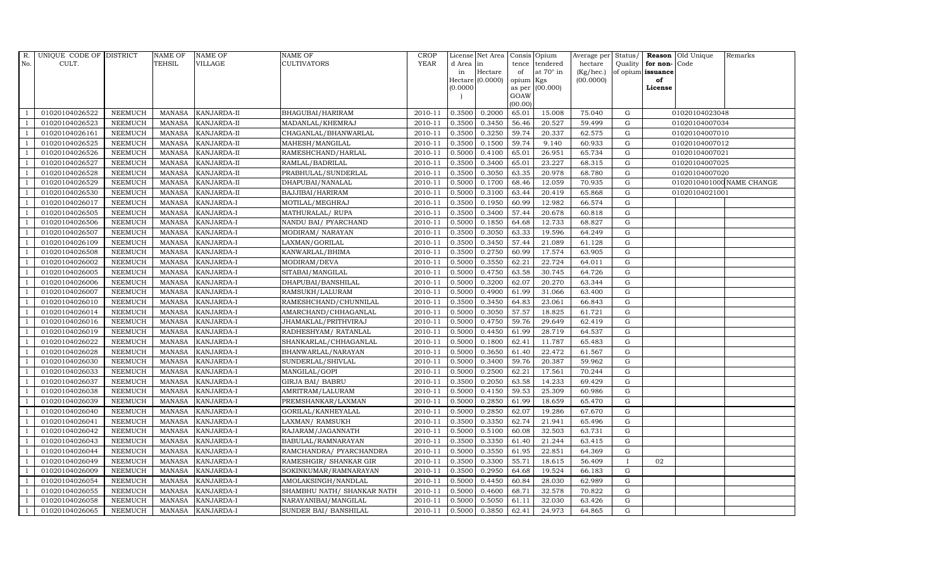| R.             | UNIQUE CODE OF DISTRICT |                | <b>NAME OF</b> | <b>NAME OF</b>     | NAME OF                    | <b>CROP</b> |           | License Net Area | Consis Opium   |                  |           |              |                      | Average per Status/ Reason Old Unique | Remarks                   |
|----------------|-------------------------|----------------|----------------|--------------------|----------------------------|-------------|-----------|------------------|----------------|------------------|-----------|--------------|----------------------|---------------------------------------|---------------------------|
| No.            | CULT.                   |                | <b>TEHSIL</b>  | VILLAGE            | <b>CULTIVATORS</b>         | <b>YEAR</b> | d Area in |                  | tence          | tendered         | hectare   |              | Quality for non-Code |                                       |                           |
|                |                         |                |                |                    |                            |             | in        | Hectare          | of             | at $70^\circ$ in | (Kg/hec.) |              | of opium issuance    |                                       |                           |
|                |                         |                |                |                    |                            |             | (0.0000)  | Hectare (0.0000) | opium          | Kgs<br>(00.000)  | (00.0000) |              | of<br>License        |                                       |                           |
|                |                         |                |                |                    |                            |             |           |                  | as per<br>GOAW |                  |           |              |                      |                                       |                           |
|                |                         |                |                |                    |                            |             |           |                  | (00.00)        |                  |           |              |                      |                                       |                           |
|                | 01020104026522          | <b>NEEMUCH</b> | MANASA         | <b>KANJARDA-II</b> | BHAGUBAI/HARIRAM           | 2010-11     | 0.3500    | 0.2000           | 65.01          | 15.008           | 75.040    | G            |                      | 01020104023048                        |                           |
| -1             | 01020104026523          | <b>NEEMUCH</b> | <b>MANASA</b>  | KANJARDA-II        | MADANLAL/KHEMRAJ           | 2010-11     | 0.3500    | 0.3450           | 56.46          | 20.527           | 59.499    | G            |                      | 01020104007034                        |                           |
|                | 01020104026161          | <b>NEEMUCH</b> | <b>MANASA</b>  | KANJARDA-II        | CHAGANLAL/BHANWARLAL       | 2010-11     | 0.3500    | 0.3250           | 59.74          | 20.337           | 62.575    | G            |                      | 01020104007010                        |                           |
|                | 01020104026525          | <b>NEEMUCH</b> | <b>MANASA</b>  | KANJARDA-II        | MAHESH/MANGILAL            | 2010-11     | 0.3500    | 0.1500           | 59.74          | 9.140            | 60.933    | G            |                      | 01020104007012                        |                           |
|                | 01020104026526          | <b>NEEMUCH</b> | <b>MANASA</b>  | KANJARDA-II        | RAMESHCHAND/HARLAL         | 2010-11     | 0.5000    | 0.4100           | 65.01          | 26.951           | 65.734    | ${\rm G}$    |                      | 01020104007021                        |                           |
| $\overline{1}$ | 01020104026527          | <b>NEEMUCH</b> | <b>MANASA</b>  | KANJARDA-II        | RAMLAL/BADRILAL            | 2010-11     | 0.3500    | 0.3400           | 65.01          | 23.227           | 68.315    | G            |                      | 01020104007025                        |                           |
| $\overline{1}$ | 01020104026528          | <b>NEEMUCH</b> | <b>MANASA</b>  | KANJARDA-II        | PRABHULAL/SUNDERLAL        | 2010-11     | 0.3500    | 0.3050           | 63.35          | 20.978           | 68.780    | G            |                      | 01020104007020                        |                           |
| $\overline{1}$ | 01020104026529          | <b>NEEMUCH</b> | <b>MANASA</b>  | KANJARDA-II        | DHAPUBAI/NANALAL           | 2010-11     | 0.5000    | 0.1700           | 68.46          | 12.059           | 70.935    | G            |                      |                                       | 0102010401000 NAME CHANGE |
|                | 01020104026530          | <b>NEEMUCH</b> | <b>MANASA</b>  | KANJARDA-II        | BAJJIBAI/HARIRAM           | 2010-11     | 0.5000    | 0.3100           | 63.44          | 20.419           | 65.868    | G            |                      | 01020104021001                        |                           |
| -1             | 01020104026017          | <b>NEEMUCH</b> | <b>MANASA</b>  | KANJARDA-I         | MOTILAL/MEGHRAJ            | 2010-11     | 0.3500    | 0.1950           | 60.99          | 12.982           | 66.574    | G            |                      |                                       |                           |
| $\overline{1}$ | 01020104026505          | <b>NEEMUCH</b> | <b>MANASA</b>  | KANJARDA-I         | MATHURALAL/ RUPA           | 2010-11     | 0.3500    | 0.3400           | 57.44          | 20.678           | 60.818    | G            |                      |                                       |                           |
| $\overline{1}$ | 01020104026506          | <b>NEEMUCH</b> | <b>MANASA</b>  | KANJARDA-I         | NANDU BAI / PYARCHAND      | 2010-11     | 0.5000    | 0.1850           | 64.68          | 12.733           | 68.827    | G            |                      |                                       |                           |
| $\overline{1}$ | 01020104026507          | <b>NEEMUCH</b> | <b>MANASA</b>  | KANJARDA-I         | MODIRAM/NARAYAN            | 2010-11     | 0.3500    | 0.3050           | 63.33          | 19.596           | 64.249    | G            |                      |                                       |                           |
|                | 01020104026109          | <b>NEEMUCH</b> | <b>MANASA</b>  | <b>KANJARDA-I</b>  | LAXMAN/GORILAL             | 2010-11     | 0.3500    | 0.3450           | 57.44          | 21.089           | 61.128    | G            |                      |                                       |                           |
|                | 01020104026508          | <b>NEEMUCH</b> | <b>MANASA</b>  | KANJARDA-I         | KANWARLAL/BHIMA            | 2010-11     | 0.3500    | 0.2750           | 60.99          | 17.574           | 63.905    | G            |                      |                                       |                           |
| -1             | 01020104026002          | <b>NEEMUCH</b> | <b>MANASA</b>  | KANJARDA-I         | MODIRAM/DEVA               | 2010-11     | 0.5000    | 0.3550           | 62.21          | 22.724           | 64.011    | G            |                      |                                       |                           |
| $\overline{1}$ | 01020104026005          | <b>NEEMUCH</b> | <b>MANASA</b>  | KANJARDA-I         | SITABAI/MANGILAL           | 2010-11     | 0.5000    | 0.4750           | 63.58          | 30.745           | 64.726    | G            |                      |                                       |                           |
| $\overline{1}$ | 01020104026006          | <b>NEEMUCH</b> | <b>MANASA</b>  | <b>KANJARDA-I</b>  | DHAPUBAI/BANSHILAL         | 2010-11     | 0.5000    | 0.3200           | 62.07          | 20.270           | 63.344    | $\mathbf G$  |                      |                                       |                           |
|                | 01020104026007          | <b>NEEMUCH</b> | <b>MANASA</b>  | KANJARDA-I         | RAMSUKH/LALURAM            | 2010-11     | 0.5000    | 0.4900           | 61.99          | 31.066           | 63.400    | G            |                      |                                       |                           |
|                | 01020104026010          | <b>NEEMUCH</b> | <b>MANASA</b>  | KANJARDA-I         | RAMESHCHAND/CHUNNILAL      | 2010-11     | 0.3500    | 0.3450           | 64.83          | 23.061           | 66.843    | G            |                      |                                       |                           |
| $\overline{1}$ | 01020104026014          | <b>NEEMUCH</b> | <b>MANASA</b>  | KANJARDA-I         | AMARCHAND/CHHAGANLAL       | 2010-11     | 0.5000    | 0.3050           | 57.57          | 18.825           | 61.721    | G            |                      |                                       |                           |
|                | 01020104026016          | <b>NEEMUCH</b> | <b>MANASA</b>  | KANJARDA-I         | JHAMAKLAL/PRITHVIRAJ       | 2010-11     | 0.5000    | 0.4750           | 59.76          | 29.649           | 62.419    | G            |                      |                                       |                           |
| $\overline{1}$ | 01020104026019          | <b>NEEMUCH</b> | MANASA         | KANJARDA-I         | RADHESHYAM / RATANLAL      | 2010-11     | 0.5000    | 0.4450           | 61.99          | 28.719           | 64.537    | G            |                      |                                       |                           |
|                | 01020104026022          | <b>NEEMUCH</b> | <b>MANASA</b>  | <b>KANJARDA-I</b>  | SHANKARLAL/CHHAGANLAL      | 2010-11     | 0.5000    | 0.1800           | 62.41          | 11.787           | 65.483    | G            |                      |                                       |                           |
|                | 01020104026028          | <b>NEEMUCH</b> | <b>MANASA</b>  | KANJARDA-I         | BHANWARLAL/NARAYAN         | 2010-11     | 0.5000    | 0.3650           | 61.40          | 22.472           | 61.567    | G            |                      |                                       |                           |
| $\overline{1}$ | 01020104026030          | <b>NEEMUCH</b> | <b>MANASA</b>  | KANJARDA-I         | SUNDERLAL/SHIVLAL          | 2010-11     | 0.5000    | 0.3400           | 59.76          | 20.387           | 59.962    | G            |                      |                                       |                           |
|                | 01020104026033          | <b>NEEMUCH</b> | <b>MANASA</b>  | KANJARDA-I         | MANGILAL/GOPI              | 2010-11     | 0.5000    | 0.2500           | 62.21          | 17.561           | 70.244    | G            |                      |                                       |                           |
| $\overline{1}$ | 01020104026037          | <b>NEEMUCH</b> | <b>MANASA</b>  | KANJARDA-I         | <b>GIRJA BAI/ BABRU</b>    | 2010-11     | 0.3500    | 0.2050           | 63.58          | 14.233           | 69.429    | G            |                      |                                       |                           |
|                | 01020104026038          | <b>NEEMUCH</b> | <b>MANASA</b>  | <b>KANJARDA-I</b>  | AMRITRAM/LALURAM           | 2010-11     | 0.5000    | 0.4150           | 59.53          | 25.309           | 60.986    | $\mathbf G$  |                      |                                       |                           |
|                | 01020104026039          | <b>NEEMUCH</b> | <b>MANASA</b>  | KANJARDA-I         | PREMSHANKAR/LAXMAN         | 2010-11     | 0.5000    | 0.2850           | 61.99          | 18.659           | 65.470    | G            |                      |                                       |                           |
| -1             | 01020104026040          | <b>NEEMUCH</b> | <b>MANASA</b>  | KANJARDA-I         | GORILAL/KANHEYALAL         | 2010-11     | 0.5000    | 0.2850           | 62.07          | 19.286           | 67.670    | G            |                      |                                       |                           |
|                | 01020104026041          | <b>NEEMUCH</b> | <b>MANASA</b>  | KANJARDA-I         | LAXMAN / RAMSUKH           | 2010-11     | 0.3500    | 0.3350           | 62.74          | 21.941           | 65.496    | G            |                      |                                       |                           |
| $\overline{1}$ | 01020104026042          | <b>NEEMUCH</b> | <b>MANASA</b>  | KANJARDA-I         | RAJARAM/JAGANNATH          | 2010-11     | 0.5000    | 0.5100           | 60.08          | 32.503           | 63.731    | G            |                      |                                       |                           |
| $\overline{1}$ | 01020104026043          | <b>NEEMUCH</b> | <b>MANASA</b>  | KANJARDA-I         | BABULAL/RAMNARAYAN         | 2010-11     | 0.3500    | 0.3350           | 61.40          | 21.244           | 63.415    | G            |                      |                                       |                           |
|                | 01020104026044          | <b>NEEMUCH</b> | <b>MANASA</b>  | KANJARDA-I         | RAMCHANDRA/ PYARCHANDRA    | 2010-11     | 0.5000    | 0.3550           | 61.95          | 22.851           | 64.369    | G            |                      |                                       |                           |
| $\overline{1}$ | 01020104026049          | <b>NEEMUCH</b> | <b>MANASA</b>  | KANJARDA-I         | RAMESHGIR/ SHANKAR GIR     | 2010-11     | 0.3500    | 0.3300           | 55.71          | 18.615           | 56.409    | $\mathbf{I}$ | 02                   |                                       |                           |
|                | 01020104026009          | <b>NEEMUCH</b> | <b>MANASA</b>  | KANJARDA-I         | SOKINKUMAR/RAMNARAYAN      | 2010-11     | 0.3500    | 0.2950           | 64.68          | 19.524           | 66.183    | G            |                      |                                       |                           |
| $\overline{1}$ | 01020104026054          | <b>NEEMUCH</b> | <b>MANASA</b>  | KANJARDA-I         | AMOLAKSINGH/NANDLAL        | 2010-11     | 0.5000    | 0.4450           | 60.84          | 28.030           | 62.989    | G            |                      |                                       |                           |
| $\overline{1}$ | 01020104026055          | <b>NEEMUCH</b> | <b>MANASA</b>  | KANJARDA-I         | SHAMBHU NATH/ SHANKAR NATH | 2010-11     | 0.5000    | 0.4600           | 68.71          | 32.578           | 70.822    | G            |                      |                                       |                           |
|                | 01020104026058          | <b>NEEMUCH</b> | <b>MANASA</b>  | KANJARDA-I         | NARAYANIBAI/MANGILAL       | 2010-11     | 0.5000    | 0.5050           | 61.11          | 32.030           | 63.426    | G            |                      |                                       |                           |
| $\mathbf{1}$   | 01020104026065          | NEEMUCH        | MANASA         | <b>KANJARDA-I</b>  | SUNDER BAI/ BANSHILAL      | 2010-11     | 0.5000    | 0.3850           | 62.41          | 24.973           | 64.865    | G            |                      |                                       |                           |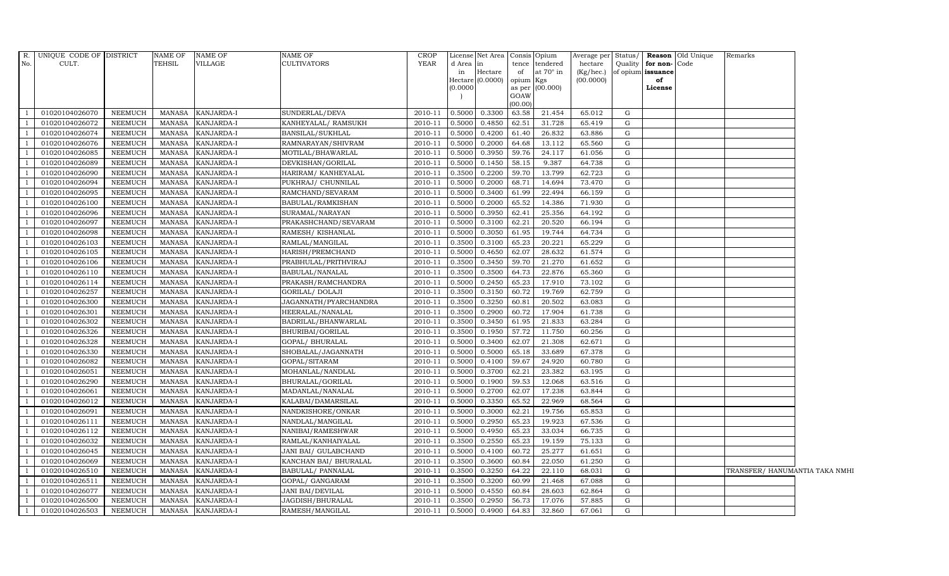|                | R. UNIQUE CODE OF DISTRICT |                | <b>NAME OF</b> | <b>NAME OF</b> | <b>NAME OF</b>          | <b>CROP</b> |          | License Net Area Consis Opium |           |                  |           |             |                      | Average per Status/ Reason Old Unique | Remarks                        |  |
|----------------|----------------------------|----------------|----------------|----------------|-------------------------|-------------|----------|-------------------------------|-----------|------------------|-----------|-------------|----------------------|---------------------------------------|--------------------------------|--|
| No.            | CULT.                      |                | TEHSIL         | VILLAGE        | <b>CULTIVATORS</b>      | <b>YEAR</b> | d Area   | in                            | tence     | tendered         | hectare   |             | Quality for non-Code |                                       |                                |  |
|                |                            |                |                |                |                         |             | in       | Hectare                       | of        | at $70^\circ$ in | (Kg/hec.) |             | of opium issuance    |                                       |                                |  |
|                |                            |                |                |                |                         |             |          | Hectare (0.0000)              | opium Kgs |                  | (00.0000) |             | of                   |                                       |                                |  |
|                |                            |                |                |                |                         |             | (0.0000) |                               | GOAW      | as per (00.000)  |           |             | License              |                                       |                                |  |
|                |                            |                |                |                |                         |             |          |                               | (00.00)   |                  |           |             |                      |                                       |                                |  |
|                | 01020104026070             | NEEMUCH        | MANASA         | KANJARDA-I     | SUNDERLAL/DEVA          | 2010-11     | 0.5000   | 0.3300                        | 63.58     | 21.454           | 65.012    | G           |                      |                                       |                                |  |
|                | 01020104026072             | <b>NEEMUCH</b> | <b>MANASA</b>  | KANJARDA-I     | KANHEYALAL/ RAMSUKH     | 2010-11     | 0.5000   | 0.4850                        | 62.51     | 31.728           | 65.419    | G           |                      |                                       |                                |  |
|                | 01020104026074             | <b>NEEMUCH</b> | <b>MANASA</b>  | KANJARDA-I     | BANSILAL/SUKHLAL        | 2010-11     | 0.5000   | 0.4200                        | 61.40     | 26.832           | 63.886    | G           |                      |                                       |                                |  |
|                | 01020104026076             | <b>NEEMUCH</b> | <b>MANASA</b>  | KANJARDA-I     | RAMNARAYAN/SHIVRAM      | 2010-11     | 0.5000   | 0.2000                        | 64.68     | 13.112           | 65.560    | G           |                      |                                       |                                |  |
| $\overline{1}$ | 01020104026085             | <b>NEEMUCH</b> | <b>MANASA</b>  | KANJARDA-I     | MOTILAL/BHAWARLAL       | 2010-11     | 0.5000   | 0.3950                        | 59.76     | 24.117           | 61.056    | G           |                      |                                       |                                |  |
| $\overline{1}$ | 01020104026089             | <b>NEEMUCH</b> | <b>MANASA</b>  | KANJARDA-I     | DEVKISHAN/GORILAL       | 2010-11     | 0.5000   | 0.1450                        | 58.15     | 9.387            | 64.738    | $\mathbf G$ |                      |                                       |                                |  |
| $\overline{1}$ | 01020104026090             | <b>NEEMUCH</b> | <b>MANASA</b>  | KANJARDA-I     | HARIRAM/ KANHEYALAL     | 2010-11     | 0.3500   | 0.2200                        | 59.70     | 13.799           | 62.723    | G           |                      |                                       |                                |  |
|                | 01020104026094             | <b>NEEMUCH</b> | <b>MANASA</b>  | KANJARDA-I     | PUKHRAJ/ CHUNNILAL      | 2010-11     | 0.5000   | 0.2000                        | 68.71     | 14.694           | 73.470    | $\mathbf G$ |                      |                                       |                                |  |
|                | 01020104026095             | NEEMUCH        | <b>MANASA</b>  | KANJARDA-I     | RAMCHAND/SEVARAM        | 2010-11     | 0.5000   | 0.3400                        | 61.99     | 22.494           | 66.159    | ${\rm G}$   |                      |                                       |                                |  |
|                | 01020104026100             | <b>NEEMUCH</b> | <b>MANASA</b>  | KANJARDA-I     | BABULAL/RAMKISHAN       | 2010-11     | 0.5000   | 0.2000                        | 65.52     | 14.386           | 71.930    | G           |                      |                                       |                                |  |
|                | 01020104026096             | <b>NEEMUCH</b> | <b>MANASA</b>  | KANJARDA-I     | SURAMAL/NARAYAN         | 2010-11     | 0.5000   | 0.3950                        | 62.41     | 25.356           | 64.192    | G           |                      |                                       |                                |  |
| $\overline{1}$ | 01020104026097             | <b>NEEMUCH</b> | <b>MANASA</b>  | KANJARDA-I     | PRAKASHCHAND/SEVARAM    | 2010-11     | 0.5000   | 0.3100                        | 62.21     | 20.520           | 66.194    | $\mathbf G$ |                      |                                       |                                |  |
|                | 01020104026098             | <b>NEEMUCH</b> | <b>MANASA</b>  | KANJARDA-I     | RAMESH/KISHANLAL        | 2010-11     | 0.5000   | 0.3050                        | 61.95     | 19.744           | 64.734    | G           |                      |                                       |                                |  |
|                | 01020104026103             | <b>NEEMUCH</b> | <b>MANASA</b>  | KANJARDA-I     | RAMLAL/MANGILAL         | 2010-11     | 0.3500   | 0.3100                        | 65.23     | 20.221           | 65.229    | $\mathbf G$ |                      |                                       |                                |  |
|                | 01020104026105             | <b>NEEMUCH</b> | <b>MANASA</b>  | KANJARDA-I     | HARISH/PREMCHAND        | 2010-11     | 0.5000   | 0.4650                        | 62.07     | 28.632           | 61.574    | $\mathbf G$ |                      |                                       |                                |  |
| $\overline{1}$ | 01020104026106             | <b>NEEMUCH</b> | <b>MANASA</b>  | KANJARDA-I     | PRABHULAL/PRITHVIRAJ    | 2010-11     | 0.3500   | 0.3450                        | 59.70     | 21.270           | 61.652    | G           |                      |                                       |                                |  |
| $\overline{1}$ | 01020104026110             | <b>NEEMUCH</b> | <b>MANASA</b>  | KANJARDA-I     | BABULAL/NANALAL         | 2010-11     | 0.3500   | 0.3500                        | 64.73     | 22.876           | 65.360    | $\mathbf G$ |                      |                                       |                                |  |
|                | 01020104026114             | <b>NEEMUCH</b> | <b>MANASA</b>  | KANJARDA-I     | PRAKASH/RAMCHANDRA      | 2010-11     | 0.5000   | 0.2450                        | 65.23     | 17.910           | 73.102    | $\mathbf G$ |                      |                                       |                                |  |
|                | 01020104026257             | <b>NEEMUCH</b> | <b>MANASA</b>  | KANJARDA-I     | GORILAL/DOLAJI          | 2010-11     | 0.3500   | 0.3150                        | 60.72     | 19.769           | 62.759    | G           |                      |                                       |                                |  |
|                | 01020104026300             | <b>NEEMUCH</b> | <b>MANASA</b>  | KANJARDA-I     | JAGANNATH/PYARCHANDRA   | 2010-11     | 0.3500   | 0.3250                        | 60.81     | 20.502           | 63.083    | ${\bf G}$   |                      |                                       |                                |  |
| $\overline{1}$ | 01020104026301             | NEEMUCH        | <b>MANASA</b>  | KANJARDA-I     | HEERALAL/NANALAL        | 2010-11     | 0.3500   | 0.2900                        | 60.72     | 17.904           | 61.738    | G           |                      |                                       |                                |  |
| $\overline{1}$ | 01020104026302             | <b>NEEMUCH</b> | <b>MANASA</b>  | KANJARDA-I     | BADRILAL/BHANWARLAL     | 2010-11     | 0.3500   | 0.3450                        | 61.95     | 21.833           | 63.284    | G           |                      |                                       |                                |  |
| $\overline{1}$ | 01020104026326             | <b>NEEMUCH</b> | <b>MANASA</b>  | KANJARDA-I     | BHURIBAI/GORILAL        | 2010-11     | 0.3500   | 0.1950                        | 57.72     | 11.750           | 60.256    | G           |                      |                                       |                                |  |
|                | 01020104026328             | <b>NEEMUCH</b> | <b>MANASA</b>  | KANJARDA-I     | GOPAL/ BHURALAL         | 2010-11     | 0.5000   | 0.3400                        | 62.07     | 21.308           | 62.671    | G           |                      |                                       |                                |  |
|                | 01020104026330             | <b>NEEMUCH</b> | <b>MANASA</b>  | KANJARDA-I     | SHOBALAL/JAGANNATH      | 2010-11     | 0.5000   | 0.5000                        | 65.18     | 33.689           | 67.378    | G           |                      |                                       |                                |  |
| -1             | 01020104026082             | <b>NEEMUCH</b> | <b>MANASA</b>  | KANJARDA-I     | GOPAL/SITARAM           | 2010-11     | 0.5000   | 0.4100                        | 59.67     | 24.920           | 60.780    | G           |                      |                                       |                                |  |
| $\overline{1}$ | 01020104026051             | <b>NEEMUCH</b> | <b>MANASA</b>  | KANJARDA-I     | MOHANLAL/NANDLAL        | 2010-11     | 0.5000   | 0.3700                        | 62.21     | 23.382           | 63.195    | G           |                      |                                       |                                |  |
| $\overline{1}$ | 01020104026290             | <b>NEEMUCH</b> | <b>MANASA</b>  | KANJARDA-I     | BHURALAL/GORILAL        | 2010-11     | 0.5000   | 0.1900                        | 59.53     | 12.068           | 63.516    | G           |                      |                                       |                                |  |
|                | 01020104026061             | <b>NEEMUCH</b> | <b>MANASA</b>  | KANJARDA-I     | MADANLAL/NANALAL        | 2010-11     | 0.5000   | 0.2700                        | 62.07     | 17.238           | 63.844    | $\mathbf G$ |                      |                                       |                                |  |
|                | 01020104026012             | <b>NEEMUCH</b> | <b>MANASA</b>  | KANJARDA-I     | KALABAI/DAMARSILAL      | 2010-11     | 0.5000   | 0.3350                        | 65.52     | 22.969           | 68.564    | ${\rm G}$   |                      |                                       |                                |  |
|                | 01020104026091             | <b>NEEMUCH</b> | <b>MANASA</b>  | KANJARDA-I     | NANDKISHORE/ONKAR       | 2010-11     | 0.5000   | 0.3000                        | 62.21     | 19.756           | 65.853    | G           |                      |                                       |                                |  |
| $\overline{1}$ | 01020104026111             | <b>NEEMUCH</b> | <b>MANASA</b>  | KANJARDA-I     | NANDLAL/MANGILAL        | 2010-11     | 0.5000   | 0.2950                        | 65.23     | 19.923           | 67.536    | $\mathbf G$ |                      |                                       |                                |  |
| $\overline{1}$ | 01020104026112             | <b>NEEMUCH</b> | <b>MANASA</b>  | KANJARDA-I     | NANIBAI/RAMESHWAR       | 2010-11     | 0.5000   | 0.4950                        | 65.23     | 33.034           | 66.735    | G           |                      |                                       |                                |  |
|                | 01020104026032             | <b>NEEMUCH</b> | <b>MANASA</b>  | KANJARDA-I     | RAMLAL/KANHAIYALAL      | 2010-11     | 0.3500   | 0.2550                        | 65.23     | 19.159           | 75.133    | $\mathbf G$ |                      |                                       |                                |  |
|                | 01020104026045             | <b>NEEMUCH</b> | <b>MANASA</b>  | KANJARDA-I     | JANI BAI/ GULABCHAND    | 2010-11     | 0.5000   | 0.4100                        | 60.72     | 25.277           | 61.651    | $\mathbf G$ |                      |                                       |                                |  |
|                | 01020104026069             | <b>NEEMUCH</b> | <b>MANASA</b>  | KANJARDA-I     | KANCHAN BAI/ BHURALAL   | 2010-11     | 0.3500   | 0.3600                        | 60.84     | 22.050           | 61.250    | G           |                      |                                       |                                |  |
| $\overline{1}$ | 01020104026510             | <b>NEEMUCH</b> | <b>MANASA</b>  | KANJARDA-I     | BABULAL/ PANNALAL       | 2010-11     | 0.3500   | 0.3250                        | 64.22     | 22.110           | 68.031    | G           |                      |                                       | TRANSFER/ HANUMANTIA TAKA NMHI |  |
| $\overline{1}$ | 01020104026511             | <b>NEEMUCH</b> | <b>MANASA</b>  | KANJARDA-I     | GOPAL/ GANGARAM         | 2010-11     | 0.3500   | 0.3200                        | 60.99     | 21.468           | 67.088    | $\mathbf G$ |                      |                                       |                                |  |
| $\overline{1}$ | 01020104026077             | <b>NEEMUCH</b> | <b>MANASA</b>  | KANJARDA-I     | <b>JANI BAI/DEVILAL</b> | 2010-11     | 0.5000   | 0.4550                        | 60.84     | 28.603           | 62.864    | $\mathbf G$ |                      |                                       |                                |  |
|                | 01020104026500             | <b>NEEMUCH</b> | <b>MANASA</b>  | KANJARDA-I     | JAGDISH/BHURALAL        | 2010-11     | 0.3500   | 0.2950                        | 56.73     | 17.076           | 57.885    | G           |                      |                                       |                                |  |
|                | 01020104026503             | <b>NEEMUCH</b> | MANASA         | KANJARDA-I     | RAMESH/MANGILAL         | 2010-11     | 0.5000   | 0.4900                        | 64.83     | 32.860           | 67.061    | G           |                      |                                       |                                |  |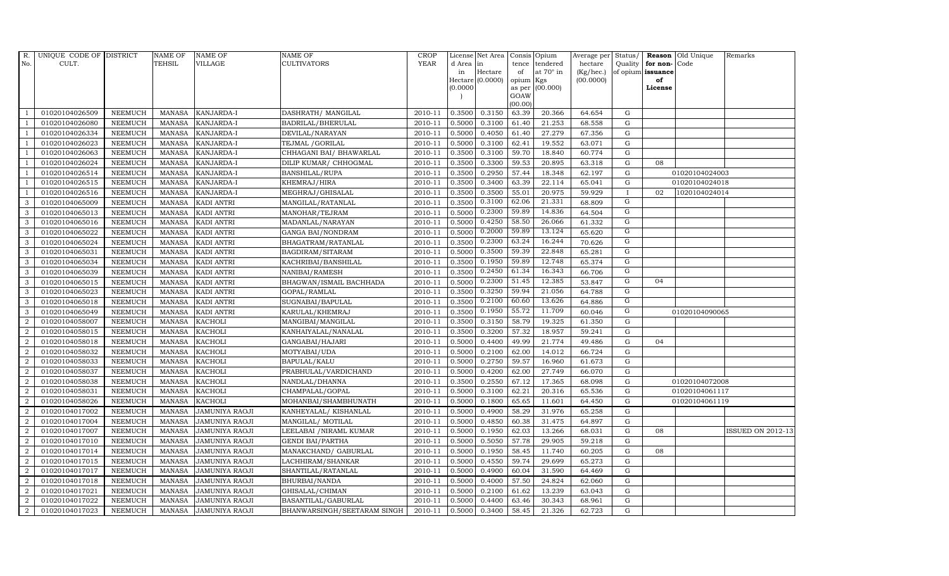| R.             | UNIQUE CODE OF DISTRICT |                | <b>NAME OF</b> | <b>NAME OF</b>        | <b>NAME OF</b>              | CROP    |           | License Net Area   Consis   Opium |                 |                  | Average per | Status/        | Reason            | Old Unique     | Remarks                  |
|----------------|-------------------------|----------------|----------------|-----------------------|-----------------------------|---------|-----------|-----------------------------------|-----------------|------------------|-------------|----------------|-------------------|----------------|--------------------------|
| No.            | CULT.                   |                | <b>TEHSIL</b>  | <b>VILLAGE</b>        | <b>CULTIVATORS</b>          | YEAR    | d Area in |                                   | tence           | tendered         | hectare     | Quality        | for non-          | Code           |                          |
|                |                         |                |                |                       |                             |         | in        | Hectare                           | of              | at $70^\circ$ in | (Kg/hec.)   |                | of opium issuance |                |                          |
|                |                         |                |                |                       |                             |         |           | Hectare (0.0000)                  | opium Kgs       |                  | (00.0000)   |                | of                |                |                          |
|                |                         |                |                |                       |                             |         | (0.0000)  |                                   |                 | as per (00.000)  |             |                | License           |                |                          |
|                |                         |                |                |                       |                             |         |           |                                   | GOAW<br>(00.00) |                  |             |                |                   |                |                          |
|                | 01020104026509          | <b>NEEMUCH</b> | MANASA         | KANJARDA-I            | DASHRATH / MANGILAL         | 2010-11 | 0.3500    | 0.3150                            | 63.39           | 20.366           | 64.654      | ${\rm G}$      |                   |                |                          |
| -1             | 01020104026080          | <b>NEEMUCH</b> | MANASA         | <b>KANJARDA-I</b>     | BADRILAL/BHERULAL           | 2010-11 | 0.5000    | 0.3100                            | 61.40           | 21.253           | 68.558      | G              |                   |                |                          |
|                | 01020104026334          | <b>NEEMUCH</b> | <b>MANASA</b>  | KANJARDA-I            | DEVILAL/NARAYAN             | 2010-11 | 0.5000    | 0.4050                            | 61.40           | 27.279           | 67.356      | G              |                   |                |                          |
|                | 01020104026023          | <b>NEEMUCH</b> | <b>MANASA</b>  | KANJARDA-I            | TEJMAL / GORILAL            | 2010-11 | 0.5000    | 0.3100                            | 62.41           | 19.552           | 63.071      | $\mathbf G$    |                   |                |                          |
|                | 01020104026063          | <b>NEEMUCH</b> | <b>MANASA</b>  | KANJARDA-I            | CHHAGANI BAI/ BHAWARLAL     | 2010-11 | 0.3500    | 0.3100                            | 59.70           | 18.840           | 60.774      | $\mathbf G$    |                   |                |                          |
| -1             | 01020104026024          | <b>NEEMUCH</b> | <b>MANASA</b>  | KANJARDA-I            | DILIP KUMAR/ CHHOGMAL       | 2010-11 | 0.3500    | 0.3300                            | 59.53           | 20.895           | 63.318      | $\mathbf G$    | 08                |                |                          |
| $\overline{1}$ | 01020104026514          | <b>NEEMUCH</b> | MANASA         | KANJARDA-I            | <b>BANSHILAL/RUPA</b>       | 2010-11 | 0.3500    | 0.2950                            | 57.44           | 18.348           | 62.197      | G              |                   | 01020104024003 |                          |
|                | 01020104026515          | <b>NEEMUCH</b> | <b>MANASA</b>  | KANJARDA-I            | KHEMRAJ/HIRA                | 2010-11 | 0.3500    | 0.3400                            | 63.39           | 22.114           | 65.041      | $\mathbf G$    |                   | 01020104024018 |                          |
| $\overline{1}$ | 01020104026516          | <b>NEEMUCH</b> | <b>MANASA</b>  | KANJARDA-I            | MEGHRAJ/GHISALAL            | 2010-11 | 0.3500    | 0.3500                            | 55.01           | 20.975           | 59.929      | $\mathbf{I}$   | 02                | 1020104024014  |                          |
| 3              | 01020104065009          | <b>NEEMUCH</b> | <b>MANASA</b>  | <b>KADI ANTRI</b>     | MANGILAL/RATANLAL           | 2010-11 | 0.3500    | 0.3100                            | 62.06           | 21.331           | 68.809      | $\overline{G}$ |                   |                |                          |
| 3              | 01020104065013          | <b>NEEMUCH</b> | <b>MANASA</b>  | <b>KADI ANTRI</b>     | MANOHAR/TEJRAM              | 2010-11 | 0.5000    | 0.2300                            | 59.89           | 14.836           | 64.504      | G              |                   |                |                          |
| 3              | 01020104065016          | <b>NEEMUCH</b> | MANASA         | <b>KADI ANTRI</b>     | MADANLAL/NARAYAN            | 2010-11 | 0.5000    | 0.4250                            | 58.50           | 26.066           | 61.332      | G              |                   |                |                          |
| 3              | 01020104065022          | <b>NEEMUCH</b> | <b>MANASA</b>  | <b>KADI ANTRI</b>     | <b>GANGA BAI/NONDRAM</b>    | 2010-11 | 0.5000    | 0.2000                            | 59.89           | 13.124           | 65.620      | $\mathbf G$    |                   |                |                          |
| 3              | 01020104065024          | <b>NEEMUCH</b> | <b>MANASA</b>  | <b>KADI ANTRI</b>     | BHAGATRAM/RATANLAL          | 2010-11 | 0.3500    | 0.2300                            | 63.24           | 16.244           | 70.626      | G              |                   |                |                          |
| 3              | 01020104065031          | <b>NEEMUCH</b> | <b>MANASA</b>  | <b>KADI ANTRI</b>     | BAGDIRAM/SITARAM            | 2010-11 | 0.5000    | 0.3500                            | 59.39           | 22.848           | 65.281      | G              |                   |                |                          |
| 3              | 01020104065034          | <b>NEEMUCH</b> | <b>MANASA</b>  | <b>KADI ANTRI</b>     | KACHRIBAI/BANSHILAL         | 2010-11 | 0.3500    | 0.1950                            | 59.89           | 12.748           | 65.374      | G              |                   |                |                          |
| 3              | 01020104065039          | <b>NEEMUCH</b> | MANASA         | <b>KADI ANTRI</b>     | NANIBAI/RAMESH              | 2010-11 | 0.3500    | 0.2450                            | 61.34           | 16.343           | 66.706      | G              |                   |                |                          |
| 3              | 01020104065015          | <b>NEEMUCH</b> | <b>MANASA</b>  | <b>KADI ANTRI</b>     | BHAGWAN/ISMAIL BACHHADA     | 2010-11 | 0.5000    | 0.2300                            | 51.45           | 12.385           | 53.847      | G              | 04                |                |                          |
| 3              | 01020104065023          | <b>NEEMUCH</b> | MANASA         | <b>KADI ANTRI</b>     | GOPAL/RAMLAL                | 2010-11 | 0.3500    | 0.3250                            | 59.94           | 21.056           | 64.788      | G              |                   |                |                          |
| 3              | 01020104065018          | <b>NEEMUCH</b> | <b>MANASA</b>  | <b>KADI ANTRI</b>     | SUGNABAI/BAPULAL            | 2010-11 | 0.3500    | 0.2100                            | 60.60           | 13.626           | 64.886      | ${\rm G}$      |                   |                |                          |
| 3              | 01020104065049          | <b>NEEMUCH</b> | <b>MANASA</b>  | <b>KADI ANTRI</b>     | KARULAL/KHEMRAJ             | 2010-11 | 0.3500    | 0.1950                            | 55.72           | 11.709           | 60.046      | G              |                   | 01020104090065 |                          |
| 2              | 01020104058007          | <b>NEEMUCH</b> | MANASA         | <b>KACHOLI</b>        | MANGIBAI/MANGILAL           | 2010-11 | 0.3500    | 0.3150                            | 58.79           | 19.325           | 61.350      | $\mathbf G$    |                   |                |                          |
| $\overline{2}$ | 01020104058015          | <b>NEEMUCH</b> | <b>MANASA</b>  | <b>KACHOLI</b>        | KANHAIYALAL/NANALAL         | 2010-11 | 0.3500    | 0.3200                            | 57.32           | 18.957           | 59.241      | $\mathbf G$    |                   |                |                          |
| $\overline{2}$ | 01020104058018          | <b>NEEMUCH</b> | <b>MANASA</b>  | <b>KACHOLI</b>        | GANGABAI/HAJARI             | 2010-11 | 0.5000    | 0.4400                            | 49.99           | 21.774           | 49.486      | $\mathbf G$    | 04                |                |                          |
| 2              | 01020104058032          | <b>NEEMUCH</b> | <b>MANASA</b>  | <b>KACHOLI</b>        | MOTYABAI/UDA                | 2010-11 | 0.5000    | 0.2100                            | 62.00           | 14.012           | 66.724      | $\mathbf G$    |                   |                |                          |
| $\overline{a}$ | 01020104058033          | <b>NEEMUCH</b> | <b>MANASA</b>  | <b>KACHOLI</b>        | BAPULAL/KALU                | 2010-11 | 0.5000    | 0.2750                            | 59.57           | 16.960           | 61.673      | $\mathbf G$    |                   |                |                          |
| $\overline{2}$ | 01020104058037          | <b>NEEMUCH</b> | MANASA         | <b>KACHOLI</b>        | PRABHULAL/VARDICHAND        | 2010-11 | 0.5000    | 0.4200                            | 62.00           | 27.749           | 66.070      | ${\rm G}$      |                   |                |                          |
| $\overline{2}$ | 01020104058038          | <b>NEEMUCH</b> | <b>MANASA</b>  | <b>KACHOLI</b>        | NANDLAL/DHANNA              | 2010-11 | 0.3500    | 0.2550                            | 67.12           | 17.365           | 68.098      | G              |                   | 01020104072008 |                          |
| $\overline{2}$ | 01020104058031          | <b>NEEMUCH</b> | <b>MANASA</b>  | <b>KACHOLI</b>        | CHAMPALAL/GOPAL             | 2010-11 | 0.5000    | 0.3100                            | 62.21           | 20.316           | 65.536      | ${\rm G}$      |                   | 01020104061117 |                          |
| $\overline{2}$ | 01020104058026          | <b>NEEMUCH</b> | <b>MANASA</b>  | <b>KACHOLI</b>        | MOHANBAI/SHAMBHUNATH        | 2010-11 | 0.5000    | 0.1800                            | 65.65           | 11.601           | 64.450      | G              |                   | 01020104061119 |                          |
| $\overline{a}$ | 01020104017002          | <b>NEEMUCH</b> | <b>MANASA</b>  | JAMUNIYA RAOJI        | KANHEYALAL/ KISHANLAL       | 2010-11 | 0.5000    | 0.4900                            | 58.29           | 31.976           | 65.258      | G              |                   |                |                          |
| $\overline{a}$ | 01020104017004          | <b>NEEMUCH</b> | <b>MANASA</b>  | JAMUNIYA RAOJI        | MANGILAL/ MOTILAL           | 2010-11 | 0.5000    | 0.4850                            | 60.38           | 31.475           | 64.897      | $\mathbf G$    |                   |                |                          |
| 2              | 01020104017007          | <b>NEEMUCH</b> | <b>MANASA</b>  | <b>JAMUNIYA RAOJI</b> | LEELABAI / NIRAML KUMAR     | 2010-11 | 0.5000    | 0.1950                            | 62.03           | 13.266           | 68.031      | G              | 08                |                | <b>ISSUED ON 2012-13</b> |
| $\overline{2}$ | 01020104017010          | <b>NEEMUCH</b> | <b>MANASA</b>  | <b>JAMUNIYA RAOJI</b> | <b>GENDI BAI/PARTHA</b>     | 2010-11 | 0.5000    | 0.5050                            | 57.78           | 29.905           | 59.218      | $\mathbf G$    |                   |                |                          |
| 2              | 01020104017014          | <b>NEEMUCH</b> | <b>MANASA</b>  | JAMUNIYA RAOJI        | MANAKCHAND/ GABURLAL        | 2010-11 | 0.5000    | 0.1950                            | 58.45           | 11.740           | 60.205      | $\mathbf G$    | 08                |                |                          |
| $\overline{2}$ | 01020104017015          | <b>NEEMUCH</b> | <b>MANASA</b>  | JAMUNIYA RAOJI        | LACHHIRAM/SHANKAR           | 2010-11 | 0.5000    | 0.4550                            | 59.74           | 29.699           | 65.273      | ${\rm G}$      |                   |                |                          |
| $\overline{2}$ | 01020104017017          | <b>NEEMUCH</b> | <b>MANASA</b>  | JAMUNIYA RAOJI        | SHANTILAL/RATANLAL          | 2010-11 | 0.5000    | 0.4900                            | 60.04           | 31.590           | 64.469      | ${\rm G}$      |                   |                |                          |
| $\overline{2}$ | 01020104017018          | <b>NEEMUCH</b> | <b>MANASA</b>  | JAMUNIYA RAOJI        | BHURBAI/NANDA               | 2010-11 | 0.5000    | 0.4000                            | 57.50           | 24.824           | 62.060      | G              |                   |                |                          |
| $\overline{a}$ | 01020104017021          | <b>NEEMUCH</b> | <b>MANASA</b>  | <b>JAMUNIYA RAOJI</b> | GHISALAL/CHIMAN             | 2010-11 | 0.5000    | 0.2100                            | 61.62           | 13.239           | 63.043      | $\mathbf G$    |                   |                |                          |
| 2              | 01020104017022          | <b>NEEMUCH</b> | <b>MANASA</b>  | JAMUNIYA RAOJI        | BASANTILAL/GABURLAL         | 2010-11 | 0.5000    | 0.4400                            | 63.46           | 30.343           | 68.961      | G              |                   |                |                          |
| $\overline{2}$ | 01020104017023          | <b>NEEMUCH</b> | MANASA         | <b>JAMUNIYA RAOJI</b> | BHANWARSINGH/SEETARAM SINGH | 2010-11 | 0.5000    | 0.3400                            | 58.45           | 21.326           | 62.723      | G              |                   |                |                          |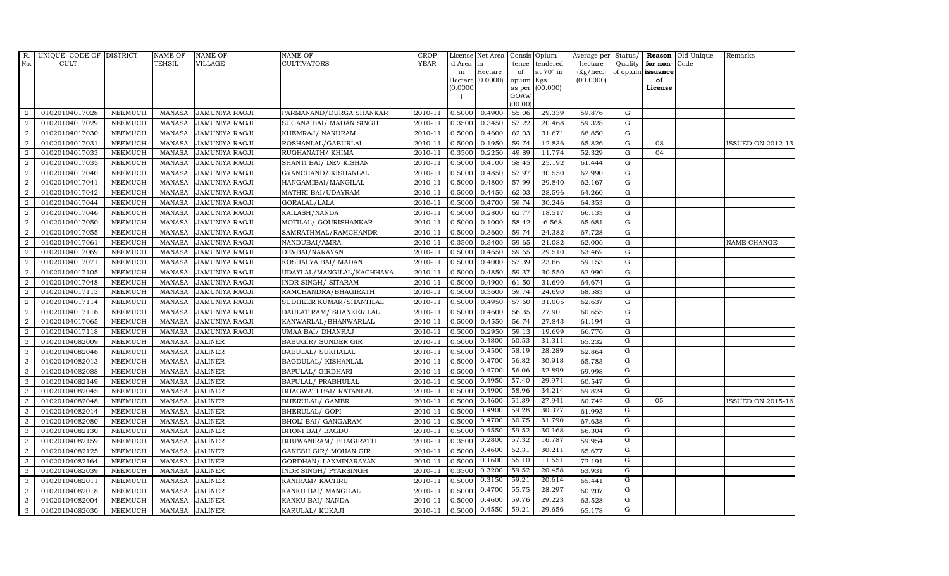| R.             | UNIQUE CODE OF DISTRICT |                | <b>NAME OF</b> | <b>NAME OF</b>        | NAME OF                    | <b>CROP</b> |           | License Net Area |           | Consis Opium     | Average per |                | Status/ Reason    | Old Unique | Remarks                  |
|----------------|-------------------------|----------------|----------------|-----------------------|----------------------------|-------------|-----------|------------------|-----------|------------------|-------------|----------------|-------------------|------------|--------------------------|
| No.            | CULT.                   |                | TEHSIL         | <b>VILLAGE</b>        | CULTIVATORS                | <b>YEAR</b> | d Area in |                  | tence     | tendered         | hectare     |                | Quality for non-  | Code       |                          |
|                |                         |                |                |                       |                            |             | in        | Hectare          | of        | at $70^\circ$ in | (Kg/hec.)   |                | of opium issuance |            |                          |
|                |                         |                |                |                       |                            |             |           | Hectare (0.0000) | opium Kgs |                  | (00.0000)   |                | of                |            |                          |
|                |                         |                |                |                       |                            |             | (0.0000)  |                  | GOAW      | as per (00.000)  |             |                | License           |            |                          |
|                |                         |                |                |                       |                            |             |           |                  | (00.00)   |                  |             |                |                   |            |                          |
| 2              | 01020104017028          | <b>NEEMUCH</b> | MANASA         | <b>JAMUNIYA RAOJI</b> | PARMANAND/DURGA SHANKAR    | 2010-11     | 0.5000    | 0.4900           | 55.06     | 29.339           | 59.876      | G              |                   |            |                          |
| $\overline{2}$ | 01020104017029          | <b>NEEMUCH</b> | <b>MANASA</b>  | <b>JAMUNIYA RAOJI</b> | SUGANA BAI/ MADAN SINGH    | 2010-11     | 0.3500    | 0.3450           | 57.22     | 20.468           | 59.328      | ${\rm G}$      |                   |            |                          |
| $\overline{2}$ | 01020104017030          | <b>NEEMUCH</b> | <b>MANASA</b>  | <b>JAMUNIYA RAOJI</b> | KHEMRAJ / NANURAM          | 2010-11     | 0.5000    | 0.4600           | 62.03     | 31.671           | 68.850      | G              |                   |            |                          |
| $\overline{2}$ | 01020104017031          | <b>NEEMUCH</b> | <b>MANASA</b>  | <b>JAMUNIYA RAOJI</b> | ROSHANLAL/GABURLAL         | 2010-11     | 0.5000    | 0.1950           | 59.74     | 12.836           | 65.826      | $\mathbf G$    | 08                |            | ISSUED ON 2012-13        |
| $\overline{2}$ | 01020104017033          | <b>NEEMUCH</b> | <b>MANASA</b>  | JAMUNIYA RAOJI        | RUGHANATH / KHIMA          | 2010-11     | 0.3500    | 0.2250           | 49.89     | 11.774           | 52.329      | ${\rm G}$      | 04                |            |                          |
| 2              | 01020104017035          | <b>NEEMUCH</b> | <b>MANASA</b>  | JAMUNIYA RAOJI        | SHANTI BAI/ DEV KISHAN     | 2010-11     | 0.5000    | 0.4100           | 58.45     | 25.192           | 61.444      | G              |                   |            |                          |
| $\overline{2}$ | 01020104017040          | <b>NEEMUCH</b> | <b>MANASA</b>  | <b>JAMUNIYA RAOJI</b> | GYANCHAND/ KISHANLAL       | 2010-11     | 0.5000    | 0.4850           | 57.97     | 30.550           | 62.990      | ${\rm G}$      |                   |            |                          |
| 2              | 01020104017041          | NEEMUCH        | <b>MANASA</b>  | <b>JAMUNIYA RAOJI</b> | HANGAMIBAI/MANGILAL        | 2010-11     | 0.5000    | 0.4800           | 57.99     | 29.840           | 62.167      | ${\rm G}$      |                   |            |                          |
| $\overline{2}$ | 01020104017042          | <b>NEEMUCH</b> | <b>MANASA</b>  | <b>JAMUNIYA RAOJI</b> | MATHRI BAI/UDAYRAM         | 2010-11     | 0.5000    | 0.4450           | 62.03     | 28.596           | 64.260      | G              |                   |            |                          |
| $\overline{2}$ | 01020104017044          | <b>NEEMUCH</b> | <b>MANASA</b>  | <b>JAMUNIYA RAOJI</b> | GORALAL/LALA               | 2010-11     | 0.5000    | 0.4700           | 59.74     | 30.246           | 64.353      | ${\rm G}$      |                   |            |                          |
| $\overline{2}$ | 01020104017046          | <b>NEEMUCH</b> | <b>MANASA</b>  | JAMUNIYA RAOJI        | KAILASH/NANDA              | 2010-11     | 0.5000    | 0.2800           | 62.77     | 18.517           | 66.133      | G              |                   |            |                          |
| 2              | 01020104017050          | <b>NEEMUCH</b> | <b>MANASA</b>  | <b>JAMUNIYA RAOJI</b> | MOTILAL/ GOURISHANKAR      | 2010-11     | 0.5000    | 0.1000           | 58.42     | 6.568            | 65.681      | $\mathbf G$    |                   |            |                          |
| 2              | 01020104017055          | <b>NEEMUCH</b> | <b>MANASA</b>  | <b>JAMUNIYA RAOJI</b> | SAMRATHMAL/RAMCHANDR       | 2010-11     | 0.5000    | 0.3600           | 59.74     | 24.382           | 67.728      | G              |                   |            |                          |
| $\overline{2}$ | 01020104017061          | <b>NEEMUCH</b> | <b>MANASA</b>  | <b>JAMUNIYA RAOJI</b> | NANDUBAI/AMRA              | 2010-11     | 0.3500    | 0.3400           | 59.65     | 21.082           | 62.006      | $\mathbf G$    |                   |            | NAME CHANGE              |
| $\overline{2}$ | 01020104017069          | <b>NEEMUCH</b> | <b>MANASA</b>  | <b>JAMUNIYA RAOJI</b> | DEVBAI/NARAYAN             | 2010-11     | 0.5000    | 0.4650           | 59.65     | 29.510           | 63.462      | ${\rm G}$      |                   |            |                          |
| $\overline{2}$ | 01020104017071          | <b>NEEMUCH</b> | <b>MANASA</b>  | JAMUNIYA RAOJI        | KOSHALYA BAI/ MADAN        | 2010-11     | 0.5000    | 0.4000           | 57.39     | 23.661           | 59.153      | ${\rm G}$      |                   |            |                          |
| 2              | 01020104017105          | <b>NEEMUCH</b> | <b>MANASA</b>  | <b>JAMUNIYA RAOJI</b> | UDAYLAL/MANGILAL/KACHHAVA  | 2010-11     | 0.5000    | 0.4850           | 59.37     | 30.550           | 62.990      | $\mathbf G$    |                   |            |                          |
| 2              | 01020104017048          | <b>NEEMUCH</b> | <b>MANASA</b>  | <b>JAMUNIYA RAOJI</b> | INDR SINGH/ SITARAM        | 2010-11     | 0.5000    | 0.4900           | 61.50     | 31.690           | 64.674      | $\mathbf G$    |                   |            |                          |
| $\overline{2}$ | 01020104017113          | <b>NEEMUCH</b> | <b>MANASA</b>  | <b>JAMUNIYA RAOJI</b> | RAMCHANDRA/BHAGIRATH       | 2010-11     | 0.5000    | 0.3600           | 59.74     | 24.690           | 68.583      | $\mathbf G$    |                   |            |                          |
| $\overline{2}$ | 01020104017114          | <b>NEEMUCH</b> | <b>MANASA</b>  | <b>JAMUNIYA RAOJI</b> | SUDHEER KUMAR/SHANTILAL    | 2010-11     | 0.5000    | 0.4950           | 57.60     | 31.005           | 62.637      | $\mathbf G$    |                   |            |                          |
| 2              | 01020104017116          | <b>NEEMUCH</b> | <b>MANASA</b>  | JAMUNIYA RAOJI        | DAULAT RAM/ SHANKER LAL    | 2010-11     | 0.5000    | 0.4600           | 56.35     | 27.901           | 60.655      | $\mathbf G$    |                   |            |                          |
| $\overline{a}$ | 01020104017065          | NEEMUCH        | <b>MANASA</b>  | <b>JAMUNIYA RAOJI</b> | KANWARLAL/BHANWARLAL       | 2010-11     | 0.5000    | 0.4550           | 56.74     | 27.843           | 61.194      | ${\rm G}$      |                   |            |                          |
| $\overline{a}$ | 01020104017118          | <b>NEEMUCH</b> | <b>MANASA</b>  | JAMUNIYA RAOJI        | UMAA BAI/ DHANRAJ          | 2010-11     | 0.5000    | 0.2950           | 59.13     | 19.699           | 66.776      | G              |                   |            |                          |
| 3              | 01020104082009          | <b>NEEMUCH</b> | <b>MANASA</b>  | <b>JALINER</b>        | <b>BABUGIR/ SUNDER GIR</b> | 2010-11     | 0.5000    | 0.4800           | 60.53     | 31.311           | 65.232      | ${\rm G}$      |                   |            |                          |
| 3              | 01020104082046          | <b>NEEMUCH</b> | <b>MANASA</b>  | <b>JALINER</b>        | BABULAL/ SUKHALAL          | 2010-11     | 0.5000    | 0.4500           | 58.19     | 28.289           | 62.864      | G              |                   |            |                          |
| 3              | 01020104082013          | <b>NEEMUCH</b> | <b>MANASA</b>  | <b>JALINER</b>        | BAGDULAL/KISHANLAL         | 2010-11     | 0.5000    | 0.4700           | 56.82     | 30.918           | 65.783      | G              |                   |            |                          |
| 3              | 01020104082088          | <b>NEEMUCH</b> | <b>MANASA</b>  | <b>JALINER</b>        | BAPULAL/ GIRDHARI          | 2010-11     | 0.5000    | 0.4700           | 56.06     | 32.899           | 69.998      | G              |                   |            |                          |
| 3              | 01020104082149          | <b>NEEMUCH</b> | <b>MANASA</b>  | <b>JALINER</b>        | BAPULAL/ PRABHULAL         | 2010-11     | 0.5000    | 0.4950           | 57.40     | 29.971           | 60.547      | G              |                   |            |                          |
| 3              | 01020104082045          | <b>NEEMUCH</b> | <b>MANASA</b>  | <b>JALINER</b>        | BHAGWATI BAI/ RATANLAL     | 2010-11     | 0.5000    | 0.4900           | 58.96     | 34.214           | 69.824      | $\overline{G}$ |                   |            |                          |
| 3              | 01020104082048          | <b>NEEMUCH</b> | <b>MANASA</b>  | <b>JALINER</b>        | BHERULAL/ GAMER            | 2010-11     | 0.5000    | 0.4600           | 51.39     | 27.941           | 60.742      | G              | 05                |            | <b>ISSUED ON 2015-16</b> |
| 3              | 01020104082014          | <b>NEEMUCH</b> | <b>MANASA</b>  | <b>JALINER</b>        | BHERULAL/ GOPI             | 2010-11     | 0.5000    | 0.4900           | 59.28     | 30.377           | 61.993      | $\mathbf G$    |                   |            |                          |
| 3              | 01020104082080          | <b>NEEMUCH</b> | <b>MANASA</b>  | <b>JALINER</b>        | BHOLI BAI/ GANGARAM        | 2010-11     | 0.5000    | 0.4700           | 60.75     | 31.790           | 67.638      | G              |                   |            |                          |
| 3              | 01020104082130          | NEEMUCH        | MANASA         | <b>JALINER</b>        | <b>BHONI BAI/ BAGDU</b>    | 2010-11     | 0.5000    | 0.4550           | 59.52     | 30.168           | 66.304      | G              |                   |            |                          |
| 3              | 01020104082159          | <b>NEEMUCH</b> | <b>MANASA</b>  | <b>JALINER</b>        | BHUWANIRAM / BHAGIRATH     | 2010-11     | 0.3500    | 0.2800           | 57.32     | 16.787           | 59.954      | G              |                   |            |                          |
| 3              | 01020104082125          | <b>NEEMUCH</b> | <b>MANASA</b>  | <b>JALINER</b>        | GANESH GIR/ MOHAN GIR      | 2010-11     | 0.5000    | 0.4600           | 62.31     | 30.211           | 65.677      | G              |                   |            |                          |
| 3              | 01020104082164          | <b>NEEMUCH</b> | <b>MANASA</b>  | <b>JALINER</b>        | GORDHAN/ LAXMINARAYAN      | 2010-11     | 0.5000    | 0.1600           | 65.10     | 11.551           | 72.191      | G              |                   |            |                          |
| 3              | 01020104082039          | <b>NEEMUCH</b> | <b>MANASA</b>  | <b>JALINER</b>        | INDR SINGH/ PYARSINGH      | 2010-11     | 0.3500    | 0.3200           | 59.52     | 20.458           | 63.931      | G              |                   |            |                          |
| 3              | 01020104082011          | <b>NEEMUCH</b> | <b>MANASA</b>  | <b>JALINER</b>        | KANIRAM/KACHRU             | 2010-11     | 0.5000    | 0.3150           | 59.21     | 20.614           | 65.441      | G              |                   |            |                          |
| 3              | 01020104082018          | <b>NEEMUCH</b> | <b>MANASA</b>  | <b>JALINER</b>        | KANKU BAI/ MANGILAL        | 2010-11     | 0.5000    | 0.4700           | 55.75     | 28.297           | 60.207      | G              |                   |            |                          |
| 3              | 01020104082004          | <b>NEEMUCH</b> | <b>MANASA</b>  | <b>JALINER</b>        | KANKU BAI/ NANDA           | 2010-11     | 0.5000    | 0.4600           | 59.76     | 29.223           | 63.528      | G              |                   |            |                          |
| 3              | 01020104082030          | <b>NEEMUCH</b> | MANASA         | <b>JALINER</b>        | KARULAL/ KUKAJI            | 2010-11     | 0.5000    | 0.4550           | 59.21     | 29.656           | 65.178      | $\overline{G}$ |                   |            |                          |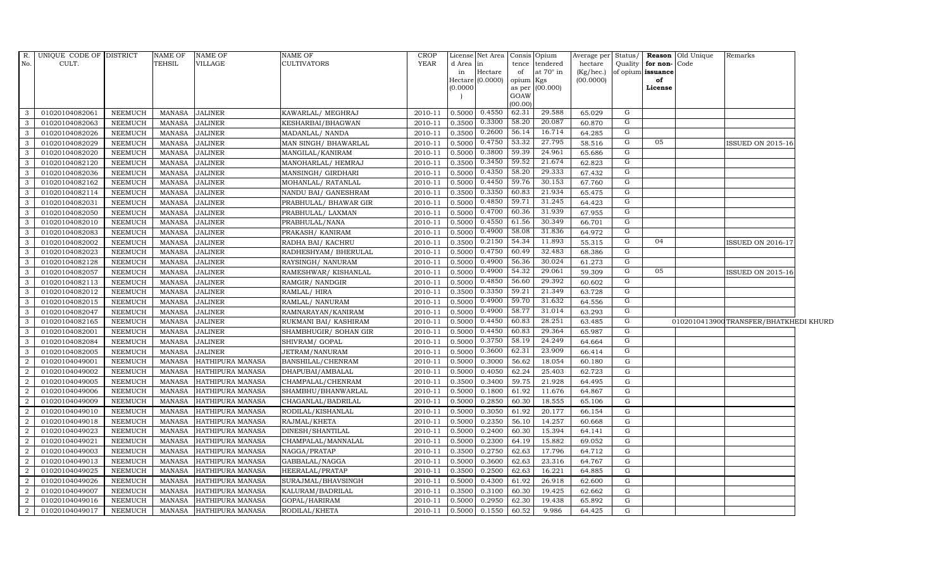| $R_{\cdot}$      | UNIQUE CODE OF DISTRICT |                | <b>NAME OF</b> | <b>NAME OF</b>   | NAME OF               | <b>CROP</b>    |           | License Net Area   Consis   Opium |           |                  | Average per Status/ |           |                      | <b>Reason</b> Old Unique | Remarks                                |  |
|------------------|-------------------------|----------------|----------------|------------------|-----------------------|----------------|-----------|-----------------------------------|-----------|------------------|---------------------|-----------|----------------------|--------------------------|----------------------------------------|--|
| No.              | CULT.                   |                | TEHSIL         | VILLAGE          | CULTIVATORS           | YEAR           | d Area in |                                   |           | tence tendered   | hectare             |           | Quality for non-Code |                          |                                        |  |
|                  |                         |                |                |                  |                       |                | in        | Hectare                           | of        | at $70^\circ$ in | (Kg/hec.)           |           | of opium issuance    |                          |                                        |  |
|                  |                         |                |                |                  |                       |                | (0.0000)  | Hectare (0.0000)                  | opium Kgs | as per (00.000)  | (00.0000)           |           | of<br>License        |                          |                                        |  |
|                  |                         |                |                |                  |                       |                |           |                                   | GOAW      |                  |                     |           |                      |                          |                                        |  |
|                  |                         |                |                |                  |                       |                |           |                                   | (00.00)   |                  |                     |           |                      |                          |                                        |  |
| 3                | 01020104082061          | <b>NEEMUCH</b> | MANASA         | <b>JALINER</b>   | KAWARLAL/MEGHRAJ      | 2010-11        | 0.5000    | 0.4550                            | 62.31     | 29.588           | 65.029              | G         |                      |                          |                                        |  |
| 3                | 01020104082063          | <b>NEEMUCH</b> | <b>MANASA</b>  | <b>JALINER</b>   | KESHARBAI/BHAGWAN     | 2010-11        | 0.3500    | 0.3300                            | 58.20     | 20.087           | 60.870              | G         |                      |                          |                                        |  |
| 3                | 01020104082026          | <b>NEEMUCH</b> | MANASA         | <b>JALINER</b>   | MADANLAL/ NANDA       | 2010-11        | 0.3500    | 0.2600                            | 56.14     | 16.714           | 64.285              | G         |                      |                          |                                        |  |
| 3                | 01020104082029          | <b>NEEMUCH</b> | MANASA         | <b>JALINER</b>   | MAN SINGH/ BHAWARLAL  | 2010-11        | 0.5000    | 0.4750                            | 53.32     | 27.795           | 58.516              | G         | 05                   |                          | <b>ISSUED ON 2015-16</b>               |  |
| 3                | 01020104082020          | <b>NEEMUCH</b> | <b>MANASA</b>  | <b>JALINER</b>   | MANGILAL/KANIRAM      | 2010-11        | 0.5000    | 0.3800                            | 59.39     | 24.961           | 65.686              | G         |                      |                          |                                        |  |
| 3                | 01020104082120          | NEEMUCH        | MANASA         | <b>JALINER</b>   | MANOHARLAL/HEMRAJ     | $2010 - 11$    | 0.3500    | 0.3450                            | 59.52     | 21.674           | 62.823              | G         |                      |                          |                                        |  |
| 3                | 01020104082036          | <b>NEEMUCH</b> | MANASA         | <b>JALINER</b>   | MANSINGH/ GIRDHARI    | $2010 - 11$    | 0.5000    | 0.4350                            | 58.20     | 29.333           | 67.432              | G         |                      |                          |                                        |  |
| 3                | 01020104082162          | <b>NEEMUCH</b> | MANASA         | <b>JALINER</b>   | MOHANLAL/RATANLAL     | 2010-11        | 0.5000    | 0.4450                            | 59.76     | 30.153           | 67.760              | G         |                      |                          |                                        |  |
| 3                | 01020104082114          | <b>NEEMUCH</b> | <b>MANASA</b>  | <b>JALINER</b>   | NANDU BAI/ GANESHRAM  | 2010-11        | 0.3500    | 0.3350                            | 60.83     | 21.934           | 65.475              | G         |                      |                          |                                        |  |
| 3                | 01020104082031          | <b>NEEMUCH</b> | <b>MANASA</b>  | <b>JALINER</b>   | PRABHULAL/ BHAWAR GIR | 2010-11        | 0.5000    | 0.4850                            | 59.71     | 31.245           | 64.423              | G         |                      |                          |                                        |  |
| 3                | 01020104082050          | <b>NEEMUCH</b> | MANASA         | <b>JALINER</b>   | PRABHULAL/ LAXMAN     | $2010 - 11$    | 0.5000    | 0.4700                            | 60.36     | 31.939           | 67.955              | G         |                      |                          |                                        |  |
| 3                | 01020104082010          | NEEMUCH        | <b>MANASA</b>  | <b>JALINER</b>   | PRABHULAL/NANA        | 2010-11        | 0.5000    | 0.4550                            | 61.56     | 30.349           | 66.701              | G         |                      |                          |                                        |  |
| 3                | 01020104082083          | <b>NEEMUCH</b> | MANASA         | <b>JALINER</b>   | PRAKASH/KANIRAM       | 2010-11        | 0.5000    | 0.4900                            | 58.08     | 31.836           | 64.972              | G         |                      |                          |                                        |  |
| 3                | 01020104082002          | <b>NEEMUCH</b> | <b>MANASA</b>  | <b>JALINER</b>   | RADHA BAI/KACHRU      | $2010 - 11$    | 0.3500    | 0.2150                            | 54.34     | 11.893           | 55.315              | G         | 04                   |                          | <b>ISSUED ON 2016-17</b>               |  |
| 3                | 01020104082023          | NEEMUCH        | <b>MANASA</b>  | <b>JALINER</b>   | RADHESHYAM/BHERULAL   | 2010-11        | 0.5000    | 0.4750                            | 60.49     | 32.483           | 68.386              | G         |                      |                          |                                        |  |
| 3                | 01020104082128          | <b>NEEMUCH</b> | MANASA         | <b>JALINER</b>   | RAYSINGH/ NANURAM     | 2010-11        | 0.5000    | 0.4900                            | 56.36     | 30.024           | 61.273              | G         |                      |                          |                                        |  |
| 3                | 01020104082057          | <b>NEEMUCH</b> | MANASA         | <b>JALINER</b>   | RAMESHWAR/ KISHANLAL  | 2010-11        | 0.5000    | 0.4900                            | 54.32     | 29.061           | 59.309              | G         | 05                   |                          | <b>ISSUED ON 2015-16</b>               |  |
| 3                | 01020104082113          | NEEMUCH        | MANASA         | <b>JALINER</b>   | RAMGIR/ NANDGIR       | 2010-11        | 0.5000    | 0.4850                            | 56.60     | 29.392           | 60.602              | G         |                      |                          |                                        |  |
| 3                | 01020104082012          | <b>NEEMUCH</b> | MANASA         | <b>JALINER</b>   | RAMLAL/HIRA           | 2010-11        | 0.3500    | 0.3350                            | 59.21     | 21.349           | 63.728              | G         |                      |                          |                                        |  |
| 3                | 01020104082015          | <b>NEEMUCH</b> | MANASA         | <b>JALINER</b>   | RAMLAL/ NANURAM       | 2010-11        | 0.5000    | 0.4900                            | 59.70     | 31.632           | 64.556              | G         |                      |                          |                                        |  |
| 3                | 01020104082047          | NEEMUCH        | MANASA         | <b>JALINER</b>   | RAMNARAYAN/KANIRAM    | 2010-11        | 0.5000    | 0.4900                            | 58.77     | 31.014           | 63.293              | G         |                      |                          |                                        |  |
| 3                | 01020104082165          | <b>NEEMUCH</b> | <b>MANASA</b>  | <b>JALINER</b>   | RUKMANI BAI/KASHIRAM  | 2010-11        | 0.5000    | 0.4450                            | 60.83     | 28.251           | 63.485              | G         |                      |                          | 0102010413900 TRANSFER/BHATKHEDI KHURD |  |
| $\mathbf{3}$     | 01020104082001          | <b>NEEMUCH</b> | MANASA         | <b>JALINER</b>   | SHAMBHUGIR/ SOHAN GIR | 2010-11        | 0.5000    | 0.4450                            | 60.83     | 29.364           | 65.987              | G         |                      |                          |                                        |  |
| 3                | 01020104082084          | <b>NEEMUCH</b> | MANASA         | <b>JALINER</b>   | SHIVRAM/ GOPAL        | 2010-11        | 0.5000    | 0.3750                            | 58.19     | 24.249           | 64.664              | G         |                      |                          |                                        |  |
| 3                | 01020104082005          | <b>NEEMUCH</b> | MANASA         | <b>JALINER</b>   | JETRAM/NANURAM        | 2010-11        | 0.5000    | 0.3600                            | 62.31     | 23.909           | 66.414              | G         |                      |                          |                                        |  |
| $\overline{2}$   | 01020104049001          | <b>NEEMUCH</b> | MANASA         | HATHIPURA MANASA | BANSHILAL/CHENRAM     | $2010 - 11$    | 0.5000    | 0.3000                            | 56.62     | 18.054           | 60.180              | G         |                      |                          |                                        |  |
| 2                | 01020104049002          | <b>NEEMUCH</b> | <b>MANASA</b>  | HATHIPURA MANASA | DHAPUBAI/AMBALAL      | 2010-11        | 0.5000    | 0.4050                            | 62.24     | 25.403           | 62.723              | G         |                      |                          |                                        |  |
| $\overline{2}$   | 01020104049005          | <b>NEEMUCH</b> | MANASA         | HATHIPURA MANASA | CHAMPALAL/CHENRAM     | 2010-11        | 0.3500    | 0.3400                            | 59.75     | 21.928           | 64.495              | G         |                      |                          |                                        |  |
| $\overline{2}$   | 01020104049006          | <b>NEEMUCH</b> | MANASA         | HATHIPURA MANASA | SHAMBHU/BHANWARLAL    | 2010-11        | 0.5000    | 0.1800                            | 61.92     | 11.676           | 64.867              | ${\rm G}$ |                      |                          |                                        |  |
| 2                | 01020104049009          | <b>NEEMUCH</b> | MANASA         | HATHIPURA MANASA | CHAGANLAL/BADRILAL    | 2010-11        | 0.5000    | 0.2850                            | 60.30     | 18.555           | 65.106              | G         |                      |                          |                                        |  |
| $\boldsymbol{2}$ | 01020104049010          | <b>NEEMUCH</b> | MANASA         | HATHIPURA MANASA | RODILAL/KISHANLAL     | 2010-11        | 0.5000    | 0.3050                            | 61.92     | 20.177           | 66.154              | G         |                      |                          |                                        |  |
| $\overline{2}$   | 01020104049018          | <b>NEEMUCH</b> | MANASA         | HATHIPURA MANASA | RAJMAL/KHETA          | 2010-11        | 0.5000    | 0.2350                            | 56.10     | 14.257           | 60.668              | G         |                      |                          |                                        |  |
| $\overline{2}$   | 01020104049023          | <b>NEEMUCH</b> | <b>MANASA</b>  | HATHIPURA MANASA | DINESH/SHANTILAL      | 2010-11        | 0.5000    | 0.2400                            | 60.30     | 15.394           | 64.141              | G         |                      |                          |                                        |  |
| 2                | 01020104049021          | <b>NEEMUCH</b> | <b>MANASA</b>  | HATHIPURA MANASA | CHAMPALAL/MANNALAL    | 2010-11        | 0.5000    | 0.2300                            | 64.19     | 15.882           | 69.052              | ${\rm G}$ |                      |                          |                                        |  |
| $\overline{2}$   | 01020104049003          | <b>NEEMUCH</b> | MANASA         | HATHIPURA MANASA | NAGGA/PRATAP          | 2010-11        | 0.3500    | 0.2750                            | 62.63     | 17.796           | 64.712              | G         |                      |                          |                                        |  |
| $\overline{2}$   | 01020104049013          | <b>NEEMUCH</b> | <b>MANASA</b>  | HATHIPURA MANASA | GABBALAL/NAGGA        | 2010-11        | 0.5000    | 0.3600                            | 62.63     | 23.316           | 64.767              | G         |                      |                          |                                        |  |
| 2                | 01020104049025          | <b>NEEMUCH</b> | MANASA         | HATHIPURA MANASA | HEERALAL/PRATAP       | 2010-11        | 0.3500    | 0.2500                            | 62.63     | 16.221           | 64.885              | G         |                      |                          |                                        |  |
| $\overline{2}$   | 01020104049026          | <b>NEEMUCH</b> | <b>MANASA</b>  | HATHIPURA MANASA | SURAJMAL/BHAVSINGH    | 2010-11        | 0.5000    | 0.4300                            | 61.92     | 26.918           | 62.600              | G         |                      |                          |                                        |  |
| 2                | 01020104049007          | <b>NEEMUCH</b> | MANASA         | HATHIPURA MANASA | KALURAM/BADRILAL      | 2010-11        | 0.3500    | 0.3100                            | 60.30     | 19.425           | 62.662              | G         |                      |                          |                                        |  |
| 2                | 01020104049016          | <b>NEEMUCH</b> | MANASA         | HATHIPURA MANASA | GOPAL/HARIRAM         | 2010-11        | 0.5000    | 0.2950                            | 62.30     | 19.438           | 65.892              | G         |                      |                          |                                        |  |
| $\overline{a}$   | 01020104049017          | <b>NEEMUCH</b> | MANASA         | HATHIPURA MANASA | RODILAL/KHETA         | 2010-11 0.5000 |           | 0.1550                            | 60.52     | 9.986            | 64.425              | G         |                      |                          |                                        |  |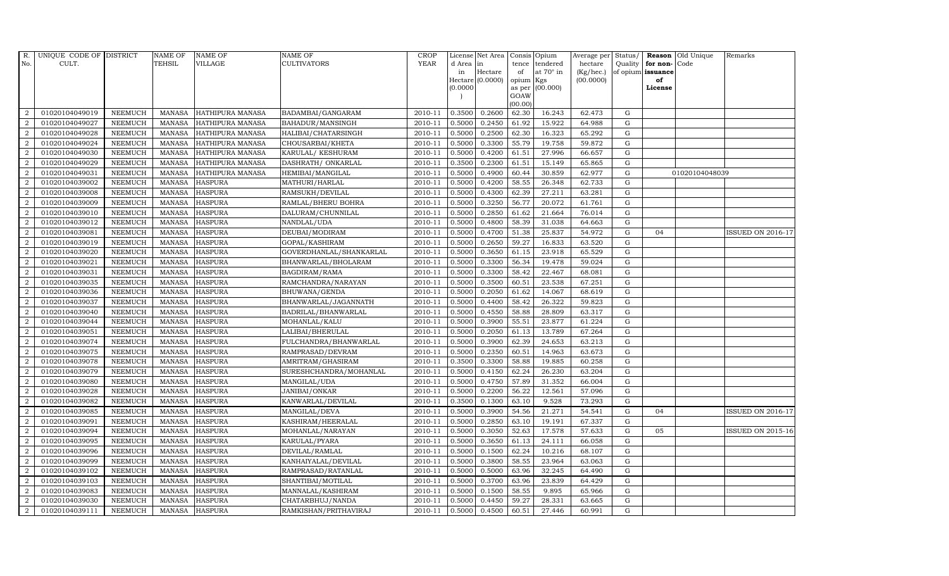| $R_{\cdot}$      | UNIQUE CODE OF DISTRICT |                | <b>NAME OF</b> | <b>NAME OF</b>          | <b>NAME OF</b>          | CROP        |           | License Net Area   Consis   Opium |           |                  | Average per Status/ |             |                   | <b>Reason</b> Old Unique | Remarks                  |
|------------------|-------------------------|----------------|----------------|-------------------------|-------------------------|-------------|-----------|-----------------------------------|-----------|------------------|---------------------|-------------|-------------------|--------------------------|--------------------------|
| No.              | CULT.                   |                | TEHSIL         | VILLAGE                 | <b>CULTIVATORS</b>      | <b>YEAR</b> | d Area in |                                   |           | tence tendered   | hectare             | Quality     | for non-          | Code                     |                          |
|                  |                         |                |                |                         |                         |             | in        | Hectare                           | of        | at $70^\circ$ in | (Kg/hec.)           |             | of opium issuance |                          |                          |
|                  |                         |                |                |                         |                         |             |           | $Hectare (0.0000)$                | opium Kgs |                  | (00.0000)           |             | of                |                          |                          |
|                  |                         |                |                |                         |                         |             | (0.0000)  |                                   | GOAW      | as per (00.000)  |                     |             | License           |                          |                          |
|                  |                         |                |                |                         |                         |             |           |                                   | (00.00)   |                  |                     |             |                   |                          |                          |
| 2                | 01020104049019          | <b>NEEMUCH</b> | MANASA         | HATHIPURA MANASA        | BADAMBAI/GANGARAM       | 2010-11     | 0.3500    | 0.2600                            | 62.30     | 16.243           | 62.473              | G           |                   |                          |                          |
| 2                | 01020104049027          | <b>NEEMUCH</b> | <b>MANASA</b>  | HATHIPURA MANASA        | BAHADUR/MANSINGH        | 2010-11     | 0.5000    | 0.2450                            | 61.92     | 15.922           | 64.988              | ${\rm G}$   |                   |                          |                          |
| $\overline{2}$   | 01020104049028          | <b>NEEMUCH</b> | <b>MANASA</b>  | <b>HATHIPURA MANASA</b> | HALIBAI/CHATARSINGH     | 2010-11     | 0.5000    | 0.2500                            | 62.30     | 16.323           | 65.292              | G           |                   |                          |                          |
| $\boldsymbol{2}$ | 01020104049024          | <b>NEEMUCH</b> | <b>MANASA</b>  | HATHIPURA MANASA        | CHOUSARBAI/KHETA        | 2010-11     | 0.5000    | 0.3300                            | 55.79     | 19.758           | 59.872              | ${\rm G}$   |                   |                          |                          |
| 2                | 01020104049030          | <b>NEEMUCH</b> | <b>MANASA</b>  | HATHIPURA MANASA        | KARULAL/ KESHURAM       | 2010-11     | 0.5000    | 0.4200                            | 61.51     | 27.996           | 66.657              | $\mathbf G$ |                   |                          |                          |
| 2                | 01020104049029          | <b>NEEMUCH</b> | <b>MANASA</b>  | HATHIPURA MANASA        | DASHRATH / ONKARLAL     | 2010-11     | 0.3500    | 0.2300                            | 61.51     | 15.149           | 65.865              | G           |                   |                          |                          |
| 2                | 01020104049031          | <b>NEEMUCH</b> | <b>MANASA</b>  | HATHIPURA MANASA        | HEMIBAI/MANGILAL        | 2010-11     | 0.5000    | 0.4900                            | 60.44     | 30.859           | 62.977              | ${\rm G}$   |                   | 01020104048039           |                          |
| 2                | 01020104039002          | <b>NEEMUCH</b> | <b>MANASA</b>  | <b>HASPURA</b>          | MATHURI/HARLAL          | 2010-11     | 0.5000    | 0.4200                            | 58.55     | 26.348           | 62.733              | $\mathbf G$ |                   |                          |                          |
| $\overline{2}$   | 01020104039008          | <b>NEEMUCH</b> | <b>MANASA</b>  | <b>HASPURA</b>          | RAMSUKH/DEVILAL         | 2010-11     | 0.5000    | 0.4300                            | 62.39     | 27.211           | 63.281              | G           |                   |                          |                          |
| 2                | 01020104039009          | <b>NEEMUCH</b> | <b>MANASA</b>  | <b>HASPURA</b>          | RAMLAL/BHERU BOHRA      | 2010-11     | 0.5000    | 0.3250                            | 56.77     | 20.072           | 61.761              | ${\bf G}$   |                   |                          |                          |
| 2                | 01020104039010          | <b>NEEMUCH</b> | <b>MANASA</b>  | <b>HASPURA</b>          | DALURAM/CHUNNILAL       | 2010-11     | 0.5000    | 0.2850                            | 61.62     | 21.664           | 76.014              | G           |                   |                          |                          |
| 2                | 01020104039012          | <b>NEEMUCH</b> | <b>MANASA</b>  | <b>HASPURA</b>          | NANDLAL/UDA             | 2010-11     | 0.5000    | 0.4800                            | 58.39     | 31.038           | 64.663              | ${\bf G}$   |                   |                          |                          |
| 2                | 01020104039081          | NEEMUCH        | <b>MANASA</b>  | <b>HASPURA</b>          | DEUBAI/MODIRAM          | 2010-11     | 0.5000    | 0.4700                            | 51.38     | 25.837           | 54.972              | $\mathbf G$ | 04                |                          | <b>ISSUED ON 2016-17</b> |
| 2                | 01020104039019          | <b>NEEMUCH</b> | <b>MANASA</b>  | <b>HASPURA</b>          | GOPAL/KASHIRAM          | 2010-11     | 0.5000    | 0.2650                            | 59.27     | 16.833           | 63.520              | G           |                   |                          |                          |
| 2                | 01020104039020          | <b>NEEMUCH</b> | <b>MANASA</b>  | <b>HASPURA</b>          | GOVERDHANLAL/SHANKARLAL | 2010-11     | 0.5000    | 0.3650                            | 61.15     | 23.918           | 65.529              | ${\bf G}$   |                   |                          |                          |
| 2                | 01020104039021          | NEEMUCH        | <b>MANASA</b>  | <b>HASPURA</b>          | BHANWARLAL/BHOLARAM     | 2010-11     | 0.5000    | 0.3300                            | 56.34     | 19.478           | 59.024              | $\mathbf G$ |                   |                          |                          |
| 2                | 01020104039031          | <b>NEEMUCH</b> | <b>MANASA</b>  | <b>HASPURA</b>          | BAGDIRAM/RAMA           | 2010-11     | 0.5000    | 0.3300                            | 58.42     | 22.467           | 68.081              | ${\bf G}$   |                   |                          |                          |
| $\overline{2}$   | 01020104039035          | NEEMUCH        | <b>MANASA</b>  | <b>HASPURA</b>          | RAMCHANDRA/NARAYAN      | 2010-11     | 0.5000    | 0.3500                            | 60.51     | 23.538           | 67.251              | ${\rm G}$   |                   |                          |                          |
| $\overline{2}$   | 01020104039036          | <b>NEEMUCH</b> | <b>MANASA</b>  | <b>HASPURA</b>          | BHUWANA/GENDA           | 2010-11     | 0.5000    | 0.2050                            | 61.62     | 14.067           | 68.619              | $\mathbf G$ |                   |                          |                          |
| $\overline{2}$   | 01020104039037          | <b>NEEMUCH</b> | <b>MANASA</b>  | <b>HASPURA</b>          | BHANWARLAL/JAGANNATH    | 2010-11     | 0.5000    | 0.4400                            | 58.42     | 26.322           | 59.823              | ${\bf G}$   |                   |                          |                          |
| 2                | 01020104039040          | <b>NEEMUCH</b> | <b>MANASA</b>  | <b>HASPURA</b>          | BADRILAL/BHANWARLAL     | 2010-11     | 0.5000    | 0.4550                            | 58.88     | 28.809           | 63.317              | G           |                   |                          |                          |
| $\overline{2}$   | 01020104039044          | <b>NEEMUCH</b> | <b>MANASA</b>  | <b>HASPURA</b>          | MOHANLAL/KALU           | 2010-11     | 0.5000    | 0.3900                            | 55.51     | 23.877           | 61.224              | $\mathbf G$ |                   |                          |                          |
| $\overline{2}$   | 01020104039051          | <b>NEEMUCH</b> | <b>MANASA</b>  | <b>HASPURA</b>          | LALIBAI/BHERULAL        | 2010-11     | 0.5000    | 0.2050                            | 61.13     | 13.789           | 67.264              | ${\rm G}$   |                   |                          |                          |
| $\overline{2}$   | 01020104039074          | <b>NEEMUCH</b> | <b>MANASA</b>  | <b>HASPURA</b>          | FULCHANDRA/BHANWARLAL   | 2010-11     | 0.5000    | 0.3900                            | 62.39     | 24.653           | 63.213              | G           |                   |                          |                          |
| $\overline{2}$   | 01020104039075          | <b>NEEMUCH</b> | <b>MANASA</b>  | <b>HASPURA</b>          | RAMPRASAD/DEVRAM        | 2010-11     | 0.5000    | 0.2350                            | 60.51     | 14.963           | 63.673              | ${\rm G}$   |                   |                          |                          |
| $\overline{2}$   | 01020104039078          | <b>NEEMUCH</b> | <b>MANASA</b>  | <b>HASPURA</b>          | AMRITRAM/GHASIRAM       | 2010-11     | 0.3500    | 0.3300                            | 58.88     | 19.885           | 60.258              | G           |                   |                          |                          |
| 2                | 01020104039079          | <b>NEEMUCH</b> | <b>MANASA</b>  | <b>HASPURA</b>          | SURESHCHANDRA/MOHANLAL  | 2010-11     | 0.5000    | 0.4150                            | 62.24     | 26.230           | 63.204              | ${\rm G}$   |                   |                          |                          |
| 2                | 01020104039080          | <b>NEEMUCH</b> | <b>MANASA</b>  | <b>HASPURA</b>          | MANGILAL/UDA            | 2010-11     | 0.5000    | 0.4750                            | 57.89     | 31.352           | 66.004              | ${\rm G}$   |                   |                          |                          |
| 2                | 01020104039028          | <b>NEEMUCH</b> | <b>MANASA</b>  | <b>HASPURA</b>          | JANIBAI/ONKAR           | 2010-11     | 0.5000    | 0.2200                            | 56.22     | 12.561           | 57.096              | G           |                   |                          |                          |
| $\overline{2}$   | 01020104039082          | <b>NEEMUCH</b> | <b>MANASA</b>  | <b>HASPURA</b>          | KANWARLAL/DEVILAL       | 2010-11     | 0.3500    | 0.1300                            | 63.10     | 9.528            | 73.293              | ${\bf G}$   |                   |                          |                          |
| $\overline{2}$   | 01020104039085          | <b>NEEMUCH</b> | <b>MANASA</b>  | <b>HASPURA</b>          | MANGILAL/DEVA           | 2010-11     | 0.5000    | 0.3900                            | 54.56     | 21.271           | 54.541              | G           | 04                |                          | ISSUED ON 2016-17        |
| 2                | 01020104039091          | <b>NEEMUCH</b> | <b>MANASA</b>  | <b>HASPURA</b>          | KASHIRAM/HEERALAL       | 2010-11     | 0.5000    | 0.2850                            | 63.10     | 19.191           | 67.337              | $\mathbf G$ |                   |                          |                          |
| $\overline{2}$   | 01020104039094          | <b>NEEMUCH</b> | <b>MANASA</b>  | <b>HASPURA</b>          | MOHANLAL/NARAYAN        | 2010-11     | 0.5000    | 0.3050                            | 52.63     | 17.578           | 57.633              | ${\rm G}$   | 05                |                          | <b>ISSUED ON 2015-16</b> |
| 2                | 01020104039095          | <b>NEEMUCH</b> | <b>MANASA</b>  | <b>HASPURA</b>          | KARULAL/PYARA           | 2010-11     | 0.5000    | 0.3650                            | 61.13     | 24.111           | 66.058              | G           |                   |                          |                          |
| $\overline{2}$   | 01020104039096          | <b>NEEMUCH</b> | <b>MANASA</b>  | <b>HASPURA</b>          | DEVILAL/RAMLAL          | 2010-11     | 0.5000    | 0.1500                            | 62.24     | 10.216           | 68.107              | $\mathbf G$ |                   |                          |                          |
| $\overline{2}$   | 01020104039099          | <b>NEEMUCH</b> | <b>MANASA</b>  | <b>HASPURA</b>          | KANHAIYALAL/DEVILAL     | 2010-11     | 0.5000    | 0.3800                            | 58.55     | 23.964           | 63.063              | G           |                   |                          |                          |
| $\overline{2}$   | 01020104039102          | <b>NEEMUCH</b> | <b>MANASA</b>  | <b>HASPURA</b>          | RAMPRASAD/RATANLAL      | 2010-11     | 0.5000    | 0.5000                            | 63.96     | 32.245           | 64.490              | G           |                   |                          |                          |
| $\overline{2}$   | 01020104039103          | <b>NEEMUCH</b> | <b>MANASA</b>  | <b>HASPURA</b>          | SHANTIBAI/MOTILAL       | 2010-11     | 0.5000    | 0.3700                            | 63.96     | 23.839           | 64.429              | ${\rm G}$   |                   |                          |                          |
| $\overline{2}$   | 01020104039083          | <b>NEEMUCH</b> | <b>MANASA</b>  | <b>HASPURA</b>          | MANNALAL/KASHIRAM       | 2010-11     | 0.5000    | 0.1500                            | 58.55     | 9.895            | 65.966              | G           |                   |                          |                          |
| $\overline{a}$   | 01020104039030          | <b>NEEMUCH</b> | <b>MANASA</b>  | <b>HASPURA</b>          | CHATARBHUJ/NANDA        | 2010-11     | 0.5000    | 0.4450                            | 59.27     | 28.331           | 63.665              | G           |                   |                          |                          |
| $\overline{2}$   | 01020104039111          | <b>NEEMUCH</b> |                | MANASA HASPURA          | RAMKISHAN/PRITHAVIRAJ   | 2010-11     | 0.5000    | 0.4500                            | 60.51     | 27.446           | 60.991              | $\mathbf G$ |                   |                          |                          |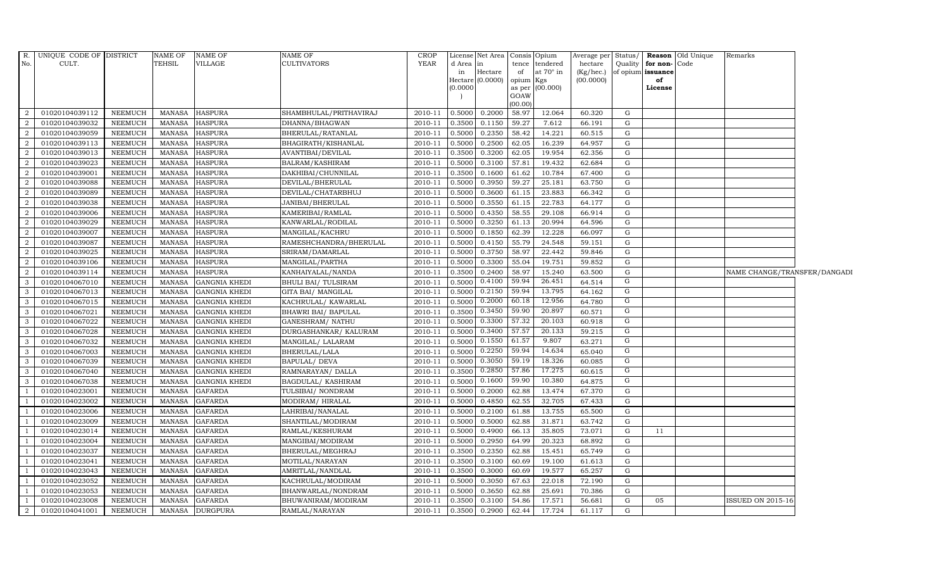| $R_{\cdot}$              | UNIQUE CODE OF DISTRICT |                | <b>NAME OF</b> | <b>NAME OF</b>       | <b>NAME OF</b>             | <b>CROP</b> |                 | License Net Area   Consis   Opium |                 |                       |                      |             |                                           | Average per Status/ Reason Old Unique | Remarks                      |  |
|--------------------------|-------------------------|----------------|----------------|----------------------|----------------------------|-------------|-----------------|-----------------------------------|-----------------|-----------------------|----------------------|-------------|-------------------------------------------|---------------------------------------|------------------------------|--|
| No.                      | CULT.                   |                | <b>TEHSIL</b>  | VILLAGE              | <b>CULTIVATORS</b>         | <b>YEAR</b> | d Area in<br>in | Hectare                           | tence<br>of     | tendered<br>at 70° in | hectare<br>(Kg/hec.) |             | Quality for non-Code<br>of opium issuance |                                       |                              |  |
|                          |                         |                |                |                      |                            |             |                 | $Hectare (0.0000)$                | opium           | Kgs                   | (00.0000)            |             | of                                        |                                       |                              |  |
|                          |                         |                |                |                      |                            |             | (0.0000)        |                                   | as per          | (00.000)              |                      |             | License                                   |                                       |                              |  |
|                          |                         |                |                |                      |                            |             |                 |                                   | GOAW<br>(00.00) |                       |                      |             |                                           |                                       |                              |  |
| -2                       | 01020104039112          | NEEMUCH        | <b>MANASA</b>  | <b>HASPURA</b>       | SHAMBHULAL/PRITHAVIRAJ     | 2010-11     | 0.5000          | 0.2000                            | 58.97           | 12.064                | 60.320               | G           |                                           |                                       |                              |  |
| 2                        | 01020104039032          | <b>NEEMUCH</b> | <b>MANASA</b>  | <b>HASPURA</b>       | DHANNA/BHAGWAN             | 2010-11     | 0.3500          | 0.1150                            | 59.27           | 7.612                 | 66.191               | $\mathbf G$ |                                           |                                       |                              |  |
| $\overline{2}$           | 01020104039059          | NEEMUCH        | <b>MANASA</b>  | <b>HASPURA</b>       | BHERULAL/RATANLAL          | 2010-11     | 0.5000          | 0.2350                            | 58.42           | 14.221                | 60.515               | $\mathbf G$ |                                           |                                       |                              |  |
| $\overline{2}$           | 01020104039113          | <b>NEEMUCH</b> | <b>MANASA</b>  | <b>HASPURA</b>       | BHAGIRATH/KISHANLAL        | 2010-11     | 0.5000          | 0.2500                            | 62.05           | 16.239                | 64.957               | ${\rm G}$   |                                           |                                       |                              |  |
| $\overline{a}$           | 01020104039013          | NEEMUCH        | <b>MANASA</b>  | <b>HASPURA</b>       | AVANTIBAI/DEVILAL          | 2010-11     | 0.3500          | 0.3200                            | 62.05           | 19.954                | 62.356               | G           |                                           |                                       |                              |  |
| 2                        | 01020104039023          | NEEMUCH        | <b>MANASA</b>  | <b>HASPURA</b>       | BALRAM/KASHIRAM            | 2010-11     | 0.5000          | 0.3100                            | 57.81           | 19.432                | 62.684               | $\mathbf G$ |                                           |                                       |                              |  |
| 2                        | 01020104039001          | NEEMUCH        | <b>MANASA</b>  | <b>HASPURA</b>       | DAKHIBAI/CHUNNILAL         | 2010-11     | 0.3500          | 0.1600                            | 61.62           | 10.784                | 67.400               | ${\rm G}$   |                                           |                                       |                              |  |
| $\overline{2}$           | 01020104039088          | NEEMUCH        | <b>MANASA</b>  | <b>HASPURA</b>       | DEVILAL/BHERULAL           | 2010-11     | 0.5000          | 0.3950                            | 59.27           | 25.181                | 63.750               | G           |                                           |                                       |                              |  |
| 2                        | 01020104039089          | <b>NEEMUCH</b> | <b>MANASA</b>  | <b>HASPURA</b>       | DEVILAL/CHATARBHUJ         | 2010-11     | 0.5000          | 0.3600                            | 61.15           | 23.883                | 66.342               | $\mathbf G$ |                                           |                                       |                              |  |
| $\overline{2}$           | 01020104039038          | <b>NEEMUCH</b> | <b>MANASA</b>  | <b>HASPURA</b>       | JANIBAI/BHERULAL           | 2010-11     | 0.5000          | 0.3550                            | 61.15           | 22.783                | 64.177               | ${\rm G}$   |                                           |                                       |                              |  |
| 2                        | 01020104039006          | NEEMUCH        | <b>MANASA</b>  | <b>HASPURA</b>       | KAMERIBAI/RAMLAL           | 2010-11     | 0.5000          | 0.4350                            | 58.55           | 29.108                | 66.914               | G           |                                           |                                       |                              |  |
| 2                        | 01020104039029          | NEEMUCH        | <b>MANASA</b>  | <b>HASPURA</b>       | KANWARLAL/RODILAL          | 2010-11     | 0.5000          | 0.3250                            | 61.13           | 20.994                | 64.596               | G           |                                           |                                       |                              |  |
| 2                        | 01020104039007          | NEEMUCH        | <b>MANASA</b>  | <b>HASPURA</b>       | MANGILAL/KACHRU            | 2010-11     | 0.5000          | 0.1850                            | 62.39           | 12.228                | 66.097               | $\mathbf G$ |                                           |                                       |                              |  |
| $\overline{2}$           | 01020104039087          | NEEMUCH        | <b>MANASA</b>  | <b>HASPURA</b>       | RAMESHCHANDRA/BHERULAL     | 2010-11     | 0.5000          | 0.4150                            | 55.79           | 24.548                | 59.151               | ${\rm G}$   |                                           |                                       |                              |  |
| $\overline{2}$           | 01020104039025          | <b>NEEMUCH</b> | <b>MANASA</b>  | <b>HASPURA</b>       | SRIRAM/DAMARLAL            | 2010-11     | 0.5000          | 0.3750                            | 58.97           | 22.442                | 59.846               | G           |                                           |                                       |                              |  |
| $\overline{a}$           | 01020104039106          | NEEMUCH        | <b>MANASA</b>  | <b>HASPURA</b>       | MANGILAL/PARTHA            | 2010-11     | 0.5000          | 0.3300                            | 55.04           | 19.751                | 59.852               | G           |                                           |                                       |                              |  |
| 2                        | 01020104039114          | NEEMUCH        | <b>MANASA</b>  | <b>HASPURA</b>       | KANHAIYALAL/NANDA          | 2010-11     | 0.3500          | 0.2400                            | 58.97           | 15.240                | 63.500               | G           |                                           |                                       | NAME CHANGE/TRANSFER/DANGADI |  |
| $\mathbf{3}$             | 01020104067010          | NEEMUCH        | <b>MANASA</b>  | <b>GANGNIA KHEDI</b> | <b>BHULI BAI/ TULSIRAM</b> | 2010-11     | 0.5000          | 0.4100                            | 59.94           | 26.451                | 64.514               | G           |                                           |                                       |                              |  |
| 3                        | 01020104067013          | NEEMUCH        | <b>MANASA</b>  | <b>GANGNIA KHEDI</b> | GITA BAI/ MANGILAL         | 2010-11     | 0.5000          | 0.2150                            | 59.94           | 13.795                | 64.162               | ${\rm G}$   |                                           |                                       |                              |  |
| 3                        | 01020104067015          | <b>NEEMUCH</b> | <b>MANASA</b>  | <b>GANGNIA KHEDI</b> | KACHRULAL/ KAWARLAL        | 2010-11     | 0.5000          | 0.2000                            | 60.18           | 12.956                | 64.780               | G           |                                           |                                       |                              |  |
| 3                        | 01020104067021          | NEEMUCH        | <b>MANASA</b>  | <b>GANGNIA KHEDI</b> | BHAWRI BAI/ BAPULAL        | 2010-11     | 0.3500          | 0.3450                            | 59.90           | 20.897                | 60.571               | G           |                                           |                                       |                              |  |
| 3                        | 01020104067022          | NEEMUCH        | <b>MANASA</b>  | <b>GANGNIA KHEDI</b> | GANESHRAM/ NATHU           | 2010-11     | 0.5000          | 0.3300                            | 57.32           | 20.103                | 60.918               | G           |                                           |                                       |                              |  |
| $\mathbf{3}$             | 01020104067028          | NEEMUCH        | <b>MANASA</b>  | <b>GANGNIA KHEDI</b> | DURGASHANKAR/ KALURAM      | 2010-11     | 0.5000          | 0.3400                            | 57.57           | 20.133                | 59.215               | G           |                                           |                                       |                              |  |
| 3                        | 01020104067032          | NEEMUCH        | <b>MANASA</b>  | <b>GANGNIA KHEDI</b> | MANGILAL/ LALARAM          | 2010-11     | 0.5000          | 0.1550                            | 61.57           | 9.807                 | 63.271               | G           |                                           |                                       |                              |  |
| 3                        | 01020104067003          | <b>NEEMUCH</b> | <b>MANASA</b>  | <b>GANGNIA KHEDI</b> | <b>BHERULAL/LALA</b>       | 2010-11     | 0.5000          | 0.2250                            | 59.94           | 14.634                | 65.040               | $\mathbf G$ |                                           |                                       |                              |  |
| 3                        | 01020104067039          | NEEMUCH        | <b>MANASA</b>  | <b>GANGNIA KHEDI</b> | BAPULAL/ DEVA              | 2010-11     | 0.5000          | 0.3050                            | 59.19           | 18.326                | 60.085               | G           |                                           |                                       |                              |  |
| 3                        | 01020104067040          | NEEMUCH        | <b>MANASA</b>  | <b>GANGNIA KHEDI</b> | RAMNARAYAN/ DALLA          | 2010-11     | 0.3500          | 0.2850                            | 57.86           | 17.275                | 60.615               | G           |                                           |                                       |                              |  |
| 3                        | 01020104067038          | NEEMUCH        | <b>MANASA</b>  | <b>GANGNIA KHEDI</b> | <b>BAGDULAL/ KASHIRAM</b>  | 2010-11     | 0.5000          | 0.1600                            | 59.90           | 10.380                | 64.875               | G           |                                           |                                       |                              |  |
|                          | 01020104023001          | NEEMUCH        | <b>MANASA</b>  | <b>GAFARDA</b>       | TULSIBAI/ NONDRAM          | 2010-11     | 0.5000          | 0.2000                            | 62.88           | 13.474                | 67.370               | ${\rm G}$   |                                           |                                       |                              |  |
| $\overline{\phantom{0}}$ | 01020104023002          | NEEMUCH        | <b>MANASA</b>  | <b>GAFARDA</b>       | MODIRAM/HIRALAL            | 2010-11     | 0.5000          | 0.4850                            | 62.55           | 32.705                | 67.433               | G           |                                           |                                       |                              |  |
|                          | 01020104023006          | <b>NEEMUCH</b> | <b>MANASA</b>  | <b>GAFARDA</b>       | LAHRIBAI/NANALAL           | 2010-11     | 0.5000          | 0.2100                            | 61.88           | 13.755                | 65.500               | G           |                                           |                                       |                              |  |
|                          | 01020104023009          | <b>NEEMUCH</b> | <b>MANASA</b>  | <b>GAFARDA</b>       | SHANTILAL/MODIRAM          | 2010-11     | 0.5000          | 0.5000                            | 62.88           | 31.871                | 63.742               | G           |                                           |                                       |                              |  |
| - 1                      | 01020104023014          | NEEMUCH        | <b>MANASA</b>  | <b>GAFARDA</b>       | RAMLAL/KESHURAM            | 2010-11     | 0.5000          | 0.4900                            | 66.13           | 35.805                | 73.071               | G           | 11                                        |                                       |                              |  |
| $\overline{1}$           | 01020104023004          | <b>NEEMUCH</b> | <b>MANASA</b>  | <b>GAFARDA</b>       | MANGIBAI/MODIRAM           | 2010-11     | 0.5000          | 0.2950                            | 64.99           | 20.323                | 68.892               | $\mathbf G$ |                                           |                                       |                              |  |
| $\overline{\phantom{0}}$ | 01020104023037          | NEEMUCH        | <b>MANASA</b>  | <b>GAFARDA</b>       | BHERULAL/MEGHRAJ           | 2010-11     | 0.3500          | 0.2350                            | 62.88           | 15.451                | 65.749               | G           |                                           |                                       |                              |  |
| $\overline{1}$           | 01020104023041          | NEEMUCH        | <b>MANASA</b>  | <b>GAFARDA</b>       | MOTILAL/NARAYAN            | 2010-11     | 0.3500          | 0.3100                            | 60.69           | 19.100                | 61.613               | $\mathbf G$ |                                           |                                       |                              |  |
|                          | 01020104023043          | <b>NEEMUCH</b> | <b>MANASA</b>  | <b>GAFARDA</b>       | AMRITLAL/NANDLAL           | 2010-11     | 0.3500          | 0.3000                            | 60.69           | 19.577                | 65.257               | G           |                                           |                                       |                              |  |
|                          | 01020104023052          | <b>NEEMUCH</b> | <b>MANASA</b>  | <b>GAFARDA</b>       | KACHRULAL/MODIRAM          | 2010-11     | 0.5000          | 0.3050                            | 67.63           | 22.018                | 72.190               | G           |                                           |                                       |                              |  |
| $\overline{1}$           | 01020104023053          | NEEMUCH        | <b>MANASA</b>  | <b>GAFARDA</b>       | BHANWARLAL/NONDRAM         | 2010-11     | 0.5000          | 0.3650                            | 62.88           | 25.691                | 70.386               | $\mathbf G$ |                                           |                                       |                              |  |
| $\overline{\phantom{0}}$ | 01020104023008          | <b>NEEMUCH</b> | <b>MANASA</b>  | <b>GAFARDA</b>       | BHUWANIRAM/MODIRAM         | 2010-11     | 0.3500          | 0.3100                            | 54.86           | 17.571                | 56.681               | G           | 05                                        |                                       | <b>ISSUED ON 2015-16</b>     |  |
| 2                        | 01020104041001          | NEEMUCH        | <b>MANASA</b>  | <b>DURGPURA</b>      | RAMLAL/NARAYAN             | 2010-11     | 0.3500          | 0.2900                            | 62.44           | 17.724                | 61.117               | G           |                                           |                                       |                              |  |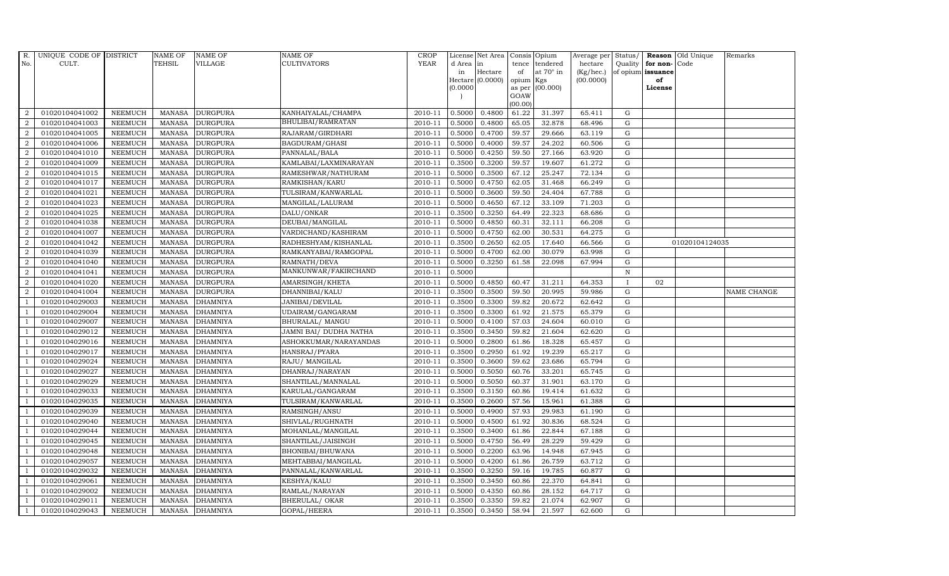| R.             | UNIQUE CODE OF DISTRICT |                | NAME OF       | <b>NAME OF</b>  | <b>NAME OF</b>         | CROP        |          | License Net Area   |         | Consis Opium     | Average per | Status/      |                      | Reason Old Unique | Remarks     |
|----------------|-------------------------|----------------|---------------|-----------------|------------------------|-------------|----------|--------------------|---------|------------------|-------------|--------------|----------------------|-------------------|-------------|
| No.            | CULT.                   |                | <b>TEHSIL</b> | VILLAGE         | <b>CULTIVATORS</b>     | <b>YEAR</b> | d Area   | in                 | tence   | tendered         | hectare     |              | Quality $ $ for non- | Code              |             |
|                |                         |                |               |                 |                        |             | in       | Hectare            | of      | at $70^\circ$ in | (Kg/hec.)   |              | of opium issuance    |                   |             |
|                |                         |                |               |                 |                        |             |          | $Hectare$ (0.0000) | opium   | Kgs              | (00.0000)   |              | of                   |                   |             |
|                |                         |                |               |                 |                        |             | (0.0000) |                    | GOAW    | as per (00.000)  |             |              | License              |                   |             |
|                |                         |                |               |                 |                        |             |          |                    | (00.00) |                  |             |              |                      |                   |             |
| 2              | 01020104041002          | <b>NEEMUCH</b> | MANASA        | <b>DURGPURA</b> | KANHAIYALAL/CHAMPA     | 2010-11     | 0.5000   | 0.4800             | 61.22   | 31.397           | 65.411      | G            |                      |                   |             |
| $\overline{2}$ | 01020104041003          | <b>NEEMUCH</b> | MANASA        | <b>DURGPURA</b> | BHULIBAI/RAMRATAN      | 2010-11     | 0.5000   | 0.4800             | 65.05   | 32.878           | 68.496      | G            |                      |                   |             |
| $\overline{2}$ | 01020104041005          | <b>NEEMUCH</b> | <b>MANASA</b> | <b>DURGPURA</b> | RAJARAM/GIRDHARI       | 2010-11     | 0.5000   | 0.4700             | 59.57   | 29.666           | 63.119      | G            |                      |                   |             |
| $\overline{2}$ | 01020104041006          | <b>NEEMUCH</b> | <b>MANASA</b> | <b>DURGPURA</b> | BAGDURAM/GHASI         | 2010-11     | 0.5000   | 0.4000             | 59.57   | 24.202           | 60.506      | G            |                      |                   |             |
| 2              | 01020104041010          | <b>NEEMUCH</b> | <b>MANASA</b> | <b>DURGPURA</b> | PANNALAL/BALA          | 2010-11     | 0.5000   | 0.4250             | 59.50   | 27.166           | 63.920      | G            |                      |                   |             |
| $\overline{a}$ | 01020104041009          | <b>NEEMUCH</b> | <b>MANASA</b> | <b>DURGPURA</b> | KAMLABAI/LAXMINARAYAN  | 2010-11     | 0.3500   | 0.3200             | 59.57   | 19.607           | 61.272      | G            |                      |                   |             |
| $\overline{a}$ | 01020104041015          | <b>NEEMUCH</b> | MANASA        | <b>DURGPURA</b> | RAMESHWAR/NATHURAM     | 2010-11     | 0.5000   | 0.3500             | 67.12   | 25.247           | 72.134      | ${\rm G}$    |                      |                   |             |
| 2              | 01020104041017          | <b>NEEMUCH</b> | <b>MANASA</b> | <b>DURGPURA</b> | RAMKISHAN/KARU         | 2010-11     | 0.5000   | 0.4750             | 62.05   | 31.468           | 66.249      | $\mathbf G$  |                      |                   |             |
| $\overline{2}$ | 01020104041021          | <b>NEEMUCH</b> | <b>MANASA</b> | <b>DURGPURA</b> | TULSIRAM/KANWARLAL     | 2010-11     | 0.5000   | 0.3600             | 59.50   | 24.404           | 67.788      | G            |                      |                   |             |
| $\overline{a}$ | 01020104041023          | <b>NEEMUCH</b> | <b>MANASA</b> | <b>DURGPURA</b> | MANGILAL/LALURAM       | 2010-11     | 0.5000   | 0.4650             | 67.12   | 33.109           | 71.203      | G            |                      |                   |             |
| $\overline{a}$ | 01020104041025          | <b>NEEMUCH</b> | <b>MANASA</b> | <b>DURGPURA</b> | DALU/ONKAR             | 2010-11     | 0.3500   | 0.3250             | 64.49   | 22.323           | 68.686      | G            |                      |                   |             |
| 2              | 01020104041038          | <b>NEEMUCH</b> | MANASA        | <b>DURGPURA</b> | DEUBAI/MANGILAL        | 2010-11     | 0.5000   | 0.4850             | 60.31   | 32.111           | 66.208      | ${\rm G}$    |                      |                   |             |
| 2              | 01020104041007          | <b>NEEMUCH</b> | MANASA        | <b>DURGPURA</b> | VARDICHAND/KASHIRAM    | 2010-11     | 0.5000   | 0.4750             | 62.00   | 30.531           | 64.275      | G            |                      |                   |             |
| $\overline{2}$ | 01020104041042          | <b>NEEMUCH</b> | <b>MANASA</b> | <b>DURGPURA</b> | RADHESHYAM/KISHANLAL   | 2010-11     | 0.3500   | 0.2650             | 62.05   | 17.640           | 66.566      | G            |                      | 01020104124035    |             |
| $\overline{2}$ | 01020104041039          | <b>NEEMUCH</b> | <b>MANASA</b> | <b>DURGPURA</b> | RAMKANYABAI/RAMGOPAL   | 2010-11     | 0.5000   | 0.4700             | 62.00   | 30.079           | 63.998      | G            |                      |                   |             |
| $\overline{2}$ | 01020104041040          | <b>NEEMUCH</b> | <b>MANASA</b> | <b>DURGPURA</b> | RAMNATH/DEVA           | 2010-11     | 0.5000   | 0.3250             | 61.58   | 22.098           | 67.994      | G            |                      |                   |             |
| $\overline{a}$ | 01020104041041          | <b>NEEMUCH</b> | <b>MANASA</b> | <b>DURGPURA</b> | MANKUNWAR/FAKIRCHAND   | 2010-11     | 0.5000   |                    |         |                  |             | $\mathbf N$  |                      |                   |             |
| 2              | 01020104041020          | <b>NEEMUCH</b> | <b>MANASA</b> | <b>DURGPURA</b> | AMARSINGH/KHETA        | 2010-11     | 0.5000   | 0.4850             | 60.47   | 31.211           | 64.353      | $\mathbf{I}$ | 02                   |                   |             |
| $\overline{2}$ | 01020104041004          | <b>NEEMUCH</b> | <b>MANASA</b> | <b>DURGPURA</b> | DHANNIBAI/KALU         | 2010-11     | 0.3500   | 0.3500             | 59.50   | 20.995           | 59.986      | G            |                      |                   | NAME CHANGE |
|                | 01020104029003          | <b>NEEMUCH</b> | <b>MANASA</b> | <b>DHAMNIYA</b> | JANIBAI/DEVILAL        | 2010-11     | 0.3500   | 0.3300             | 59.82   | 20.672           | 62.642      | G            |                      |                   |             |
| -1             | 01020104029004          | <b>NEEMUCH</b> | <b>MANASA</b> | <b>DHAMNIYA</b> | UDAIRAM/GANGARAM       | 2010-11     | 0.3500   | 0.3300             | 61.92   | 21.575           | 65.379      | G            |                      |                   |             |
| $\overline{1}$ | 01020104029007          | <b>NEEMUCH</b> | <b>MANASA</b> | <b>DHAMNIYA</b> | BHURALAL/ MANGU        | 2010-11     | 0.5000   | 0.4100             | 57.03   | 24.604           | 60.010      | ${\rm G}$    |                      |                   |             |
| $\overline{1}$ | 01020104029012          | <b>NEEMUCH</b> | <b>MANASA</b> | <b>DHAMNIYA</b> | JAMNI BAI/ DUDHA NATHA | 2010-11     | 0.3500   | 0.3450             | 59.82   | 21.604           | 62.620      | ${\rm G}$    |                      |                   |             |
|                | 01020104029016          | <b>NEEMUCH</b> | <b>MANASA</b> | <b>DHAMNIYA</b> | ASHOKKUMAR/NARAYANDAS  | 2010-11     | 0.5000   | 0.2800             | 61.86   | 18.328           | 65.457      | $\mathbf G$  |                      |                   |             |
|                | 01020104029017          | <b>NEEMUCH</b> | <b>MANASA</b> | <b>DHAMNIYA</b> | HANSRAJ/PYARA          | 2010-11     | 0.3500   | 0.2950             | 61.92   | 19.239           | 65.217      | $\mathbf G$  |                      |                   |             |
| $\overline{1}$ | 01020104029024          | <b>NEEMUCH</b> | <b>MANASA</b> | <b>DHAMNIYA</b> | RAJU/ MANGILAL         | 2010-11     | 0.3500   | 0.3600             | 59.62   | 23.686           | 65.794      | G            |                      |                   |             |
|                | 01020104029027          | <b>NEEMUCH</b> | <b>MANASA</b> | <b>DHAMNIYA</b> | DHANRAJ/NARAYAN        | 2010-11     | 0.5000   | 0.5050             | 60.76   | 33.201           | 65.745      | G            |                      |                   |             |
| $\overline{1}$ | 01020104029029          | <b>NEEMUCH</b> | <b>MANASA</b> | <b>DHAMNIYA</b> | SHANTILAL/MANNALAL     | 2010-11     | 0.5000   | 0.5050             | 60.37   | 31.901           | 63.170      | G            |                      |                   |             |
|                | 01020104029033          | <b>NEEMUCH</b> | <b>MANASA</b> | <b>DHAMNIYA</b> | KARULAL/GANGARAM       | 2010-11     | 0.3500   | 0.3150             | 60.86   | 19.414           | 61.632      | G            |                      |                   |             |
|                | 01020104029035          | <b>NEEMUCH</b> | <b>MANASA</b> | <b>DHAMNIYA</b> | TULSIRAM/KANWARLAL     | 2010-11     | 0.3500   | 0.2600             | 57.56   | 15.961           | 61.388      | ${\rm G}$    |                      |                   |             |
| $\overline{1}$ | 01020104029039          | <b>NEEMUCH</b> | <b>MANASA</b> | <b>DHAMNIYA</b> | RAMSINGH/ANSU          | 2010-11     | 0.5000   | 0.4900             | 57.93   | 29.983           | 61.190      | G            |                      |                   |             |
| $\overline{1}$ | 01020104029040          | <b>NEEMUCH</b> | <b>MANASA</b> | <b>DHAMNIYA</b> | SHIVLAL/RUGHNATH       | 2010-11     | 0.5000   | 0.4500             | 61.92   | 30.836           | 68.524      | G            |                      |                   |             |
| $\overline{1}$ | 01020104029044          | <b>NEEMUCH</b> | <b>MANASA</b> | <b>DHAMNIYA</b> | MOHANLAL/MANGILAL      | 2010-11     | 0.3500   | 0.3400             | 61.86   | 22.844           | 67.188      | $\mathbf G$  |                      |                   |             |
|                | 01020104029045          | <b>NEEMUCH</b> | <b>MANASA</b> | <b>DHAMNIYA</b> | SHANTILAL/JAISINGH     | 2010-11     | 0.5000   | 0.4750             | 56.49   | 28.229           | 59.429      | $\mathbf G$  |                      |                   |             |
|                | 01020104029048          | <b>NEEMUCH</b> | <b>MANASA</b> | <b>DHAMNIYA</b> | BHONIBAI/BHUWANA       | 2010-11     | 0.5000   | 0.2200             | 63.96   | 14.948           | 67.945      | G            |                      |                   |             |
| $\overline{1}$ | 01020104029057          | <b>NEEMUCH</b> | <b>MANASA</b> | <b>DHAMNIYA</b> | MEHTABBAI/MANGILAL     | 2010-11     | 0.5000   | 0.4200             | 61.86   | 26.759           | 63.712      | G            |                      |                   |             |
| $\overline{1}$ | 01020104029032          | <b>NEEMUCH</b> | MANASA        | <b>DHAMNIYA</b> | PANNALAL/KANWARLAL     | 2010-11     | 0.3500   | 0.3250             | 59.16   | 19.785           | 60.877      | G            |                      |                   |             |
| $\mathbf{1}$   | 01020104029061          | <b>NEEMUCH</b> | <b>MANASA</b> | <b>DHAMNIYA</b> | KESHYA/KALU            | 2010-11     | 0.3500   | 0.3450             | 60.86   | 22.370           | 64.841      | $\mathbf G$  |                      |                   |             |
|                | 01020104029002          | <b>NEEMUCH</b> | <b>MANASA</b> | <b>DHAMNIYA</b> | RAMLAL/NARAYAN         | 2010-11     | 0.5000   | 0.4350             | 60.86   | 28.152           | 64.717      | G            |                      |                   |             |
|                | 01020104029011          | <b>NEEMUCH</b> | <b>MANASA</b> | <b>DHAMNIYA</b> | BHERULAL/OKAR          | 2010-11     | 0.3500   | 0.3350             | 59.82   | 21.074           | 62.907      | G            |                      |                   |             |
| $\mathbf{1}$   | 01020104029043          | <b>NEEMUCH</b> |               | MANASA DHAMNIYA | GOPAL/HEERA            | 2010-11     | 0.3500   | 0.3450             | 58.94   | 21.597           | 62.600      | G            |                      |                   |             |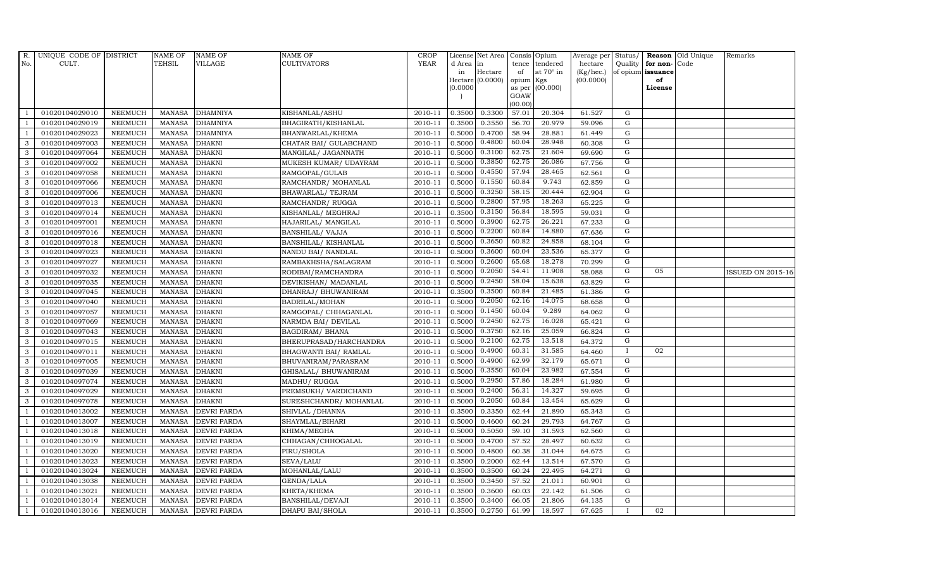| $R$ .          | UNIQUE CODE OF DISTRICT |                | <b>NAME OF</b> | <b>NAME OF</b>     | <b>NAME OF</b>          | CROP        |           | License Net Area   Consis   Opium |           |                  | Average per Status/ |                |                   | <b>Reason</b> Old Unique | Remarks                  |
|----------------|-------------------------|----------------|----------------|--------------------|-------------------------|-------------|-----------|-----------------------------------|-----------|------------------|---------------------|----------------|-------------------|--------------------------|--------------------------|
| No.            | CULT.                   |                | <b>TEHSIL</b>  | <b>VILLAGE</b>     | <b>CULTIVATORS</b>      | <b>YEAR</b> | d Area in |                                   |           | tence tendered   | hectare             | Quality        | for non-          | Code                     |                          |
|                |                         |                |                |                    |                         |             | in        | Hectare                           | of        | at $70^\circ$ in | (Kg/hec.)           |                | of opium issuance |                          |                          |
|                |                         |                |                |                    |                         |             | (0.0000)  | Hectare (0.0000)                  | opium Kgs | as per (00.000)  | (00.0000)           |                | of<br>License     |                          |                          |
|                |                         |                |                |                    |                         |             |           |                                   | GOAW      |                  |                     |                |                   |                          |                          |
|                |                         |                |                |                    |                         |             |           |                                   | (00.00)   |                  |                     |                |                   |                          |                          |
|                | 01020104029010          | <b>NEEMUCH</b> | MANASA         | <b>DHAMNIYA</b>    | KISHANLAL/ASHU          | 2010-11     | 0.3500    | 0.3300                            | 57.01     | 20.304           | 61.527              | $\mathbf G$    |                   |                          |                          |
| -1             | 01020104029019          | <b>NEEMUCH</b> | MANASA         | <b>DHAMNIYA</b>    | BHAGIRATH/KISHANLAL     | 2010-11     | 0.3500    | 0.3550                            | 56.70     | 20.979           | 59.096              | ${\rm G}$      |                   |                          |                          |
|                | 01020104029023          | <b>NEEMUCH</b> | <b>MANASA</b>  | <b>DHAMNIYA</b>    | BHANWARLAL/KHEMA        | 2010-11     | 0.5000    | 0.4700                            | 58.94     | 28.881           | 61.449              | G              |                   |                          |                          |
| 3              | 01020104097003          | <b>NEEMUCH</b> | <b>MANASA</b>  | <b>DHAKNI</b>      | CHATAR BAI/ GULABCHAND  | 2010-11     | 0.5000    | 0.4800                            | 60.04     | 28.948           | 60.308              | G              |                   |                          |                          |
| 3              | 01020104097064          | <b>NEEMUCH</b> | <b>MANASA</b>  | <b>DHAKNI</b>      | MANGILAL/ JAGANNATH     | 2010-11     | 0.5000    | 0.3100                            | 62.75     | 21.604           | 69.690              | G              |                   |                          |                          |
| $\mathbf{3}$   | 01020104097002          | <b>NEEMUCH</b> | MANASA         | <b>DHAKNI</b>      | MUKESH KUMAR/ UDAYRAM   | 2010-11     | 0.5000    | 0.3850                            | 62.75     | 26.086           | 67.756              | G              |                   |                          |                          |
| 3              | 01020104097058          | <b>NEEMUCH</b> | <b>MANASA</b>  | <b>DHAKNI</b>      | RAMGOPAL/GULAB          | 2010-11     | 0.5000    | 0.4550                            | 57.94     | 28.465           | 62.561              | G              |                   |                          |                          |
| 3              | 01020104097066          | <b>NEEMUCH</b> | <b>MANASA</b>  | <b>DHAKNI</b>      | RAMCHANDR/ MOHANLAL     | 2010-11     | 0.5000    | 0.1550                            | 60.84     | 9.743            | 62.859              | G              |                   |                          |                          |
| 3              | 01020104097006          | <b>NEEMUCH</b> | <b>MANASA</b>  | <b>DHAKNI</b>      | BHAWARLAL/ TEJRAM       | 2010-11     | 0.5000    | 0.3250                            | 58.15     | 20.444           | 62.904              | $\overline{G}$ |                   |                          |                          |
| 3              | 01020104097013          | <b>NEEMUCH</b> | <b>MANASA</b>  | <b>DHAKNI</b>      | RAMCHANDR/ RUGGA        | 2010-11     | 0.5000    | 0.2800                            | 57.95     | 18.263           | 65.225              | G              |                   |                          |                          |
| 3              | 01020104097014          | <b>NEEMUCH</b> | <b>MANASA</b>  | <b>DHAKNI</b>      | KISHANLAL/ MEGHRAJ      | 2010-11     | 0.3500    | 0.3150                            | 56.84     | 18.595           | 59.031              | G              |                   |                          |                          |
| 3              | 01020104097001          | <b>NEEMUCH</b> | <b>MANASA</b>  | <b>DHAKNI</b>      | HAJARILAL/ MANGILAL     | 2010-11     | 0.5000    | 0.3900                            | 62.75     | 26.221           | 67.233              | G              |                   |                          |                          |
| 3              | 01020104097016          | <b>NEEMUCH</b> | <b>MANASA</b>  | <b>DHAKNI</b>      | <b>BANSHILAL/ VAJJA</b> | 2010-11     | 0.5000    | 0.2200                            | 60.84     | 14.880           | 67.636              | G              |                   |                          |                          |
| 3              | 01020104097018          | <b>NEEMUCH</b> | <b>MANASA</b>  | <b>DHAKNI</b>      | BANSHILAL/KISHANLAL     | 2010-11     | 0.5000    | 0.3650                            | 60.82     | 24.858           | 68.104              | G              |                   |                          |                          |
| 3              | 01020104097023          | <b>NEEMUCH</b> | <b>MANASA</b>  | <b>DHAKNI</b>      | NANDU BAI/ NANDLAL      | 2010-11     | 0.5000    | 0.3600                            | 60.04     | 23.536           | 65.377              | G              |                   |                          |                          |
| 3              | 01020104097027          | <b>NEEMUCH</b> | <b>MANASA</b>  | <b>DHAKNI</b>      | RAMBAKHSHA/SALAGRAM     | 2010-11     | 0.5000    | 0.2600                            | 65.68     | 18.278           | 70.299              | G              |                   |                          |                          |
| 3              | 01020104097032          | <b>NEEMUCH</b> | <b>MANASA</b>  | <b>DHAKNI</b>      | RODIBAI/RAMCHANDRA      | 2010-11     | 0.5000    | 0.2050                            | 54.41     | 11.908           | 58.088              | G              | 05                |                          | <b>ISSUED ON 2015-16</b> |
| 3              | 01020104097035          | <b>NEEMUCH</b> | MANASA         | <b>DHAKNI</b>      | DEVIKISHAN / MADANLAL   | 2010-11     | 0.5000    | 0.2450                            | 58.04     | 15.638           | 63.829              | G              |                   |                          |                          |
| 3              | 01020104097045          | <b>NEEMUCH</b> | <b>MANASA</b>  | <b>DHAKNI</b>      | DHANRAJ / BHUWANIRAM    | 2010-11     | 0.3500    | 0.3500                            | 60.84     | 21.485           | 61.386              | G              |                   |                          |                          |
| 3              | 01020104097040          | <b>NEEMUCH</b> | <b>MANASA</b>  | <b>DHAKNI</b>      | BADRILAL/MOHAN          | 2010-11     | 0.5000    | 0.2050                            | 62.16     | 14.075           | 68.658              | G              |                   |                          |                          |
| $\mathbf{3}$   | 01020104097057          | <b>NEEMUCH</b> | <b>MANASA</b>  | <b>DHAKNI</b>      | RAMGOPAL/ CHHAGANLAL    | 2010-11     | 0.5000    | 0.1450                            | 60.04     | 9.289            | 64.062              | G              |                   |                          |                          |
| 3              | 01020104097069          | <b>NEEMUCH</b> | <b>MANASA</b>  | <b>DHAKNI</b>      | NARMDA BAI/ DEVILAL     | 2010-11     | 0.5000    | 0.2450                            | 62.75     | 16.028           | 65.421              | G              |                   |                          |                          |
| $\mathbf{3}$   | 01020104097043          | <b>NEEMUCH</b> | <b>MANASA</b>  | <b>DHAKNI</b>      | <b>BAGDIRAM/ BHANA</b>  | 2010-11     | 0.5000    | 0.3750                            | 62.16     | 25.059           | 66.824              | G              |                   |                          |                          |
| 3              | 01020104097015          | <b>NEEMUCH</b> | <b>MANASA</b>  | <b>DHAKNI</b>      | BHERUPRASAD/HARCHANDRA  | 2010-11     | 0.5000    | 0.2100                            | 62.75     | 13.518           | 64.372              | $\overline{G}$ |                   |                          |                          |
| 3              | 01020104097011          | <b>NEEMUCH</b> | <b>MANASA</b>  | <b>DHAKNI</b>      | BHAGWANTI BAI/ RAMLAL   | 2010-11     | 0.5000    | 0.4900                            | 60.31     | 31.585           | 64.460              | $\bf{I}$       | 02                |                          |                          |
| 3              | 01020104097005          | <b>NEEMUCH</b> | <b>MANASA</b>  | <b>DHAKNI</b>      | BHUVANIRAM/PARASRAM     | 2010-11     | 0.5000    | 0.4900                            | 62.99     | 32.179           | 65.671              | G              |                   |                          |                          |
| 3              | 01020104097039          | <b>NEEMUCH</b> | <b>MANASA</b>  | <b>DHAKNI</b>      | GHISALAL/ BHUWANIRAM    | 2010-11     | 0.5000    | 0.3550                            | 60.04     | 23.982           | 67.554              | G              |                   |                          |                          |
| 3              | 01020104097074          | <b>NEEMUCH</b> | <b>MANASA</b>  | <b>DHAKNI</b>      | MADHU/RUGGA             | 2010-11     | 0.5000    | 0.2950                            | 57.86     | 18.284           | 61.980              | G              |                   |                          |                          |
| 3              | 01020104097029          | <b>NEEMUCH</b> | <b>MANASA</b>  | <b>DHAKNI</b>      | PREMSUKH/VARDICHAND     | 2010-11     | 0.5000    | 0.2400                            | 56.31     | 14.327           | 59.695              | $\overline{G}$ |                   |                          |                          |
| 3              | 01020104097078          | <b>NEEMUCH</b> | <b>MANASA</b>  | <b>DHAKNI</b>      | SURESHCHANDR/ MOHANLAL  | 2010-11     | 0.5000    | 0.2050                            | 60.84     | 13.454           | 65.629              | G              |                   |                          |                          |
| $\overline{1}$ | 01020104013002          | <b>NEEMUCH</b> | <b>MANASA</b>  | <b>DEVRI PARDA</b> | SHIVLAL / DHANNA        | 2010-11     | 0.3500    | 0.3350                            | 62.44     | 21.890           | 65.343              | G              |                   |                          |                          |
|                | 01020104013007          | <b>NEEMUCH</b> | MANASA         | <b>DEVRI PARDA</b> | SHAYMLAL/BIHARI         | 2010-11     | 0.5000    | 0.4600                            | 60.24     | 29.793           | 64.767              | ${\rm G}$      |                   |                          |                          |
| $\overline{1}$ | 01020104013018          | <b>NEEMUCH</b> | <b>MANASA</b>  | <b>DEVRI PARDA</b> | KHIMA/MEGHA             | 2010-11     | 0.5000    | 0.5050                            | 59.10     | 31.593           | 62.560              | $\mathbf G$    |                   |                          |                          |
| $\overline{1}$ | 01020104013019          | <b>NEEMUCH</b> | <b>MANASA</b>  | <b>DEVRI PARDA</b> | CHHAGAN/CHHOGALAL       | 2010-11     | 0.5000    | 0.4700                            | 57.52     | 28.497           | 60.632              | $\mathbf G$    |                   |                          |                          |
|                | 01020104013020          | <b>NEEMUCH</b> | <b>MANASA</b>  | <b>DEVRI PARDA</b> | PIRU/SHOLA              | 2010-11     | 0.5000    | 0.4800                            | 60.38     | 31.044           | 64.675              | $\mathbf G$    |                   |                          |                          |
| $\overline{1}$ | 01020104013023          | <b>NEEMUCH</b> | <b>MANASA</b>  | <b>DEVRI PARDA</b> | SEVA/LALU               | 2010-11     | 0.3500    | 0.2000                            | 62.44     | 13.514           | 67.570              | ${\rm G}$      |                   |                          |                          |
| -1             | 01020104013024          | <b>NEEMUCH</b> | <b>MANASA</b>  | <b>DEVRI PARDA</b> | MOHANLAL/LALU           | 2010-11     | 0.3500    | 0.3500                            | 60.24     | 22.495           | 64.271              | ${\rm G}$      |                   |                          |                          |
| $\overline{1}$ | 01020104013038          | <b>NEEMUCH</b> | <b>MANASA</b>  | <b>DEVRI PARDA</b> | GENDA/LALA              | 2010-11     | 0.3500    | 0.3450                            | 57.52     | 21.011           | 60.901              | $\mathbf G$    |                   |                          |                          |
| $\overline{1}$ | 01020104013021          | <b>NEEMUCH</b> | <b>MANASA</b>  | <b>DEVRI PARDA</b> | KHETA/KHEMA             | 2010-11     | 0.3500    | 0.3600                            | 60.03     | 22.142           | 61.506              | $\mathbf G$    |                   |                          |                          |
|                | 01020104013014          | <b>NEEMUCH</b> | <b>MANASA</b>  | <b>DEVRI PARDA</b> | BANSHILAL/DEVAJI        | 2010-11     | 0.3500    | 0.3400                            | 66.05     | 21.806           | 64.135              | $\mathbf G$    |                   |                          |                          |
| $\mathbf{1}$   | 01020104013016          | <b>NEEMUCH</b> |                | MANASA DEVRI PARDA | DHAPU BAI/SHOLA         | 2010-11     | 0.3500    | 0.2750                            | 61.99     | 18.597           | 67.625              |                | 02                |                          |                          |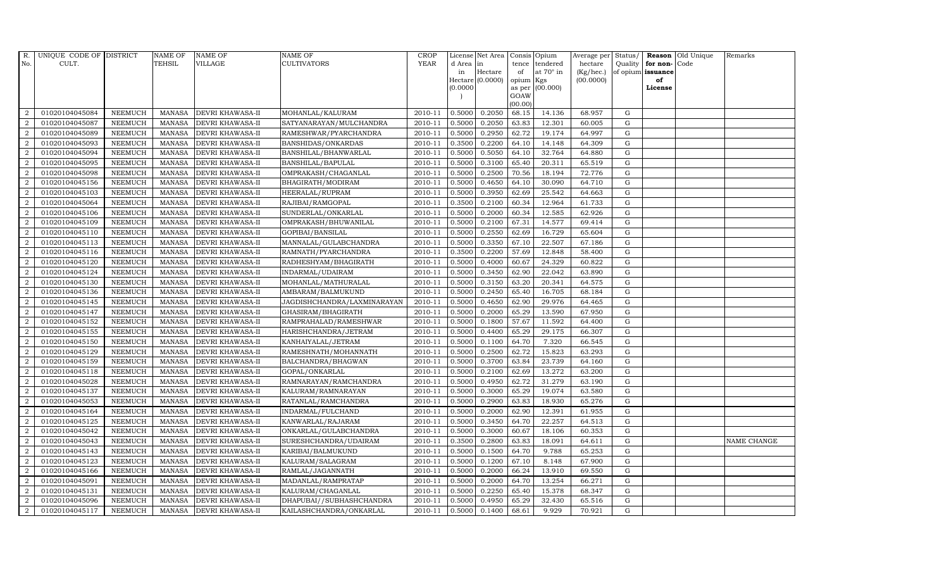| R.               | UNIQUE CODE OF DISTRICT |                | <b>NAME OF</b> | <b>NAME OF</b>          | <b>NAME OF</b>              | CROP    |           | License Net Area   Consis   Opium |           |                  | Average per | Status/     | Reason            | Old Unique | Remarks     |
|------------------|-------------------------|----------------|----------------|-------------------------|-----------------------------|---------|-----------|-----------------------------------|-----------|------------------|-------------|-------------|-------------------|------------|-------------|
| No.              | CULT.                   |                | TEHSIL         | VILLAGE                 | <b>CULTIVATORS</b>          | YEAR    | d Area in |                                   |           | tence tendered   | hectare     | Quality     | for non-          | Code       |             |
|                  |                         |                |                |                         |                             |         | in        | Hectare                           | of        | at $70^\circ$ in | (Kg/hec.)   |             | of opium issuance |            |             |
|                  |                         |                |                |                         |                             |         |           | Hectare (0.0000)                  | opium Kgs |                  | (00.0000)   |             | of                |            |             |
|                  |                         |                |                |                         |                             |         | (0.0000)  |                                   | GOAW      | as per (00.000)  |             |             | License           |            |             |
|                  |                         |                |                |                         |                             |         |           |                                   | (00.00)   |                  |             |             |                   |            |             |
| $\overline{2}$   | 01020104045084          | <b>NEEMUCH</b> | MANASA         | <b>DEVRI KHAWASA-II</b> | MOHANLAL/KALURAM            | 2010-11 | 0.5000    | 0.2050                            | 68.15     | 14.136           | 68.957      | G           |                   |            |             |
| $\overline{2}$   | 01020104045087          | <b>NEEMUCH</b> | MANASA         | <b>DEVRI KHAWASA-II</b> | SATYANARAYAN/MULCHANDRA     | 2010-11 | 0.5000    | 0.2050                            | 63.83     | 12.301           | 60.005      | $\mathbf G$ |                   |            |             |
| $\overline{2}$   | 01020104045089          | <b>NEEMUCH</b> | <b>MANASA</b>  | <b>DEVRI KHAWASA-II</b> | RAMESHWAR/PYARCHANDRA       | 2010-11 | 0.5000    | 0.2950                            | 62.72     | 19.174           | 64.997      | G           |                   |            |             |
| $\overline{2}$   | 01020104045093          | <b>NEEMUCH</b> | <b>MANASA</b>  | <b>DEVRI KHAWASA-II</b> | BANSHIDAS/ONKARDAS          | 2010-11 | 0.3500    | 0.2200                            | 64.10     | 14.148           | 64.309      | $\mathbf G$ |                   |            |             |
| $\overline{2}$   | 01020104045094          | <b>NEEMUCH</b> | <b>MANASA</b>  | <b>DEVRI KHAWASA-II</b> | BANSHILAL/BHANWARLAL        | 2010-11 | 0.5000    | 0.5050                            | 64.10     | 32.764           | 64.880      | ${\rm G}$   |                   |            |             |
| 2                | 01020104045095          | <b>NEEMUCH</b> | <b>MANASA</b>  | DEVRI KHAWASA-II        | BANSHILAL/BAPULAL           | 2010-11 | 0.5000    | 0.3100                            | 65.40     | 20.311           | 65.519      | $\mathbf G$ |                   |            |             |
| $\overline{a}$   | 01020104045098          | <b>NEEMUCH</b> | <b>MANASA</b>  | <b>DEVRI KHAWASA-II</b> | OMPRAKASH/CHAGANLAL         | 2010-11 | 0.5000    | 0.2500                            | 70.56     | 18.194           | 72.776      | $\mathbf G$ |                   |            |             |
| $\overline{2}$   | 01020104045156          | <b>NEEMUCH</b> | <b>MANASA</b>  | <b>DEVRI KHAWASA-II</b> | BHAGIRATH/MODIRAM           | 2010-11 | 0.5000    | 0.4650                            | 64.10     | 30.090           | 64.710      | G           |                   |            |             |
| $\overline{2}$   | 01020104045103          | <b>NEEMUCH</b> | <b>MANASA</b>  | <b>DEVRI KHAWASA-II</b> | HEERALAL/RUPRAM             | 2010-11 | 0.5000    | 0.3950                            | 62.69     | 25.542           | 64.663      | G           |                   |            |             |
| $\overline{2}$   | 01020104045064          | <b>NEEMUCH</b> | <b>MANASA</b>  | DEVRI KHAWASA-II        | RAJIBAI/RAMGOPAL            | 2010-11 | 0.3500    | 0.2100                            | 60.34     | 12.964           | 61.733      | ${\bf G}$   |                   |            |             |
| $\overline{a}$   | 01020104045106          | <b>NEEMUCH</b> | <b>MANASA</b>  | <b>DEVRI KHAWASA-II</b> | SUNDERLAL/ONKARLAL          | 2010-11 | 0.5000    | 0.2000                            | 60.34     | 12.585           | 62.926      | G           |                   |            |             |
| $\overline{2}$   | 01020104045109          | <b>NEEMUCH</b> | <b>MANASA</b>  | <b>DEVRI KHAWASA-II</b> | OMPRAKASH/BHUWANILAL        | 2010-11 | 0.5000    | 0.2100                            | 67.31     | 14.577           | 69.414      | ${\rm G}$   |                   |            |             |
| 2                | 01020104045110          | <b>NEEMUCH</b> | <b>MANASA</b>  | <b>DEVRI KHAWASA-II</b> | GOPIBAI/BANSILAL            | 2010-11 | 0.5000    | 0.2550                            | 62.69     | 16.729           | 65.604      | $\mathbf G$ |                   |            |             |
| $\overline{2}$   | 01020104045113          | <b>NEEMUCH</b> | <b>MANASA</b>  | <b>DEVRI KHAWASA-II</b> | MANNALAL/GULABCHANDRA       | 2010-11 | 0.5000    | 0.3350                            | 67.10     | 22.507           | 67.186      | $\mathbf G$ |                   |            |             |
| $\overline{2}$   | 01020104045116          | <b>NEEMUCH</b> | MANASA         | <b>DEVRI KHAWASA-II</b> | RAMNATH/PYARCHANDRA         | 2010-11 | 0.3500    | 0.2200                            | 57.69     | 12.848           | 58.400      | G           |                   |            |             |
| $\overline{a}$   | 01020104045120          | <b>NEEMUCH</b> | <b>MANASA</b>  | <b>DEVRI KHAWASA-II</b> | RADHESHYAM/BHAGIRATH        | 2010-11 | 0.5000    | 0.4000                            | 60.67     | 24.329           | 60.822      | ${\rm G}$   |                   |            |             |
| $\overline{2}$   | 01020104045124          | <b>NEEMUCH</b> | <b>MANASA</b>  | DEVRI KHAWASA-II        | INDARMAL/UDAIRAM            | 2010-11 | 0.5000    | 0.3450                            | 62.90     | 22.042           | 63.890      | G           |                   |            |             |
| 2                | 01020104045130          | <b>NEEMUCH</b> | MANASA         | <b>DEVRI KHAWASA-II</b> | MOHANLAL/MATHURALAL         | 2010-11 | 0.5000    | 0.3150                            | 63.20     | 20.341           | 64.575      | G           |                   |            |             |
| $\overline{2}$   | 01020104045136          | <b>NEEMUCH</b> | <b>MANASA</b>  | <b>DEVRI KHAWASA-II</b> | AMBARAM/BALMUKUND           | 2010-11 | 0.5000    | 0.2450                            | 65.40     | 16.705           | 68.184      | $\mathbf G$ |                   |            |             |
| $\overline{2}$   | 01020104045145          | <b>NEEMUCH</b> | <b>MANASA</b>  | <b>DEVRI KHAWASA-II</b> | JAGDISHCHANDRA/LAXMINARAYAN | 2010-11 | 0.5000    | 0.4650                            | 62.90     | 29.976           | 64.465      | $\mathbf G$ |                   |            |             |
| 2                | 01020104045147          | <b>NEEMUCH</b> | <b>MANASA</b>  | <b>DEVRI KHAWASA-II</b> | GHASIRAM/BHAGIRATH          | 2010-11 | 0.5000    | 0.2000                            | 65.29     | 13.590           | 67.950      | ${\rm G}$   |                   |            |             |
| $\overline{2}$   | 01020104045152          | <b>NEEMUCH</b> | <b>MANASA</b>  | DEVRI KHAWASA-II        | RAMPRAHALAD/RAMESHWAR       | 2010-11 | 0.5000    | 0.1800                            | 57.67     | 11.592           | 64.400      | $\mathbf G$ |                   |            |             |
| $\overline{a}$   | 01020104045155          | <b>NEEMUCH</b> | MANASA         | <b>DEVRI KHAWASA-II</b> | HARISHCHANDRA/JETRAM        | 2010-11 | 0.5000    | 0.4400                            | 65.29     | 29.175           | 66.307      | G           |                   |            |             |
| $\overline{2}$   | 01020104045150          | <b>NEEMUCH</b> | <b>MANASA</b>  | <b>DEVRI KHAWASA-II</b> | KANHAIYALAL/JETRAM          | 2010-11 | 0.5000    | 0.1100                            | 64.70     | 7.320            | 66.545      | $\mathbf G$ |                   |            |             |
| $\boldsymbol{2}$ | 01020104045129          | <b>NEEMUCH</b> | <b>MANASA</b>  | DEVRI KHAWASA-II        | RAMESHNATH/MOHANNATH        | 2010-11 | 0.5000    | 0.2500                            | 62.72     | 15.823           | 63.293      | $\mathbf G$ |                   |            |             |
| $\overline{2}$   | 01020104045159          | <b>NEEMUCH</b> | <b>MANASA</b>  | <b>DEVRI KHAWASA-II</b> | BALCHANDRA/BHAGWAN          | 2010-11 | 0.5000    | 0.3700                            | 63.84     | 23.739           | 64.160      | G           |                   |            |             |
| $\overline{a}$   | 01020104045118          | <b>NEEMUCH</b> | <b>MANASA</b>  | <b>DEVRI KHAWASA-II</b> | GOPAL/ONKARLAL              | 2010-11 | 0.5000    | 0.2100                            | 62.69     | 13.272           | 63.200      | ${\rm G}$   |                   |            |             |
| 2                | 01020104045028          | <b>NEEMUCH</b> | MANASA         | <b>DEVRI KHAWASA-II</b> | RAMNARAYAN/RAMCHANDRA       | 2010-11 | 0.5000    | 0.4950                            | 62.72     | 31.279           | 63.190      | G           |                   |            |             |
| 2                | 01020104045137          | <b>NEEMUCH</b> | <b>MANASA</b>  | <b>DEVRI KHAWASA-II</b> | KALURAM/RAMNARAYAN          | 2010-11 | 0.5000    | 0.3000                            | 65.29     | 19.074           | 63.580      | $\mathbf G$ |                   |            |             |
| $\overline{2}$   | 01020104045053          | <b>NEEMUCH</b> | <b>MANASA</b>  | DEVRI KHAWASA-II        | RATANLAL/RAMCHANDRA         | 2010-11 | 0.5000    | 0.2900                            | 63.83     | 18.930           | 65.276      | $\mathbf G$ |                   |            |             |
| $\overline{2}$   | 01020104045164          | <b>NEEMUCH</b> | <b>MANASA</b>  | <b>DEVRI KHAWASA-II</b> | INDARMAL/FULCHAND           | 2010-11 | 0.5000    | 0.2000                            | 62.90     | 12.391           | 61.955      | G           |                   |            |             |
| $\overline{a}$   | 01020104045125          | <b>NEEMUCH</b> | <b>MANASA</b>  | <b>DEVRI KHAWASA-II</b> | KANWARLAL/RAJARAM           | 2010-11 | 0.5000    | 0.3450                            | 64.70     | 22.257           | 64.513      | ${\rm G}$   |                   |            |             |
| $\overline{a}$   | 01020104045042          | <b>NEEMUCH</b> | <b>MANASA</b>  | DEVRI KHAWASA-II        | ONKARLAL/GULABCHANDRA       | 2010-11 | 0.5000    | 0.3000                            | 60.67     | 18.106           | 60.353      | $\mathbf G$ |                   |            |             |
| $\overline{2}$   | 01020104045043          | <b>NEEMUCH</b> | <b>MANASA</b>  | <b>DEVRI KHAWASA-II</b> | SURESHCHANDRA/UDAIRAM       | 2010-11 | 0.3500    | 0.2800                            | 63.83     | 18.091           | 64.611      | $\mathbf G$ |                   |            | NAME CHANGE |
| $\overline{2}$   | 01020104045143          | <b>NEEMUCH</b> | <b>MANASA</b>  | DEVRI KHAWASA-II        | KARIBAI/BALMUKUND           | 2010-11 | 0.5000    | 0.1500                            | 64.70     | 9.788            | 65.253      | $\mathbf G$ |                   |            |             |
| $\overline{a}$   | 01020104045123          | <b>NEEMUCH</b> | <b>MANASA</b>  | DEVRI KHAWASA-II        | KALURAM/SALAGRAM            | 2010-11 | 0.5000    | 0.1200                            | 67.10     | 8.148            | 67.900      | $\mathbf G$ |                   |            |             |
| $\overline{2}$   | 01020104045166          | <b>NEEMUCH</b> | <b>MANASA</b>  | <b>DEVRI KHAWASA-II</b> | RAMLAL/JAGANNATH            | 2010-11 | 0.5000    | 0.2000                            | 66.24     | 13.910           | 69.550      | G           |                   |            |             |
| $\overline{a}$   | 01020104045091          | <b>NEEMUCH</b> | <b>MANASA</b>  | DEVRI KHAWASA-II        | MADANLAL/RAMPRATAP          | 2010-11 | 0.5000    | 0.2000                            | 64.70     | 13.254           | 66.271      | $\mathbf G$ |                   |            |             |
| $\overline{2}$   | 01020104045131          | <b>NEEMUCH</b> | <b>MANASA</b>  | <b>DEVRI KHAWASA-II</b> | KALURAM/CHAGANLAL           | 2010-11 | 0.5000    | 0.2250                            | 65.40     | 15.378           | 68.347      | $\mathbf G$ |                   |            |             |
| 2                | 01020104045096          | <b>NEEMUCH</b> | <b>MANASA</b>  | <b>DEVRI KHAWASA-II</b> | DHAPUBAI//SUBHASHCHANDRA    | 2010-11 | 0.5000    | 0.4950                            | 65.29     | 32.430           | 65.516      | $\mathbf G$ |                   |            |             |
| $\overline{a}$   | 01020104045117          | <b>NEEMUCH</b> | MANASA         | <b>DEVRI KHAWASA-II</b> | KAILASHCHANDRA/ONKARLAL     | 2010-11 | 0.5000    | 0.1400                            | 68.61     | 9.929            | 70.921      | G           |                   |            |             |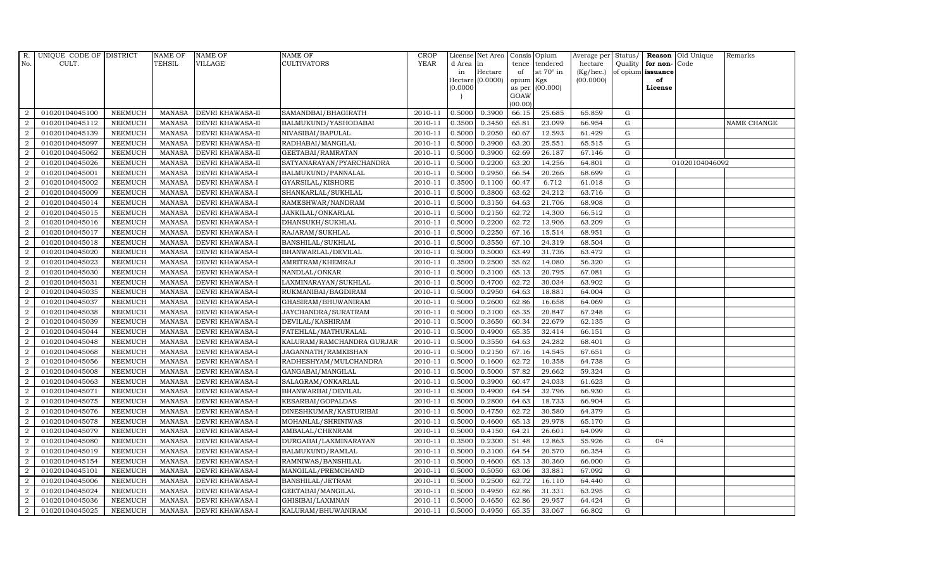| R.               | UNIQUE CODE OF DISTRICT |                | <b>NAME OF</b> | <b>NAME OF</b>          | <b>NAME OF</b>            | CROP    |           | License Net Area   Consis   Opium |           |                  | Average per Status/ |             |                   | <b>Reason</b> Old Unique | Remarks     |
|------------------|-------------------------|----------------|----------------|-------------------------|---------------------------|---------|-----------|-----------------------------------|-----------|------------------|---------------------|-------------|-------------------|--------------------------|-------------|
| No.              | CULT.                   |                | TEHSIL         | VILLAGE                 | <b>CULTIVATORS</b>        | YEAR    | d Area in |                                   |           | tence tendered   | hectare             | Quality     | for non-          | Code                     |             |
|                  |                         |                |                |                         |                           |         | in        | Hectare                           | of        | at $70^\circ$ in | (Kg/hec.)           |             | of opium issuance |                          |             |
|                  |                         |                |                |                         |                           |         |           | $Hectare (0.0000)$                | opium Kgs |                  | (00.0000)           |             | of                |                          |             |
|                  |                         |                |                |                         |                           |         | (0.0000)  |                                   | GOAW      | as per (00.000)  |                     |             | License           |                          |             |
|                  |                         |                |                |                         |                           |         |           |                                   | (00.00)   |                  |                     |             |                   |                          |             |
| 2                | 01020104045100          | <b>NEEMUCH</b> | <b>MANASA</b>  | DEVRI KHAWASA-II        | SAMANDBAI/BHAGIRATH       | 2010-11 | 0.5000    | 0.3900                            | 66.15     | 25.685           | 65.859              | G           |                   |                          |             |
| $\overline{2}$   | 01020104045112          | <b>NEEMUCH</b> | <b>MANASA</b>  | DEVRI KHAWASA-II        | BALMUKUND/YASHODABAI      | 2010-11 | 0.3500    | 0.3450                            | 65.81     | 23.099           | 66.954              | ${\rm G}$   |                   |                          | NAME CHANGE |
| 2                | 01020104045139          | <b>NEEMUCH</b> | <b>MANASA</b>  | <b>DEVRI KHAWASA-II</b> | NIVASIBAI/BAPULAL         | 2010-11 | 0.5000    | 0.2050                            | 60.67     | 12.593           | 61.429              | G           |                   |                          |             |
| $\overline{2}$   | 01020104045097          | <b>NEEMUCH</b> | <b>MANASA</b>  | DEVRI KHAWASA-II        | RADHABAI/MANGILAL         | 2010-11 | 0.5000    | 0.3900                            | 63.20     | 25.551           | 65.515              | $\mathbf G$ |                   |                          |             |
| $\overline{2}$   | 01020104045062          | <b>NEEMUCH</b> | <b>MANASA</b>  | DEVRI KHAWASA-II        | GEETABAI/RAMRATAN         | 2010-11 | 0.5000    | 0.3900                            | 62.69     | 26.187           | 67.146              | ${\bf G}$   |                   |                          |             |
| $\overline{2}$   | 01020104045026          | <b>NEEMUCH</b> | <b>MANASA</b>  | DEVRI KHAWASA-II        | SATYANARAYAN/PYARCHANDRA  | 2010-11 | 0.5000    | 0.2200                            | 63.20     | 14.256           | 64.801              | $\mathbf G$ |                   | 01020104046092           |             |
| $\overline{2}$   | 01020104045001          | <b>NEEMUCH</b> | <b>MANASA</b>  | <b>DEVRI KHAWASA-I</b>  | BALMUKUND/PANNALAL        | 2010-11 | 0.5000    | 0.2950                            | 66.54     | 20.266           | 68.699              | ${\rm G}$   |                   |                          |             |
| $\overline{2}$   | 01020104045002          | <b>NEEMUCH</b> | <b>MANASA</b>  | <b>DEVRI KHAWASA-I</b>  | GYARSILAL/KISHORE         | 2010-11 | 0.3500    | 0.1100                            | 60.47     | 6.712            | 61.018              | $\mathbf G$ |                   |                          |             |
| $\overline{2}$   | 01020104045009          | <b>NEEMUCH</b> | <b>MANASA</b>  | <b>DEVRI KHAWASA-I</b>  | SHANKARLAL/SUKHLAL        | 2010-11 | 0.5000    | 0.3800                            | 63.62     | 24.212           | 63.716              | G           |                   |                          |             |
| $\overline{2}$   | 01020104045014          | <b>NEEMUCH</b> | <b>MANASA</b>  | DEVRI KHAWASA-I         | RAMESHWAR/NANDRAM         | 2010-11 | 0.5000    | 0.3150                            | 64.63     | 21.706           | 68.908              | ${\rm G}$   |                   |                          |             |
| $\overline{2}$   | 01020104045015          | <b>NEEMUCH</b> | <b>MANASA</b>  | DEVRI KHAWASA-I         | JANKILAL/ONKARLAL         | 2010-11 | 0.5000    | 0.2150                            | 62.72     | 14.300           | 66.512              | G           |                   |                          |             |
| $\overline{2}$   | 01020104045016          | <b>NEEMUCH</b> | <b>MANASA</b>  | <b>DEVRI KHAWASA-I</b>  | DHANSUKH/SUKHLAL          | 2010-11 | 0.5000    | 0.2200                            | 62.72     | 13.906           | 63.209              | $\mathbf G$ |                   |                          |             |
| 2                | 01020104045017          | <b>NEEMUCH</b> | <b>MANASA</b>  | <b>DEVRI KHAWASA-I</b>  | RAJARAM/SUKHLAL           | 2010-11 | 0.5000    | 0.2250                            | 67.16     | 15.514           | 68.951              | G           |                   |                          |             |
| 2                | 01020104045018          | <b>NEEMUCH</b> | <b>MANASA</b>  | <b>DEVRI KHAWASA-I</b>  | BANSHILAL/SUKHLAL         | 2010-11 | 0.5000    | 0.3550                            | 67.10     | 24.319           | 68.504              | G           |                   |                          |             |
| 2                | 01020104045020          | <b>NEEMUCH</b> | <b>MANASA</b>  | DEVRI KHAWASA-I         | BHANWARLAL/DEVILAL        | 2010-11 | 0.5000    | 0.5000                            | 63.49     | 31.736           | 63.472              | ${\bf G}$   |                   |                          |             |
| $\overline{2}$   | 01020104045023          | <b>NEEMUCH</b> | <b>MANASA</b>  | DEVRI KHAWASA-I         | AMRITRAM/KHEMRAJ          | 2010-11 | 0.3500    | 0.2500                            | 55.62     | 14.080           | 56.320              | ${\rm G}$   |                   |                          |             |
| 2                | 01020104045030          | <b>NEEMUCH</b> | <b>MANASA</b>  | DEVRI KHAWASA-I         | NANDLAL/ONKAR             | 2010-11 | 0.5000    | 0.3100                            | 65.13     | 20.795           | 67.081              | $\mathbf G$ |                   |                          |             |
| 2                | 01020104045031          | <b>NEEMUCH</b> | <b>MANASA</b>  | <b>DEVRI KHAWASA-I</b>  | LAXMINARAYAN/SUKHLAL      | 2010-11 | 0.5000    | 0.4700                            | 62.72     | 30.034           | 63.902              | $\mathbf G$ |                   |                          |             |
| $\overline{2}$   | 01020104045035          | <b>NEEMUCH</b> | <b>MANASA</b>  | <b>DEVRI KHAWASA-I</b>  | RUKMANIBAI/BAGDIRAM       | 2010-11 | 0.5000    | 0.2950                            | 64.63     | 18.881           | 64.004              | $\mathbf G$ |                   |                          |             |
| 2                | 01020104045037          | <b>NEEMUCH</b> | <b>MANASA</b>  | DEVRI KHAWASA-I         | GHASIRAM/BHUWANIRAM       | 2010-11 | 0.5000    | 0.2600                            | 62.86     | 16.658           | 64.069              | $\mathbf G$ |                   |                          |             |
| 2                | 01020104045038          | <b>NEEMUCH</b> | <b>MANASA</b>  | DEVRI KHAWASA-I         | JAYCHANDRA/SURATRAM       | 2010-11 | 0.5000    | 0.3100                            | 65.35     | 20.847           | 67.248              | $\mathbf G$ |                   |                          |             |
| $\boldsymbol{2}$ | 01020104045039          | <b>NEEMUCH</b> | <b>MANASA</b>  | DEVRI KHAWASA-I         | DEVILAL/KASHIRAM          | 2010-11 | 0.5000    | 0.3650                            | 60.34     | 22.679           | 62.135              | ${\rm G}$   |                   |                          |             |
| 2                | 01020104045044          | <b>NEEMUCH</b> | <b>MANASA</b>  | <b>DEVRI KHAWASA-I</b>  | FATEHLAL/MATHURALAL       | 2010-11 | 0.5000    | 0.4900                            | 65.35     | 32.414           | 66.151              | G           |                   |                          |             |
| $\overline{2}$   | 01020104045048          | <b>NEEMUCH</b> | <b>MANASA</b>  | <b>DEVRI KHAWASA-I</b>  | KALURAM/RAMCHANDRA GURJAR | 2010-11 | 0.5000    | 0.3550                            | 64.63     | 24.282           | 68.401              | $\mathbf G$ |                   |                          |             |
| $\overline{2}$   | 01020104045068          | <b>NEEMUCH</b> | <b>MANASA</b>  | DEVRI KHAWASA-I         | JAGANNATH/RAMKISHAN       | 2010-11 | 0.5000    | 0.2150                            | 67.16     | 14.545           | 67.651              | ${\rm G}$   |                   |                          |             |
| 2                | 01020104045056          | <b>NEEMUCH</b> | <b>MANASA</b>  | DEVRI KHAWASA-I         | RADHESHYAM/MULCHANDRA     | 2010-11 | 0.5000    | 0.1600                            | 62.72     | 10.358           | 64.738              | G           |                   |                          |             |
| $\overline{2}$   | 01020104045008          | <b>NEEMUCH</b> | <b>MANASA</b>  | DEVRI KHAWASA-I         | GANGABAI/MANGILAL         | 2010-11 | 0.5000    | 0.5000                            | 57.82     | 29.662           | 59.324              | ${\rm G}$   |                   |                          |             |
| $\overline{2}$   | 01020104045063          | <b>NEEMUCH</b> | <b>MANASA</b>  | DEVRI KHAWASA-I         | SALAGRAM/ONKARLAL         | 2010-11 | 0.5000    | 0.3900                            | 60.47     | 24.033           | 61.623              | G           |                   |                          |             |
| $\overline{2}$   | 01020104045071          | <b>NEEMUCH</b> | <b>MANASA</b>  | <b>DEVRI KHAWASA-I</b>  | BHANWARBAI/DEVILAL        | 2010-11 | 0.5000    | 0.4900                            | 64.54     | 32.796           | 66.930              | $\mathbf G$ |                   |                          |             |
| $\overline{2}$   | 01020104045075          | <b>NEEMUCH</b> | <b>MANASA</b>  | DEVRI KHAWASA-I         | KESARBAI/GOPALDAS         | 2010-11 | 0.5000    | 0.2800                            | 64.63     | 18.733           | 66.904              | ${\rm G}$   |                   |                          |             |
| $\overline{2}$   | 01020104045076          | <b>NEEMUCH</b> | <b>MANASA</b>  | DEVRI KHAWASA-I         | DINESHKUMAR/KASTURIBAI    | 2010-11 | 0.5000    | 0.4750                            | 62.72     | 30.580           | 64.379              | G           |                   |                          |             |
| $\overline{2}$   | 01020104045078          | <b>NEEMUCH</b> | <b>MANASA</b>  | <b>DEVRI KHAWASA-I</b>  | MOHANLAL/SHRINIWAS        | 2010-11 | 0.5000    | 0.4600                            | 65.13     | 29.978           | 65.170              | $\mathbf G$ |                   |                          |             |
| $\overline{2}$   | 01020104045079          | <b>NEEMUCH</b> | <b>MANASA</b>  | DEVRI KHAWASA-I         | AMBALAL/CHENRAM           | 2010-11 | 0.5000    | 0.4150                            | 64.21     | 26.601           | 64.099              | ${\rm G}$   |                   |                          |             |
| $\overline{2}$   | 01020104045080          | <b>NEEMUCH</b> | <b>MANASA</b>  | <b>DEVRI KHAWASA-I</b>  | DURGABAI/LAXMINARAYAN     | 2010-11 | 0.3500    | 0.2300                            | 51.48     | 12.863           | 55.926              | $\mathbf G$ | 04                |                          |             |
| $\overline{2}$   | 01020104045019          | <b>NEEMUCH</b> | <b>MANASA</b>  | DEVRI KHAWASA-I         | BALMUKUND/RAMLAL          | 2010-11 | 0.5000    | 0.3100                            | 64.54     | 20.570           | 66.354              | $\mathbf G$ |                   |                          |             |
| $\overline{2}$   | 01020104045154          | <b>NEEMUCH</b> | <b>MANASA</b>  | DEVRI KHAWASA-I         | RAMNIWAS/BANSHILAL        | 2010-11 | 0.5000    | 0.4600                            | 65.13     | 30.360           | 66.000              | G           |                   |                          |             |
| $\overline{2}$   | 01020104045101          | <b>NEEMUCH</b> | <b>MANASA</b>  | <b>DEVRI KHAWASA-I</b>  | MANGILAL/PREMCHAND        | 2010-11 | 0.5000    | 0.5050                            | 63.06     | 33.881           | 67.092              | G           |                   |                          |             |
| $\overline{2}$   | 01020104045006          | <b>NEEMUCH</b> | <b>MANASA</b>  | DEVRI KHAWASA-I         | BANSHILAL/JETRAM          | 2010-11 | 0.5000    | 0.2500                            | 62.72     | 16.110           | 64.440              | ${\rm G}$   |                   |                          |             |
| 2                | 01020104045024          | <b>NEEMUCH</b> | <b>MANASA</b>  | <b>DEVRI KHAWASA-I</b>  | GEETABAI/MANGILAL         | 2010-11 | 0.5000    | 0.4950                            | 62.86     | 31.331           | 63.295              | $\mathbf G$ |                   |                          |             |
| 2                | 01020104045036          | <b>NEEMUCH</b> | <b>MANASA</b>  | DEVRI KHAWASA-I         | GHISIBAI/LAXMNAN          | 2010-11 | 0.5000    | 0.4650                            | 62.86     | 29.957           | 64.424              | G           |                   |                          |             |
| $\overline{2}$   | 01020104045025          | <b>NEEMUCH</b> | MANASA         | <b>DEVRI KHAWASA-I</b>  | KALURAM/BHUWANIRAM        | 2010-11 | 0.5000    | 0.4950                            | 65.35     | 33.067           | 66.802              | G           |                   |                          |             |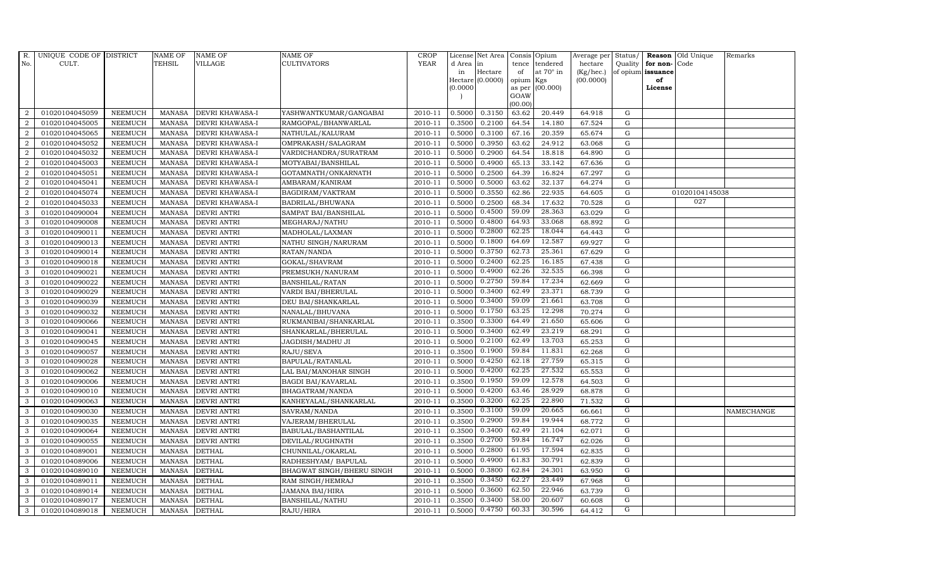| R.             | UNIQUE CODE OF DISTRICT |                | <b>NAME OF</b> | <b>NAME OF</b>     | <b>NAME OF</b>            | <b>CROP</b> |          | License Net Area   |           | Consis Opium    | Average per | Status/        | Reason            | Old Unique     | Remarks    |
|----------------|-------------------------|----------------|----------------|--------------------|---------------------------|-------------|----------|--------------------|-----------|-----------------|-------------|----------------|-------------------|----------------|------------|
| No.            | CULT.                   |                | <b>TEHSIL</b>  | VILLAGE            | CULTIVATORS               | <b>YEAR</b> | d Area   | in                 | tence     | tendered        | hectare     | Quality        | for non-          | Code           |            |
|                |                         |                |                |                    |                           |             | in       | Hectare            | of        | at 70° in       | (Kg/hec.)   |                | of opium issuance |                |            |
|                |                         |                |                |                    |                           |             |          | $Hectare (0.0000)$ | opium Kgs |                 | (00.0000)   |                | of                |                |            |
|                |                         |                |                |                    |                           |             | (0.0000) |                    | GOAW      | as per (00.000) |             |                | License           |                |            |
|                |                         |                |                |                    |                           |             |          |                    | (00.00)   |                 |             |                |                   |                |            |
| 2              | 01020104045059          | <b>NEEMUCH</b> | <b>MANASA</b>  | DEVRI KHAWASA-I    | YASHWANTKUMAR/GANGABAI    | 2010-11     | 0.5000   | 0.3150             | 63.62     | 20.449          | 64.918      | G              |                   |                |            |
| 2              | 01020104045005          | <b>NEEMUCH</b> | <b>MANASA</b>  | DEVRI KHAWASA-I    | RAMGOPAL/BHANWARLAL       | 2010-11     | 0.3500   | 0.2100             | 64.54     | 14.180          | 67.524      | ${\rm G}$      |                   |                |            |
| 2              | 01020104045065          | <b>NEEMUCH</b> | <b>MANASA</b>  | DEVRI KHAWASA-I    | NATHULAL/KALURAM          | 2010-11     | 0.5000   | 0.3100             | 67.16     | 20.359          | 65.674      | G              |                   |                |            |
| $\overline{2}$ | 01020104045052          | <b>NEEMUCH</b> | <b>MANASA</b>  | DEVRI KHAWASA-I    | OMPRAKASH/SALAGRAM        | 2010-11     | 0.5000   | 0.3950             | 63.62     | 24.912          | 63.068      | $\mathbf G$    |                   |                |            |
| $\overline{2}$ | 01020104045032          | <b>NEEMUCH</b> | <b>MANASA</b>  | DEVRI KHAWASA-I    | VARDICHANDRA/SURATRAM     | 2010-11     | 0.5000   | 0.2900             | 64.54     | 18.818          | 64.890      | ${\rm G}$      |                   |                |            |
| 2              | 01020104045003          | <b>NEEMUCH</b> | <b>MANASA</b>  | DEVRI KHAWASA-I    | MOTYABAI/BANSHILAL        | 2010-11     | 0.5000   | 0.4900             | 65.13     | 33.142          | 67.636      | $\mathbf G$    |                   |                |            |
| 2              | 01020104045051          | <b>NEEMUCH</b> | <b>MANASA</b>  | DEVRI KHAWASA-I    | GOTAMNATH/ONKARNATH       | 2010-11     | 0.5000   | 0.2500             | 64.39     | 16.824          | 67.297      | ${\rm G}$      |                   |                |            |
| 2              | 01020104045041          | <b>NEEMUCH</b> | <b>MANASA</b>  | DEVRI KHAWASA-I    | AMBARAM/KANIRAM           | 2010-11     | 0.5000   | 0.5000             | 63.62     | 32.137          | 64.274      | $\mathbf G$    |                   |                |            |
| $\overline{2}$ | 01020104045074          | <b>NEEMUCH</b> | <b>MANASA</b>  | DEVRI KHAWASA-I    | BAGDIRAM/VAKTRAM          | 2010-11     | 0.5000   | 0.3550             | 62.86     | 22.935          | 64.605      | G              |                   | 01020104145038 |            |
| 2              | 01020104045033          | <b>NEEMUCH</b> | <b>MANASA</b>  | DEVRI KHAWASA-I    | BADRILAL/BHUWANA          | 2010-11     | 0.5000   | 0.2500             | 68.34     | 17.632          | 70.528      | ${\rm G}$      |                   | 027            |            |
| 3              | 01020104090004          | <b>NEEMUCH</b> | <b>MANASA</b>  | DEVRI ANTRI        | SAMPAT BAI/BANSHILAL      | 2010-11     | 0.5000   | 0.4500             | 59.09     | 28.363          | 63.029      | G              |                   |                |            |
| 3              | 01020104090008          | <b>NEEMUCH</b> | <b>MANASA</b>  | <b>DEVRI ANTRI</b> | MEGHARAJ/NATHU            | 2010-11     | 0.5000   | 0.4800             | 64.93     | 33.068          | 68.892      | G              |                   |                |            |
| 3              | 01020104090011          | <b>NEEMUCH</b> | <b>MANASA</b>  | <b>DEVRI ANTRI</b> | MADHOLAL/LAXMAN           | 2010-11     | 0.5000   | 0.2800             | 62.25     | 18.044          | 64.443      | G              |                   |                |            |
| 3              | 01020104090013          | <b>NEEMUCH</b> | <b>MANASA</b>  | <b>DEVRI ANTRI</b> | NATHU SINGH/NARURAM       | 2010-11     | 0.5000   | 0.1800             | 64.69     | 12.587          | 69.927      | G              |                   |                |            |
| 3              | 01020104090014          | <b>NEEMUCH</b> | <b>MANASA</b>  | <b>DEVRI ANTRI</b> | RATAN/NANDA               | 2010-11     | 0.5000   | 0.3750             | 62.73     | 25.361          | 67.629      | G              |                   |                |            |
| 3              | 01020104090018          | <b>NEEMUCH</b> | <b>MANASA</b>  | DEVRI ANTRI        | GOKAL/SHAVRAM             | 2010-11     | 0.5000   | 0.2400             | 62.25     | 16.185          | 67.438      | G              |                   |                |            |
| 3              | 01020104090021          | <b>NEEMUCH</b> | <b>MANASA</b>  | <b>DEVRI ANTRI</b> | PREMSUKH/NANURAM          | 2010-11     | 0.5000   | 0.4900             | 62.26     | 32.535          | 66.398      | G              |                   |                |            |
| 3              | 01020104090022          | <b>NEEMUCH</b> | <b>MANASA</b>  | <b>DEVRI ANTRI</b> | <b>BANSHILAL/RATAN</b>    | 2010-11     | 0.5000   | 0.2750             | 59.84     | 17.234          | 62.669      | G              |                   |                |            |
| 3              | 01020104090029          | <b>NEEMUCH</b> | <b>MANASA</b>  | <b>DEVRI ANTRI</b> | VARDI BAI/BHERULAL        | 2010-11     | 0.5000   | 0.3400             | 62.49     | 23.371          | 68.739      | G              |                   |                |            |
| 3              | 01020104090039          | <b>NEEMUCH</b> | <b>MANASA</b>  | <b>DEVRI ANTRI</b> | DEU BAI/SHANKARLAL        | 2010-11     | 0.5000   | 0.3400             | 59.09     | 21.661          | 63.708      | $\mathbf G$    |                   |                |            |
| 3              | 01020104090032          | <b>NEEMUCH</b> | <b>MANASA</b>  | <b>DEVRI ANTRI</b> | NANALAL/BHUVANA           | 2010-11     | 0.5000   | 0.1750             | 63.25     | 12.298          | 70.274      | $\overline{G}$ |                   |                |            |
| 3              | 01020104090066          | <b>NEEMUCH</b> | <b>MANASA</b>  | DEVRI ANTRI        | RUKMANIBAI/SHANKARLAL     | 2010-11     | 0.3500   | 0.3300             | 64.49     | 21.650          | 65.606      | G              |                   |                |            |
| 3              | 01020104090041          | <b>NEEMUCH</b> | <b>MANASA</b>  | <b>DEVRI ANTRI</b> | SHANKARLAL/BHERULAL       | 2010-11     | 0.5000   | 0.3400             | 62.49     | 23.219          | 68.291      | $\mathbf G$    |                   |                |            |
| 3              | 01020104090045          | <b>NEEMUCH</b> | <b>MANASA</b>  | <b>DEVRI ANTRI</b> | JAGDISH/MADHU JI          | 2010-11     | 0.5000   | 0.2100             | 62.49     | 13.703          | 65.253      | $\mathbf G$    |                   |                |            |
| 3              | 01020104090057          | <b>NEEMUCH</b> | <b>MANASA</b>  | DEVRI ANTRI        | RAJU/SEVA                 | 2010-11     | 0.3500   | 0.1900             | 59.84     | 11.831          | 62.268      | G              |                   |                |            |
| 3              | 01020104090028          | <b>NEEMUCH</b> | <b>MANASA</b>  | <b>DEVRI ANTRI</b> | BAPULAL/RATANLAL          | 2010-11     | 0.5000   | 0.4250             | 62.18     | 27.759          | 65.315      | G              |                   |                |            |
| 3              | 01020104090062          | <b>NEEMUCH</b> | <b>MANASA</b>  | DEVRI ANTRI        | LAL BAI/MANOHAR SINGH     | 2010-11     | 0.5000   | 0.4200             | 62.25     | 27.532          | 65.553      | G              |                   |                |            |
| 3              | 01020104090006          | <b>NEEMUCH</b> | <b>MANASA</b>  | <b>DEVRI ANTRI</b> | <b>BAGDI BAI/KAVARLAL</b> | 2010-11     | 0.3500   | 0.1950             | 59.09     | 12.578          | 64.503      | G              |                   |                |            |
| 3              | 01020104090010          | <b>NEEMUCH</b> | <b>MANASA</b>  | <b>DEVRI ANTRI</b> | BHAGATRAM/NANDA           | 2010-11     | 0.5000   | 0.4200             | 63.46     | 28.929          | 68.878      | G              |                   |                |            |
| 3              | 01020104090063          | <b>NEEMUCH</b> | <b>MANASA</b>  | <b>DEVRI ANTRI</b> | KANHEYALAL/SHANKARLAL     | 2010-11     | 0.3500   | 0.3200             | 62.25     | 22.890          | 71.532      | G              |                   |                |            |
| 3              | 01020104090030          | <b>NEEMUCH</b> | <b>MANASA</b>  | <b>DEVRI ANTRI</b> | SAVRAM/NANDA              | 2010-11     | 0.3500   | 0.3100             | 59.09     | 20.665          | 66.661      | $\mathbf G$    |                   |                | NAMECHANGE |
| 3              | 01020104090035          | <b>NEEMUCH</b> | <b>MANASA</b>  | DEVRI ANTRI        | VAJERAM/BHERULAL          | 2010-11     | 0.3500   | 0.2900             | 59.84     | 19.944          | 68.772      | G              |                   |                |            |
| 3              | 01020104090064          | <b>NEEMUCH</b> | <b>MANASA</b>  | <b>DEVRI ANTRI</b> | BABULAL/BASHANTILAL       | 2010-11     | 0.3500   | 0.3400             | 62.49     | 21.104          | 62.071      | G              |                   |                |            |
| 3              | 01020104090055          | <b>NEEMUCH</b> | <b>MANASA</b>  | <b>DEVRI ANTRI</b> | DEVILAL/RUGHNATH          | 2010-11     | 0.3500   | 0.2700             | 59.84     | 16.747          | 62.026      | G              |                   |                |            |
| 3              | 01020104089001          | <b>NEEMUCH</b> | <b>MANASA</b>  | <b>DETHAL</b>      | CHUNNILAL/OKARLAL         | 2010-11     | 0.5000   | 0.2800             | 61.95     | 17.594          | 62.835      | G              |                   |                |            |
| 3              | 01020104089006          | <b>NEEMUCH</b> | <b>MANASA</b>  | <b>DETHAL</b>      | RADHESHYAM / BAPULAL      | 2010-11     | 0.5000   | 0.4900             | 61.83     | 30.791          | 62.839      | G              |                   |                |            |
| 3              | 01020104089010          | <b>NEEMUCH</b> | <b>MANASA</b>  | <b>DETHAL</b>      | BHAGWAT SINGH/BHERU SINGH | 2010-11     | 0.5000   | 0.3800             | 62.84     | 24.301          | 63.950      | G              |                   |                |            |
| 3              | 01020104089011          | NEEMUCH        | <b>MANASA</b>  | <b>DETHAL</b>      | RAM SINGH/HEMRAJ          | 2010-11     | 0.3500   | 0.3450             | 62.27     | 23.449          | 67.968      | G              |                   |                |            |
| 3              | 01020104089014          | <b>NEEMUCH</b> | <b>MANASA</b>  | <b>DETHAL</b>      | JAMANA BAI/HIRA           | 2010-11     | 0.5000   | 0.3600             | 62.50     | 22.946          | 63.739      | G              |                   |                |            |
| 3              | 01020104089017          | <b>NEEMUCH</b> | <b>MANASA</b>  | <b>DETHAL</b>      | <b>BANSHILAL/NATHU</b>    | 2010-11     | 0.3500   | 0.3400             | 58.00     | 20.607          | 60.608      | G              |                   |                |            |
| 3              | 01020104089018          | <b>NEEMUCH</b> | MANASA         | <b>DETHAL</b>      | RAJU/HIRA                 | 2010-11     | 0.5000   | 0.4750             | 60.33     | 30.596          | 64.412      | $\overline{G}$ |                   |                |            |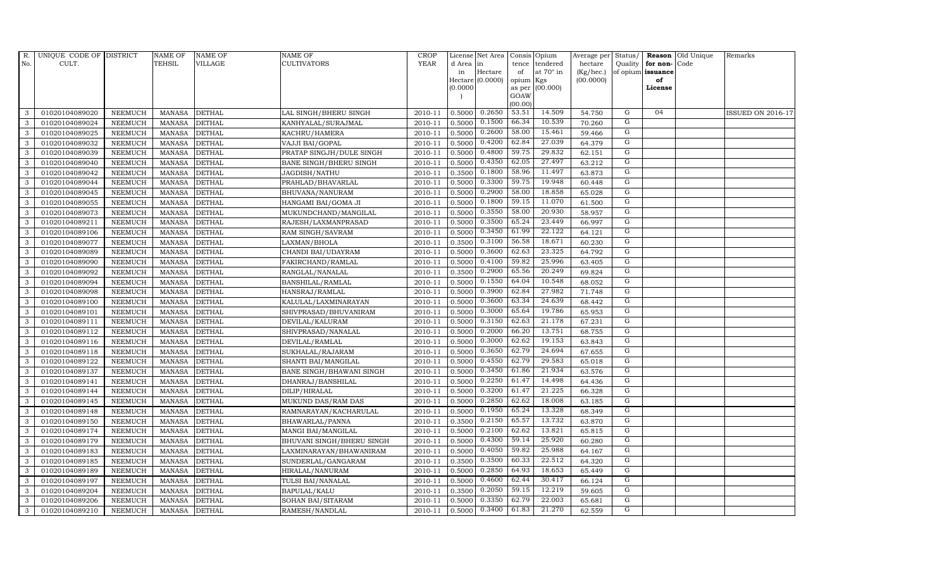| R.  | UNIQUE CODE OF DISTRICT |                | <b>NAME OF</b> | <b>NAME OF</b> | <b>NAME OF</b>                | <b>CROP</b> |           | License Net Area | Consis         | Opium     | Average per Status/ |                |                      | <b>Reason</b> Old Unique | Remarks           |
|-----|-------------------------|----------------|----------------|----------------|-------------------------------|-------------|-----------|------------------|----------------|-----------|---------------------|----------------|----------------------|--------------------------|-------------------|
| No. | CULT.                   |                | <b>TEHSIL</b>  | VILLAGE        | <b>CULTIVATORS</b>            | <b>YEAR</b> | d Area in |                  | tence          | tendered  | hectare             |                | Quality $ $ for non- | Code                     |                   |
|     |                         |                |                |                |                               |             | in        | Hectare          | of             | at 70° in | (Kg/hec.)           |                | of opium issuance    |                          |                   |
|     |                         |                |                |                |                               |             |           | Hectare (0.0000) | opium          | Kgs       | (00.0000)           |                | of                   |                          |                   |
|     |                         |                |                |                |                               |             | [0.0000]  |                  | as per<br>GOAW | (00.000)  |                     |                | License              |                          |                   |
|     |                         |                |                |                |                               |             |           |                  | (00.00)        |           |                     |                |                      |                          |                   |
| 3   | 01020104089020          | <b>NEEMUCH</b> | MANASA         | <b>DETHAL</b>  | LAL SINGH/BHERU SINGH         | 2010-11     | 0.5000    | 0.2650           | 53.51          | 14.509    | 54.750              | G              | 04                   |                          | ISSUED ON 2016-17 |
| 3   | 01020104089024          | <b>NEEMUCH</b> | MANASA         | <b>DETHAL</b>  | KANHYALAL/SURAJMAL            | 2010-11     | 0.5000    | 0.1500           | 66.34          | 10.539    | 70.260              | G              |                      |                          |                   |
| 3   | 01020104089025          | <b>NEEMUCH</b> | <b>MANASA</b>  | <b>DETHAL</b>  | KACHRU/HAMERA                 | 2010-11     | 0.5000    | 0.2600           | 58.00          | 15.461    | 59.466              | G              |                      |                          |                   |
| 3   | 01020104089032          | <b>NEEMUCH</b> | MANASA         | <b>DETHAL</b>  | VAJJI BAI/GOPAL               | 2010-11     | 0.5000    | 0.4200           | 62.84          | 27.039    | 64.379              | G              |                      |                          |                   |
| 3   | 01020104089039          | <b>NEEMUCH</b> | <b>MANASA</b>  | <b>DETHAL</b>  | PRATAP SINGJH/DULE SINGH      | 2010-11     | 0.5000    | 0.4800           | 59.75          | 29.832    | 62.151              | G              |                      |                          |                   |
| 3   | 01020104089040          | <b>NEEMUCH</b> | <b>MANASA</b>  | <b>DETHAL</b>  | <b>BANE SINGH/BHERU SINGH</b> | 2010-11     | 0.5000    | 0.4350           | 62.05          | 27.497    | 63.212              | G              |                      |                          |                   |
| 3   | 01020104089042          | <b>NEEMUCH</b> | MANASA         | <b>DETHAL</b>  | JAGDISH/NATHU                 | 2010-11     | 0.3500    | 0.1800           | 58.96          | 11.497    | 63.873              | G              |                      |                          |                   |
| 3   | 01020104089044          | <b>NEEMUCH</b> | <b>MANASA</b>  | <b>DETHAL</b>  | PRAHLAD/BHAVARLAL             | 2010-11     | 0.5000    | 0.3300           | 59.75          | 19.948    | 60.448              | G              |                      |                          |                   |
| 3   | 01020104089045          | <b>NEEMUCH</b> | <b>MANASA</b>  | <b>DETHAL</b>  | BHUVANA/NANURAM               | 2010-11     | 0.5000    | 0.2900           | 58.00          | 18.858    | 65.028              | G              |                      |                          |                   |
| 3   | 01020104089055          | <b>NEEMUCH</b> | <b>MANASA</b>  | <b>DETHAL</b>  | HANGAMI BAI/GOMA JI           | 2010-11     | 0.5000    | 0.1800           | 59.15          | 11.070    | 61.500              | G              |                      |                          |                   |
| 3   | 01020104089073          | <b>NEEMUCH</b> | <b>MANASA</b>  | <b>DETHAL</b>  | MUKUNDCHAND/MANGILAL          | 2010-11     | 0.5000    | 0.3550           | 58.00          | 20.930    | 58.957              | G              |                      |                          |                   |
| 3   | 01020104089211          | <b>NEEMUCH</b> | <b>MANASA</b>  | <b>DETHAL</b>  | RAJESH/LAXMANPRASAD           | 2010-11     | 0.5000    | 0.3500           | 65.24          | 23.449    | 66.997              | G              |                      |                          |                   |
| 3   | 01020104089106          | <b>NEEMUCH</b> | <b>MANASA</b>  | <b>DETHAL</b>  | RAM SINGH/SAVRAM              | 2010-11     | 0.5000    | 0.3450           | 61.99          | 22.122    | 64.121              | G              |                      |                          |                   |
| 3   | 01020104089077          | <b>NEEMUCH</b> | <b>MANASA</b>  | <b>DETHAL</b>  | LAXMAN/BHOLA                  | 2010-11     | 0.3500    | 0.3100           | 56.58          | 18.671    | 60.230              | $\mathbf G$    |                      |                          |                   |
| 3   | 01020104089089          | <b>NEEMUCH</b> | <b>MANASA</b>  | <b>DETHAL</b>  | CHANDI BAI/UDAYRAM            | 2010-11     | 0.5000    | 0.3600           | 62.63          | 23.325    | 64.792              | G              |                      |                          |                   |
| 3   | 01020104089090          | <b>NEEMUCH</b> | <b>MANASA</b>  | <b>DETHAL</b>  | FAKIRCHAND/RAMLAL             | $2010 - 11$ | 0.5000    | 0.4100           | 59.82          | 25.996    | 63.405              | $\overline{G}$ |                      |                          |                   |
| 3   | 01020104089092          | <b>NEEMUCH</b> | <b>MANASA</b>  | <b>DETHAL</b>  | RANGLAL/NANALAL               | 2010-11     | 0.3500    | 0.2900           | 65.56          | 20.249    | 69.824              | G              |                      |                          |                   |
| 3   | 01020104089094          | NEEMUCH        | MANASA         | <b>DETHAL</b>  | BANSHILAL/RAMLAL              | 2010-11     | 0.5000    | 0.1550           | 64.04          | 10.548    | 68.052              | G              |                      |                          |                   |
| 3   | 01020104089098          | <b>NEEMUCH</b> | <b>MANASA</b>  | <b>DETHAL</b>  | HANSRAJ/RAMLAL                | 2010-11     | 0.5000    | 0.3900           | 62.84          | 27.982    | 71.748              | G              |                      |                          |                   |
| 3   | 01020104089100          | <b>NEEMUCH</b> | <b>MANASA</b>  | <b>DETHAL</b>  | KALULAL/LAXMINARAYAN          | 2010-11     | 0.5000    | 0.3600           | 63.34          | 24.639    | 68.442              | G              |                      |                          |                   |
| 3   | 01020104089101          | <b>NEEMUCH</b> | <b>MANASA</b>  | <b>DETHAL</b>  | SHIVPRASAD/BHUVANIRAM         | 2010-11     | 0.5000    | 0.3000           | 65.64          | 19.786    | 65.953              | G              |                      |                          |                   |
| 3   | 01020104089111          | <b>NEEMUCH</b> | <b>MANASA</b>  | <b>DETHAL</b>  | DEVILAL/KALURAM               | 2010-11     | 0.5000    | 0.3150           | 62.63          | 21.178    | 67.231              | G              |                      |                          |                   |
| 3   | 01020104089112          | <b>NEEMUCH</b> | <b>MANASA</b>  | <b>DETHAL</b>  | SHIVPRASAD/NANALAL            | 2010-11     | 0.5000    | 0.2000           | 66.20          | 13.751    | 68.755              | G              |                      |                          |                   |
| 3   | 01020104089116          | <b>NEEMUCH</b> | <b>MANASA</b>  | <b>DETHAL</b>  | DEVILAL/RAMLAL                | 2010-11     | 0.5000    | 0.3000           | 62.62          | 19.153    | 63.843              | G              |                      |                          |                   |
| 3   | 01020104089118          | <b>NEEMUCH</b> | <b>MANASA</b>  | <b>DETHAL</b>  | SUKHALAL/RAJARAM              | 2010-11     | 0.5000    | 0.3650           | 62.79          | 24.694    | 67.655              | G              |                      |                          |                   |
| 3   | 01020104089122          | <b>NEEMUCH</b> | <b>MANASA</b>  | <b>DETHAL</b>  | SHANTI BAI/MANGILAL           | 2010-11     | 0.5000    | 0.4550           | 62.79          | 29.583    | 65.018              | G              |                      |                          |                   |
| 3   | 01020104089137          | <b>NEEMUCH</b> | MANASA         | <b>DETHAL</b>  | BANE SINGH/BHAWANI SINGH      | 2010-11     | 0.5000    | 0.3450           | 61.86          | 21.934    | 63.576              | G              |                      |                          |                   |
| 3   | 01020104089141          | <b>NEEMUCH</b> | <b>MANASA</b>  | <b>DETHAL</b>  | DHANRAJ/BANSHILAL             | 2010-11     | 0.5000    | 0.2250           | 61.47          | 14.498    | 64.436              | G              |                      |                          |                   |
| 3   | 01020104089144          | <b>NEEMUCH</b> | <b>MANASA</b>  | <b>DETHAL</b>  | DILIP/HIRALAL                 | 2010-11     | 0.5000    | 0.3200           | 61.47          | 21.225    | 66.328              | G              |                      |                          |                   |
| 3   | 01020104089145          | <b>NEEMUCH</b> | <b>MANASA</b>  | <b>DETHAL</b>  | MUKUND DAS/RAM DAS            | 2010-11     | 0.5000    | 0.2850           | 62.62          | 18.008    | 63.185              | G              |                      |                          |                   |
| 3   | 01020104089148          | <b>NEEMUCH</b> | <b>MANASA</b>  | <b>DETHAL</b>  | RAMNARAYAN/KACHARULAL         | 2010-11     | 0.5000    | 0.1950           | 65.24          | 13.328    | 68.349              | G              |                      |                          |                   |
| 3   | 01020104089150          | <b>NEEMUCH</b> | <b>MANASA</b>  | <b>DETHAL</b>  | BHAWARLAL/PANNA               | 2010-11     | 0.3500    | 0.2150           | 65.57          | 13.732    | 63.870              | G              |                      |                          |                   |
| 3   | 01020104089174          | <b>NEEMUCH</b> | <b>MANASA</b>  | <b>DETHAL</b>  | MANGI BAI/MANGILAL            | 2010-11     | 0.5000    | 0.2100           | 62.62          | 13.821    | 65.815              | G              |                      |                          |                   |
| 3   | 01020104089179          | <b>NEEMUCH</b> | <b>MANASA</b>  | <b>DETHAL</b>  | BHUVANI SINGH/BHERU SINGH     | 2010-11     | 0.5000    | 0.4300           | 59.14          | 25.920    | 60.280              | G              |                      |                          |                   |
| 3   | 01020104089183          | <b>NEEMUCH</b> | <b>MANASA</b>  | <b>DETHAL</b>  | LAXMINARAYAN/BHAWANIRAM       | 2010-11     | 0.5000    | 0.4050           | 59.82          | 25.988    | 64.167              | G              |                      |                          |                   |
| 3   | 01020104089185          | <b>NEEMUCH</b> | <b>MANASA</b>  | <b>DETHAL</b>  | SUNDERLAL/GANGARAM            | 2010-11     | 0.3500    | 0.3500           | 60.33          | 22.512    | 64.320              | G              |                      |                          |                   |
| 3   | 01020104089189          | <b>NEEMUCH</b> | <b>MANASA</b>  | <b>DETHAL</b>  | HIRALAL/NANURAM               | 2010-11     | 0.5000    | 0.2850           | 64.93          | 18.653    | 65.449              | $\mathbf G$    |                      |                          |                   |
| 3   | 01020104089197          | <b>NEEMUCH</b> | <b>MANASA</b>  | <b>DETHAL</b>  | TULSI BAI/NANALAL             | 2010-11     | 0.5000    | 0.4600           | 62.44          | 30.417    | 66.124              | G              |                      |                          |                   |
| 3   | 01020104089204          | <b>NEEMUCH</b> | <b>MANASA</b>  | <b>DETHAL</b>  | BAPULAL/KALU                  | 2010-11     | 0.3500    | 0.2050           | 59.15          | 12.219    | 59.605              | G              |                      |                          |                   |
| 3   | 01020104089206          | <b>NEEMUCH</b> | <b>MANASA</b>  | <b>DETHAL</b>  | SOHAN BAI/SITARAM             | 2010-11     | 0.5000    | 0.3350           | 62.79          | 22.003    | 65.681              | G              |                      |                          |                   |
| 3   | 01020104089210          | <b>NEEMUCH</b> | MANASA DETHAL  |                | RAMESH/NANDLAL                | 2010-11     | 0.5000    | 0.3400           | 61.83          | 21.270    | 62.559              | G              |                      |                          |                   |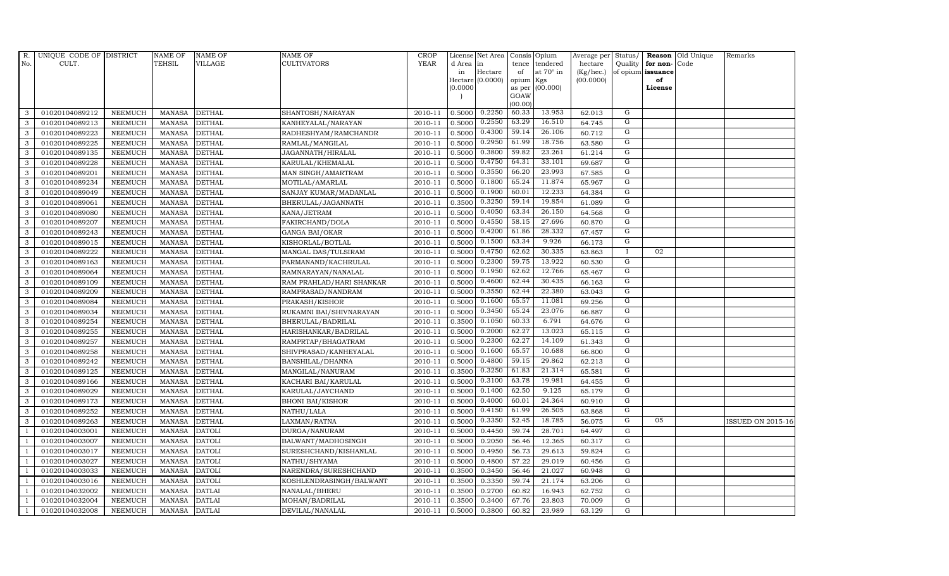| R.             | UNIQUE CODE OF DISTRICT |                | <b>NAME OF</b> | <b>NAME OF</b> | <b>NAME OF</b>           | <b>CROP</b> |          | License Net Area   |           | Consis Opium    | Average per | Status/        | Reason            | Old Unique | Remarks                  |
|----------------|-------------------------|----------------|----------------|----------------|--------------------------|-------------|----------|--------------------|-----------|-----------------|-------------|----------------|-------------------|------------|--------------------------|
| No.            | CULT.                   |                | <b>TEHSIL</b>  | VILLAGE        | <b>CULTIVATORS</b>       | <b>YEAR</b> | d Area   | in                 | tence     | tendered        | hectare     | Quality        | for non-          | Code       |                          |
|                |                         |                |                |                |                          |             | in       | Hectare            | of        | at 70° in       | (Kg/hec.)   |                | of opium issuance |            |                          |
|                |                         |                |                |                |                          |             |          | $Hectare (0.0000)$ | opium Kgs |                 | (00.0000)   |                | of                |            |                          |
|                |                         |                |                |                |                          |             | (0.0000) |                    | GOAW      | as per (00.000) |             |                | License           |            |                          |
|                |                         |                |                |                |                          |             |          |                    | (00.00)   |                 |             |                |                   |            |                          |
| 3              | 01020104089212          | <b>NEEMUCH</b> | MANASA         | <b>DETHAL</b>  | SHANTOSH/NARAYAN         | 2010-11     | 0.5000   | 0.2250             | 60.33     | 13.953          | 62.013      | G              |                   |            |                          |
| 3              | 01020104089213          | <b>NEEMUCH</b> | <b>MANASA</b>  | <b>DETHAL</b>  | KANHEYALAL/NARAYAN       | 2010-11     | 0.5000   | 0.2550             | 63.29     | 16.510          | 64.745      | G              |                   |            |                          |
| 3              | 01020104089223          | <b>NEEMUCH</b> | <b>MANASA</b>  | <b>DETHAL</b>  | RADHESHYAM/RAMCHANDR     | 2010-11     | 0.5000   | 0.4300             | 59.14     | 26.106          | 60.712      | G              |                   |            |                          |
| 3              | 01020104089225          | <b>NEEMUCH</b> | <b>MANASA</b>  | <b>DETHAL</b>  | RAMLAL/MANGILAL          | 2010-11     | 0.5000   | 0.2950             | 61.99     | 18.756          | 63.580      | G              |                   |            |                          |
| 3              | 01020104089135          | <b>NEEMUCH</b> | <b>MANASA</b>  | <b>DETHAL</b>  | JAGANNATH/HIRALAL        | 2010-11     | 0.5000   | 0.3800             | 59.82     | 23.261          | 61.214      | $\mathbf G$    |                   |            |                          |
| 3              | 01020104089228          | <b>NEEMUCH</b> | <b>MANASA</b>  | <b>DETHAL</b>  | KARULAL/KHEMALAL         | 2010-11     | 0.5000   | 0.4750             | 64.31     | 33.101          | 69.687      | $\overline{G}$ |                   |            |                          |
| 3              | 01020104089201          | <b>NEEMUCH</b> | <b>MANASA</b>  | <b>DETHAL</b>  | MAN SINGH/AMARTRAM       | 2010-11     | 0.5000   | 0.3550             | 66.20     | 23.993          | 67.585      | G              |                   |            |                          |
| 3              | 01020104089234          | <b>NEEMUCH</b> | <b>MANASA</b>  | <b>DETHAL</b>  | MOTILAL/AMARLAL          | 2010-11     | 0.5000   | 0.1800             | 65.24     | 11.874          | 65.967      | G              |                   |            |                          |
| 3              | 01020104089049          | <b>NEEMUCH</b> | <b>MANASA</b>  | <b>DETHAL</b>  | SANJAY KUMAR/MADANLAL    | 2010-11     | 0.5000   | 0.1900             | 60.01     | 12.233          | 64.384      | G              |                   |            |                          |
| 3              | 01020104089061          | <b>NEEMUCH</b> | <b>MANASA</b>  | <b>DETHAL</b>  | BHERULAL/JAGANNATH       | 2010-11     | 0.3500   | 0.3250             | 59.14     | 19.854          | 61.089      | G              |                   |            |                          |
| 3              | 01020104089080          | <b>NEEMUCH</b> | <b>MANASA</b>  | <b>DETHAL</b>  | KANA/JETRAM              | 2010-11     | 0.5000   | 0.4050             | 63.34     | 26.150          | 64.568      | G              |                   |            |                          |
| 3              | 01020104089207          | <b>NEEMUCH</b> | <b>MANASA</b>  | <b>DETHAL</b>  | FAKIRCHAND/DOLA          | 2010-11     | 0.5000   | 0.4550             | 58.15     | 27.696          | 60.870      | G              |                   |            |                          |
| 3              | 01020104089243          | <b>NEEMUCH</b> | <b>MANASA</b>  | <b>DETHAL</b>  | <b>GANGA BAI/OKAR</b>    | 2010-11     | 0.5000   | 0.4200             | 61.86     | 28.332          | 67.457      | G              |                   |            |                          |
| 3              | 01020104089015          | <b>NEEMUCH</b> | <b>MANASA</b>  | <b>DETHAL</b>  | KISHORLAL/BOTLAL         | 2010-11     | 0.5000   | 0.1500             | 63.34     | 9.926           | 66.173      | G              |                   |            |                          |
| 3              | 01020104089222          | <b>NEEMUCH</b> | <b>MANASA</b>  | <b>DETHAL</b>  | MANGAL DAS/TULSIRAM      | 2010-11     | 0.5000   | 0.4750             | 62.62     | 30.335          | 63.863      | $\bf{I}$       | 02                |            |                          |
| 3              | 01020104089163          | <b>NEEMUCH</b> | <b>MANASA</b>  | <b>DETHAL</b>  | PARMANAND/KACHRULAL      | 2010-11     | 0.5000   | 0.2300             | 59.75     | 13.922          | 60.530      | G              |                   |            |                          |
| 3              | 01020104089064          | <b>NEEMUCH</b> | <b>MANASA</b>  | <b>DETHAL</b>  | RAMNARAYAN/NANALAL       | 2010-11     | 0.5000   | 0.1950             | 62.62     | 12.766          | 65.467      | G              |                   |            |                          |
| 3              | 01020104089109          | <b>NEEMUCH</b> | <b>MANASA</b>  | <b>DETHAL</b>  | RAM PRAHLAD/HARI SHANKAR | 2010-11     | 0.5000   | 0.4600             | 62.44     | 30.435          | 66.163      | G              |                   |            |                          |
| 3              | 01020104089209          | <b>NEEMUCH</b> | <b>MANASA</b>  | <b>DETHAL</b>  | RAMPRASAD/NANDRAM        | 2010-11     | 0.5000   | 0.3550             | 62.44     | 22.380          | 63.043      | G              |                   |            |                          |
| 3              | 01020104089084          | <b>NEEMUCH</b> | MANASA         | <b>DETHAL</b>  | PRAKASH/KISHOR           | 2010-11     | 0.5000   | 0.1600             | 65.57     | 11.081          | 69.256      | $\mathbf G$    |                   |            |                          |
| 3              | 01020104089034          | <b>NEEMUCH</b> | <b>MANASA</b>  | <b>DETHAL</b>  | RUKAMNI BAI/SHIVNARAYAN  | 2010-11     | 0.5000   | 0.3450             | 65.24     | 23.076          | 66.887      | $\overline{G}$ |                   |            |                          |
| 3              | 01020104089254          | <b>NEEMUCH</b> | <b>MANASA</b>  | <b>DETHAL</b>  | BHERULAL/BADRILAL        | 2010-11     | 0.3500   | 0.1050             | 60.33     | 6.791           | 64.676      | G              |                   |            |                          |
| 3              | 01020104089255          | <b>NEEMUCH</b> | <b>MANASA</b>  | <b>DETHAL</b>  | HARISHANKAR/BADRILAL     | 2010-11     | 0.5000   | 0.2000             | 62.27     | 13.023          | 65.115      | $\mathbf G$    |                   |            |                          |
| 3              | 01020104089257          | <b>NEEMUCH</b> | <b>MANASA</b>  | <b>DETHAL</b>  | RAMPRTAP/BHAGATRAM       | 2010-11     | 0.5000   | 0.2300             | 62.27     | 14.109          | 61.343      | $\overline{G}$ |                   |            |                          |
| 3              | 01020104089258          | <b>NEEMUCH</b> | <b>MANASA</b>  | <b>DETHAL</b>  | SHIVPRASAD/KANHEYALAL    | 2010-11     | 0.5000   | 0.1600             | 65.57     | 10.688          | 66.800      | G              |                   |            |                          |
| 3              | 01020104089242          | <b>NEEMUCH</b> | <b>MANASA</b>  | <b>DETHAL</b>  | BANSHILAL/DHANNA         | 2010-11     | 0.5000   | 0.4800             | 59.15     | 29.862          | 62.213      | G              |                   |            |                          |
| 3              | 01020104089125          | <b>NEEMUCH</b> | <b>MANASA</b>  | <b>DETHAL</b>  | MANGILAL/NANURAM         | 2010-11     | 0.3500   | 0.3250             | 61.83     | 21.314          | 65.581      | G              |                   |            |                          |
| 3              | 01020104089166          | <b>NEEMUCH</b> | <b>MANASA</b>  | <b>DETHAL</b>  | KACHARI BAI/KARULAL      | 2010-11     | 0.5000   | 0.3100             | 63.78     | 19.981          | 64.455      | G              |                   |            |                          |
| 3              | 01020104089029          | <b>NEEMUCH</b> | <b>MANASA</b>  | <b>DETHAL</b>  | KARULAL/JAYCHAND         | 2010-11     | 0.5000   | 0.1400             | 62.50     | 9.125           | 65.179      | G              |                   |            |                          |
| 3              | 01020104089173          | <b>NEEMUCH</b> | <b>MANASA</b>  | <b>DETHAL</b>  | <b>BHONI BAI/KISHOR</b>  | 2010-11     | 0.5000   | 0.4000             | 60.01     | 24.364          | 60.910      | G              |                   |            |                          |
| 3              | 01020104089252          | <b>NEEMUCH</b> | <b>MANASA</b>  | <b>DETHAL</b>  | NATHU/LALA               | 2010-11     | 0.5000   | 0.4150             | 61.99     | 26.505          | 63.868      | G              |                   |            |                          |
| 3              | 01020104089263          | <b>NEEMUCH</b> | <b>MANASA</b>  | <b>DETHAL</b>  | LAXMAN/RATNA             | 2010-11     | 0.5000   | 0.3350             | 52.45     | 18.785          | 56.075      | $\mathbf G$    | 05                |            | <b>ISSUED ON 2015-16</b> |
| $\overline{1}$ | 01020104003001          | NEEMUCH        | <b>MANASA</b>  | <b>DATOLI</b>  | DURGA/NANURAM            | 2010-11     | 0.5000   | 0.4450             | 59.74     | 28.701          | 64.497      | ${\rm G}$      |                   |            |                          |
| $\overline{1}$ | 01020104003007          | <b>NEEMUCH</b> | <b>MANASA</b>  | <b>DATOLI</b>  | BALWANT/MADHOSINGH       | 2010-11     | 0.5000   | 0.2050             | 56.46     | 12.365          | 60.317      | $\mathbf G$    |                   |            |                          |
|                | 01020104003017          | <b>NEEMUCH</b> | <b>MANASA</b>  | <b>DATOLI</b>  | SURESHCHAND/KISHANLAL    | 2010-11     | 0.5000   | 0.4950             | 56.73     | 29.613          | 59.824      | $\mathbf G$    |                   |            |                          |
| $\overline{1}$ | 01020104003027          | <b>NEEMUCH</b> | <b>MANASA</b>  | <b>DATOLI</b>  | NATHU/SHYAMA             | 2010-11     | 0.5000   | 0.4800             | 57.22     | 29.019          | 60.456      | ${\rm G}$      |                   |            |                          |
|                | 01020104003033          | <b>NEEMUCH</b> | <b>MANASA</b>  | <b>DATOLI</b>  | NARENDRA/SURESHCHAND     | 2010-11     | 0.3500   | 0.3450             | 56.46     | 21.027          | 60.948      | ${\rm G}$      |                   |            |                          |
| - 1            | 01020104003016          | NEEMUCH        | <b>MANASA</b>  | <b>DATOLI</b>  | KOSHLENDRASINGH/BALWANT  | 2010-11     | 0.3500   | 0.3350             | 59.74     | 21.174          | 63.206      | ${\bf G}$      |                   |            |                          |
| $\overline{1}$ | 01020104032002          | <b>NEEMUCH</b> | <b>MANASA</b>  | <b>DATLAI</b>  | NANALAL/BHERU            | 2010-11     | 0.3500   | 0.2700             | 60.82     | 16.943          | 62.752      | ${\rm G}$      |                   |            |                          |
|                | 01020104032004          | <b>NEEMUCH</b> | <b>MANASA</b>  | <b>DATLAI</b>  | MOHAN/BADRILAL           | 2010-11     | 0.3500   | 0.3400             | 67.76     | 23.803          | 70.009      | $\mathbf G$    |                   |            |                          |
| $\mathbf{1}$   | 01020104032008          | <b>NEEMUCH</b> | MANASA         | <b>DATLAI</b>  | DEVILAL/NANALAL          | 2010-11     | 0.5000   | 0.3800             | 60.82     | 23.989          | 63.129      | G              |                   |            |                          |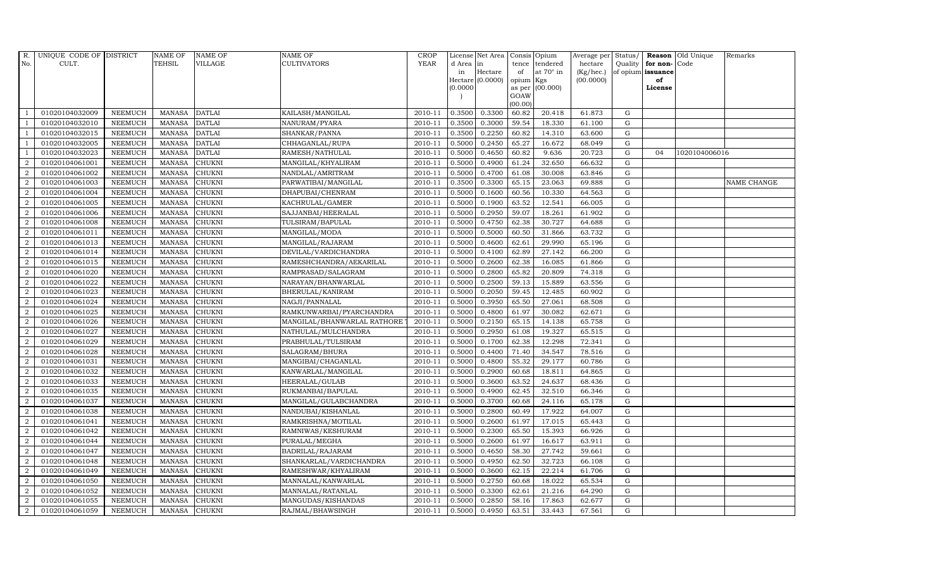| R.             | UNIQUE CODE OF DISTRICT |                | <b>NAME OF</b> | <b>NAME OF</b> | <b>NAME OF</b>              | CROP        |           | License Net Area Consis Opium |           |                  | Average per | Status/     | Reason            | Old Unique    | Remarks     |
|----------------|-------------------------|----------------|----------------|----------------|-----------------------------|-------------|-----------|-------------------------------|-----------|------------------|-------------|-------------|-------------------|---------------|-------------|
| No.            | CULT.                   |                | <b>TEHSIL</b>  | <b>VILLAGE</b> | <b>CULTIVATORS</b>          | <b>YEAR</b> | d Area in |                               |           | tence tendered   | hectare     | Quality     | for non-          | Code          |             |
|                |                         |                |                |                |                             |             | in        | Hectare                       | of        | at $70^\circ$ in | (Kg/hec.)   |             | of opium issuance |               |             |
|                |                         |                |                |                |                             |             |           | Hectare (0.0000)              | opium Kgs |                  | (00.0000)   |             | of                |               |             |
|                |                         |                |                |                |                             |             | (0.0000)  |                               | GOAW      | as per (00.000)  |             |             | License           |               |             |
|                |                         |                |                |                |                             |             |           |                               | (00.00)   |                  |             |             |                   |               |             |
|                | 01020104032009          | <b>NEEMUCH</b> | MANASA         | <b>DATLAI</b>  | KAILASH/MANGILAL            | 2010-11     | 0.3500    | 0.3300                        | 60.82     | 20.418           | 61.873      | $\mathbf G$ |                   |               |             |
| -1             | 01020104032010          | <b>NEEMUCH</b> | MANASA         | <b>DATLAI</b>  | NANURAM/PYARA               | 2010-11     | 0.3500    | 0.3000                        | 59.54     | 18.330           | 61.100      | ${\rm G}$   |                   |               |             |
|                | 01020104032015          | <b>NEEMUCH</b> | <b>MANASA</b>  | <b>DATLAI</b>  | SHANKAR/PANNA               | 2010-11     | 0.3500    | 0.2250                        | 60.82     | 14.310           | 63.600      | G           |                   |               |             |
|                | 01020104032005          | <b>NEEMUCH</b> | <b>MANASA</b>  | <b>DATLAI</b>  | CHHAGANLAL/RUPA             | 2010-11     | 0.5000    | 0.2450                        | 65.27     | 16.672           | 68.049      | $\mathbf G$ |                   |               |             |
| $\overline{1}$ | 01020104032023          | <b>NEEMUCH</b> | <b>MANASA</b>  | <b>DATLAI</b>  | RAMESH/NATHULAL             | 2010-11     | 0.5000    | 0.4650                        | 60.82     | 9.636            | 20.723      | ${\rm G}$   | 04                | 1020104006016 |             |
| 2              | 01020104061001          | <b>NEEMUCH</b> | MANASA         | <b>CHUKNI</b>  | MANGILAL/KHYALIRAM          | 2010-11     | 0.5000    | 0.4900                        | 61.24     | 32.650           | 66.632      | $\mathbf G$ |                   |               |             |
| 2              | 01020104061002          | <b>NEEMUCH</b> | <b>MANASA</b>  | <b>CHUKNI</b>  | NANDLAL/AMRITRAM            | 2010-11     | 0.5000    | 0.4700                        | 61.08     | 30.008           | 63.846      | $\mathbf G$ |                   |               |             |
| $\overline{2}$ | 01020104061003          | <b>NEEMUCH</b> | <b>MANASA</b>  | <b>CHUKNI</b>  | PARWATIBAI/MANGILAL         | 2010-11     | 0.3500    | 0.3300                        | 65.15     | 23.063           | 69.888      | $\mathbf G$ |                   |               | NAME CHANGE |
| $\overline{2}$ | 01020104061004          | <b>NEEMUCH</b> | <b>MANASA</b>  | <b>CHUKNI</b>  | DHAPUBAI/CHENRAM            | 2010-11     | 0.5000    | 0.1600                        | 60.56     | 10.330           | 64.563      | $\mathbf G$ |                   |               |             |
| $\overline{2}$ | 01020104061005          | <b>NEEMUCH</b> | <b>MANASA</b>  | CHUKNI         | KACHRULAL/GAMER             | 2010-11     | 0.5000    | 0.1900                        | 63.52     | 12.541           | 66.005      | ${\bf G}$   |                   |               |             |
| $\overline{a}$ | 01020104061006          | <b>NEEMUCH</b> | <b>MANASA</b>  | <b>CHUKNI</b>  | SAJJANBAI/HEERALAL          | 2010-11     | 0.5000    | 0.2950                        | 59.07     | 18.261           | 61.902      | ${\rm G}$   |                   |               |             |
| $\overline{2}$ | 01020104061008          | <b>NEEMUCH</b> | <b>MANASA</b>  | <b>CHUKNI</b>  | TULSIRAM/BAPULAL            | 2010-11     | 0.5000    | 0.4750                        | 62.38     | 30.727           | 64.688      | $\mathbf G$ |                   |               |             |
| 2              | 01020104061011          | <b>NEEMUCH</b> | <b>MANASA</b>  | <b>CHUKNI</b>  | MANGILAL/MODA               | 2010-11     | 0.5000    | 0.5000                        | 60.50     | 31.866           | 63.732      | $\mathbf G$ |                   |               |             |
| 2              | 01020104061013          | <b>NEEMUCH</b> | <b>MANASA</b>  | <b>CHUKNI</b>  | MANGILAL/RAJARAM            | 2010-11     | 0.5000    | 0.4600                        | 62.61     | 29.990           | 65.196      | G           |                   |               |             |
| $\overline{2}$ | 01020104061014          | <b>NEEMUCH</b> | <b>MANASA</b>  | <b>CHUKNI</b>  | DEVILAL/VARDICHANDRA        | 2010-11     | 0.5000    | 0.4100                        | 62.89     | 27.142           | 66.200      | G           |                   |               |             |
| $\overline{a}$ | 01020104061015          | <b>NEEMUCH</b> | <b>MANASA</b>  | <b>CHUKNI</b>  | RAMESHCHANDRA/AEKARILAL     | 2010-11     | 0.5000    | 0.2600                        | 62.38     | 16.085           | 61.866      | ${\rm G}$   |                   |               |             |
| 2              | 01020104061020          | <b>NEEMUCH</b> | <b>MANASA</b>  | <b>CHUKNI</b>  | RAMPRASAD/SALAGRAM          | 2010-11     | 0.5000    | 0.2800                        | 65.82     | 20.809           | 74.318      | $\mathbf G$ |                   |               |             |
| 2              | 01020104061022          | <b>NEEMUCH</b> | <b>MANASA</b>  | <b>CHUKNI</b>  | NARAYAN/BHANWARLAL          | 2010-11     | 0.5000    | 0.2500                        | 59.13     | 15.889           | 63.556      | G           |                   |               |             |
| $\overline{2}$ | 01020104061023          | <b>NEEMUCH</b> | <b>MANASA</b>  | <b>CHUKNI</b>  | BHERULAL/KANIRAM            | 2010-11     | 0.5000    | 0.2050                        | 59.45     | 12.485           | 60.902      | $\mathbf G$ |                   |               |             |
| $\overline{2}$ | 01020104061024          | <b>NEEMUCH</b> | <b>MANASA</b>  | <b>CHUKNI</b>  | NAGJI/PANNALAL              | 2010-11     | 0.5000    | 0.3950                        | 65.50     | 27.061           | 68.508      | $\mathbf G$ |                   |               |             |
| 2              | 01020104061025          | <b>NEEMUCH</b> | <b>MANASA</b>  | <b>CHUKNI</b>  | RAMKUNWARBAI/PYARCHANDRA    | 2010-11     | 0.5000    | 0.4800                        | 61.97     | 30.082           | 62.671      | ${\rm G}$   |                   |               |             |
| $\overline{a}$ | 01020104061026          | <b>NEEMUCH</b> | <b>MANASA</b>  | <b>CHUKNI</b>  | MANGILAL/BHANWARLAL RATHORE | 2010-11     | 0.5000    | 0.2150                        | 65.15     | 14.138           | 65.758      | ${\rm G}$   |                   |               |             |
| $\overline{2}$ | 01020104061027          | <b>NEEMUCH</b> | <b>MANASA</b>  | <b>CHUKNI</b>  | NATHULAL/MULCHANDRA         | 2010-11     | 0.5000    | 0.2950                        | 61.08     | 19.327           | 65.515      | G           |                   |               |             |
| $\overline{2}$ | 01020104061029          | <b>NEEMUCH</b> | <b>MANASA</b>  | <b>CHUKNI</b>  | PRABHULAL/TULSIRAM          | 2010-11     | 0.5000    | 0.1700                        | 62.38     | 12.298           | 72.341      | $\mathbf G$ |                   |               |             |
| $\overline{2}$ | 01020104061028          | <b>NEEMUCH</b> | <b>MANASA</b>  | <b>CHUKNI</b>  | SALAGRAM/BHURA              | 2010-11     | 0.5000    | 0.4400                        | 71.40     | 34.547           | 78.516      | $\mathbf G$ |                   |               |             |
| $\overline{2}$ | 01020104061031          | <b>NEEMUCH</b> | <b>MANASA</b>  | <b>CHUKNI</b>  | MANGIBAI/CHAGANLAL          | 2010-11     | 0.5000    | 0.4800                        | 55.32     | 29.177           | 60.786      | G           |                   |               |             |
| $\overline{a}$ | 01020104061032          | <b>NEEMUCH</b> | <b>MANASA</b>  | <b>CHUKNI</b>  | KANWARLAL/MANGILAL          | 2010-11     | 0.5000    | 0.2900                        | 60.68     | 18.811           | 64.865      | ${\rm G}$   |                   |               |             |
| 2              | 01020104061033          | <b>NEEMUCH</b> | <b>MANASA</b>  | <b>CHUKNI</b>  | HEERALAL/GULAB              | 2010-11     | 0.5000    | 0.3600                        | 63.52     | 24.637           | 68.436      | $\mathbf G$ |                   |               |             |
| 2              | 01020104061035          | <b>NEEMUCH</b> | <b>MANASA</b>  | <b>CHUKNI</b>  | RUKMANBAI/BAPULAL           | 2010-11     | 0.5000    | 0.4900                        | 62.45     | 32.510           | 66.346      | $\mathbf G$ |                   |               |             |
| $\overline{2}$ | 01020104061037          | <b>NEEMUCH</b> | <b>MANASA</b>  | <b>CHUKNI</b>  | MANGILAL/GULABCHANDRA       | 2010-11     | 0.5000    | 0.3700                        | 60.68     | 24.116           | 65.178      | $\mathbf G$ |                   |               |             |
| $\overline{2}$ | 01020104061038          | <b>NEEMUCH</b> | <b>MANASA</b>  | <b>CHUKNI</b>  | NANDUBAI/KISHANLAL          | 2010-11     | 0.5000    | 0.2800                        | 60.49     | 17.922           | 64.007      | G           |                   |               |             |
| $\overline{a}$ | 01020104061041          | <b>NEEMUCH</b> | <b>MANASA</b>  | <b>CHUKNI</b>  | RAMKRISHNA/MOTILAL          | 2010-11     | 0.5000    | 0.2600                        | 61.97     | 17.015           | 65.443      | ${\rm G}$   |                   |               |             |
| $\overline{a}$ | 01020104061042          | <b>NEEMUCH</b> | MANASA         | <b>CHUKNI</b>  | RAMNIWAS/KESHURAM           | 2010-11     | 0.5000    | 0.2300                        | 65.50     | 15.393           | 66.926      | $\mathbf G$ |                   |               |             |
| 2              | 01020104061044          | <b>NEEMUCH</b> | <b>MANASA</b>  | <b>CHUKNI</b>  | PURALAL/MEGHA               | 2010-11     | 0.5000    | 0.2600                        | 61.97     | 16.617           | 63.911      | $\mathbf G$ |                   |               |             |
| $\overline{2}$ | 01020104061047          | <b>NEEMUCH</b> | <b>MANASA</b>  | <b>CHUKNI</b>  | BADRILAL/RAJARAM            | 2010-11     | 0.5000    | 0.4650                        | 58.30     | 27.742           | 59.661      | $\mathbf G$ |                   |               |             |
| $\overline{a}$ | 01020104061048          | <b>NEEMUCH</b> | <b>MANASA</b>  | <b>CHUKNI</b>  | SHANKARLAL/VARDICHANDRA     | 2010-11     | 0.5000    | 0.4950                        | 62.50     | 32.723           | 66.108      | ${\rm G}$   |                   |               |             |
| $\overline{2}$ | 01020104061049          | <b>NEEMUCH</b> | <b>MANASA</b>  | <b>CHUKNI</b>  | RAMESHWAR/KHYALIRAM         | 2010-11     | 0.5000    | 0.3600                        | 62.15     | 22.214           | 61.706      | ${\rm G}$   |                   |               |             |
| $\overline{a}$ | 01020104061050          | <b>NEEMUCH</b> | <b>MANASA</b>  | <b>CHUKNI</b>  | MANNALAL/KANWARLAL          | 2010-11     | 0.5000    | 0.2750                        | 60.68     | 18.022           | 65.534      | $\mathbf G$ |                   |               |             |
| $\overline{2}$ | 01020104061052          | <b>NEEMUCH</b> | <b>MANASA</b>  | <b>CHUKNI</b>  | MANNALAL/RATANLAL           | 2010-11     | 0.5000    | 0.3300                        | 62.61     | 21.216           | 64.290      | $\mathbf G$ |                   |               |             |
| 2              | 01020104061055          | <b>NEEMUCH</b> | <b>MANASA</b>  | <b>CHUKNI</b>  | MANGUDAS/KISHANDAS          | 2010-11     | 0.5000    | 0.2850                        | 58.16     | 17.863           | 62.677      | $\mathbf G$ |                   |               |             |
| $\overline{a}$ | 01020104061059          | <b>NEEMUCH</b> | MANASA         | <b>CHUKNI</b>  | RAJMAL/BHAWSINGH            | 2010-11     | 0.5000    | 0.4950                        | 63.51     | 33.443           | 67.561      | G           |                   |               |             |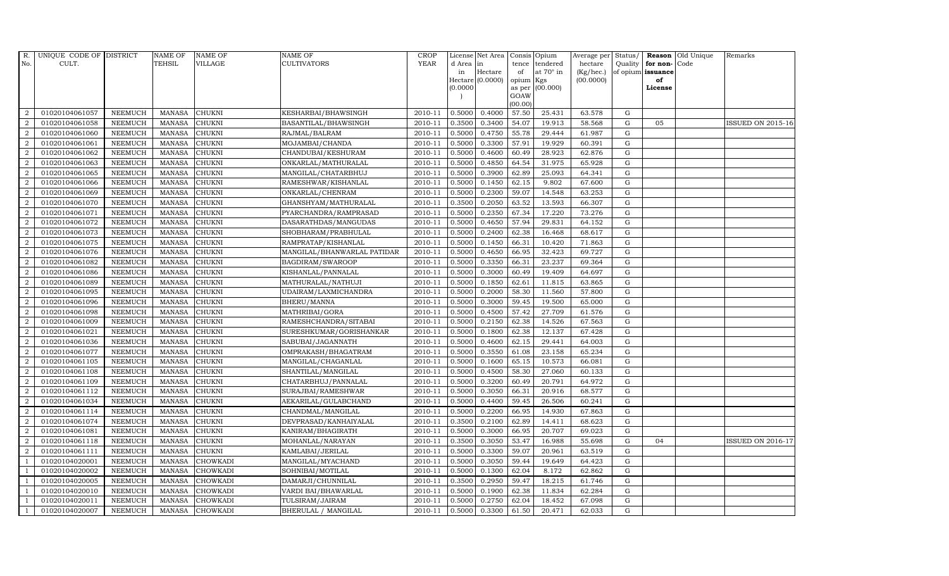| R.               | UNIQUE CODE OF DISTRICT |                | <b>NAME OF</b> | <b>NAME OF</b>  | <b>NAME OF</b>              | CROP        |           | License Net Area            |           | Consis Opium     | Average per Status/ |             |                   | <b>Reason</b> Old Unique | Remarks                  |
|------------------|-------------------------|----------------|----------------|-----------------|-----------------------------|-------------|-----------|-----------------------------|-----------|------------------|---------------------|-------------|-------------------|--------------------------|--------------------------|
| No.              | CULT.                   |                | TEHSIL         | <b>VILLAGE</b>  | <b>CULTIVATORS</b>          | <b>YEAR</b> | d Area in |                             |           | tence tendered   | hectare             | Quality     | for non-Code      |                          |                          |
|                  |                         |                |                |                 |                             |             | in        | Hectare<br>Hectare (0.0000) | of        | at $70^\circ$ in | (Kg/hec.)           |             | of opium issuance |                          |                          |
|                  |                         |                |                |                 |                             |             | 0.0000    |                             | opium Kgs | as per (00.000)  | (00.0000)           |             | of<br>License     |                          |                          |
|                  |                         |                |                |                 |                             |             |           |                             | GOAW      |                  |                     |             |                   |                          |                          |
|                  |                         |                |                |                 |                             |             |           |                             | (00.00)   |                  |                     |             |                   |                          |                          |
| $\overline{2}$   | 01020104061057          | <b>NEEMUCH</b> | <b>MANASA</b>  | <b>CHUKNI</b>   | KESHARBAI/BHAWSINGH         | 2010-11     | 0.5000    | 0.4000                      | 57.50     | 25.431           | 63.578              | G           |                   |                          |                          |
| $\overline{2}$   | 01020104061058          | <b>NEEMUCH</b> | MANASA         | <b>CHUKNI</b>   | BASANTILAL/BHAWSINGH        | 2010-11     | 0.3500    | 0.3400                      | 54.07     | 19.913           | 58.568              | $\mathbf G$ | 05                |                          | <b>ISSUED ON 2015-16</b> |
| $\overline{2}$   | 01020104061060          | <b>NEEMUCH</b> | <b>MANASA</b>  | <b>CHUKNI</b>   | RAJMAL/BALRAM               | 2010-11     | 0.5000    | 0.4750                      | 55.78     | 29.444           | 61.987              | $\mathbf G$ |                   |                          |                          |
| $\overline{2}$   | 01020104061061          | <b>NEEMUCH</b> | <b>MANASA</b>  | <b>CHUKNI</b>   | MOJAMBAI/CHANDA             | 2010-11     | 0.5000    | 0.3300                      | 57.91     | 19.929           | 60.391              | $\mathbf G$ |                   |                          |                          |
| $\overline{2}$   | 01020104061062          | <b>NEEMUCH</b> | <b>MANASA</b>  | <b>CHUKNI</b>   | CHANDUBAI/KESHURAM          | 2010-11     | 0.5000    | 0.4600                      | 60.49     | 28.923           | 62.876              | G           |                   |                          |                          |
| $\overline{a}$   | 01020104061063          | <b>NEEMUCH</b> | <b>MANASA</b>  | <b>CHUKNI</b>   | ONKARLAL/MATHURALAL         | 2010-11     | 0.5000    | 0.4850                      | 64.54     | 31.975           | 65.928              | ${\rm G}$   |                   |                          |                          |
| 2                | 01020104061065          | <b>NEEMUCH</b> | MANASA         | CHUKNI          | MANGILAL/CHATARBHUJ         | 2010-11     | 0.5000    | 0.3900                      | 62.89     | 25.093           | 64.341              | $\mathbf G$ |                   |                          |                          |
| 2                | 01020104061066          | <b>NEEMUCH</b> | <b>MANASA</b>  | <b>CHUKNI</b>   | RAMESHWAR/KISHANLAL         | 2010-11     | 0.5000    | 0.1450                      | 62.15     | 9.802            | 67.600              | G           |                   |                          |                          |
| $\overline{2}$   | 01020104061069          | <b>NEEMUCH</b> | <b>MANASA</b>  | CHUKNI          | ONKARLAL/CHENRAM            | 2010-11     | 0.5000    | 0.2300                      | 59.07     | 14.548           | 63.253              | $\mathbf G$ |                   |                          |                          |
| $\overline{2}$   | 01020104061070          | <b>NEEMUCH</b> | <b>MANASA</b>  | CHUKNI          | GHANSHYAM/MATHURALAL        | 2010-11     | 0.3500    | 0.2050                      | 63.52     | 13.593           | 66.307              | $\mathbf G$ |                   |                          |                          |
| $\overline{2}$   | 01020104061071          | <b>NEEMUCH</b> | <b>MANASA</b>  | CHUKNI          | PYARCHANDRA/RAMPRASAD       | 2010-11     | 0.5000    | 0.2350                      | 67.34     | 17.220           | 73.276              | ${\rm G}$   |                   |                          |                          |
| $\overline{2}$   | 01020104061072          | <b>NEEMUCH</b> | <b>MANASA</b>  | CHUKNI          | DASARATHDAS/MANGUDAS        | 2010-11     | 0.5000    | 0.4650                      | 57.94     | 29.831           | 64.152              | $\mathbf G$ |                   |                          |                          |
| 2                | 01020104061073          | <b>NEEMUCH</b> | <b>MANASA</b>  | <b>CHUKNI</b>   | SHOBHARAM/PRABHULAL         | 2010-11     | 0.5000    | 0.2400                      | 62.38     | 16.468           | 68.617              | $\mathbf G$ |                   |                          |                          |
| $\boldsymbol{2}$ | 01020104061075          | <b>NEEMUCH</b> | <b>MANASA</b>  | CHUKNI          | RAMPRATAP/KISHANLAL         | 2010-11     | 0.5000    | 0.1450                      | 66.31     | 10.420           | 71.863              | $\mathbf G$ |                   |                          |                          |
| 2                | 01020104061076          | <b>NEEMUCH</b> | <b>MANASA</b>  | <b>CHUKNI</b>   | MANGILAL/BHANWARLAL PATIDAR | 2010-11     | 0.5000    | 0.4650                      | 66.95     | 32.423           | 69.727              | $\mathbf G$ |                   |                          |                          |
| $\overline{a}$   | 01020104061082          | <b>NEEMUCH</b> | <b>MANASA</b>  | <b>CHUKNI</b>   | BAGDIRAM/SWAROOP            | 2010-11     | 0.5000    | 0.3350                      | 66.31     | 23.237           | 69.364              | $\mathbf G$ |                   |                          |                          |
| 2                | 01020104061086          | <b>NEEMUCH</b> | <b>MANASA</b>  | <b>CHUKNI</b>   | KISHANLAL/PANNALAL          | 2010-11     | 0.5000    | 0.3000                      | 60.49     | 19.409           | 64.697              | $\mathbf G$ |                   |                          |                          |
| 2                | 01020104061089          | <b>NEEMUCH</b> | <b>MANASA</b>  | <b>CHUKNI</b>   | MATHURALAL/NATHUJI          | 2010-11     | 0.5000    | 0.1850                      | 62.61     | 11.815           | 63.865              | G           |                   |                          |                          |
| $\overline{2}$   | 01020104061095          | <b>NEEMUCH</b> | <b>MANASA</b>  | <b>CHUKNI</b>   | UDAIRAM/LAXMICHANDRA        | 2010-11     | 0.5000    | 0.2000                      | 58.30     | 11.560           | 57.800              | ${\rm G}$   |                   |                          |                          |
| $\overline{2}$   | 01020104061096          | <b>NEEMUCH</b> | <b>MANASA</b>  | <b>CHUKNI</b>   | BHERU/MANNA                 | 2010-11     | 0.5000    | 0.3000                      | 59.45     | 19.500           | 65.000              | $\mathbf G$ |                   |                          |                          |
| $\overline{2}$   | 01020104061098          | <b>NEEMUCH</b> | <b>MANASA</b>  | <b>CHUKNI</b>   | MATHRIBAI/GORA              | 2010-11     | 0.5000    | 0.4500                      | 57.42     | 27.709           | 61.576              | G           |                   |                          |                          |
| $\overline{2}$   | 01020104061009          | <b>NEEMUCH</b> | <b>MANASA</b>  | <b>CHUKNI</b>   | RAMESHCHANDRA/SITABAI       | 2010-11     | 0.5000    | 0.2150                      | 62.38     | 14.526           | 67.563              | $\mathbf G$ |                   |                          |                          |
| $\overline{2}$   | 01020104061021          | <b>NEEMUCH</b> | <b>MANASA</b>  | <b>CHUKNI</b>   | SURESHKUMAR/GORISHANKAR     | 2010-11     | 0.5000    | 0.1800                      | 62.38     | 12.137           | 67.428              | ${\rm G}$   |                   |                          |                          |
| 2                | 01020104061036          | <b>NEEMUCH</b> | <b>MANASA</b>  | CHUKNI          | SABUBAI/JAGANNATH           | 2010-11     | 0.5000    | 0.4600                      | 62.15     | 29.441           | 64.003              | $\mathbf G$ |                   |                          |                          |
| $\overline{2}$   | 01020104061077          | <b>NEEMUCH</b> | <b>MANASA</b>  | <b>CHUKNI</b>   | OMPRAKASH/BHAGATRAM         | 2010-11     | 0.5000    | 0.3550                      | 61.08     | 23.158           | 65.234              | $\mathbf G$ |                   |                          |                          |
| $\overline{2}$   | 01020104061105          | <b>NEEMUCH</b> | <b>MANASA</b>  | CHUKNI          | MANGILAL/CHAGANLAL          | 2010-11     | 0.5000    | 0.1600                      | 65.15     | 10.573           | 66.081              | G           |                   |                          |                          |
| 2                | 01020104061108          | <b>NEEMUCH</b> | <b>MANASA</b>  | <b>CHUKNI</b>   | SHANTILAL/MANGILAL          | 2010-11     | 0.5000    | 0.4500                      | 58.30     | 27.060           | 60.133              | G           |                   |                          |                          |
| 2                | 01020104061109          | <b>NEEMUCH</b> | <b>MANASA</b>  | <b>CHUKNI</b>   | CHATARBHUJ/PANNALAL         | 2010-11     | 0.5000    | 0.3200                      | 60.49     | 20.791           | 64.972              | ${\rm G}$   |                   |                          |                          |
| $\overline{2}$   | 01020104061112          | <b>NEEMUCH</b> | <b>MANASA</b>  | <b>CHUKNI</b>   | SURAJBAI/RAMESHWAR          | 2010-11     | 0.5000    | 0.3050                      | 66.31     | 20.916           | 68.577              | ${\rm G}$   |                   |                          |                          |
| $\overline{2}$   | 01020104061034          | <b>NEEMUCH</b> | <b>MANASA</b>  | CHUKNI          | AEKARILAL/GULABCHAND        | 2010-11     | 0.5000    | 0.4400                      | 59.45     | 26.506           | 60.241              | $\mathbf G$ |                   |                          |                          |
| $\overline{a}$   | 01020104061114          | <b>NEEMUCH</b> | <b>MANASA</b>  | <b>CHUKNI</b>   | CHANDMAL/MANGILAL           | 2010-11     | 0.5000    | 0.2200                      | 66.95     | 14.930           | 67.863              | G           |                   |                          |                          |
| 2                | 01020104061074          | <b>NEEMUCH</b> | <b>MANASA</b>  | CHUKNI          | DEVPRASAD/KANHAIYALAL       | 2010-11     | 0.3500    | 0.2100                      | 62.89     | 14.411           | 68.623              | $\mathbf G$ |                   |                          |                          |
| $\overline{a}$   | 01020104061081          | <b>NEEMUCH</b> | MANASA         | <b>CHUKNI</b>   | KANIRAM/BHAGIRATH           | 2010-11     | 0.5000    | 0.3000                      | 66.95     | 20.707           | 69.023              | $\mathbf G$ |                   |                          |                          |
| 2                | 01020104061118          | <b>NEEMUCH</b> | <b>MANASA</b>  | <b>CHUKNI</b>   | MOHANLAL/NARAYAN            | 2010-11     | 0.3500    | 0.3050                      | 53.47     | 16.988           | 55.698              | G           | 04                |                          | ISSUED ON 2016-17        |
| 2                | 01020104061111          | <b>NEEMUCH</b> | <b>MANASA</b>  | <b>CHUKNI</b>   | KAMLABAI/JERILAL            | 2010-11     | 0.5000    | 0.3300                      | 59.07     | 20.961           | 63.519              | $\mathbf G$ |                   |                          |                          |
| -1               | 01020104020001          | <b>NEEMUCH</b> | <b>MANASA</b>  | <b>CHOWKADI</b> | MANGILAL/MYACHAND           | 2010-11     | 0.5000    | 0.3050                      | 59.44     | 19.649           | 64.423              | G           |                   |                          |                          |
| $\overline{1}$   | 01020104020002          | <b>NEEMUCH</b> | <b>MANASA</b>  | <b>CHOWKADI</b> | SOHNIBAI/MOTILAL            | 2010-11     | 0.5000    | 0.1300                      | 62.04     | 8.172            | 62.862              | G           |                   |                          |                          |
| $\mathbf{1}$     | 01020104020005          | <b>NEEMUCH</b> | MANASA         | <b>CHOWKADI</b> | DAMARJI/CHUNNILAL           | 2010-11     | 0.3500    | 0.2950                      | 59.47     | 18.215           | 61.746              | $\mathbf G$ |                   |                          |                          |
| $\overline{1}$   | 01020104020010          | <b>NEEMUCH</b> | <b>MANASA</b>  | <b>CHOWKADI</b> | VARDI BAI/BHAWARLAL         | 2010-11     | 0.5000    | 0.1900                      | 62.38     | 11.834           | 62.284              | ${\rm G}$   |                   |                          |                          |
|                  | 01020104020011          | <b>NEEMUCH</b> | <b>MANASA</b>  | CHOWKADI        | TULSIRAM/JAIRAM             | 2010-11     | 0.5000    | 0.2750                      | 62.04     | 18.452           | 67.098              | G           |                   |                          |                          |
| $\mathbf{1}$     | 01020104020007          | <b>NEEMUCH</b> |                | MANASA CHOWKADI | BHERULAL / MANGILAL         | 2010-11     | 0.5000    | 0.3300                      | 61.50     | 20.471           | 62.033              | G           |                   |                          |                          |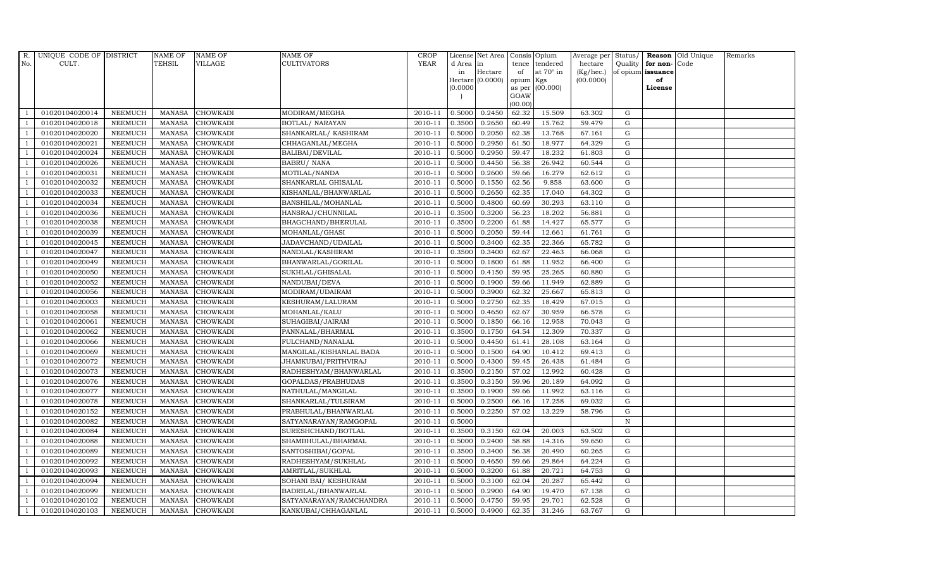| R.  | UNIQUE CODE OF DISTRICT |                | <b>NAME OF</b> | <b>NAME OF</b>  | NAME OF                 | <b>CROP</b> |           | License Net Area Consis Opium |           |                  | Average per Status/ |             |                   | <b>Reason</b> Old Unique | Remarks |
|-----|-------------------------|----------------|----------------|-----------------|-------------------------|-------------|-----------|-------------------------------|-----------|------------------|---------------------|-------------|-------------------|--------------------------|---------|
| No. | CULT.                   |                | TEHSIL         | VILLAGE         | <b>CULTIVATORS</b>      | <b>YEAR</b> | d Area in |                               |           | tence tendered   | hectare             | Quality     | for non-          | Code                     |         |
|     |                         |                |                |                 |                         |             | in        | Hectare                       | of        | at $70^\circ$ in | (Kg/hec.)           |             | of opium issuance |                          |         |
|     |                         |                |                |                 |                         |             |           | Hectare [0.0000]              | opium Kgs |                  | (00.0000)           |             | of<br>License     |                          |         |
|     |                         |                |                |                 |                         |             | (0.0000)  |                               | GOAW      | as per (00.000)  |                     |             |                   |                          |         |
|     |                         |                |                |                 |                         |             |           |                               | (00.00)   |                  |                     |             |                   |                          |         |
|     | 01020104020014          | <b>NEEMUCH</b> | MANASA         | <b>CHOWKADI</b> | MODIRAM/MEGHA           | 2010-11     | 0.5000    | 0.2450                        | 62.32     | 15.509           | 63.302              | $\mathbf G$ |                   |                          |         |
|     | 01020104020018          | <b>NEEMUCH</b> | <b>MANASA</b>  | <b>CHOWKADI</b> | BOTLAL/ NARAYAN         | 2010-11     | 0.3500    | 0.2650                        | 60.49     | 15.762           | 59.479              | $\mathbf G$ |                   |                          |         |
|     | 01020104020020          | <b>NEEMUCH</b> | <b>MANASA</b>  | <b>CHOWKADI</b> | SHANKARLAL/KASHIRAM     | 2010-11     | 0.5000    | 0.2050                        | 62.38     | 13.768           | 67.161              | G           |                   |                          |         |
|     | 01020104020021          | <b>NEEMUCH</b> | <b>MANASA</b>  | <b>CHOWKADI</b> | CHHAGANLAL/MEGHA        | 2010-11     | 0.5000    | 0.2950                        | 61.50     | 18.977           | 64.329              | $\mathbf G$ |                   |                          |         |
|     | 01020104020024          | <b>NEEMUCH</b> | <b>MANASA</b>  | <b>CHOWKADI</b> | BALIBAI/DEVILAL         | 2010-11     | 0.5000    | 0.2950                        | 59.47     | 18.232           | 61.803              | ${\rm G}$   |                   |                          |         |
|     | 01020104020026          | NEEMUCH        | <b>MANASA</b>  | CHOWKADI        | <b>BABRU/ NANA</b>      | 2010-11     | 0.5000    | 0.4450                        | 56.38     | 26.942           | 60.544              | $\mathbf G$ |                   |                          |         |
|     | 01020104020031          | <b>NEEMUCH</b> | <b>MANASA</b>  | <b>CHOWKADI</b> | MOTILAL/NANDA           | 2010-11     | 0.5000    | 0.2600                        | 59.66     | 16.279           | 62.612              | $\mathbf G$ |                   |                          |         |
|     | 01020104020032          | <b>NEEMUCH</b> | <b>MANASA</b>  | <b>CHOWKADI</b> | SHANKARLAL GHISALAL     | 2010-11     | 0.5000    | 0.1550                        | 62.56     | 9.858            | 63.600              | $\mathbf G$ |                   |                          |         |
|     | 01020104020033          | <b>NEEMUCH</b> | <b>MANASA</b>  | <b>CHOWKADI</b> | KISHANLAL/BHANWARLAL    | 2010-11     | 0.5000    | 0.2650                        | 62.35     | 17.040           | 64.302              | $\mathbf G$ |                   |                          |         |
|     | 01020104020034          | <b>NEEMUCH</b> | <b>MANASA</b>  | CHOWKADI        | BANSHILAL/MOHANLAL      | 2010-11     | 0.5000    | 0.4800                        | 60.69     | 30.293           | 63.110              | $\mathbf G$ |                   |                          |         |
|     | 01020104020036          | <b>NEEMUCH</b> | <b>MANASA</b>  | CHOWKADI        | HANSRAJ/CHUNNILAL       | 2010-11     | 0.3500    | 0.3200                        | 56.23     | 18.202           | 56.881              | ${\rm G}$   |                   |                          |         |
|     | 01020104020038          | <b>NEEMUCH</b> | <b>MANASA</b>  | <b>CHOWKADI</b> | BHAGCHAND/BHERULAL      | 2010-11     | 0.3500    | 0.2200                        | 61.88     | 14.427           | 65.577              | ${\rm G}$   |                   |                          |         |
|     | 01020104020039          | <b>NEEMUCH</b> | <b>MANASA</b>  | <b>CHOWKADI</b> | MOHANLAL/GHASI          | 2010-11     | 0.5000    | 0.2050                        | 59.44     | 12.661           | 61.761              | $\mathbf G$ |                   |                          |         |
|     | 01020104020045          | <b>NEEMUCH</b> | <b>MANASA</b>  | <b>CHOWKADI</b> | JADAVCHAND/UDAILAL      | 2010-11     | 0.5000    | 0.3400                        | 62.35     | 22.366           | 65.782              | $\mathbf G$ |                   |                          |         |
|     | 01020104020047          | <b>NEEMUCH</b> | <b>MANASA</b>  | <b>CHOWKADI</b> | NANDLAL/KASHIRAM        | 2010-11     | 0.3500    | 0.3400                        | 62.67     | 22.463           | 66.068              | G           |                   |                          |         |
|     | 01020104020049          | <b>NEEMUCH</b> | <b>MANASA</b>  | CHOWKADI        | BHANWARLAL/GORILAL      | 2010-11     | 0.5000    | 0.1800                        | 61.88     | 11.952           | 66.400              | ${\rm G}$   |                   |                          |         |
|     | 01020104020050          | <b>NEEMUCH</b> | <b>MANASA</b>  | <b>CHOWKADI</b> | SUKHLAL/GHISALAL        | 2010-11     | 0.5000    | 0.4150                        | 59.95     | 25.265           | 60.880              | $\mathbf G$ |                   |                          |         |
|     | 01020104020052          | <b>NEEMUCH</b> | <b>MANASA</b>  | <b>CHOWKADI</b> | NANDUBAI/DEVA           | 2010-11     | 0.5000    | 0.1900                        | 59.66     | 11.949           | 62.889              | G           |                   |                          |         |
|     | 01020104020056          | <b>NEEMUCH</b> | <b>MANASA</b>  | <b>CHOWKADI</b> | MODIRAM/UDAIRAM         | 2010-11     | 0.5000    | 0.3900                        | 62.32     | 25.667           | 65.813              | $\mathbf G$ |                   |                          |         |
|     | 01020104020003          | <b>NEEMUCH</b> | <b>MANASA</b>  | <b>CHOWKADI</b> | KESHURAM/LALURAM        | 2010-11     | 0.5000    | 0.2750                        | 62.35     | 18.429           | 67.015              | $\mathbf G$ |                   |                          |         |
|     | 01020104020058          | <b>NEEMUCH</b> | <b>MANASA</b>  | CHOWKADI        | MOHANLAL/KALU           | 2010-11     | 0.5000    | 0.4650                        | 62.67     | 30.959           | 66.578              | ${\rm G}$   |                   |                          |         |
|     | 01020104020061          | NEEMUCH        | <b>MANASA</b>  | CHOWKADI        | SUHAGIBAI/JAIRAM        | 2010-11     | 0.5000    | 0.1850                        | 66.16     | 12.958           | 70.043              | ${\rm G}$   |                   |                          |         |
|     | 01020104020062          | <b>NEEMUCH</b> | MANASA         | <b>CHOWKADI</b> | PANNALAL/BHARMAL        | 2010-11     | 0.3500    | 0.1750                        | 64.54     | 12.309           | 70.337              | G           |                   |                          |         |
|     | 01020104020066          | <b>NEEMUCH</b> | <b>MANASA</b>  | CHOWKADI        | FULCHAND/NANALAL        | 2010-11     | 0.5000    | 0.4450                        | 61.41     | 28.108           | 63.164              | $\mathbf G$ |                   |                          |         |
|     | 01020104020069          | NEEMUCH        | <b>MANASA</b>  | CHOWKADI        | MANGILAL/KISHANLAL BADA | 2010-11     | 0.5000    | 0.1500                        | 64.90     | 10.412           | 69.413              | $\mathbf G$ |                   |                          |         |
|     | 01020104020072          | <b>NEEMUCH</b> | <b>MANASA</b>  | CHOWKADI        | JHAMKUBAI/PRITHVIRAJ    | 2010-11     | 0.5000    | 0.4300                        | 59.45     | 26.438           | 61.484              | G           |                   |                          |         |
|     | 01020104020073          | <b>NEEMUCH</b> | <b>MANASA</b>  | CHOWKADI        | RADHESHYAM/BHANWARLAL   | 2010-11     | 0.3500    | 0.2150                        | 57.02     | 12.992           | 60.428              | ${\rm G}$   |                   |                          |         |
|     | 01020104020076          | <b>NEEMUCH</b> | <b>MANASA</b>  | <b>CHOWKADI</b> | GOPALDAS/PRABHUDAS      | 2010-11     | 0.3500    | 0.3150                        | 59.96     | 20.189           | 64.092              | G           |                   |                          |         |
|     | 01020104020077          | <b>NEEMUCH</b> | <b>MANASA</b>  | <b>CHOWKADI</b> | NATHULAL/MANGILAL       | 2010-11     | 0.3500    | 0.1900                        | 59.66     | 11.992           | 63.116              | $\mathbf G$ |                   |                          |         |
|     | 01020104020078          | <b>NEEMUCH</b> | <b>MANASA</b>  | <b>CHOWKADI</b> | SHANKARLAL/TULSIRAM     | 2010-11     | 0.5000    | 0.2500                        | 66.16     | 17.258           | 69.032              | $\mathbf G$ |                   |                          |         |
|     | 01020104020152          | <b>NEEMUCH</b> | <b>MANASA</b>  | <b>CHOWKADI</b> | PRABHULAL/BHANWARLAL    | 2010-11     | 0.5000    | 0.2250                        | 57.02     | 13.229           | 58.796              | G           |                   |                          |         |
|     | 01020104020082          | <b>NEEMUCH</b> | <b>MANASA</b>  | CHOWKADI        | SATYANARAYAN/RAMGOPAL   | 2010-11     | 0.5000    |                               |           |                  |                     | $\,$ N      |                   |                          |         |
|     | 01020104020084          | NEEMUCH        | <b>MANASA</b>  | CHOWKADI        | SURESHCHAND/BOTLAL      | 2010-11     | 0.3500    | 0.3150                        | 62.04     | 20.003           | 63.502              | $\mathbf G$ |                   |                          |         |
|     | 01020104020088          | <b>NEEMUCH</b> | <b>MANASA</b>  | <b>CHOWKADI</b> | SHAMBHULAL/BHARMAL      | 2010-11     | 0.5000    | 0.2400                        | 58.88     | 14.316           | 59.650              | $\mathbf G$ |                   |                          |         |
|     | 01020104020089          | <b>NEEMUCH</b> | <b>MANASA</b>  | <b>CHOWKADI</b> | SANTOSHIBAI/GOPAL       | 2010-11     | 0.3500    | 0.3400                        | 56.38     | 20.490           | 60.265              | $\mathbf G$ |                   |                          |         |
|     | 01020104020092          | <b>NEEMUCH</b> | <b>MANASA</b>  | CHOWKADI        | RADHESHYAM/SUKHLAL      | 2010-11     | 0.5000    | 0.4650                        | 59.66     | 29.864           | 64.224              | $\mathbf G$ |                   |                          |         |
|     | 01020104020093          | <b>NEEMUCH</b> | <b>MANASA</b>  | CHOWKADI        | AMRITLAL/SUKHLAL        | 2010-11     | 0.5000    | 0.3200                        | 61.88     | 20.721           | 64.753              | ${\rm G}$   |                   |                          |         |
|     | 01020104020094          | <b>NEEMUCH</b> | <b>MANASA</b>  | CHOWKADI        | SOHANI BAI / KESHURAM   | 2010-11     | 0.5000    | 0.3100                        | 62.04     | 20.287           | 65.442              | $\mathbf G$ |                   |                          |         |
|     | 01020104020099          | <b>NEEMUCH</b> | <b>MANASA</b>  | <b>CHOWKADI</b> | BADRILAL/BHANWARLAL     | 2010-11     | 0.5000    | 0.2900                        | 64.90     | 19.470           | 67.138              | $\mathbf G$ |                   |                          |         |
|     | 01020104020102          | <b>NEEMUCH</b> | <b>MANASA</b>  | <b>CHOWKADI</b> | SATYANARAYAN/RAMCHANDRA | 2010-11     | 0.5000    | 0.4750                        | 59.95     | 29.701           | 62.528              | $\mathbf G$ |                   |                          |         |
|     | 01020104020103          | <b>NEEMUCH</b> | <b>MANASA</b>  | <b>CHOWKADI</b> | KANKUBAI/CHHAGANLAL     | 2010-11     | 0.5000    | 0.4900                        | 62.35     | 31.246           | 63.767              | G           |                   |                          |         |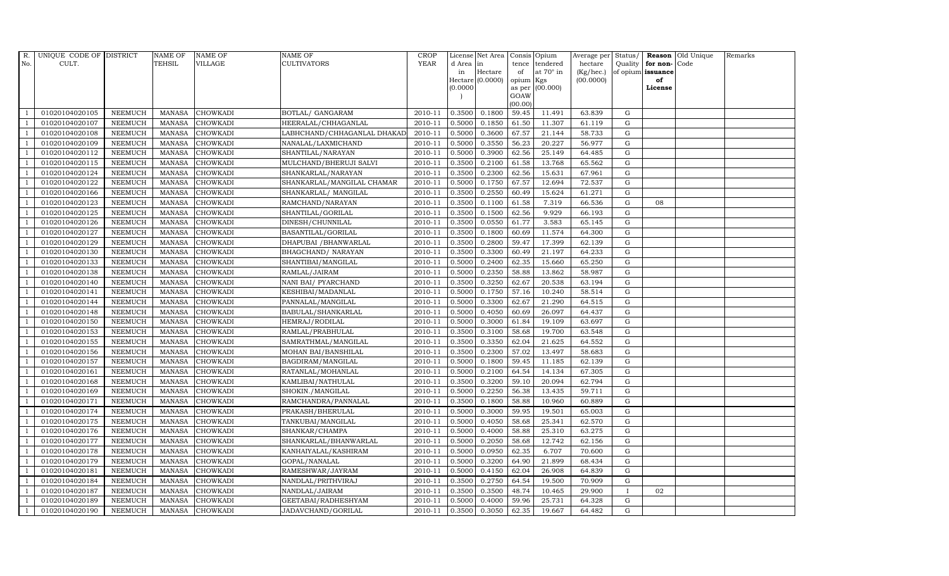| R.             | UNIQUE CODE OF DISTRICT |                | <b>NAME OF</b> | <b>NAME OF</b>  | <b>NAME OF</b>              | CROP    |           | License Net Area Consis Opium |           |                  | Average per | Status/      |                   | <b>Reason</b> Old Unique | Remarks |
|----------------|-------------------------|----------------|----------------|-----------------|-----------------------------|---------|-----------|-------------------------------|-----------|------------------|-------------|--------------|-------------------|--------------------------|---------|
| No.            | CULT.                   |                | <b>TEHSIL</b>  | <b>VILLAGE</b>  | <b>CULTIVATORS</b>          | YEAR    | d Area in |                               |           | tence tendered   | hectare     | Quality      | for non-          | Code                     |         |
|                |                         |                |                |                 |                             |         | in        | Hectare                       | of        | at $70^\circ$ in | (Kg/hec.)   |              | of opium issuance |                          |         |
|                |                         |                |                |                 |                             |         |           | Hectare (0.0000)              | opium Kgs |                  | (00.0000)   |              | of                |                          |         |
|                |                         |                |                |                 |                             |         | (0.0000)  |                               | GOAW      | as per (00.000)  |             |              | License           |                          |         |
|                |                         |                |                |                 |                             |         |           |                               | (00.00)   |                  |             |              |                   |                          |         |
|                | 01020104020105          | <b>NEEMUCH</b> | MANASA         | <b>CHOWKADI</b> | BOTLAL/ GANGARAM            | 2010-11 | 0.3500    | 0.1800                        | 59.45     | 11.491           | 63.839      | $\mathbf G$  |                   |                          |         |
| -1             | 01020104020107          | <b>NEEMUCH</b> | <b>MANASA</b>  | <b>CHOWKADI</b> | HEERALAL/CHHAGANLAL         | 2010-11 | 0.5000    | 0.1850                        | 61.50     | 11.307           | 61.119      | ${\rm G}$    |                   |                          |         |
|                | 01020104020108          | <b>NEEMUCH</b> | <b>MANASA</b>  | <b>CHOWKADI</b> | LABHCHAND/CHHAGANLAL DHAKAD | 2010-11 | 0.5000    | 0.3600                        | 67.57     | 21.144           | 58.733      | G            |                   |                          |         |
|                | 01020104020109          | <b>NEEMUCH</b> | <b>MANASA</b>  | <b>CHOWKADI</b> | NANALAL/LAXMICHAND          | 2010-11 | 0.5000    | 0.3550                        | 56.23     | 20.227           | 56.977      | $\mathbf G$  |                   |                          |         |
| $\overline{1}$ | 01020104020112          | <b>NEEMUCH</b> | <b>MANASA</b>  | <b>CHOWKADI</b> | SHANTILAL/NARAYAN           | 2010-11 | 0.5000    | 0.3900                        | 62.56     | 25.149           | 64.485      | ${\rm G}$    |                   |                          |         |
| $\overline{1}$ | 01020104020115          | <b>NEEMUCH</b> | <b>MANASA</b>  | <b>CHOWKADI</b> | MULCHAND/BHERUJI SALVI      | 2010-11 | 0.3500    | 0.2100                        | 61.58     | 13.768           | 65.562      | $\mathbf G$  |                   |                          |         |
| $\overline{1}$ | 01020104020124          | <b>NEEMUCH</b> | <b>MANASA</b>  | <b>CHOWKADI</b> | SHANKARLAL/NARAYAN          | 2010-11 | 0.3500    | 0.2300                        | 62.56     | 15.631           | 67.961      | $\mathbf G$  |                   |                          |         |
| $\overline{1}$ | 01020104020122          | <b>NEEMUCH</b> | <b>MANASA</b>  | <b>CHOWKADI</b> | SHANKARLAL/MANGILAL CHAMAR  | 2010-11 | 0.5000    | 0.1750                        | 67.57     | 12.694           | 72.537      | $\mathbf G$  |                   |                          |         |
|                | 01020104020166          | <b>NEEMUCH</b> | <b>MANASA</b>  | <b>CHOWKADI</b> | SHANKARLAL/ MANGILAL        | 2010-11 | 0.3500    | 0.2550                        | 60.49     | 15.624           | 61.271      | $\mathbf G$  |                   |                          |         |
|                | 01020104020123          | <b>NEEMUCH</b> | <b>MANASA</b>  | <b>CHOWKADI</b> | RAMCHAND/NARAYAN            | 2010-11 | 0.3500    | 0.1100                        | 61.58     | 7.319            | 66.536      | ${\rm G}$    | 08                |                          |         |
| $\overline{1}$ | 01020104020125          | <b>NEEMUCH</b> | <b>MANASA</b>  | <b>CHOWKADI</b> | SHANTILAL/GORILAL           | 2010-11 | 0.3500    | 0.1500                        | 62.56     | 9.929            | 66.193      | ${\rm G}$    |                   |                          |         |
| $\overline{1}$ | 01020104020126          | <b>NEEMUCH</b> | <b>MANASA</b>  | <b>CHOWKADI</b> | DINESH/CHUNNILAL            | 2010-11 | 0.3500    | 0.0550                        | 61.77     | 3.583            | 65.145      | $\mathbf G$  |                   |                          |         |
| $\overline{1}$ | 01020104020127          | <b>NEEMUCH</b> | <b>MANASA</b>  | <b>CHOWKADI</b> | BASANTILAL/GORILAL          | 2010-11 | 0.3500    | 0.1800                        | 60.69     | 11.574           | 64.300      | $\mathbf G$  |                   |                          |         |
|                | 01020104020129          | <b>NEEMUCH</b> | <b>MANASA</b>  | <b>CHOWKADI</b> | DHAPUBAI / BHANWARLAL       | 2010-11 | 0.3500    | 0.2800                        | 59.47     | 17.399           | 62.139      | G            |                   |                          |         |
| $\overline{1}$ | 01020104020130          | <b>NEEMUCH</b> | <b>MANASA</b>  | <b>CHOWKADI</b> | BHAGCHAND/ NARAYAN          | 2010-11 | 0.3500    | 0.3300                        | 60.49     | 21.197           | 64.233      | G            |                   |                          |         |
| $\overline{1}$ | 01020104020133          | <b>NEEMUCH</b> | <b>MANASA</b>  | <b>CHOWKADI</b> | SHANTIBAI/MANGILAL          | 2010-11 | 0.5000    | 0.2400                        | 62.35     | 15.660           | 65.250      | ${\rm G}$    |                   |                          |         |
|                | 01020104020138          | <b>NEEMUCH</b> | <b>MANASA</b>  | <b>CHOWKADI</b> | RAMLAL/JAIRAM               | 2010-11 | 0.5000    | 0.2350                        | 58.88     | 13.862           | 58.987      | $\mathbf G$  |                   |                          |         |
| $\overline{1}$ | 01020104020140          | <b>NEEMUCH</b> | MANASA         | <b>CHOWKADI</b> | NANI BAI/ PYARCHAND         | 2010-11 | 0.3500    | 0.3250                        | 62.67     | 20.538           | 63.194      | G            |                   |                          |         |
|                | 01020104020141          | <b>NEEMUCH</b> | <b>MANASA</b>  | <b>CHOWKADI</b> | KESHIBAI/MADANLAL           | 2010-11 | 0.5000    | 0.1750                        | 57.16     | 10.240           | 58.514      | $\mathbf G$  |                   |                          |         |
|                | 01020104020144          | <b>NEEMUCH</b> | <b>MANASA</b>  | <b>CHOWKADI</b> | PANNALAL/MANGILAL           | 2010-11 | 0.5000    | 0.3300                        | 62.67     | 21.290           | 64.515      | $\mathbf G$  |                   |                          |         |
| -1             | 01020104020148          | <b>NEEMUCH</b> | <b>MANASA</b>  | <b>CHOWKADI</b> | BABULAL/SHANKARLAL          | 2010-11 | 0.5000    | 0.4050                        | 60.69     | 26.097           | 64.437      | ${\rm G}$    |                   |                          |         |
|                | 01020104020150          | <b>NEEMUCH</b> | <b>MANASA</b>  | <b>CHOWKADI</b> | HEMRAJ/RODILAL              | 2010-11 | 0.5000    | 0.3000                        | 61.84     | 19.109           | 63.697      | ${\rm G}$    |                   |                          |         |
| $\overline{1}$ | 01020104020153          | <b>NEEMUCH</b> | MANASA         | <b>CHOWKADI</b> | RAMLAL/PRABHULAL            | 2010-11 | 0.3500    | 0.3100                        | 58.68     | 19.700           | 63.548      | G            |                   |                          |         |
|                | 01020104020155          | <b>NEEMUCH</b> | <b>MANASA</b>  | <b>CHOWKADI</b> | SAMRATHMAL/MANGILAL         | 2010-11 | 0.3500    | 0.3350                        | 62.04     | 21.625           | 64.552      | $\mathbf G$  |                   |                          |         |
|                | 01020104020156          | <b>NEEMUCH</b> | <b>MANASA</b>  | <b>CHOWKADI</b> | MOHAN BAI/BANSHILAL         | 2010-11 | 0.3500    | 0.2300                        | 57.02     | 13.497           | 58.683      | $\mathbf G$  |                   |                          |         |
| -1             | 01020104020157          | <b>NEEMUCH</b> | <b>MANASA</b>  | <b>CHOWKADI</b> | BAGDIRAM/MANGILAL           | 2010-11 | 0.5000    | 0.1800                        | 59.45     | 11.185           | 62.139      | G            |                   |                          |         |
|                | 01020104020161          | <b>NEEMUCH</b> | <b>MANASA</b>  | <b>CHOWKADI</b> | RATANLAL/MOHANLAL           | 2010-11 | 0.5000    | 0.2100                        | 64.54     | 14.134           | 67.305      | ${\rm G}$    |                   |                          |         |
| $\overline{1}$ | 01020104020168          | <b>NEEMUCH</b> | <b>MANASA</b>  | <b>CHOWKADI</b> | KAMLIBAI/NATHULAL           | 2010-11 | 0.3500    | 0.3200                        | 59.10     | 20.094           | 62.794      | $\mathbf G$  |                   |                          |         |
| $\overline{1}$ | 01020104020169          | <b>NEEMUCH</b> | <b>MANASA</b>  | <b>CHOWKADI</b> | SHOKIN./MANGILAL            | 2010-11 | 0.5000    | 0.2250                        | 56.38     | 13.435           | 59.711      | $\mathbf G$  |                   |                          |         |
|                | 01020104020171          | <b>NEEMUCH</b> | <b>MANASA</b>  | <b>CHOWKADI</b> | RAMCHANDRA/PANNALAL         | 2010-11 | 0.3500    | 0.1800                        | 58.88     | 10.960           | 60.889      | $\mathbf G$  |                   |                          |         |
| -1             | 01020104020174          | <b>NEEMUCH</b> | <b>MANASA</b>  | <b>CHOWKADI</b> | PRAKASH/BHERULAL            | 2010-11 | 0.5000    | 0.3000                        | 59.95     | 19.501           | 65.003      | G            |                   |                          |         |
|                | 01020104020175          | <b>NEEMUCH</b> | <b>MANASA</b>  | <b>CHOWKADI</b> | TANKUBAI/MANGILAL           | 2010-11 | 0.5000    | 0.4050                        | 58.68     | 25.341           | 62.570      | ${\rm G}$    |                   |                          |         |
| $\overline{1}$ | 01020104020176          | <b>NEEMUCH</b> | MANASA         | <b>CHOWKADI</b> | SHANKAR/CHAMPA              | 2010-11 | 0.5000    | 0.4000                        | 58.88     | 25.310           | 63.275      | $\mathbf G$  |                   |                          |         |
| $\overline{1}$ | 01020104020177          | <b>NEEMUCH</b> | <b>MANASA</b>  | <b>CHOWKADI</b> | SHANKARLAL/BHANWARLAL       | 2010-11 | 0.5000    | 0.2050                        | 58.68     | 12.742           | 62.156      | $\mathbf G$  |                   |                          |         |
|                | 01020104020178          | <b>NEEMUCH</b> | <b>MANASA</b>  | <b>CHOWKADI</b> | KANHAIYALAL/KASHIRAM        | 2010-11 | 0.5000    | 0.0950                        | 62.35     | 6.707            | 70.600      | $\mathbf G$  |                   |                          |         |
| $\overline{1}$ | 01020104020179          | <b>NEEMUCH</b> | <b>MANASA</b>  | <b>CHOWKADI</b> | GOPAL/NANALAL               | 2010-11 | 0.5000    | 0.3200                        | 64.90     | 21.899           | 68.434      | ${\rm G}$    |                   |                          |         |
|                | 01020104020181          | <b>NEEMUCH</b> | <b>MANASA</b>  | <b>CHOWKADI</b> | RAMESHWAR/JAYRAM            | 2010-11 | 0.5000    | 0.4150                        | 62.04     | 26.908           | 64.839      | ${\rm G}$    |                   |                          |         |
| $\overline{1}$ | 01020104020184          | <b>NEEMUCH</b> | <b>MANASA</b>  | <b>CHOWKADI</b> | NANDLAL/PRITHVIRAJ          | 2010-11 | 0.3500    | 0.2750                        | 64.54     | 19.500           | 70.909      | $\mathbf G$  |                   |                          |         |
| $\overline{1}$ | 01020104020187          | <b>NEEMUCH</b> | <b>MANASA</b>  | <b>CHOWKADI</b> | NANDLAL/JAIRAM              | 2010-11 | 0.3500    | 0.3500                        | 48.74     | 10.465           | 29.900      | $\mathbf{I}$ | 02                |                          |         |
|                | 01020104020189          | <b>NEEMUCH</b> | <b>MANASA</b>  | <b>CHOWKADI</b> | GEETABAI/RADHESHYAM         | 2010-11 | 0.5000    | 0.4000                        | 59.96     | 25.731           | 64.328      | G            |                   |                          |         |
| $\overline{1}$ | 01020104020190          | <b>NEEMUCH</b> |                | MANASA CHOWKADI | JADAVCHAND/GORILAL          | 2010-11 | 0.3500    | 0.3050                        | 62.35     | 19.667           | 64.482      | G            |                   |                          |         |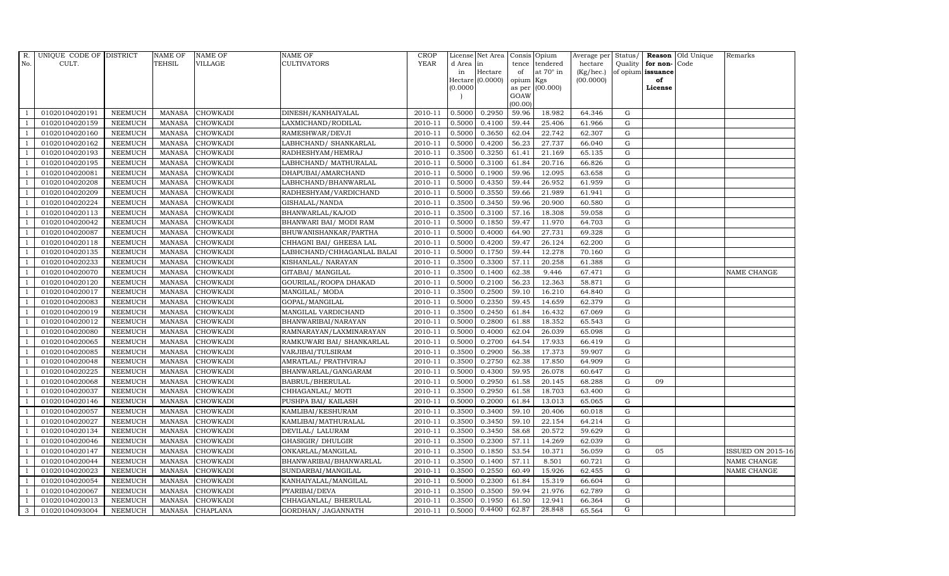| R.             | UNIQUE CODE OF DISTRICT |                | <b>NAME OF</b> | <b>NAME OF</b>  | <b>NAME OF</b>             | CROP    |           | License Net Area   Consis   Opium |           |                  | Average per | Status/     | Reason            | Old Unique | Remarks                  |
|----------------|-------------------------|----------------|----------------|-----------------|----------------------------|---------|-----------|-----------------------------------|-----------|------------------|-------------|-------------|-------------------|------------|--------------------------|
| No.            | CULT.                   |                | <b>TEHSIL</b>  | <b>VILLAGE</b>  | <b>CULTIVATORS</b>         | YEAR    | d Area in |                                   |           | tence tendered   | hectare     | Quality     | for non-          | Code       |                          |
|                |                         |                |                |                 |                            |         | in        | Hectare                           | of        | at $70^\circ$ in | (Kg/hec.)   |             | of opium issuance |            |                          |
|                |                         |                |                |                 |                            |         |           | Hectare (0.0000)                  | opium Kgs |                  | (00.0000)   |             | of                |            |                          |
|                |                         |                |                |                 |                            |         | (0.0000)  |                                   | GOAW      | as per (00.000)  |             |             | License           |            |                          |
|                |                         |                |                |                 |                            |         |           |                                   | (00.00)   |                  |             |             |                   |            |                          |
|                | 01020104020191          | <b>NEEMUCH</b> | MANASA         | <b>CHOWKADI</b> | DINESH/KANHAIYALAL         | 2010-11 | 0.5000    | 0.2950                            | 59.96     | 18.982           | 64.346      | $\mathbf G$ |                   |            |                          |
| -1             | 01020104020159          | <b>NEEMUCH</b> | <b>MANASA</b>  | <b>CHOWKADI</b> | LAXMICHAND/RODILAL         | 2010-11 | 0.5000    | 0.4100                            | 59.44     | 25.406           | 61.966      | ${\rm G}$   |                   |            |                          |
|                | 01020104020160          | <b>NEEMUCH</b> | <b>MANASA</b>  | <b>CHOWKADI</b> | RAMESHWAR/DEVJI            | 2010-11 | 0.5000    | 0.3650                            | 62.04     | 22.742           | 62.307      | G           |                   |            |                          |
|                | 01020104020162          | <b>NEEMUCH</b> | <b>MANASA</b>  | <b>CHOWKADI</b> | LABHCHAND/ SHANKARLAL      | 2010-11 | 0.5000    | 0.4200                            | 56.23     | 27.737           | 66.040      | $\mathbf G$ |                   |            |                          |
| $\overline{1}$ | 01020104020193          | <b>NEEMUCH</b> | <b>MANASA</b>  | <b>CHOWKADI</b> | RADHESHYAM/HEMRAJ          | 2010-11 | 0.3500    | 0.3250                            | 61.41     | 21.169           | 65.135      | ${\rm G}$   |                   |            |                          |
| $\overline{1}$ | 01020104020195          | <b>NEEMUCH</b> | <b>MANASA</b>  | <b>CHOWKADI</b> | LABHCHAND/ MATHURALAL      | 2010-11 | 0.5000    | 0.3100                            | 61.84     | 20.716           | 66.826      | $\mathbf G$ |                   |            |                          |
| $\overline{1}$ | 01020104020081          | <b>NEEMUCH</b> | <b>MANASA</b>  | <b>CHOWKADI</b> | DHAPUBAI/AMARCHAND         | 2010-11 | 0.5000    | 0.1900                            | 59.96     | 12.095           | 63.658      | $\mathbf G$ |                   |            |                          |
| $\overline{1}$ | 01020104020208          | <b>NEEMUCH</b> | <b>MANASA</b>  | <b>CHOWKADI</b> | LABHCHAND/BHANWARLAL       | 2010-11 | 0.5000    | 0.4350                            | 59.44     | 26.952           | 61.959      | $\mathbf G$ |                   |            |                          |
|                | 01020104020209          | <b>NEEMUCH</b> | <b>MANASA</b>  | <b>CHOWKADI</b> | RADHESHYAM/VARDICHAND      | 2010-11 | 0.5000    | 0.3550                            | 59.66     | 21.989           | 61.941      | $\mathbf G$ |                   |            |                          |
|                | 01020104020224          | <b>NEEMUCH</b> | <b>MANASA</b>  | <b>CHOWKADI</b> | GISHALAL/NANDA             | 2010-11 | 0.3500    | 0.3450                            | 59.96     | 20.900           | 60.580      | ${\rm G}$   |                   |            |                          |
| $\overline{1}$ | 01020104020113          | <b>NEEMUCH</b> | <b>MANASA</b>  | <b>CHOWKADI</b> | BHANWARLAL/KAJOD           | 2010-11 | 0.3500    | 0.3100                            | 57.16     | 18.308           | 59.058      | ${\rm G}$   |                   |            |                          |
| $\overline{1}$ | 01020104020042          | <b>NEEMUCH</b> | <b>MANASA</b>  | <b>CHOWKADI</b> | BHANWARI BAI/ MODI RAM     | 2010-11 | 0.5000    | 0.1850                            | 59.47     | 11.970           | 64.703      | $\mathbf G$ |                   |            |                          |
| $\overline{1}$ | 01020104020087          | <b>NEEMUCH</b> | <b>MANASA</b>  | <b>CHOWKADI</b> | BHUWANISHANKAR/PARTHA      | 2010-11 | 0.5000    | 0.4000                            | 64.90     | 27.731           | 69.328      | $\mathbf G$ |                   |            |                          |
|                | 01020104020118          | <b>NEEMUCH</b> | <b>MANASA</b>  | <b>CHOWKADI</b> | CHHAGNI BAI / GHEESA LAL   | 2010-11 | 0.5000    | 0.4200                            | 59.47     | 26.124           | 62.200      | G           |                   |            |                          |
| $\overline{1}$ | 01020104020135          | <b>NEEMUCH</b> | <b>MANASA</b>  | <b>CHOWKADI</b> | LABHCHAND/CHHAGANLAL BALAI | 2010-11 | 0.5000    | 0.1750                            | 59.44     | 12.278           | 70.160      | G           |                   |            |                          |
| $\overline{1}$ | 01020104020233          | <b>NEEMUCH</b> | <b>MANASA</b>  | <b>CHOWKADI</b> | KISHANLAL/ NARAYAN         | 2010-11 | 0.3500    | 0.3300                            | 57.11     | 20.258           | 61.388      | ${\rm G}$   |                   |            |                          |
|                | 01020104020070          | <b>NEEMUCH</b> | <b>MANASA</b>  | <b>CHOWKADI</b> | GITABAI/ MANGILAL          | 2010-11 | 0.3500    | 0.1400                            | 62.38     | 9.446            | 67.471      | G           |                   |            | NAME CHANGE              |
| $\overline{1}$ | 01020104020120          | <b>NEEMUCH</b> | MANASA         | <b>CHOWKADI</b> | GOURILAL/ROOPA DHAKAD      | 2010-11 | 0.5000    | 0.2100                            | 56.23     | 12.363           | 58.871      | G           |                   |            |                          |
|                | 01020104020017          | <b>NEEMUCH</b> | <b>MANASA</b>  | <b>CHOWKADI</b> | MANGILAL/ MODA             | 2010-11 | 0.3500    | 0.2500                            | 59.10     | 16.210           | 64.840      | $\mathbf G$ |                   |            |                          |
|                | 01020104020083          | <b>NEEMUCH</b> | <b>MANASA</b>  | <b>CHOWKADI</b> | GOPAL/MANGILAL             | 2010-11 | 0.5000    | 0.2350                            | 59.45     | 14.659           | 62.379      | G           |                   |            |                          |
| -1             | 01020104020019          | <b>NEEMUCH</b> | <b>MANASA</b>  | <b>CHOWKADI</b> | MANGILAL VARDICHAND        | 2010-11 | 0.3500    | 0.2450                            | 61.84     | 16.432           | 67.069      | ${\rm G}$   |                   |            |                          |
|                | 01020104020012          | <b>NEEMUCH</b> | <b>MANASA</b>  | <b>CHOWKADI</b> | BHANWARIBAI/NARAYAN        | 2010-11 | 0.5000    | 0.2800                            | 61.88     | 18.352           | 65.543      | ${\rm G}$   |                   |            |                          |
| $\overline{1}$ | 01020104020080          | <b>NEEMUCH</b> | MANASA         | <b>CHOWKADI</b> | RAMNARAYAN/LAXMINARAYAN    | 2010-11 | 0.5000    | 0.4000                            | 62.04     | 26.039           | 65.098      | G           |                   |            |                          |
|                | 01020104020065          | <b>NEEMUCH</b> | <b>MANASA</b>  | <b>CHOWKADI</b> | RAMKUWARI BAI/ SHANKARLAL  | 2010-11 | 0.5000    | 0.2700                            | 64.54     | 17.933           | 66.419      | $\mathbf G$ |                   |            |                          |
|                | 01020104020085          | <b>NEEMUCH</b> | <b>MANASA</b>  | <b>CHOWKADI</b> | VARJIBAI/TULSIRAM          | 2010-11 | 0.3500    | 0.2900                            | 56.38     | 17.373           | 59.907      | ${\rm G}$   |                   |            |                          |
| -1             | 01020104020048          | <b>NEEMUCH</b> | <b>MANASA</b>  | <b>CHOWKADI</b> | AMRATLAL/ PRATHVIRAJ       | 2010-11 | 0.3500    | 0.2750                            | 62.38     | 17.850           | 64.909      | G           |                   |            |                          |
|                | 01020104020225          | <b>NEEMUCH</b> | <b>MANASA</b>  | <b>CHOWKADI</b> | BHANWARLAL/GANGARAM        | 2010-11 | 0.5000    | 0.4300                            | 59.95     | 26.078           | 60.647      | ${\rm G}$   |                   |            |                          |
| $\overline{1}$ | 01020104020068          | <b>NEEMUCH</b> | <b>MANASA</b>  | <b>CHOWKADI</b> | BABRUL/BHERULAL            | 2010-11 | 0.5000    | 0.2950                            | 61.58     | 20.145           | 68.288      | $\mathbf G$ | 09                |            |                          |
| $\overline{1}$ | 01020104020037          | <b>NEEMUCH</b> | <b>MANASA</b>  | <b>CHOWKADI</b> | CHHAGANLAL/ MOTI           | 2010-11 | 0.3500    | 0.2950                            | 61.58     | 18.703           | 63.400      | $\mathbf G$ |                   |            |                          |
|                | 01020104020146          | <b>NEEMUCH</b> | <b>MANASA</b>  | <b>CHOWKADI</b> | PUSHPA BAI/ KAILASH        | 2010-11 | 0.5000    | 0.2000                            | 61.84     | 13.013           | 65.065      | $\mathbf G$ |                   |            |                          |
| -1             | 01020104020057          | <b>NEEMUCH</b> | <b>MANASA</b>  | <b>CHOWKADI</b> | KAMLIBAI/KESHURAM          | 2010-11 | 0.3500    | 0.3400                            | 59.10     | 20.406           | 60.018      | G           |                   |            |                          |
|                | 01020104020027          | <b>NEEMUCH</b> | <b>MANASA</b>  | <b>CHOWKADI</b> | KAMLIBAI/MATHURALAL        | 2010-11 | 0.3500    | 0.3450                            | 59.10     | 22.154           | 64.214      | ${\rm G}$   |                   |            |                          |
| $\overline{1}$ | 01020104020134          | <b>NEEMUCH</b> | MANASA         | <b>CHOWKADI</b> | DEVILAL/ LALURAM           | 2010-11 | 0.3500    | 0.3450                            | 58.68     | 20.572           | 59.629      | $\mathbf G$ |                   |            |                          |
| $\overline{1}$ | 01020104020046          | <b>NEEMUCH</b> | <b>MANASA</b>  | <b>CHOWKADI</b> | GHASIGIR/ DHULGIR          | 2010-11 | 0.3500    | 0.2300                            | 57.11     | 14.269           | 62.039      | $\mathbf G$ |                   |            |                          |
|                | 01020104020147          | <b>NEEMUCH</b> | <b>MANASA</b>  | <b>CHOWKADI</b> | ONKARLAL/MANGILAL          | 2010-11 | 0.3500    | 0.1850                            | 53.54     | 10.371           | 56.059      | $\mathbf G$ | 05                |            | <b>ISSUED ON 2015-16</b> |
| $\overline{1}$ | 01020104020044          | <b>NEEMUCH</b> | <b>MANASA</b>  | <b>CHOWKADI</b> | BHANWARIBAI/BHANWARLAL     | 2010-11 | 0.3500    | 0.1400                            | 57.11     | 8.501            | 60.721      | ${\rm G}$   |                   |            | NAME CHANGE              |
|                | 01020104020023          | <b>NEEMUCH</b> | <b>MANASA</b>  | <b>CHOWKADI</b> | SUNDARBAI/MANGILAL         | 2010-11 | 0.3500    | 0.2550                            | 60.49     | 15.926           | 62.455      | ${\rm G}$   |                   |            | NAME CHANGE              |
| $\overline{1}$ | 01020104020054          | <b>NEEMUCH</b> | <b>MANASA</b>  | CHOWKADI        | KANHAIYALAL/MANGILAL       | 2010-11 | 0.5000    | 0.2300                            | 61.84     | 15.319           | 66.604      | $\mathbf G$ |                   |            |                          |
| $\overline{1}$ | 01020104020067          | <b>NEEMUCH</b> | <b>MANASA</b>  | <b>CHOWKADI</b> | PYARIBAI/DEVA              | 2010-11 | 0.3500    | 0.3500                            | 59.94     | 21.976           | 62.789      | G           |                   |            |                          |
|                | 01020104020013          | <b>NEEMUCH</b> | <b>MANASA</b>  | <b>CHOWKADI</b> | CHHAGANLAL/ BHERULAL       | 2010-11 | 0.3500    | 0.1950                            | 61.50     | 12.941           | 66.364      | $\mathbf G$ |                   |            |                          |
| 3              | 01020104093004          | <b>NEEMUCH</b> |                | MANASA CHAPLANA | GORDHAN/ JAGANNATH         | 2010-11 | 0.5000    | 0.4400                            | 62.87     | 28.848           | 65.564      | G           |                   |            |                          |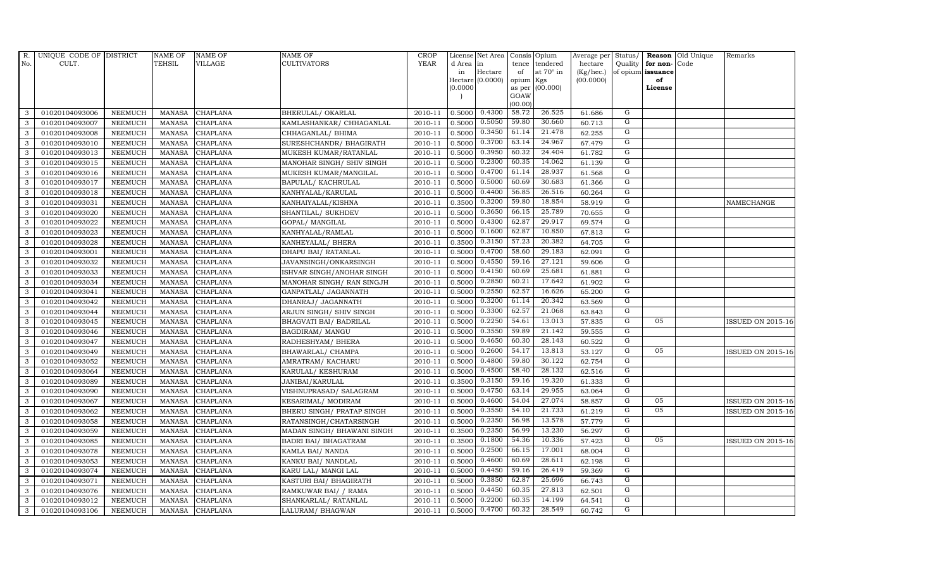| $R_{\cdot}$  | UNIQUE CODE OF DISTRICT |                | <b>NAME OF</b> | <b>NAME OF</b>  | <b>NAME OF</b>             | CROP        |           | License Net Area   Consis   Opium |           |                  | Average per | Status/        | Reason            | Old Unique | Remarks                  |
|--------------|-------------------------|----------------|----------------|-----------------|----------------------------|-------------|-----------|-----------------------------------|-----------|------------------|-------------|----------------|-------------------|------------|--------------------------|
| No.          | CULT.                   |                | <b>TEHSIL</b>  | <b>VILLAGE</b>  | <b>CULTIVATORS</b>         | <b>YEAR</b> | d Area in |                                   |           | tence tendered   | hectare     | Quality        | for non-          | Code       |                          |
|              |                         |                |                |                 |                            |             | in        | Hectare                           | of        | at $70^\circ$ in | (Kg/hec.)   |                | of opium issuance |            |                          |
|              |                         |                |                |                 |                            |             |           | Hectare (0.0000)                  | opium Kgs |                  | (00.0000)   |                | of                |            |                          |
|              |                         |                |                |                 |                            |             | (0.0000)  |                                   | GOAW      | as per (00.000)  |             |                | License           |            |                          |
|              |                         |                |                |                 |                            |             |           |                                   | (00.00)   |                  |             |                |                   |            |                          |
| 3            | 01020104093006          | <b>NEEMUCH</b> | MANASA         | <b>CHAPLANA</b> | BHERULAL/ OKARLAL          | 2010-11     | 0.5000    | 0.4300                            | 58.72     | 26.525           | 61.686      | G              |                   |            |                          |
| 3            | 01020104093007          | <b>NEEMUCH</b> | <b>MANASA</b>  | <b>CHAPLANA</b> | KAMLASHANKAR / CHHAGANLAL  | 2010-11     | 0.5000    | 0.5050                            | 59.80     | 30.660           | 60.713      | G              |                   |            |                          |
| 3            | 01020104093008          | <b>NEEMUCH</b> | <b>MANASA</b>  | CHAPLANA        | CHHAGANLAL/ BHIMA          | 2010-11     | 0.5000    | 0.3450                            | 61.14     | 21.478           | 62.255      | G              |                   |            |                          |
| 3            | 01020104093010          | <b>NEEMUCH</b> | <b>MANASA</b>  | <b>CHAPLANA</b> | SURESHCHANDR/ BHAGIRATH    | 2010-11     | 0.5000    | 0.3700                            | 63.14     | 24.967           | 67.479      | G              |                   |            |                          |
| 3            | 01020104093013          | <b>NEEMUCH</b> | <b>MANASA</b>  | <b>CHAPLANA</b> | MUKESH KUMAR/RATANLAL      | 2010-11     | 0.5000    | 0.3950                            | 60.32     | 24.404           | 61.782      | G              |                   |            |                          |
| 3            | 01020104093015          | <b>NEEMUCH</b> | <b>MANASA</b>  | CHAPLANA        | MANOHAR SINGH/ SHIV SINGH  | 2010-11     | 0.5000    | 0.2300                            | 60.35     | 14.062           | 61.139      | G              |                   |            |                          |
| 3            | 01020104093016          | <b>NEEMUCH</b> | <b>MANASA</b>  | <b>CHAPLANA</b> | MUKESH KUMAR/MANGILAL      | 2010-11     | 0.5000    | 0.4700                            | 61.14     | 28.937           | 61.568      | G              |                   |            |                          |
| 3            | 01020104093017          | <b>NEEMUCH</b> | <b>MANASA</b>  | CHAPLANA        | BAPULAL/ KACHRULAL         | 2010-11     | 0.5000    | 0.5000                            | 60.69     | 30.683           | 61.366      | G              |                   |            |                          |
| 3            | 01020104093018          | <b>NEEMUCH</b> | <b>MANASA</b>  | <b>CHAPLANA</b> | KANHYALAL/KARULAL          | 2010-11     | 0.5000    | 0.4400                            | 56.85     | 26.516           | 60.264      | $\overline{G}$ |                   |            |                          |
| 3            | 01020104093031          | <b>NEEMUCH</b> | <b>MANASA</b>  | <b>CHAPLANA</b> | KANHAIYALAL/KISHNA         | 2010-11     | 0.3500    | 0.3200                            | 59.80     | 18.854           | 58.919      | G              |                   |            | NAMECHANGE               |
| 3            | 01020104093020          | <b>NEEMUCH</b> | <b>MANASA</b>  | <b>CHAPLANA</b> | SHANTILAL/ SUKHDEV         | 2010-11     | 0.5000    | 0.3650                            | 66.15     | 25.789           | 70.655      | G              |                   |            |                          |
| 3            | 01020104093022          | <b>NEEMUCH</b> | <b>MANASA</b>  | <b>CHAPLANA</b> | GOPAL/ MANGILAL            | 2010-11     | 0.5000    | 0.4300                            | 62.87     | 29.917           | 69.574      | G              |                   |            |                          |
| 3            | 01020104093023          | <b>NEEMUCH</b> | <b>MANASA</b>  | <b>CHAPLANA</b> | KANHYALAL/RAMLAL           | 2010-11     | 0.5000    | 0.1600                            | 62.87     | 10.850           | 67.813      | G              |                   |            |                          |
| 3            | 01020104093028          | <b>NEEMUCH</b> | <b>MANASA</b>  | <b>CHAPLANA</b> | KANHEYALAL/ BHERA          | 2010-11     | 0.3500    | 0.3150                            | 57.23     | 20.382           | 64.705      | $\mathbf G$    |                   |            |                          |
| 3            | 01020104093001          | <b>NEEMUCH</b> | <b>MANASA</b>  | <b>CHAPLANA</b> | DHAPU BAI / RATANLAL       | 2010-11     | 0.5000    | 0.4700                            | 58.60     | 29.183           | 62.091      | G              |                   |            |                          |
| 3            | 01020104093032          | <b>NEEMUCH</b> | <b>MANASA</b>  | <b>CHAPLANA</b> | JAVANSINGH/ONKARSINGH      | 2010-11     | 0.5000    | 0.4550                            | 59.16     | 27.121           | 59.606      | $\overline{G}$ |                   |            |                          |
| 3            | 01020104093033          | <b>NEEMUCH</b> | <b>MANASA</b>  | <b>CHAPLANA</b> | ISHVAR SINGH/ANOHAR SINGH  | 2010-11     | 0.5000    | 0.4150                            | 60.69     | 25.681           | 61.881      | G              |                   |            |                          |
| 3            | 01020104093034          | <b>NEEMUCH</b> | <b>MANASA</b>  | <b>CHAPLANA</b> | MANOHAR SINGH/ RAN SINGJH  | 2010-11     | 0.5000    | 0.2850                            | 60.21     | 17.642           | 61.902      | G              |                   |            |                          |
| 3            | 01020104093041          | <b>NEEMUCH</b> | <b>MANASA</b>  | <b>CHAPLANA</b> | GANPATLAL/ JAGANNATH       | 2010-11     | 0.5000    | 0.2550                            | 62.57     | 16.626           | 65.200      | $\mathbf G$    |                   |            |                          |
| 3            | 01020104093042          | <b>NEEMUCH</b> | <b>MANASA</b>  | <b>CHAPLANA</b> | DHANRAJ/ JAGANNATH         | 2010-11     | 0.5000    | 0.3200                            | 61.14     | 20.342           | 63.569      | G              |                   |            |                          |
| $\mathbf{3}$ | 01020104093044          | <b>NEEMUCH</b> | <b>MANASA</b>  | <b>CHAPLANA</b> | ARJUN SINGH/ SHIV SINGH    | 2010-11     | 0.5000    | 0.3300                            | 62.57     | 21.068           | 63.843      | G              |                   |            |                          |
| 3            | 01020104093045          | <b>NEEMUCH</b> | <b>MANASA</b>  | <b>CHAPLANA</b> | BHAGVATI BAI/ BADRILAL     | 2010-11     | 0.5000    | 0.2250                            | 54.61     | 13.013           | 57.835      | G              | 05                |            | <b>ISSUED ON 2015-16</b> |
| 3            | 01020104093046          | <b>NEEMUCH</b> | <b>MANASA</b>  | CHAPLANA        | <b>BAGDIRAM/ MANGU</b>     | 2010-11     | 0.5000    | 0.3550                            | 59.89     | 21.142           | 59.555      | G              |                   |            |                          |
| 3            | 01020104093047          | <b>NEEMUCH</b> | <b>MANASA</b>  | <b>CHAPLANA</b> | RADHESHYAM/ BHERA          | 2010-11     | 0.5000    | 0.4650                            | 60.30     | 28.143           | 60.522      | G              |                   |            |                          |
| 3            | 01020104093049          | <b>NEEMUCH</b> | <b>MANASA</b>  | <b>CHAPLANA</b> | BHAWARLAL/ CHAMPA          | 2010-11     | 0.5000    | 0.2600                            | 54.17     | 13.813           | 53.127      | G              | 05                |            | <b>ISSUED ON 2015-16</b> |
| $\mathbf{3}$ | 01020104093052          | <b>NEEMUCH</b> | <b>MANASA</b>  | CHAPLANA        | AMRATRAM/KACHARU           | 2010-11     | 0.5000    | 0.4800                            | 59.80     | 30.122           | 62.754      | G              |                   |            |                          |
| 3            | 01020104093064          | <b>NEEMUCH</b> | <b>MANASA</b>  | <b>CHAPLANA</b> | KARULAL/KESHURAM           | 2010-11     | 0.5000    | 0.4500                            | 58.40     | 28.132           | 62.516      | G              |                   |            |                          |
| 3            | 01020104093089          | <b>NEEMUCH</b> | <b>MANASA</b>  | <b>CHAPLANA</b> | JANIBAI/KARULAL            | 2010-11     | 0.3500    | 0.3150                            | 59.16     | 19.320           | 61.333      | G              |                   |            |                          |
| 3            | 01020104093090          | <b>NEEMUCH</b> | <b>MANASA</b>  | <b>CHAPLANA</b> | VISHNUPRASAD/ SALAGRAM     | 2010-11     | 0.5000    | 0.4750                            | 63.14     | 29.955           | 63.064      | G              |                   |            |                          |
| 3            | 01020104093067          | <b>NEEMUCH</b> | <b>MANASA</b>  | <b>CHAPLANA</b> | KESARIMAL/ MODIRAM         | 2010-11     | 0.5000    | 0.4600                            | 54.04     | 27.074           | 58.857      | G              | 05                |            | <b>ISSUED ON 2015-16</b> |
| 3            | 01020104093062          | <b>NEEMUCH</b> | <b>MANASA</b>  | CHAPLANA        | BHERU SINGH / PRATAP SINGH | 2010-11     | 0.5000    | 0.3550                            | 54.10     | 21.733           | 61.219      | G              | 05                |            | <b>ISSUED ON 2015-16</b> |
| 3            | 01020104093058          | <b>NEEMUCH</b> | <b>MANASA</b>  | CHAPLANA        | RATANSINGH/CHATARSINGH     | 2010-11     | 0.5000    | 0.2350                            | 56.98     | 13.578           | 57.779      | G              |                   |            |                          |
| 3            | 01020104093059          | <b>NEEMUCH</b> | <b>MANASA</b>  | CHAPLANA        | MADAN SINGH/ BHAWANI SINGH | 2010-11     | 0.3500    | 0.2350                            | 56.99     | 13.230           | 56.297      | G              |                   |            |                          |
| 3            | 01020104093085          | <b>NEEMUCH</b> | <b>MANASA</b>  | <b>CHAPLANA</b> | BADRI BAI/ BHAGATRAM       | 2010-11     | 0.3500    | 0.1800                            | 54.36     | 10.336           | 57.423      | G              | 05                |            | <b>ISSUED ON 2015-16</b> |
| 3            | 01020104093078          | <b>NEEMUCH</b> | <b>MANASA</b>  | <b>CHAPLANA</b> | KAMLA BAI/ NANDA           | 2010-11     | 0.5000    | 0.2500                            | 66.15     | 17.001           | 68.004      | G              |                   |            |                          |
| $\mathbf{3}$ | 01020104093053          | <b>NEEMUCH</b> | <b>MANASA</b>  | <b>CHAPLANA</b> | KANKU BAI/ NANDLAL         | 2010-11     | 0.5000    | 0.4600                            | 60.69     | 28.611           | 62.198      | G              |                   |            |                          |
| 3            | 01020104093074          | <b>NEEMUCH</b> | <b>MANASA</b>  | <b>CHAPLANA</b> | KARU LAL/ MANGI LAL        | 2010-11     | 0.5000    | 0.4450                            | 59.16     | 26.419           | 59.369      | G              |                   |            |                          |
| $\mathbf{3}$ | 01020104093071          | <b>NEEMUCH</b> | <b>MANASA</b>  | CHAPLANA        | KASTURI BAI / BHAGIRATH    | 2010-11     | 0.5000    | 0.3850                            | 62.87     | 25.696           | 66.743      | G              |                   |            |                          |
| 3            | 01020104093076          | <b>NEEMUCH</b> | <b>MANASA</b>  | <b>CHAPLANA</b> | RAMKUWAR BAI/ / RAMA       | 2010-11     | 0.5000    | 0.4450                            | 60.35     | 27.813           | 62.501      | G              |                   |            |                          |
| 3            | 01020104093012          | <b>NEEMUCH</b> | <b>MANASA</b>  | <b>CHAPLANA</b> | SHANKARLAL/ RATANLAL       | 2010-11     | 0.5000    | 0.2200                            | 60.35     | 14.199           | 64.541      | G              |                   |            |                          |
| $\mathbf{3}$ | 01020104093106          | <b>NEEMUCH</b> |                | MANASA CHAPLANA | LALURAM/ BHAGWAN           | 2010-11     | 0.5000    | 0.4700                            | 60.32     | 28.549           | 60.742      | G              |                   |            |                          |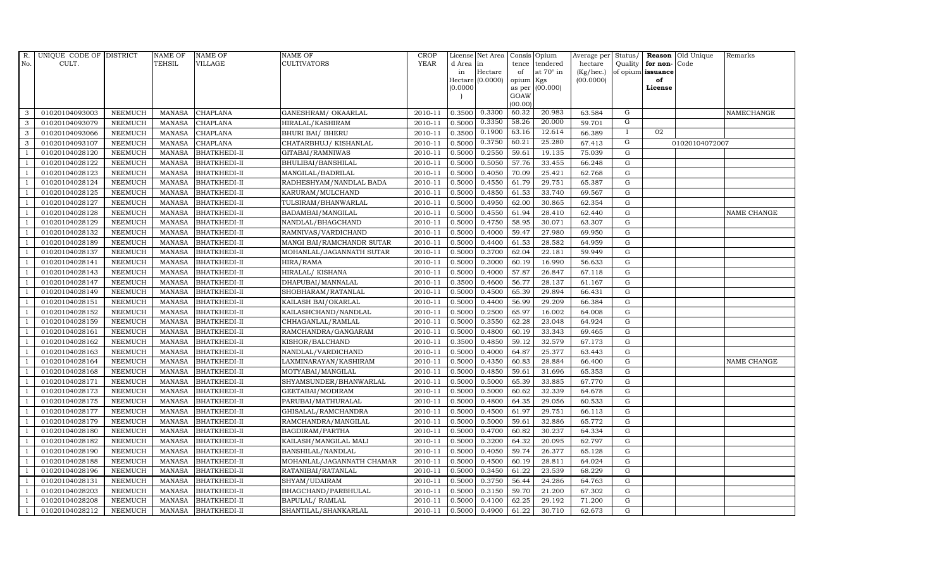| R.             | UNIQUE CODE OF DISTRICT |                | <b>NAME OF</b> | <b>NAME OF</b>      | NAME OF                   | <b>CROP</b> |           | License Net Area | Consis Opium   |                  |           |             |                      | Average per Status/ Reason Old Unique | Remarks     |
|----------------|-------------------------|----------------|----------------|---------------------|---------------------------|-------------|-----------|------------------|----------------|------------------|-----------|-------------|----------------------|---------------------------------------|-------------|
| No.            | CULT.                   |                | <b>TEHSIL</b>  | <b>VILLAGE</b>      | <b>CULTIVATORS</b>        | <b>YEAR</b> | d Area in |                  | tence          | tendered         | hectare   |             | Quality for non-Code |                                       |             |
|                |                         |                |                |                     |                           |             | in        | Hectare          | of             | at $70^\circ$ in | (Kg/hec.) |             | of opium issuance    |                                       |             |
|                |                         |                |                |                     |                           |             | (0.0000)  | Hectare (0.0000) | opium          | Kgs<br>(00.000)  | (00.0000) |             | of<br>License        |                                       |             |
|                |                         |                |                |                     |                           |             |           |                  | as per<br>GOAW |                  |           |             |                      |                                       |             |
|                |                         |                |                |                     |                           |             |           |                  | (00.00)        |                  |           |             |                      |                                       |             |
| 3              | 01020104093003          | <b>NEEMUCH</b> | MANASA         | <b>CHAPLANA</b>     | GANESHRAM/OKAARLAL        | 2010-11     | 0.3500    | 0.3300           | 60.32          | 20.983           | 63.584    | G           |                      |                                       | NAMECHANGE  |
| 3              | 01020104093079          | <b>NEEMUCH</b> | <b>MANASA</b>  | <b>CHAPLANA</b>     | HIRALAL/KASHIRAM          | 2010-11     | 0.5000    | 0.3350           | 58.26          | 20.000           | 59.701    | G           |                      |                                       |             |
| 3              | 01020104093066          | <b>NEEMUCH</b> | <b>MANASA</b>  | CHAPLANA            | <b>BHURI BAI/ BHERU</b>   | 2010-11     | 0.3500    | 0.1900           | 63.16          | 12.614           | 66.389    | $\bf{I}$    | 02                   |                                       |             |
| 3              | 01020104093107          | <b>NEEMUCH</b> | <b>MANASA</b>  | <b>CHAPLANA</b>     | CHATARBHUJ/KISHANLAL      | 2010-11     | 0.5000    | 0.3750           | 60.21          | 25.280           | 67.413    | G           |                      | 01020104072007                        |             |
| $\overline{1}$ | 01020104028120          | <b>NEEMUCH</b> | <b>MANASA</b>  | <b>BHATKHEDI-II</b> | GITABAI/RAMNIWAS          | 2010-11     | 0.5000    | 0.2550           | 59.61          | 19.135           | 75.039    | G           |                      |                                       |             |
| $\overline{1}$ | 01020104028122          | <b>NEEMUCH</b> | <b>MANASA</b>  | <b>BHATKHEDI-II</b> | BHULIBAI/BANSHILAL        | 2010-11     | 0.5000    | 0.5050           | 57.76          | 33.455           | 66.248    | G           |                      |                                       |             |
| $\overline{1}$ | 01020104028123          | <b>NEEMUCH</b> | <b>MANASA</b>  | <b>BHATKHEDI-II</b> | MANGILAL/BADRILAL         | 2010-11     | 0.5000    | 0.4050           | 70.09          | 25.421           | 62.768    | G           |                      |                                       |             |
| $\overline{1}$ | 01020104028124          | <b>NEEMUCH</b> | <b>MANASA</b>  | <b>BHATKHEDI-II</b> | RADHESHYAM/NANDLAL BADA   | 2010-11     | 0.5000    | 0.4550           | 61.79          | 29.751           | 65.387    | $\mathbf G$ |                      |                                       |             |
|                | 01020104028125          | <b>NEEMUCH</b> | <b>MANASA</b>  | <b>BHATKHEDI-II</b> | KARURAM/MULCHAND          | 2010-11     | 0.5000    | 0.4850           | 61.53          | 33.740           | 69.567    | G           |                      |                                       |             |
| -1             | 01020104028127          | <b>NEEMUCH</b> | <b>MANASA</b>  | <b>BHATKHEDI-II</b> | TULSIRAM/BHANWARLAL       | 2010-11     | 0.5000    | 0.4950           | 62.00          | 30.865           | 62.354    | G           |                      |                                       |             |
| $\overline{1}$ | 01020104028128          | <b>NEEMUCH</b> | <b>MANASA</b>  | <b>BHATKHEDI-II</b> | BADAMBAI/MANGILAL         | 2010-11     | 0.5000    | 0.4550           | 61.94          | 28.410           | 62.440    | G           |                      |                                       | NAME CHANGE |
| $\overline{1}$ | 01020104028129          | <b>NEEMUCH</b> | <b>MANASA</b>  | <b>BHATKHEDI-II</b> | NANDLAL/BHAGCHAND         | 2010-11     | 0.5000    | 0.4750           | 58.95          | 30.071           | 63.307    | G           |                      |                                       |             |
| $\overline{1}$ | 01020104028132          | <b>NEEMUCH</b> | <b>MANASA</b>  | <b>BHATKHEDI-II</b> | RAMNIVAS/VARDICHAND       | 2010-11     | 0.5000    | 0.4000           | 59.47          | 27.980           | 69.950    | G           |                      |                                       |             |
|                | 01020104028189          | <b>NEEMUCH</b> | <b>MANASA</b>  | <b>BHATKHEDI-II</b> | MANGI BAI/RAMCHANDR SUTAR | 2010-11     | 0.5000    | 0.4400           | 61.53          | 28.582           | 64.959    | G           |                      |                                       |             |
|                | 01020104028137          | <b>NEEMUCH</b> | <b>MANASA</b>  | <b>BHATKHEDI-II</b> | MOHANLAL/JAGANNATH SUTAR  | 2010-11     | 0.5000    | 0.3700           | 62.04          | 22.181           | 59.949    | G           |                      |                                       |             |
| -1             | 01020104028141          | <b>NEEMUCH</b> | <b>MANASA</b>  | <b>BHATKHEDI-II</b> | HIRA/RAMA                 | 2010-11     | 0.5000    | 0.3000           | 60.19          | 16.990           | 56.633    | G           |                      |                                       |             |
| $\overline{1}$ | 01020104028143          | <b>NEEMUCH</b> | <b>MANASA</b>  | <b>BHATKHEDI-II</b> | HIRALAL/KISHANA           | 2010-11     | 0.5000    | 0.4000           | 57.87          | 26.847           | 67.118    | G           |                      |                                       |             |
| $\overline{1}$ | 01020104028147          | <b>NEEMUCH</b> | <b>MANASA</b>  | <b>BHATKHEDI-II</b> | DHAPUBAI/MANNALAL         | 2010-11     | 0.3500    | 0.4600           | 56.77          | 28.137           | 61.167    | $\mathbf G$ |                      |                                       |             |
|                | 01020104028149          | <b>NEEMUCH</b> | <b>MANASA</b>  | <b>BHATKHEDI-II</b> | SHOBHARAM/RATANLAL        | 2010-11     | 0.5000    | 0.4500           | 65.39          | 29.894           | 66.431    | G           |                      |                                       |             |
| $\mathbf{1}$   | 01020104028151          | <b>NEEMUCH</b> | <b>MANASA</b>  | <b>BHATKHEDI-II</b> | KAILASH BAI/OKARLAL       | 2010-11     | 0.5000    | 0.4400           | 56.99          | 29.209           | 66.384    | G           |                      |                                       |             |
| $\overline{1}$ | 01020104028152          | <b>NEEMUCH</b> | <b>MANASA</b>  | <b>BHATKHEDI-II</b> | KAILASHCHAND/NANDLAL      | 2010-11     | 0.5000    | 0.2500           | 65.97          | 16.002           | 64.008    | G           |                      |                                       |             |
|                | 01020104028159          | <b>NEEMUCH</b> | <b>MANASA</b>  | <b>BHATKHEDI-II</b> | CHHAGANLAL/RAMLAL         | 2010-11     | 0.5000    | 0.3550           | 62.28          | 23.048           | 64.924    | G           |                      |                                       |             |
| $\overline{1}$ | 01020104028161          | <b>NEEMUCH</b> | MANASA         | <b>BHATKHEDI-II</b> | RAMCHANDRA/GANGARAM       | 2010-11     | 0.5000    | 0.4800           | 60.19          | 33.343           | 69.465    | G           |                      |                                       |             |
|                | 01020104028162          | <b>NEEMUCH</b> | <b>MANASA</b>  | <b>BHATKHEDI-II</b> | KISHOR/BALCHAND           | 2010-11     | 0.3500    | 0.4850           | 59.12          | 32.579           | 67.173    | G           |                      |                                       |             |
|                | 01020104028163          | <b>NEEMUCH</b> | <b>MANASA</b>  | <b>BHATKHEDI-II</b> | NANDLAL/VARDICHAND        | 2010-11     | 0.5000    | 0.4000           | 64.87          | 25.377           | 63.443    | G           |                      |                                       |             |
| $\overline{1}$ | 01020104028164          | <b>NEEMUCH</b> | <b>MANASA</b>  | <b>BHATKHEDI-II</b> | LAXMINARAYAN/KASHIRAM     | 2010-11     | 0.5000    | 0.4350           | 60.83          | 28.884           | 66.400    | G           |                      |                                       | NAME CHANGE |
|                | 01020104028168          | <b>NEEMUCH</b> | <b>MANASA</b>  | <b>BHATKHEDI-II</b> | MOTYABAI/MANGILAL         | 2010-11     | 0.5000    | 0.4850           | 59.61          | 31.696           | 65.353    | G           |                      |                                       |             |
| $\overline{1}$ | 01020104028171          | <b>NEEMUCH</b> | <b>MANASA</b>  | <b>BHATKHEDI-II</b> | SHYAMSUNDER/BHANWARLAL    | 2010-11     | 0.5000    | 0.5000           | 65.39          | 33.885           | 67.770    | G           |                      |                                       |             |
| $\overline{1}$ | 01020104028173          | <b>NEEMUCH</b> | <b>MANASA</b>  | <b>BHATKHEDI-II</b> | GEETABAI/MODIRAM          | 2010-11     | 0.5000    | 0.5000           | 60.62          | 32.339           | 64.678    | G           |                      |                                       |             |
|                | 01020104028175          | <b>NEEMUCH</b> | <b>MANASA</b>  | <b>BHATKHEDI-II</b> | PARUBAI/MATHURALAL        | 2010-11     | 0.5000    | 0.4800           | 64.35          | 29.056           | 60.533    | G           |                      |                                       |             |
| -1             | 01020104028177          | <b>NEEMUCH</b> | <b>MANASA</b>  | <b>BHATKHEDI-II</b> | GHISALAL/RAMCHANDRA       | 2010-11     | 0.5000    | 0.4500           | 61.97          | 29.751           | 66.113    | G           |                      |                                       |             |
|                | 01020104028179          | <b>NEEMUCH</b> | <b>MANASA</b>  | <b>BHATKHEDI-II</b> | RAMCHANDRA/MANGILAL       | 2010-11     | 0.5000    | 0.5000           | 59.61          | 32.886           | 65.772    | G           |                      |                                       |             |
| $\overline{1}$ | 01020104028180          | <b>NEEMUCH</b> | <b>MANASA</b>  | <b>BHATKHEDI-II</b> | BAGDIRAM/PARTHA           | 2010-11     | 0.5000    | 0.4700           | 60.82          | 30.237           | 64.334    | G           |                      |                                       |             |
| $\overline{1}$ | 01020104028182          | <b>NEEMUCH</b> | <b>MANASA</b>  | <b>BHATKHEDI-II</b> | KAILASH/MANGILAL MALI     | 2010-11     | 0.5000    | 0.3200           | 64.32          | 20.095           | 62.797    | $\mathbf G$ |                      |                                       |             |
|                | 01020104028190          | <b>NEEMUCH</b> | <b>MANASA</b>  | <b>BHATKHEDI-II</b> | BANSHILAL/NANDLAL         | 2010-11     | 0.5000    | 0.4050           | 59.74          | 26.377           | 65.128    | G           |                      |                                       |             |
| $\overline{1}$ | 01020104028188          | <b>NEEMUCH</b> | <b>MANASA</b>  | <b>BHATKHEDI-II</b> | MOHANLAL/JAGANNATH CHAMAR | 2010-11     | 0.5000    | 0.4500           | 60.19          | 28.811           | 64.024    | G           |                      |                                       |             |
| -1             | 01020104028196          | <b>NEEMUCH</b> | <b>MANASA</b>  | <b>BHATKHEDI-II</b> | RATANIBAI/RATANLAL        | 2010-11     | 0.5000    | 0.3450           | 61.22          | 23.539           | 68.229    | G           |                      |                                       |             |
| $\overline{1}$ | 01020104028131          | <b>NEEMUCH</b> | <b>MANASA</b>  | <b>BHATKHEDI-II</b> | SHYAM/UDAIRAM             | 2010-11     | 0.5000    | 0.3750           | 56.44          | 24.286           | 64.763    | G           |                      |                                       |             |
| $\mathbf{1}$   | 01020104028203          | <b>NEEMUCH</b> | <b>MANASA</b>  | <b>BHATKHEDI-II</b> | BHAGCHAND/PARBHULAL       | 2010-11     | 0.5000    | 0.3150           | 59.70          | 21.200           | 67.302    | G           |                      |                                       |             |
|                | 01020104028208          | <b>NEEMUCH</b> | <b>MANASA</b>  | <b>BHATKHEDI-II</b> | <b>BAPULAL/ RAMLAL</b>    | 2010-11     | 0.5000    | 0.4100           | 62.25          | 29.192           | 71.200    | G           |                      |                                       |             |
| $\mathbf{1}$   | 01020104028212          | <b>NEEMUCH</b> | MANASA         | <b>BHATKHEDI-II</b> | SHANTILAL/SHANKARLAL      | 2010-11     | 0.5000    | 0.4900           | 61.22          | 30.710           | 62.673    | G           |                      |                                       |             |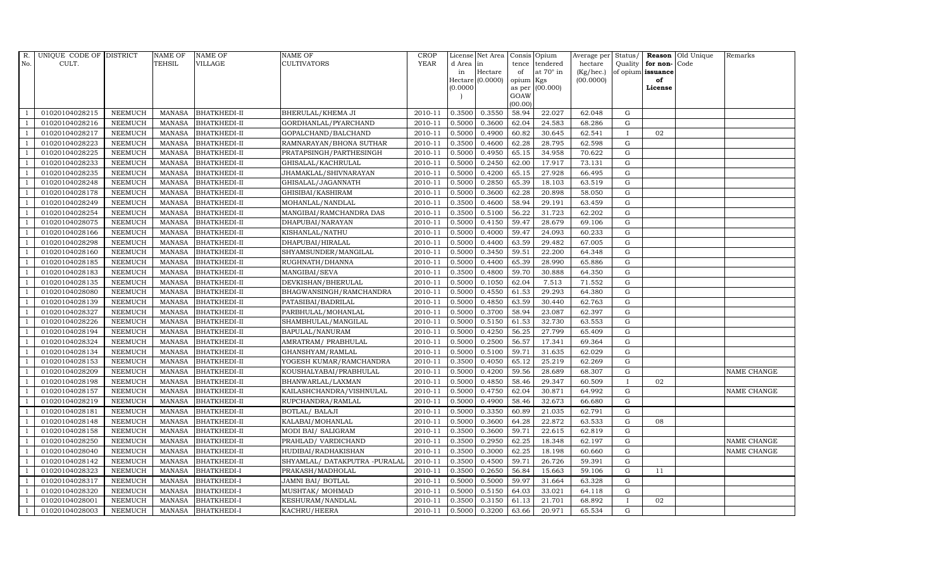| R.             | UNIQUE CODE OF DISTRICT |                | <b>NAME OF</b> | <b>NAME OF</b>      | <b>NAME OF</b>                | CROP    |           | License Net Area   Consis   Opium |                 |                  | Average per | Status/      |                   | <b>Reason</b> Old Unique | Remarks     |
|----------------|-------------------------|----------------|----------------|---------------------|-------------------------------|---------|-----------|-----------------------------------|-----------------|------------------|-------------|--------------|-------------------|--------------------------|-------------|
| No.            | CULT.                   |                | <b>TEHSIL</b>  | <b>VILLAGE</b>      | <b>CULTIVATORS</b>            | YEAR    | d Area in |                                   |                 | tence tendered   | hectare     | Quality      | for non-          | Code                     |             |
|                |                         |                |                |                     |                               |         | in        | Hectare                           | of              | at $70^\circ$ in | (Kg/hec.)   |              | of opium issuance |                          |             |
|                |                         |                |                |                     |                               |         |           | Hectare (0.0000)                  | opium Kgs       |                  | (00.0000)   |              | of                |                          |             |
|                |                         |                |                |                     |                               |         | (0.0000)  |                                   |                 | as per (00.000)  |             |              | License           |                          |             |
|                |                         |                |                |                     |                               |         |           |                                   | GOAW<br>(00.00) |                  |             |              |                   |                          |             |
|                | 01020104028215          | <b>NEEMUCH</b> | MANASA         | <b>BHATKHEDI-II</b> | BHERULAL/KHEMA JI             | 2010-11 | 0.3500    | 0.3550                            | 58.94           | 22.027           | 62.048      | $\mathbf G$  |                   |                          |             |
| -1             | 01020104028216          | <b>NEEMUCH</b> | MANASA         | <b>BHATKHEDI-II</b> | GORDHANLAL/PYARCHAND          | 2010-11 | 0.5000    | 0.3600                            | 62.04           | 24.583           | 68.286      | $\mathbf G$  |                   |                          |             |
|                | 01020104028217          | <b>NEEMUCH</b> | <b>MANASA</b>  | <b>BHATKHEDI-II</b> | GOPALCHAND/BALCHAND           | 2010-11 | 0.5000    | 0.4900                            | 60.82           | 30.645           | 62.541      | $\mathbf{I}$ | 02                |                          |             |
|                | 01020104028223          | <b>NEEMUCH</b> | MANASA         | <b>BHATKHEDI-II</b> | RAMNARAYAN/BHONA SUTHAR       | 2010-11 | 0.3500    | 0.4600                            | 62.28           | 28.795           | 62.598      | $\mathbf G$  |                   |                          |             |
| $\overline{1}$ | 01020104028225          | <b>NEEMUCH</b> | <b>MANASA</b>  | <b>BHATKHEDI-II</b> | PRATAPSINGH/PARTHESINGH       | 2010-11 | 0.5000    | 0.4950                            | 65.15           | 34.958           | 70.622      | ${\rm G}$    |                   |                          |             |
| $\overline{1}$ | 01020104028233          | <b>NEEMUCH</b> | <b>MANASA</b>  | <b>BHATKHEDI-II</b> | GHISALAL/KACHRULAL            | 2010-11 | 0.5000    | 0.2450                            | 62.00           | 17.917           | 73.131      | $\mathbf G$  |                   |                          |             |
| $\overline{1}$ | 01020104028235          | <b>NEEMUCH</b> | <b>MANASA</b>  | <b>BHATKHEDI-II</b> | JHAMAKLAL/SHIVNARAYAN         | 2010-11 | 0.5000    | 0.4200                            | 65.15           | 27.928           | 66.495      | ${\rm G}$    |                   |                          |             |
| $\overline{1}$ | 01020104028248          | <b>NEEMUCH</b> | <b>MANASA</b>  | <b>BHATKHEDI-II</b> | GHISALAL/JAGANNATH            | 2010-11 | 0.5000    | 0.2850                            | 65.39           | 18.103           | 63.519      | $\mathbf G$  |                   |                          |             |
|                | 01020104028178          | <b>NEEMUCH</b> | <b>MANASA</b>  | <b>BHATKHEDI-II</b> | GHISIBAI/KASHIRAM             | 2010-11 | 0.5000    | 0.3600                            | 62.28           | 20.898           | 58.050      | $\mathbf G$  |                   |                          |             |
|                | 01020104028249          | <b>NEEMUCH</b> | <b>MANASA</b>  | <b>BHATKHEDI-II</b> | MOHANLAL/NANDLAL              | 2010-11 | 0.3500    | 0.4600                            | 58.94           | 29.191           | 63.459      | ${\rm G}$    |                   |                          |             |
| $\overline{1}$ | 01020104028254          | <b>NEEMUCH</b> | <b>MANASA</b>  | <b>BHATKHEDI-II</b> | MANGIBAI/RAMCHANDRA DAS       | 2010-11 | 0.3500    | 0.5100                            | 56.22           | 31.723           | 62.202      | ${\rm G}$    |                   |                          |             |
| $\overline{1}$ | 01020104028075          | <b>NEEMUCH</b> | MANASA         | <b>BHATKHEDI-II</b> | DHAPUBAI/NARAYAN              | 2010-11 | 0.5000    | 0.4150                            | 59.47           | 28.679           | 69.106      | ${\rm G}$    |                   |                          |             |
| $\overline{1}$ | 01020104028166          | <b>NEEMUCH</b> | <b>MANASA</b>  | <b>BHATKHEDI-II</b> | KISHANLAL/NATHU               | 2010-11 | 0.5000    | 0.4000                            | 59.47           | 24.093           | 60.233      | $\mathbf G$  |                   |                          |             |
|                | 01020104028298          | <b>NEEMUCH</b> | MANASA         | <b>BHATKHEDI-II</b> | DHAPUBAI/HIRALAL              | 2010-11 | 0.5000    | 0.4400                            | 63.59           | 29.482           | 67.005      | $\mathbf G$  |                   |                          |             |
| $\overline{1}$ | 01020104028160          | <b>NEEMUCH</b> | <b>MANASA</b>  | <b>BHATKHEDI-II</b> | SHYAMSUNDER/MANGILAL          | 2010-11 | 0.5000    | 0.3450                            | 59.51           | 22.200           | 64.348      | G            |                   |                          |             |
| -1             | 01020104028185          | <b>NEEMUCH</b> | <b>MANASA</b>  | <b>BHATKHEDI-II</b> | RUGHNATH/DHANNA               | 2010-11 | 0.5000    | 0.4400                            | 65.39           | 28.990           | 65.886      | ${\rm G}$    |                   |                          |             |
|                | 01020104028183          | <b>NEEMUCH</b> | MANASA         | <b>BHATKHEDI-II</b> | MANGIBAI/SEVA                 | 2010-11 | 0.3500    | 0.4800                            | 59.70           | 30.888           | 64.350      | ${\rm G}$    |                   |                          |             |
| $\overline{1}$ | 01020104028135          | <b>NEEMUCH</b> | MANASA         | <b>BHATKHEDI-II</b> | DEVKISHAN/BHERULAL            | 2010-11 | 0.5000    | 0.1050                            | 62.04           | 7.513            | 71.552      | G            |                   |                          |             |
|                | 01020104028080          | <b>NEEMUCH</b> | <b>MANASA</b>  | <b>BHATKHEDI-II</b> | BHAGWANSINGH/RAMCHANDRA       | 2010-11 | 0.5000    | 0.4550                            | 61.53           | 29.293           | 64.380      | $\mathbf G$  |                   |                          |             |
|                | 01020104028139          | <b>NEEMUCH</b> | <b>MANASA</b>  | <b>BHATKHEDI-II</b> | PATASIBAI/BADRILAL            | 2010-11 | 0.5000    | 0.4850                            | 63.59           | 30.440           | 62.763      | G            |                   |                          |             |
| -1             | 01020104028327          | <b>NEEMUCH</b> | <b>MANASA</b>  | <b>BHATKHEDI-II</b> | PARBHULAL/MOHANLAL            | 2010-11 | 0.5000    | 0.3700                            | 58.94           | 23.087           | 62.397      | ${\rm G}$    |                   |                          |             |
| $\overline{1}$ | 01020104028226          | <b>NEEMUCH</b> | <b>MANASA</b>  | <b>BHATKHEDI-II</b> | SHAMBHULAL/MANGILAL           | 2010-11 | 0.5000    | 0.5150                            | 61.53           | 32.730           | 63.553      | ${\rm G}$    |                   |                          |             |
| $\overline{1}$ | 01020104028194          | <b>NEEMUCH</b> | MANASA         | <b>BHATKHEDI-II</b> | BAPULAL/NANURAM               | 2010-11 | 0.5000    | 0.4250                            | 56.25           | 27.799           | 65.409      | G            |                   |                          |             |
|                | 01020104028324          | <b>NEEMUCH</b> | <b>MANASA</b>  | <b>BHATKHEDI-II</b> | AMRATRAM/ PRABHULAL           | 2010-11 | 0.5000    | 0.2500                            | 56.57           | 17.341           | 69.364      | $\mathbf G$  |                   |                          |             |
|                | 01020104028134          | <b>NEEMUCH</b> | <b>MANASA</b>  | <b>BHATKHEDI-II</b> | GHANSHYAM/RAMLAL              | 2010-11 | 0.5000    | 0.5100                            | 59.71           | 31.635           | 62.029      | ${\rm G}$    |                   |                          |             |
| - 1            | 01020104028153          | <b>NEEMUCH</b> | <b>MANASA</b>  | <b>BHATKHEDI-II</b> | YOGESH KUMAR/RAMCHANDRA       | 2010-11 | 0.3500    | 0.4050                            | 65.12           | 25.219           | 62.269      | G            |                   |                          |             |
| $\overline{1}$ | 01020104028209          | <b>NEEMUCH</b> | <b>MANASA</b>  | <b>BHATKHEDI-II</b> | KOUSHALYABAI/PRABHULAL        | 2010-11 | 0.5000    | 0.4200                            | 59.56           | 28.689           | 68.307      | ${\rm G}$    |                   |                          | NAME CHANGE |
| $\overline{1}$ | 01020104028198          | <b>NEEMUCH</b> | MANASA         | <b>BHATKHEDI-II</b> | BHANWARLAL/LAXMAN             | 2010-11 | 0.5000    | 0.4850                            | 58.46           | 29.347           | 60.509      | $\mathbf{I}$ | 02                |                          |             |
| $\overline{1}$ | 01020104028157          | <b>NEEMUCH</b> | <b>MANASA</b>  | <b>BHATKHEDI-II</b> | KAILASHCHANDRA/VISHNULAL      | 2010-11 | 0.5000    | 0.4750                            | 62.04           | 30.871           | 64.992      | $\mathbf G$  |                   |                          | NAME CHANGE |
|                | 01020104028219          | <b>NEEMUCH</b> | <b>MANASA</b>  | <b>BHATKHEDI-II</b> | RUPCHANDRA/RAMLAL             | 2010-11 | 0.5000    | 0.4900                            | 58.46           | 32.673           | 66.680      | G            |                   |                          |             |
| $\overline{1}$ | 01020104028181          | <b>NEEMUCH</b> | <b>MANASA</b>  | <b>BHATKHEDI-II</b> | BOTLAL/ BALAJI                | 2010-11 | 0.5000    | 0.3350                            | 60.89           | 21.035           | 62.791      | G            |                   |                          |             |
|                | 01020104028148          | <b>NEEMUCH</b> | MANASA         | <b>BHATKHEDI-II</b> | KALABAI/MOHANLAL              | 2010-11 | 0.5000    | 0.3600                            | 64.28           | 22.872           | 63.533      | ${\rm G}$    | 08                |                          |             |
| $\overline{1}$ | 01020104028158          | <b>NEEMUCH</b> | <b>MANASA</b>  | <b>BHATKHEDI-II</b> | MODI BAI/ SALIGRAM            | 2010-11 | 0.3500    | 0.3600                            | 59.71           | 22.615           | 62.819      | $\mathbf G$  |                   |                          |             |
| $\overline{1}$ | 01020104028250          | <b>NEEMUCH</b> | <b>MANASA</b>  | <b>BHATKHEDI-II</b> | PRAHLAD/ VARDICHAND           | 2010-11 | 0.3500    | 0.2950                            | 62.25           | 18.348           | 62.197      | $\mathbf G$  |                   |                          | NAME CHANGE |
|                | 01020104028040          | <b>NEEMUCH</b> | <b>MANASA</b>  | <b>BHATKHEDI-II</b> | HUDIBAI/RADHAKISHAN           | 2010-11 | 0.3500    | 0.3000                            | 62.25           | 18.198           | 60.660      | $\mathbf G$  |                   |                          | NAME CHANGE |
| $\overline{1}$ | 01020104028142          | <b>NEEMUCH</b> | <b>MANASA</b>  | <b>BHATKHEDI-II</b> | SHYAMLAL/ DATAKPUTRA -PURALAL | 2010-11 | 0.3500    | 0.4500                            | 59.71           | 26.726           | 59.391      | ${\rm G}$    |                   |                          |             |
| $\overline{1}$ | 01020104028323          | <b>NEEMUCH</b> | <b>MANASA</b>  | <b>BHATKHEDI-I</b>  | PRAKASH/MADHOLAL              | 2010-11 | 0.3500    | 0.2650                            | 56.84           | 15.663           | 59.106      | ${\rm G}$    | 11                |                          |             |
| $\overline{1}$ | 01020104028317          | <b>NEEMUCH</b> | <b>MANASA</b>  | <b>BHATKHEDI-I</b>  | JAMNI BAI/ BOTLAL             | 2010-11 | 0.5000    | 0.5000                            | 59.97           | 31.664           | 63.328      | $\mathbf G$  |                   |                          |             |
| $\overline{1}$ | 01020104028320          | <b>NEEMUCH</b> | <b>MANASA</b>  | <b>BHATKHEDI-I</b>  | MUSHTAK/ MOHMAD               | 2010-11 | 0.5000    | 0.5150                            | 64.03           | 33.021           | 64.118      | $\mathbf G$  |                   |                          |             |
|                | 01020104028001          | <b>NEEMUCH</b> | <b>MANASA</b>  | <b>BHATKHEDI-I</b>  | KESHURAM/NANDLAL              | 2010-11 | 0.3500    | 0.3150                            | 61.13           | 21.701           | 68.892      | $\mathbf{I}$ | 02                |                          |             |
| $\mathbf{1}$   | 01020104028003          | <b>NEEMUCH</b> |                | MANASA BHATKHEDI-I  | KACHRU/HEERA                  | 2010-11 | 0.5000    | 0.3200                            | 63.66           | 20.971           | 65.534      | G            |                   |                          |             |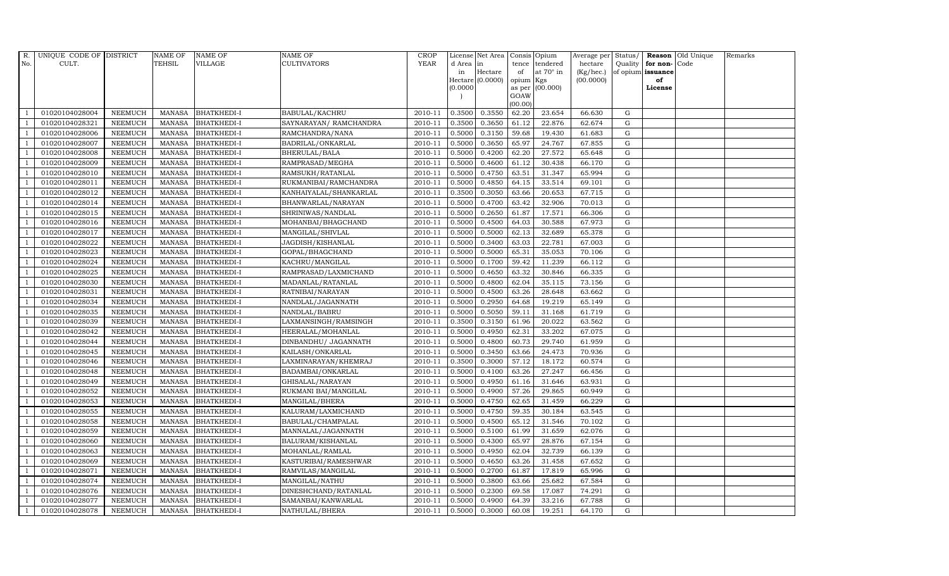| $R_{\cdot}$    | UNIQUE CODE OF DISTRICT |                | NAME OF       | <b>NAME OF</b>     | <b>NAME OF</b>          | CROP    |           | License Net Area   Consis   Opium |           |                  |           |             |                   | Average per Status/ <b>Reason</b> Old Unique | Remarks |
|----------------|-------------------------|----------------|---------------|--------------------|-------------------------|---------|-----------|-----------------------------------|-----------|------------------|-----------|-------------|-------------------|----------------------------------------------|---------|
| No.            | CULT.                   |                | <b>TEHSIL</b> | <b>VILLAGE</b>     | <b>CULTIVATORS</b>      | YEAR    | d Area in |                                   |           | tence tendered   | hectare   | Quality     | for non-          | Code                                         |         |
|                |                         |                |               |                    |                         |         | in        | Hectare                           | of        | at $70^\circ$ in | (Kg/hec.) |             | of opium issuance |                                              |         |
|                |                         |                |               |                    |                         |         |           | Hectare (0.0000)                  | opium Kgs |                  | (00.0000) |             | of                |                                              |         |
|                |                         |                |               |                    |                         |         | (0.0000)  |                                   | GOAW      | as per (00.000)  |           |             | License           |                                              |         |
|                |                         |                |               |                    |                         |         |           |                                   | (00.00)   |                  |           |             |                   |                                              |         |
|                | 01020104028004          | <b>NEEMUCH</b> | MANASA        | <b>BHATKHEDI-I</b> | BABULAL/KACHRU          | 2010-11 | 0.3500    | 0.3550                            | 62.20     | 23.654           | 66.630    | G           |                   |                                              |         |
| -1             | 01020104028321          | <b>NEEMUCH</b> | MANASA        | <b>BHATKHEDI-I</b> | SAYNARAYAN / RAMCHANDRA | 2010-11 | 0.3500    | 0.3650                            | 61.12     | 22.876           | 62.674    | ${\rm G}$   |                   |                                              |         |
|                | 01020104028006          | <b>NEEMUCH</b> | <b>MANASA</b> | <b>BHATKHEDI-I</b> | RAMCHANDRA/NANA         | 2010-11 | 0.5000    | 0.3150                            | 59.68     | 19.430           | 61.683    | G           |                   |                                              |         |
|                | 01020104028007          | <b>NEEMUCH</b> | MANASA        | <b>BHATKHEDI-I</b> | BADRILAL/ONKARLAL       | 2010-11 | 0.5000    | 0.3650                            | 65.97     | 24.767           | 67.855    | $\mathbf G$ |                   |                                              |         |
| $\overline{1}$ | 01020104028008          | <b>NEEMUCH</b> | <b>MANASA</b> | <b>BHATKHEDI-I</b> | BHERULAL/BALA           | 2010-11 | 0.5000    | 0.4200                            | 62.20     | 27.572           | 65.648    | ${\rm G}$   |                   |                                              |         |
| $\overline{1}$ | 01020104028009          | <b>NEEMUCH</b> | <b>MANASA</b> | <b>BHATKHEDI-I</b> | RAMPRASAD/MEGHA         | 2010-11 | 0.5000    | 0.4600                            | 61.12     | 30.438           | 66.170    | $\mathbf G$ |                   |                                              |         |
| $\overline{1}$ | 01020104028010          | <b>NEEMUCH</b> | MANASA        | <b>BHATKHEDI-I</b> | RAMSUKH/RATANLAL        | 2010-11 | 0.5000    | 0.4750                            | 63.51     | 31.347           | 65.994    | ${\rm G}$   |                   |                                              |         |
| $\overline{1}$ | 01020104028011          | <b>NEEMUCH</b> | <b>MANASA</b> | <b>BHATKHEDI-I</b> | RUKMANIBAI/RAMCHANDRA   | 2010-11 | 0.5000    | 0.4850                            | 64.15     | 33.514           | 69.101    | $\mathbf G$ |                   |                                              |         |
|                | 01020104028012          | <b>NEEMUCH</b> | <b>MANASA</b> | <b>BHATKHEDI-I</b> | KANHAIYALAL/SHANKARLAL  | 2010-11 | 0.3500    | 0.3050                            | 63.66     | 20.653           | 67.715    | $\mathbf G$ |                   |                                              |         |
|                | 01020104028014          | <b>NEEMUCH</b> | <b>MANASA</b> | <b>BHATKHEDI-I</b> | BHANWARLAL/NARAYAN      | 2010-11 | 0.5000    | 0.4700                            | 63.42     | 32.906           | 70.013    | ${\rm G}$   |                   |                                              |         |
| $\overline{1}$ | 01020104028015          | <b>NEEMUCH</b> | <b>MANASA</b> | <b>BHATKHEDI-I</b> | SHRINIWAS/NANDLAL       | 2010-11 | 0.5000    | 0.2650                            | 61.87     | 17.571           | 66.306    | ${\rm G}$   |                   |                                              |         |
| $\overline{1}$ | 01020104028016          | <b>NEEMUCH</b> | MANASA        | <b>BHATKHEDI-I</b> | MOHANBAI/BHAGCHAND      | 2010-11 | 0.5000    | 0.4500                            | 64.03     | 30.588           | 67.973    | ${\rm G}$   |                   |                                              |         |
| $\overline{1}$ | 01020104028017          | <b>NEEMUCH</b> | <b>MANASA</b> | <b>BHATKHEDI-I</b> | MANGILAL/SHIVLAL        | 2010-11 | 0.5000    | 0.5000                            | 62.13     | 32.689           | 65.378    | $\mathbf G$ |                   |                                              |         |
|                | 01020104028022          | <b>NEEMUCH</b> | MANASA        | <b>BHATKHEDI-I</b> | JAGDISH/KISHANLAL       | 2010-11 | 0.5000    | 0.3400                            | 63.03     | 22.781           | 67.003    | $\mathbf G$ |                   |                                              |         |
| $\overline{1}$ | 01020104028023          | <b>NEEMUCH</b> | <b>MANASA</b> | <b>BHATKHEDI-I</b> | GOPAL/BHAGCHAND         | 2010-11 | 0.5000    | 0.5000                            | 65.31     | 35.053           | 70.106    | G           |                   |                                              |         |
| -1             | 01020104028024          | <b>NEEMUCH</b> | <b>MANASA</b> | <b>BHATKHEDI-I</b> | KACHRU/MANGILAL         | 2010-11 | 0.5000    | 0.1700                            | 59.42     | 11.239           | 66.112    | ${\rm G}$   |                   |                                              |         |
|                | 01020104028025          | <b>NEEMUCH</b> | MANASA        | <b>BHATKHEDI-I</b> | RAMPRASAD/LAXMICHAND    | 2010-11 | 0.5000    | 0.4650                            | 63.32     | 30.846           | 66.335    | ${\rm G}$   |                   |                                              |         |
| $\overline{1}$ | 01020104028030          | <b>NEEMUCH</b> | MANASA        | <b>BHATKHEDI-I</b> | MADANLAL/RATANLAL       | 2010-11 | 0.5000    | 0.4800                            | 62.04     | 35.115           | 73.156    | G           |                   |                                              |         |
|                | 01020104028031          | <b>NEEMUCH</b> | MANASA        | <b>BHATKHEDI-I</b> | RATNIBAI/NARAYAN        | 2010-11 | 0.5000    | 0.4500                            | 63.26     | 28.648           | 63.662    | $\mathbf G$ |                   |                                              |         |
|                | 01020104028034          | <b>NEEMUCH</b> | <b>MANASA</b> | <b>BHATKHEDI-I</b> | NANDLAL/JAGANNATH       | 2010-11 | 0.5000    | 0.2950                            | 64.68     | 19.219           | 65.149    | G           |                   |                                              |         |
| -1             | 01020104028035          | <b>NEEMUCH</b> | <b>MANASA</b> | <b>BHATKHEDI-I</b> | NANDLAL/BABRU           | 2010-11 | 0.5000    | 0.5050                            | 59.11     | 31.168           | 61.719    | ${\rm G}$   |                   |                                              |         |
| $\overline{1}$ | 01020104028039          | <b>NEEMUCH</b> | MANASA        | <b>BHATKHEDI-I</b> | LAXMANSINGH/RAMSINGH    | 2010-11 | 0.3500    | 0.3150                            | 61.96     | 20.022           | 63.562    | ${\rm G}$   |                   |                                              |         |
| $\overline{1}$ | 01020104028042          | <b>NEEMUCH</b> | MANASA        | <b>BHATKHEDI-I</b> | HEERALAL/MOHANLAL       | 2010-11 | 0.5000    | 0.4950                            | 62.31     | 33.202           | 67.075    | G           |                   |                                              |         |
|                | 01020104028044          | <b>NEEMUCH</b> | <b>MANASA</b> | <b>BHATKHEDI-I</b> | DINBANDHU/ JAGANNATH    | 2010-11 | 0.5000    | 0.4800                            | 60.73     | 29.740           | 61.959    | $\mathbf G$ |                   |                                              |         |
|                | 01020104028045          | <b>NEEMUCH</b> | <b>MANASA</b> | <b>BHATKHEDI-I</b> | KAILASH/ONKARLAL        | 2010-11 | 0.5000    | 0.3450                            | 63.66     | 24.473           | 70.936    | ${\rm G}$   |                   |                                              |         |
| - 1            | 01020104028046          | <b>NEEMUCH</b> | <b>MANASA</b> | <b>BHATKHEDI-I</b> | LAXMINARAYAN/KHEMRAJ    | 2010-11 | 0.3500    | 0.3000                            | 57.12     | 18.172           | 60.574    | G           |                   |                                              |         |
| $\overline{1}$ | 01020104028048          | <b>NEEMUCH</b> | <b>MANASA</b> | <b>BHATKHEDI-I</b> | BADAMBAI/ONKARLAL       | 2010-11 | 0.5000    | 0.4100                            | 63.26     | 27.247           | 66.456    | ${\rm G}$   |                   |                                              |         |
| $\overline{1}$ | 01020104028049          | <b>NEEMUCH</b> | MANASA        | <b>BHATKHEDI-I</b> | GHISALAL/NARAYAN        | 2010-11 | 0.5000    | 0.4950                            | 61.16     | 31.646           | 63.931    | G           |                   |                                              |         |
| $\overline{1}$ | 01020104028052          | <b>NEEMUCH</b> | <b>MANASA</b> | <b>BHATKHEDI-I</b> | RUKMANI BAI/MANGILAL    | 2010-11 | 0.5000    | 0.4900                            | 57.26     | 29.865           | 60.949    | $\mathbf G$ |                   |                                              |         |
|                | 01020104028053          | <b>NEEMUCH</b> | <b>MANASA</b> | <b>BHATKHEDI-I</b> | MANGILAL/BHERA          | 2010-11 | 0.5000    | 0.4750                            | 62.65     | 31.459           | 66.229    | G           |                   |                                              |         |
| $\overline{1}$ | 01020104028055          | <b>NEEMUCH</b> | <b>MANASA</b> | <b>BHATKHEDI-I</b> | KALURAM/LAXMICHAND      | 2010-11 | 0.5000    | 0.4750                            | 59.35     | 30.184           | 63.545    | G           |                   |                                              |         |
|                | 01020104028058          | <b>NEEMUCH</b> | MANASA        | <b>BHATKHEDI-I</b> | BABULAL/CHAMPALAL       | 2010-11 | 0.5000    | 0.4500                            | 65.12     | 31.546           | 70.102    | ${\rm G}$   |                   |                                              |         |
| $\overline{1}$ | 01020104028059          | <b>NEEMUCH</b> | <b>MANASA</b> | <b>BHATKHEDI-I</b> | MANNALAL/JAGANNATH      | 2010-11 | 0.5000    | 0.5100                            | 61.99     | 31.659           | 62.076    | $\mathbf G$ |                   |                                              |         |
| $\overline{1}$ | 01020104028060          | <b>NEEMUCH</b> | <b>MANASA</b> | <b>BHATKHEDI-I</b> | BALURAM/KISHANLAL       | 2010-11 | 0.5000    | 0.4300                            | 65.97     | 28.876           | 67.154    | $\mathbf G$ |                   |                                              |         |
|                | 01020104028063          | <b>NEEMUCH</b> | <b>MANASA</b> | <b>BHATKHEDI-I</b> | MOHANLAL/RAMLAL         | 2010-11 | 0.5000    | 0.4950                            | 62.04     | 32.739           | 66.139    | $\mathbf G$ |                   |                                              |         |
| $\overline{1}$ | 01020104028069          | <b>NEEMUCH</b> | <b>MANASA</b> | <b>BHATKHEDI-I</b> | KASTURIBAI/RAMESHWAR    | 2010-11 | 0.5000    | 0.4650                            | 63.26     | 31.458           | 67.652    | ${\rm G}$   |                   |                                              |         |
| $\overline{1}$ | 01020104028071          | <b>NEEMUCH</b> | <b>MANASA</b> | <b>BHATKHEDI-I</b> | RAMVILAS/MANGILAL       | 2010-11 | 0.5000    | 0.2700                            | 61.87     | 17.819           | 65.996    | G           |                   |                                              |         |
| 1              | 01020104028074          | <b>NEEMUCH</b> | <b>MANASA</b> | <b>BHATKHEDI-I</b> | MANGILAL/NATHU          | 2010-11 | 0.5000    | 0.3800                            | 63.66     | 25.682           | 67.584    | $\mathbf G$ |                   |                                              |         |
| $\overline{1}$ | 01020104028076          | <b>NEEMUCH</b> | <b>MANASA</b> | <b>BHATKHEDI-I</b> | DINESHCHAND/RATANLAL    | 2010-11 | 0.5000    | 0.2300                            | 69.58     | 17.087           | 74.291    | G           |                   |                                              |         |
|                | 01020104028077          | <b>NEEMUCH</b> | <b>MANASA</b> | <b>BHATKHEDI-I</b> | SAMANBAI/KANWARLAL      | 2010-11 | 0.5000    | 0.4900                            | 64.39     | 33.216           | 67.788    | $\mathbf G$ |                   |                                              |         |
| $\mathbf{1}$   | 01020104028078          | <b>NEEMUCH</b> |               | MANASA BHATKHEDI-I | NATHULAL/BHERA          | 2010-11 | 0.5000    | 0.3000                            | 60.08     | 19.251           | 64.170    | G           |                   |                                              |         |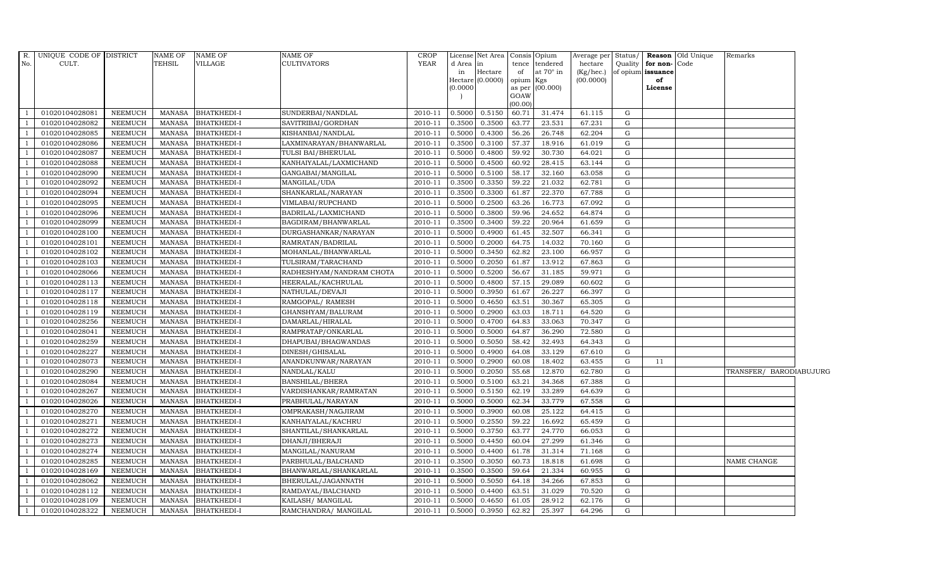| R.             | UNIQUE CODE OF DISTRICT |                | NAME OF       | NAME OF            | NAME OF                  | <b>CROP</b> |          | License Net Area Consis Opium |                |                  | Average per Status/ |   |                      | <b>Reason</b> Old Unique | Remarks                 |  |
|----------------|-------------------------|----------------|---------------|--------------------|--------------------------|-------------|----------|-------------------------------|----------------|------------------|---------------------|---|----------------------|--------------------------|-------------------------|--|
| No.            | CULT.                   |                | TEHSIL        | VILLAGE            | CULTIVATORS              | <b>YEAR</b> | d Area   | lin.                          | tence          | tendered         | hectare             |   | Quality for non-Code |                          |                         |  |
|                |                         |                |               |                    |                          |             | in       | Hectare                       | of             | at $70^\circ$ in | (Kg/hec.)           |   | of opium issuance    |                          |                         |  |
|                |                         |                |               |                    |                          |             | (0.0000) | Hectare (0.0000)              | opium          | Kgs              | (00.0000)           |   | of                   |                          |                         |  |
|                |                         |                |               |                    |                          |             |          |                               | as per<br>GOAW | (00.000)         |                     |   | License              |                          |                         |  |
|                |                         |                |               |                    |                          |             |          |                               | (00.00)        |                  |                     |   |                      |                          |                         |  |
|                | 01020104028081          | NEEMUCH        | MANASA        | <b>BHATKHEDI-I</b> | SUNDERBAI/NANDLAL        | 2010-11     | 0.5000   | 0.5150                        | 60.71          | 31.474           | 61.115              | G |                      |                          |                         |  |
|                | 01020104028082          | NEEMUCH        | MANASA        | <b>BHATKHEDI-I</b> | SAVITRIBAI/GORDHAN       | 2010-11     | 0.3500   | 0.3500                        | 63.77          | 23.531           | 67.231              | G |                      |                          |                         |  |
|                | 01020104028085          | <b>NEEMUCH</b> | <b>MANASA</b> | BHATKHEDI-I        | KISHANBAI/NANDLAL        | 2010-11     | 0.5000   | 0.4300                        | 56.26          | 26.748           | 62.204              | G |                      |                          |                         |  |
|                | 01020104028086          | <b>NEEMUCH</b> | MANASA        | BHATKHEDI-I        | LAXMINARAYAN/BHANWARLAL  | 2010-11     | 0.3500   | 0.3100                        | 57.37          | 18.916           | 61.019              | G |                      |                          |                         |  |
|                | 01020104028087          | <b>NEEMUCH</b> | <b>MANASA</b> | BHATKHEDI-I        | TULSI BAI/BHERULAL       | 2010-11     | 0.5000   | 0.4800                        | 59.92          | 30.730           | 64.021              | G |                      |                          |                         |  |
|                | 01020104028088          | NEEMUCH        | MANASA        | BHATKHEDI-I        | KANHAIYALAL/LAXMICHAND   | 2010-11     | 0.5000   | 0.4500                        | 60.92          | 28.415           | 63.144              | G |                      |                          |                         |  |
|                | 01020104028090          | <b>NEEMUCH</b> | <b>MANASA</b> | <b>BHATKHEDI-I</b> | GANGABAI/MANGILAL        | 2010-11     | 0.5000   | 0.5100                        | 58.17          | 32.160           | 63.058              | G |                      |                          |                         |  |
|                | 01020104028092          | <b>NEEMUCH</b> | <b>MANASA</b> | BHATKHEDI-I        | MANGILAL/UDA             | 2010-11     | 0.3500   | 0.3350                        | 59.22          | 21.032           | 62.781              | G |                      |                          |                         |  |
|                | 01020104028094          | <b>NEEMUCH</b> | <b>MANASA</b> | <b>BHATKHEDI-I</b> | SHANKARLAL/NARAYAN       | 2010-11     | 0.3500   | 0.3300                        | 61.87          | 22.370           | 67.788              | G |                      |                          |                         |  |
|                | 01020104028095          | <b>NEEMUCH</b> | <b>MANASA</b> | BHATKHEDI-I        | VIMLABAI/RUPCHAND        | 2010-11     | 0.5000   | 0.2500                        | 63.26          | 16.773           | 67.092              | G |                      |                          |                         |  |
| -1             | 01020104028096          | NEEMUCH        | <b>MANASA</b> | BHATKHEDI-I        | BADRILAL/LAXMICHAND      | 2010-11     | 0.5000   | 0.3800                        | 59.96          | 24.652           | 64.874              | G |                      |                          |                         |  |
|                | 01020104028099          | NEEMUCH        | MANASA        | BHATKHEDI-I        | BAGDIRAM/BHANWARLAL      | 2010-11     | 0.3500   | 0.3400                        | 59.22          | 20.964           | 61.659              | G |                      |                          |                         |  |
|                | 01020104028100          | <b>NEEMUCH</b> | MANASA        | BHATKHEDI-I        | DURGASHANKAR/NARAYAN     | 2010-11     | 0.5000   | 0.4900                        | 61.45          | 32.507           | 66.341              | G |                      |                          |                         |  |
|                | 01020104028101          | <b>NEEMUCH</b> | <b>MANASA</b> | <b>BHATKHEDI-I</b> | RAMRATAN/BADRILAL        | 2010-11     | 0.5000   | 0.2000                        | 64.75          | 14.032           | 70.160              | G |                      |                          |                         |  |
|                | 01020104028102          | <b>NEEMUCH</b> | <b>MANASA</b> | BHATKHEDI-I        | MOHANLAL/BHANWARLAL      | 2010-11     | 0.5000   | 0.3450                        | 62.82          | 23.100           | 66.957              | G |                      |                          |                         |  |
|                | 01020104028103          | <b>NEEMUCH</b> | <b>MANASA</b> | BHATKHEDI-I        | TULSIRAM/TARACHAND       | 2010-11     | 0.5000   | 0.2050                        | 61.87          | 13.912           | 67.863              | G |                      |                          |                         |  |
|                | 01020104028066          | NEEMUCH        | <b>MANASA</b> | BHATKHEDI-I        | RADHESHYAM/NANDRAM CHOTA | 2010-11     | 0.5000   | 0.5200                        | 56.67          | 31.185           | 59.971              | G |                      |                          |                         |  |
|                | 01020104028113          | NEEMUCH        | MANASA        | BHATKHEDI-I        | HEERALAL/KACHRULAL       | 2010-11     | 0.5000   | 0.4800                        | 57.15          | 29.089           | 60.602              | G |                      |                          |                         |  |
|                | 01020104028117          | <b>NEEMUCH</b> | <b>MANASA</b> | <b>BHATKHEDI-I</b> | NATHULAL/DEVAJI          | 2010-11     | 0.5000   | 0.3950                        | 61.67          | 26.227           | 66.397              | G |                      |                          |                         |  |
|                | 01020104028118          | <b>NEEMUCH</b> | <b>MANASA</b> | BHATKHEDI-I        | RAMGOPAL/ RAMESH         | 2010-11     | 0.5000   | 0.4650                        | 63.51          | 30.367           | 65.305              | G |                      |                          |                         |  |
|                | 01020104028119          | NEEMUCH        | MANASA        | BHATKHEDI-I        | GHANSHYAM/BALURAM        | 2010-11     | 0.5000   | 0.2900                        | 63.03          | 18.711           | 64.520              | G |                      |                          |                         |  |
|                | 01020104028256          | <b>NEEMUCH</b> | <b>MANASA</b> | BHATKHEDI-I        | DAMARLAL/HIRALAL         | 2010-11     | 0.5000   | 0.4700                        | 64.83          | 33.063           | 70.347              | G |                      |                          |                         |  |
|                | 01020104028041          | <b>NEEMUCH</b> | <b>MANASA</b> | BHATKHEDI-I        | RAMPRATAP/ONKARLAL       | 2010-11     | 0.5000   | 0.5000                        | 64.87          | 36.290           | 72.580              | G |                      |                          |                         |  |
|                | 01020104028259          | <b>NEEMUCH</b> | <b>MANASA</b> | BHATKHEDI-I        | DHAPUBAI/BHAGWANDAS      | 2010-11     | 0.5000   | 0.5050                        | 58.42          | 32.493           | 64.343              | G |                      |                          |                         |  |
|                | 01020104028227          | <b>NEEMUCH</b> | <b>MANASA</b> | <b>BHATKHEDI-I</b> | DINESH/GHISALAL          | 2010-11     | 0.5000   | 0.4900                        | 64.08          | 33.129           | 67.610              | G |                      |                          |                         |  |
|                | 01020104028073          | NEEMUCH        | <b>MANASA</b> | BHATKHEDI-I        | ANANDKUNWAR/NARAYAN      | 2010-11     | 0.5000   | 0.2900                        | 60.08          | 18.402           | 63.455              | G | 11                   |                          |                         |  |
|                | 01020104028290          | <b>NEEMUCH</b> | <b>MANASA</b> | BHATKHEDI-I        | NANDLAL/KALU             | 2010-11     | 0.5000   | 0.2050                        | 55.68          | 12.870           | 62.780              | G |                      |                          | TRANSFER/ BARODIABUJURG |  |
|                | 01020104028084          | <b>NEEMUCH</b> | <b>MANASA</b> | <b>BHATKHEDI-I</b> | <b>BANSHILAL/BHERA</b>   | 2010-11     | 0.5000   | 0.5100                        | 63.21          | 34.368           | 67.388              | G |                      |                          |                         |  |
| $\overline{1}$ | 01020104028267          | <b>NEEMUCH</b> | <b>MANASA</b> | BHATKHEDI-I        | VARDISHANKAR/RAMRATAN    | 2010-11     | 0.5000   | 0.5150                        | 62.19          | 33.289           | 64.639              | G |                      |                          |                         |  |
|                | 01020104028026          | <b>NEEMUCH</b> | MANASA        | <b>BHATKHEDI-I</b> | PRABHULAL/NARAYAN        | 2010-11     | 0.5000   | 0.5000                        | 62.34          | 33.779           | 67.558              | G |                      |                          |                         |  |
|                | 01020104028270          | <b>NEEMUCH</b> | <b>MANASA</b> | <b>BHATKHEDI-I</b> | OMPRAKASH/NAGJIRAM       | 2010-11     | 0.5000   | 0.3900                        | 60.08          | 25.122           | 64.415              | G |                      |                          |                         |  |
|                | 01020104028271          | <b>NEEMUCH</b> | <b>MANASA</b> | <b>BHATKHEDI-I</b> | KANHAIYALAL/KACHRU       | 2010-11     | 0.5000   | 0.2550                        | 59.22          | 16.692           | 65.459              | G |                      |                          |                         |  |
|                | 01020104028272          | <b>NEEMUCH</b> | <b>MANASA</b> | <b>BHATKHEDI-I</b> | SHANTILAL/SHANKARLAL     | 2010-11     | 0.5000   | 0.3750                        | 63.77          | 24.770           | 66.053              | G |                      |                          |                         |  |
|                | 01020104028273          | <b>NEEMUCH</b> | <b>MANASA</b> | BHATKHEDI-I        | DHANJI/BHERAJI           | 2010-11     | 0.5000   | 0.4450                        | 60.04          | 27.299           | 61.346              | G |                      |                          |                         |  |
|                | 01020104028274          | <b>NEEMUCH</b> | <b>MANASA</b> | BHATKHEDI-I        | MANGILAL/NANURAM         | 2010-11     | 0.5000   | 0.4400                        | 61.78          | 31.314           | 71.168              | G |                      |                          |                         |  |
|                | 01020104028285          | <b>NEEMUCH</b> | MANASA        | BHATKHEDI-I        | PARBHULAL/BALCHAND       | 2010-11     | 0.3500   | 0.3050                        | 60.73          | 18.818           | 61.698              | G |                      |                          | NAME CHANGE             |  |
|                | 01020104028169          | <b>NEEMUCH</b> | <b>MANASA</b> | BHATKHEDI-I        | BHANWARLAL/SHANKARLAL    | 2010-11     | 0.3500   | 0.3500                        | 59.64          | 21.334           | 60.955              | G |                      |                          |                         |  |
|                | 01020104028062          | NEEMUCH        | <b>MANASA</b> | BHATKHEDI-I        | BHERULAL/JAGANNATH       | 2010-11     | 0.5000   | 0.5050                        | 64.18          | 34.266           | 67.853              | G |                      |                          |                         |  |
| $\overline{1}$ | 01020104028112          | <b>NEEMUCH</b> | <b>MANASA</b> | BHATKHEDI-I        | RAMDAYAL/BALCHAND        | 2010-11     | 0.5000   | 0.4400                        | 63.51          | 31.029           | 70.520              | G |                      |                          |                         |  |
|                | 01020104028109          | <b>NEEMUCH</b> | <b>MANASA</b> | BHATKHEDI-I        | KAILASH / MANGILAL       | 2010-11     | 0.5000   | 0.4650                        | 61.05          | 28.912           | 62.176              | G |                      |                          |                         |  |
| $\mathbf{1}$   | 01020104028322          | <b>NEEMUCH</b> | MANASA        | <b>BHATKHEDI-I</b> | RAMCHANDRA/ MANGILAL     | 2010-11     | 0.5000   | 0.3950                        | 62.82          | 25.397           | 64.296              | G |                      |                          |                         |  |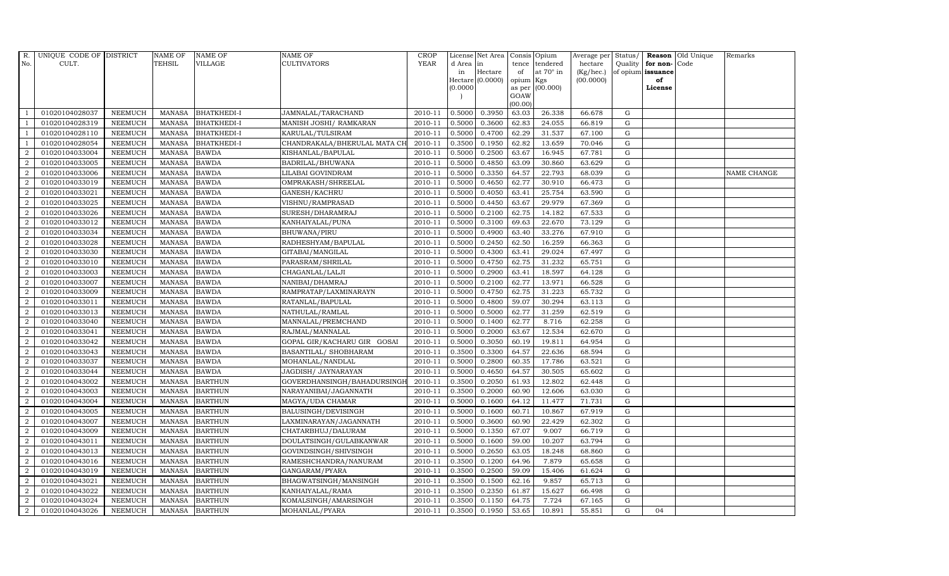| R.               | UNIQUE CODE OF DISTRICT |                | <b>NAME OF</b> | <b>NAME OF</b>     | <b>NAME OF</b>               | CROP        |           | License Net Area   Consis   Opium |           |                  | Average per | Status/     | Reason            | Old Unique | Remarks     |
|------------------|-------------------------|----------------|----------------|--------------------|------------------------------|-------------|-----------|-----------------------------------|-----------|------------------|-------------|-------------|-------------------|------------|-------------|
| No.              | CULT.                   |                | <b>TEHSIL</b>  | <b>VILLAGE</b>     | <b>CULTIVATORS</b>           | <b>YEAR</b> | d Area in |                                   | tence     | tendered         | hectare     | Quality     | for non-          | Code       |             |
|                  |                         |                |                |                    |                              |             | in        | Hectare                           | of        | at $70^\circ$ in | (Kg/hec.)   |             | of opium issuance |            |             |
|                  |                         |                |                |                    |                              |             |           | Hectare (0.0000)                  | opium Kgs |                  | (00.0000)   |             | of                |            |             |
|                  |                         |                |                |                    |                              |             | (0.0000)  |                                   | GOAW      | as per (00.000)  |             |             | License           |            |             |
|                  |                         |                |                |                    |                              |             |           |                                   | (00.00)   |                  |             |             |                   |            |             |
|                  | 01020104028037          | <b>NEEMUCH</b> | MANASA         | <b>BHATKHEDI-I</b> | JAMNALAL/TARACHAND           | 2010-11     | 0.5000    | 0.3950                            | 63.03     | 26.338           | 66.678      | G           |                   |            |             |
| -1               | 01020104028319          | <b>NEEMUCH</b> | MANASA         | <b>BHATKHEDI-I</b> | MANISH JOSHI/ RAMKARAN       | 2010-11     | 0.5000    | 0.3600                            | 62.83     | 24.055           | 66.819      | ${\rm G}$   |                   |            |             |
|                  | 01020104028110          | <b>NEEMUCH</b> | <b>MANASA</b>  | <b>BHATKHEDI-I</b> | KARULAL/TULSIRAM             | 2010-11     | 0.5000    | 0.4700                            | 62.29     | 31.537           | 67.100      | G           |                   |            |             |
|                  | 01020104028054          | <b>NEEMUCH</b> | <b>MANASA</b>  | <b>BHATKHEDI-I</b> | CHANDRAKALA/BHERULAL MATA CH | 2010-11     | 0.3500    | 0.1950                            | 62.82     | 13.659           | 70.046      | $\mathbf G$ |                   |            |             |
| $\overline{2}$   | 01020104033004          | <b>NEEMUCH</b> | <b>MANASA</b>  | <b>BAWDA</b>       | KISHANLAL/BAPULAL            | 2010-11     | 0.5000    | 0.2500                            | 63.67     | 16.945           | 67.781      | ${\rm G}$   |                   |            |             |
| 2                | 01020104033005          | <b>NEEMUCH</b> | MANASA         | <b>BAWDA</b>       | BADRILAL/BHUWANA             | 2010-11     | 0.5000    | 0.4850                            | 63.09     | 30.860           | 63.629      | $\mathbf G$ |                   |            |             |
| 2                | 01020104033006          | <b>NEEMUCH</b> | <b>MANASA</b>  | <b>BAWDA</b>       | LILABAI GOVINDRAM            | 2010-11     | 0.5000    | 0.3350                            | 64.57     | 22.793           | 68.039      | $\mathbf G$ |                   |            | NAME CHANGE |
| $\overline{2}$   | 01020104033019          | <b>NEEMUCH</b> | <b>MANASA</b>  | <b>BAWDA</b>       | OMPRAKASH/SHREELAL           | 2010-11     | 0.5000    | 0.4650                            | 62.77     | 30.910           | 66.473      | $\mathbf G$ |                   |            |             |
| $\overline{2}$   | 01020104033021          | <b>NEEMUCH</b> | <b>MANASA</b>  | <b>BAWDA</b>       | GANESH/KACHRU                | 2010-11     | 0.5000    | 0.4050                            | 63.41     | 25.754           | 63.590      | $\mathbf G$ |                   |            |             |
| $\overline{2}$   | 01020104033025          | <b>NEEMUCH</b> | <b>MANASA</b>  | <b>BAWDA</b>       | VISHNU/RAMPRASAD             | 2010-11     | 0.5000    | 0.4450                            | 63.67     | 29.979           | 67.369      | ${\bf G}$   |                   |            |             |
| $\overline{a}$   | 01020104033026          | <b>NEEMUCH</b> | <b>MANASA</b>  | <b>BAWDA</b>       | SURESH/DHARAMRAJ             | 2010-11     | 0.5000    | 0.2100                            | 62.75     | 14.182           | 67.533      | ${\rm G}$   |                   |            |             |
| $\overline{2}$   | 01020104033012          | <b>NEEMUCH</b> | <b>MANASA</b>  | <b>BAWDA</b>       | KANHAIYALAL/PUNA             | 2010-11     | 0.5000    | 0.3100                            | 69.63     | 22.670           | 73.129      | $\mathbf G$ |                   |            |             |
| 2                | 01020104033034          | <b>NEEMUCH</b> | <b>MANASA</b>  | <b>BAWDA</b>       | BHUWANA/PIRU                 | 2010-11     | 0.5000    | 0.4900                            | 63.40     | 33.276           | 67.910      | $\mathbf G$ |                   |            |             |
| 2                | 01020104033028          | <b>NEEMUCH</b> | <b>MANASA</b>  | <b>BAWDA</b>       | RADHESHYAM/BAPULAL           | 2010-11     | 0.5000    | 0.2450                            | 62.50     | 16.259           | 66.363      | G           |                   |            |             |
| $\overline{2}$   | 01020104033030          | <b>NEEMUCH</b> | <b>MANASA</b>  | <b>BAWDA</b>       | GITABAI/MANGILAL             | 2010-11     | 0.5000    | 0.4300                            | 63.41     | 29.024           | 67.497      | G           |                   |            |             |
| $\overline{a}$   | 01020104033010          | <b>NEEMUCH</b> | <b>MANASA</b>  | <b>BAWDA</b>       | PARASRAM/SHRILAL             | 2010-11     | 0.5000    | 0.4750                            | 62.75     | 31.232           | 65.751      | ${\rm G}$   |                   |            |             |
| 2                | 01020104033003          | <b>NEEMUCH</b> | <b>MANASA</b>  | <b>BAWDA</b>       | CHAGANLAL/LALJI              | 2010-11     | 0.5000    | 0.2900                            | 63.41     | 18.597           | 64.128      | $\mathbf G$ |                   |            |             |
| 2                | 01020104033007          | <b>NEEMUCH</b> | <b>MANASA</b>  | <b>BAWDA</b>       | NANIBAI/DHAMRAJ              | 2010-11     | 0.5000    | 0.2100                            | 62.77     | 13.971           | 66.528      | G           |                   |            |             |
| $\overline{2}$   | 01020104033009          | <b>NEEMUCH</b> | <b>MANASA</b>  | <b>BAWDA</b>       | RAMPRATAP/LAXMINARAYN        | 2010-11     | 0.5000    | 0.4750                            | 62.75     | 31.223           | 65.732      | $\mathbf G$ |                   |            |             |
| $\overline{2}$   | 01020104033011          | <b>NEEMUCH</b> | <b>MANASA</b>  | <b>BAWDA</b>       | RATANLAL/BAPULAL             | 2010-11     | 0.5000    | 0.4800                            | 59.07     | 30.294           | 63.113      | $\mathbf G$ |                   |            |             |
| 2                | 01020104033013          | <b>NEEMUCH</b> | <b>MANASA</b>  | <b>BAWDA</b>       | NATHULAL/RAMLAL              | 2010-11     | 0.5000    | 0.5000                            | 62.77     | 31.259           | 62.519      | ${\rm G}$   |                   |            |             |
| $\overline{a}$   | 01020104033040          | <b>NEEMUCH</b> | <b>MANASA</b>  | <b>BAWDA</b>       | MANNALAL/PREMCHAND           | 2010-11     | 0.5000    | 0.1400                            | 62.77     | 8.716            | 62.258      | ${\rm G}$   |                   |            |             |
| $\overline{2}$   | 01020104033041          | <b>NEEMUCH</b> | <b>MANASA</b>  | <b>BAWDA</b>       | RAJMAL/MANNALAL              | 2010-11     | 0.5000    | 0.2000                            | 63.67     | 12.534           | 62.670      | G           |                   |            |             |
| $\overline{2}$   | 01020104033042          | <b>NEEMUCH</b> | <b>MANASA</b>  | <b>BAWDA</b>       | GOPAL GIR/KACHARU GIR GOSAI  | 2010-11     | 0.5000    | 0.3050                            | 60.19     | 19.811           | 64.954      | $\mathbf G$ |                   |            |             |
| $\boldsymbol{2}$ | 01020104033043          | <b>NEEMUCH</b> | <b>MANASA</b>  | <b>BAWDA</b>       | BASANTILAL/ SHOBHARAM        | 2010-11     | 0.3500    | 0.3300                            | 64.57     | 22.636           | 68.594      | $\mathbf G$ |                   |            |             |
| 2                | 01020104033037          | <b>NEEMUCH</b> | <b>MANASA</b>  | <b>BAWDA</b>       | MOHANLAL/NANDLAL             | 2010-11     | 0.5000    | 0.2800                            | 60.35     | 17.786           | 63.521      | G           |                   |            |             |
| $\overline{a}$   | 01020104033044          | <b>NEEMUCH</b> | <b>MANASA</b>  | <b>BAWDA</b>       | JAGDISH / JAYNARAYAN         | 2010-11     | 0.5000    | 0.4650                            | 64.57     | 30.505           | 65.602      | ${\rm G}$   |                   |            |             |
| 2                | 01020104043002          | <b>NEEMUCH</b> | MANASA         | <b>BARTHUN</b>     | GOVERDHANSINGH/BAHADURSINGF  | 2010-11     | 0.3500    | 0.2050                            | 61.93     | 12.802           | 62.448      | G           |                   |            |             |
| 2                | 01020104043003          | <b>NEEMUCH</b> | <b>MANASA</b>  | <b>BARTHUN</b>     | NARAYANIBAI/JAGANNATH        | 2010-11     | 0.3500    | 0.2000                            | 60.90     | 12.606           | 63.030      | $\mathbf G$ |                   |            |             |
| $\overline{2}$   | 01020104043004          | <b>NEEMUCH</b> | <b>MANASA</b>  | <b>BARTHUN</b>     | MAGYA/UDA CHAMAR             | 2010-11     | 0.5000    | 0.1600                            | 64.12     | 11.477           | 71.731      | $\mathbf G$ |                   |            |             |
| $\overline{2}$   | 01020104043005          | <b>NEEMUCH</b> | <b>MANASA</b>  | <b>BARTHUN</b>     | BALUSINGH/DEVISINGH          | 2010-11     | 0.5000    | 0.1600                            | 60.71     | 10.867           | 67.919      | G           |                   |            |             |
| $\overline{a}$   | 01020104043007          | <b>NEEMUCH</b> | MANASA         | <b>BARTHUN</b>     | LAXMINARAYAN/JAGANNATH       | 2010-11     | 0.5000    | 0.3600                            | 60.90     | 22.429           | 62.302      | ${\rm G}$   |                   |            |             |
| $\overline{a}$   | 01020104043009          | <b>NEEMUCH</b> | MANASA         | <b>BARTHUN</b>     | CHATARBHUJ/DALURAM           | 2010-11     | 0.5000    | 0.1350                            | 67.07     | 9.007            | 66.719      | $\mathbf G$ |                   |            |             |
| 2                | 01020104043011          | <b>NEEMUCH</b> | <b>MANASA</b>  | <b>BARTHUN</b>     | DOULATSINGH/GULABKANWAR      | 2010-11     | 0.5000    | 0.1600                            | 59.00     | 10.207           | 63.794      | $\mathbf G$ |                   |            |             |
| $\overline{2}$   | 01020104043013          | <b>NEEMUCH</b> | <b>MANASA</b>  | <b>BARTHUN</b>     | GOVINDSINGH/SHIVSINGH        | 2010-11     | 0.5000    | 0.2650                            | 63.05     | 18.248           | 68.860      | $\mathbf G$ |                   |            |             |
| $\overline{a}$   | 01020104043016          | <b>NEEMUCH</b> | <b>MANASA</b>  | <b>BARTHUN</b>     | RAMESHCHANDRA/NANURAM        | 2010-11     | 0.3500    | 0.1200                            | 64.96     | 7.879            | 65.658      | ${\rm G}$   |                   |            |             |
| $\overline{2}$   | 01020104043019          | <b>NEEMUCH</b> | <b>MANASA</b>  | <b>BARTHUN</b>     | GANGARAM/PYARA               | 2010-11     | 0.3500    | 0.2500                            | 59.09     | 15.406           | 61.624      | ${\rm G}$   |                   |            |             |
| $\overline{a}$   | 01020104043021          | <b>NEEMUCH</b> | <b>MANASA</b>  | <b>BARTHUN</b>     | BHAGWATSINGH/MANSINGH        | 2010-11     | 0.3500    | 0.1500                            | 62.16     | 9.857            | 65.713      | $\mathbf G$ |                   |            |             |
| $\overline{2}$   | 01020104043022          | <b>NEEMUCH</b> | <b>MANASA</b>  | <b>BARTHUN</b>     | KANHAIYALAL/RAMA             | 2010-11     | 0.3500    | 0.2350                            | 61.87     | 15.627           | 66.498      | G           |                   |            |             |
| 2                | 01020104043024          | <b>NEEMUCH</b> | <b>MANASA</b>  | <b>BARTHUN</b>     | KOMALSINGH/AMARSINGH         | 2010-11     | 0.3500    | 0.1150                            | 64.75     | 7.724            | 67.165      | $\mathbf G$ |                   |            |             |
| $\overline{a}$   | 01020104043026          | <b>NEEMUCH</b> |                | MANASA BARTHUN     | MOHANLAL/PYARA               | 2010-11     | 0.3500    | 0.1950                            | 53.65     | 10.891           | 55.851      | G           | 04                |            |             |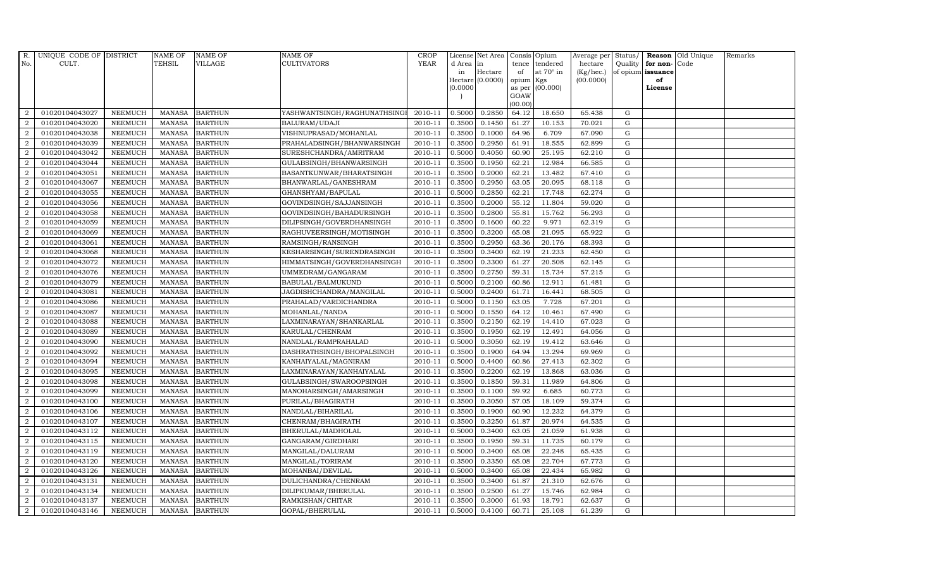| R.             | UNIQUE CODE OF DISTRICT |                | <b>NAME OF</b> | <b>NAME OF</b> | <b>NAME OF</b>               | <b>CROP</b> |           | License Net Area   |         | Consis Opium     | Average per | Status/     |                   | Reason Old Unique | Remarks |
|----------------|-------------------------|----------------|----------------|----------------|------------------------------|-------------|-----------|--------------------|---------|------------------|-------------|-------------|-------------------|-------------------|---------|
| No.            | CULT.                   |                | TEHSIL         | VILLAGE        | <b>CULTIVATORS</b>           | <b>YEAR</b> | d Area in |                    | tence   | tendered         | hectare     |             | Quality for non-  | Code              |         |
|                |                         |                |                |                |                              |             | in        | Hectare            | of      | at $70^\circ$ in | (Kg/hec.)   |             | of opium issuance |                   |         |
|                |                         |                |                |                |                              |             |           | $Hectare (0.0000)$ | opium   | Kgs              | (00.0000)   |             | of                |                   |         |
|                |                         |                |                |                |                              |             | (0.0000)  |                    | GOAW    | as per (00.000)  |             |             | License           |                   |         |
|                |                         |                |                |                |                              |             |           |                    | (00.00) |                  |             |             |                   |                   |         |
| $\overline{2}$ | 01020104043027          | <b>NEEMUCH</b> |                | MANASA BARTHUN | YASHWANTSINGH/RAGHUNATHSINGI | 2010-11     | 0.5000    | 0.2850             | 64.12   | 18.650           | 65.438      | G           |                   |                   |         |
| $\overline{2}$ | 01020104043020          | <b>NEEMUCH</b> | MANASA         | <b>BARTHUN</b> | BALURAM/UDAJI                | 2010-11     | 0.3500    | 0.1450             | 61.27   | 10.153           | 70.021      | G           |                   |                   |         |
| 2              | 01020104043038          | <b>NEEMUCH</b> | <b>MANASA</b>  | <b>BARTHUN</b> | VISHNUPRASAD/MOHANLAL        | 2010-11     | 0.3500    | 0.1000             | 64.96   | 6.709            | 67.090      | G           |                   |                   |         |
| $\overline{2}$ | 01020104043039          | <b>NEEMUCH</b> | MANASA         | <b>BARTHUN</b> | PRAHALADSINGH/BHANWARSINGH   | 2010-11     | 0.3500    | 0.2950             | 61.91   | 18.555           | 62.899      | G           |                   |                   |         |
| $\overline{a}$ | 01020104043042          | <b>NEEMUCH</b> | <b>MANASA</b>  | <b>BARTHUN</b> | SURESHCHANDRA/AMRITRAM       | 2010-11     | 0.5000    | 0.4050             | 60.90   | 25.195           | 62.210      | G           |                   |                   |         |
| 2              | 01020104043044          | <b>NEEMUCH</b> | MANASA         | <b>BARTHUN</b> | GULABSINGH/BHANWARSINGH      | 2010-11     | 0.3500    | 0.1950             | 62.21   | 12.984           | 66.585      | G           |                   |                   |         |
| $\overline{a}$ | 01020104043051          | <b>NEEMUCH</b> | MANASA         | <b>BARTHUN</b> | BASANTKUNWAR/BHARATSINGH     | 2010-11     | 0.3500    | 0.2000             | 62.21   | 13.482           | 67.410      | ${\rm G}$   |                   |                   |         |
| $\overline{2}$ | 01020104043067          | <b>NEEMUCH</b> | <b>MANASA</b>  | <b>BARTHUN</b> | BHANWARLAL/GANESHRAM         | 2010-11     | 0.3500    | 0.2950             | 63.05   | 20.095           | 68.118      | ${\rm G}$   |                   |                   |         |
| $\overline{2}$ | 01020104043055          | <b>NEEMUCH</b> | MANASA         | <b>BARTHUN</b> | GHANSHYAM/BAPULAL            | 2010-11     | 0.5000    | 0.2850             | 62.21   | 17.748           | 62.274      | $\mathbf G$ |                   |                   |         |
| $\overline{2}$ | 01020104043056          | <b>NEEMUCH</b> | <b>MANASA</b>  | <b>BARTHUN</b> | GOVINDSINGH/SAJJANSINGH      | 2010-11     | 0.3500    | 0.2000             | 55.12   | 11.804           | 59.020      | G           |                   |                   |         |
| $\overline{a}$ | 01020104043058          | <b>NEEMUCH</b> | <b>MANASA</b>  | <b>BARTHUN</b> | GOVINDSINGH/BAHADURSINGH     | 2010-11     | 0.3500    | 0.2800             | 55.81   | 15.762           | 56.293      | G           |                   |                   |         |
| $\overline{2}$ | 01020104043059          | <b>NEEMUCH</b> | MANASA         | <b>BARTHUN</b> | DILIPSINGH/GOVERDHANSINGH    | 2010-11     | 0.3500    | 0.1600             | 60.22   | 9.971            | 62.319      | G           |                   |                   |         |
| 2              | 01020104043069          | <b>NEEMUCH</b> | <b>MANASA</b>  | <b>BARTHUN</b> | RAGHUVEERSINGH/MOTISINGH     | 2010-11     | 0.3500    | 0.3200             | 65.08   | 21.095           | 65.922      | G           |                   |                   |         |
| 2              | 01020104043061          | <b>NEEMUCH</b> | MANASA         | <b>BARTHUN</b> | RAMSINGH/RANSINGH            | 2010-11     | 0.3500    | 0.2950             | 63.36   | 20.176           | 68.393      | G           |                   |                   |         |
| $\overline{2}$ | 01020104043068          | <b>NEEMUCH</b> | MANASA         | <b>BARTHUN</b> | KESHARSINGH/SURENDRASINGH    | 2010-11     | 0.3500    | 0.3400             | 62.19   | 21.233           | 62.450      | G           |                   |                   |         |
| $\overline{a}$ | 01020104043072          | <b>NEEMUCH</b> | MANASA         | <b>BARTHUN</b> | HIMMATSINGH/GOVERDHANSINGH   | 2010-11     | 0.3500    | 0.3300             | 61.27   | 20.508           | 62.145      | G           |                   |                   |         |
| 2              | 01020104043076          | <b>NEEMUCH</b> | MANASA         | <b>BARTHUN</b> | UMMEDRAM/GANGARAM            | 2010-11     | 0.3500    | 0.2750             | 59.31   | 15.734           | 57.215      | G           |                   |                   |         |
| 2              | 01020104043079          | <b>NEEMUCH</b> | MANASA         | <b>BARTHUN</b> | BABULAL/BALMUKUND            | 2010-11     | 0.5000    | 0.2100             | 60.86   | 12.911           | 61.481      | G           |                   |                   |         |
| $\overline{2}$ | 01020104043081          | <b>NEEMUCH</b> | MANASA         | <b>BARTHUN</b> | JAGDISHCHANDRA/MANGILAL      | 2010-11     | 0.5000    | 0.2400             | 61.71   | 16.441           | 68.505      | G           |                   |                   |         |
| $\overline{2}$ | 01020104043086          | <b>NEEMUCH</b> | <b>MANASA</b>  | <b>BARTHUN</b> | PRAHALAD/VARDICHANDRA        | 2010-11     | 0.5000    | 0.1150             | 63.05   | 7.728            | 67.201      | G           |                   |                   |         |
| 2              | 01020104043087          | <b>NEEMUCH</b> | <b>MANASA</b>  | <b>BARTHUN</b> | MOHANLAL/NANDA               | 2010-11     | 0.5000    | 0.1550             | 64.12   | 10.461           | 67.490      | G           |                   |                   |         |
| $\overline{a}$ | 01020104043088          | <b>NEEMUCH</b> | MANASA         | <b>BARTHUN</b> | LAXMINARAYAN/SHANKARLAL      | 2010-11     | 0.3500    | 0.2150             | 62.19   | 14.410           | 67.023      | G           |                   |                   |         |
| $\overline{2}$ | 01020104043089          | <b>NEEMUCH</b> | MANASA         | <b>BARTHUN</b> | KARULAL/CHENRAM              | 2010-11     | 0.3500    | 0.1950             | 62.19   | 12.491           | 64.056      | G           |                   |                   |         |
| $\overline{2}$ | 01020104043090          | <b>NEEMUCH</b> | <b>MANASA</b>  | <b>BARTHUN</b> | NANDLAL/RAMPRAHALAD          | 2010-11     | 0.5000    | 0.3050             | 62.19   | 19.412           | 63.646      | $\mathbf G$ |                   |                   |         |
| 2              | 01020104043092          | <b>NEEMUCH</b> | <b>MANASA</b>  | <b>BARTHUN</b> | DASHRATHSINGH/BHOPALSINGH    | 2010-11     | 0.3500    | 0.1900             | 64.94   | 13.294           | 69.969      | G           |                   |                   |         |
| $\overline{2}$ | 01020104043094          | <b>NEEMUCH</b> | <b>MANASA</b>  | <b>BARTHUN</b> | KANHAIYALAL/MAGNIRAM         | 2010-11     | 0.5000    | 0.4400             | 60.86   | 27.413           | 62.302      | G           |                   |                   |         |
| 2              | 01020104043095          | <b>NEEMUCH</b> | <b>MANASA</b>  | <b>BARTHUN</b> | LAXMINARAYAN/KANHAIYALAL     | 2010-11     | 0.3500    | 0.2200             | 62.19   | 13.868           | 63.036      | G           |                   |                   |         |
| 2              | 01020104043098          | <b>NEEMUCH</b> | MANASA         | <b>BARTHUN</b> | GULABSINGH/SWAROOPSINGH      | 2010-11     | 0.3500    | 0.1850             | 59.31   | 11.989           | 64.806      | G           |                   |                   |         |
| 2              | 01020104043099          | <b>NEEMUCH</b> | <b>MANASA</b>  | <b>BARTHUN</b> | MANOHARSINGH/AMARSINGH       | 2010-11     | 0.3500    | 0.1100             | 59.92   | 6.685            | 60.773      | $\mathbf G$ |                   |                   |         |
| $\overline{2}$ | 01020104043100          | <b>NEEMUCH</b> | <b>MANASA</b>  | <b>BARTHUN</b> | PURILAL/BHAGIRATH            | 2010-11     | 0.3500    | 0.3050             | 57.05   | 18.109           | 59.374      | G           |                   |                   |         |
| $\overline{2}$ | 01020104043106          | <b>NEEMUCH</b> | MANASA         | <b>BARTHUN</b> | NANDLAL/BIHARILAL            | 2010-11     | 0.3500    | 0.1900             | 60.90   | 12.232           | 64.379      | G           |                   |                   |         |
| $\overline{a}$ | 01020104043107          | <b>NEEMUCH</b> | <b>MANASA</b>  | <b>BARTHUN</b> | CHENRAM/BHAGIRATH            | 2010-11     | 0.3500    | 0.3250             | 61.87   | 20.974           | 64.535      | G           |                   |                   |         |
| $\overline{a}$ | 01020104043112          | <b>NEEMUCH</b> | MANASA         | <b>BARTHUN</b> | BHERULAL/MADHOLAL            | 2010-11     | 0.5000    | 0.3400             | 63.05   | 21.059           | 61.938      | G           |                   |                   |         |
| 2              | 01020104043115          | <b>NEEMUCH</b> | <b>MANASA</b>  | <b>BARTHUN</b> | GANGARAM/GIRDHARI            | 2010-11     | 0.3500    | 0.1950             | 59.31   | 11.735           | 60.179      | G           |                   |                   |         |
| $\overline{2}$ | 01020104043119          | <b>NEEMUCH</b> | <b>MANASA</b>  | <b>BARTHUN</b> | MANGILAL/DALURAM             | 2010-11     | 0.5000    | 0.3400             | 65.08   | 22.248           | 65.435      | $\mathbf G$ |                   |                   |         |
| $\overline{a}$ | 01020104043120          | <b>NEEMUCH</b> | <b>MANASA</b>  | <b>BARTHUN</b> | MANGILAL/TORIRAM             | 2010-11     | 0.3500    | 0.3350             | 65.08   | 22.704           | 67.773      | G           |                   |                   |         |
| $\overline{2}$ | 01020104043126          | <b>NEEMUCH</b> | <b>MANASA</b>  | <b>BARTHUN</b> | MOHANBAI/DEVILAL             | 2010-11     | 0.5000    | 0.3400             | 65.08   | 22.434           | 65.982      | G           |                   |                   |         |
| $\overline{a}$ | 01020104043131          | <b>NEEMUCH</b> | <b>MANASA</b>  | <b>BARTHUN</b> | DULICHANDRA/CHENRAM          | 2010-11     | 0.3500    | 0.3400             | 61.87   | 21.310           | 62.676      | ${\rm G}$   |                   |                   |         |
| $\overline{2}$ | 01020104043134          | <b>NEEMUCH</b> | <b>MANASA</b>  | <b>BARTHUN</b> | DILIPKUMAR/BHERULAL          | 2010-11     | 0.3500    | 0.2500             | 61.27   | 15.746           | 62.984      | G           |                   |                   |         |
| 2              | 01020104043137          | <b>NEEMUCH</b> | <b>MANASA</b>  | <b>BARTHUN</b> | RAMKISHAN/CHITAR             | 2010-11     | 0.3500    | 0.3000             | 61.93   | 18.791           | 62.637      | $\mathbf G$ |                   |                   |         |
| $\overline{a}$ | 01020104043146          | <b>NEEMUCH</b> |                | MANASA BARTHUN | GOPAL/BHERULAL               | 2010-11     | 0.5000    | 0.4100             | 60.71   | 25.108           | 61.239      | G           |                   |                   |         |
|                |                         |                |                |                |                              |             |           |                    |         |                  |             |             |                   |                   |         |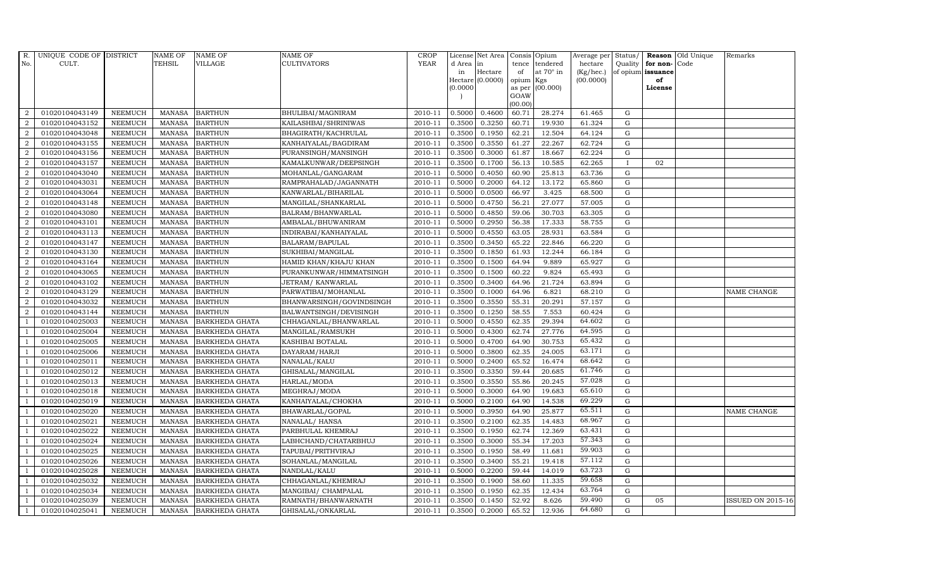| R.               | UNIQUE CODE OF DISTRICT |                | <b>NAME OF</b>  | <b>NAME OF</b>        | <b>NAME OF</b>           | <b>CROP</b> |           | License Net Area Consis Opium |           |                  | Average per Status/ |              |                      | <b>Reason</b> Old Unique | Remarks                  |
|------------------|-------------------------|----------------|-----------------|-----------------------|--------------------------|-------------|-----------|-------------------------------|-----------|------------------|---------------------|--------------|----------------------|--------------------------|--------------------------|
| No.              | CULT.                   |                | <b>TEHSIL</b>   | <b>VILLAGE</b>        | <b>CULTIVATORS</b>       | <b>YEAR</b> | d Area in |                               |           | tence tendered   | hectare             |              | Quality for non-Code |                          |                          |
|                  |                         |                |                 |                       |                          |             | in        | Hectare                       | of        | at $70^\circ$ in | (Kg/hec.)           |              | of opium issuance    |                          |                          |
|                  |                         |                |                 |                       |                          |             | 0.0000    | Hectare (0.0000)              | opium Kgs | as per (00.000)  | (00.0000)           |              | of<br>License        |                          |                          |
|                  |                         |                |                 |                       |                          |             |           |                               | GOAW      |                  |                     |              |                      |                          |                          |
|                  |                         |                |                 |                       |                          |             |           |                               | (00.00)   |                  |                     |              |                      |                          |                          |
| $\overline{2}$   | 01020104043149          | <b>NEEMUCH</b> | MANASA          | <b>BARTHUN</b>        | BHULIBAI/MAGNIRAM        | 2010-11     | 0.5000    | 0.4600                        | 60.71     | 28.274           | 61.465              | G            |                      |                          |                          |
| $\overline{2}$   | 01020104043152          | <b>NEEMUCH</b> | MANASA          | <b>BARTHUN</b>        | KAILASHBAI/SHRINIWAS     | 2010-11     | 0.3500    | 0.3250                        | 60.71     | 19.930           | 61.324              | $\mathbf G$  |                      |                          |                          |
| $\overline{2}$   | 01020104043048          | <b>NEEMUCH</b> | <b>MANASA</b>   | <b>BARTHUN</b>        | BHAGIRATH/KACHRULAL      | 2010-11     | 0.3500    | 0.1950                        | 62.21     | 12.504           | 64.124              | G            |                      |                          |                          |
| $\overline{2}$   | 01020104043155          | <b>NEEMUCH</b> | <b>MANASA</b>   | <b>BARTHUN</b>        | KANHAIYALAL/BAGDIRAM     | 2010-11     | 0.3500    | 0.3550                        | 61.27     | 22.267           | 62.724              | $\mathbf G$  |                      |                          |                          |
| $\overline{2}$   | 01020104043156          | <b>NEEMUCH</b> | <b>MANASA</b>   | <b>BARTHUN</b>        | PURANSINGH/MANSINGH      | 2010-11     | 0.3500    | 0.3000                        | 61.87     | 18.667           | 62.224              | $\mathbf G$  |                      |                          |                          |
| $\overline{2}$   | 01020104043157          | <b>NEEMUCH</b> | <b>MANASA</b>   | <b>BARTHUN</b>        | KAMALKUNWAR/DEEPSINGH    | 2010-11     | 0.3500    | 0.1700                        | 56.13     | 10.585           | 62.265              | $\mathbf{I}$ | 02                   |                          |                          |
| $\overline{2}$   | 01020104043040          | <b>NEEMUCH</b> | <b>MANASA</b>   | <b>BARTHUN</b>        | MOHANLAL/GANGARAM        | 2010-11     | 0.5000    | 0.4050                        | 60.90     | 25.813           | 63.736              | $\mathbf G$  |                      |                          |                          |
| 2                | 01020104043031          | <b>NEEMUCH</b> | <b>MANASA</b>   | <b>BARTHUN</b>        | RAMPRAHALAD/JAGANNATH    | 2010-11     | 0.5000    | 0.2000                        | 64.12     | 13.172           | 65.860              | $\mathbf G$  |                      |                          |                          |
| $\overline{2}$   | 01020104043064          | <b>NEEMUCH</b> | <b>MANASA</b>   | <b>BARTHUN</b>        | KANWARLAL/BIHARILAL      | 2010-11     | 0.5000    | 0.0500                        | 66.97     | 3.425            | 68.500              | G            |                      |                          |                          |
| 2                | 01020104043148          | <b>NEEMUCH</b> | <b>MANASA</b>   | <b>BARTHUN</b>        | MANGILAL/SHANKARLAL      | 2010-11     | 0.5000    | 0.4750                        | 56.21     | 27.077           | 57.005              | $\mathbf G$  |                      |                          |                          |
| $\overline{a}$   | 01020104043080          | <b>NEEMUCH</b> | <b>MANASA</b>   | <b>BARTHUN</b>        | BALRAM/BHANWARLAL        | 2010-11     | 0.5000    | 0.4850                        | 59.06     | 30.703           | 63.305              | $\mathbf G$  |                      |                          |                          |
| $\overline{a}$   | 01020104043101          | <b>NEEMUCH</b> | MANASA          | <b>BARTHUN</b>        | AMBALAL/BHUWANIRAM       | 2010-11     | 0.5000    | 0.2950                        | 56.38     | 17.333           | 58.755              | ${\rm G}$    |                      |                          |                          |
| 2                | 01020104043113          | <b>NEEMUCH</b> | <b>MANASA</b>   | <b>BARTHUN</b>        | INDIRABAI/KANHAIYALAL    | 2010-11     | 0.5000    | 0.4550                        | 63.05     | 28.931           | 63.584              | G            |                      |                          |                          |
| $\overline{2}$   | 01020104043147          | <b>NEEMUCH</b> | <b>MANASA</b>   | <b>BARTHUN</b>        | BALARAM/BAPULAL          | 2010-11     | 0.3500    | 0.3450                        | 65.22     | 22.846           | 66.220              | $\mathbf G$  |                      |                          |                          |
| $\boldsymbol{2}$ | 01020104043130          | <b>NEEMUCH</b> | $\mbox{MANASA}$ | <b>BARTHUN</b>        | SUKHIBAI/MANGILAL        | 2010-11     | 0.3500    | 0.1850                        | 61.93     | 12.244           | 66.184              | ${\rm G}$    |                      |                          |                          |
| 2                | 01020104043164          | <b>NEEMUCH</b> | <b>MANASA</b>   | <b>BARTHUN</b>        | HAMID KHAN/KHAJU KHAN    | 2010-11     | 0.3500    | 0.1500                        | 64.94     | 9.889            | 65.927              | G            |                      |                          |                          |
| 2                | 01020104043065          | <b>NEEMUCH</b> | <b>MANASA</b>   | <b>BARTHUN</b>        | PURANKUNWAR/HIMMATSINGH  | 2010-11     | 0.3500    | 0.1500                        | 60.22     | 9.824            | 65.493              | $\mathbf G$  |                      |                          |                          |
| $\overline{a}$   | 01020104043102          | <b>NEEMUCH</b> | <b>MANASA</b>   | <b>BARTHUN</b>        | JETRAM/KANWARLAL         | 2010-11     | 0.3500    | 0.3400                        | 64.96     | 21.724           | 63.894              | G            |                      |                          |                          |
| $\overline{2}$   | 01020104043129          | <b>NEEMUCH</b> | <b>MANASA</b>   | <b>BARTHUN</b>        | PARWATIBAI/MOHANLAL      | 2010-11     | 0.3500    | 0.1000                        | 64.96     | 6.821            | 68.210              | $\mathbf G$  |                      |                          | <b>NAME CHANGE</b>       |
| $\overline{2}$   | 01020104043032          | NEEMUCH        | <b>MANASA</b>   | <b>BARTHUN</b>        | BHANWARSINGH/GOVINDSINGH | 2010-11     | 0.3500    | 0.3550                        | 55.31     | 20.291           | 57.157              | $\mathbf G$  |                      |                          |                          |
| 2                | 01020104043144          | <b>NEEMUCH</b> | <b>MANASA</b>   | <b>BARTHUN</b>        | BALWANTSINGH/DEVISINGH   | 2010-11     | 0.3500    | 0.1250                        | 58.55     | 7.553            | 60.424              | G            |                      |                          |                          |
| -1               | 01020104025003          | <b>NEEMUCH</b> | <b>MANASA</b>   | <b>BARKHEDA GHATA</b> | CHHAGANLAL/BHANWARLAL    | 2010-11     | 0.5000    | 0.4550                        | 62.35     | 29.394           | 64.602              | G            |                      |                          |                          |
| $\mathbf{1}$     | 01020104025004          | <b>NEEMUCH</b> | <b>MANASA</b>   | <b>BARKHEDA GHATA</b> | MANGILAL/RAMSUKH         | 2010-11     | 0.5000    | 0.4300                        | 62.74     | 27.776           | 64.595              | ${\rm G}$    |                      |                          |                          |
| $\overline{1}$   | 01020104025005          | <b>NEEMUCH</b> | <b>MANASA</b>   | <b>BARKHEDA GHATA</b> | KASHIBAI BOTALAL         | 2010-11     | 0.5000    | 0.4700                        | 64.90     | 30.753           | 65.432              | $\mathbf G$  |                      |                          |                          |
|                  | 01020104025006          | <b>NEEMUCH</b> | <b>MANASA</b>   | <b>BARKHEDA GHATA</b> | DAYARAM/HARJI            | 2010-11     | 0.5000    | 0.3800                        | 62.35     | 24.005           | 63.171              | $\mathbf G$  |                      |                          |                          |
| $\overline{1}$   | 01020104025011          | <b>NEEMUCH</b> | <b>MANASA</b>   | <b>BARKHEDA GHATA</b> | NANALAL/KALU             | 2010-11     | 0.5000    | 0.2400                        | 65.52     | 16.474           | 68.642              | $\mathbf G$  |                      |                          |                          |
|                  | 01020104025012          | <b>NEEMUCH</b> | <b>MANASA</b>   | <b>BARKHEDA GHATA</b> | GHISALAL/MANGILAL        | 2010-11     | 0.3500    | 0.3350                        | 59.44     | 20.685           | 61.746              | $\mathbf G$  |                      |                          |                          |
|                  | 01020104025013          | <b>NEEMUCH</b> | <b>MANASA</b>   | <b>BARKHEDA GHATA</b> | HARLAL/MODA              | 2010-11     | 0.3500    | 0.3550                        | 55.86     | 20.245           | 57.028              | $\mathbf G$  |                      |                          |                          |
| $\overline{1}$   | 01020104025018          | <b>NEEMUCH</b> | <b>MANASA</b>   | <b>BARKHEDA GHATA</b> | MEGHRAJ/MODA             | 2010-11     | 0.5000    | 0.3000                        | 64.90     | 19.683           | 65.610              | $\mathbf G$  |                      |                          |                          |
|                  | 01020104025019          | NEEMUCH        | <b>MANASA</b>   | <b>BARKHEDA GHATA</b> | KANHAIYALAL/CHOKHA       | 2010-11     | 0.5000    | 0.2100                        | 64.90     | 14.538           | 69.229              | G            |                      |                          |                          |
|                  | 01020104025020          | <b>NEEMUCH</b> | <b>MANASA</b>   | <b>BARKHEDA GHATA</b> | BHAWARLAL/GOPAL          | 2010-11     | 0.5000    | 0.3950                        | 64.90     | 25.877           | 65.511              | $\mathbf G$  |                      |                          | NAME CHANGE              |
| $\overline{1}$   | 01020104025021          | <b>NEEMUCH</b> | <b>MANASA</b>   | <b>BARKHEDA GHATA</b> | NANALAL/ HANSA           | 2010-11     | 0.3500    | 0.2100                        | 62.35     | 14.483           | 68.967              | $\mathbf G$  |                      |                          |                          |
|                  | 01020104025022          | <b>NEEMUCH</b> | <b>MANASA</b>   | <b>BARKHEDA GHATA</b> | PARBHULAL KHEMRAJ        | 2010-11     | 0.3500    | 0.1950                        | 62.74     | 12.369           | 63.431              | $\mathbf G$  |                      |                          |                          |
| $\overline{1}$   | 01020104025024          | <b>NEEMUCH</b> | <b>MANASA</b>   | <b>BARKHEDA GHATA</b> | LABHCHAND/CHATARBHUJ     | 2010-11     | 0.3500    | 0.3000                        | 55.34     | 17.203           | 57.343              | $\mathbf G$  |                      |                          |                          |
|                  | 01020104025025          | <b>NEEMUCH</b> | <b>MANASA</b>   | <b>BARKHEDA GHATA</b> | TAPUBAI/PRITHVIRAJ       | 2010-11     | 0.3500    | 0.1950                        | 58.49     | 11.681           | 59.903              | $\mathbf G$  |                      |                          |                          |
|                  | 01020104025026          | <b>NEEMUCH</b> | <b>MANASA</b>   | <b>BARKHEDA GHATA</b> | SOHANLAL/MANGILAL        | 2010-11     | 0.3500    | 0.3400                        | 55.21     | 19.418           | 57.112              | $\mathbf G$  |                      |                          |                          |
| -1               | 01020104025028          | <b>NEEMUCH</b> | <b>MANASA</b>   | BARKHEDA GHATA        | NANDLAL/KALU             | 2010-11     | 0.5000    | 0.2200                        | 59.44     | 14.019           | 63.723              | G            |                      |                          |                          |
| $\overline{1}$   | 01020104025032          | <b>NEEMUCH</b> | <b>MANASA</b>   | <b>BARKHEDA GHATA</b> | CHHAGANLAL/KHEMRAJ       | 2010-11     | 0.3500    | 0.1900                        | 58.60     | 11.335           | 59.658              | ${\rm G}$    |                      |                          |                          |
| $\overline{1}$   | 01020104025034          | <b>NEEMUCH</b> | <b>MANASA</b>   | <b>BARKHEDA GHATA</b> | MANGIBAI/ CHAMPALAL      | 2010-11     | 0.3500    | 0.1950                        | 62.35     | 12.434           | 63.764              | $\mathbf G$  |                      |                          |                          |
| $\overline{1}$   | 01020104025039          | <b>NEEMUCH</b> | <b>MANASA</b>   | <b>BARKHEDA GHATA</b> | RAMNATH/BHANWARNATH      | 2010-11     | 0.3500    | 0.1450                        | 52.92     | 8.626            | 59.490              | $\mathbf G$  | 05                   |                          | <b>ISSUED ON 2015-16</b> |
| $\mathbf{1}$     | 01020104025041          | <b>NEEMUCH</b> |                 | MANASA BARKHEDA GHATA | GHISALAL/ONKARLAL        | 2010-11     | 0.3500    | 0.2000                        | 65.52     | 12.936           | 64.680              | G            |                      |                          |                          |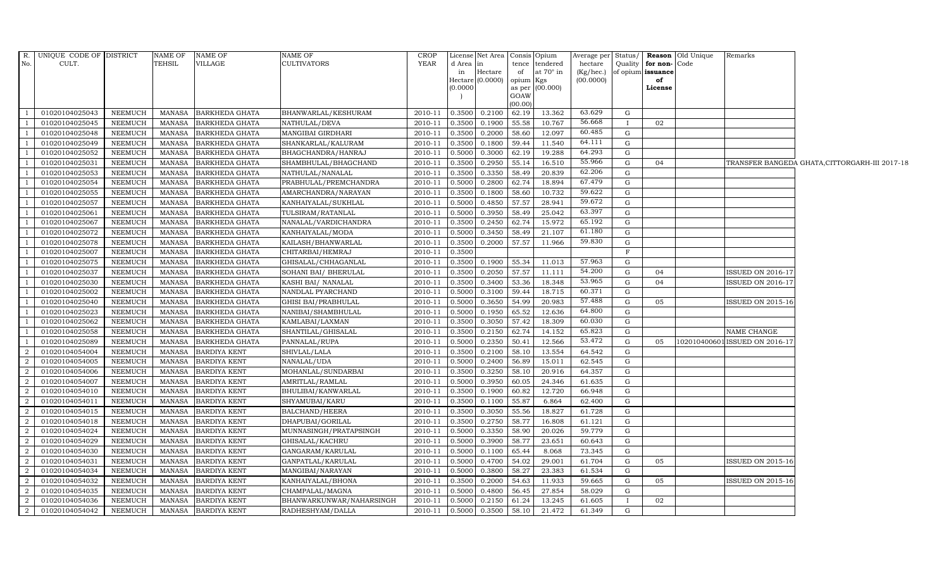|                | R. UNIQUE CODE OF DISTRICT |                | <b>NAME OF</b> | <b>NAME OF</b>        | NAME OF                    | <b>CROP</b> |                     | License Net Area   Consis   Opium |                |                  | Average per Status/ |              |                   | <b>Reason</b> Old Unique | Remarks                        |                                               |
|----------------|----------------------------|----------------|----------------|-----------------------|----------------------------|-------------|---------------------|-----------------------------------|----------------|------------------|---------------------|--------------|-------------------|--------------------------|--------------------------------|-----------------------------------------------|
| No.            | CULT.                      |                | TEHSIL         | VILLAGE               | <b>CULTIVATORS</b>         | YEAR        | d Area              | in                                | tence          | tendered         | hectare             | Quality      | for non-Code      |                          |                                |                                               |
|                |                            |                |                |                       |                            |             | in                  | Hectare                           | of             | at $70^\circ$ in | $(Kg/$ hec.)        |              | of opium issuance |                          |                                |                                               |
|                |                            |                |                |                       |                            |             | Hectare<br>(0.0000) | (0.0000)                          | opium          | Kgs<br>(00.000)  | (00.0000)           |              | of                |                          |                                |                                               |
|                |                            |                |                |                       |                            |             |                     |                                   | as per<br>GOAW |                  |                     |              | License           |                          |                                |                                               |
|                |                            |                |                |                       |                            |             |                     |                                   | (00.00)        |                  |                     |              |                   |                          |                                |                                               |
| <sup>1</sup>   | 01020104025043             | NEEMUCH        | <b>MANASA</b>  | <b>BARKHEDA GHATA</b> | BHANWARLAL/KESHURAM        | 2010-11     | 0.3500              | 0.2100                            | 62.19          | 13.362           | 63.629              | G            |                   |                          |                                |                                               |
|                | 01020104025045             | NEEMUCH        | <b>MANASA</b>  | <b>BARKHEDA GHATA</b> | NATHULAL/DEVA              | 2010-11     | 0.3500              | 0.1900                            | 55.58          | 10.767           | 56.668              | $\mathbf{I}$ | 02                |                          |                                |                                               |
|                | 01020104025048             | NEEMUCH        | <b>MANASA</b>  | <b>BARKHEDA GHATA</b> | MANGIBAI GIRDHARI          | 2010-11     | 0.3500              | 0.2000                            | 58.60          | 12.097           | 60.485              | G            |                   |                          |                                |                                               |
|                | 01020104025049             | <b>NEEMUCH</b> | <b>MANASA</b>  | BARKHEDA GHATA        | SHANKARLAL/KALURAM         | 2010-11     | 0.3500              | 0.1800                            | 59.44          | 11.540           | 64.111              | G            |                   |                          |                                |                                               |
|                | 01020104025052             | NEEMUCH        | <b>MANASA</b>  | BARKHEDA GHATA        | BHAGCHANDRA/HANRAJ         | 2010-11     | 0.5000              | 0.3000                            | 62.19          | 19.288           | 64.293              | G            |                   |                          |                                |                                               |
|                | 01020104025031             | NEEMUCH        | <b>MANASA</b>  | <b>BARKHEDA GHATA</b> | SHAMBHULAL/BHAGCHAND       | 2010-11     | 0.3500              | 0.2950                            | 55.14          | 16.510           | 55.966              | G            | 04                |                          |                                | TRANSFER BANGEDA GHATA,CITTORGARH-III 2017-18 |
|                | 01020104025053             | <b>NEEMUCH</b> | <b>MANASA</b>  | <b>BARKHEDA GHATA</b> | NATHULAL/NANALAL           | 2010-11     | 0.3500              | 0.3350                            | 58.49          | 20.839           | 62.206              | G            |                   |                          |                                |                                               |
|                | 01020104025054             | NEEMUCH        | <b>MANASA</b>  | <b>BARKHEDA GHATA</b> | PRABHULAL/PREMCHANDRA      | 2010-11     | 0.5000              | 0.2800                            | 62.74          | 18.894           | 67.479              | G            |                   |                          |                                |                                               |
|                | 01020104025055             | <b>NEEMUCH</b> | <b>MANASA</b>  | <b>BARKHEDA GHATA</b> | AMARCHANDRA/NARAYAN        | 2010-11     | 0.3500              | 0.1800                            | 58.60          | 10.732           | 59.622              | G            |                   |                          |                                |                                               |
|                | 01020104025057             | NEEMUCH        | <b>MANASA</b>  | <b>BARKHEDA GHATA</b> | KANHAIYALAL/SUKHLAL        | 2010-11     | 0.5000              | 0.4850                            | 57.57          | 28.941           | 59.672              | G            |                   |                          |                                |                                               |
| <sup>1</sup>   | 01020104025061             | NEEMUCH        | <b>MANASA</b>  | BARKHEDA GHATA        | TULSIRAM/RATANLAL          | 2010-11     | 0.5000              | 0.3950                            | 58.49          | 25.042           | 63.397              | G            |                   |                          |                                |                                               |
| $\overline{1}$ | 01020104025067             | NEEMUCH        | <b>MANASA</b>  | <b>BARKHEDA GHATA</b> | NANALAL/VARDICHANDRA       | 2010-11     | 0.3500              | 0.2450                            | 62.74          | 15.972           | 65.192              | G            |                   |                          |                                |                                               |
| $\overline{1}$ | 01020104025072             | NEEMUCH        | <b>MANASA</b>  | <b>BARKHEDA GHATA</b> | KANHAIYALAL/MODA           | 2010-11     | 0.5000              | 0.3450                            | 58.49          | 21.107           | 61.180              | G            |                   |                          |                                |                                               |
|                | 01020104025078             | <b>NEEMUCH</b> | <b>MANASA</b>  | <b>BARKHEDA GHATA</b> | KAILASH/BHANWARLAL         | 2010-11     | 0.3500              | 0.2000                            | 57.57          | 11.966           | 59.830              | G            |                   |                          |                                |                                               |
|                | 01020104025007             | <b>NEEMUCH</b> | <b>MANASA</b>  | BARKHEDA GHATA        | CHITARBAI/HEMRAJ           | 2010-11     | 0.3500              |                                   |                |                  |                     | $\mathbf{F}$ |                   |                          |                                |                                               |
| <sup>1</sup>   | 01020104025075             | <b>NEEMUCH</b> | <b>MANASA</b>  | <b>BARKHEDA GHATA</b> | GHISALAL/CHHAGANLAL        | 2010-11     | 0.3500              | 0.1900 55.34                      |                | 11.013           | 57.963              | G            |                   |                          |                                |                                               |
| $\overline{1}$ | 01020104025037             | <b>NEEMUCH</b> | <b>MANASA</b>  | <b>BARKHEDA GHATA</b> | SOHANI BAI / BHERULAL      | 2010-11     | 0.3500              | 0.2050                            | 57.57          | 11.111           | 54.200              | G            | 04                |                          | <b>ISSUED ON 2016-17</b>       |                                               |
| $\overline{1}$ | 01020104025030             | NEEMUCH        | <b>MANASA</b>  | <b>BARKHEDA GHATA</b> | KASHI BAI/ NANALAL         | 2010-11     | 0.3500              | 0.3400                            | 53.36          | 18.348           | 53.965              | G            | 04                |                          | ISSUED ON 2016-17              |                                               |
|                | 01020104025002             | NEEMUCH        | <b>MANASA</b>  | <b>BARKHEDA GHATA</b> | NANDLAL PYARCHAND          | 2010-11     | 0.5000              | 0.3100                            | 59.44          | 18.715           | 60.371              | G            |                   |                          |                                |                                               |
|                | 01020104025040             | <b>NEEMUCH</b> | <b>MANASA</b>  | <b>BARKHEDA GHATA</b> | <b>GHISI BAI/PRABHULAL</b> | 2010-11     | 0.5000              | 0.3650                            | 54.99          | 20.983           | 57.488              | G            | 05                |                          | <b>ISSUED ON 2015-16</b>       |                                               |
| -1             | 01020104025023             | NEEMUCH        | <b>MANASA</b>  | <b>BARKHEDA GHATA</b> | NANIBAI/SHAMBHULAL         | 2010-11     | 0.5000              | 0.1950                            | 65.52          | 12.636           | 64.800              | G            |                   |                          |                                |                                               |
| <sup>1</sup>   | 01020104025062             | NEEMUCH        | <b>MANASA</b>  | <b>BARKHEDA GHATA</b> | KAMLABAI/LAXMAN            | 2010-11     | 0.3500              | 0.3050                            | 57.42          | 18.309           | 60.030              | G            |                   |                          |                                |                                               |
| $\overline{1}$ | 01020104025058             | NEEMUCH        | <b>MANASA</b>  | <b>BARKHEDA GHATA</b> | SHANTILAL/GHISALAL         | 2010-11     | 0.3500              | 0.2150                            | 62.74          | 14.152           | 65.823              | G            |                   |                          | NAME CHANGE                    |                                               |
| -1             | 01020104025089             | NEEMUCH        | <b>MANASA</b>  | <b>BARKHEDA GHATA</b> | PANNALAL/RUPA              | 2010-11     | 0.5000              | 0.2350                            | 50.41          | 12.566           | 53.472              | G            | 05                |                          | 102010400601 ISSUED ON 2016-17 |                                               |
| $\overline{2}$ | 01020104054004             | <b>NEEMUCH</b> | <b>MANASA</b>  | <b>BARDIYA KENT</b>   | SHIVLAL/LALA               | 2010-11     | 0.3500              | 0.2100                            | 58.10          | 13.554           | 64.542              | G            |                   |                          |                                |                                               |
| $\overline{2}$ | 01020104054005             | NEEMUCH        | <b>MANASA</b>  | <b>BARDIYA KENT</b>   | NANALAL/UDA                | 2010-11     | 0.5000              | 0.2400                            | 56.89          | 15.011           | 62.545              | G            |                   |                          |                                |                                               |
| 2              | 01020104054006             | <b>NEEMUCH</b> | <b>MANASA</b>  | <b>BARDIYA KENT</b>   | MOHANLAL/SUNDARBAI         | 2010-11     | 0.3500              | 0.3250                            | 58.10          | 20.916           | 64.357              | G            |                   |                          |                                |                                               |
| 2              | 01020104054007             | NEEMUCH        | <b>MANASA</b>  | <b>BARDIYA KENT</b>   | AMRITLAL/RAMLAL            | 2010-11     | 0.5000              | 0.3950                            | 60.05          | 24.346           | 61.635              | G            |                   |                          |                                |                                               |
| $\overline{2}$ | 01020104054010             | NEEMUCH        | <b>MANASA</b>  | <b>BARDIYA KENT</b>   | BHULIBAI/KANWARLAL         | 2010-11     | 0.3500              | 0.1900                            | 60.82          | 12.720           | 66.948              | G            |                   |                          |                                |                                               |
| $\overline{2}$ | 01020104054011             | NEEMUCH        | <b>MANASA</b>  | <b>BARDIYA KENT</b>   | SHYAMUBAI/KARU             | 2010-11     | 0.3500              | 0.1100                            | 55.87          | 6.864            | 62.400              | G            |                   |                          |                                |                                               |
| 2              | 01020104054015             | <b>NEEMUCH</b> | <b>MANASA</b>  | <b>BARDIYA KENT</b>   | <b>BALCHAND/HEERA</b>      | 2010-11     | 0.3500              | 0.3050                            | 55.56          | 18.827           | 61.728              | G            |                   |                          |                                |                                               |
| $\overline{a}$ | 01020104054018             | <b>NEEMUCH</b> | <b>MANASA</b>  | <b>BARDIYA KENT</b>   | DHAPUBAI/GORILAL           | 2010-11     | 0.3500              | 0.2750                            | 58.77          | 16.808           | 61.121              | G            |                   |                          |                                |                                               |
| 2              | 01020104054024             | NEEMUCH        | <b>MANASA</b>  | <b>BARDIYA KENT</b>   | MUNNASINGH/PRATAPSINGH     | 2010-11     | 0.5000              | 0.3350                            | 58.90          | 20.026           | 59.779              | G            |                   |                          |                                |                                               |
| 2              | 01020104054029             | NEEMUCH        | <b>MANASA</b>  | <b>BARDIYA KENT</b>   | GHISALAL/KACHRU            | 2010-11     | 0.5000              | 0.3900                            | 58.77          | 23.651           | 60.643              | G            |                   |                          |                                |                                               |
| $\overline{2}$ | 01020104054030             | NEEMUCH        | <b>MANASA</b>  | <b>BARDIYA KENT</b>   | GANGARAM/KARULAL           | 2010-11     | 0.5000              | 0.1100                            | 65.44          | 8.068            | 73.345              | G            |                   |                          |                                |                                               |
| $\overline{a}$ | 01020104054031             | <b>NEEMUCH</b> | <b>MANASA</b>  | <b>BARDIYA KENT</b>   | GANPATLAL/KARULAL          | 2010-11     | 0.5000              | 0.4700                            | 54.02          | 29.001           | 61.704              | G            | 05                |                          | <b>ISSUED ON 2015-16</b>       |                                               |
| $\overline{2}$ | 01020104054034             | <b>NEEMUCH</b> | <b>MANASA</b>  | <b>BARDIYA KENT</b>   | MANGIBAI/NARAYAN           | 2010-11     | 0.5000              | 0.3800                            | 58.27          | 23.383           | 61.534              | G            |                   |                          |                                |                                               |
| $\overline{2}$ | 01020104054032             | <b>NEEMUCH</b> | <b>MANASA</b>  | <b>BARDIYA KENT</b>   | KANHAIYALAL/BHONA          | 2010-11     | 0.3500              | 0.2000                            | 54.63          | 11.933           | 59.665              | G            | 05                |                          | ISSUED ON 2015-16              |                                               |
| 2              | 01020104054035             | NEEMUCH        | <b>MANASA</b>  | <b>BARDIYA KENT</b>   | CHAMPALAL/MAGNA            | 2010-11     | 0.5000              | 0.4800                            | 56.45          | 27.854           | 58.029              | G            |                   |                          |                                |                                               |
| $\overline{2}$ | 01020104054036             | NEEMUCH        | <b>MANASA</b>  | <b>BARDIYA KENT</b>   | BHANWARKUNWAR/NAHARSINGH   | 2010-11     | 0.5000              | 0.2150                            | 61.24          | 13.245           | 61.605              | $\mathbf{I}$ | 02                |                          |                                |                                               |
| $\overline{2}$ | 01020104054042             | NEEMUCH        | MANASA         | <b>BARDIYA KENT</b>   | RADHESHYAM/DALLA           | 2010-11     | 0.5000              | 0.3500                            | 58.10          | 21.472           | 61.349              | G            |                   |                          |                                |                                               |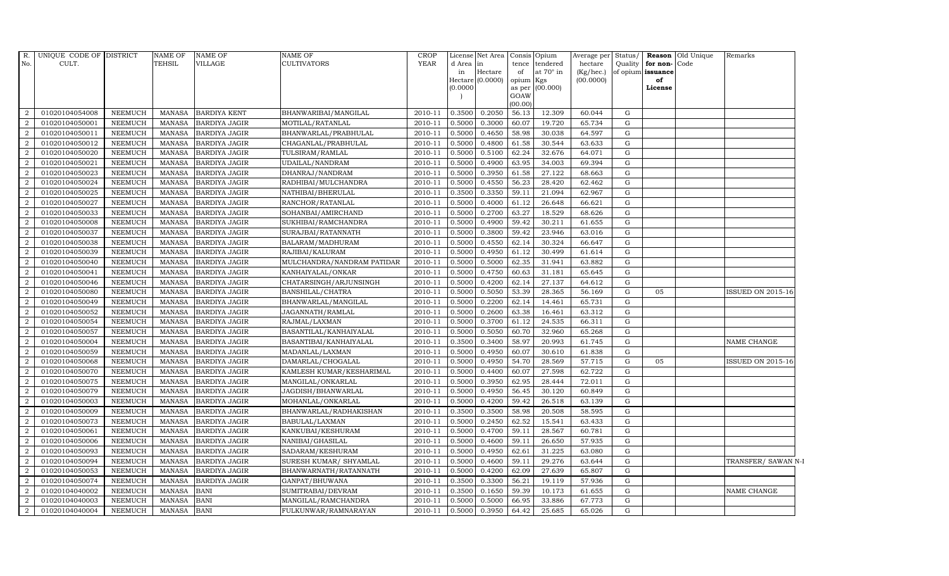| R.             | UNIQUE CODE OF DISTRICT |                | <b>NAME OF</b> | <b>NAME OF</b>       | <b>NAME OF</b>             | <b>CROP</b> |          | License Net Area            | Consis Opium    |                 | Average per            | Status/   |                         | <b>Reason</b> Old Unique | Remarks                  |
|----------------|-------------------------|----------------|----------------|----------------------|----------------------------|-------------|----------|-----------------------------|-----------------|-----------------|------------------------|-----------|-------------------------|--------------------------|--------------------------|
| No.            | CULT.                   |                | <b>TEHSIL</b>  | <b>VILLAGE</b>       | <b>CULTIVATORS</b>         | <b>YEAR</b> | d Area   | in                          |                 | tence tendered  | hectare                | Quality   | for non-Code            |                          |                          |
|                |                         |                |                |                      |                            |             | in       | Hectare<br>Hectare (0.0000) | of<br>opium Kgs | at 70° in       | (Kg/hec.)<br>(00.0000) |           | of opium issuance<br>of |                          |                          |
|                |                         |                |                |                      |                            |             | (0.0000) |                             |                 | as per (00.000) |                        |           | License                 |                          |                          |
|                |                         |                |                |                      |                            |             |          |                             | GOAW            |                 |                        |           |                         |                          |                          |
|                |                         |                |                |                      |                            |             |          |                             | (00.00)         |                 |                        |           |                         |                          |                          |
| 2              | 01020104054008          | <b>NEEMUCH</b> | MANASA         | <b>BARDIYA KENT</b>  | BHANWARIBAI/MANGILAL       | 2010-11     | 0.3500   | 0.2050                      | 56.13           | 12.309          | 60.044                 | G         |                         |                          |                          |
| $\overline{2}$ | 01020104050001          | <b>NEEMUCH</b> | <b>MANASA</b>  | <b>BARDIYA JAGIR</b> | MOTILAL/RATANLAL           | 2010-11     | 0.5000   | 0.3000                      | 60.07           | 19.720          | 65.734                 | ${\rm G}$ |                         |                          |                          |
| $\overline{2}$ | 01020104050011          | <b>NEEMUCH</b> | <b>MANASA</b>  | <b>BARDIYA JAGIR</b> | BHANWARLAL/PRABHULAL       | 2010-11     | 0.5000   | 0.4650                      | 58.98           | 30.038          | 64.597                 | G         |                         |                          |                          |
| $\overline{2}$ | 01020104050012          | <b>NEEMUCH</b> | <b>MANASA</b>  | <b>BARDIYA JAGIR</b> | CHAGANLAL/PRABHULAL        | 2010-11     | 0.5000   | 0.4800                      | 61.58           | 30.544          | 63.633                 | G         |                         |                          |                          |
| $\overline{2}$ | 01020104050020          | <b>NEEMUCH</b> | <b>MANASA</b>  | <b>BARDIYA JAGIR</b> | TULSIRAM/RAMLAL            | 2010-11     | 0.5000   | 0.5100                      | 62.24           | 32.676          | 64.071                 | ${\rm G}$ |                         |                          |                          |
| 2              | 01020104050021          | <b>NEEMUCH</b> | <b>MANASA</b>  | <b>BARDIYA JAGIR</b> | UDAILAL/NANDRAM            | 2010-11     | 0.5000   | 0.4900                      | 63.95           | 34.003          | 69.394                 | G         |                         |                          |                          |
| 2              | 01020104050023          | <b>NEEMUCH</b> | <b>MANASA</b>  | <b>BARDIYA JAGIR</b> | DHANRAJ/NANDRAM            | 2010-11     | 0.5000   | 0.3950                      | 61.58           | 27.122          | 68.663                 | ${\rm G}$ |                         |                          |                          |
| $\overline{2}$ | 01020104050024          | <b>NEEMUCH</b> | <b>MANASA</b>  | <b>BARDIYA JAGIR</b> | RADHIBAI/MULCHANDRA        | 2010-11     | 0.5000   | 0.4550                      | 56.23           | 28.420          | 62.462                 | G         |                         |                          |                          |
| $\overline{2}$ | 01020104050025          | <b>NEEMUCH</b> | <b>MANASA</b>  | <b>BARDIYA JAGIR</b> | NATHIBAI/BHERULAL          | 2010-11     | 0.3500   | 0.3350                      | 59.11           | 21.094          | 62.967                 | G         |                         |                          |                          |
| $\overline{2}$ | 01020104050027          | <b>NEEMUCH</b> | <b>MANASA</b>  | <b>BARDIYA JAGIR</b> | RANCHOR/RATANLAL           | 2010-11     | 0.5000   | 0.4000                      | 61.12           | 26.648          | 66.621                 | G         |                         |                          |                          |
| 2              | 01020104050033          | <b>NEEMUCH</b> | <b>MANASA</b>  | <b>BARDIYA JAGIR</b> | SOHANBAI/AMIRCHAND         | 2010-11     | 0.5000   | 0.2700                      | 63.27           | 18.529          | 68.626                 | G         |                         |                          |                          |
| 2              | 01020104050008          | <b>NEEMUCH</b> | <b>MANASA</b>  | <b>BARDIYA JAGIR</b> | SUKHIBAI/RAMCHANDRA        | 2010-11     | 0.5000   | 0.4900                      | 59.42           | 30.211          | 61.655                 | G         |                         |                          |                          |
| 2              | 01020104050037          | <b>NEEMUCH</b> | <b>MANASA</b>  | <b>BARDIYA JAGIR</b> | SURAJBAI/RATANNATH         | 2010-11     | 0.5000   | 0.3800                      | 59.42           | 23.946          | 63.016                 | G         |                         |                          |                          |
| $\overline{2}$ | 01020104050038          | <b>NEEMUCH</b> | <b>MANASA</b>  | <b>BARDIYA JAGIR</b> | BALARAM/MADHURAM           | 2010-11     | 0.5000   | 0.4550                      | 62.14           | 30.324          | 66.647                 | G         |                         |                          |                          |
| $\overline{2}$ | 01020104050039          | <b>NEEMUCH</b> | <b>MANASA</b>  | <b>BARDIYA JAGIR</b> | RAJIBAI/KALURAM            | 2010-11     | 0.5000   | 0.4950                      | 61.12           | 30.499          | 61.614                 | ${\rm G}$ |                         |                          |                          |
| 2              | 01020104050040          | <b>NEEMUCH</b> | <b>MANASA</b>  | <b>BARDIYA JAGIR</b> | MULCHANDRA/NANDRAM PATIDAR | 2010-11     | 0.5000   | 0.5000                      | 62.35           | 31.941          | 63.882                 | G         |                         |                          |                          |
| 2              | 01020104050041          | <b>NEEMUCH</b> | <b>MANASA</b>  | <b>BARDIYA JAGIR</b> | KANHAIYALAL/ONKAR          | 2010-11     | 0.5000   | 0.4750                      | 60.63           | 31.181          | 65.645                 | G         |                         |                          |                          |
| 2              | 01020104050046          | <b>NEEMUCH</b> | <b>MANASA</b>  | <b>BARDIYA JAGIR</b> | CHATARSINGH/ARJUNSINGH     | 2010-11     | 0.5000   | 0.4200                      | 62.14           | 27.137          | 64.612                 | G         |                         |                          |                          |
| $\overline{2}$ | 01020104050080          | <b>NEEMUCH</b> | <b>MANASA</b>  | <b>BARDIYA JAGIR</b> | BANSHILAL/CHATRA           | 2010-11     | 0.5000   | 0.5050                      | 53.39           | 28.365          | 56.169                 | ${\rm G}$ | 05                      |                          | <b>ISSUED ON 2015-16</b> |
| $\overline{2}$ | 01020104050049          | <b>NEEMUCH</b> | <b>MANASA</b>  | <b>BARDIYA JAGIR</b> | BHANWARLAL/MANGILAL        | 2010-11     | 0.5000   | 0.2200                      | 62.14           | 14.461          | 65.731                 | G         |                         |                          |                          |
| 2              | 01020104050052          | <b>NEEMUCH</b> | <b>MANASA</b>  | <b>BARDIYA JAGIR</b> | JAGANNATH/RAMLAL           | 2010-11     | 0.5000   | 0.2600                      | 63.38           | 16.461          | 63.312                 | G         |                         |                          |                          |
| 2              | 01020104050054          | <b>NEEMUCH</b> | <b>MANASA</b>  | <b>BARDIYA JAGIR</b> | RAJMAL/LAXMAN              | 2010-11     | 0.5000   | 0.3700                      | 61.12           | 24.535          | 66.311                 | G         |                         |                          |                          |
| $\overline{2}$ | 01020104050057          | <b>NEEMUCH</b> | MANASA         | <b>BARDIYA JAGIR</b> | BASANTILAL/KANHAIYALAL     | 2010-11     | 0.5000   | 0.5050                      | 60.70           | 32.960          | 65.268                 | G         |                         |                          |                          |
| 2              | 01020104050004          | <b>NEEMUCH</b> | <b>MANASA</b>  | <b>BARDIYA JAGIR</b> | BASANTIBAI/KANHAIYALAL     | 2010-11     | 0.3500   | 0.3400                      | 58.97           | 20.993          | 61.745                 | ${\rm G}$ |                         |                          | NAME CHANGE              |
| 2              | 01020104050059          | <b>NEEMUCH</b> | <b>MANASA</b>  | <b>BARDIYA JAGIR</b> | MADANLAL/LAXMAN            | 2010-11     | 0.5000   | 0.4950                      | 60.07           | 30.610          | 61.838                 | G         |                         |                          |                          |
| $\overline{2}$ | 01020104050068          | <b>NEEMUCH</b> | <b>MANASA</b>  | <b>BARDIYA JAGIR</b> | DAMARLAL/CHOGALAL          | 2010-11     | 0.5000   | 0.4950                      | 54.70           | 28.569          | 57.715                 | G         | 05                      |                          | ISSUED ON 2015-16        |
| 2              | 01020104050070          | <b>NEEMUCH</b> | <b>MANASA</b>  | <b>BARDIYA JAGIR</b> | KAMLESH KUMAR/KESHARIMAL   | 2010-11     | 0.5000   | 0.4400                      | 60.07           | 27.598          | 62.722                 | G         |                         |                          |                          |
| 2              | 01020104050075          | <b>NEEMUCH</b> | <b>MANASA</b>  | <b>BARDIYA JAGIR</b> | MANGILAL/ONKARLAL          | 2010-11     | 0.5000   | 0.3950                      | 62.95           | 28.444          | 72.011                 | G         |                         |                          |                          |
| 2              | 01020104050079          | <b>NEEMUCH</b> | <b>MANASA</b>  | <b>BARDIYA JAGIR</b> | JAGDISH/BHANWARLAL         | 2010-11     | 0.5000   | 0.4950                      | 56.45           | 30.120          | 60.849                 | ${\rm G}$ |                         |                          |                          |
| $\overline{2}$ | 01020104050003          | <b>NEEMUCH</b> | <b>MANASA</b>  | <b>BARDIYA JAGIR</b> | MOHANLAL/ONKARLAL          | 2010-11     | 0.5000   | 0.4200                      | 59.42           | 26.518          | 63.139                 | G         |                         |                          |                          |
| $\overline{2}$ | 01020104050009          | <b>NEEMUCH</b> | <b>MANASA</b>  | <b>BARDIYA JAGIR</b> | BHANWARLAL/RADHAKISHAN     | 2010-11     | 0.3500   | 0.3500                      | 58.98           | 20.508          | 58.595                 | G         |                         |                          |                          |
| 2              | 01020104050073          | <b>NEEMUCH</b> | <b>MANASA</b>  | <b>BARDIYA JAGIR</b> | BABULAL/LAXMAN             | 2010-11     | 0.5000   | 0.2450                      | 62.52           | 15.541          | 63.433                 | G         |                         |                          |                          |
| $\overline{a}$ | 01020104050061          | <b>NEEMUCH</b> | <b>MANASA</b>  | <b>BARDIYA JAGIR</b> | KANKUBAI/KESHURAM          | 2010-11     | 0.5000   | 0.4700                      | 59.11           | 28.567          | 60.781                 | G         |                         |                          |                          |
| 2              | 01020104050006          | <b>NEEMUCH</b> | <b>MANASA</b>  | <b>BARDIYA JAGIR</b> | NANIBAI/GHASILAL           | 2010-11     | 0.5000   | 0.4600                      | 59.11           | 26.650          | 57.935                 | ${\rm G}$ |                         |                          |                          |
| $\overline{2}$ | 01020104050093          | <b>NEEMUCH</b> | <b>MANASA</b>  | <b>BARDIYA JAGIR</b> | SADARAM/KESHURAM           | 2010-11     | 0.5000   | 0.4950                      | 62.61           | 31.225          | 63.080                 | G         |                         |                          |                          |
| $\overline{2}$ | 01020104050094          | <b>NEEMUCH</b> | <b>MANASA</b>  | <b>BARDIYA JAGIR</b> | SURESH KUMAR/ SHYAMLAL     | 2010-11     | 0.5000   | 0.4600                      | 59.11           | 29.276          | 63.644                 | G         |                         |                          | TRANSFER/ SAWAN N-I      |
| $\overline{2}$ | 01020104050053          | <b>NEEMUCH</b> | <b>MANASA</b>  | <b>BARDIYA JAGIR</b> | BHANWARNATH/RATANNATH      | 2010-11     | 0.5000   | 0.4200                      | 62.09           | 27.639          | 65.807                 | G         |                         |                          |                          |
| 2              | 01020104050074          | <b>NEEMUCH</b> | <b>MANASA</b>  | <b>BARDIYA JAGIR</b> | GANPAT/BHUWANA             | 2010-11     | 0.3500   | 0.3300                      | 56.21           | 19.119          | 57.936                 | G         |                         |                          |                          |
| 2              | 01020104040002          | <b>NEEMUCH</b> | <b>MANASA</b>  | <b>BANI</b>          | SUMITRABAI/DEVRAM          | 2010-11     | 0.3500   | 0.1650                      | 59.39           | 10.173          | 61.655                 | G         |                         |                          | NAME CHANGE              |
| 2              | 01020104040003          | <b>NEEMUCH</b> | <b>MANASA</b>  | <b>BANI</b>          | MANGILAL/RAMCHANDRA        | 2010-11     | 0.5000   | 0.5000                      | 66.95           | 33.886          | 67.773                 | G         |                         |                          |                          |
| $\overline{a}$ | 01020104040004          | <b>NEEMUCH</b> | MANASA         | <b>BANI</b>          | FULKUNWAR/RAMNARAYAN       | 2010-11     | 0.5000   | 0.3950                      | 64.42           | 25.685          | 65.026                 | G         |                         |                          |                          |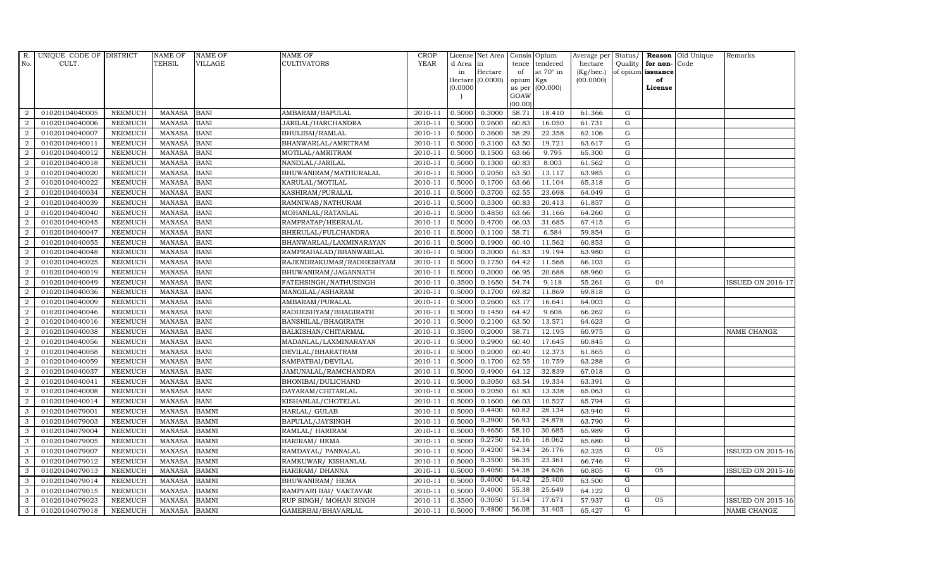| R.               | UNIQUE CODE OF DISTRICT |                | <b>NAME OF</b> | <b>NAME OF</b> | <b>NAME OF</b>           | CROP        |          | License Net Area   Consis   Opium |           |                  | Average per | Status/     | Reason            | Old Unique | Remarks                  |
|------------------|-------------------------|----------------|----------------|----------------|--------------------------|-------------|----------|-----------------------------------|-----------|------------------|-------------|-------------|-------------------|------------|--------------------------|
| No.              | CULT.                   |                | <b>TEHSIL</b>  | VILLAGE        | <b>CULTIVATORS</b>       | <b>YEAR</b> | d Area   | in                                | tence     | tendered         | hectare     | Quality     | for non-          | Code       |                          |
|                  |                         |                |                |                |                          |             | in       | Hectare                           | of        | at $70^\circ$ in | (Kg/hec.)   |             | of opium issuance |            |                          |
|                  |                         |                |                |                |                          |             |          | Hectare (0.0000)                  | opium Kgs |                  | (00.0000)   |             | of                |            |                          |
|                  |                         |                |                |                |                          |             | (0.0000) |                                   | GOAW      | as per (00.000)  |             |             | License           |            |                          |
|                  |                         |                |                |                |                          |             |          |                                   | (00.00)   |                  |             |             |                   |            |                          |
| $\overline{2}$   | 01020104040005          | <b>NEEMUCH</b> | MANASA         | <b>BANI</b>    | AMBARAM/BAPULAL          | 2010-11     | 0.5000   | 0.3000                            | 58.71     | 18.410           | 61.366      | $\mathbf G$ |                   |            |                          |
| $\overline{2}$   | 01020104040006          | <b>NEEMUCH</b> | <b>MANASA</b>  | <b>BANI</b>    | JARILAL/HARCHANDRA       | 2010-11     | 0.5000   | 0.2600                            | 60.83     | 16.050           | 61.731      | $\mathbf G$ |                   |            |                          |
| $\overline{2}$   | 01020104040007          | <b>NEEMUCH</b> | <b>MANASA</b>  | <b>BANI</b>    | BHULIBAI/RAMLAL          | 2010-11     | 0.5000   | 0.3600                            | 58.29     | 22.358           | 62.106      | G           |                   |            |                          |
| $\overline{2}$   | 01020104040011          | <b>NEEMUCH</b> | <b>MANASA</b>  | <b>BANI</b>    | BHANWARLAL/AMRITRAM      | 2010-11     | 0.5000   | 0.3100                            | 63.50     | 19.721           | 63.617      | $\mathbf G$ |                   |            |                          |
| $\overline{2}$   | 01020104040012          | <b>NEEMUCH</b> | <b>MANASA</b>  | <b>BANI</b>    | MOTILAL/AMRITRAM         | 2010-11     | 0.5000   | 0.1500                            | 63.66     | 9.795            | 65.300      | ${\rm G}$   |                   |            |                          |
| $\overline{2}$   | 01020104040018          | <b>NEEMUCH</b> | <b>MANASA</b>  | <b>BANI</b>    | NANDLAL/JARILAL          | 2010-11     | 0.5000   | 0.1300                            | 60.83     | 8.003            | 61.562      | ${\rm G}$   |                   |            |                          |
| $\overline{2}$   | 01020104040020          | <b>NEEMUCH</b> | <b>MANASA</b>  | <b>BANI</b>    | BHUWANIRAM/MATHURALAL    | 2010-11     | 0.5000   | 0.2050                            | 63.50     | 13.117           | 63.985      | G           |                   |            |                          |
| 2                | 01020104040022          | <b>NEEMUCH</b> | <b>MANASA</b>  | <b>BANI</b>    | KARULAL/MOTILAL          | 2010-11     | 0.5000   | 0.1700                            | 63.66     | 11.104           | 65.318      | $\mathbf G$ |                   |            |                          |
| $\overline{2}$   | 01020104040034          | <b>NEEMUCH</b> | <b>MANASA</b>  | <b>BANI</b>    | KASHIRAM/PURALAL         | 2010-11     | 0.5000   | 0.3700                            | 62.55     | 23.698           | 64.049      | G           |                   |            |                          |
| 2                | 01020104040039          | <b>NEEMUCH</b> | <b>MANASA</b>  | <b>BANI</b>    | RAMNIWAS/NATHURAM        | 2010-11     | 0.5000   | 0.3300                            | 60.83     | 20.413           | 61.857      | $\mathbf G$ |                   |            |                          |
| $\overline{a}$   | 01020104040040          | <b>NEEMUCH</b> | <b>MANASA</b>  | <b>BANI</b>    | MOHANLAL/RATANLAL        | 2010-11     | 0.5000   | 0.4850                            | 63.66     | 31.166           | 64.260      | ${\rm G}$   |                   |            |                          |
| $\overline{a}$   | 01020104040045          | <b>NEEMUCH</b> | <b>MANASA</b>  | <b>BANI</b>    | RAMPRATAP/HEERALAL       | 2010-11     | 0.5000   | 0.4700                            | 66.03     | 31.685           | 67.415      | ${\rm G}$   |                   |            |                          |
| $\overline{2}$   | 01020104040047          | <b>NEEMUCH</b> | <b>MANASA</b>  | <b>BANI</b>    | BHERULAL/FULCHANDRA      | 2010-11     | 0.5000   | 0.1100                            | 58.71     | 6.584            | 59.854      | G           |                   |            |                          |
| $\overline{2}$   | 01020104040055          | <b>NEEMUCH</b> | <b>MANASA</b>  | <b>BANI</b>    | BHANWARLAL/LAXMINARAYAN  | 2010-11     | 0.5000   | 0.1900                            | 60.40     | 11.562           | 60.853      | $\mathbf G$ |                   |            |                          |
| $\boldsymbol{2}$ | 01020104040048          | NEEMUCH        | MANASA         | <b>BANI</b>    | RAMPRAHALAD/BHANWARLAL   | 2010-11     | 0.5000   | 0.3000                            | 61.83     | 19.194           | 63.980      | ${\rm G}$   |                   |            |                          |
| 2                | 01020104040025          | <b>NEEMUCH</b> | <b>MANASA</b>  | <b>BANI</b>    | RAJENDRAKUMAR/RADHESHYAM | 2010-11     | 0.5000   | 0.1750                            | 64.42     | 11.568           | 66.103      | ${\rm G}$   |                   |            |                          |
| $\overline{a}$   | 01020104040019          | <b>NEEMUCH</b> | <b>MANASA</b>  | <b>BANI</b>    | BHUWANIRAM/JAGANNATH     | 2010-11     | 0.5000   | 0.3000                            | 66.95     | 20.688           | 68.960      | ${\rm G}$   |                   |            |                          |
| $\overline{a}$   | 01020104040049          | <b>NEEMUCH</b> | MANASA         | <b>BANI</b>    | FATEHSINGH/NATHUSINGH    | 2010-11     | 0.3500   | 0.1650                            | 54.74     | 9.118            | 55.261      | G           | 04                |            | <b>ISSUED ON 2016-17</b> |
| $\overline{2}$   | 01020104040036          | <b>NEEMUCH</b> | <b>MANASA</b>  | <b>BANI</b>    | MANGILAL/ASHARAM         | 2010-11     | 0.5000   | 0.1700                            | 69.82     | 11.869           | 69.818      | $\mathbf G$ |                   |            |                          |
| $\overline{2}$   | 01020104040009          | NEEMUCH        | <b>MANASA</b>  | <b>BANI</b>    | AMBARAM/PURALAL          | 2010-11     | 0.5000   | 0.2600                            | 63.17     | 16.641           | 64.003      | $\mathbf G$ |                   |            |                          |
| 2                | 01020104040046          | <b>NEEMUCH</b> | <b>MANASA</b>  | <b>BANI</b>    | RADHESHYAM/BHAGIRATH     | 2010-11     | 0.5000   | 0.1450                            | 64.42     | 9.608            | 66.262      | ${\rm G}$   |                   |            |                          |
| 2                | 01020104040016          | <b>NEEMUCH</b> | <b>MANASA</b>  | <b>BANI</b>    | BANSHILAL/BHAGIRATH      | 2010-11     | 0.5000   | 0.2100                            | 63.50     | 13.571           | 64.623      | ${\rm G}$   |                   |            |                          |
| $\overline{a}$   | 01020104040038          | <b>NEEMUCH</b> | <b>MANASA</b>  | <b>BANI</b>    | BALKISHAN/CHITARMAL      | 2010-11     | 0.3500   | 0.2000                            | 58.71     | 12.195           | 60.975      | $\mathbf G$ |                   |            | NAME CHANGE              |
| 2                | 01020104040056          | <b>NEEMUCH</b> | <b>MANASA</b>  | <b>BANI</b>    | MADANLAL/LAXMINARAYAN    | 2010-11     | 0.5000   | 0.2900                            | 60.40     | 17.645           | 60.845      | $\mathbf G$ |                   |            |                          |
| $\overline{2}$   | 01020104040058          | <b>NEEMUCH</b> | <b>MANASA</b>  | <b>BANI</b>    | DEVILAL/BHARATRAM        | 2010-11     | 0.5000   | 0.2000                            | 60.40     | 12.373           | 61.865      | $\mathbf G$ |                   |            |                          |
| $\overline{a}$   | 01020104040059          | <b>NEEMUCH</b> | <b>MANASA</b>  | <b>BANI</b>    | SAMPATBAI/DEVILAL        | 2010-11     | 0.5000   | 0.1700                            | 62.55     | 10.759           | 63.288      | ${\rm G}$   |                   |            |                          |
| 2                | 01020104040037          | <b>NEEMUCH</b> | <b>MANASA</b>  | <b>BANI</b>    | JAMUNALAL/RAMCHANDRA     | 2010-11     | 0.5000   | 0.4900                            | 64.12     | 32.839           | 67.018      | $\mathbf G$ |                   |            |                          |
| $\overline{a}$   | 01020104040041          | <b>NEEMUCH</b> | <b>MANASA</b>  | <b>BANI</b>    | BHONIBAI/DULICHAND       | 2010-11     | 0.5000   | 0.3050                            | 63.54     | 19.334           | 63.391      | $\mathbf G$ |                   |            |                          |
| $\overline{2}$   | 01020104040008          | <b>NEEMUCH</b> | <b>MANASA</b>  | <b>BANI</b>    | DAYARAM/CHITARLAL        | 2010-11     | 0.5000   | 0.2050                            | 61.83     | 13.338           | 65.063      | $\mathbf G$ |                   |            |                          |
| 2                | 01020104040014          | <b>NEEMUCH</b> | <b>MANASA</b>  | <b>BANI</b>    | KISHANLAL/CHOTELAL       | 2010-11     | 0.5000   | 0.1600                            | 66.03     | 10.527           | 65.794      | $\mathbf G$ |                   |            |                          |
| 3                | 01020104079001          | <b>NEEMUCH</b> | <b>MANASA</b>  | <b>BAMNI</b>   | HARLAL/ GULAB            | 2010-11     | 0.5000   | 0.4400                            | 60.82     | 28.134           | 63.940      | G           |                   |            |                          |
| 3                | 01020104079003          | <b>NEEMUCH</b> | <b>MANASA</b>  | <b>BAMNI</b>   | BAPULAL/JAYSINGH         | 2010-11     | 0.5000   | 0.3900                            | 56.93     | 24.878           | 63.790      | G           |                   |            |                          |
| 3                | 01020104079004          | <b>NEEMUCH</b> | <b>MANASA</b>  | <b>BAMNI</b>   | RAMLAL/ HARIRAM          | 2010-11     | 0.5000   | 0.4650                            | 58.10     | 30.685           | 65.989      | G           |                   |            |                          |
| 3                | 01020104079005          | <b>NEEMUCH</b> | <b>MANASA</b>  | <b>BAMNI</b>   | HARIRAM/ HEMA            | 2010-11     | 0.5000   | 0.2750                            | 62.16     | 18.062           | 65.680      | G           |                   |            |                          |
| 3                | 01020104079007          | <b>NEEMUCH</b> | <b>MANASA</b>  | <b>BAMNI</b>   | RAMDAYAL/ PANNALAL       | 2010-11     | 0.5000   | 0.4200                            | 54.34     | 26.176           | 62.325      | G           | 05                |            | <b>ISSUED ON 2015-16</b> |
| 3                | 01020104079012          | <b>NEEMUCH</b> | <b>MANASA</b>  | <b>BAMNI</b>   | RAMKUWAR/KISHANLAL       | 2010-11     | 0.5000   | 0.3500                            | 56.35     | 23.361           | 66.746      | G           |                   |            |                          |
| 3                | 01020104079013          | <b>NEEMUCH</b> | <b>MANASA</b>  | <b>BAMNI</b>   | HARIRAM/ DHANNA          | 2010-11     | 0.5000   | 0.4050                            | 54.38     | 24.626           | 60.805      | G           | 05                |            | <b>ISSUED ON 2015-16</b> |
| 3                | 01020104079014          | <b>NEEMUCH</b> | <b>MANASA</b>  | <b>BAMNI</b>   | BHUWANIRAM/ HEMA         | 2010-11     | 0.5000   | 0.4000                            | 64.42     | 25.400           | 63.500      | G           |                   |            |                          |
| 3                | 01020104079015          | <b>NEEMUCH</b> | <b>MANASA</b>  | <b>BAMNI</b>   | RAMPYARI BAI/ VAKTAVAR   | 2010-11     | 0.5000   | 0.4000                            | 55.38     | 25.649           | 64.122      | G           |                   |            |                          |
| 3                | 01020104079023          | <b>NEEMUCH</b> | <b>MANASA</b>  | <b>BAMNI</b>   | RUP SINGH/ MOHAN SINGH   | 2010-11     | 0.3500   | 0.3050                            | 51.54     | 17.671           | 57.937      | G           | 05                |            | <b>ISSUED ON 2015-16</b> |
| 3                | 01020104079018          | <b>NEEMUCH</b> | MANASA BAMNI   |                | GAMERBAI/BHAVARLAL       | 2010-11     | 0.5000   | 0.4800                            | 56.08     | 31.405           | 65.427      | G           |                   |            | NAME CHANGE              |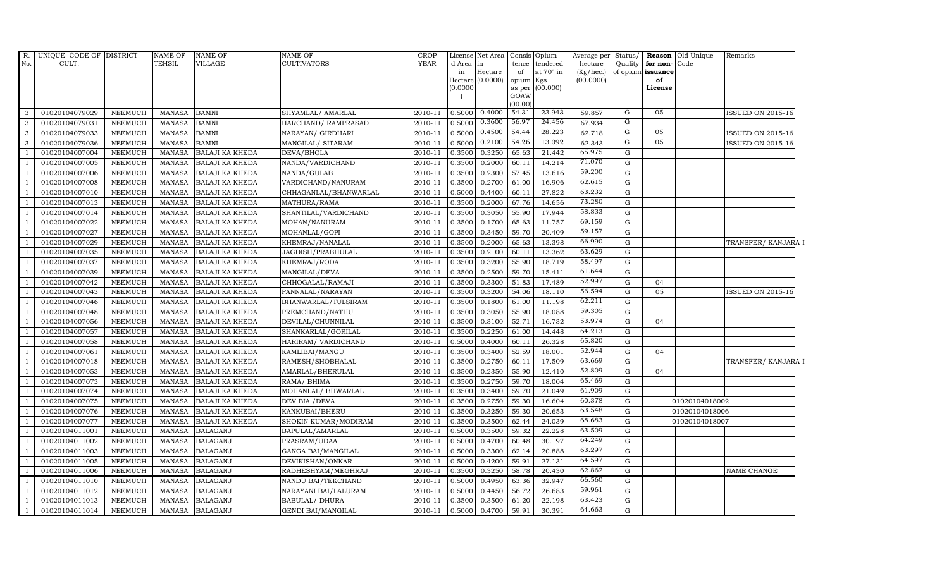| $R_{\cdot}$<br>No.       | UNIQUE CODE OF DISTRICT<br>CULT. |                                  | <b>NAME OF</b><br><b>TEHSIL</b> | <b>NAME OF</b><br>VILLAGE                        | <b>NAME OF</b><br><b>CULTIVATORS</b> | <b>CROP</b><br><b>YEAR</b> | d Area in<br>in<br>(0.0000) | License Net Area Consis Opium<br>Hectare<br>Hectare (0.0000) | of<br>opium Kgs<br>GOAW<br>(00.00) | tence tendered<br>at 70° in<br>as per (00.000) | Average per<br>hectare<br>(Kg/hec.)<br>(00.0000) | Status/<br>Quality     | for non-Code<br>of opium issuance<br>of<br>License | <b>Reason</b> Old Unique | Remarks                  |
|--------------------------|----------------------------------|----------------------------------|---------------------------------|--------------------------------------------------|--------------------------------------|----------------------------|-----------------------------|--------------------------------------------------------------|------------------------------------|------------------------------------------------|--------------------------------------------------|------------------------|----------------------------------------------------|--------------------------|--------------------------|
| 3                        | 01020104079029                   | <b>NEEMUCH</b>                   | <b>MANASA</b>                   | <b>BAMNI</b>                                     | SHYAMLAL/ AMARLAL                    | 2010-11                    | 0.5000                      | 0.4000                                                       | 54.31                              | 23.943                                         | 59.857                                           | G                      | 05                                                 |                          | <b>ISSUED ON 2015-16</b> |
| 3                        | 01020104079031                   | <b>NEEMUCH</b>                   | <b>MANASA</b>                   | <b>BAMNI</b>                                     | HARCHAND/ RAMPRASAD                  | 2010-11                    | 0.5000                      | 0.3600                                                       | 56.97                              | 24.456                                         | 67.934                                           | G                      |                                                    |                          |                          |
| 3                        | 01020104079033                   | <b>NEEMUCH</b>                   | <b>MANASA</b>                   | <b>BAMNI</b>                                     | NARAYAN/ GIRDHARI                    | 2010-11                    | 0.5000                      | 0.4500                                                       | 54.44                              | 28.223                                         | 62.718                                           | G                      | 05                                                 |                          | <b>ISSUED ON 2015-16</b> |
| 3                        | 01020104079036                   | <b>NEEMUCH</b>                   | <b>MANASA</b>                   | <b>BAMNI</b>                                     | MANGILAL/ SITARAM                    | 2010-11                    | 0.5000                      | 0.2100                                                       | 54.26                              | 13.092                                         | 62.343                                           | $\overline{G}$         | 05                                                 |                          | <b>ISSUED ON 2015-16</b> |
| 1                        | 01020104007004                   | <b>NEEMUCH</b>                   | <b>MANASA</b>                   | <b>BALAJI KA KHEDA</b>                           | DEVA/BHOLA                           | 2010-11                    | 0.3500                      | 0.3250                                                       | 65.63                              | 21.442                                         | 65.975                                           | G                      |                                                    |                          |                          |
| $\overline{1}$           | 01020104007005                   | <b>NEEMUCH</b>                   | <b>MANASA</b>                   | <b>BALAJI KA KHEDA</b>                           | NANDA/VARDICHAND                     | 2010-11                    | 0.3500                      | 0.2000                                                       | 60.11                              | 14.214                                         | 71.070                                           | G                      |                                                    |                          |                          |
| $\overline{\phantom{0}}$ | 01020104007006                   | <b>NEEMUCH</b>                   | <b>MANASA</b>                   | <b>BALAJI KA KHEDA</b>                           | NANDA/GULAB                          | 2010-11                    | 0.3500                      | 0.2300                                                       | 57.45                              | 13.616                                         | 59.200                                           | ${\rm G}$              |                                                    |                          |                          |
| $\overline{1}$           | 01020104007008                   | <b>NEEMUCH</b>                   | <b>MANASA</b>                   | <b>BALAJI KA KHEDA</b>                           | VARDICHAND/NANURAM                   | 2010-11                    | 0.3500                      | 0.2700                                                       | 61.00                              | 16.906                                         | 62.615                                           | ${\rm G}$              |                                                    |                          |                          |
|                          | 01020104007010                   | <b>NEEMUCH</b>                   | <b>MANASA</b>                   | <b>BALAJI KA KHEDA</b>                           | CHHAGANLAL/BHANWARLAL                | 2010-11                    | 0.5000                      | 0.4400                                                       | 60.11                              | 27.822                                         | 63.232                                           | ${\rm G}$              |                                                    |                          |                          |
| $\overline{1}$           | 01020104007013                   | <b>NEEMUCH</b>                   | <b>MANASA</b>                   | <b>BALAJI KA KHEDA</b>                           | MATHURA/RAMA                         | 2010-11                    | 0.3500                      | 0.2000                                                       | 67.76                              | 14.656                                         | 73.280                                           | G                      |                                                    |                          |                          |
| <sup>1</sup>             | 01020104007014                   | <b>NEEMUCH</b>                   | <b>MANASA</b>                   | <b>BALAJI KA KHEDA</b>                           | SHANTILAL/VARDICHAND                 | 2010-11                    | 0.3500                      | 0.3050                                                       | 55.90                              | 17.944                                         | 58.833                                           | G                      |                                                    |                          |                          |
| $\overline{\phantom{0}}$ | 01020104007022                   | <b>NEEMUCH</b>                   | <b>MANASA</b>                   | <b>BALAJI KA KHEDA</b>                           | MOHAN/NANURAM                        | 2010-11                    | 0.3500                      | 0.1700                                                       | 65.63                              | 11.757                                         | 69.159                                           | ${\rm G}$              |                                                    |                          |                          |
| $\overline{1}$           | 01020104007027                   | <b>NEEMUCH</b>                   | <b>MANASA</b>                   | <b>BALAJI KA KHEDA</b>                           | MOHANLAL/GOPI                        | 2010-11                    | 0.3500                      | 0.3450                                                       | 59.70                              | 20.409                                         | 59.157                                           | ${\rm G}$              |                                                    |                          |                          |
|                          | 01020104007029                   | <b>NEEMUCH</b>                   | <b>MANASA</b>                   | <b>BALAJI KA KHEDA</b>                           | KHEMRAJ/NANALAL                      | 2010-11                    | 0.3500                      | 0.2000                                                       | 65.63                              | 13.398                                         | 66.990                                           | G                      |                                                    |                          | TRANSFER/KANJARA-I       |
|                          | 01020104007035                   | <b>NEEMUCH</b>                   | <b>MANASA</b>                   | BALAJI KA KHEDA                                  | JAGDISH/PRABHULAL                    | 2010-11                    | 0.3500                      | 0.2100                                                       | 60.11                              | 13.362                                         | 63.629                                           | ${\rm G}$              |                                                    |                          |                          |
| 1                        | 01020104007037                   | <b>NEEMUCH</b>                   | <b>MANASA</b>                   | <b>BALAJI KA KHEDA</b>                           | KHEMRAJ/RODA                         | 2010-11                    | 0.3500                      | 0.3200                                                       | 55.90                              | 18.719                                         | 58.497                                           | G                      |                                                    |                          |                          |
| $\overline{1}$           | 01020104007039                   | <b>NEEMUCH</b>                   | <b>MANASA</b>                   | <b>BALAJI KA KHEDA</b>                           | MANGILAL/DEVA                        | 2010-11                    | 0.3500                      | 0.2500                                                       | 59.70                              | 15.411                                         | 61.644                                           | G                      |                                                    |                          |                          |
| $\overline{1}$           | 01020104007042                   | <b>NEEMUCH</b>                   | <b>MANASA</b>                   | <b>BALAJI KA KHEDA</b>                           | CHHOGALAL/RAMAJI                     | 2010-11                    | 0.3500                      | 0.3300                                                       | 51.83                              | 17.489                                         | 52.997                                           | G                      | 04                                                 |                          |                          |
|                          | 01020104007043                   | <b>NEEMUCH</b>                   | <b>MANASA</b>                   | <b>BALAJI KA KHEDA</b>                           | PANNALAL/NARAYAN                     | 2010-11                    | 0.3500                      | 0.3200                                                       | 54.06                              | 18.110                                         | 56.594                                           | $\mathbf G$            | 05                                                 |                          | <b>ISSUED ON 2015-16</b> |
|                          | 01020104007046                   | <b>NEEMUCH</b>                   | <b>MANASA</b>                   | <b>BALAJI KA KHEDA</b>                           | BHANWARLAL/TULSIRAM                  | 2010-11                    | 0.3500                      | 0.1800                                                       | 61.00                              | 11.198                                         | 62.211                                           | G                      |                                                    |                          |                          |
| $\overline{1}$           | 01020104007048                   | <b>NEEMUCH</b>                   | <b>MANASA</b>                   | <b>BALAJI KA KHEDA</b>                           | PREMCHAND/NATHU                      | 2010-11                    | 0.3500                      | 0.3050                                                       | 55.90                              | 18.088                                         | 59.305                                           | G                      |                                                    |                          |                          |
|                          | 01020104007056                   | <b>NEEMUCH</b>                   | <b>MANASA</b>                   | <b>BALAJI KA KHEDA</b>                           | DEVILAL/CHUNNILAL                    | 2010-11                    | 0.3500                      | 0.3100                                                       | 52.71                              | 16.732                                         | 53.974                                           | ${\rm G}$              | 04                                                 |                          |                          |
| $\overline{\phantom{0}}$ | 01020104007057                   | <b>NEEMUCH</b>                   | <b>MANASA</b>                   | <b>BALAJI KA KHEDA</b>                           | SHANKARLAL/GORILAL                   | 2010-11                    | 0.3500                      | 0.2250                                                       | 61.00                              | 14.448                                         | 64.213                                           | ${\rm G}$              |                                                    |                          |                          |
| $\overline{1}$           | 01020104007058                   | <b>NEEMUCH</b>                   | <b>MANASA</b>                   | <b>BALAJI KA KHEDA</b>                           | HARIRAM/ VARDICHAND                  | 2010-11                    | 0.5000                      | 0.4000                                                       | 60.11                              | 26.328                                         | 65.820                                           | ${\rm G}$              |                                                    |                          |                          |
|                          | 01020104007061                   | <b>NEEMUCH</b>                   | <b>MANASA</b>                   | <b>BALAJI KA KHEDA</b>                           | KAMLIBAI/MANGU                       | 2010-11                    | 0.3500                      | 0.3400                                                       | 52.59                              | 18.001                                         | 52.944<br>63.669                                 | G                      | 04                                                 |                          |                          |
| $\overline{1}$           | 01020104007018                   | <b>NEEMUCH</b>                   | <b>MANASA</b>                   | <b>BALAJI KA KHEDA</b>                           | RAMESH/SHOBHALAL                     | 2010-11                    | 0.3500                      | 0.2750                                                       | 60.11                              | 17.509                                         | 52.809                                           | G                      |                                                    |                          | TRANSFER/KANJARA-I       |
| $\overline{\phantom{0}}$ | 01020104007053                   | <b>NEEMUCH</b>                   | <b>MANASA</b>                   | <b>BALAJI KA KHEDA</b>                           | AMARLAL/BHERULAL                     | 2010-11                    | 0.3500                      | 0.2350                                                       | 55.90                              | 12.410                                         | 65.469                                           | G                      | 04                                                 |                          |                          |
| $\overline{1}$           | 01020104007073<br>01020104007074 | <b>NEEMUCH</b><br><b>NEEMUCH</b> | <b>MANASA</b><br><b>MANASA</b>  | <b>BALAJI KA KHEDA</b><br><b>BALAJI KA KHEDA</b> | RAMA/ BHIMA<br>MOHANLAL/ BHWARLAL    | 2010-11<br>2010-11         | 0.3500<br>0.3500            | 0.2750<br>0.3400                                             | 59.70<br>59.70                     | 18.004<br>21.049                               | 61.909                                           | ${\rm G}$<br>${\rm G}$ |                                                    |                          |                          |
|                          | 01020104007075                   | <b>NEEMUCH</b>                   | <b>MANASA</b>                   | <b>BALAJI KA KHEDA</b>                           | DEV BIA / DEVA                       | 2010-11                    | 0.3500                      | 0.2750                                                       | 59.30                              | 16.604                                         | 60.378                                           | G                      |                                                    | 01020104018002           |                          |
| $\overline{1}$           | 01020104007076                   | <b>NEEMUCH</b>                   | <b>MANASA</b>                   | <b>BALAJI KA KHEDA</b>                           | KANKUBAI/BHERU                       | 2010-11                    | 0.3500                      | 0.3250                                                       | 59.30                              | 20.653                                         | 63.548                                           | G                      |                                                    | 01020104018006           |                          |
| -1                       | 01020104007077                   | <b>NEEMUCH</b>                   | <b>MANASA</b>                   | <b>BALAJI KA KHEDA</b>                           | SHOKIN KUMAR/MODIRAM                 | 2010-11                    | 0.3500                      | 0.3500                                                       | 62.44                              | 24.039                                         | 68.683                                           | G                      |                                                    | 01020104018007           |                          |
| $\overline{1}$           | 01020104011001                   | <b>NEEMUCH</b>                   | <b>MANASA</b>                   | <b>BALAGANJ</b>                                  | BAPULAL/AMARLAL                      | 2010-11                    | 0.5000                      | 0.3500                                                       | 59.32                              | 22.228                                         | 63.509                                           | ${\rm G}$              |                                                    |                          |                          |
| $\overline{1}$           | 01020104011002                   | <b>NEEMUCH</b>                   | <b>MANASA</b>                   | <b>BALAGANJ</b>                                  | PRASRAM/UDAA                         | 2010-11                    | 0.5000                      | 0.4700                                                       | 60.48                              | 30.197                                         | 64.249                                           | ${\rm G}$              |                                                    |                          |                          |
|                          | 01020104011003                   | <b>NEEMUCH</b>                   | <b>MANASA</b>                   | <b>BALAGANJ</b>                                  | <b>GANGA BAI/MANGILAL</b>            | 2010-11                    | 0.5000                      | 0.3300                                                       | 62.14                              | 20.888                                         | 63.297                                           | ${\rm G}$              |                                                    |                          |                          |
| $\overline{1}$           | 01020104011005                   | <b>NEEMUCH</b>                   | <b>MANASA</b>                   | <b>BALAGANJ</b>                                  | DEVIKISHAN/ONKAR                     | 2010-11                    | 0.5000                      | 0.4200                                                       | 59.91                              | 27.131                                         | 64.597                                           | ${\rm G}$              |                                                    |                          |                          |
| $\overline{1}$           | 01020104011006                   | <b>NEEMUCH</b>                   | <b>MANASA</b>                   | <b>BALAGANJ</b>                                  | RADHESHYAM/MEGHRAJ                   | 2010-11                    | 0.3500                      | 0.3250                                                       | 58.78                              | 20.430                                         | 62.862                                           | G                      |                                                    |                          | NAME CHANGE              |
| <sup>1</sup>             | 01020104011010                   | <b>NEEMUCH</b>                   | <b>MANASA</b>                   | <b>BALAGANJ</b>                                  | NANDU BAI/TEKCHAND                   | 2010-11                    | 0.5000                      | 0.4950                                                       | 63.36                              | 32.947                                         | 66.560                                           | ${\rm G}$              |                                                    |                          |                          |
| $\overline{1}$           | 01020104011012                   | <b>NEEMUCH</b>                   | <b>MANASA</b>                   | <b>BALAGANJ</b>                                  | NARAYANI BAI/LALURAM                 | 2010-11                    | 0.5000                      | 0.4450                                                       | 56.72                              | 26.683                                         | 59.961                                           | ${\rm G}$              |                                                    |                          |                          |
| -1                       | 01020104011013                   | <b>NEEMUCH</b>                   | <b>MANASA</b>                   | <b>BALAGANJ</b>                                  | <b>BABULAL/ DHURA</b>                | 2010-11                    | 0.3500                      | 0.3500                                                       | 61.20                              | 22.198                                         | 63.423                                           | G                      |                                                    |                          |                          |
| $\mathbf{1}$             | 01020104011014                   | NEEMUCH                          | MANASA                          | <b>BALAGANJ</b>                                  | <b>GENDI BAI/MANGILAL</b>            | 2010-11                    | 0.5000                      | 0.4700                                                       | 59.91                              | 30.391                                         | 64.663                                           | ${\rm G}$              |                                                    |                          |                          |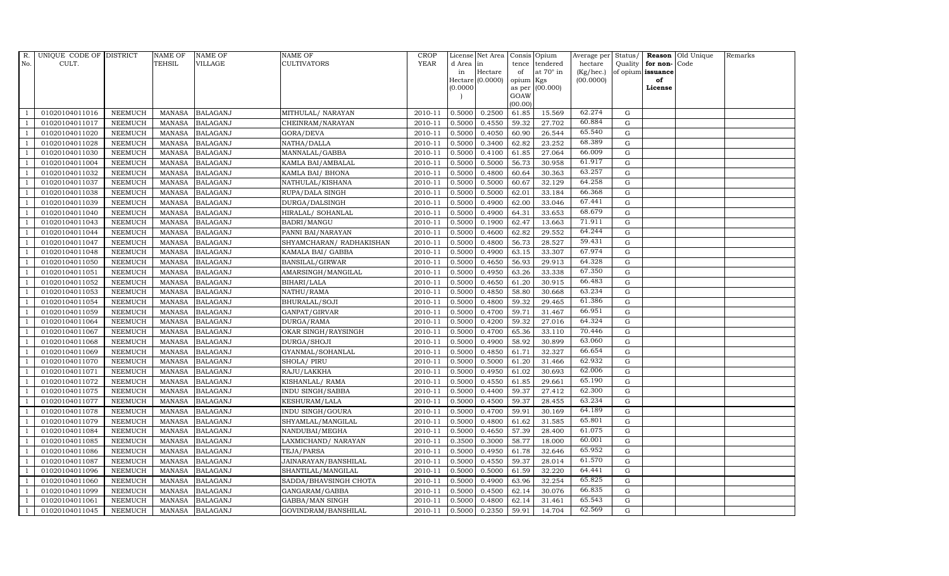| R.  | UNIQUE CODE OF DISTRICT |                | <b>NAME OF</b> | <b>NAME OF</b>  | <b>NAME OF</b>          | <b>CROP</b> |           | License Net Area Consis Opium |           |                  | Average per Status/ |             |                   | <b>Reason</b> Old Unique | Remarks |
|-----|-------------------------|----------------|----------------|-----------------|-------------------------|-------------|-----------|-------------------------------|-----------|------------------|---------------------|-------------|-------------------|--------------------------|---------|
| No. | CULT.                   |                | TEHSIL         | <b>VILLAGE</b>  | <b>CULTIVATORS</b>      | <b>YEAR</b> | d Area in |                               |           | tence tendered   | hectare             | Quality     | for non-          | Code                     |         |
|     |                         |                |                |                 |                         |             | in        | Hectare                       | of        | at $70^\circ$ in | (Kg/hec.)           |             | of opium issuance |                          |         |
|     |                         |                |                |                 |                         |             |           | Hectare $(0.0000)$            | opium Kgs |                  | (00.0000)           |             | of                |                          |         |
|     |                         |                |                |                 |                         |             | (0.0000)  |                               | GOAW      | as per (00.000)  |                     |             | License           |                          |         |
|     |                         |                |                |                 |                         |             |           |                               | (00.00)   |                  |                     |             |                   |                          |         |
|     | 01020104011016          | <b>NEEMUCH</b> | MANASA         | <b>BALAGANJ</b> | MITHULAL/ NARAYAN       | 2010-11     | 0.5000    | 0.2500                        | 61.85     | 15.569           | 62.274              | ${\rm G}$   |                   |                          |         |
|     | 01020104011017          | <b>NEEMUCH</b> | <b>MANASA</b>  | <b>BALAGANJ</b> | CHEINRAM/NARAYAN        | 2010-11     | 0.5000    | 0.4550                        | 59.32     | 27.702           | 60.884              | $\mathbf G$ |                   |                          |         |
|     | 01020104011020          | <b>NEEMUCH</b> | <b>MANASA</b>  | <b>BALAGANJ</b> | GORA/DEVA               | 2010-11     | 0.5000    | 0.4050                        | 60.90     | 26.544           | 65.540              | G           |                   |                          |         |
|     | 01020104011028          | <b>NEEMUCH</b> | <b>MANASA</b>  | <b>BALAGANJ</b> | NATHA/DALLA             | 2010-11     | 0.5000    | 0.3400                        | 62.82     | 23.252           | 68.389              | $\mathbf G$ |                   |                          |         |
|     | 01020104011030          | <b>NEEMUCH</b> | <b>MANASA</b>  | <b>BALAGANJ</b> | MANNALAL/GABBA          | 2010-11     | 0.5000    | 0.4100                        | 61.85     | 27.064           | 66.009              | $\mathbf G$ |                   |                          |         |
|     | 01020104011004          | <b>NEEMUCH</b> | <b>MANASA</b>  | <b>BALAGANJ</b> | KAMLA BAI/AMBALAL       | 2010-11     | 0.5000    | 0.5000                        | 56.73     | 30.958           | 61.917              | $\mathbf G$ |                   |                          |         |
|     | 01020104011032          | <b>NEEMUCH</b> | <b>MANASA</b>  | <b>BALAGANJ</b> | KAMLA BAI/ BHONA        | 2010-11     | 0.5000    | 0.4800                        | 60.64     | 30.363           | 63.257              | $\mathbf G$ |                   |                          |         |
|     | 01020104011037          | <b>NEEMUCH</b> | <b>MANASA</b>  | <b>BALAGANJ</b> | NATHULAL/KISHANA        | 2010-11     | 0.5000    | 0.5000                        | 60.67     | 32.129           | 64.258              | $\mathbf G$ |                   |                          |         |
|     | 01020104011038          | <b>NEEMUCH</b> | <b>MANASA</b>  | <b>BALAGANJ</b> | RUPA/DALA SINGH         | 2010-11     | 0.5000    | 0.5000                        | 62.01     | 33.184           | 66.368              | $\mathbf G$ |                   |                          |         |
|     | 01020104011039          | <b>NEEMUCH</b> | <b>MANASA</b>  | <b>BALAGANJ</b> | DURGA/DALSINGH          | 2010-11     | 0.5000    | 0.4900                        | 62.00     | 33.046           | 67.441              | $\mathbf G$ |                   |                          |         |
|     | 01020104011040          | <b>NEEMUCH</b> | <b>MANASA</b>  | <b>BALAGANJ</b> | HIRALAL/ SOHANLAL       | 2010-11     | 0.5000    | 0.4900                        | 64.31     | 33.653           | 68.679              | $\mathbf G$ |                   |                          |         |
|     | 01020104011043          | <b>NEEMUCH</b> | <b>MANASA</b>  | <b>BALAGANJ</b> | BADRI/MANGU             | 2010-11     | 0.5000    | 0.1900                        | 62.47     | 13.663           | 71.911              | $\mathbf G$ |                   |                          |         |
|     | 01020104011044          | NEEMUCH        | <b>MANASA</b>  | <b>BALAGANJ</b> | PANNI BAI/NARAYAN       | 2010-11     | 0.5000    | 0.4600                        | 62.82     | 29.552           | 64.244              | $\mathbf G$ |                   |                          |         |
|     | 01020104011047          | <b>NEEMUCH</b> | <b>MANASA</b>  | <b>BALAGANJ</b> | SHYAMCHARAN/RADHAKISHAN | 2010-11     | 0.5000    | 0.4800                        | 56.73     | 28.527           | 59.431              | $\mathbf G$ |                   |                          |         |
|     | 01020104011048          | NEEMUCH        | <b>MANASA</b>  | <b>BALAGANJ</b> | KAMALA BAI/ GABBA       | 2010-11     | 0.5000    | 0.4900                        | 63.15     | 33.307           | 67.974              | ${\rm G}$   |                   |                          |         |
|     | 01020104011050          | <b>NEEMUCH</b> | <b>MANASA</b>  | <b>BALAGANJ</b> | BANSILAL/GIRWAR         | 2010-11     | 0.5000    | 0.4650                        | 56.93     | 29.913           | 64.328              | $\mathbf G$ |                   |                          |         |
|     | 01020104011051          | <b>NEEMUCH</b> | <b>MANASA</b>  | <b>BALAGANJ</b> | AMARSINGH/MANGILAL      | 2010-11     | 0.5000    | 0.4950                        | 63.26     | 33.338           | 67.350              | $\mathbf G$ |                   |                          |         |
|     | 01020104011052          | <b>NEEMUCH</b> | <b>MANASA</b>  | <b>BALAGANJ</b> | BIHARI/LALA             | 2010-11     | 0.5000    | 0.4650                        | 61.20     | 30.915           | 66.483              | $\mathbf G$ |                   |                          |         |
|     | 01020104011053          | NEEMUCH        | <b>MANASA</b>  | <b>BALAGANJ</b> | NATHU/RAMA              | 2010-11     | 0.5000    | 0.4850                        | 58.80     | 30.668           | 63.234              | $\mathbf G$ |                   |                          |         |
|     | 01020104011054          | NEEMUCH        | <b>MANASA</b>  | <b>BALAGANJ</b> | BHURALAL/SOJI           | 2010-11     | 0.5000    | 0.4800                        | 59.32     | 29.465           | 61.386              | $\mathbf G$ |                   |                          |         |
|     | 01020104011059          | NEEMUCH        | <b>MANASA</b>  | <b>BALAGANJ</b> | GANPAT/GIRVAR           | 2010-11     | 0.5000    | 0.4700                        | 59.71     | 31.467           | 66.951              | $\mathbf G$ |                   |                          |         |
|     | 01020104011064          | <b>NEEMUCH</b> | <b>MANASA</b>  | <b>BALAGANJ</b> | DURGA/RAMA              | 2010-11     | 0.5000    | 0.4200                        | 59.32     | 27.016           | 64.324              | ${\rm G}$   |                   |                          |         |
|     | 01020104011067          | NEEMUCH        | <b>MANASA</b>  | <b>BALAGANJ</b> | OKAR SINGH/RAYSINGH     | 2010-11     | 0.5000    | 0.4700                        | 65.36     | 33.110           | 70.446              | $\mathbf G$ |                   |                          |         |
|     | 01020104011068          | <b>NEEMUCH</b> | <b>MANASA</b>  | <b>BALAGANJ</b> | DURGA/SHOJI             | 2010-11     | 0.5000    | 0.4900                        | 58.92     | 30.899           | 63.060              | G           |                   |                          |         |
|     | 01020104011069          | <b>NEEMUCH</b> | <b>MANASA</b>  | <b>BALAGANJ</b> | GYANMAL/SOHANLAL        | 2010-11     | 0.5000    | 0.4850                        | 61.71     | 32.327           | 66.654              | $\mathbf G$ |                   |                          |         |
|     | 01020104011070          | NEEMUCH        | <b>MANASA</b>  | <b>BALAGANJ</b> | SHOLA/ PIRU             | 2010-11     | 0.5000    | 0.5000                        | 61.20     | 31.466           | 62.932              | ${\rm G}$   |                   |                          |         |
|     | 01020104011071          | <b>NEEMUCH</b> | <b>MANASA</b>  | <b>BALAGANJ</b> | RAJU/LAKKHA             | 2010-11     | 0.5000    | 0.4950                        | 61.02     | 30.693           | 62.006              | ${\rm G}$   |                   |                          |         |
|     | 01020104011072          | <b>NEEMUCH</b> | <b>MANASA</b>  | <b>BALAGANJ</b> | KISHANLAL/ RAMA         | 2010-11     | 0.5000    | 0.4550                        | 61.85     | 29.661           | 65.190              | $\mathbf G$ |                   |                          |         |
|     | 01020104011075          | <b>NEEMUCH</b> | <b>MANASA</b>  | <b>BALAGANJ</b> | <b>INDU SINGH/SABBA</b> | 2010-11     | 0.5000    | 0.4400                        | 59.37     | 27.412           | 62.300              | $\mathbf G$ |                   |                          |         |
|     | 01020104011077          | <b>NEEMUCH</b> | <b>MANASA</b>  | <b>BALAGANJ</b> | KESHURAM/LALA           | 2010-11     | 0.5000    | 0.4500                        | 59.37     | 28.455           | 63.234              | $\mathbf G$ |                   |                          |         |
|     | 01020104011078          | <b>NEEMUCH</b> | <b>MANASA</b>  | <b>BALAGANJ</b> | INDU SINGH/GOURA        | 2010-11     | 0.5000    | 0.4700                        | 59.91     | 30.169           | 64.189              | ${\rm G}$   |                   |                          |         |
|     | 01020104011079          | <b>NEEMUCH</b> | <b>MANASA</b>  | <b>BALAGANJ</b> | SHYAMLAL/MANGILAL       | 2010-11     | 0.5000    | 0.4800                        | 61.62     | 31.585           | 65.801              | $\mathbf G$ |                   |                          |         |
|     | 01020104011084          | <b>NEEMUCH</b> | <b>MANASA</b>  | <b>BALAGANJ</b> | NANDUBAI/MEGHA          | 2010-11     | 0.5000    | 0.4650                        | 57.39     | 28.400           | 61.075              | $\mathbf G$ |                   |                          |         |
|     | 01020104011085          | <b>NEEMUCH</b> | <b>MANASA</b>  | <b>BALAGANJ</b> | LAXMICHAND/ NARAYAN     | 2010-11     | 0.3500    | 0.3000                        | 58.77     | 18.000           | 60.001              | G           |                   |                          |         |
|     | 01020104011086          | <b>NEEMUCH</b> | <b>MANASA</b>  | <b>BALAGANJ</b> | TEJA/PARSA              | 2010-11     | 0.5000    | 0.4950                        | 61.78     | 32.646           | 65.952              | $\mathbf G$ |                   |                          |         |
|     | 01020104011087          | <b>NEEMUCH</b> | <b>MANASA</b>  | <b>BALAGANJ</b> | JAINARAYAN/BANSHILAL    | 2010-11     | 0.5000    | 0.4550                        | 59.37     | 28.014           | 61.570              | ${\rm G}$   |                   |                          |         |
|     | 01020104011096          | <b>NEEMUCH</b> | <b>MANASA</b>  | <b>BALAGANJ</b> | SHANTILAL/MANGILAL      | 2010-11     | 0.5000    | 0.5000                        | 61.59     | 32.220           | 64.441              | $\mathbf G$ |                   |                          |         |
|     | 01020104011060          | <b>NEEMUCH</b> | <b>MANASA</b>  | <b>BALAGANJ</b> | SADDA/BHAVSINGH CHOTA   | 2010-11     | 0.5000    | 0.4900                        | 63.96     | 32.254           | 65.825              | $\mathbf G$ |                   |                          |         |
|     | 01020104011099          | <b>NEEMUCH</b> | <b>MANASA</b>  | <b>BALAGANJ</b> | GANGARAM/GABBA          | 2010-11     | 0.5000    | 0.4500                        | 62.14     | 30.076           | 66.835              | G           |                   |                          |         |
|     | 01020104011061          | <b>NEEMUCH</b> | <b>MANASA</b>  | <b>BALAGANJ</b> | GABBA/MAN SINGH         | 2010-11     | 0.5000    | 0.4800                        | 62.14     | 31.461           | 65.543              | G           |                   |                          |         |
| -1  | 01020104011045          | <b>NEEMUCH</b> | MANASA         | <b>BALAGANJ</b> | GOVINDRAM/BANSHILAL     | 2010-11     | 0.5000    | 0.2350                        | 59.91     | 14.704           | 62.569              | ${\rm G}$   |                   |                          |         |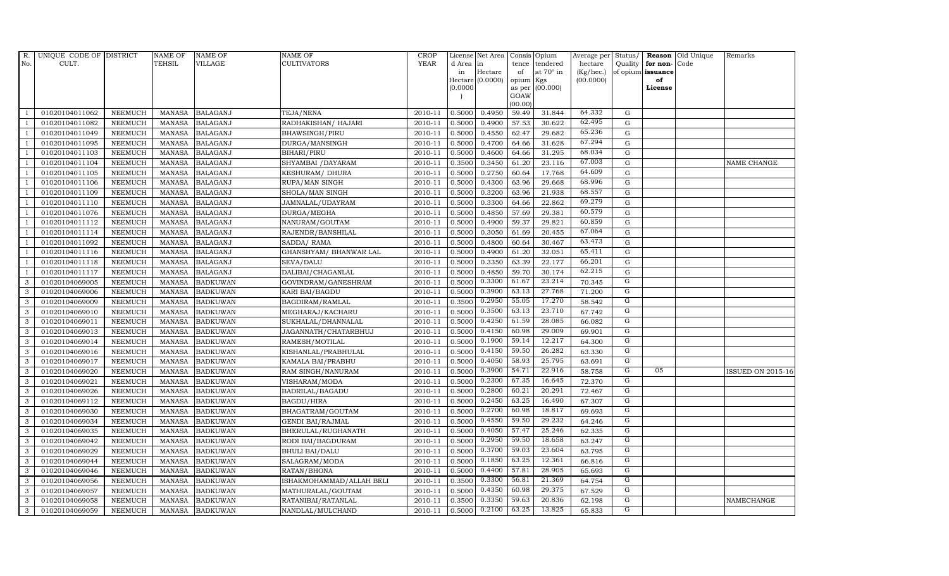| $R$ .          | UNIQUE CODE OF DISTRICT |                | <b>NAME OF</b> | <b>NAME OF</b>  | <b>NAME OF</b>           | CROP        |           | License Net Area Consis Opium |           |                  | Average per | Status/        | Reason            | Old Unique | Remarks                  |
|----------------|-------------------------|----------------|----------------|-----------------|--------------------------|-------------|-----------|-------------------------------|-----------|------------------|-------------|----------------|-------------------|------------|--------------------------|
| No.            | CULT.                   |                | <b>TEHSIL</b>  | <b>VILLAGE</b>  | <b>CULTIVATORS</b>       | <b>YEAR</b> | d Area in |                               | tence     | tendered         | hectare     | Quality        | for non-          | Code       |                          |
|                |                         |                |                |                 |                          |             | in        | Hectare                       | of        | at $70^\circ$ in | (Kg/hec.)   |                | of opium issuance |            |                          |
|                |                         |                |                |                 |                          |             |           | Hectare (0.0000)              | opium Kgs |                  | (00.0000)   |                | of<br>License     |            |                          |
|                |                         |                |                |                 |                          |             | (0.0000)  |                               | GOAW      | as per (00.000)  |             |                |                   |            |                          |
|                |                         |                |                |                 |                          |             |           |                               | (00.00)   |                  |             |                |                   |            |                          |
|                | 01020104011062          | <b>NEEMUCH</b> | MANASA         | <b>BALAGANJ</b> | TEJA/NENA                | 2010-11     | 0.5000    | 0.4950                        | 59.49     | 31.844           | 64.332      | G              |                   |            |                          |
| -1             | 01020104011082          | <b>NEEMUCH</b> | MANASA         | <b>BALAGANJ</b> | RADHAKISHAN/ HAJARI      | 2010-11     | 0.5000    | 0.4900                        | 57.53     | 30.622           | 62.495      | $\mathbf G$    |                   |            |                          |
|                | 01020104011049          | <b>NEEMUCH</b> | <b>MANASA</b>  | <b>BALAGANJ</b> | <b>BHAWSINGH/PIRU</b>    | 2010-11     | 0.5000    | 0.4550                        | 62.47     | 29.682           | 65.236      | G              |                   |            |                          |
|                | 01020104011095          | <b>NEEMUCH</b> | <b>MANASA</b>  | <b>BALAGANJ</b> | DURGA/MANSINGH           | 2010-11     | 0.5000    | 0.4700                        | 64.66     | 31.628           | 67.294      | $\mathbf G$    |                   |            |                          |
| $\overline{1}$ | 01020104011103          | <b>NEEMUCH</b> | <b>MANASA</b>  | <b>BALAGANJ</b> | BIHARI/PIRU              | 2010-11     | 0.5000    | 0.4600                        | 64.66     | 31.295           | 68.034      | ${\rm G}$      |                   |            |                          |
| $\overline{1}$ | 01020104011104          | <b>NEEMUCH</b> | <b>MANASA</b>  | <b>BALAGANJ</b> | SHYAMBAI / DAYARAM       | 2010-11     | 0.3500    | 0.3450                        | 61.20     | 23.116           | 67.003      | $\mathbf G$    |                   |            | NAME CHANGE              |
| $\overline{1}$ | 01020104011105          | <b>NEEMUCH</b> | <b>MANASA</b>  | <b>BALAGANJ</b> | KESHURAM/ DHURA          | 2010-11     | 0.5000    | 0.2750                        | 60.64     | 17.768           | 64.609      | $\mathbf G$    |                   |            |                          |
| $\overline{1}$ | 01020104011106          | <b>NEEMUCH</b> | <b>MANASA</b>  | <b>BALAGANJ</b> | RUPA/MAN SINGH           | 2010-11     | 0.5000    | 0.4300                        | 63.96     | 29.668           | 68.996      | $\mathbf G$    |                   |            |                          |
|                | 01020104011109          | <b>NEEMUCH</b> | <b>MANASA</b>  | <b>BALAGANJ</b> | SHOLA/MAN SINGH          | 2010-11     | 0.5000    | 0.3200                        | 63.96     | 21.938           | 68.557      | G              |                   |            |                          |
|                | 01020104011110          | <b>NEEMUCH</b> | <b>MANASA</b>  | <b>BALAGANJ</b> | JAMNALAL/UDAYRAM         | 2010-11     | 0.5000    | 0.3300                        | 64.66     | 22.862           | 69.279      | $\mathbf G$    |                   |            |                          |
| $\overline{1}$ | 01020104011076          | <b>NEEMUCH</b> | <b>MANASA</b>  | <b>BALAGANJ</b> | DURGA/MEGHA              | 2010-11     | 0.5000    | 0.4850                        | 57.69     | 29.381           | 60.579      | ${\rm G}$      |                   |            |                          |
| $\overline{1}$ | 01020104011112          | <b>NEEMUCH</b> | <b>MANASA</b>  | <b>BALAGANJ</b> | NANURAM/GOUTAM           | 2010-11     | 0.5000    | 0.4900                        | 59.37     | 29.821           | 60.859      | ${\rm G}$      |                   |            |                          |
| $\overline{1}$ | 01020104011114          | <b>NEEMUCH</b> | <b>MANASA</b>  | <b>BALAGANJ</b> | RAJENDR/BANSHILAL        | 2010-11     | 0.5000    | 0.3050                        | 61.69     | 20.455           | 67.064      | $\mathbf G$    |                   |            |                          |
|                | 01020104011092          | <b>NEEMUCH</b> | <b>MANASA</b>  | <b>BALAGANJ</b> | SADDA/RAMA               | 2010-11     | 0.5000    | 0.4800                        | 60.64     | 30.467           | 63.473      | G              |                   |            |                          |
| $\overline{1}$ | 01020104011116          | <b>NEEMUCH</b> | <b>MANASA</b>  | <b>BALAGANJ</b> | GHANSHYAM/ BHANWAR LAL   | 2010-11     | 0.5000    | 0.4900                        | 61.20     | 32.051           | 65.411      | ${\rm G}$      |                   |            |                          |
| -1             | 01020104011118          | <b>NEEMUCH</b> | <b>MANASA</b>  | <b>BALAGANJ</b> | SEVA/DALU                | 2010-11     | 0.5000    | 0.3350                        | 63.39     | 22.177           | 66.201      | $\mathbf G$    |                   |            |                          |
|                | 01020104011117          | <b>NEEMUCH</b> | <b>MANASA</b>  | <b>BALAGANJ</b> | DALIBAI/CHAGANLAL        | 2010-11     | 0.5000    | 0.4850                        | 59.70     | 30.174           | 62.215      | $\mathbf G$    |                   |            |                          |
| 3              | 01020104069005          | <b>NEEMUCH</b> | MANASA         | <b>BADKUWAN</b> | GOVINDRAM/GANESHRAM      | 2010-11     | 0.5000    | 0.3300                        | 61.67     | 23.214           | 70.345      | G              |                   |            |                          |
| 3              | 01020104069006          | <b>NEEMUCH</b> | <b>MANASA</b>  | <b>BADKUWAN</b> | KARI BAI/BAGDU           | 2010-11     | 0.5000    | 0.3900                        | 63.13     | 27.768           | 71.200      | G              |                   |            |                          |
| 3              | 01020104069009          | <b>NEEMUCH</b> | <b>MANASA</b>  | <b>BADKUWAN</b> | BAGDIRAM/RAMLAL          | 2010-11     | 0.3500    | 0.2950                        | 55.05     | 17.270           | 58.542      | G              |                   |            |                          |
| $\mathbf{3}$   | 01020104069010          | <b>NEEMUCH</b> | <b>MANASA</b>  | <b>BADKUWAN</b> | MEGHARAJ/KACHARU         | 2010-11     | 0.5000    | 0.3500                        | 63.13     | 23.710           | 67.742      | $\overline{G}$ |                   |            |                          |
| 3              | 01020104069011          | <b>NEEMUCH</b> | <b>MANASA</b>  | <b>BADKUWAN</b> | SUKHALAL/DHANNALAL       | 2010-11     | 0.5000    | 0.4250                        | 61.59     | 28.085           | 66.082      | G              |                   |            |                          |
| $\mathbf{3}$   | 01020104069013          | <b>NEEMUCH</b> | <b>MANASA</b>  | <b>BADKUWAN</b> | JAGANNATH/CHATARBHUJ     | 2010-11     | 0.5000    | 0.4150                        | 60.98     | 29.009           | 69.901      | $\mathbf G$    |                   |            |                          |
| 3              | 01020104069014          | <b>NEEMUCH</b> | <b>MANASA</b>  | <b>BADKUWAN</b> | RAMESH/MOTILAL           | 2010-11     | 0.5000    | 0.1900                        | 59.14     | 12.217           | 64.300      | $\overline{G}$ |                   |            |                          |
| 3              | 01020104069016          | <b>NEEMUCH</b> | <b>MANASA</b>  | <b>BADKUWAN</b> | KISHANLAL/PRABHULAL      | 2010-11     | 0.5000    | 0.4150                        | 59.50     | 26.282           | 63.330      | G              |                   |            |                          |
| 3              | 01020104069017          | <b>NEEMUCH</b> | <b>MANASA</b>  | <b>BADKUWAN</b> | KAMALA BAI/PRABHU        | 2010-11     | 0.5000    | 0.4050                        | 58.93     | 25.795           | 63.691      | G              |                   |            |                          |
| 3              | 01020104069020          | <b>NEEMUCH</b> | <b>MANASA</b>  | <b>BADKUWAN</b> | RAM SINGH/NANURAM        | 2010-11     | 0.5000    | 0.3900                        | 54.71     | 22.916           | 58.758      | G              | 05                |            | <b>ISSUED ON 2015-16</b> |
| 3              | 01020104069021          | <b>NEEMUCH</b> | MANASA         | <b>BADKUWAN</b> | VISHARAM/MODA            | 2010-11     | 0.5000    | 0.2300                        | 67.35     | 16.645           | 72.370      | G              |                   |            |                          |
| 3              | 01020104069026          | <b>NEEMUCH</b> | <b>MANASA</b>  | <b>BADKUWAN</b> | BADRILAL/BAGADU          | 2010-11     | 0.5000    | 0.2800                        | 60.21     | 20.291           | 72.467      | $\overline{G}$ |                   |            |                          |
| 3              | 01020104069112          | <b>NEEMUCH</b> | <b>MANASA</b>  | <b>BADKUWAN</b> | <b>BAGDU/HIRA</b>        | 2010-11     | 0.5000    | 0.2450                        | 63.25     | 16.490           | 67.307      | G              |                   |            |                          |
| 3              | 01020104069030          | <b>NEEMUCH</b> | <b>MANASA</b>  | <b>BADKUWAN</b> | BHAGATRAM/GOUTAM         | 2010-11     | 0.5000    | 0.2700                        | 60.98     | 18.817           | 69.693      | G              |                   |            |                          |
| 3              | 01020104069034          | <b>NEEMUCH</b> | <b>MANASA</b>  | <b>BADKUWAN</b> | <b>GENDI BAI/RAJMAL</b>  | 2010-11     | 0.5000    | 0.4550                        | 59.50     | 29.232           | 64.246      | G              |                   |            |                          |
| 3              | 01020104069035          | <b>NEEMUCH</b> | MANASA         | <b>BADKUWAN</b> | BHERULAL/RUGHANATH       | 2010-11     | 0.5000    | 0.4050                        | 57.47     | 25.246           | 62.335      | G              |                   |            |                          |
| 3              | 01020104069042          | <b>NEEMUCH</b> | <b>MANASA</b>  | <b>BADKUWAN</b> | RODI BAI/BAGDURAM        | 2010-11     | 0.5000    | 0.2950                        | 59.50     | 18.658           | 63.247      | G              |                   |            |                          |
| 3              | 01020104069029          | <b>NEEMUCH</b> | <b>MANASA</b>  | <b>BADKUWAN</b> | <b>BHULI BAI/DALU</b>    | 2010-11     | 0.5000    | 0.3700                        | 59.03     | 23.604           | 63.795      | G              |                   |            |                          |
| 3              | 01020104069044          | <b>NEEMUCH</b> | <b>MANASA</b>  | <b>BADKUWAN</b> | SALAGRAM/MODA            | 2010-11     | 0.5000    | 0.1850                        | 63.25     | 12.361           | 66.816      | G              |                   |            |                          |
| 3              | 01020104069046          | <b>NEEMUCH</b> | <b>MANASA</b>  | <b>BADKUWAN</b> | RATAN/BHONA              | 2010-11     | 0.5000    | 0.4400                        | 57.81     | 28.905           | 65.693      | G              |                   |            |                          |
| 3              | 01020104069056          | <b>NEEMUCH</b> | <b>MANASA</b>  | <b>BADKUWAN</b> | ISHAKMOHAMMAD/ALLAH BELI | 2010-11     | 0.3500    | 0.3300                        | 56.81     | 21.369           | 64.754      | G              |                   |            |                          |
| 3              | 01020104069057          | <b>NEEMUCH</b> | <b>MANASA</b>  | <b>BADKUWAN</b> | MATHURALAL/GOUTAM        | 2010-11     | 0.5000    | 0.4350                        | 60.98     | 29.375           | 67.529      | G              |                   |            |                          |
| 3              | 01020104069058          | <b>NEEMUCH</b> | <b>MANASA</b>  | <b>BADKUWAN</b> | RATANIBAI/RATANLAL       | 2010-11     | 0.3500    | 0.3350                        | 59.63     | 20.836           | 62.198      | G              |                   |            | NAMECHANGE               |
| 3              | 01020104069059          | <b>NEEMUCH</b> |                | MANASA BADKUWAN | NANDLAL/MULCHAND         | 2010-11     | 0.5000    | 0.2100                        | 63.25     | 13.825           | 65.833      | G              |                   |            |                          |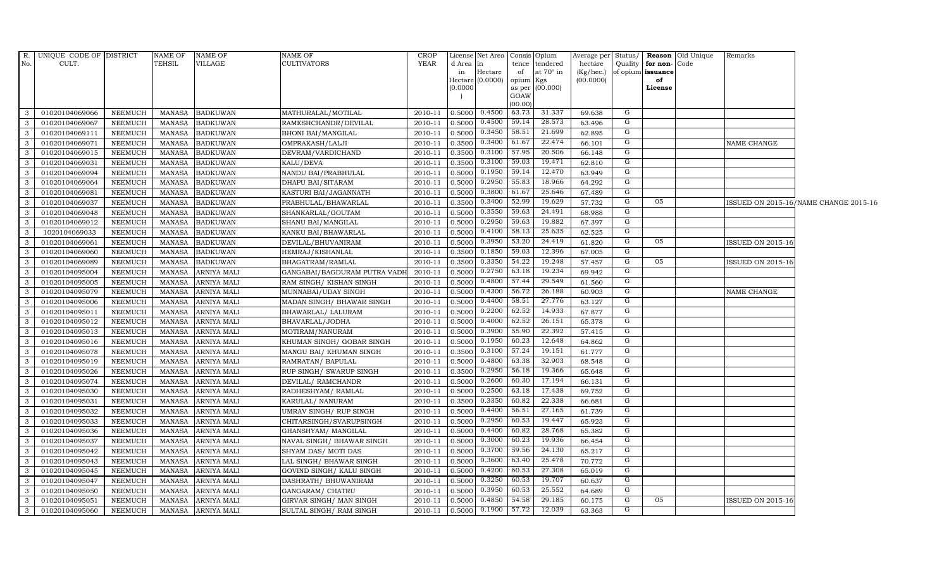|                                         | R. UNIQUE CODE OF DISTRICT       |                                  | NAME OF                        | <b>NAME OF</b>                     | <b>NAME OF</b>                               | <b>CROP</b>        |                  | License Net Area Consis Opium |                  |                  | Average per            | Status/ |                         | Reason Old Unique | Remarks                  |                                       |
|-----------------------------------------|----------------------------------|----------------------------------|--------------------------------|------------------------------------|----------------------------------------------|--------------------|------------------|-------------------------------|------------------|------------------|------------------------|---------|-------------------------|-------------------|--------------------------|---------------------------------------|
| No.                                     | CULT.                            |                                  | TEHSIL                         | VILLAGE                            | <b>CULTIVATORS</b>                           | <b>YEAR</b>        | d Area in        |                               |                  | tence tendered   | hectare                | Quality | for non-Code            |                   |                          |                                       |
|                                         |                                  |                                  |                                |                                    |                                              |                    | in               | Hectare<br>Hectare (0.0000)   | of<br>opium Kgs  | at $70^\circ$ in | (Kg/hec.)<br>(00.0000) |         | of opium issuance<br>of |                   |                          |                                       |
|                                         |                                  |                                  |                                |                                    |                                              |                    | (0.0000)         |                               |                  | as per (00.000)  |                        |         | License                 |                   |                          |                                       |
|                                         |                                  |                                  |                                |                                    |                                              |                    |                  |                               | GOAW             |                  |                        |         |                         |                   |                          |                                       |
|                                         |                                  |                                  |                                |                                    |                                              |                    |                  | 0.4500                        | (00.00)<br>63.73 | 31.337           |                        | G       |                         |                   |                          |                                       |
| $\overline{\mathbf{3}}$<br>$\mathbf{3}$ | 01020104069066<br>01020104069067 | <b>NEEMUCH</b>                   | MANASA                         | <b>BADKUWAN</b>                    | MATHURALAL/MOTILAL                           | 2010-11            | 0.5000           | 0.4500                        | 59.14            | 28.573           | 69.638                 | G       |                         |                   |                          |                                       |
| $\mathbf{3}$                            |                                  | <b>NEEMUCH</b>                   | MANASA                         | <b>BADKUWAN</b>                    | RAMESHCHANDR/DEVILAL                         | 2010-11            | 0.5000           | 0.3450                        | 58.51            | 21.699           | 63.496                 | G       |                         |                   |                          |                                       |
| $\overline{\mathbf{3}}$                 | 01020104069111<br>01020104069071 | <b>NEEMUCH</b><br><b>NEEMUCH</b> | <b>MANASA</b><br><b>MANASA</b> | <b>BADKUWAN</b><br><b>BADKUWAN</b> | <b>BHONI BAI/MANGILAL</b><br>OMPRAKASH/LALJI | 2010-11<br>2010-11 | 0.5000<br>0.3500 | 0.3400                        | 61.67            | 22.474           | 62.895<br>66.101       | G       |                         |                   | NAME CHANGE              |                                       |
| $\overline{3}$                          | 01020104069015                   | <b>NEEMUCH</b>                   | MANASA                         | <b>BADKUWAN</b>                    | DEVRAM/VARDICHAND                            | 2010-11            | 0.3500           | 0.3100                        | 57.95            | 20.506           | 66.148                 | G       |                         |                   |                          |                                       |
| $\overline{\mathbf{3}}$                 | 01020104069031                   | <b>NEEMUCH</b>                   | <b>MANASA</b>                  | <b>BADKUWAN</b>                    | KALU/DEVA                                    | 2010-11            | 0.3500           | 0.3100                        | 59.03            | 19.471           | 62.810                 | G       |                         |                   |                          |                                       |
| $\mathbf{3}$                            | 01020104069094                   | <b>NEEMUCH</b>                   | <b>MANASA</b>                  | <b>BADKUWAN</b>                    | NANDU BAI/PRABHULAL                          | 2010-11            | 0.5000           | 0.1950                        | 59.14            | 12.470           | 63.949                 | G       |                         |                   |                          |                                       |
| $\mathbf{3}$                            | 01020104069064                   | <b>NEEMUCH</b>                   | MANASA                         | <b>BADKUWAN</b>                    | DHAPU BAI/SITARAM                            | 2010-11            | 0.5000           | 0.2950                        | 55.83            | 18.966           | 64.292                 | G       |                         |                   |                          |                                       |
| $\mathbf{3}$                            | 01020104069081                   | <b>NEEMUCH</b>                   | <b>MANASA</b>                  | <b>BADKUWAN</b>                    | KASTURI BAI/JAGANNATH                        | 2010-11            | 0.5000           | 0.3800                        | 61.67            | 25.646           | 67.489                 | G       |                         |                   |                          |                                       |
| $\overline{\mathbf{3}}$                 | 01020104069037                   | <b>NEEMUCH</b>                   | MANASA                         | <b>BADKUWAN</b>                    | PRABHULAL/BHAWARLAL                          | 2010-11            | 0.3500           | 0.3400                        | 52.99            | 19.629           | 57.732                 | G       | 05                      |                   |                          | ISSUED ON 2015-16/NAME CHANGE 2015-16 |
| $\mathbf{3}$                            | 01020104069048                   | <b>NEEMUCH</b>                   | MANASA                         | <b>BADKUWAN</b>                    | SHANKARLAL/GOUTAM                            | 2010-11            | 0.5000           | 0.3550                        | 59.63            | 24.491           | 68.988                 | G       |                         |                   |                          |                                       |
| $\overline{\mathbf{3}}$                 | 01020104069012                   | <b>NEEMUCH</b>                   | MANASA                         | <b>BADKUWAN</b>                    | SHANU BAI/MANGILAL                           | 2010-11            | 0.5000           | 0.2950                        | 59.63            | 19.882           | 67.397                 | G       |                         |                   |                          |                                       |
| $\mathbf{3}$                            | 1020104069033                    | <b>NEEMUCH</b>                   | <b>MANASA</b>                  | <b>BADKUWAN</b>                    | KANKU BAI/BHAWARLAL                          | 2010-11            | 0.5000           | 0.4100                        | 58.13            | 25.635           | 62.525                 | G       |                         |                   |                          |                                       |
| $\mathbf{3}$                            | 01020104069061                   | <b>NEEMUCH</b>                   | <b>MANASA</b>                  | <b>BADKUWAN</b>                    | DEVILAL/BHUVANIRAM                           | 2010-11            | 0.5000           | 0.3950                        | 53.20            | 24.419           | 61.820                 | G       | 05                      |                   | <b>ISSUED ON 2015-16</b> |                                       |
| $\mathbf{3}$                            | 01020104069060                   | <b>NEEMUCH</b>                   | <b>MANASA</b>                  | <b>BADKUWAN</b>                    | HEMRAJ/KISHANLAL                             | 2010-11            | 0.3500           | 0.1850                        | 59.03            | 12.396           | 67.005                 | G       |                         |                   |                          |                                       |
| $\overline{\mathbf{3}}$                 | 01020104069089                   | <b>NEEMUCH</b>                   | MANASA                         | <b>BADKUWAN</b>                    | BHAGATRAM/RAMLAL                             | 2010-11            | 0.3500           | 0.3350                        | 54.22            | 19.248           | 57.457                 | G       | 05                      |                   | <b>ISSUED ON 2015-16</b> |                                       |
| $\overline{\mathbf{3}}$                 | 01020104095004                   | <b>NEEMUCH</b>                   | <b>MANASA</b>                  | ARNIYA MALI                        | GANGABAI/BAGDURAM PUTRA VADH                 | 2010-11            | 0.5000           | 0.2750                        | 63.18            | 19.234           | 69.942                 | G       |                         |                   |                          |                                       |
| $\mathbf{3}$                            | 01020104095005                   | <b>NEEMUCH</b>                   | MANASA                         | ARNIYA MALI                        | RAM SINGH/KISHAN SINGH                       | 2010-11            | 0.5000           | 0.4800                        | 57.44            | 29.549           | 61.560                 | G       |                         |                   |                          |                                       |
| $\mathbf{3}$                            | 01020104095079                   | <b>NEEMUCH</b>                   | <b>MANASA</b>                  | <b>ARNIYA MALI</b>                 | MUNNABAI/UDAY SINGH                          | 2010-11            | 0.5000           | 0.4300                        | 56.72            | 26.188           | 60.903                 | G       |                         |                   | NAME CHANGE              |                                       |
| $\overline{\mathbf{3}}$                 | 01020104095006                   | <b>NEEMUCH</b>                   | <b>MANASA</b>                  | ARNIYA MALI                        | MADAN SINGH/ BHAWAR SINGH                    | 2010-11            | 0.5000           | 0.4400                        | 58.51            | 27.776           | 63.127                 | G       |                         |                   |                          |                                       |
| $\overline{\mathbf{3}}$                 | 01020104095011                   | <b>NEEMUCH</b>                   | <b>MANASA</b>                  | ARNIYA MALI                        | BHAWARLAL/ LALURAM                           | 2010-11            | 0.5000           | 0.2200                        | 62.52            | 14.933           | 67.877                 | G       |                         |                   |                          |                                       |
| $\overline{\mathbf{3}}$                 | 01020104095012                   | <b>NEEMUCH</b>                   | <b>MANASA</b>                  | <b>ARNIYA MALI</b>                 | BHAVARLAL/JODHA                              | 2010-11            | 0.5000           | 0.4000                        | 62.52            | 26.151           | 65.378                 | G       |                         |                   |                          |                                       |
| $\overline{\mathbf{3}}$                 | 01020104095013                   | <b>NEEMUCH</b>                   | <b>MANASA</b>                  | ARNIYA MALI                        | MOTIRAM/NANURAM                              | 2010-11            | 0.5000           | 0.3900                        | 55.90            | 22.392           | 57.415                 | G       |                         |                   |                          |                                       |
| $\mathbf{3}$                            | 01020104095016                   | <b>NEEMUCH</b>                   | MANASA                         | ARNIYA MALI                        | KHUMAN SINGH/ GOBAR SINGH                    | 2010-11            | 0.5000           | 0.1950                        | 60.23            | 12.648           | 64.862                 | G       |                         |                   |                          |                                       |
| $\overline{\mathbf{3}}$                 | 01020104095078                   | <b>NEEMUCH</b>                   | <b>MANASA</b>                  | ARNIYA MALI                        | MANGU BAI/ KHUMAN SINGH                      | 2010-11            | 0.3500           | 0.3100                        | 57.24            | 19.151           | 61.777                 | G       |                         |                   |                          |                                       |
| $\overline{3}$                          | 01020104095019                   | <b>NEEMUCH</b>                   | <b>MANASA</b>                  | ARNIYA MALI                        | RAMRATAN/ BAPULAL                            | 2010-11            | 0.5000           | 0.4800                        | 63.38            | 32.903           | 68.548                 | G       |                         |                   |                          |                                       |
| $\mathbf{3}$                            | 01020104095026                   | <b>NEEMUCH</b>                   | <b>MANASA</b>                  | ARNIYA MALI                        | RUP SINGH/ SWARUP SINGH                      | 2010-11            | 0.3500           | 0.2950                        | 56.18            | 19.366           | 65.648                 | G       |                         |                   |                          |                                       |
| $\mathbf{3}$                            | 01020104095074                   | <b>NEEMUCH</b>                   | MANASA                         | <b>ARNIYA MALI</b>                 | DEVILAL/ RAMCHANDR                           | 2010-11            | 0.5000           | 0.2600                        | 60.30            | 17.194           | 66.131                 | G       |                         |                   |                          |                                       |
| $\mathbf{3}$                            | 01020104095030                   | <b>NEEMUCH</b>                   | <b>MANASA</b>                  | <b>ARNIYA MALI</b>                 | RADHESHYAM/RAMLAL                            | 2010-11            | 0.5000           | 0.2500                        | 63.18            | 17.438           | 69.752                 | G       |                         |                   |                          |                                       |
| $\mathbf{3}$                            | 01020104095031                   | <b>NEEMUCH</b>                   | <b>MANASA</b>                  | ARNIYA MALI                        | KARULAL/ NANURAM                             | 2010-11            | 0.3500           | 0.3350                        | 60.82            | 22.338           | 66.681                 | G       |                         |                   |                          |                                       |
| $\mathbf{3}$                            | 01020104095032                   | <b>NEEMUCH</b>                   | <b>MANASA</b>                  | ARNIYA MALI                        | UMRAV SINGH/ RUP SINGH                       | 2010-11            | 0.5000           | 0.4400                        | 56.51            | 27.165           | 61.739                 | G       |                         |                   |                          |                                       |
| $\overline{\mathbf{3}}$                 | 01020104095033                   | <b>NEEMUCH</b>                   | MANASA                         | ARNIYA MALI                        | CHITARSINGH/SVARUPSINGH                      | 2010-11            | 0.5000           | 0.2950                        | 60.53            | 19.447           | 65.923                 | G       |                         |                   |                          |                                       |
| $\overline{\mathbf{3}}$                 | 01020104095036                   | <b>NEEMUCH</b>                   | <b>MANASA</b>                  | ARNIYA MALI                        | GHANSHYAM/ MANGILAL                          | 2010-11            | 0.5000           | 0.4400                        | 60.82            | 28.768           | 65.382                 | G       |                         |                   |                          |                                       |
| $\mathbf{3}$                            | 01020104095037                   | <b>NEEMUCH</b>                   | <b>MANASA</b>                  | ARNIYA MALI                        | NAVAL SINGH/ BHAWAR SINGH                    | 2010-11            | 0.5000           | 0.3000                        | 60.23            | 19.936           | 66.454                 | G       |                         |                   |                          |                                       |
| $\mathbf{3}$                            | 01020104095042                   | <b>NEEMUCH</b>                   | MANASA                         | <b>ARNIYA MALI</b>                 | SHYAM DAS/ MOTI DAS                          | 2010-11            | 0.5000           | 0.3700                        | 59.56            | 24.130           | 65.217                 | G       |                         |                   |                          |                                       |
| $\mathbf{3}$                            | 01020104095043                   | <b>NEEMUCH</b>                   | <b>MANASA</b>                  | ARNIYA MALI                        | LAL SINGH/ BHAWAR SINGH                      | 2010-11            | 0.5000           | 0.3600                        | 63.40            | 25.478           | 70.772                 | G       |                         |                   |                          |                                       |
| $\mathbf{3}$                            | 01020104095045                   | <b>NEEMUCH</b>                   | <b>MANASA</b>                  | ARNIYA MALI                        | GOVIND SINGH/ KALU SINGH                     | 2010-11            | 0.5000           | 0.4200                        | 60.53            | 27.308           | 65.019                 | G       |                         |                   |                          |                                       |
| $\overline{3}$                          | 01020104095047                   | <b>NEEMUCH</b>                   | <b>MANASA</b>                  | ARNIYA MALI                        | DASHRATH / BHUWANIRAM                        | 2010-11            | 0.5000           | 0.3250                        | 60.53            | 19.707           | 60.637                 | G       |                         |                   |                          |                                       |
| $\overline{\mathbf{3}}$                 | 01020104095050                   | <b>NEEMUCH</b>                   | <b>MANASA</b>                  | ARNIYA MALI                        | GANGARAM/ CHATRU                             | 2010-11            | 0.5000           | 0.3950                        | 60.53            | 25.552           | 64.689                 | G       |                         |                   |                          |                                       |
| $\mathbf{3}$                            | 01020104095051                   | <b>NEEMUCH</b>                   | MANASA                         | ARNIYA MALI                        | GIRVAR SINGH/ MAN SINGH                      | 2010-11            | 0.5000           | 0.4850                        | 54.58            | 29.185           | 60.175                 | G       | 05                      |                   | <b>ISSUED ON 2015-16</b> |                                       |
| $\mathbf{3}$                            | 01020104095060                   | <b>NEEMUCH</b>                   | MANASA                         | <b>ARNIYA MALI</b>                 | SULTAL SINGH/ RAM SINGH                      | 2010-11            | 0.5000           | 0.1900                        | 57.72            | 12.039           | 63.363                 | G       |                         |                   |                          |                                       |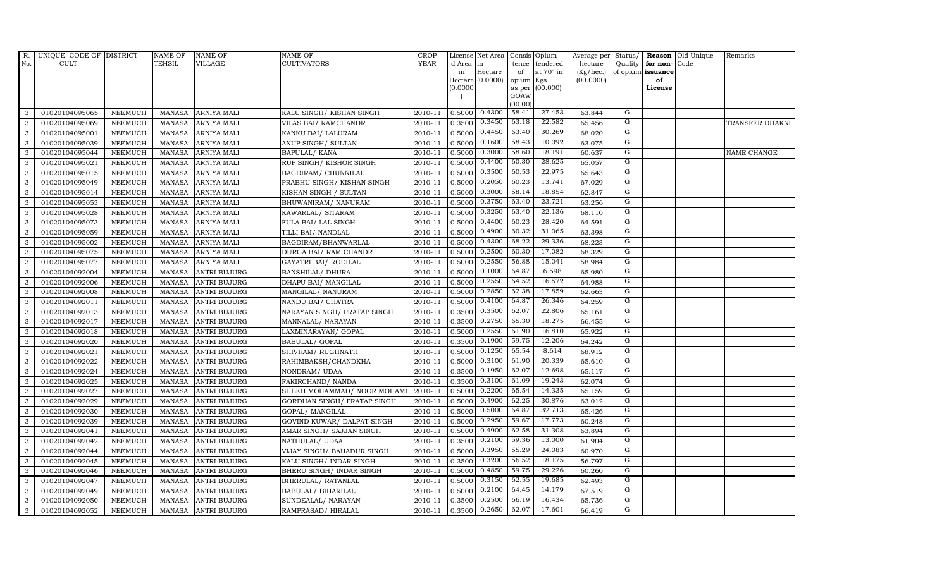| $R_{\cdot}$  | UNIQUE CODE OF DISTRICT |                | <b>NAME OF</b> | <b>NAME OF</b>      | <b>NAME OF</b>              | <b>CROP</b> |           | License Net Area   Consis   Opium |           |                  | Average per Status/ |                |                   | Reason Old Unique | Remarks         |
|--------------|-------------------------|----------------|----------------|---------------------|-----------------------------|-------------|-----------|-----------------------------------|-----------|------------------|---------------------|----------------|-------------------|-------------------|-----------------|
| No.          | CULT.                   |                | <b>TEHSIL</b>  | <b>VILLAGE</b>      | <b>CULTIVATORS</b>          | <b>YEAR</b> | d Area in |                                   |           | tence tendered   | hectare             | Quality        | for non-          | Code              |                 |
|              |                         |                |                |                     |                             |             | in        | Hectare                           | of        | at $70^\circ$ in | (Kg/hec.)           |                | of opium issuance |                   |                 |
|              |                         |                |                |                     |                             |             |           | Hectare (0.0000)                  | opium Kgs |                  | (00.0000)           |                | of                |                   |                 |
|              |                         |                |                |                     |                             |             | (0.0000)  |                                   | GOAW      | as per (00.000)  |                     |                | License           |                   |                 |
|              |                         |                |                |                     |                             |             |           |                                   | (00.00)   |                  |                     |                |                   |                   |                 |
| 3            | 01020104095065          | <b>NEEMUCH</b> | MANASA         | <b>ARNIYA MALI</b>  | KALU SINGH/KISHAN SINGH     | 2010-11     |           | 0.5000 0.4300                     | 58.41     | 27.453           | 63.844              | G              |                   |                   |                 |
| 3            | 01020104095069          | <b>NEEMUCH</b> | MANASA         | <b>ARNIYA MALI</b>  | VILAS BAI/ RAMCHANDR        | 2010-11     | 0.3500    | 0.3450                            | 63.18     | 22.582           | 65.456              | G              |                   |                   | TRANSFER DHAKNI |
| 3            | 01020104095001          | <b>NEEMUCH</b> | <b>MANASA</b>  | <b>ARNIYA MALI</b>  | KANKU BAI/ LALURAM          | 2010-11     | 0.5000    | 0.4450                            | 63.40     | 30.269           | 68.020              | G              |                   |                   |                 |
| 3            | 01020104095039          | <b>NEEMUCH</b> | MANASA         | <b>ARNIYA MALI</b>  | ANUP SINGH/ SULTAN          | 2010-11     | 0.5000    | 0.1600                            | 58.43     | 10.092           | 63.075              | G              |                   |                   |                 |
| 3            | 01020104095044          | <b>NEEMUCH</b> | <b>MANASA</b>  | ARNIYA MALI         | BAPULAL/KANA                | 2010-11     | 0.5000    | 0.3000                            | 58.60     | 18.191           | 60.637              | G              |                   |                   | NAME CHANGE     |
| $\mathbf{3}$ | 01020104095021          | <b>NEEMUCH</b> | <b>MANASA</b>  | ARNIYA MALI         | RUP SINGH/KISHOR SINGH      | 2010-11     | 0.5000    | 0.4400                            | 60.30     | 28.625           | 65.057              | G              |                   |                   |                 |
| 3            | 01020104095015          | <b>NEEMUCH</b> | <b>MANASA</b>  | <b>ARNIYA MALI</b>  | BAGDIRAM/ CHUNNILAL         | 2010-11     | 0.5000    | 0.3500                            | 60.53     | 22.975           | 65.643              | G              |                   |                   |                 |
| 3            | 01020104095049          | <b>NEEMUCH</b> | <b>MANASA</b>  | <b>ARNIYA MALI</b>  | PRABHU SINGH/ KISHAN SINGH  | 2010-11     | 0.5000    | 0.2050                            | 60.23     | 13.741           | 67.029              | G              |                   |                   |                 |
| 3            | 01020104095014          | <b>NEEMUCH</b> | <b>MANASA</b>  | <b>ARNIYA MALI</b>  | KISHAN SINGH / SULTAN       | 2010-11     | 0.5000    | 0.3000                            | 58.14     | 18.854           | 62.847              | $\overline{G}$ |                   |                   |                 |
| 3            | 01020104095053          | <b>NEEMUCH</b> | <b>MANASA</b>  | ARNIYA MALI         | BHUWANIRAM/ NANURAM         | 2010-11     | 0.5000    | 0.3750                            | 63.40     | 23.721           | 63.256              | G              |                   |                   |                 |
| 3            | 01020104095028          | <b>NEEMUCH</b> | <b>MANASA</b>  | ARNIYA MALI         | KAWARLAL/ SITARAM           | 2010-11     | 0.5000    | 0.3250                            | 63.40     | 22.136           | 68.110              | G              |                   |                   |                 |
| 3            | 01020104095073          | <b>NEEMUCH</b> | MANASA         | <b>ARNIYA MALI</b>  | FULA BAI/ LAL SINGH         | 2010-11     | 0.5000    | 0.4400                            | 60.23     | 28.420           | 64.591              | G              |                   |                   |                 |
| 3            | 01020104095059          | <b>NEEMUCH</b> | <b>MANASA</b>  | <b>ARNIYA MALI</b>  | TILLI BAI/ NANDLAL          | 2010-11     | 0.5000    | 0.4900                            | 60.32     | 31.065           | 63.398              | G              |                   |                   |                 |
| 3            | 01020104095002          | <b>NEEMUCH</b> | MANASA         | <b>ARNIYA MALI</b>  | BAGDIRAM/BHANWARLAL         | 2010-11     | 0.5000    | 0.4300                            | 68.22     | 29.336           | 68.223              | G              |                   |                   |                 |
| 3            | 01020104095075          | <b>NEEMUCH</b> | <b>MANASA</b>  | <b>ARNIYA MALI</b>  | DURGA BAI/ RAM CHANDR       | 2010-11     | 0.5000    | 0.2500                            | 60.30     | 17.082           | 68.329              | G              |                   |                   |                 |
| 3            | 01020104095077          | <b>NEEMUCH</b> | <b>MANASA</b>  | <b>ARNIYA MALI</b>  | GAYATRI BAI/ RODILAL        | 2010-11     | 0.5000    | 0.2550                            | 56.88     | 15.041           | 58.984              | G              |                   |                   |                 |
| 3            | 01020104092004          | <b>NEEMUCH</b> | MANASA         | <b>ANTRI BUJURG</b> | <b>BANSHILAL/ DHURA</b>     | 2010-11     | 0.5000    | 0.1000                            | 64.87     | 6.598            | 65.980              | G              |                   |                   |                 |
| 3            | 01020104092006          | <b>NEEMUCH</b> | MANASA         | <b>ANTRI BUJURG</b> | DHAPU BAI / MANGILAL        | 2010-11     | 0.5000    | 0.2550                            | 64.52     | 16.572           | 64.988              | G              |                   |                   |                 |
| 3            | 01020104092008          | <b>NEEMUCH</b> | MANASA         | <b>ANTRI BUJURG</b> | MANGILAL/ NANURAM           | 2010-11     | 0.5000    | 0.2850                            | 62.38     | 17.859           | 62.663              | G              |                   |                   |                 |
| 3            | 01020104092011          | <b>NEEMUCH</b> | <b>MANASA</b>  | <b>ANTRI BUJURG</b> | NANDU BAI/ CHATRA           | 2010-11     | 0.5000    | 0.4100                            | 64.87     | 26.346           | 64.259              | G              |                   |                   |                 |
| $\mathbf{3}$ | 01020104092013          | <b>NEEMUCH</b> | <b>MANASA</b>  | <b>ANTRI BUJURG</b> | NARAYAN SINGH/ PRATAP SINGH | 2010-11     | 0.3500    | 0.3500                            | 62.07     | 22.806           | 65.161              | G              |                   |                   |                 |
| 3            | 01020104092017          | <b>NEEMUCH</b> | MANASA         | <b>ANTRI BUJURG</b> | MANNALAL/ NARAYAN           | 2010-11     | 0.3500    | 0.2750                            | 65.30     | 18.275           | 66.455              | G              |                   |                   |                 |
| $\mathbf{3}$ | 01020104092018          | <b>NEEMUCH</b> | MANASA         | <b>ANTRI BUJURG</b> | LAXMINARAYAN / GOPAL        | 2010-11     | 0.5000    | 0.2550                            | 61.90     | 16.810           | 65.922              | G              |                   |                   |                 |
| 3            | 01020104092020          | <b>NEEMUCH</b> | <b>MANASA</b>  | <b>ANTRI BUJURG</b> | <b>BABULAL/ GOPAL</b>       | 2010-11     | 0.3500    | 0.1900                            | 59.75     | 12.206           | 64.242              | $\mathbf G$    |                   |                   |                 |
| 3            | 01020104092021          | <b>NEEMUCH</b> | <b>MANASA</b>  | <b>ANTRI BUJURG</b> | SHIVRAM/RUGHNATH            | 2010-11     | 0.5000    | 0.1250                            | 65.54     | 8.614            | 68.912              | G              |                   |                   |                 |
| 3            | 01020104092022          | <b>NEEMUCH</b> | <b>MANASA</b>  | <b>ANTRI BUJURG</b> | RAHIMBAKSH/CHANDKHA         | 2010-11     | 0.5000    | 0.3100                            | 61.90     | 20.339           | 65.610              | G              |                   |                   |                 |
| 3            | 01020104092024          | <b>NEEMUCH</b> | <b>MANASA</b>  | <b>ANTRI BUJURG</b> | NONDRAM/ UDAA               | 2010-11     | 0.3500    | 0.1950                            | 62.07     | 12.698           | 65.117              | G              |                   |                   |                 |
| 3            | 01020104092025          | <b>NEEMUCH</b> | MANASA         | <b>ANTRI BUJURG</b> | FAKIRCHAND/ NANDA           | 2010-11     | 0.3500    | 0.3100                            | 61.09     | 19.243           | 62.074              | G              |                   |                   |                 |
| 3            | 01020104092027          | <b>NEEMUCH</b> | <b>MANASA</b>  | <b>ANTRI BUJURG</b> | SHEKH MOHAMMAD/ NOOR MOHAM  | 2010-11     | 0.5000    | 0.2200                            | 65.54     | 14.335           | 65.159              | $\overline{G}$ |                   |                   |                 |
| 3            | 01020104092029          | <b>NEEMUCH</b> | MANASA         | <b>ANTRI BUJURG</b> | GORDHAN SINGH/ PRATAP SINGH | 2010-11     | 0.5000    | 0.4900                            | 62.25     | 30.876           | 63.012              | G              |                   |                   |                 |
| 3            | 01020104092030          | <b>NEEMUCH</b> | MANASA         | <b>ANTRI BUJURG</b> | GOPAL/ MANGILAL             | 2010-11     | 0.5000    | 0.5000                            | 64.87     | 32.713           | 65.426              | G              |                   |                   |                 |
| 3            | 01020104092039          | <b>NEEMUCH</b> | MANASA         | <b>ANTRI BUJURG</b> | GOVIND KUWAR/ DALPAT SINGH  | 2010-11     | 0.5000    | 0.2950                            | 59.67     | 17.773           | 60.248              | G              |                   |                   |                 |
| 3            | 01020104092041          | <b>NEEMUCH</b> | MANASA         | <b>ANTRI BUJURG</b> | AMAR SINGH/ SAJJAN SINGH    | 2010-11     | 0.5000    | 0.4900                            | 62.58     | 31.308           | 63.894              | G              |                   |                   |                 |
| 3            | 01020104092042          | <b>NEEMUCH</b> | <b>MANASA</b>  | <b>ANTRI BUJURG</b> | NATHULAL/ UDAA              | 2010-11     | 0.3500    | 0.2100                            | 59.36     | 13.000           | 61.904              | $\overline{G}$ |                   |                   |                 |
| 3            | 01020104092044          | <b>NEEMUCH</b> | <b>MANASA</b>  | <b>ANTRI BUJURG</b> | VIJAY SINGH/ BAHADUR SINGH  | 2010-11     | 0.5000    | 0.3950                            | 55.29     | 24.083           | 60.970              | G              |                   |                   |                 |
| 3            | 01020104092045          | <b>NEEMUCH</b> | <b>MANASA</b>  | <b>ANTRI BUJURG</b> | KALU SINGH/ INDAR SINGH     | 2010-11     | 0.3500    | 0.3200                            | 56.52     | 18.175           | 56.797              | G              |                   |                   |                 |
| 3            | 01020104092046          | <b>NEEMUCH</b> | <b>MANASA</b>  | <b>ANTRI BUJURG</b> | BHERU SINGH / INDAR SINGH   | 2010-11     | 0.5000    | 0.4850                            | 59.75     | 29.226           | 60.260              | G              |                   |                   |                 |
| 3            | 01020104092047          | <b>NEEMUCH</b> | <b>MANASA</b>  | <b>ANTRI BUJURG</b> | BHERULAL/ RATANLAL          | 2010-11     | 0.5000    | 0.3150                            | 62.55     | 19.685           | 62.493              | G              |                   |                   |                 |
| 3            | 01020104092049          | <b>NEEMUCH</b> | <b>MANASA</b>  | <b>ANTRI BUJURG</b> | BABULAL/ BIHARILAL          | 2010-11     | 0.5000    | 0.2100                            | 64.45     | 14.179           | 67.519              | G              |                   |                   |                 |
| 3            | 01020104092050          | <b>NEEMUCH</b> | <b>MANASA</b>  | <b>ANTRI BUJURG</b> | SUNDEALAL/ NARAYAN          | 2010-11     | 0.3500    | 0.2500                            | 66.19     | 16.434           | 65.736              | G              |                   |                   |                 |
| 3            | 01020104092052          | <b>NEEMUCH</b> |                | MANASA ANTRI BUJURG | RAMPRASAD/HIRALAL           | 2010-11     | 0.3500    | 0.2650                            | 62.07     | 17.601           | 66.419              | G              |                   |                   |                 |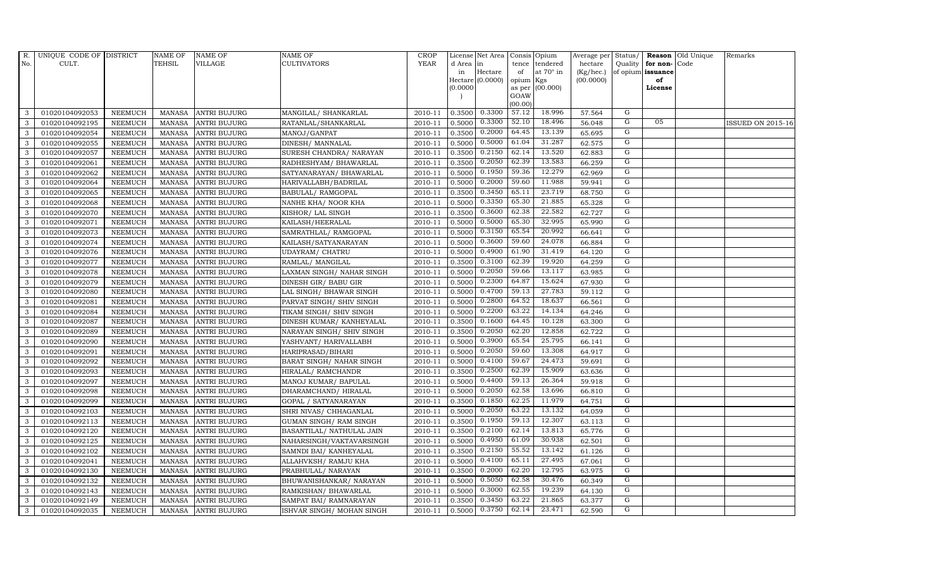| $R_{\cdot}$  | UNIQUE CODE OF DISTRICT |                | <b>NAME OF</b> | <b>NAME OF</b>      | <b>NAME OF</b>            | <b>CROP</b> |           | License Net Area   Consis   Opium |           |                  | Average per Status/ |                |                         | <b>Reason</b> Old Unique | Remarks                  |
|--------------|-------------------------|----------------|----------------|---------------------|---------------------------|-------------|-----------|-----------------------------------|-----------|------------------|---------------------|----------------|-------------------------|--------------------------|--------------------------|
| No.          | CULT.                   |                | <b>TEHSIL</b>  | <b>VILLAGE</b>      | <b>CULTIVATORS</b>        | <b>YEAR</b> | d Area in |                                   |           | tence tendered   | hectare             |                | Quality   for non- Code |                          |                          |
|              |                         |                |                |                     |                           |             | in        | Hectare                           | of        | at $70^\circ$ in | (Kg/hec.)           |                | of opium issuance       |                          |                          |
|              |                         |                |                |                     |                           |             |           | Hectare (0.0000)                  | opium Kgs |                  | (00.0000)           |                | of                      |                          |                          |
|              |                         |                |                |                     |                           |             | (0.0000)  |                                   | GOAW      | as per (00.000)  |                     |                | License                 |                          |                          |
|              |                         |                |                |                     |                           |             |           |                                   | (00.00)   |                  |                     |                |                         |                          |                          |
| 3            | 01020104092053          | <b>NEEMUCH</b> | MANASA         | <b>ANTRI BUJURG</b> | MANGILAL/ SHANKARLAL      | 2010-11     |           | $0.3500 \mid 0.3300$              | 57.12     | 18.996           | 57.564              | G              |                         |                          |                          |
| 3            | 01020104092195          | <b>NEEMUCH</b> | MANASA         | <b>ANTRI BUJURG</b> | RATANLAL/SHANKARLAL       | 2010-11     | 0.5000    | 0.3300                            | 52.10     | 18.496           | 56.048              | G              | 05                      |                          | <b>ISSUED ON 2015-16</b> |
| 3            | 01020104092054          | <b>NEEMUCH</b> | <b>MANASA</b>  | <b>ANTRI BUJURG</b> | MANOJ/GANPAT              | 2010-11     | 0.3500    | 0.2000                            | 64.45     | 13.139           | 65.695              | G              |                         |                          |                          |
| 3            | 01020104092055          | <b>NEEMUCH</b> | <b>MANASA</b>  | <b>ANTRI BUJURG</b> | DINESH/ MANNALAL          | 2010-11     | 0.5000    | 0.5000                            | 61.04     | 31.287           | 62.575              | G              |                         |                          |                          |
| 3            | 01020104092057          | <b>NEEMUCH</b> | <b>MANASA</b>  | <b>ANTRI BUJURG</b> | SURESH CHANDRA/ NARAYAN   | 2010-11     | 0.3500    | 0.2150                            | 62.14     | 13.520           | 62.883              | ${\rm G}$      |                         |                          |                          |
| 3            | 01020104092061          | NEEMUCH        | <b>MANASA</b>  | <b>ANTRI BUJURG</b> | RADHESHYAM / BHAWARLAL    | 2010-11     | 0.3500    | 0.2050                            | 62.39     | 13.583           | 66.259              | G              |                         |                          |                          |
| 3            | 01020104092062          | <b>NEEMUCH</b> | <b>MANASA</b>  | <b>ANTRI BUJURG</b> | SATYANARAYAN/ BHAWARLAL   | 2010-11     | 0.5000    | 0.1950                            | 59.36     | 12.279           | 62.969              | G              |                         |                          |                          |
| 3            | 01020104092064          | <b>NEEMUCH</b> | <b>MANASA</b>  | <b>ANTRI BUJURG</b> | HARIVALLABH/BADRILAL      | 2010-11     | 0.5000    | 0.2000                            | 59.60     | 11.988           | 59.941              | G              |                         |                          |                          |
| 3            | 01020104092065          | <b>NEEMUCH</b> | <b>MANASA</b>  | <b>ANTRI BUJURG</b> | <b>BABULAL/ RAMGOPAL</b>  | 2010-11     | 0.3500    | 0.3450                            | 65.11     | 23.719           | 68.750              | G              |                         |                          |                          |
| 3            | 01020104092068          | <b>NEEMUCH</b> | <b>MANASA</b>  | <b>ANTRI BUJURG</b> | NANHE KHA/ NOOR KHA       | 2010-11     | 0.5000    | 0.3350                            | 65.30     | 21.885           | 65.328              | G              |                         |                          |                          |
| 3            | 01020104092070          | <b>NEEMUCH</b> | <b>MANASA</b>  | <b>ANTRI BUJURG</b> | KISHOR/ LAL SINGH         | 2010-11     | 0.3500    | 0.3600                            | 62.38     | 22.582           | 62.727              | G              |                         |                          |                          |
| 3            | 01020104092071          | <b>NEEMUCH</b> | <b>MANASA</b>  | <b>ANTRI BUJURG</b> | KAILASH/HEERALAL          | 2010-11     | 0.5000    | 0.5000                            | 65.30     | 32.995           | 65.990              | G              |                         |                          |                          |
| 3            | 01020104092073          | <b>NEEMUCH</b> | <b>MANASA</b>  | <b>ANTRI BUJURG</b> | SAMRATHLAL/ RAMGOPAL      | 2010-11     | 0.5000    | 0.3150                            | 65.54     | 20.992           | 66.641              | G              |                         |                          |                          |
| 3            | 01020104092074          | <b>NEEMUCH</b> | <b>MANASA</b>  | <b>ANTRI BUJURG</b> | KAILASH/SATYANARAYAN      | 2010-11     | 0.5000    | 0.3600                            | 59.60     | 24.078           | 66.884              | G              |                         |                          |                          |
| 3            | 01020104092076          | <b>NEEMUCH</b> | <b>MANASA</b>  | <b>ANTRI BUJURG</b> | UDAYRAM/ CHATRU           | 2010-11     | 0.5000    | 0.4900                            | 61.90     | 31.419           | 64.120              | G              |                         |                          |                          |
| $\mathbf{3}$ | 01020104092077          | <b>NEEMUCH</b> | <b>MANASA</b>  | <b>ANTRI BUJURG</b> | RAMLAL/ MANGILAL          | 2010-11     | 0.3500    | 0.3100                            | 62.39     | 19.920           | 64.259              | G              |                         |                          |                          |
| 3            | 01020104092078          | <b>NEEMUCH</b> | MANASA         | <b>ANTRI BUJURG</b> | LAXMAN SINGH/ NAHAR SINGH | 2010-11     | 0.5000    | 0.2050                            | 59.66     | 13.117           | 63.985              | G              |                         |                          |                          |
| 3            | 01020104092079          | <b>NEEMUCH</b> | MANASA         | <b>ANTRI BUJURG</b> | DINESH GIR/ BABU GIR      | 2010-11     | 0.5000    | 0.2300                            | 64.87     | 15.624           | 67.930              | G              |                         |                          |                          |
| 3            | 01020104092080          | <b>NEEMUCH</b> | <b>MANASA</b>  | <b>ANTRI BUJURG</b> | LAL SINGH/ BHAWAR SINGH   | 2010-11     | 0.5000    | 0.4700                            | 59.13     | 27.783           | 59.112              | G              |                         |                          |                          |
| 3            | 01020104092081          | <b>NEEMUCH</b> | <b>MANASA</b>  | <b>ANTRI BUJURG</b> | PARVAT SINGH/ SHIV SINGH  | 2010-11     | 0.5000    | 0.2800                            | 64.52     | 18.637           | 66.561              | ${\rm G}$      |                         |                          |                          |
| 3            | 01020104092084          | <b>NEEMUCH</b> | <b>MANASA</b>  | <b>ANTRI BUJURG</b> | TIKAM SINGH / SHIV SINGH  | 2010-11     | 0.5000    | 0.2200                            | 63.22     | 14.134           | 64.246              | G              |                         |                          |                          |
| 3            | 01020104092087          | <b>NEEMUCH</b> | <b>MANASA</b>  | <b>ANTRI BUJURG</b> | DINESH KUMAR/ KANHEYALAL  | 2010-11     | 0.3500    | 0.1600                            | 64.45     | 10.128           | 63.300              | G              |                         |                          |                          |
| 3            | 01020104092089          | <b>NEEMUCH</b> | MANASA         | <b>ANTRI BUJURG</b> | NARAYAN SINGH/ SHIV SINGH | 2010-11     | 0.3500    | 0.2050                            | 62.20     | 12.858           | 62.722              | G              |                         |                          |                          |
| 3            | 01020104092090          | <b>NEEMUCH</b> | <b>MANASA</b>  | <b>ANTRI BUJURG</b> | YASHVANT / HARIVALLABH    | 2010-11     | 0.5000    | 0.3900                            | 65.54     | 25.795           | 66.141              | ${\rm G}$      |                         |                          |                          |
| 3            | 01020104092091          | <b>NEEMUCH</b> | <b>MANASA</b>  | <b>ANTRI BUJURG</b> | HARIPRASAD/BIHARI         | 2010-11     | 0.5000    | 0.2050                            | 59.60     | 13.308           | 64.917              | G              |                         |                          |                          |
| 3            | 01020104092092          | <b>NEEMUCH</b> | MANASA         | <b>ANTRI BUJURG</b> | BARAT SINGH/ NAHAR SINGH  | 2010-11     | 0.5000    | 0.4100                            | 59.67     | 24.473           | 59.691              | ${\rm G}$      |                         |                          |                          |
| 3            | 01020104092093          | <b>NEEMUCH</b> | <b>MANASA</b>  | <b>ANTRI BUJURG</b> | HIRALAL/ RAMCHANDR        | 2010-11     | 0.3500    | 0.2500                            | 62.39     | 15.909           | 63.636              | G              |                         |                          |                          |
| 3            | 01020104092097          | <b>NEEMUCH</b> | MANASA         | <b>ANTRI BUJURG</b> | MANOJ KUMAR/ BAPULAL      | 2010-11     | 0.5000    | 0.4400                            | 59.13     | 26.364           | 59.918              | G              |                         |                          |                          |
| 3            | 01020104092098          | <b>NEEMUCH</b> | <b>MANASA</b>  | <b>ANTRI BUJURG</b> | DHARAMCHAND/HIRALAL       | 2010-11     | 0.5000    | 0.2050                            | 62.58     | 13.696           | 66.810              | $\overline{G}$ |                         |                          |                          |
| 3            | 01020104092099          | <b>NEEMUCH</b> | <b>MANASA</b>  | <b>ANTRI BUJURG</b> | GOPAL / SATYANARAYAN      | 2010-11     | 0.3500    | 0.1850                            | 62.25     | 11.979           | 64.751              | G              |                         |                          |                          |
| 3            | 01020104092103          | <b>NEEMUCH</b> | <b>MANASA</b>  | <b>ANTRI BUJURG</b> | SHRI NIVAS/ CHHAGANLAL    | 2010-11     | 0.5000    | 0.2050                            | 63.22     | 13.132           | 64.059              | ${\rm G}$      |                         |                          |                          |
| 3            | 01020104092113          | <b>NEEMUCH</b> | <b>MANASA</b>  | <b>ANTRI BUJURG</b> | GUMAN SINGH/ RAM SINGH    | 2010-11     | 0.3500    | 0.1950                            | 59.13     | 12.307           | 63.113              | ${\rm G}$      |                         |                          |                          |
| 3            | 01020104092120          | <b>NEEMUCH</b> | <b>MANASA</b>  | <b>ANTRI BUJURG</b> | BASANTILAL/ NATHULAL JAIN | 2010-11     | 0.3500    | 0.2100                            | 62.14     | 13.813           | 65.776              | G              |                         |                          |                          |
| 3            | 01020104092125          | <b>NEEMUCH</b> | <b>MANASA</b>  | <b>ANTRI BUJURG</b> | NAHARSINGH/VAKTAVARSINGH  | 2010-11     | 0.5000    | 0.4950                            | 61.09     | 30.938           | 62.501              | $\overline{G}$ |                         |                          |                          |
| 3            | 01020104092102          | <b>NEEMUCH</b> | <b>MANASA</b>  | <b>ANTRI BUJURG</b> | SAMNDI BAI/ KANHEYALAL    | 2010-11     | 0.3500    | 0.2150                            | 55.52     | 13.142           | 61.126              | G              |                         |                          |                          |
| 3            | 01020104092041          | <b>NEEMUCH</b> | <b>MANASA</b>  | <b>ANTRI BUJURG</b> | ALLAHVKSH/ RAMJU KHA      | 2010-11     | 0.5000    | 0.4100                            | 65.11     | 27.495           | 67.061              | G              |                         |                          |                          |
| 3            | 01020104092130          | <b>NEEMUCH</b> | <b>MANASA</b>  | <b>ANTRI BUJURG</b> | PRABHULAL/ NARAYAN        | 2010-11     | 0.3500    | 0.2000                            | 62.20     | 12.795           | 63.975              | ${\rm G}$      |                         |                          |                          |
| 3            | 01020104092132          | <b>NEEMUCH</b> | <b>MANASA</b>  | <b>ANTRI BUJURG</b> | BHUWANISHANKAR/ NARAYAN   | 2010-11     | 0.5000    | 0.5050                            | 62.58     | 30.476           | 60.349              | G              |                         |                          |                          |
| 3            | 01020104092143          | <b>NEEMUCH</b> | <b>MANASA</b>  | <b>ANTRI BUJURG</b> | RAMKISHAN/ BHAWARLAL      | 2010-11     | 0.5000    | 0.3000                            | 62.55     | 19.239           | 64.130              | G              |                         |                          |                          |
| 3            | 01020104092149          | <b>NEEMUCH</b> | <b>MANASA</b>  | <b>ANTRI BUJURG</b> | SAMPAT BAI/ RAMNARAYAN    | 2010-11     | 0.3500    | 0.3450                            | 63.22     | 21.865           | 63.377              | G              |                         |                          |                          |
| 3            | 01020104092035          | <b>NEEMUCH</b> |                | MANASA ANTRI BUJURG | ISHVAR SINGH/ MOHAN SINGH | 2010-11     | 0.5000    | 0.3750                            | 62.14     | 23.471           | 62.590              | G              |                         |                          |                          |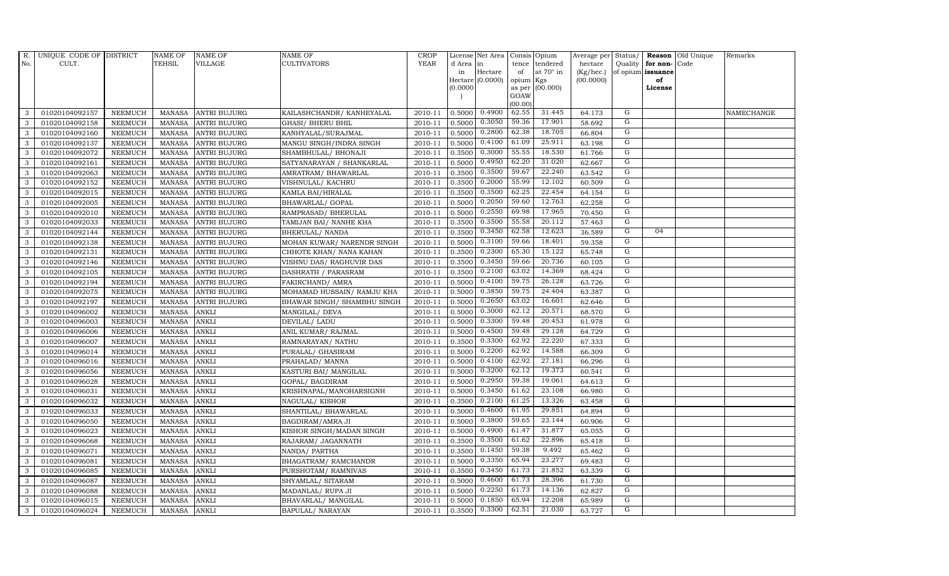| $R_{\cdot}$  | UNIQUE CODE OF DISTRICT |                | <b>NAME OF</b> | <b>NAME OF</b>      | <b>NAME OF</b>               | CROP        |           | License Net Area   Consis   Opium |                 |                  |           |                |                   | Average per Status/ <b>Reason</b> Old Unique | Remarks    |
|--------------|-------------------------|----------------|----------------|---------------------|------------------------------|-------------|-----------|-----------------------------------|-----------------|------------------|-----------|----------------|-------------------|----------------------------------------------|------------|
| No.          | CULT.                   |                | <b>TEHSIL</b>  | <b>VILLAGE</b>      | <b>CULTIVATORS</b>           | <b>YEAR</b> | d Area in |                                   |                 | tence tendered   | hectare   | Quality        | for non-          | Code                                         |            |
|              |                         |                |                |                     |                              |             | in        | Hectare                           | of              | at $70^\circ$ in | (Kg/hec.) |                | of opium issuance |                                              |            |
|              |                         |                |                |                     |                              |             |           | Hectare [0.0000]                  | opium Kgs       |                  | (00.0000) |                | of                |                                              |            |
|              |                         |                |                |                     |                              |             | 0.0000    |                                   |                 | as per (00.000)  |           |                | License           |                                              |            |
|              |                         |                |                |                     |                              |             |           |                                   | GOAW<br>(00.00) |                  |           |                |                   |                                              |            |
| 3            | 01020104092157          | <b>NEEMUCH</b> |                | MANASA ANTRI BUJURG | KAILASHCHANDR/KANHEYALAL     | 2010-11     | 0.5000    | 0.4900                            | 62.55           | 31.445           | 64.173    | G              |                   |                                              | NAMECHANGE |
| 3            | 01020104092158          | <b>NEEMUCH</b> |                | MANASA ANTRI BUJURG | <b>GHASI/ BHERU BHIL</b>     | 2010-11     | 0.5000    | 0.3050                            | 59.36           | 17.901           | 58.692    | G              |                   |                                              |            |
| 3            | 01020104092160          | <b>NEEMUCH</b> | MANASA         | <b>ANTRI BUJURG</b> | KANHYALAL/SURAJMAL           | 2010-11     | 0.5000    | 0.2800                            | 62.38           | 18.705           | 66.804    | G              |                   |                                              |            |
| 3            | 01020104092137          | <b>NEEMUCH</b> | MANASA         | <b>ANTRI BUJURG</b> | MANGU SINGH/INDRA SINGH      | 2010-11     | 0.5000    | 0.4100                            | 61.09           | 25.911           | 63.198    | G              |                   |                                              |            |
| 3            | 01020104092072          | <b>NEEMUCH</b> | <b>MANASA</b>  | <b>ANTRI BUJURG</b> | SHAMBHULAL/ BHONAJI          | 2010-11     | 0.3500    | 0.3000                            | 55.55           | 18.530           | 61.766    | G              |                   |                                              |            |
| 3            | 01020104092161          | <b>NEEMUCH</b> | MANASA         | <b>ANTRI BUJURG</b> | SATYANARAYAN / SHANKARLAL    | 2010-11     | 0.5000    | 0.4950                            | 62.20           | 31.020           | 62.667    | G              |                   |                                              |            |
| 3            | 01020104092063          | <b>NEEMUCH</b> | MANASA         | <b>ANTRI BUJURG</b> | AMRATRAM / BHAWARLAL         | 2010-11     | 0.3500    | 0.3500                            | 59.67           | 22.240           | 63.542    | G              |                   |                                              |            |
| 3            | 01020104092152          | <b>NEEMUCH</b> | <b>MANASA</b>  | <b>ANTRI BUJURG</b> | VISHNULAL/ KACHRU            | 2010-11     | 0.3500    | 0.2000                            | 55.99           | 12.102           | 60.509    | G              |                   |                                              |            |
| 3            | 01020104092015          | <b>NEEMUCH</b> | MANASA         | <b>ANTRI BUJURG</b> | KAMLA BAI/HIRALAL            | 2010-11     | 0.3500    | 0.3500                            | 62.25           | 22.454           | 64.154    | $\overline{G}$ |                   |                                              |            |
| 3            | 01020104092005          | <b>NEEMUCH</b> | <b>MANASA</b>  | <b>ANTRI BUJURG</b> | BHAWARLAL/ GOPAL             | 2010-11     | 0.5000    | 0.2050                            | 59.60           | 12.763           | 62.258    | G              |                   |                                              |            |
| 3            | 01020104092010          | <b>NEEMUCH</b> | <b>MANASA</b>  | <b>ANTRI BUJURG</b> | RAMPRASAD/ BHERULAL          | 2010-11     | 0.5000    | 0.2550                            | 69.98           | 17.965           | 70.450    | G              |                   |                                              |            |
| 3            | 01020104092033          | <b>NEEMUCH</b> | MANASA         | <b>ANTRI BUJURG</b> | TAMIJAN BAI/ NANHE KHA       | 2010-11     | 0.3500    | 0.3500                            | 55.58           | 20.112           | 57.463    | G              |                   |                                              |            |
| 3            | 01020104092144          | <b>NEEMUCH</b> | <b>MANASA</b>  | <b>ANTRI BUJURG</b> | BHERULAL/ NANDA              | 2010-11     | 0.3500    | 0.3450                            | 62.58           | 12.623           | 36.589    | G              | 04                |                                              |            |
| 3            | 01020104092138          | <b>NEEMUCH</b> | MANASA         | <b>ANTRI BUJURG</b> | MOHAN KUWAR/ NARENDR SINGH   | 2010-11     | 0.5000    | 0.3100                            | 59.66           | 18.401           | 59.358    | G              |                   |                                              |            |
| 3            | 01020104092131          | <b>NEEMUCH</b> | <b>MANASA</b>  | <b>ANTRI BUJURG</b> | CHHOTE KHAN/ NANA KAHAN      | 2010-11     | 0.3500    | 0.2300                            | 65.30           | 15.122           | 65.748    | G              |                   |                                              |            |
| 3            | 01020104092146          | <b>NEEMUCH</b> | <b>MANASA</b>  | <b>ANTRI BUJURG</b> | VISHNU DAS/ RAGHUVIR DAS     | 2010-11     | 0.3500    | 0.3450                            | 59.66           | 20.736           | 60.105    | G              |                   |                                              |            |
| 3            | 01020104092105          | <b>NEEMUCH</b> | MANASA         | <b>ANTRI BUJURG</b> | DASHRATH / PARASRAM          | 2010-11     | 0.3500    | 0.2100                            | 63.02           | 14.369           | 68.424    | G              |                   |                                              |            |
| 3            | 01020104092194          | <b>NEEMUCH</b> | <b>MANASA</b>  | <b>ANTRI BUJURG</b> | FAKIRCHAND/ AMRA             | 2010-11     | 0.5000    | 0.4100                            | 59.75           | 26.128           | 63.726    | G              |                   |                                              |            |
| 3            | 01020104092075          | <b>NEEMUCH</b> | MANASA         | <b>ANTRI BUJURG</b> | MOHAMAD HUSSAIN/ RAMJU KHA   | 2010-11     | 0.5000    | 0.3850                            | 59.75           | 24.404           | 63.387    | G              |                   |                                              |            |
| 3            | 01020104092197          | <b>NEEMUCH</b> | <b>MANASA</b>  | <b>ANTRI BUJURG</b> | BHAWAR SINGH / SHAMBHU SINGH | 2010-11     | 0.5000    | 0.2650                            | 63.02           | 16.601           | 62.646    | G              |                   |                                              |            |
| $\mathbf{3}$ | 01020104096002          | <b>NEEMUCH</b> | <b>MANASA</b>  | <b>ANKLI</b>        | MANGILAL/ DEVA               | 2010-11     | 0.5000    | 0.3000                            | 62.12           | 20.571           | 68.570    | G              |                   |                                              |            |
| 3            | 01020104096003          | <b>NEEMUCH</b> | <b>MANASA</b>  | <b>ANKLI</b>        | DEVILAL/ LADU                | 2010-11     | 0.5000    | 0.3300                            | 59.48           | 20.453           | 61.978    | G              |                   |                                              |            |
| 3            | 01020104096006          | <b>NEEMUCH</b> | <b>MANASA</b>  | <b>ANKLI</b>        | ANIL KUMAR/ RAJMAL           | 2010-11     | 0.5000    | 0.4500                            | 59.48           | 29.128           | 64.729    | G              |                   |                                              |            |
| 3            | 01020104096007          | <b>NEEMUCH</b> | <b>MANASA</b>  | <b>ANKLI</b>        | RAMNARAYAN/ NATHU            | 2010-11     | 0.3500    | 0.3300                            | 62.92           | 22.220           | 67.333    | G              |                   |                                              |            |
| 3            | 01020104096014          | <b>NEEMUCH</b> | <b>MANASA</b>  | <b>ANKLI</b>        | PURALAL/ GHASIRAM            | 2010-11     | 0.5000    | 0.2200                            | 62.92           | 14.588           | 66.309    | G              |                   |                                              |            |
| $\mathbf{3}$ | 01020104096016          | <b>NEEMUCH</b> | <b>MANASA</b>  | <b>ANKLI</b>        | PRAHALAD/ MANNA              | 2010-11     | 0.5000    | 0.4100                            | 62.92           | 27.181           | 66.296    | G              |                   |                                              |            |
| 3            | 01020104096056          | <b>NEEMUCH</b> | <b>MANASA</b>  | <b>ANKLI</b>        | KASTURI BAI/ MANGILAL        | 2010-11     | 0.5000    | 0.3200                            | 62.12           | 19.373           | 60.541    | G              |                   |                                              |            |
| 3            | 01020104096028          | <b>NEEMUCH</b> | <b>MANASA</b>  | <b>ANKLI</b>        | GOPAL/ BAGDIRAM              | 2010-11     | 0.5000    | 0.2950                            | 59.38           | 19.061           | 64.613    | G              |                   |                                              |            |
| 3            | 01020104096031          | <b>NEEMUCH</b> | <b>MANASA</b>  | <b>ANKLI</b>        | KRISHNAPAL/MANOHARSIGNH      | 2010-11     | 0.5000    | 0.3450                            | 61.62           | 23.108           | 66.980    | G              |                   |                                              |            |
| 3            | 01020104096032          | <b>NEEMUCH</b> | <b>MANASA</b>  | <b>ANKLI</b>        | NAGULAL/KISHOR               | 2010-11     | 0.3500    | 0.2100                            | 61.25           | 13.326           | 63.458    | G              |                   |                                              |            |
| 3            | 01020104096033          | <b>NEEMUCH</b> | <b>MANASA</b>  | <b>ANKLI</b>        | SHANTILAL/ BHAWARLAL         | 2010-11     | 0.5000    | 0.4600                            | 61.95           | 29.851           | 64.894    | G              |                   |                                              |            |
| 3            | 01020104096050          | <b>NEEMUCH</b> | <b>MANASA</b>  | <b>ANKLI</b>        | BAGDIRAM/AMRA JI             | 2010-11     | 0.5000    | 0.3800                            | 59.65           | 23.144           | 60.906    | G              |                   |                                              |            |
| $\mathbf{3}$ | 01020104096023          | <b>NEEMUCH</b> | <b>MANASA</b>  | <b>ANKLI</b>        | KISHOR SINGH/MADAN SINGH     | 2010-11     | 0.5000    | 0.4900                            | 61.47           | 31.877           | 65.055    | G              |                   |                                              |            |
| 3            | 01020104096068          | <b>NEEMUCH</b> | <b>MANASA</b>  | <b>ANKLI</b>        | RAJARAM/ JAGANNATH           | 2010-11     | 0.3500    | 0.3500                            | 61.62           | 22.896           | 65.418    | G              |                   |                                              |            |
| 3            | 01020104096071          | <b>NEEMUCH</b> | <b>MANASA</b>  | <b>ANKLI</b>        | NANDA/ PARTHA                | 2010-11     | 0.3500    | 0.1450                            | 59.38           | 9.492            | 65.462    | G              |                   |                                              |            |
| $\mathbf{3}$ | 01020104096081          | <b>NEEMUCH</b> | <b>MANASA</b>  | <b>ANKLI</b>        | BHAGATRAM/RAMCHANDR          | 2010-11     | 0.5000    | 0.3350                            | 65.94           | 23.277           | 69.483    | G              |                   |                                              |            |
| 3            | 01020104096085          | <b>NEEMUCH</b> | MANASA         | <b>ANKLI</b>        | PURSHOTAM/ RAMNIVAS          | 2010-11     | 0.3500    | 0.3450                            | 61.73           | 21.852           | 63.339    | G              |                   |                                              |            |
| $\mathbf{3}$ | 01020104096087          | <b>NEEMUCH</b> | <b>MANASA</b>  | <b>ANKLI</b>        | SHYAMLAL/ SITARAM            | 2010-11     | 0.5000    | 0.4600                            | 61.73           | 28.396           | 61.730    | G              |                   |                                              |            |
| 3            | 01020104096088          | <b>NEEMUCH</b> | <b>MANASA</b>  | <b>ANKLI</b>        | MADANLAL/ RUPA JI            | 2010-11     | 0.5000    | 0.2250                            | 61.73           | 14.136           | 62.827    | G              |                   |                                              |            |
| 3            | 01020104096015          | <b>NEEMUCH</b> | <b>MANASA</b>  | <b>ANKLI</b>        | BHAVARLAL/ MANGILAL          | 2010-11     | 0.5000    | 0.1850                            | 65.94           | 12.208           | 65.989    | G              |                   |                                              |            |
| $\mathbf{3}$ | 01020104096024          | <b>NEEMUCH</b> | MANASA ANKLI   |                     | BAPULAL/ NARAYAN             | 2010-11     | 0.3500    | 0.3300                            | 62.51           | 21.030           | 63.727    | G              |                   |                                              |            |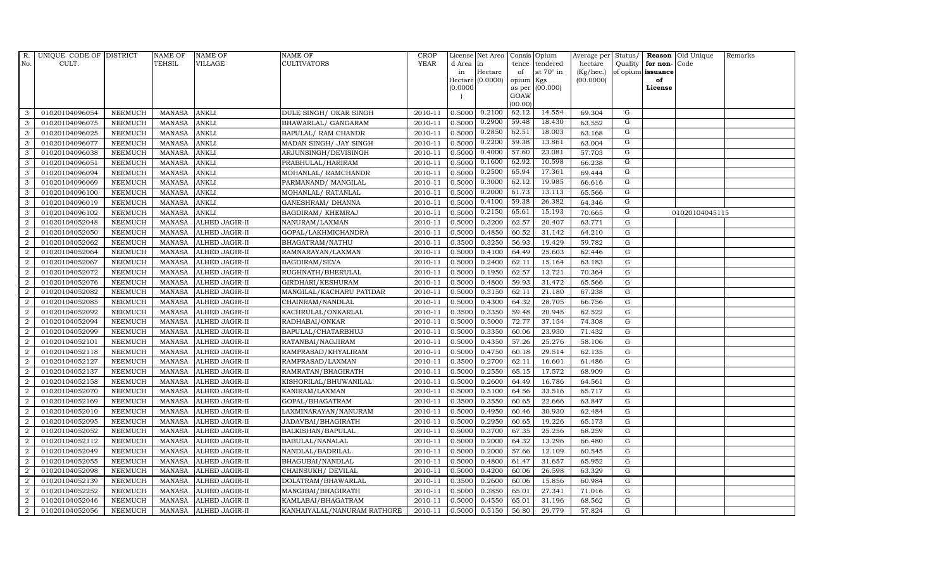| R.               | UNIQUE CODE OF DISTRICT |                | <b>NAME OF</b> | <b>NAME OF</b>        | <b>NAME OF</b>              | CROP    |           | License Net Area   Consis   Opium |                 |                  | Average per | Status/        |                   | <b>Reason</b> Old Unique | Remarks |
|------------------|-------------------------|----------------|----------------|-----------------------|-----------------------------|---------|-----------|-----------------------------------|-----------------|------------------|-------------|----------------|-------------------|--------------------------|---------|
| No.              | CULT.                   |                | TEHSIL         | VILLAGE               | <b>CULTIVATORS</b>          | YEAR    | d Area in |                                   |                 | tence tendered   | hectare     | Quality        | for non-          | Code                     |         |
|                  |                         |                |                |                       |                             |         | in        | Hectare                           | of              | at $70^\circ$ in | (Kg/hec.)   |                | of opium issuance |                          |         |
|                  |                         |                |                |                       |                             |         |           | Hectare (0.0000)                  | opium Kgs       |                  | (00.0000)   |                | of                |                          |         |
|                  |                         |                |                |                       |                             |         | (0.0000)  |                                   |                 | as per (00.000)  |             |                | License           |                          |         |
|                  |                         |                |                |                       |                             |         |           |                                   | GOAW<br>(00.00) |                  |             |                |                   |                          |         |
| 3                | 01020104096054          | <b>NEEMUCH</b> | <b>MANASA</b>  | <b>ANKLI</b>          | DULE SINGH/ OKAR SINGH      | 2010-11 | 0.5000    | 0.2100                            | 62.12           | 14.554           | 69.304      | G              |                   |                          |         |
| 3                | 01020104096075          | <b>NEEMUCH</b> | <b>MANASA</b>  | <b>ANKLI</b>          | BHAWARLAL/ GANGARAM         | 2010-11 | 0.5000    | 0.2900                            | 59.48           | 18.430           | 63.552      | G              |                   |                          |         |
| 3                | 01020104096025          | <b>NEEMUCH</b> | <b>MANASA</b>  | <b>ANKLI</b>          | BAPULAL/ RAM CHANDR         | 2010-11 | 0.5000    | 0.2850                            | 62.51           | 18.003           | 63.168      | G              |                   |                          |         |
| 3                | 01020104096077          | <b>NEEMUCH</b> | <b>MANASA</b>  | <b>ANKLI</b>          | MADAN SINGH/ JAY SINGH      | 2010-11 | 0.5000    | 0.2200                            | 59.38           | 13.861           | 63.004      | G              |                   |                          |         |
| 3                | 01020104096038          | <b>NEEMUCH</b> | <b>MANASA</b>  | <b>ANKLI</b>          | ARJUNSINGH/DEVISINGH        | 2010-11 | 0.5000    | 0.4000                            | 57.60           | 23.081           | 57.703      | G              |                   |                          |         |
| 3                | 01020104096051          | <b>NEEMUCH</b> | <b>MANASA</b>  | <b>ANKLI</b>          | PRABHULAL/HARIRAM           | 2010-11 | 0.5000    | 0.1600                            | 62.92           | 10.598           | 66.238      | G              |                   |                          |         |
| 3                | 01020104096094          | NEEMUCH        | <b>MANASA</b>  | <b>ANKLI</b>          | MOHANLAL/ RAMCHANDR         | 2010-11 | 0.5000    | 0.2500                            | 65.94           | 17.361           | 69.444      | G              |                   |                          |         |
| 3                | 01020104096069          | <b>NEEMUCH</b> | <b>MANASA</b>  | <b>ANKLI</b>          | PARMANAND / MANGILAL        | 2010-11 | 0.5000    | 0.3000                            | 62.12           | 19.985           | 66.616      | G              |                   |                          |         |
| 3                | 01020104096100          | <b>NEEMUCH</b> | <b>MANASA</b>  | <b>ANKLI</b>          | MOHANLAL/ RATANLAL          | 2010-11 | 0.5000    | 0.2000                            | 61.73           | 13.113           | 65.566      | G              |                   |                          |         |
| 3                | 01020104096019          | <b>NEEMUCH</b> | <b>MANASA</b>  | <b>ANKLI</b>          | GANESHRAM / DHANNA          | 2010-11 | 0.5000    | 0.4100                            | 59.38           | 26.382           | 64.346      | $\overline{G}$ |                   |                          |         |
| 3                | 01020104096102          | <b>NEEMUCH</b> | <b>MANASA</b>  | <b>ANKLI</b>          | BAGDIRAM/KHEMRAJ            | 2010-11 | 0.5000    | 0.2150                            | 65.61           | 15.193           | 70.665      | G              |                   | 01020104045115           |         |
| $\overline{2}$   | 01020104052048          | <b>NEEMUCH</b> | MANASA         | ALHED JAGIR-II        | NANURAM/LAXMAN              | 2010-11 | 0.5000    | 0.3200                            | 62.57           | 20.407           | 63.771      | G              |                   |                          |         |
| $\overline{2}$   | 01020104052050          | <b>NEEMUCH</b> | <b>MANASA</b>  | ALHED JAGIR-II        | GOPAL/LAKHMICHANDRA         | 2010-11 | 0.5000    | 0.4850                            | 60.52           | 31.142           | 64.210      | G              |                   |                          |         |
| $\overline{a}$   | 01020104052062          | <b>NEEMUCH</b> | MANASA         | <b>ALHED JAGIR-II</b> | BHAGATRAM/NATHU             | 2010-11 | 0.3500    | 0.3250                            | 56.93           | 19.429           | 59.782      | $\mathbf G$    |                   |                          |         |
| 2                | 01020104052064          | <b>NEEMUCH</b> | <b>MANASA</b>  | ALHED JAGIR-II        | RAMNARAYAN/LAXMAN           | 2010-11 | 0.5000    | 0.4100                            | 64.49           | 25.603           | 62.446      | $\mathbf G$    |                   |                          |         |
| $\overline{a}$   | 01020104052067          | <b>NEEMUCH</b> | <b>MANASA</b>  | ALHED JAGIR-II        | <b>BAGDIRAM/SEVA</b>        | 2010-11 | 0.5000    | 0.2400                            | 62.11           | 15.164           | 63.183      | ${\rm G}$      |                   |                          |         |
| $\overline{2}$   | 01020104052072          | <b>NEEMUCH</b> | MANASA         | <b>ALHED JAGIR-II</b> | RUGHNATH/BHERULAL           | 2010-11 | 0.5000    | 0.1950                            | 62.57           | 13.721           | 70.364      | G              |                   |                          |         |
| $\overline{2}$   | 01020104052076          | <b>NEEMUCH</b> | <b>MANASA</b>  | ALHED JAGIR-II        | GIRDHARI/KESHURAM           | 2010-11 | 0.5000    | 0.4800                            | 59.93           | 31.472           | 65.566      | $\mathbf G$    |                   |                          |         |
| $\overline{a}$   | 01020104052082          | <b>NEEMUCH</b> | MANASA         | <b>ALHED JAGIR-II</b> | MANGILAL/KACHARU PATIDAR    | 2010-11 | 0.5000    | 0.3150                            | 62.11           | 21.180           | 67.238      | ${\rm G}$      |                   |                          |         |
| $\overline{2}$   | 01020104052085          | <b>NEEMUCH</b> | <b>MANASA</b>  | ALHED JAGIR-II        | CHAINRAM/NANDLAL            | 2010-11 | 0.5000    | 0.4300                            | 64.32           | 28.705           | 66.756      | G              |                   |                          |         |
| $\overline{a}$   | 01020104052092          | <b>NEEMUCH</b> | <b>MANASA</b>  | ALHED JAGIR-II        | KACHRULAL/ONKARLAL          | 2010-11 | 0.3500    | 0.3350                            | 59.48           | 20.945           | 62.522      | $\mathbf G$    |                   |                          |         |
| $\overline{2}$   | 01020104052094          | <b>NEEMUCH</b> | MANASA         | <b>ALHED JAGIR-II</b> | RADHABAI/ONKAR              | 2010-11 | 0.5000    | 0.5000                            | 72.77           | 37.154           | 74.308      | $\mathbf G$    |                   |                          |         |
| $\overline{2}$   | 01020104052099          | <b>NEEMUCH</b> | <b>MANASA</b>  | <b>ALHED JAGIR-II</b> | BAPULAL/CHATARBHUJ          | 2010-11 | 0.5000    | 0.3350                            | 60.06           | 23.930           | 71.432      | $\mathbf G$    |                   |                          |         |
| $\boldsymbol{2}$ | 01020104052101          | <b>NEEMUCH</b> | <b>MANASA</b>  | <b>ALHED JAGIR-II</b> | RATANBAI/NAGJIRAM           | 2010-11 | 0.5000    | 0.4350                            | 57.26           | 25.276           | 58.106      | $\mathbf G$    |                   |                          |         |
| 2                | 01020104052118          | <b>NEEMUCH</b> | <b>MANASA</b>  | ALHED JAGIR-II        | RAMPRASAD/KHYALIRAM         | 2010-11 | 0.5000    | 0.4750                            | 60.18           | 29.514           | 62.135      | ${\rm G}$      |                   |                          |         |
| 2                | 01020104052127          | <b>NEEMUCH</b> | <b>MANASA</b>  | ALHED JAGIR-II        | RAMPRASAD/LAXMAN            | 2010-11 | 0.3500    | 0.2700                            | 62.11           | 16.601           | 61.486      | $\mathbf G$    |                   |                          |         |
| $\overline{2}$   | 01020104052137          | <b>NEEMUCH</b> | MANASA         | <b>ALHED JAGIR-II</b> | RAMRATAN/BHAGIRATH          | 2010-11 | 0.5000    | 0.2550                            | 65.15           | 17.572           | 68.909      | $\mathbf G$    |                   |                          |         |
| 2                | 01020104052158          | <b>NEEMUCH</b> | <b>MANASA</b>  | ALHED JAGIR-II        | KISHORILAL/BHUWANILAL       | 2010-11 | 0.5000    | 0.2600                            | 64.49           | 16.786           | 64.561      | G              |                   |                          |         |
| $\overline{2}$   | 01020104052070          | <b>NEEMUCH</b> | <b>MANASA</b>  | <b>ALHED JAGIR-II</b> | KANIRAM/LAXMAN              | 2010-11 | 0.5000    | 0.5100                            | 64.56           | 33.516           | 65.717      | $\mathbf G$    |                   |                          |         |
| $\overline{2}$   | 01020104052169          | <b>NEEMUCH</b> | <b>MANASA</b>  | ALHED JAGIR-II        | GOPAL/BHAGATRAM             | 2010-11 | 0.3500    | 0.3550                            | 60.65           | 22.666           | 63.847      | G              |                   |                          |         |
| $\overline{a}$   | 01020104052010          | <b>NEEMUCH</b> | <b>MANASA</b>  | ALHED JAGIR-II        | LAXMINARAYAN/NANURAM        | 2010-11 | 0.5000    | 0.4950                            | 60.46           | 30.930           | 62.484      | ${\rm G}$      |                   |                          |         |
| $\overline{a}$   | 01020104052095          | <b>NEEMUCH</b> | <b>MANASA</b>  | <b>ALHED JAGIR-II</b> | JADAVBAI/BHAGIRATH          | 2010-11 | 0.5000    | 0.2950                            | 60.65           | 19.226           | 65.173      | ${\rm G}$      |                   |                          |         |
| 2                | 01020104052052          | <b>NEEMUCH</b> | <b>MANASA</b>  | ALHED JAGIR-II        | BALKISHAN/BAPULAL           | 2010-11 | 0.5000    | 0.3700                            | 67.35           | 25.256           | 68.259      | G              |                   |                          |         |
| $\overline{2}$   | 01020104052112          | <b>NEEMUCH</b> | <b>MANASA</b>  | ALHED JAGIR-II        | BABULAL/NANALAL             | 2010-11 | 0.5000    | 0.2000                            | 64.32           | 13.296           | 66.480      | $\mathbf G$    |                   |                          |         |
| 2                | 01020104052049          | <b>NEEMUCH</b> | <b>MANASA</b>  | ALHED JAGIR-II        | NANDLAL/BADRILAL            | 2010-11 | 0.5000    | 0.2000                            | 57.66           | 12.109           | 60.545      | ${\rm G}$      |                   |                          |         |
| $\overline{2}$   | 01020104052055          | <b>NEEMUCH</b> | <b>MANASA</b>  | ALHED JAGIR-II        | BHAGUBAI/NANDLAL            | 2010-11 | 0.5000    | 0.4800                            | 61.47           | 31.657           | 65.952      | ${\rm G}$      |                   |                          |         |
| $\overline{2}$   | 01020104052098          | <b>NEEMUCH</b> | <b>MANASA</b>  | ALHED JAGIR-II        | CHAINSUKH/ DEVILAL          | 2010-11 | 0.5000    | 0.4200                            | 60.06           | 26.598           | 63.329      | ${\rm G}$      |                   |                          |         |
| $\overline{2}$   | 01020104052139          | <b>NEEMUCH</b> | MANASA         | ALHED JAGIR-II        | DOLATRAM/BHAWARLAL          | 2010-11 | 0.3500    | 0.2600                            | 60.06           | 15.856           | 60.984      | G              |                   |                          |         |
| $\overline{a}$   | 01020104052252          | <b>NEEMUCH</b> | <b>MANASA</b>  | <b>ALHED JAGIR-II</b> | MANGIBAI/BHAGIRATH          | 2010-11 | 0.5000    | 0.3850                            | 65.01           | 27.341           | 71.016      | $\mathbf G$    |                   |                          |         |
| 2                | 01020104052046          | <b>NEEMUCH</b> | <b>MANASA</b>  | ALHED JAGIR-II        | KAMLABAI/BHAGATRAM          | 2010-11 | 0.5000    | 0.4550                            | 65.01           | 31.196           | 68.562      | G              |                   |                          |         |
| $\overline{a}$   | 01020104052056          | <b>NEEMUCH</b> |                | MANASA ALHED JAGIR-II | KANHAIYALAL/NANURAM RATHORE | 2010-11 | 0.5000    | 0.5150                            | 56.80           | 29.779           | 57.824      | G              |                   |                          |         |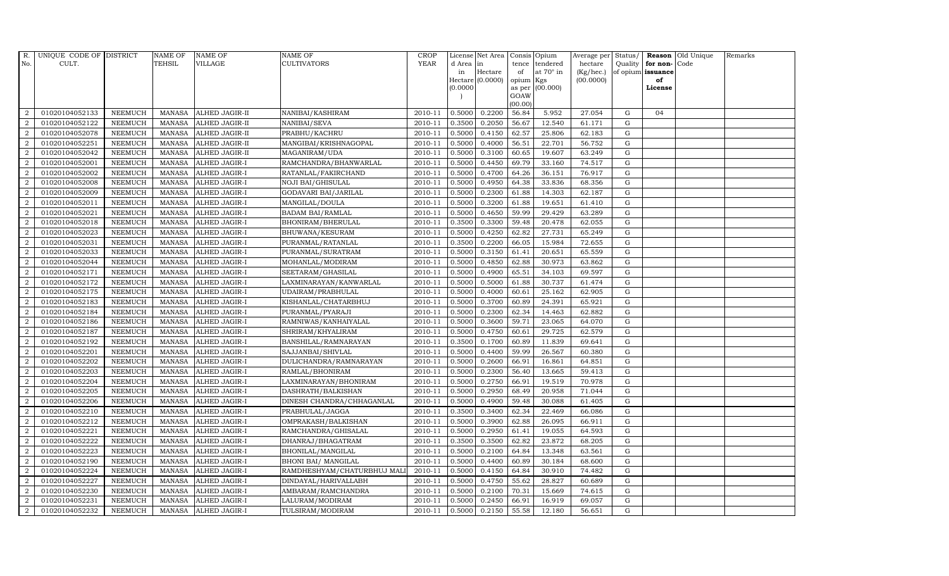| R.               | UNIQUE CODE OF DISTRICT |                | <b>NAME OF</b> | <b>NAME OF</b>        | <b>NAME OF</b>              | CROP    |           | License Net Area   Consis   Opium |           |                  | Average per | Status/     |                   | <b>Reason</b> Old Unique | Remarks |
|------------------|-------------------------|----------------|----------------|-----------------------|-----------------------------|---------|-----------|-----------------------------------|-----------|------------------|-------------|-------------|-------------------|--------------------------|---------|
| No.              | CULT.                   |                | <b>TEHSIL</b>  | <b>VILLAGE</b>        | <b>CULTIVATORS</b>          | YEAR    | d Area in |                                   | tence     | tendered         | hectare     | Quality     | for non-          | Code                     |         |
|                  |                         |                |                |                       |                             |         | in        | Hectare                           | of        | at $70^\circ$ in | (Kg/hec.)   |             | of opium issuance |                          |         |
|                  |                         |                |                |                       |                             |         |           | Hectare (0.0000)                  | opium Kgs |                  | (00.0000)   |             | of                |                          |         |
|                  |                         |                |                |                       |                             |         | (0.0000)  |                                   | GOAW      | as per (00.000)  |             |             | License           |                          |         |
|                  |                         |                |                |                       |                             |         |           |                                   | (00.00)   |                  |             |             |                   |                          |         |
| $\overline{2}$   | 01020104052133          | <b>NEEMUCH</b> | MANASA         | <b>ALHED JAGIR-II</b> | NANIBAI/KASHIRAM            | 2010-11 | 0.5000    | 0.2200                            | 56.84     | 5.952            | 27.054      | G           | 04                |                          |         |
| $\overline{2}$   | 01020104052122          | <b>NEEMUCH</b> | MANASA         | <b>ALHED JAGIR-II</b> | NANIBAI/SEVA                | 2010-11 | 0.3500    | 0.2050                            | 56.67     | 12.540           | 61.171      | $\mathbf G$ |                   |                          |         |
| 2                | 01020104052078          | <b>NEEMUCH</b> | <b>MANASA</b>  | <b>ALHED JAGIR-II</b> | PRABHU/KACHRU               | 2010-11 | 0.5000    | 0.4150                            | 62.57     | 25.806           | 62.183      | G           |                   |                          |         |
| $\overline{2}$   | 01020104052251          | <b>NEEMUCH</b> | MANASA         | <b>ALHED JAGIR-II</b> | MANGIBAI/KRISHNAGOPAL       | 2010-11 | 0.5000    | 0.4000                            | 56.51     | 22.701           | 56.752      | $\mathbf G$ |                   |                          |         |
| $\overline{a}$   | 01020104052042          | <b>NEEMUCH</b> | <b>MANASA</b>  | ALHED JAGIR-II        | MAGANIRAM/UDA               | 2010-11 | 0.5000    | 0.3100                            | 60.65     | 19.607           | 63.249      | ${\rm G}$   |                   |                          |         |
| 2                | 01020104052001          | <b>NEEMUCH</b> | <b>MANASA</b>  | ALHED JAGIR-I         | RAMCHANDRA/BHANWARLAL       | 2010-11 | 0.5000    | 0.4450                            | 69.79     | 33.160           | 74.517      | $\mathbf G$ |                   |                          |         |
| $\overline{a}$   | 01020104052002          | <b>NEEMUCH</b> | <b>MANASA</b>  | ALHED JAGIR-I         | RATANLAL/FAKIRCHAND         | 2010-11 | 0.5000    | 0.4700                            | 64.26     | 36.151           | 76.917      | $\mathbf G$ |                   |                          |         |
| $\overline{2}$   | 01020104052008          | <b>NEEMUCH</b> | <b>MANASA</b>  | <b>ALHED JAGIR-I</b>  | NOJI BAI/GHISULAL           | 2010-11 | 0.5000    | 0.4950                            | 64.38     | 33.836           | 68.356      | $\mathbf G$ |                   |                          |         |
| $\overline{2}$   | 01020104052009          | <b>NEEMUCH</b> | MANASA         | <b>ALHED JAGIR-I</b>  | GODAVARI BAI/JARILAL        | 2010-11 | 0.5000    | 0.2300                            | 61.88     | 14.303           | 62.187      | $\mathbf G$ |                   |                          |         |
| $\overline{2}$   | 01020104052011          | <b>NEEMUCH</b> | <b>MANASA</b>  | ALHED JAGIR-I         | MANGILAL/DOULA              | 2010-11 | 0.5000    | 0.3200                            | 61.88     | 19.651           | 61.410      | ${\rm G}$   |                   |                          |         |
| $\overline{a}$   | 01020104052021          | <b>NEEMUCH</b> | <b>MANASA</b>  | <b>ALHED JAGIR-I</b>  | <b>BADAM BAI/RAMLAL</b>     | 2010-11 | 0.5000    | 0.4650                            | 59.99     | 29.429           | 63.289      | ${\rm G}$   |                   |                          |         |
| $\overline{2}$   | 01020104052018          | <b>NEEMUCH</b> | MANASA         | <b>ALHED JAGIR-I</b>  | BHONIRAM/BHERULAL           | 2010-11 | 0.3500    | 0.3300                            | 59.48     | 20.478           | 62.055      | $\mathbf G$ |                   |                          |         |
| 2                | 01020104052023          | <b>NEEMUCH</b> | <b>MANASA</b>  | <b>ALHED JAGIR-I</b>  | BHUWANA/KESURAM             | 2010-11 | 0.5000    | 0.4250                            | 62.82     | 27.731           | 65.249      | $\mathbf G$ |                   |                          |         |
| $\overline{2}$   | 01020104052031          | <b>NEEMUCH</b> | MANASA         | <b>ALHED JAGIR-I</b>  | PURANMAL/RATANLAL           | 2010-11 | 0.3500    | 0.2200                            | 66.05     | 15.984           | 72.655      | $\mathbf G$ |                   |                          |         |
| $\overline{2}$   | 01020104052033          | <b>NEEMUCH</b> | <b>MANASA</b>  | ALHED JAGIR-I         | PURANMAL/SURATRAM           | 2010-11 | 0.5000    | 0.3150                            | 61.41     | 20.651           | 65.559      | G           |                   |                          |         |
| $\overline{a}$   | 01020104052044          | <b>NEEMUCH</b> | <b>MANASA</b>  | <b>ALHED JAGIR-I</b>  | MOHANLAL/MODIRAM            | 2010-11 | 0.5000    | 0.4850                            | 62.88     | 30.973           | 63.862      | ${\rm G}$   |                   |                          |         |
| 2                | 01020104052171          | <b>NEEMUCH</b> | MANASA         | ALHED JAGIR-I         | SEETARAM/GHASILAL           | 2010-11 | 0.5000    | 0.4900                            | 65.51     | 34.103           | 69.597      | G           |                   |                          |         |
| 2                | 01020104052172          | <b>NEEMUCH</b> | MANASA         | <b>ALHED JAGIR-I</b>  | LAXMINARAYAN/KANWARLAL      | 2010-11 | 0.5000    | 0.5000                            | 61.88     | 30.737           | 61.474      | G           |                   |                          |         |
| $\overline{2}$   | 01020104052175          | <b>NEEMUCH</b> | MANASA         | <b>ALHED JAGIR-I</b>  | UDAIRAM/PRABHULAL           | 2010-11 | 0.5000    | 0.4000                            | 60.61     | 25.162           | 62.905      | $\mathbf G$ |                   |                          |         |
| $\overline{2}$   | 01020104052183          | <b>NEEMUCH</b> | <b>MANASA</b>  | <b>ALHED JAGIR-I</b>  | KISHANLAL/CHATARBHUJ        | 2010-11 | 0.5000    | 0.3700                            | 60.89     | 24.391           | 65.921      | $\mathbf G$ |                   |                          |         |
| 2                | 01020104052184          | <b>NEEMUCH</b> | <b>MANASA</b>  | <b>ALHED JAGIR-I</b>  | PURANMAL/PYARAJI            | 2010-11 | 0.5000    | 0.2300                            | 62.34     | 14.463           | 62.882      | ${\rm G}$   |                   |                          |         |
| $\overline{a}$   | 01020104052186          | <b>NEEMUCH</b> | <b>MANASA</b>  | ALHED JAGIR-I         | RAMNIWAS/KANHAIYALAL        | 2010-11 | 0.5000    | 0.3600                            | 59.71     | 23.065           | 64.070      | ${\rm G}$   |                   |                          |         |
| $\overline{2}$   | 01020104052187          | <b>NEEMUCH</b> | MANASA         | <b>ALHED JAGIR-I</b>  | SHRIRAM/KHYALIRAM           | 2010-11 | 0.5000    | 0.4750                            | 60.61     | 29.725           | 62.579      | G           |                   |                          |         |
| $\overline{2}$   | 01020104052192          | <b>NEEMUCH</b> | <b>MANASA</b>  | <b>ALHED JAGIR-I</b>  | BANSHILAL/RAMNARAYAN        | 2010-11 | 0.3500    | 0.1700                            | 60.89     | 11.839           | 69.641      | $\mathbf G$ |                   |                          |         |
| $\boldsymbol{2}$ | 01020104052201          | <b>NEEMUCH</b> | <b>MANASA</b>  | ALHED JAGIR-I         | SAJJANBAI/SHIVLAL           | 2010-11 | 0.5000    | 0.4400                            | 59.99     | 26.567           | 60.380      | $\mathbf G$ |                   |                          |         |
| 2                | 01020104052202          | <b>NEEMUCH</b> | <b>MANASA</b>  | ALHED JAGIR-I         | DULICHANDRA/RAMNARAYAN      | 2010-11 | 0.5000    | 0.2600                            | 66.91     | 16.861           | 64.851      | G           |                   |                          |         |
| $\overline{a}$   | 01020104052203          | <b>NEEMUCH</b> | <b>MANASA</b>  | ALHED JAGIR-I         | RAMLAL/BHONIRAM             | 2010-11 | 0.5000    | 0.2300                            | 56.40     | 13.665           | 59.413      | ${\rm G}$   |                   |                          |         |
| 2                | 01020104052204          | <b>NEEMUCH</b> | MANASA         | <b>ALHED JAGIR-I</b>  | LAXMINARAYAN/BHONIRAM       | 2010-11 | 0.5000    | 0.2750                            | 66.91     | 19.519           | 70.978      | G           |                   |                          |         |
| 2                | 01020104052205          | <b>NEEMUCH</b> | <b>MANASA</b>  | <b>ALHED JAGIR-I</b>  | DASHRATH/BALKISHAN          | 2010-11 | 0.5000    | 0.2950                            | 68.49     | 20.958           | 71.044      | $\mathbf G$ |                   |                          |         |
| $\overline{2}$   | 01020104052206          | <b>NEEMUCH</b> | <b>MANASA</b>  | ALHED JAGIR-I         | DINESH CHANDRA/CHHAGANLAL   | 2010-11 | 0.5000    | 0.4900                            | 59.48     | 30.088           | 61.405      | $\mathbf G$ |                   |                          |         |
| $\overline{2}$   | 01020104052210          | <b>NEEMUCH</b> | MANASA         | ALHED JAGIR-I         | PRABHULAL/JAGGA             | 2010-11 | 0.3500    | 0.3400                            | 62.34     | 22.469           | 66.086      | G           |                   |                          |         |
| $\overline{a}$   | 01020104052212          | <b>NEEMUCH</b> | <b>MANASA</b>  | ALHED JAGIR-I         | OMPRAKASH/BALKISHAN         | 2010-11 | 0.5000    | 0.3900                            | 62.88     | 26.095           | 66.911      | ${\rm G}$   |                   |                          |         |
| $\overline{a}$   | 01020104052221          | <b>NEEMUCH</b> | MANASA         | <b>ALHED JAGIR-I</b>  | RAMCHANDRA/GHISALAL         | 2010-11 | 0.5000    | 0.2950                            | 61.41     | 19.055           | 64.593      | $\mathbf G$ |                   |                          |         |
| 2                | 01020104052222          | <b>NEEMUCH</b> | <b>MANASA</b>  | <b>ALHED JAGIR-I</b>  | DHANRAJ/BHAGATRAM           | 2010-11 | 0.3500    | 0.3500                            | 62.82     | 23.872           | 68.205      | $\mathbf G$ |                   |                          |         |
| $\overline{2}$   | 01020104052223          | <b>NEEMUCH</b> | <b>MANASA</b>  | ALHED JAGIR-I         | BHONILAL/MANGILAL           | 2010-11 | 0.5000    | 0.2100                            | 64.84     | 13.348           | 63.561      | $\mathbf G$ |                   |                          |         |
| $\overline{a}$   | 01020104052190          | <b>NEEMUCH</b> | <b>MANASA</b>  | ALHED JAGIR-I         | BHONI BAI/ MANGILAL         | 2010-11 | 0.5000    | 0.4400                            | 60.89     | 30.184           | 68.600      | ${\rm G}$   |                   |                          |         |
| $\overline{2}$   | 01020104052224          | <b>NEEMUCH</b> | <b>MANASA</b>  | ALHED JAGIR-I         | RAMDHESHYAM/CHATURBHUJ MALI | 2010-11 | 0.5000    | 0.4150                            | 64.84     | 30.910           | 74.482      | G           |                   |                          |         |
| $\overline{a}$   | 01020104052227          | <b>NEEMUCH</b> | <b>MANASA</b>  | <b>ALHED JAGIR-I</b>  | DINDAYAL/HARIVALLABH        | 2010-11 | 0.5000    | 0.4750                            | 55.62     | 28.827           | 60.689      | $\mathbf G$ |                   |                          |         |
| $\overline{2}$   | 01020104052230          | <b>NEEMUCH</b> | <b>MANASA</b>  | <b>ALHED JAGIR-I</b>  | AMBARAM/RAMCHANDRA          | 2010-11 | 0.5000    | 0.2100                            | 70.31     | 15.669           | 74.615      | $\mathbf G$ |                   |                          |         |
| 2                | 01020104052231          | <b>NEEMUCH</b> | <b>MANASA</b>  | ALHED JAGIR-I         | LALURAM/MODIRAM             | 2010-11 | 0.5000    | 0.2450                            | 66.91     | 16.919           | 69.057      | $\mathbf G$ |                   |                          |         |
| $\overline{a}$   | 01020104052232          | <b>NEEMUCH</b> |                | MANASA ALHED JAGIR-I  | TULSIRAM/MODIRAM            | 2010-11 | 0.5000    | 0.2150                            | 55.58     | 12.180           | 56.651      | G           |                   |                          |         |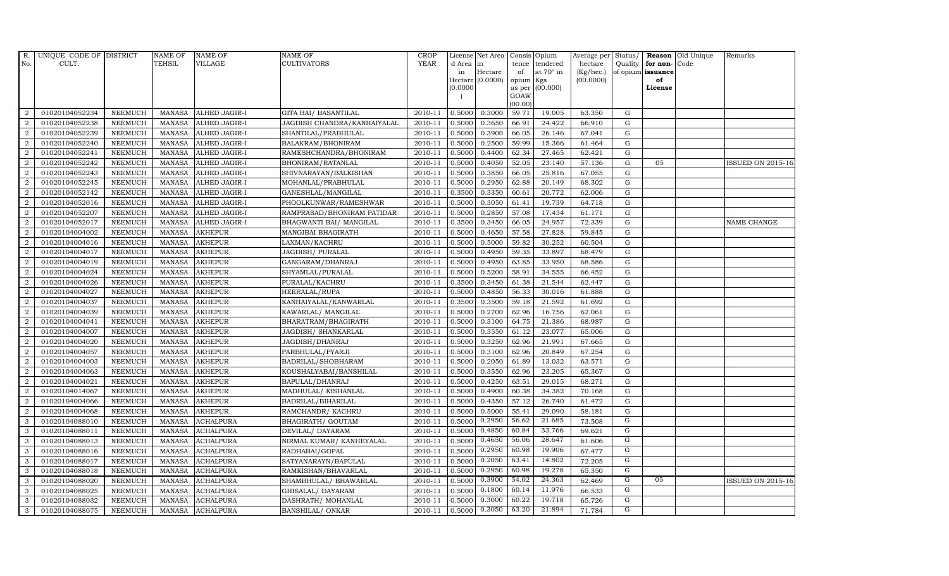| R.               | UNIQUE CODE OF DISTRICT |                | NAME OF       | <b>NAME OF</b>       | <b>NAME OF</b>              | CROP        |            | License Net Area |                     | Consis Opium     | Average per     | Status/        |                   | <b>Reason</b> Old Unique | Remarks                  |
|------------------|-------------------------|----------------|---------------|----------------------|-----------------------------|-------------|------------|------------------|---------------------|------------------|-----------------|----------------|-------------------|--------------------------|--------------------------|
| No.              | CULT.                   |                | <b>TEHSIL</b> | <b>VILLAGE</b>       | <b>CULTIVATORS</b>          | <b>YEAR</b> | d Area lin |                  | tence               | tendered         | hectare         | Quality        | for non-          | Code                     |                          |
|                  |                         |                |               |                      |                             |             | in         | Hectare          | of                  | at $70^\circ$ in | $(Kg/$ hec. $)$ |                | of opium issuance |                          |                          |
|                  |                         |                |               |                      |                             |             | (0.0000)   | Hectare (0.0000) | opium Kgs<br>as per | (00.000)         | (00.0000)       |                | of<br>License     |                          |                          |
|                  |                         |                |               |                      |                             |             |            |                  | GOAW                |                  |                 |                |                   |                          |                          |
|                  |                         |                |               |                      |                             |             |            |                  | (00.00)             |                  |                 |                |                   |                          |                          |
| $\overline{2}$   | 01020104052234          | <b>NEEMUCH</b> | <b>MANASA</b> | <b>ALHED JAGIR-I</b> | <b>GITA BAI/ BASANTILAL</b> | 2010-11     | 0.5000     | 0.3000           | 59.71               | 19.005           | 63.350          | G              |                   |                          |                          |
| $\overline{2}$   | 01020104052238          | <b>NEEMUCH</b> | MANASA        | <b>ALHED JAGIR-I</b> | JAGDISH CHANDRA/KANHAIYALAL | 2010-11     | 0.5000     | 0.3650           | 66.91               | 24.422           | 66.910          | ${\rm G}$      |                   |                          |                          |
| 2                | 01020104052239          | <b>NEEMUCH</b> | <b>MANASA</b> | <b>ALHED JAGIR-I</b> | SHANTILAL/PRABHULAL         | 2010-11     | 0.5000     | 0.3900           | 66.05               | 26.146           | 67.041          | G              |                   |                          |                          |
| $\overline{2}$   | 01020104052240          | <b>NEEMUCH</b> | MANASA        | ALHED JAGIR-I        | BALAKRAM/BHONIRAM           | 2010-11     | 0.5000     | 0.2500           | 59.99               | 15.366           | 61.464          | $\mathbf G$    |                   |                          |                          |
| $\overline{2}$   | 01020104052241          | <b>NEEMUCH</b> | MANASA        | ALHED JAGIR-I        | RAMESHCHANDRA/BHONIRAM      | 2010-11     | 0.5000     | 0.4400           | 62.34               | 27.465           | 62.421          | $\mathbf G$    |                   |                          |                          |
| $\overline{2}$   | 01020104052242          | <b>NEEMUCH</b> | <b>MANASA</b> | ALHED JAGIR-I        | BHONIRAM/RATANLAL           | 2010-11     | 0.5000     | 0.4050           | 52.05               | 23.140           | 57.136          | G              | 05                |                          | <b>ISSUED ON 2015-16</b> |
| $\overline{a}$   | 01020104052243          | <b>NEEMUCH</b> | MANASA        | <b>ALHED JAGIR-I</b> | SHIVNARAYAN/BALKISHAN       | 2010-11     | 0.5000     | 0.3850           | 66.05               | 25.816           | 67.055          | ${\rm G}$      |                   |                          |                          |
| $\overline{2}$   | 01020104052245          | <b>NEEMUCH</b> | MANASA        | <b>ALHED JAGIR-I</b> | MOHANLAL/PRABHULAL          | 2010-11     | 0.5000     | 0.2950           | 62.88               | 20.149           | 68.302          | G              |                   |                          |                          |
| 2                | 01020104052142          | <b>NEEMUCH</b> | <b>MANASA</b> | <b>ALHED JAGIR-I</b> | GANESHLAL/MANGILAL          | 2010-11     | 0.3500     | 0.3350           | 60.61               | 20.772           | 62.006          | $\mathbf G$    |                   |                          |                          |
| $\boldsymbol{2}$ | 01020104052016          | <b>NEEMUCH</b> | MANASA        | ALHED JAGIR-I        | PHOOLKUNWAR/RAMESHWAR       | 2010-11     | 0.5000     | 0.3050           | 61.41               | 19.739           | 64.718          | $\mathbf G$    |                   |                          |                          |
| 2                | 01020104052207          | <b>NEEMUCH</b> | <b>MANASA</b> | <b>ALHED JAGIR-I</b> | RAMPRASAD/BHONIRAM PATIDAR  | 2010-11     | 0.5000     | 0.2850           | 57.08               | 17.434           | 61.171          | ${\rm G}$      |                   |                          |                          |
| $\overline{a}$   | 01020104052017          | <b>NEEMUCH</b> | <b>MANASA</b> | ALHED JAGIR-I        | BHAGWANTI BAI/ MANGILAL     | 2010-11     | 0.3500     | 0.3450           | 66.05               | 24.957           | 72.339          | $\mathbf G$    |                   |                          | NAME CHANGE              |
| $\overline{2}$   | 01020104004002          | <b>NEEMUCH</b> | MANASA        | <b>AKHEPUR</b>       | MANGIBAI BHAGIRATH          | 2010-11     | 0.5000     | 0.4650           | 57.58               | 27.828           | 59.845          | G              |                   |                          |                          |
| 2                | 01020104004016          | <b>NEEMUCH</b> | <b>MANASA</b> | <b>AKHEPUR</b>       | LAXMAN/KACHRU               | 2010-11     | 0.5000     | 0.5000           | 59.82               | 30.252           | 60.504          | $\mathbf G$    |                   |                          |                          |
| $\overline{a}$   | 01020104004017          | NEEMUCH        | <b>MANASA</b> | <b>AKHEPUR</b>       | JAGDISH/ PURALAL            | 2010-11     | 0.5000     | 0.4950           | 59.35               | 33.897           | 68.479          | $\mathbf G$    |                   |                          |                          |
| 2                | 01020104004019          | <b>NEEMUCH</b> | <b>MANASA</b> | <b>AKHEPUR</b>       | GANGARAM/DHANRAJ            | 2010-11     | 0.5000     | 0.4950           | 63.85               | 33.950           | 68.586          | $\mathbf G$    |                   |                          |                          |
| $\overline{a}$   | 01020104004024          | <b>NEEMUCH</b> | <b>MANASA</b> | <b>AKHEPUR</b>       | SHYAMLAL/PURALAL            | 2010-11     | 0.5000     | 0.5200           | 58.91               | 34.555           | 66.452          | ${\rm G}$      |                   |                          |                          |
| $\overline{2}$   | 01020104004026          | <b>NEEMUCH</b> | MANASA        | <b>AKHEPUR</b>       | PURALAL/KACHRU              | 2010-11     | 0.3500     | 0.3450           | 61.38               | 21.544           | 62.447          | G              |                   |                          |                          |
| $\overline{2}$   | 01020104004027          | <b>NEEMUCH</b> | <b>MANASA</b> | <b>AKHEPUR</b>       | <b>HEERALAL/RUPA</b>        | 2010-11     | 0.5000     | 0.4850           | 56.33               | 30.016           | 61.888          | $\mathbf G$    |                   |                          |                          |
| $\overline{2}$   | 01020104004037          | NEEMUCH        | <b>MANASA</b> | <b>AKHEPUR</b>       | KANHAIYALAL/KANWARLAL       | 2010-11     | 0.3500     | 0.3500           | 59.18               | 21.592           | 61.692          | ${\rm G}$      |                   |                          |                          |
| $\overline{2}$   | 01020104004039          | <b>NEEMUCH</b> | <b>MANASA</b> | <b>AKHEPUR</b>       | KAWARLAL/ MANGILAL          | 2010-11     | 0.5000     | 0.2700           | 62.96               | 16.756           | 62.061          | $\mathbf G$    |                   |                          |                          |
| 2                | 01020104004041          | <b>NEEMUCH</b> | <b>MANASA</b> | <b>AKHEPUR</b>       | BHARATRAM/BHAGIRATH         | 2010-11     | 0.5000     | 0.3100           | 64.75               | 21.386           | 68.987          | ${\rm G}$      |                   |                          |                          |
| $\overline{a}$   | 01020104004007          | <b>NEEMUCH</b> | MANASA        | <b>AKHEPUR</b>       | JAGDISH/ SHANKARLAL         | 2010-11     | 0.5000     | 0.3550           | 61.12               | 23.077           | 65.006          | $\mathbf G$    |                   |                          |                          |
| 2                | 01020104004020          | <b>NEEMUCH</b> | <b>MANASA</b> | <b>AKHEPUR</b>       | JAGDISH/DHANRAJ             | 2010-11     | 0.5000     | 0.3250           | 62.96               | 21.991           | 67.665          | $\mathbf G$    |                   |                          |                          |
| $\overline{2}$   | 01020104004057          | <b>NEEMUCH</b> | <b>MANASA</b> | <b>AKHEPUR</b>       | PARBHULAL/PYARJI            | 2010-11     | 0.5000     | 0.3100           | 62.96               | 20.849           | 67.254          | $\mathbf G$    |                   |                          |                          |
| 2                | 01020104004003          | <b>NEEMUCH</b> | <b>MANASA</b> | <b>AKHEPUR</b>       | BADRILAL/SHOBHARAM          | 2010-11     | 0.5000     | 0.2050           | 61.89               | 13.032           | 63.571          | $\mathbf G$    |                   |                          |                          |
| 2                | 01020104004063          | <b>NEEMUCH</b> | <b>MANASA</b> | <b>AKHEPUR</b>       | KOUSHALYABAI/BANSHILAL      | 2010-11     | 0.5000     | 0.3550           | 62.96               | 23.205           | 65.367          | $\mathbf G$    |                   |                          |                          |
| $\overline{a}$   | 01020104004021          | <b>NEEMUCH</b> | <b>MANASA</b> | <b>AKHEPUR</b>       | BAPULAL/DHANRAJ             | 2010-11     | 0.5000     | 0.4250           | 63.51               | 29.015           | 68.271          | $\mathbf G$    |                   |                          |                          |
| $\overline{2}$   | 01020104014067          | <b>NEEMUCH</b> | <b>MANASA</b> | <b>AKHEPUR</b>       | MADHULAL/KISHANLAL          | 2010-11     | 0.5000     | 0.4900           | 60.38               | 34.382           | 70.168          | $\mathbf G$    |                   |                          |                          |
| $\overline{2}$   | 01020104004066          | <b>NEEMUCH</b> | <b>MANASA</b> | <b>AKHEPUR</b>       | BADRILAL/BIHARILAL          | 2010-11     | 0.5000     | 0.4350           | 57.12               | 26.740           | 61.472          | $\mathbf G$    |                   |                          |                          |
| $\overline{2}$   | 01020104004068          | <b>NEEMUCH</b> | MANASA        | <b>AKHEPUR</b>       | RAMCHANDR/ KACHRU           | 2010-11     | 0.5000     | 0.5000           | 55.41               | 29.090           | 58.181          | ${\rm G}$      |                   |                          |                          |
| $\mathbf{3}$     | 01020104088010          | <b>NEEMUCH</b> | <b>MANASA</b> | <b>ACHALPURA</b>     | BHAGIRATH/ GOUTAM           | 2010-11     | 0.5000     | 0.2950           | 56.62               | 21.685           | 73.508          | G              |                   |                          |                          |
| 3                | 01020104088011          | <b>NEEMUCH</b> | <b>MANASA</b> | <b>ACHALPURA</b>     | DEVILAL/ DAYARAM            | 2010-11     | 0.5000     | 0.4850           | 60.84               | 33.766           | 69.621          | G              |                   |                          |                          |
| 3                | 01020104088013          | <b>NEEMUCH</b> | <b>MANASA</b> | <b>ACHALPURA</b>     | NIRMAL KUMAR/ KANHEYALAL    | 2010-11     | 0.5000     | 0.4650           | 56.06               | 28.647           | 61.606          | $\overline{G}$ |                   |                          |                          |
| 3                | 01020104088016          | <b>NEEMUCH</b> | <b>MANASA</b> | <b>ACHALPURA</b>     | RADHABAI/GOPAL              | 2010-11     | 0.5000     | 0.2950           | 60.98               | 19.906           | 67.477          | G              |                   |                          |                          |
| 3                | 01020104088017          | <b>NEEMUCH</b> | <b>MANASA</b> | <b>ACHALPURA</b>     | SATYANARAYN/BAPULAL         | 2010-11     | 0.5000     | 0.2050           | 63.41               | 14.802           | 72.205          | G              |                   |                          |                          |
| 3                | 01020104088018          | <b>NEEMUCH</b> | <b>MANASA</b> | <b>ACHALPURA</b>     | RAMKISHAN/BHAVARLAL         | 2010-11     | 0.5000     | 0.2950           | 60.98               | 19.278           | 65.350          | G              |                   |                          |                          |
| 3                | 01020104088020          | <b>NEEMUCH</b> | <b>MANASA</b> | ACHALPURA            | SHAMBHULAL/ BHAWARLAL       | 2010-11     | 0.5000     | 0.3900           | 54.02               | 24.363           | 62.469          | G              | 05                |                          | <b>ISSUED ON 2015-16</b> |
| 3                | 01020104088025          | <b>NEEMUCH</b> | <b>MANASA</b> | <b>ACHALPURA</b>     | GHISALAL/ DAYARAM           | 2010-11     | 0.5000     | 0.1800           | 60.14               | 11.976           | 66.533          | G              |                   |                          |                          |
| 3                | 01020104088032          | <b>NEEMUCH</b> | <b>MANASA</b> | <b>ACHALPURA</b>     | DASHRATH / MOHANLAL         | 2010-11     | 0.5000     | 0.3000           | 60.22               | 19.718           | 65.726          | G              |                   |                          |                          |
| 3                | 01020104088075          | <b>NEEMUCH</b> |               | MANASA ACHALPURA     | BANSHILAL/ ONKAR            | 2010-11     | 0.5000     | 0.3050           | 63.20               | 21.894           | 71.784          | G              |                   |                          |                          |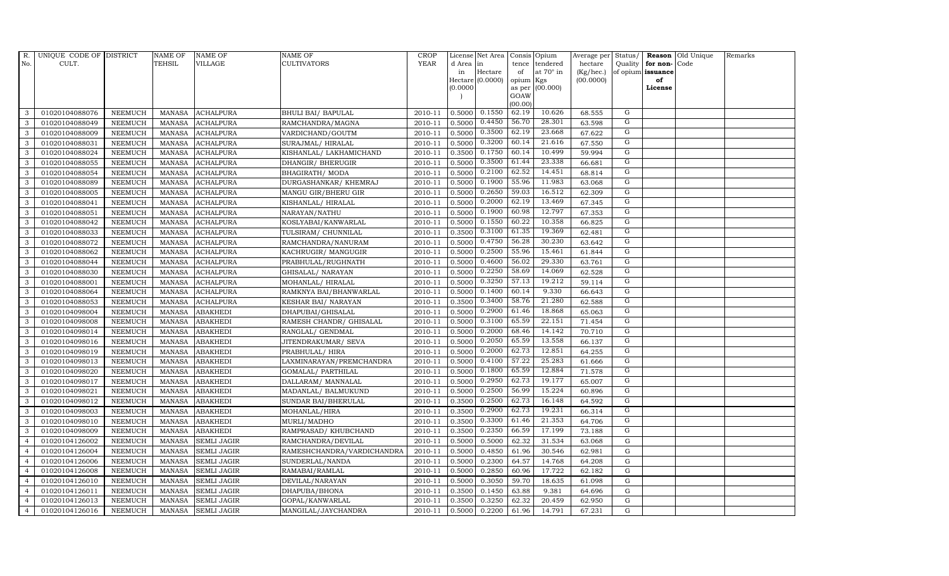| $R_{\cdot}$    | UNIQUE CODE OF DISTRICT |                | <b>NAME OF</b> | <b>NAME OF</b>     | <b>NAME OF</b>             | <b>CROP</b> |           | License Net Area  |           | Consis Opium     | Average per |                |                   | Status/ Reason Old Unique | Remarks |
|----------------|-------------------------|----------------|----------------|--------------------|----------------------------|-------------|-----------|-------------------|-----------|------------------|-------------|----------------|-------------------|---------------------------|---------|
| No.            | CULT.                   |                | <b>TEHSIL</b>  | VILLAGE            | <b>CULTIVATORS</b>         | <b>YEAR</b> | d Area in |                   |           | tence tendered   | hectare     |                | Quality for non-  | Code                      |         |
|                |                         |                |                |                    |                            |             | in        | Hectare           | of        | at $70^\circ$ in | (Kg/hec.)   |                | of opium issuance |                           |         |
|                |                         |                |                |                    |                            |             |           | Hectare (0.0000)  | opium Kgs |                  | (00.0000)   |                | of                |                           |         |
|                |                         |                |                |                    |                            |             | (0.0000)  |                   | GOAW      | as per (00.000)  |             |                | License           |                           |         |
|                |                         |                |                |                    |                            |             |           |                   | (00.00)   |                  |             |                |                   |                           |         |
| 3              | 01020104088076          | <b>NEEMUCH</b> | MANASA         | <b>ACHALPURA</b>   | BHULI BAI/ BAPULAL         | 2010-11     |           | $0.5000$ $0.1550$ | 62.19     | 10.626           | 68.555      | G              |                   |                           |         |
| 3              | 01020104088049          | <b>NEEMUCH</b> | <b>MANASA</b>  | <b>ACHALPURA</b>   | RAMCHANDRA/MAGNA           | 2010-11     | 0.5000    | 0.4450            | 56.70     | 28.301           | 63.598      | G              |                   |                           |         |
| 3              | 01020104088009          | <b>NEEMUCH</b> | <b>MANASA</b>  | <b>ACHALPURA</b>   | VARDICHAND/GOUTM           | 2010-11     | 0.5000    | 0.3500            | 62.19     | 23.668           | 67.622      | G              |                   |                           |         |
| 3              | 01020104088031          | <b>NEEMUCH</b> | <b>MANASA</b>  | <b>ACHALPURA</b>   | SURAJMAL/ HIRALAL          | 2010-11     | 0.5000    | 0.3200            | 60.14     | 21.616           | 67.550      | G              |                   |                           |         |
| 3              | 01020104088024          | <b>NEEMUCH</b> | <b>MANASA</b>  | <b>ACHALPURA</b>   | KISHANLAL/ LAKHAMICHAND    | 2010-11     | 0.3500    | 0.1750            | 60.14     | 10.499           | 59.994      | G              |                   |                           |         |
| 3              | 01020104088055          | <b>NEEMUCH</b> | <b>MANASA</b>  | <b>ACHALPURA</b>   | DHANGIR/ BHERUGIR          | 2010-11     | 0.5000    | 0.3500            | 61.44     | 23.338           | 66.681      | G              |                   |                           |         |
| 3              | 01020104088054          | <b>NEEMUCH</b> | <b>MANASA</b>  | <b>ACHALPURA</b>   | BHAGIRATH/ MODA            | 2010-11     | 0.5000    | 0.2100            | 62.52     | 14.451           | 68.814      | G              |                   |                           |         |
| 3              | 01020104088089          | <b>NEEMUCH</b> | <b>MANASA</b>  | <b>ACHALPURA</b>   | DURGASHANKAR/ KHEMRAJ      | 2010-11     | 0.5000    | 0.1900            | 55.96     | 11.983           | 63.068      | G              |                   |                           |         |
| 3              | 01020104088005          | <b>NEEMUCH</b> | <b>MANASA</b>  | <b>ACHALPURA</b>   | MANGU GIR/BHERU GIR        | 2010-11     | 0.5000    | 0.2650            | 59.03     | 16.512           | 62.309      | G              |                   |                           |         |
| 3              | 01020104088041          | <b>NEEMUCH</b> | <b>MANASA</b>  | <b>ACHALPURA</b>   | KISHANLAL/HIRALAL          | 2010-11     | 0.5000    | 0.2000            | 62.19     | 13.469           | 67.345      | G              |                   |                           |         |
| 3              | 01020104088051          | <b>NEEMUCH</b> | <b>MANASA</b>  | <b>ACHALPURA</b>   | NARAYAN/NATHU              | 2010-11     | 0.5000    | 0.1900            | 60.98     | 12.797           | 67.353      | G              |                   |                           |         |
| 3              | 01020104088042          | <b>NEEMUCH</b> | MANASA         | <b>ACHALPURA</b>   | KOSLYABAI/KANWARLAL        | 2010-11     | 0.5000    | 0.1550            | 60.22     | 10.358           | 66.825      | G              |                   |                           |         |
| 3              | 01020104088033          | <b>NEEMUCH</b> | <b>MANASA</b>  | <b>ACHALPURA</b>   | TULSIRAM/ CHUNNILAL        | 2010-11     | 0.3500    | 0.3100            | 61.35     | 19.369           | 62.481      | G              |                   |                           |         |
| 3              | 01020104088072          | <b>NEEMUCH</b> | <b>MANASA</b>  | <b>ACHALPURA</b>   | RAMCHANDRA/NANURAM         | 2010-11     | 0.5000    | 0.4750            | 56.28     | 30.230           | 63.642      | G              |                   |                           |         |
| 3              | 01020104088062          | <b>NEEMUCH</b> | <b>MANASA</b>  | <b>ACHALPURA</b>   | KACHRUGIR/ MANGUGIR        | 2010-11     | 0.5000    | 0.2500            | 55.96     | 15.461           | 61.844      | G              |                   |                           |         |
| 3              | 01020104088044          | <b>NEEMUCH</b> | <b>MANASA</b>  | <b>ACHALPURA</b>   | PRABHULAL/RUGHNATH         | 2010-11     | 0.5000    | 0.4600            | 56.02     | 29.330           | 63.761      | $\overline{G}$ |                   |                           |         |
| 3              | 01020104088030          | <b>NEEMUCH</b> | <b>MANASA</b>  | <b>ACHALPURA</b>   | GHISALAL/ NARAYAN          | 2010-11     | 0.5000    | 0.2250            | 58.69     | 14.069           | 62.528      | G              |                   |                           |         |
| 3              | 01020104088001          | <b>NEEMUCH</b> | <b>MANASA</b>  | <b>ACHALPURA</b>   | MOHANLAL/HIRALAL           | 2010-11     | 0.5000    | 0.3250            | 57.13     | 19.212           | 59.114      | G              |                   |                           |         |
| 3              | 01020104088064          | <b>NEEMUCH</b> | <b>MANASA</b>  | <b>ACHALPURA</b>   | RAMKNYA BAI/BHANWARLAL     | 2010-11     | 0.5000    | 0.1400            | 60.14     | 9.330            | 66.643      | $\mathbf G$    |                   |                           |         |
| 3              | 01020104088053          | <b>NEEMUCH</b> | <b>MANASA</b>  | <b>ACHALPURA</b>   | KESHAR BAI/ NARAYAN        | 2010-11     | 0.3500    | 0.3400            | 58.76     | 21.280           | 62.588      | G              |                   |                           |         |
| 3              | 01020104098004          | <b>NEEMUCH</b> | <b>MANASA</b>  | <b>ABAKHEDI</b>    | DHAPUBAI/GHISALAL          | 2010-11     | 0.5000    | 0.2900            | 61.46     | 18.868           | 65.063      | G              |                   |                           |         |
| 3              | 01020104098008          | <b>NEEMUCH</b> | <b>MANASA</b>  | <b>ABAKHEDI</b>    | RAMESH CHANDR/ GHISALAL    | 2010-11     | 0.5000    | 0.3100            | 65.59     | 22.151           | 71.454      | G              |                   |                           |         |
| 3              | 01020104098014          | <b>NEEMUCH</b> | <b>MANASA</b>  | <b>ABAKHEDI</b>    | RANGLAL/ GENDMAL           | 2010-11     | 0.5000    | 0.2000            | 68.46     | 14.142           | 70.710      | G              |                   |                           |         |
| 3              | 01020104098016          | <b>NEEMUCH</b> | <b>MANASA</b>  | <b>ABAKHEDI</b>    | JITENDRAKUMAR / SEVA       | 2010-11     | 0.5000    | 0.2050            | 65.59     | 13.558           | 66.137      | $\mathbf G$    |                   |                           |         |
| 3              | 01020104098019          | <b>NEEMUCH</b> | <b>MANASA</b>  | <b>ABAKHEDI</b>    | PRABHULAL/HIRA             | 2010-11     | 0.5000    | 0.2000            | 62.73     | 12.851           | 64.255      | G              |                   |                           |         |
| 3              | 01020104098013          | <b>NEEMUCH</b> | <b>MANASA</b>  | ABAKHEDI           | LAXMINARAYAN/PREMCHANDRA   | 2010-11     | 0.5000    | 0.4100            | 57.22     | 25.283           | 61.666      | G              |                   |                           |         |
| 3              | 01020104098020          | <b>NEEMUCH</b> | <b>MANASA</b>  | <b>ABAKHEDI</b>    | GOMALAL/ PARTHILAL         | 2010-11     | 0.5000    | 0.1800            | 65.59     | 12.884           | 71.578      | G              |                   |                           |         |
| 3              | 01020104098017          | <b>NEEMUCH</b> | <b>MANASA</b>  | <b>ABAKHEDI</b>    | DALLARAM/ MANNALAL         | 2010-11     | 0.5000    | 0.2950            | 62.73     | 19.177           | 65.007      | G              |                   |                           |         |
| 3              | 01020104098021          | <b>NEEMUCH</b> | <b>MANASA</b>  | <b>ABAKHEDI</b>    | MADANLAL/ BALMUKUND        | 2010-11     | 0.5000    | 0.2500            | 56.99     | 15.224           | 60.896      | G              |                   |                           |         |
| 3              | 01020104098012          | <b>NEEMUCH</b> | <b>MANASA</b>  | <b>ABAKHEDI</b>    | SUNDAR BAI/BHERULAL        | 2010-11     | 0.3500    | 0.2500            | 62.73     | 16.148           | 64.592      | G              |                   |                           |         |
| 3              | 01020104098003          | <b>NEEMUCH</b> | <b>MANASA</b>  | <b>ABAKHEDI</b>    | MOHANLAL/HIRA              | 2010-11     | 0.3500    | 0.2900            | 62.73     | 19.231           | 66.314      | G              |                   |                           |         |
| 3              | 01020104098010          | <b>NEEMUCH</b> | <b>MANASA</b>  | <b>ABAKHEDI</b>    | MURLI/MADHO                | 2010-11     | 0.3500    | 0.3300            | 61.46     | 21.353           | 64.706      | G              |                   |                           |         |
| 3              | 01020104098009          | <b>NEEMUCH</b> | <b>MANASA</b>  | <b>ABAKHEDI</b>    | RAMPRASAD/ KHUBCHAND       | 2010-11     | 0.3500    | 0.2350            | 66.59     | 17.199           | 73.188      | G              |                   |                           |         |
| $\overline{4}$ | 01020104126002          | <b>NEEMUCH</b> | <b>MANASA</b>  | <b>SEMLI JAGIR</b> | RAMCHANDRA/DEVILAL         | 2010-11     | 0.5000    | 0.5000            | 62.32     | 31.534           | 63.068      | $\mathbf G$    |                   |                           |         |
| $\overline{4}$ | 01020104126004          | <b>NEEMUCH</b> | <b>MANASA</b>  | <b>SEMLI JAGIR</b> | RAMESHCHANDRA/VARDICHANDRA | 2010-11     | 0.5000    | 0.4850            | 61.96     | 30.546           | 62.981      | G              |                   |                           |         |
| $\overline{4}$ | 01020104126006          | <b>NEEMUCH</b> | <b>MANASA</b>  | <b>SEMLI JAGIR</b> | SUNDERLAL/NANDA            | 2010-11     | 0.5000    | 0.2300            | 64.57     | 14.768           | 64.208      | G              |                   |                           |         |
| $\overline{4}$ | 01020104126008          | <b>NEEMUCH</b> | <b>MANASA</b>  | <b>SEMLI JAGIR</b> | RAMABAI/RAMLAL             | 2010-11     | 0.5000    | 0.2850            | 60.96     | 17.722           | 62.182      | ${\rm G}$      |                   |                           |         |
| $\overline{4}$ | 01020104126010          | <b>NEEMUCH</b> | <b>MANASA</b>  | <b>SEMLI JAGIR</b> | DEVILAL/NARAYAN            | 2010-11     | 0.5000    | 0.3050            | 59.70     | 18.635           | 61.098      | $\mathbf G$    |                   |                           |         |
| $\overline{4}$ | 01020104126011          | <b>NEEMUCH</b> | <b>MANASA</b>  | <b>SEMLI JAGIR</b> | DHAPUBA/BHONA              | 2010-11     | 0.3500    | 0.1450            | 63.88     | 9.381            | 64.696      | G              |                   |                           |         |
| $\overline{4}$ | 01020104126013          | <b>NEEMUCH</b> | <b>MANASA</b>  | <b>SEMLI JAGIR</b> | GOPAL/KANWARLAL            | 2010-11     | 0.3500    | 0.3250            | 62.32     | 20.459           | 62.950      | G              |                   |                           |         |
| $\overline{4}$ | 01020104126016          | <b>NEEMUCH</b> | MANASA         | <b>SEMLI JAGIR</b> | MANGILAL/JAYCHANDRA        | 2010-11     | 0.5000    | 0.2200            | 61.96     | 14.791           | 67.231      | G              |                   |                           |         |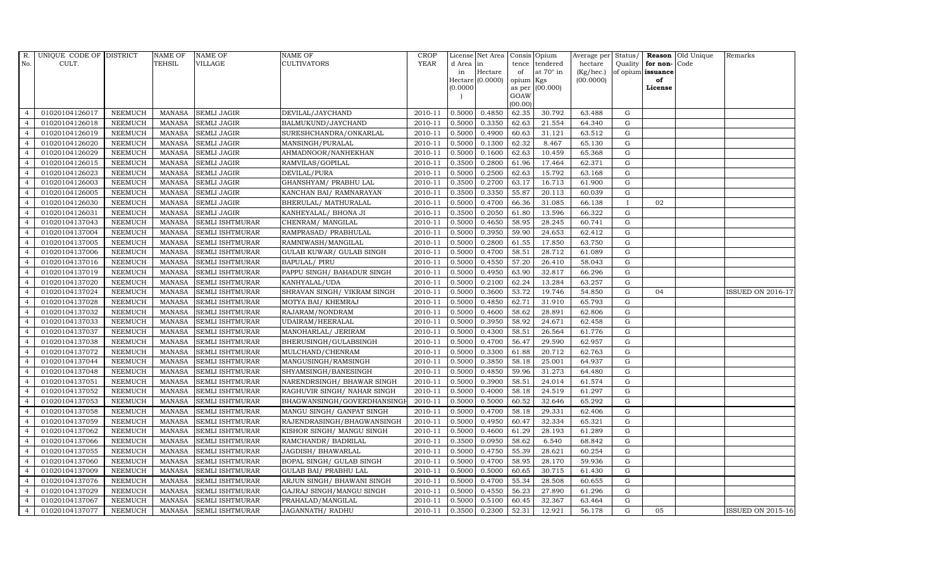| R.             | UNIQUE CODE OF DISTRICT |                | <b>NAME OF</b> | <b>NAME OF</b>         | <b>NAME OF</b>               | <b>CROP</b> |           | License Net Area Consis Opium |                 |                  | Average per Status/    |             |                         | <b>Reason</b> Old Unique | Remarks                  |
|----------------|-------------------------|----------------|----------------|------------------------|------------------------------|-------------|-----------|-------------------------------|-----------------|------------------|------------------------|-------------|-------------------------|--------------------------|--------------------------|
| No.            | CULT.                   |                | <b>TEHSIL</b>  | <b>VILLAGE</b>         | <b>CULTIVATORS</b>           | <b>YEAR</b> | d Area in |                               |                 | tence tendered   | hectare                |             | Quality   for non- Code |                          |                          |
|                |                         |                |                |                        |                              |             | in        | Hectare<br>Hectare (0.0000)   | of<br>opium Kgs | at $70^\circ$ in | (Kg/hec.)<br>(00.0000) |             | of opium issuance<br>of |                          |                          |
|                |                         |                |                |                        |                              |             | (0.0000)  |                               |                 | as per (00.000)  |                        |             | License                 |                          |                          |
|                |                         |                |                |                        |                              |             |           |                               | GOAW            |                  |                        |             |                         |                          |                          |
|                |                         |                |                |                        |                              |             |           |                               | (00.00)         |                  |                        |             |                         |                          |                          |
| $\overline{4}$ | 01020104126017          | <b>NEEMUCH</b> | MANASA         | <b>SEMLI JAGIR</b>     | DEVILAL/JAYCHAND             | 2010-11     | 0.5000    | 0.4850                        | 62.35           | 30.792           | 63.488                 | G           |                         |                          |                          |
| $\overline{4}$ | 01020104126018          | <b>NEEMUCH</b> | MANASA         | <b>SEMLI JAGIR</b>     | BALMUKUND/JAYCHAND           | 2010-11     | 0.5000    | 0.3350                        | 62.63           | 21.554           | 64.340                 | $\mathbf G$ |                         |                          |                          |
| $\overline{4}$ | 01020104126019          | <b>NEEMUCH</b> | <b>MANASA</b>  | <b>SEMLI JAGIR</b>     | SURESHCHANDRA/ONKARLAL       | 2010-11     | 0.5000    | 0.4900                        | 60.63           | 31.121           | 63.512                 | G           |                         |                          |                          |
| $\overline{4}$ | 01020104126020          | <b>NEEMUCH</b> | <b>MANASA</b>  | <b>SEMLI JAGIR</b>     | MANSINGH/PURALAL             | 2010-11     | 0.5000    | 0.1300                        | 62.32           | 8.467            | 65.130                 | $\mathbf G$ |                         |                          |                          |
| $\overline{4}$ | 01020104126029          | <b>NEEMUCH</b> | <b>MANASA</b>  | <b>SEMLI JAGIR</b>     | AHMADNOOR/NANHEKHAN          | 2010-11     | 0.5000    | 0.1600                        | 62.63           | 10.459           | 65.368                 | ${\bf G}$   |                         |                          |                          |
| $\overline{4}$ | 01020104126015          | <b>NEEMUCH</b> | <b>MANASA</b>  | <b>SEMLI JAGIR</b>     | RAMVILAS/GOPILAL             | 2010-11     | 0.3500    | 0.2800                        | 61.96           | 17.464           | 62.371                 | $\mathbf G$ |                         |                          |                          |
| $\overline{4}$ | 01020104126023          | <b>NEEMUCH</b> | <b>MANASA</b>  | <b>SEMLI JAGIR</b>     | DEVILAL/PURA                 | 2010-11     | 0.5000    | 0.2500                        | 62.63           | 15.792           | 63.168                 | ${\rm G}$   |                         |                          |                          |
| $\overline{4}$ | 01020104126003          | <b>NEEMUCH</b> | <b>MANASA</b>  | <b>SEMLI JAGIR</b>     | GHANSHYAM/ PRABHU LAL        | 2010-11     | 0.3500    | 0.2700                        | 63.17           | 16.713           | 61.900                 | $\mathbf G$ |                         |                          |                          |
| $\overline{4}$ | 01020104126005          | <b>NEEMUCH</b> | <b>MANASA</b>  | <b>SEMLI JAGIR</b>     | KANCHAN BAI/ RAMNARAYAN      | 2010-11     | 0.3500    | 0.3350                        | 55.87           | 20.113           | 60.039                 | G           |                         |                          |                          |
| $\overline{4}$ | 01020104126030          | <b>NEEMUCH</b> | <b>MANASA</b>  | <b>SEMLI JAGIR</b>     | BHERULAL/ MATHURALAL         | 2010-11     | 0.5000    | 0.4700                        | 66.36           | 31.085           | 66.138                 | $\bf{I}$    | 02                      |                          |                          |
| $\overline{4}$ | 01020104126031          | <b>NEEMUCH</b> | <b>MANASA</b>  | <b>SEMLI JAGIR</b>     | KANHEYALAL/ BHONA JI         | 2010-11     | 0.3500    | 0.2050                        | 61.80           | 13.596           | 66.322                 | G           |                         |                          |                          |
| $\overline{4}$ | 01020104137043          | <b>NEEMUCH</b> | <b>MANASA</b>  | <b>SEMLI ISHTMURAR</b> | CHENRAM/ MANGILAL            | 2010-11     | 0.5000    | 0.4650                        | 58.95           | 28.245           | 60.741                 | ${\rm G}$   |                         |                          |                          |
| $\overline{4}$ | 01020104137004          | <b>NEEMUCH</b> | MANASA         | <b>SEMLI ISHTMURAR</b> | RAMPRASAD/ PRABHULAL         | 2010-11     | 0.5000    | 0.3950                        | 59.90           | 24.653           | 62.412                 | G           |                         |                          |                          |
| $\overline{4}$ | 01020104137005          | <b>NEEMUCH</b> | <b>MANASA</b>  | <b>SEMLI ISHTMURAR</b> | RAMNIWASH/MANGILAL           | 2010-11     | 0.5000    | 0.2800                        | 61.55           | 17.850           | 63.750                 | $\mathbf G$ |                         |                          |                          |
| $\overline{4}$ | 01020104137006          | <b>NEEMUCH</b> | <b>MANASA</b>  | <b>SEMLI ISHTMURAR</b> | GULAB KUWAR/ GULAB SINGH     | 2010-11     | 0.5000    | 0.4700                        | 58.51           | 28.712           | 61.089                 | ${\rm G}$   |                         |                          |                          |
| $\overline{4}$ | 01020104137016          | <b>NEEMUCH</b> | <b>MANASA</b>  | <b>SEMLI ISHTMURAR</b> | <b>BAPULAL/ PIRU</b>         | 2010-11     | 0.5000    | 0.4550                        | 57.20           | 26.410           | 58.043                 | G           |                         |                          |                          |
| $\overline{4}$ | 01020104137019          | <b>NEEMUCH</b> | <b>MANASA</b>  | SEMLI ISHTMURAR        | PAPPU SINGH/ BAHADUR SINGH   | 2010-11     | 0.5000    | 0.4950                        | 63.90           | 32.817           | 66.296                 | ${\rm G}$   |                         |                          |                          |
| $\overline{4}$ | 01020104137020          | <b>NEEMUCH</b> | <b>MANASA</b>  | <b>SEMLI ISHTMURAR</b> | KANHYALAL/UDA                | 2010-11     | 0.5000    | 0.2100                        | 62.24           | 13.284           | 63.257                 | G           |                         |                          |                          |
| $\overline{4}$ | 01020104137024          | <b>NEEMUCH</b> | <b>MANASA</b>  | <b>SEMLI ISHTMURAR</b> | SHRAVAN SINGH / VIKRAM SINGH | 2010-11     | 0.5000    | 0.3600                        | 53.72           | 19.746           | 54.850                 | G           | 04                      |                          | <b>ISSUED ON 2016-17</b> |
| $\overline{4}$ | 01020104137028          | NEEMUCH        | <b>MANASA</b>  | <b>SEMLI ISHTMURAR</b> | MOTYA BAI/ KHEMRAJ           | 2010-11     | 0.5000    | 0.4850                        | 62.71           | 31.910           | 65.793                 | $\mathbf G$ |                         |                          |                          |
| $\overline{4}$ | 01020104137032          | <b>NEEMUCH</b> | <b>MANASA</b>  | <b>SEMLI ISHTMURAR</b> | RAJARAM/NONDRAM              | 2010-11     | 0.5000    | 0.4600                        | 58.62           | 28.891           | 62.806                 | G           |                         |                          |                          |
| $\overline{4}$ | 01020104137033          | <b>NEEMUCH</b> | <b>MANASA</b>  | <b>SEMLI ISHTMURAR</b> | UDAIRAM/HEERALAL             | 2010-11     | 0.5000    | 0.3950                        | 58.92           | 24.671           | 62.458                 | G           |                         |                          |                          |
| $\overline{4}$ | 01020104137037          | <b>NEEMUCH</b> | <b>MANASA</b>  | <b>SEMLI ISHTMURAR</b> | MANOHARLAL/ JERIRAM          | 2010-11     | 0.5000    | 0.4300                        | 58.51           | 26.564           | 61.776                 | ${\rm G}$   |                         |                          |                          |
| $\overline{4}$ | 01020104137038          | <b>NEEMUCH</b> | <b>MANASA</b>  | <b>SEMLI ISHTMURAR</b> | BHERUSINGH/GULABSINGH        | 2010-11     | 0.5000    | 0.4700                        | 56.47           | 29.590           | 62.957                 | $\mathbf G$ |                         |                          |                          |
| $\overline{4}$ | 01020104137072          | <b>NEEMUCH</b> | <b>MANASA</b>  | <b>SEMLI ISHTMURAR</b> | MULCHAND/CHENRAM             | 2010-11     | 0.5000    | 0.3300                        | 61.88           | 20.712           | 62.763                 | $\mathbf G$ |                         |                          |                          |
| $\overline{4}$ | 01020104137044          | <b>NEEMUCH</b> | <b>MANASA</b>  | <b>SEMLI ISHTMURAR</b> | MANGUSINGH/RAMSINGH          | 2010-11     | 0.5000    | 0.3850                        | 58.18           | 25.001           | 64.937                 | ${\rm G}$   |                         |                          |                          |
| $\overline{4}$ | 01020104137048          | <b>NEEMUCH</b> | <b>MANASA</b>  | <b>SEMLI ISHTMURAR</b> | SHYAMSINGH/BANESINGH         | 2010-11     | 0.5000    | 0.4850                        | 59.96           | 31.273           | 64.480                 | G           |                         |                          |                          |
| $\overline{4}$ | 01020104137051          | <b>NEEMUCH</b> | MANASA         | <b>SEMLI ISHTMURAR</b> | NARENDRSINGH/ BHAWAR SINGH   | 2010-11     | 0.5000    | 0.3900                        | 58.51           | 24.014           | 61.574                 | ${\rm G}$   |                         |                          |                          |
| $\overline{4}$ | 01020104137052          | <b>NEEMUCH</b> | <b>MANASA</b>  | <b>SEMLI ISHTMURAR</b> | RAGHUVIR SINGH/ NAHAR SINGH  | 2010-11     | 0.5000    | 0.4000                        | 58.18           | 24.519           | 61.297                 | ${\rm G}$   |                         |                          |                          |
| $\overline{4}$ | 01020104137053          | <b>NEEMUCH</b> | <b>MANASA</b>  | <b>SEMLI ISHTMURAR</b> | BHAGWANSINGH/GOVERDHANSING   | 2010-11     | 0.5000    | 0.5000                        | 60.52           | 32.646           | 65.292                 | G           |                         |                          |                          |
| $\overline{4}$ | 01020104137058          | <b>NEEMUCH</b> | <b>MANASA</b>  | <b>SEMLI ISHTMURAR</b> | MANGU SINGH/ GANPAT SINGH    | 2010-11     | 0.5000    | 0.4700                        | 58.18           | 29.331           | 62.406                 | $\mathbf G$ |                         |                          |                          |
| $\overline{4}$ | 01020104137059          | <b>NEEMUCH</b> | <b>MANASA</b>  | <b>SEMLI ISHTMURAR</b> | RAJENDRASINGH/BHAGWANSINGH   | 2010-11     | 0.5000    | 0.4950                        | 60.47           | 32.334           | 65.321                 | ${\rm G}$   |                         |                          |                          |
| $\overline{4}$ | 01020104137062          | <b>NEEMUCH</b> | <b>MANASA</b>  | SEMLI ISHTMURAR        | KISHOR SINGH/ MANGU SINGH    | 2010-11     | 0.5000    | 0.4600                        | 61.29           | 28.193           | 61.289                 | G           |                         |                          |                          |
| $\overline{4}$ | 01020104137066          | <b>NEEMUCH</b> | <b>MANASA</b>  | <b>SEMLI ISHTMURAR</b> | RAMCHANDR/ BADRILAL          | 2010-11     | 0.3500    | 0.0950                        | 58.62           | 6.540            | 68.842                 | ${\rm G}$   |                         |                          |                          |
| $\overline{4}$ | 01020104137055          | <b>NEEMUCH</b> | <b>MANASA</b>  | SEMLI ISHTMURAR        | JAGDISH/ BHAWARLAL           | 2010-11     | 0.5000    | 0.4750                        | 55.39           | 28.621           | 60.254                 | G           |                         |                          |                          |
| $\overline{4}$ | 01020104137060          | <b>NEEMUCH</b> | <b>MANASA</b>  | <b>SEMLI ISHTMURAR</b> | BOPAL SINGH/ GULAB SINGH     | 2010-11     | 0.5000    | 0.4700                        | 58.95           | 28.170           | 59.936                 | G           |                         |                          |                          |
| $\overline{4}$ | 01020104137009          | <b>NEEMUCH</b> | <b>MANASA</b>  | <b>SEMLI ISHTMURAR</b> | <b>GULAB BAI/ PRABHU LAL</b> | 2010-11     | 0.5000    | 0.5000                        | 60.65           | 30.715           | 61.430                 | G           |                         |                          |                          |
| $\overline{4}$ | 01020104137076          | <b>NEEMUCH</b> | <b>MANASA</b>  | <b>SEMLI ISHTMURAR</b> | ARJUN SINGH/ BHAWANI SINGH   | 2010-11     | 0.5000    | 0.4700                        | 55.34           | 28.508           | 60.655                 | ${\rm G}$   |                         |                          |                          |
| $\overline{4}$ | 01020104137029          | <b>NEEMUCH</b> | <b>MANASA</b>  | <b>SEMLI ISHTMURAR</b> | GAJRAJ SINGH/MANGU SINGH     | 2010-11     | 0.5000    | 0.4550                        | 56.23           | 27.890           | 61.296                 | ${\rm G}$   |                         |                          |                          |
| $\overline{4}$ | 01020104137067          | <b>NEEMUCH</b> | <b>MANASA</b>  | <b>SEMLI ISHTMURAR</b> | PRAHALAD/MANGILAL            | 2010-11     | 0.5000    | 0.5100                        | 60.45           | 32.367           | 63.464                 | $\mathbf G$ |                         |                          |                          |
| $\overline{4}$ | 01020104137077          | <b>NEEMUCH</b> |                | MANASA SEMLI ISHTMURAR | JAGANNATH / RADHU            | 2010-11     | 0.3500    | 0.2300                        | 52.31           | 12.921           | 56.178                 | G           | 05                      |                          | <b>ISSUED ON 2015-16</b> |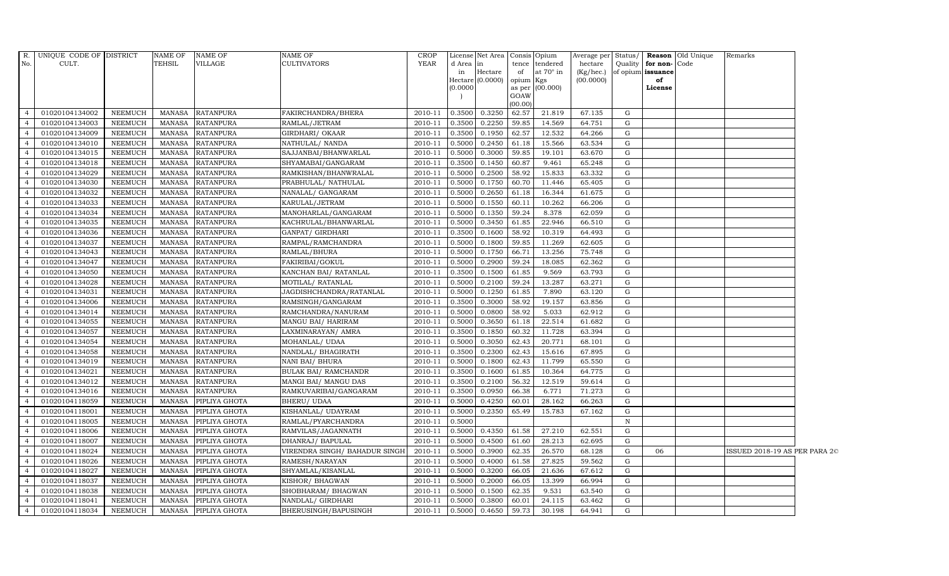| $R$ .          | UNIQUE CODE OF DISTRICT |                | NAME OF       | <b>NAME OF</b>       | <b>NAME OF</b>                | <b>CROP</b> |           | License Net Area Consis Opium |           |                  |           |              |                      | Average per Status/ <b>Reason</b> Old Unique | Remarks                       |  |
|----------------|-------------------------|----------------|---------------|----------------------|-------------------------------|-------------|-----------|-------------------------------|-----------|------------------|-----------|--------------|----------------------|----------------------------------------------|-------------------------------|--|
| No.            | CULT.                   |                | TEHSIL        | <b>VILLAGE</b>       | <b>CULTIVATORS</b>            | YEAR        | d Area in |                               |           | tence tendered   | hectare   |              | Quality for non-Code |                                              |                               |  |
|                |                         |                |               |                      |                               |             | in        | Hectare                       | of        | at $70^\circ$ in | (Kg/hec.) |              | of opium issuance    |                                              |                               |  |
|                |                         |                |               |                      |                               |             | (0.0000)  | Hectare (0.0000)              | opium Kgs | as per (00.000)  | (00.0000) |              | of<br>License        |                                              |                               |  |
|                |                         |                |               |                      |                               |             |           |                               | GOAW      |                  |           |              |                      |                                              |                               |  |
|                |                         |                |               |                      |                               |             |           |                               | (00.00)   |                  |           |              |                      |                                              |                               |  |
| $\overline{4}$ | 01020104134002          | NEEMUCH        | MANASA        | <b>RATANPURA</b>     | FAKIRCHANDRA/BHERA            | 2010-11     | 0.3500    | 0.3250                        | 62.57     | 21.819           | 67.135    | G            |                      |                                              |                               |  |
| $\overline{4}$ | 01020104134003          | <b>NEEMUCH</b> | MANASA        | <b>RATANPURA</b>     | RAMLAL/JETRAM                 | 2010-11     | 0.3500    | 0.2250                        | 59.85     | 14.569           | 64.751    | $\mathbf G$  |                      |                                              |                               |  |
| $\overline{4}$ | 01020104134009          | <b>NEEMUCH</b> | <b>MANASA</b> | <b>RATANPURA</b>     | <b>GIRDHARI/ OKAAR</b>        | 2010-11     | 0.3500    | 0.1950                        | 62.57     | 12.532           | 64.266    | $\mathbf G$  |                      |                                              |                               |  |
| $\overline{4}$ | 01020104134010          | NEEMUCH        | MANASA        | <b>RATANPURA</b>     | NATHULAL/ NANDA               | 2010-11     | 0.5000    | 0.2450                        | 61.18     | 15.566           | 63.534    | G            |                      |                                              |                               |  |
| $\overline{4}$ | 01020104134015          | <b>NEEMUCH</b> | <b>MANASA</b> | <b>RATANPURA</b>     | SAJJANBAI/BHANWARLAL          | 2010-11     | 0.5000    | 0.3000                        | 59.85     | 19.101           | 63.670    | $\mathbf G$  |                      |                                              |                               |  |
| $\overline{4}$ | 01020104134018          | NEEMUCH        | MANASA        | <b>RATANPURA</b>     | SHYAMABAI/GANGARAM            | $2010 - 11$ | 0.3500    | 0.1450                        | 60.87     | 9.461            | 65.248    | $\mathbf G$  |                      |                                              |                               |  |
| $\overline{4}$ | 01020104134029          | <b>NEEMUCH</b> | <b>MANASA</b> | <b>RATANPURA</b>     | RAMKISHAN/BHANWRALAL          | 2010-11     | 0.5000    | 0.2500                        | 58.92     | 15.833           | 63.332    | $\mathbf G$  |                      |                                              |                               |  |
| $\overline{4}$ | 01020104134030          | <b>NEEMUCH</b> | <b>MANASA</b> | <b>RATANPURA</b>     | PRABHULAL/ NATHULAL           | 2010-11     | 0.5000    | 0.1750                        | 60.70     | 11.446           | 65.405    | G            |                      |                                              |                               |  |
|                | 01020104134032          | <b>NEEMUCH</b> | MANASA        | <b>RATANPURA</b>     | NANALAL/ GANGARAM             | 2010-11     | 0.5000    | 0.2650                        | 61.18     | 16.344           | 61.675    | $\mathbf G$  |                      |                                              |                               |  |
| $\overline{4}$ | 01020104134033          | <b>NEEMUCH</b> | <b>MANASA</b> | <b>RATANPURA</b>     | KARULAL/JETRAM                | 2010-11     | 0.5000    | 0.1550                        | 60.11     | 10.262           | 66.206    | G            |                      |                                              |                               |  |
| $\overline{4}$ | 01020104134034          | <b>NEEMUCH</b> | <b>MANASA</b> | <b>RATANPURA</b>     | MANOHARLAL/GANGARAM           | 2010-11     | 0.5000    | 0.1350                        | 59.24     | 8.378            | 62.059    | $\mathbf G$  |                      |                                              |                               |  |
| $\overline{4}$ | 01020104134035          | NEEMUCH        | <b>MANASA</b> | <b>RATANPURA</b>     | KACHRULAL/BHANWARLAL          | 2010-11     | 0.5000    | 0.3450                        | 61.85     | 22.946           | 66.510    | G            |                      |                                              |                               |  |
| $\overline{4}$ | 01020104134036          | <b>NEEMUCH</b> | <b>MANASA</b> | <b>RATANPURA</b>     | GANPAT/ GIRDHARI              | 2010-11     | 0.3500    | 0.1600                        | 58.92     | 10.319           | 64.493    | G            |                      |                                              |                               |  |
|                | 01020104134037          | <b>NEEMUCH</b> | MANASA        | <b>RATANPURA</b>     | RAMPAL/RAMCHANDRA             | 2010-11     | 0.5000    | 0.1800                        | 59.85     | 11.269           | 62.605    | $\mathbf G$  |                      |                                              |                               |  |
| $\overline{4}$ | 01020104134043          | <b>NEEMUCH</b> | MANASA        | <b>RATANPURA</b>     | RAMLAL/BHURA                  | 2010-11     | 0.5000    | 0.1750                        | 66.71     | 13.256           | 75.748    | $\mathbf G$  |                      |                                              |                               |  |
| $\overline{4}$ | 01020104134047          | NEEMUCH        | <b>MANASA</b> | <b>RATANPURA</b>     | FAKIRIBAI/GOKUL               | 2010-11     | 0.5000    | 0.2900                        | 59.24     | 18.085           | 62.362    | G            |                      |                                              |                               |  |
| $\overline{4}$ | 01020104134050          | <b>NEEMUCH</b> | MANASA        | <b>RATANPURA</b>     | KANCHAN BAI / RATANLAL        | 2010-11     | 0.3500    | 0.1500                        | 61.85     | 9.569            | 63.793    | $\mathbf G$  |                      |                                              |                               |  |
| $\overline{4}$ | 01020104134028          | NEEMUCH        | MANASA        | <b>RATANPURA</b>     | MOTILAL/ RATANLAL             | 2010-11     | 0.5000    | 0.2100                        | 59.24     | 13.287           | 63.271    | $\mathbf G$  |                      |                                              |                               |  |
| $\overline{4}$ | 01020104134031          | <b>NEEMUCH</b> | <b>MANASA</b> | <b>RATANPURA</b>     | JAGDISHCHANDRA/RATANLAL       | 2010-11     | 0.5000    | 0.1250                        | 61.85     | 7.890            | 63.120    | G            |                      |                                              |                               |  |
| $\overline{4}$ | 01020104134006          | <b>NEEMUCH</b> | <b>MANASA</b> | <b>RATANPURA</b>     | RAMSINGH/GANGARAM             | 2010-11     | 0.3500    | 0.3000                        | 58.92     | 19.157           | 63.856    | $\mathbf G$  |                      |                                              |                               |  |
| $\overline{4}$ | 01020104134014          | NEEMUCH        | <b>MANASA</b> | <b>RATANPURA</b>     | RAMCHANDRA/NANURAM            | $2010 - 11$ | 0.5000    | 0.0800                        | 58.92     | 5.033            | 62.912    | G            |                      |                                              |                               |  |
| $\overline{4}$ | 01020104134055          | <b>NEEMUCH</b> | MANASA        | <b>RATANPURA</b>     | MANGU BAI/ HARIRAM            | 2010-11     | 0.5000    | 0.3650                        | 61.18     | 22.514           | 61.682    | G            |                      |                                              |                               |  |
| $\overline{4}$ | 01020104134057          | NEEMUCH        | MANASA        | <b>RATANPURA</b>     | LAXMINARAYAN / AMRA           | 2010-11     | 0.3500    | 0.1850                        | 60.32     | 11.728           | 63.394    | G            |                      |                                              |                               |  |
| $\overline{4}$ | 01020104134054          | NEEMUCH        | <b>MANASA</b> | <b>RATANPURA</b>     | MOHANLAL/ UDAA                | 2010-11     | 0.5000    | 0.3050                        | 62.43     | 20.771           | 68.101    | G            |                      |                                              |                               |  |
| $\overline{4}$ | 01020104134058          | <b>NEEMUCH</b> | <b>MANASA</b> | <b>RATANPURA</b>     | NANDLAL/ BHAGIRATH            | 2010-11     | 0.3500    | 0.2300                        | 62.43     | 15.616           | 67.895    | G            |                      |                                              |                               |  |
| $\overline{4}$ | 01020104134019          | <b>NEEMUCH</b> | <b>MANASA</b> | <b>RATANPURA</b>     | NANI BAI/ BHURA               | 2010-11     | 0.5000    | 0.1800                        | 62.43     | 11.799           | 65.550    | G            |                      |                                              |                               |  |
| $\overline{4}$ | 01020104134021          | <b>NEEMUCH</b> | <b>MANASA</b> | <b>RATANPURA</b>     | <b>BULAK BAI/ RAMCHANDR</b>   | $2010 - 11$ | 0.3500    | 0.1600                        | 61.85     | 10.364           | 64.775    | G            |                      |                                              |                               |  |
| $\overline{4}$ | 01020104134012          | NEEMUCH        | MANASA        | <b>RATANPURA</b>     | MANGI BAI/ MANGU DAS          | 2010-11     | 0.3500    | 0.2100                        | 56.32     | 12.519           | 59.614    | G            |                      |                                              |                               |  |
| $\overline{4}$ | 01020104134016          | NEEMUCH        | <b>MANASA</b> | <b>RATANPURA</b>     | RAMKUVARIBAI/GANGARAM         | 2010-11     | 0.3500    | 0.0950                        | 66.38     | 6.771            | 71.273    | $\mathbf G$  |                      |                                              |                               |  |
| $\overline{4}$ | 01020104118059          | <b>NEEMUCH</b> | MANASA        | PIPLIYA GHOTA        | <b>BHERU/ UDAA</b>            | 2010-11     | 0.5000    | 0.4250                        | 60.01     | 28.162           | 66.263    | G            |                      |                                              |                               |  |
| 4              | 01020104118001          | <b>NEEMUCH</b> | MANASA        | PIPLIYA GHOTA        | KISHANLAL/ UDAYRAM            | 2010-11     | 0.5000    | 0.2350                        | 65.49     | 15.783           | 67.162    | G            |                      |                                              |                               |  |
| $\overline{4}$ | 01020104118005          | <b>NEEMUCH</b> | <b>MANASA</b> | PIPLIYA GHOTA        | RAMLAL/PYARCHANDRA            | 2010-11     | 0.5000    |                               |           |                  |           | $\, {\rm N}$ |                      |                                              |                               |  |
| $\overline{4}$ | 01020104118006          | NEEMUCH        | MANASA        | PIPLIYA GHOTA        | RAMVILAS/JAGANNATH            | 2010-11     | 0.5000    | 0.4350                        | 61.58     | 27.210           | 62.551    | G            |                      |                                              |                               |  |
| $\overline{4}$ | 01020104118007          | <b>NEEMUCH</b> | <b>MANASA</b> | PIPLIYA GHOTA        | DHANRAJ/ BAPULAL              | 2010-11     | 0.5000    | 0.4500                        | 61.60     | 28.213           | 62.695    | ${\rm G}$    |                      |                                              |                               |  |
| $\overline{4}$ | 01020104118024          | <b>NEEMUCH</b> | <b>MANASA</b> | PIPLIYA GHOTA        | VIRENDRA SINGH/ BAHADUR SINGH | 2010-11     | 0.5000    | 0.3900                        | 62.35     | 26.570           | 68.128    | $\mathbf G$  | 06                   |                                              | ISSUED 2018-19 AS PER PARA 2C |  |
| $\overline{4}$ | 01020104118026          | NEEMUCH        | MANASA        | PIPLIYA GHOTA        | RAMESH/NARAYAN                | 2010-11     | 0.5000    | 0.4000                        | 61.58     | 27.825           | 59.562    | G            |                      |                                              |                               |  |
| $\overline{4}$ | 01020104118027          | NEEMUCH        | <b>MANASA</b> | PIPLIYA GHOTA        | SHYAMLAL/KISANLAL             | 2010-11     | 0.5000    | 0.3200                        | 66.05     | 21.636           | 67.612    | $\mathbf G$  |                      |                                              |                               |  |
| $\overline{4}$ | 01020104118037          | NEEMUCH        | MANASA        | PIPLIYA GHOTA        | KISHOR/BHAGWAN                | 2010-11     | 0.5000    | 0.2000                        | 66.05     | 13.399           | 66.994    | $\mathbf G$  |                      |                                              |                               |  |
| $\overline{4}$ | 01020104118038          | <b>NEEMUCH</b> | <b>MANASA</b> | PIPLIYA GHOTA        | SHOBHARAM / BHAGWAN           | 2010-11     | 0.5000    | 0.1500                        | 62.35     | 9.531            | 63.540    | $\mathbf G$  |                      |                                              |                               |  |
| $\overline{4}$ | 01020104118041          | <b>NEEMUCH</b> | <b>MANASA</b> | PIPLIYA GHOTA        | NANDLAL/ GIRDHARI             | 2010-11     | 0.5000    | 0.3800                        | 60.01     | 24.115           | 63.462    | G            |                      |                                              |                               |  |
| $\overline{4}$ | 01020104118034          | NEEMUCH        |               | MANASA PIPLIYA GHOTA | BHERUSINGH/BAPUSINGH          | 2010-11     | 0.5000    | 0.4650                        | 59.73     | 30.198           | 64.941    | G            |                      |                                              |                               |  |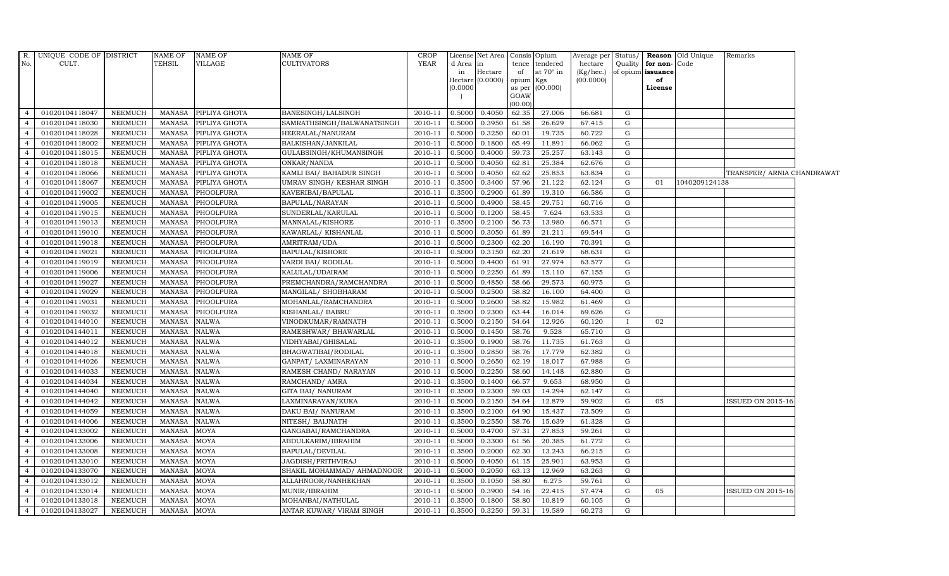| No.            | R. UNIQUE CODE OF DISTRICT<br>CULT. |                | NAME OF<br>TEHSIL | <b>NAME OF</b><br><b>VILLAGE</b> | <b>NAME OF</b><br>CULTIVATORS | <b>CROP</b><br><b>YEAR</b> | d Area in | License Net Area Consis Opium |                 |                                    | Average per Status/<br>hectare |             | Quality   for non- Code | <b>Reason</b> Old Unique | Remarks                    |  |
|----------------|-------------------------------------|----------------|-------------------|----------------------------------|-------------------------------|----------------------------|-----------|-------------------------------|-----------------|------------------------------------|--------------------------------|-------------|-------------------------|--------------------------|----------------------------|--|
|                |                                     |                |                   |                                  |                               |                            | in        | Hectare                       | of              | tence tendered<br>at $70^\circ$ in | (Kg/hec.)                      |             | of opium issuance       |                          |                            |  |
|                |                                     |                |                   |                                  |                               |                            |           | Hectare (0.0000)              | opium Kgs       |                                    | (00.0000)                      |             | of                      |                          |                            |  |
|                |                                     |                |                   |                                  |                               |                            | (0.0000)  |                               |                 | as per (00.000)                    |                                |             | License                 |                          |                            |  |
|                |                                     |                |                   |                                  |                               |                            |           |                               | GOAW<br>(00.00) |                                    |                                |             |                         |                          |                            |  |
| $\overline{4}$ | 01020104118047                      | NEEMUCH        | MANASA            | PIPLIYA GHOTA                    | BANESINGH/LALSINGH            | 2010-11                    | 0.5000    | 0.4050                        | 62.35           | 27.006                             | 66.681                         | G           |                         |                          |                            |  |
| $\overline{4}$ | 01020104118030                      | <b>NEEMUCH</b> | <b>MANASA</b>     | PIPLIYA GHOTA                    | SAMRATHSINGH/BALWANATSINGH    | 2010-11                    | 0.5000    | 0.3950                        | 61.58           | 26.629                             | 67.415                         | G           |                         |                          |                            |  |
| $\overline{4}$ | 01020104118028                      | <b>NEEMUCH</b> | <b>MANASA</b>     | PIPLIYA GHOTA                    | HEERALAL/NANURAM              | 2010-11                    | 0.5000    | 0.3250                        | 60.01           | 19.735                             | 60.722                         | $\mathbf G$ |                         |                          |                            |  |
| $\overline{4}$ | 01020104118002                      | <b>NEEMUCH</b> | <b>MANASA</b>     | PIPLIYA GHOTA                    | BALKISHAN/JANKILAL            | 2010-11                    | 0.5000    | 0.1800                        | 65.49           | 11.891                             | 66.062                         | $\mathbf G$ |                         |                          |                            |  |
| $\overline{4}$ | 01020104118015                      | <b>NEEMUCH</b> | MANASA            | PIPLIYA GHOTA                    | GULABSINGH/KHUMANSINGH        | 2010-11                    | 0.5000    | 0.4000                        | 59.73           | 25.257                             | 63.143                         | $\mathbf G$ |                         |                          |                            |  |
| $\overline{4}$ | 01020104118018                      | <b>NEEMUCH</b> | <b>MANASA</b>     | PIPLIYA GHOTA                    | ONKAR/NANDA                   | 2010-11                    | 0.5000    | 0.4050                        | 62.81           | 25.384                             | 62.676                         | G           |                         |                          |                            |  |
| $\overline{4}$ | 01020104118066                      | <b>NEEMUCH</b> | MANASA            | PIPLIYA GHOTA                    | KAMLI BAI/ BAHADUR SINGH      | 2010-11                    | 0.5000    | 0.4050                        | 62.62           | 25.853                             | 63.834                         | $\mathbf G$ |                         |                          | TRANSFER/ ARNIA CHANDRAWAT |  |
| $\overline{4}$ | 01020104118067                      | <b>NEEMUCH</b> | <b>MANASA</b>     | PIPLIYA GHOTA                    | UMRAV SINGH/ KESHAR SINGH     | 2010-11                    | 0.3500    | 0.3400                        | 57.96           | 21.122                             | 62.124                         | G           | 01                      | 1040209124138            |                            |  |
| $\overline{4}$ | 01020104119002                      | <b>NEEMUCH</b> | <b>MANASA</b>     | PHOOLPURA                        | KAVERIBAI/BAPULAL             | 2010-11                    | 0.3500    | 0.2900                        | 61.89           | 19.310                             | 66.586                         | G           |                         |                          |                            |  |
| $\overline{4}$ | 01020104119005                      | <b>NEEMUCH</b> | <b>MANASA</b>     | PHOOLPURA                        | BAPULAL/NARAYAN               | 2010-11                    | 0.5000    | 0.4900                        | 58.45           | 29.751                             | 60.716                         | $\mathbf G$ |                         |                          |                            |  |
| $\overline{4}$ | 01020104119015                      | <b>NEEMUCH</b> | <b>MANASA</b>     | PHOOLPURA                        | SUNDERLAL/KARULAL             | 2010-11                    | 0.5000    | 0.1200                        | 58.45           | 7.624                              | 63.533                         | G           |                         |                          |                            |  |
| $\overline{4}$ | 01020104119013                      | <b>NEEMUCH</b> | <b>MANASA</b>     | PHOOLPURA                        | MANNALAL/KISHORE              | 2010-11                    | 0.3500    | 0.2100                        | 56.73           | 13.980                             | 66.571                         | G           |                         |                          |                            |  |
| $\overline{4}$ | 01020104119010                      | <b>NEEMUCH</b> | MANASA            | PHOOLPURA                        | KAWARLAL/KISHANLAL            | 2010-11                    | 0.5000    | 0.3050                        | 61.89           | 21.211                             | 69.544                         | G           |                         |                          |                            |  |
| $\overline{4}$ | 01020104119018                      | <b>NEEMUCH</b> | <b>MANASA</b>     | PHOOLPURA                        | AMRITRAM/UDA                  | 2010-11                    | 0.5000    | 0.2300                        | 62.20           | 16.190                             | 70.391                         | G           |                         |                          |                            |  |
| $\overline{4}$ | 01020104119021                      | <b>NEEMUCH</b> | <b>MANASA</b>     | PHOOLPURA                        | BAPULAL/KISHORE               | 2010-11                    | 0.5000    | 0.3150                        | 62.20           | 21.619                             | 68.631                         | G           |                         |                          |                            |  |
| $\overline{4}$ | 01020104119019                      | <b>NEEMUCH</b> | MANASA            | PHOOLPURA                        | VARDI BAI/ RODILAL            | 2010-11                    | 0.5000    | 0.4400                        | 61.91           | 27.974                             | 63.577                         | G           |                         |                          |                            |  |
| $\overline{4}$ | 01020104119006                      | <b>NEEMUCH</b> | <b>MANASA</b>     | PHOOLPURA                        | KALULAL/UDAIRAM               | 2010-11                    | 0.5000    | 0.2250                        | 61.89           | 15.110                             | 67.155                         | G           |                         |                          |                            |  |
| $\overline{4}$ | 01020104119027                      | <b>NEEMUCH</b> | MANASA            | PHOOLPURA                        | PREMCHANDRA/RAMCHANDRA        | 2010-11                    | 0.5000    | 0.4850                        | 58.66           | 29.573                             | 60.975                         | G           |                         |                          |                            |  |
| $\overline{4}$ | 01020104119029                      | <b>NEEMUCH</b> | MANASA            | PHOOLPURA                        | MANGILAL/ SHOBHARAM           | 2010-11                    | 0.5000    | 0.2500                        | 58.82           | 16.100                             | 64.400                         | $\mathbf G$ |                         |                          |                            |  |
| $\overline{4}$ | 01020104119031                      | <b>NEEMUCH</b> | <b>MANASA</b>     | PHOOLPURA                        | MOHANLAL/RAMCHANDRA           | 2010-11                    | 0.5000    | 0.2600                        | 58.82           | 15.982                             | 61.469                         | $\mathbf G$ |                         |                          |                            |  |
| $\overline{4}$ | 01020104119032                      | <b>NEEMUCH</b> | <b>MANASA</b>     | PHOOLPURA                        | KISHANLAL/ BABRU              | 2010-11                    | 0.3500    | 0.2300                        | 63.44           | 16.014                             | 69.626                         | G           |                         |                          |                            |  |
| $\overline{4}$ | 01020104144010                      | <b>NEEMUCH</b> | <b>MANASA</b>     | <b>NALWA</b>                     | VINODKUMAR/RAMNATH            | 2010-11                    | 0.5000    | 0.2150                        | 54.64           | 12.926                             | 60.120                         | I           | 02                      |                          |                            |  |
| $\overline{4}$ | 01020104144011                      | <b>NEEMUCH</b> | <b>MANASA</b>     | <b>NALWA</b>                     | RAMESHWAR/ BHAWARLAL          | 2010-11                    | 0.5000    | 0.1450                        | 58.76           | 9.528                              | 65.710                         | G           |                         |                          |                            |  |
| $\overline{4}$ | 01020104144012                      | <b>NEEMUCH</b> | <b>MANASA</b>     | <b>NALWA</b>                     | VIDHYABAI/GHISALAL            | 2010-11                    | 0.3500    | 0.1900                        | 58.76           | 11.735                             | 61.763                         | G           |                         |                          |                            |  |
| $\overline{4}$ | 01020104144018                      | <b>NEEMUCH</b> | <b>MANASA</b>     | <b>NALWA</b>                     | BHAGWATIBAI/RODILAL           | 2010-11                    | 0.3500    | 0.2850                        | 58.76           | 17.779                             | 62.382                         | G           |                         |                          |                            |  |
| $\overline{4}$ | 01020104144026                      | <b>NEEMUCH</b> | <b>MANASA</b>     | <b>NALWA</b>                     | GANPAT/ LAXMINARAYAN          | 2010-11                    | 0.5000    | 0.2650                        | 62.19           | 18.017                             | 67.988                         | G           |                         |                          |                            |  |
| $\overline{4}$ | 01020104144033                      | <b>NEEMUCH</b> | <b>MANASA</b>     | <b>NALWA</b>                     | RAMESH CHAND/ NARAYAN         | 2010-11                    | 0.5000    | 0.2250                        | 58.60           | 14.148                             | 62.880                         | $\mathbf G$ |                         |                          |                            |  |
| $\overline{4}$ | 01020104144034                      | <b>NEEMUCH</b> | <b>MANASA</b>     | <b>NALWA</b>                     | RAMCHAND/ AMRA                | 2010-11                    | 0.3500    | 0.1400                        | 66.57           | 9.653                              | 68.950                         | G           |                         |                          |                            |  |
| $\overline{4}$ | 01020104144040                      | <b>NEEMUCH</b> | <b>MANASA</b>     | <b>NALWA</b>                     | <b>GITA BAI/ NANURAM</b>      | 2010-11                    | 0.3500    | 0.2300                        | 59.03           | 14.294                             | 62.147                         | G           |                         |                          |                            |  |
| $\overline{4}$ | 01020104144042                      | <b>NEEMUCH</b> | <b>MANASA</b>     | <b>NALWA</b>                     | LAXMINARAYAN/KUKA             | 2010-11                    | 0.5000    | 0.2150                        | 54.64           | 12.879                             | 59.902                         | G           | 05                      |                          | <b>ISSUED ON 2015-16</b>   |  |
| $\overline{4}$ | 01020104144059                      | <b>NEEMUCH</b> | <b>MANASA</b>     | <b>NALWA</b>                     | DAKU BAI/ NANURAM             | 2010-11                    | 0.3500    | 0.2100                        | 64.90           | 15.437                             | 73.509                         | G           |                         |                          |                            |  |
| $\overline{4}$ | 01020104144006                      | <b>NEEMUCH</b> | <b>MANASA</b>     | <b>NALWA</b>                     | NITESH/ BAIJNATH              | 2010-11                    | 0.3500    | 0.2550                        | 58.76           | 15.639                             | 61.328                         | G           |                         |                          |                            |  |
| $\overline{4}$ | 01020104133002                      | <b>NEEMUCH</b> | <b>MANASA</b>     | <b>MOYA</b>                      | GANGABAI/RAMCHANDRA           | 2010-11                    | 0.5000    | 0.4700                        | 57.31           | 27.853                             | 59.261                         | G           |                         |                          |                            |  |
| $\overline{4}$ | 01020104133006                      | <b>NEEMUCH</b> | <b>MANASA</b>     | <b>MOYA</b>                      | ABDULKARIM/IBRAHIM            | 2010-11                    | 0.5000    | 0.3300                        | 61.56           | 20.385                             | 61.772                         | G           |                         |                          |                            |  |
| $\overline{4}$ | 01020104133008                      | <b>NEEMUCH</b> | <b>MANASA</b>     | <b>MOYA</b>                      | BAPULAL/DEVILAL               | 2010-11                    | 0.3500    | 0.2000                        | 62.30           | 13.243                             | 66.215                         | G           |                         |                          |                            |  |
| $\overline{4}$ | 01020104133010                      | <b>NEEMUCH</b> | <b>MANASA</b>     | <b>MOYA</b>                      | JAGDISH/PRITHVIRAJ            | 2010-11                    | 0.5000    | 0.4050                        | 61.15           | 25.901                             | 63.953                         | $\mathbf G$ |                         |                          |                            |  |
| $\overline{4}$ | 01020104133070                      | <b>NEEMUCH</b> | <b>MANASA</b>     | <b>MOYA</b>                      | SHAKIL MOHAMMAD/ AHMADNOOR    | 2010-11                    | 0.5000    | 0.2050                        | 63.13           | 12.969                             | 63.263                         | G           |                         |                          |                            |  |
| $\overline{4}$ | 01020104133012                      | <b>NEEMUCH</b> | <b>MANASA</b>     | <b>MOYA</b>                      | ALLAHNOOR/NANHEKHAN           | 2010-11                    | 0.3500    | 0.1050                        | 58.80           | 6.275                              | 59.761                         | G           |                         |                          |                            |  |
| $\overline{4}$ | 01020104133014                      | <b>NEEMUCH</b> | <b>MANASA</b>     | <b>MOYA</b>                      | MUNIR/IBRAHIM                 | 2010-11                    | 0.5000    | 0.3900                        | 54.16           | 22.415                             | 57.474                         | $\mathbf G$ | 05                      |                          | <b>ISSUED ON 2015-16</b>   |  |
| $\overline{4}$ | 01020104133018                      | <b>NEEMUCH</b> | <b>MANASA</b>     | <b>MOYA</b>                      | MOHANBAI/NATHULAL             | 2010-11                    | 0.3500    | 0.1800                        | 58.80           | 10.819                             | 60.105                         | G           |                         |                          |                            |  |
| $\overline{4}$ | 01020104133027                      | <b>NEEMUCH</b> | <b>MANASA</b>     | <b>MOYA</b>                      | ANTAR KUWAR/ VIRAM SINGH      | 2010-11                    | 0.3500    | 0.3250                        | 59.31           | 19.589                             | 60.273                         | G           |                         |                          |                            |  |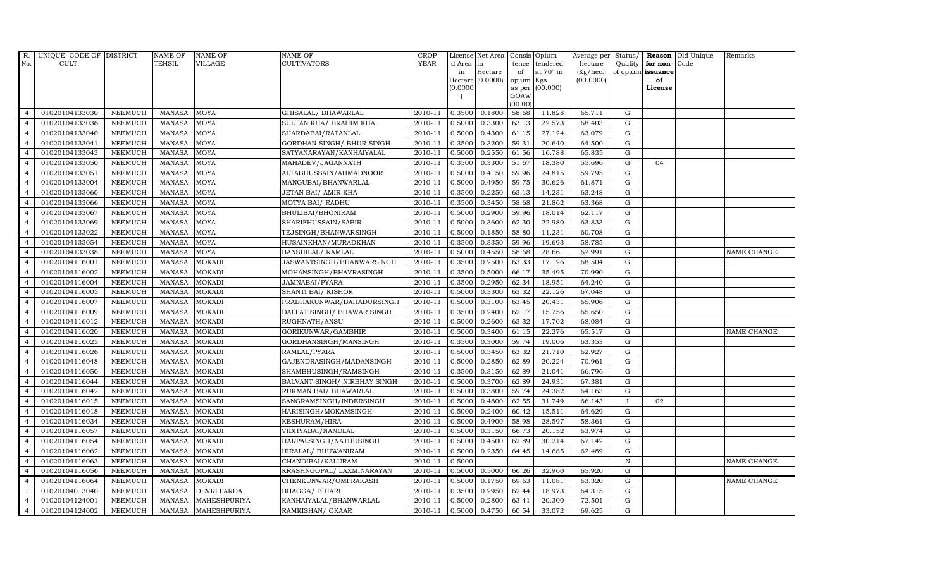| R.             | UNIQUE CODE OF DISTRICT |                | <b>NAME OF</b> | <b>NAME OF</b>      | <b>NAME OF</b>               | CROP        |           | License Net Area   Consis   Opium |           |                  | Average per | Status/      | Reason            | Old Unique | Remarks     |
|----------------|-------------------------|----------------|----------------|---------------------|------------------------------|-------------|-----------|-----------------------------------|-----------|------------------|-------------|--------------|-------------------|------------|-------------|
| No.            | CULT.                   |                | <b>TEHSIL</b>  | <b>VILLAGE</b>      | <b>CULTIVATORS</b>           | <b>YEAR</b> | d Area in |                                   |           | tence tendered   | hectare     | Quality      | for non-          | Code       |             |
|                |                         |                |                |                     |                              |             | in        | Hectare                           | of        | at $70^\circ$ in | (Kg/hec.)   |              | of opium issuance |            |             |
|                |                         |                |                |                     |                              |             |           | Hectare (0.0000)                  | opium Kgs |                  | (00.0000)   |              | of                |            |             |
|                |                         |                |                |                     |                              |             | (0.0000)  |                                   | GOAW      | as per (00.000)  |             |              | License           |            |             |
|                |                         |                |                |                     |                              |             |           |                                   | (00.00)   |                  |             |              |                   |            |             |
| $\overline{4}$ | 01020104133030          | <b>NEEMUCH</b> | MANASA         | <b>MOYA</b>         | GHISALAL/ BHAWARLAL          | 2010-11     | 0.3500    | 0.1800                            | 58.68     | 11.828           | 65.711      | $\mathbf G$  |                   |            |             |
| $\overline{a}$ | 01020104133036          | <b>NEEMUCH</b> | <b>MANASA</b>  | <b>MOYA</b>         | SULTAN KHA/IBRAHIM KHA       | 2010-11     | 0.5000    | 0.3300                            | 63.13     | 22.573           | 68.403      | ${\rm G}$    |                   |            |             |
| $\overline{4}$ | 01020104133040          | <b>NEEMUCH</b> | <b>MANASA</b>  | <b>MOYA</b>         | SHARDABAI/RATANLAL           | 2010-11     | 0.5000    | 0.4300                            | 61.15     | 27.124           | 63.079      | G            |                   |            |             |
|                | 01020104133041          | <b>NEEMUCH</b> | <b>MANASA</b>  | <b>MOYA</b>         | GORDHAN SINGH/ BHUR SINGH    | 2010-11     | 0.3500    | 0.3200                            | 59.31     | 20.640           | 64.500      | $\mathbf G$  |                   |            |             |
| $\overline{4}$ | 01020104133043          | <b>NEEMUCH</b> | <b>MANASA</b>  | <b>MOYA</b>         | SATYANARAYAN/KANHAIYALAL     | 2010-11     | 0.5000    | 0.2550                            | 61.56     | 16.788           | 65.835      | ${\rm G}$    |                   |            |             |
| $\overline{4}$ | 01020104133050          | <b>NEEMUCH</b> | MANASA         | <b>MOYA</b>         | MAHADEV/JAGANNATH            | 2010-11     | 0.3500    | 0.3300                            | 51.67     | 18.380           | 55.696      | $\mathbf G$  | 04                |            |             |
| $\overline{4}$ | 01020104133051          | <b>NEEMUCH</b> | <b>MANASA</b>  | <b>MOYA</b>         | ALTABHUSSAIN/AHMADNOOR       | 2010-11     | 0.5000    | 0.4150                            | 59.96     | 24.815           | 59.795      | $\mathbf G$  |                   |            |             |
| $\overline{4}$ | 01020104133004          | <b>NEEMUCH</b> | <b>MANASA</b>  | <b>MOYA</b>         | MANGUBAI/BHANWARLAL          | 2010-11     | 0.5000    | 0.4950                            | 59.75     | 30.626           | 61.871      | $\mathbf G$  |                   |            |             |
| $\overline{4}$ | 01020104133060          | <b>NEEMUCH</b> | <b>MANASA</b>  | <b>MOYA</b>         | JETAN BAI/ AMIR KHA          | 2010-11     | 0.3500    | 0.2250                            | 63.13     | 14.231           | 63.248      | $\mathbf G$  |                   |            |             |
| $\overline{4}$ | 01020104133066          | <b>NEEMUCH</b> | <b>MANASA</b>  | <b>MOYA</b>         | MOTYA BAI/ RADHU             | 2010-11     | 0.3500    | 0.3450                            | 58.68     | 21.862           | 63.368      | ${\rm G}$    |                   |            |             |
| $\overline{4}$ | 01020104133067          | <b>NEEMUCH</b> | <b>MANASA</b>  | <b>MOYA</b>         | BHULIBAI/BHONIRAM            | 2010-11     | 0.5000    | 0.2900                            | 59.96     | 18.014           | 62.117      | ${\rm G}$    |                   |            |             |
| $\overline{4}$ | 01020104133069          | <b>NEEMUCH</b> | <b>MANASA</b>  | <b>MOYA</b>         | SHARIFHUSSAIN/SABIR          | 2010-11     | 0.5000    | 0.3600                            | 62.30     | 22.980           | 63.833      | $\mathbf G$  |                   |            |             |
| $\overline{4}$ | 01020104133022          | <b>NEEMUCH</b> | <b>MANASA</b>  | <b>MOYA</b>         | TEJSINGH/BHANWARSINGH        | 2010-11     | 0.5000    | 0.1850                            | 58.80     | 11.231           | 60.708      | $\mathbf G$  |                   |            |             |
| $\overline{4}$ | 01020104133054          | <b>NEEMUCH</b> | <b>MANASA</b>  | <b>MOYA</b>         | HUSAINKHAN/MURADKHAN         | 2010-11     | 0.3500    | 0.3350                            | 59.96     | 19.693           | 58.785      | $\mathbf G$  |                   |            |             |
| $\overline{4}$ | 01020104133038          | <b>NEEMUCH</b> | <b>MANASA</b>  | <b>MOYA</b>         | <b>BANSHILAL/ RAMLAL</b>     | 2010-11     | 0.5000    | 0.4550                            | 58.68     | 28.661           | 62.991      | G            |                   |            | NAME CHANGE |
| $\overline{4}$ | 01020104116001          | <b>NEEMUCH</b> | <b>MANASA</b>  | <b>MOKADI</b>       | JASWANTSINGH/BHANWARSINGH    | 2010-11     | 0.3500    | 0.2500                            | 63.33     | 17.126           | 68.504      | ${\rm G}$    |                   |            |             |
| $\overline{4}$ | 01020104116002          | <b>NEEMUCH</b> | <b>MANASA</b>  | <b>MOKADI</b>       | MOHANSINGH/BHAVRASINGH       | 2010-11     | 0.3500    | 0.5000                            | 66.17     | 35.495           | 70.990      | G            |                   |            |             |
| $\overline{4}$ | 01020104116004          | <b>NEEMUCH</b> | MANASA         | <b>MOKADI</b>       | JAMNABAI/PYARA               | 2010-11     | 0.3500    | 0.2950                            | 62.34     | 18.951           | 64.240      | G            |                   |            |             |
| $\overline{4}$ | 01020104116005          | <b>NEEMUCH</b> | <b>MANASA</b>  | <b>MOKADI</b>       | SHANTI BAI/ KISHOR           | 2010-11     | 0.5000    | 0.3300                            | 63.32     | 22.126           | 67.048      | $\mathbf G$  |                   |            |             |
| $\overline{4}$ | 01020104116007          | <b>NEEMUCH</b> | <b>MANASA</b>  | <b>MOKADI</b>       | PRABHAKUNWAR/BAHADURSINGH    | 2010-11     | 0.5000    | 0.3100                            | 63.45     | 20.431           | 65.906      | G            |                   |            |             |
| 4              | 01020104116009          | <b>NEEMUCH</b> | <b>MANASA</b>  | <b>MOKADI</b>       | DALPAT SINGH/ BHAWAR SINGH   | 2010-11     | 0.3500    | 0.2400                            | 62.17     | 15.756           | 65.650      | ${\rm G}$    |                   |            |             |
| $\overline{4}$ | 01020104116012          | <b>NEEMUCH</b> | <b>MANASA</b>  | <b>MOKADI</b>       | RUGHNATH/ANSU                | 2010-11     | 0.5000    | 0.2600                            | 63.32     | 17.702           | 68.084      | ${\rm G}$    |                   |            |             |
| $\overline{4}$ | 01020104116020          | <b>NEEMUCH</b> | MANASA         | <b>MOKADI</b>       | GORIKUNWAR/GAMBHIR           | 2010-11     | 0.5000    | 0.3400                            | 61.15     | 22.276           | 65.517      | G            |                   |            | NAME CHANGE |
| $\overline{4}$ | 01020104116025          | <b>NEEMUCH</b> | <b>MANASA</b>  | <b>MOKADI</b>       | GORDHANSINGH/MANSINGH        | 2010-11     | 0.3500    | 0.3000                            | 59.74     | 19.006           | 63.353      | $\mathbf G$  |                   |            |             |
| $\overline{4}$ | 01020104116026          | <b>NEEMUCH</b> | <b>MANASA</b>  | <b>MOKADI</b>       | RAMLAL/PYARA                 | 2010-11     | 0.5000    | 0.3450                            | 63.32     | 21.710           | 62.927      | $\mathbf G$  |                   |            |             |
| $\overline{4}$ | 01020104116048          | <b>NEEMUCH</b> | <b>MANASA</b>  | <b>MOKADI</b>       | GAJENDRASINGH/MADANSINGH     | 2010-11     | 0.5000    | 0.2850                            | 62.89     | 20.224           | 70.961      | G            |                   |            |             |
| $\overline{4}$ | 01020104116050          | <b>NEEMUCH</b> | <b>MANASA</b>  | <b>MOKADI</b>       | SHAMBHUSINGH/RAMSINGH        | 2010-11     | 0.3500    | 0.3150                            | 62.89     | 21.041           | 66.796      | ${\rm G}$    |                   |            |             |
| $\overline{4}$ | 01020104116044          | <b>NEEMUCH</b> | MANASA         | <b>MOKADI</b>       | BALVANT SINGH/ NIRBHAY SINGH | 2010-11     | 0.5000    | 0.3700                            | 62.89     | 24.931           | 67.381      | G            |                   |            |             |
| $\overline{4}$ | 01020104116042          | <b>NEEMUCH</b> | <b>MANASA</b>  | <b>MOKADI</b>       | RUKMAN BAI/ BHAWARLAL        | 2010-11     | 0.5000    | 0.3800                            | 59.74     | 24.382           | 64.163      | $\mathbf G$  |                   |            |             |
| $\overline{4}$ | 01020104116015          | <b>NEEMUCH</b> | <b>MANASA</b>  | <b>MOKADI</b>       | SANGRAMSINGH/INDERSINGH      | 2010-11     | 0.5000    | 0.4800                            | 62.55     | 31.749           | 66.143      | $\mathbf{I}$ | 02                |            |             |
| $\overline{4}$ | 01020104116018          | <b>NEEMUCH</b> | <b>MANASA</b>  | <b>MOKADI</b>       | HARISINGH/MOKAMSINGH         | 2010-11     | 0.5000    | 0.2400                            | 60.42     | 15.511           | 64.629      | G            |                   |            |             |
| $\overline{4}$ | 01020104116034          | <b>NEEMUCH</b> | <b>MANASA</b>  | <b>MOKADI</b>       | KESHURAM/HIRA                | 2010-11     | 0.5000    | 0.4900                            | 58.98     | 28.597           | 58.361      | ${\rm G}$    |                   |            |             |
| $\overline{4}$ | 01020104116057          | <b>NEEMUCH</b> | MANASA         | <b>MOKADI</b>       | VIDHYABAI/NANDLAL            | 2010-11     | 0.5000    | 0.3150                            | 66.73     | 20.152           | 63.974      | ${\rm G}$    |                   |            |             |
| $\overline{4}$ | 01020104116054          | <b>NEEMUCH</b> | <b>MANASA</b>  | <b>MOKADI</b>       | HARPALSINGH/NATHUSINGH       | 2010-11     | 0.5000    | 0.4500                            | 62.89     | 30.214           | 67.142      | $\mathbf G$  |                   |            |             |
| $\overline{4}$ | 01020104116062          | <b>NEEMUCH</b> | <b>MANASA</b>  | <b>MOKADI</b>       | HIRALAL/ BHUWANIRAM          | 2010-11     | 0.5000    | 0.2350                            | 64.45     | 14.685           | 62.489      | $\mathbf G$  |                   |            |             |
| $\overline{4}$ | 01020104116063          | <b>NEEMUCH</b> | <b>MANASA</b>  | <b>MOKADI</b>       | CHANDIBAI/KALURAM            | 2010-11     | 0.5000    |                                   |           |                  |             | $\, {\rm N}$ |                   |            | NAME CHANGE |
| $\overline{4}$ | 01020104116056          | <b>NEEMUCH</b> | <b>MANASA</b>  | <b>MOKADI</b>       | KRASHNGOPAL/ LAXMINARAYAN    | 2010-11     | 0.5000    | 0.5000                            | 66.26     | 32.960           | 65.920      | G            |                   |            |             |
| $\overline{4}$ | 01020104116064          | <b>NEEMUCH</b> | <b>MANASA</b>  | <b>MOKADI</b>       | CHENKUNWAR/OMPRAKASH         | 2010-11     | 0.5000    | 0.1750                            | 69.63     | 11.081           | 63.320      | $\mathbf G$  |                   |            | NAME CHANGE |
| $\overline{1}$ | 01020104013040          | <b>NEEMUCH</b> | <b>MANASA</b>  | <b>DEVRI PARDA</b>  | BHAGGA/ BIHARI               | 2010-11     | 0.3500    | 0.2950                            | 62.44     | 18.973           | 64.315      | $\mathbf G$  |                   |            |             |
| $\overline{4}$ | 01020104124001          | <b>NEEMUCH</b> | <b>MANASA</b>  | <b>MAHESHPURIYA</b> | KANHAIYALAL/BHANWARLAL       | 2010-11     | 0.5000    | 0.2800                            | 63.41     | 20.300           | 72.501      | $\mathbf G$  |                   |            |             |
| $\overline{4}$ | 01020104124002          | <b>NEEMUCH</b> |                | MANASA MAHESHPURIYA | RAMKISHAN/ OKAAR             | 2010-11     | 0.5000    | 0.4750                            | 60.54     | 33.072           | 69.625      | G            |                   |            |             |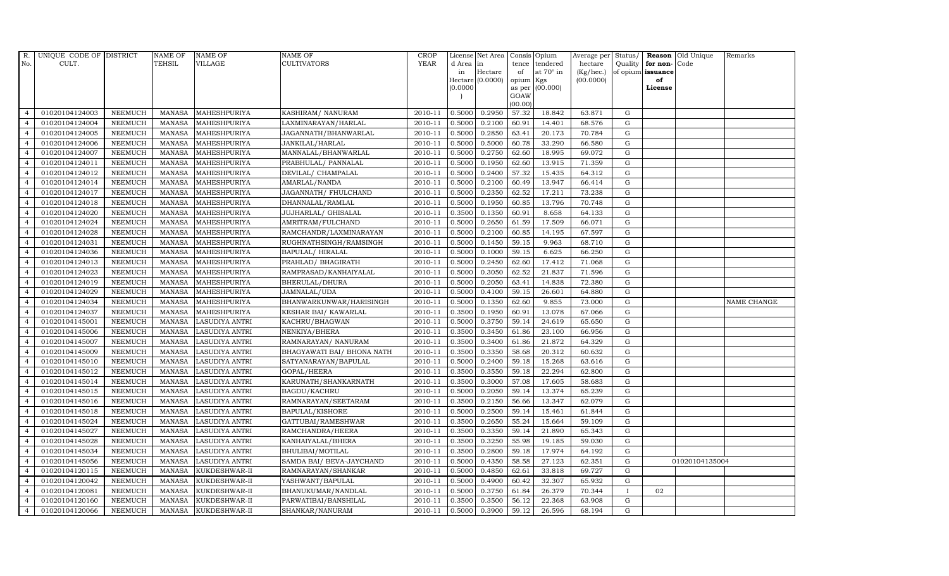| R.             | UNIQUE CODE OF DISTRICT |                | <b>NAME OF</b> | <b>NAME OF</b>        | <b>NAME OF</b>             | CROP        |           | License Net Area   Consis   Opium |           |                  | Average per Status/ |              |                   | <b>Reason</b> Old Unique | Remarks     |
|----------------|-------------------------|----------------|----------------|-----------------------|----------------------------|-------------|-----------|-----------------------------------|-----------|------------------|---------------------|--------------|-------------------|--------------------------|-------------|
| No.            | CULT.                   |                | <b>TEHSIL</b>  | <b>VILLAGE</b>        | <b>CULTIVATORS</b>         | <b>YEAR</b> | d Area in |                                   |           | tence tendered   | hectare             | Quality      | for non-          | Code                     |             |
|                |                         |                |                |                       |                            |             | in        | Hectare                           | of        | at $70^\circ$ in | (Kg/hec.)           |              | of opium issuance |                          |             |
|                |                         |                |                |                       |                            |             |           | Hectare (0.0000)                  | opium Kgs |                  | (00.0000)           |              | of                |                          |             |
|                |                         |                |                |                       |                            |             | (0.0000)  |                                   | GOAW      | as per (00.000)  |                     |              | License           |                          |             |
|                |                         |                |                |                       |                            |             |           |                                   | (00.00)   |                  |                     |              |                   |                          |             |
| $\overline{4}$ | 01020104124003          | <b>NEEMUCH</b> | MANASA         | MAHESHPURIYA          | KASHIRAM/ NANURAM          | 2010-11     | 0.5000    | 0.2950                            | 57.32     | 18.842           | 63.871              | ${\rm G}$    |                   |                          |             |
| $\overline{a}$ | 01020104124004          | <b>NEEMUCH</b> | MANASA         | MAHESHPURIYA          | LAXMINARAYAN/HARLAL        | 2010-11     | 0.5000    | 0.2100                            | 60.91     | 14.401           | 68.576              | $\mathbf G$  |                   |                          |             |
| $\overline{4}$ | 01020104124005          | <b>NEEMUCH</b> | <b>MANASA</b>  | <b>MAHESHPURIYA</b>   | JAGANNATH/BHANWARLAL       | 2010-11     | 0.5000    | 0.2850                            | 63.41     | 20.173           | 70.784              | G            |                   |                          |             |
|                | 01020104124006          | <b>NEEMUCH</b> | <b>MANASA</b>  | MAHESHPURIYA          | JANKILAL/HARLAL            | 2010-11     | 0.5000    | 0.5000                            | 60.78     | 33.290           | 66.580              | $\mathbf G$  |                   |                          |             |
| $\overline{4}$ | 01020104124007          | <b>NEEMUCH</b> | <b>MANASA</b>  | MAHESHPURIYA          | MANNALAL/BHANWARLAL        | 2010-11     | 0.5000    | 0.2750                            | 62.60     | 18.995           | 69.072              | ${\rm G}$    |                   |                          |             |
| $\overline{4}$ | 01020104124011          | <b>NEEMUCH</b> | <b>MANASA</b>  | MAHESHPURIYA          | PRABHULAL/ PANNALAL        | 2010-11     | 0.5000    | 0.1950                            | 62.60     | 13.915           | 71.359              | $\mathbf G$  |                   |                          |             |
| $\overline{4}$ | 01020104124012          | <b>NEEMUCH</b> | <b>MANASA</b>  | MAHESHPURIYA          | DEVILAL/ CHAMPALAL         | 2010-11     | 0.5000    | 0.2400                            | 57.32     | 15.435           | 64.312              | $\mathbf G$  |                   |                          |             |
| $\overline{4}$ | 01020104124014          | <b>NEEMUCH</b> | <b>MANASA</b>  | MAHESHPURIYA          | AMARLAL/NANDA              | 2010-11     | 0.5000    | 0.2100                            | 60.49     | 13.947           | 66.414              | $\mathbf G$  |                   |                          |             |
| $\overline{4}$ | 01020104124017          | <b>NEEMUCH</b> | <b>MANASA</b>  | MAHESHPURIYA          | JAGANNATH / FHULCHAND      | 2010-11     | 0.5000    | 0.2350                            | 62.52     | 17.211           | 73.238              | G            |                   |                          |             |
| $\overline{4}$ | 01020104124018          | <b>NEEMUCH</b> | <b>MANASA</b>  | MAHESHPURIYA          | DHANNALAL/RAMLAL           | 2010-11     | 0.5000    | 0.1950                            | 60.85     | 13.796           | 70.748              | ${\rm G}$    |                   |                          |             |
| $\overline{4}$ | 01020104124020          | <b>NEEMUCH</b> | <b>MANASA</b>  | MAHESHPURIYA          | JUJHARLAL/ GHISALAL        | 2010-11     | 0.3500    | 0.1350                            | 60.91     | 8.658            | 64.133              | ${\rm G}$    |                   |                          |             |
| $\overline{4}$ | 01020104124024          | <b>NEEMUCH</b> | MANASA         | MAHESHPURIYA          | AMRITRAM/FULCHAND          | 2010-11     | 0.5000    | 0.2650                            | 61.59     | 17.509           | 66.071              | $\mathbf G$  |                   |                          |             |
| $\overline{4}$ | 01020104124028          | <b>NEEMUCH</b> | <b>MANASA</b>  | MAHESHPURIYA          | RAMCHANDR/LAXMINARAYAN     | 2010-11     | 0.5000    | 0.2100                            | 60.85     | 14.195           | 67.597              | $\mathbf G$  |                   |                          |             |
| $\overline{4}$ | 01020104124031          | <b>NEEMUCH</b> | <b>MANASA</b>  | <b>MAHESHPURIYA</b>   | RUGHNATHSINGH/RAMSINGH     | 2010-11     | 0.5000    | 0.1450                            | 59.15     | 9.963            | 68.710              | G            |                   |                          |             |
| 4              | 01020104124036          | <b>NEEMUCH</b> | <b>MANASA</b>  | <b>MAHESHPURIYA</b>   | BAPULAL/HIRALAL            | 2010-11     | 0.5000    | 0.1000                            | 59.15     | 6.625            | 66.250              | G            |                   |                          |             |
| $\overline{4}$ | 01020104124013          | <b>NEEMUCH</b> | <b>MANASA</b>  | MAHESHPURIYA          | PRAHLAD/ BHAGIRATH         | 2010-11     | 0.5000    | 0.2450                            | 62.60     | 17.412           | 71.068              | ${\rm G}$    |                   |                          |             |
| $\overline{4}$ | 01020104124023          | <b>NEEMUCH</b> | MANASA         | MAHESHPURIYA          | RAMPRASAD/KANHAIYALAL      | 2010-11     | 0.5000    | 0.3050                            | 62.52     | 21.837           | 71.596              | ${\rm G}$    |                   |                          |             |
| $\overline{4}$ | 01020104124019          | <b>NEEMUCH</b> | MANASA         | MAHESHPURIYA          | BHERULAL/DHURA             | 2010-11     | 0.5000    | 0.2050                            | 63.41     | 14.838           | 72.380              | G            |                   |                          |             |
| $\overline{4}$ | 01020104124029          | <b>NEEMUCH</b> | <b>MANASA</b>  | MAHESHPURIYA          | JAMNALAL/UDA               | 2010-11     | 0.5000    | 0.4100                            | 59.15     | 26.601           | 64.880              | $\mathbf G$  |                   |                          |             |
| $\overline{4}$ | 01020104124034          | <b>NEEMUCH</b> | <b>MANASA</b>  | MAHESHPURIYA          | BHANWARKUNWAR/HARISINGH    | 2010-11     | 0.5000    | 0.1350                            | 62.60     | 9.855            | 73.000              | $\mathbf G$  |                   |                          | NAME CHANGE |
| 4              | 01020104124037          | <b>NEEMUCH</b> | <b>MANASA</b>  | MAHESHPURIYA          | KESHAR BAI/ KAWARLAL       | 2010-11     | 0.3500    | 0.1950                            | 60.91     | 13.078           | 67.066              | ${\rm G}$    |                   |                          |             |
| $\overline{4}$ | 01020104145001          | <b>NEEMUCH</b> | <b>MANASA</b>  | <b>LASUDIYA ANTRI</b> | KACHRU/BHAGWAN             | 2010-11     | 0.5000    | 0.3750                            | 59.14     | 24.619           | 65.650              | ${\rm G}$    |                   |                          |             |
| $\overline{4}$ | 01020104145006          | <b>NEEMUCH</b> | MANASA         | <b>LASUDIYA ANTRI</b> | NENKIYA/BHERA              | 2010-11     | 0.3500    | 0.3450                            | 61.86     | 23.100           | 66.956              | G            |                   |                          |             |
| $\overline{4}$ | 01020104145007          | <b>NEEMUCH</b> | <b>MANASA</b>  | <b>LASUDIYA ANTRI</b> | RAMNARAYAN/ NANURAM        | 2010-11     | 0.3500    | 0.3400                            | 61.86     | 21.872           | 64.329              | $\mathbf G$  |                   |                          |             |
| $\overline{4}$ | 01020104145009          | <b>NEEMUCH</b> | <b>MANASA</b>  | <b>LASUDIYA ANTRI</b> | BHAGYAWATI BAI/ BHONA NATH | 2010-11     | 0.3500    | 0.3350                            | 58.68     | 20.312           | 60.632              | $\mathbf G$  |                   |                          |             |
| $\overline{4}$ | 01020104145010          | <b>NEEMUCH</b> | <b>MANASA</b>  | LASUDIYA ANTRI        | SATYANARAYAN/BAPULAL       | 2010-11     | 0.5000    | 0.2400                            | 59.18     | 15.268           | 63.616              | G            |                   |                          |             |
| $\overline{4}$ | 01020104145012          | <b>NEEMUCH</b> | <b>MANASA</b>  | LASUDIYA ANTRI        | GOPAL/HEERA                | 2010-11     | 0.3500    | 0.3550                            | 59.18     | 22.294           | 62.800              | ${\rm G}$    |                   |                          |             |
| $\overline{4}$ | 01020104145014          | <b>NEEMUCH</b> | MANASA         | <b>LASUDIYA ANTRI</b> | KARUNATH/SHANKARNATH       | 2010-11     | 0.3500    | 0.3000                            | 57.08     | 17.605           | 58.683              | G            |                   |                          |             |
| $\overline{4}$ | 01020104145015          | <b>NEEMUCH</b> | <b>MANASA</b>  | <b>LASUDIYA ANTRI</b> | BAGDU/KACHRU               | 2010-11     | 0.5000    | 0.2050                            | 59.14     | 13.374           | 65.239              | $\mathbf G$  |                   |                          |             |
| $\overline{4}$ | 01020104145016          | <b>NEEMUCH</b> | <b>MANASA</b>  | <b>LASUDIYA ANTRI</b> | RAMNARAYAN/SEETARAM        | 2010-11     | 0.3500    | 0.2150                            | 56.66     | 13.347           | 62.079              | $\mathbf G$  |                   |                          |             |
| $\overline{4}$ | 01020104145018          | <b>NEEMUCH</b> | <b>MANASA</b>  | LASUDIYA ANTRI        | BAPULAL/KISHORE            | 2010-11     | 0.5000    | 0.2500                            | 59.14     | 15.461           | 61.844              | G            |                   |                          |             |
| $\overline{4}$ | 01020104145024          | <b>NEEMUCH</b> | MANASA         | LASUDIYA ANTRI        | GATTUBAI/RAMESHWAR         | 2010-11     | 0.3500    | 0.2650                            | 55.24     | 15.664           | 59.109              | ${\rm G}$    |                   |                          |             |
| $\overline{4}$ | 01020104145027          | <b>NEEMUCH</b> | <b>MANASA</b>  | <b>LASUDIYA ANTRI</b> | RAMCHANDRA/HEERA           | 2010-11     | 0.3500    | 0.3350                            | 59.14     | 21.890           | 65.343              | $\mathbf G$  |                   |                          |             |
| $\overline{4}$ | 01020104145028          | <b>NEEMUCH</b> | <b>MANASA</b>  | <b>LASUDIYA ANTRI</b> | KANHAIYALAL/BHERA          | 2010-11     | 0.3500    | 0.3250                            | 55.98     | 19.185           | 59.030              | $\mathbf G$  |                   |                          |             |
| $\overline{4}$ | 01020104145034          | <b>NEEMUCH</b> | <b>MANASA</b>  | <b>LASUDIYA ANTRI</b> | BHULIBAI/MOTILAL           | 2010-11     | 0.3500    | 0.2800                            | 59.18     | 17.974           | 64.192              | $\mathbf G$  |                   |                          |             |
| $\overline{4}$ | 01020104145056          | <b>NEEMUCH</b> | <b>MANASA</b>  | LASUDIYA ANTRI        | SAMDA BAI/ BEVA-JAYCHAND   | 2010-11     | 0.5000    | 0.4350                            | 58.58     | 27.123           | 62.351              | G            |                   | 01020104135004           |             |
| $\overline{4}$ | 01020104120115          | <b>NEEMUCH</b> | <b>MANASA</b>  | KUKDESHWAR-II         | RAMNARAYAN/SHANKAR         | 2010-11     | 0.5000    | 0.4850                            | 62.61     | 33.818           | 69.727              | G            |                   |                          |             |
| $\overline{4}$ | 01020104120042          | <b>NEEMUCH</b> | <b>MANASA</b>  | KUKDESHWAR-II         | YASHWANT/BAPULAL           | 2010-11     | 0.5000    | 0.4900                            | 60.42     | 32.307           | 65.932              | $\mathbf G$  |                   |                          |             |
| $\overline{4}$ | 01020104120081          | <b>NEEMUCH</b> | <b>MANASA</b>  | KUKDESHWAR-II         | BHANUKUMAR/NANDLAL         | 2010-11     | 0.5000    | 0.3750                            | 61.84     | 26.379           | 70.344              | $\mathbf{I}$ | 02                |                          |             |
| $\overline{4}$ | 01020104120160          | <b>NEEMUCH</b> | <b>MANASA</b>  | KUKDESHWAR-II         | PARWATIBAI/BANSHILAL       | 2010-11     | 0.3500    | 0.3500                            | 56.12     | 22.368           | 63.908              | G            |                   |                          |             |
| $\overline{4}$ | 01020104120066          | <b>NEEMUCH</b> |                | MANASA KUKDESHWAR-II  | SHANKAR/NANURAM            | 2010-11     | 0.5000    | 0.3900                            | 59.12     | 26.596           | 68.194              | G            |                   |                          |             |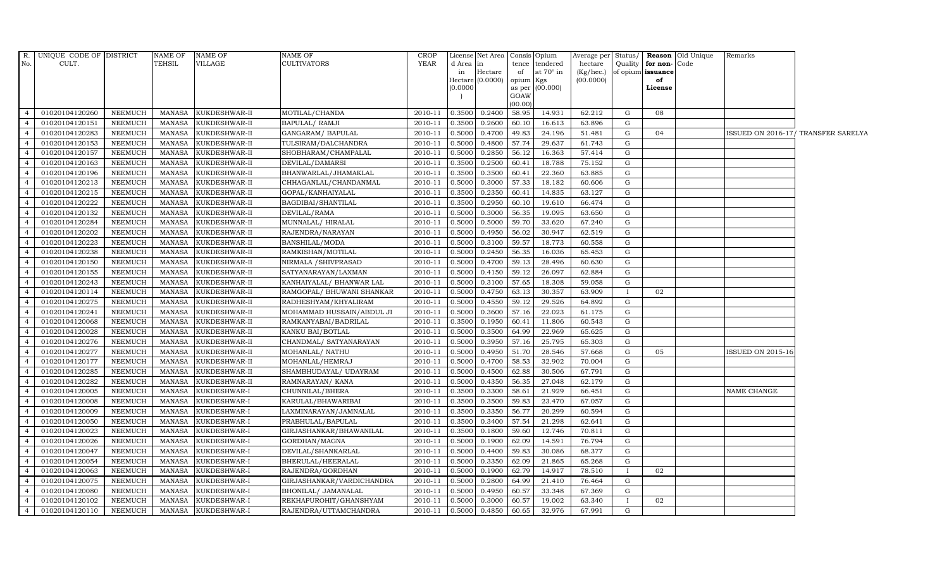|                | R. UNIQUE CODE OF DISTRICT |                | NAME OF       | <b>NAME OF</b> | <b>NAME OF</b>            | <b>CROP</b> |              | License Net Area   Consis   Opium |                  |                              |                      |              |                                              | Average per Status/ Reason Old Unique | Remarks                  |                                     |
|----------------|----------------------------|----------------|---------------|----------------|---------------------------|-------------|--------------|-----------------------------------|------------------|------------------------------|----------------------|--------------|----------------------------------------------|---------------------------------------|--------------------------|-------------------------------------|
| No.            | CULT.                      |                | TEHSIL        | VILLAGE        | <b>CULTIVATORS</b>        | YEAR        | d Area<br>in | in<br>Hectare                     | tence<br>of      | tendered<br>at $70^\circ$ in | hectare<br>(Kg/hec.) |              | Quality   for non- Code<br>of opium issuance |                                       |                          |                                     |
|                |                            |                |               |                |                           |             |              | Hectare (0.0000)                  | opium Kgs        |                              | (00.0000)            |              | of                                           |                                       |                          |                                     |
|                |                            |                |               |                |                           |             | (0.0000)     |                                   | as per           | (00.000)                     |                      |              | License                                      |                                       |                          |                                     |
|                |                            |                |               |                |                           |             |              |                                   | GOAW             |                              |                      |              |                                              |                                       |                          |                                     |
| $\overline{4}$ | 01020104120260             | NEEMUCH        | MANASA        | KUKDESHWAR-II  | MOTILAL/CHANDA            | 2010-11     | 0.3500       | 0.2400                            | (00.00)<br>58.95 | 14.931                       | 62.212               | G            | 08                                           |                                       |                          |                                     |
| $\overline{4}$ | 01020104120151             | <b>NEEMUCH</b> | MANASA        | KUKDESHWAR-II  | <b>BAPULAL/ RAMJI</b>     | 2010-11     | 0.3500       | 0.2600                            | 60.10            | 16.613                       | 63.896               | G            |                                              |                                       |                          |                                     |
| $\overline{4}$ | 01020104120283             | <b>NEEMUCH</b> | <b>MANASA</b> | KUKDESHWAR-II  | GANGARAM / BAPULAL        | 2010-11     | 0.5000       | 0.4700                            | 49.83            | 24.196                       | 51.481               | G            | 04                                           |                                       |                          | ISSUED ON 2016-17/ TRANSFER SARELYA |
| $\overline{4}$ | 01020104120153             | <b>NEEMUCH</b> | <b>MANASA</b> | KUKDESHWAR-II  | TULSIRAM/DALCHANDRA       | 2010-11     | 0.5000       | 0.4800                            | 57.74            | 29.637                       | 61.743               | G            |                                              |                                       |                          |                                     |
| $\overline{4}$ | 01020104120157             | <b>NEEMUCH</b> | MANASA        | KUKDESHWAR-II  | SHOBHARAM/CHAMPALAL       | 2010-11     | 0.5000       | 0.2850                            | 56.12            | 16.363                       | 57.414               | G            |                                              |                                       |                          |                                     |
| $\overline{4}$ | 01020104120163             | <b>NEEMUCH</b> | <b>MANASA</b> | KUKDESHWAR-II  | DEVILAL/DAMARSI           | 2010-11     | 0.3500       | 0.2500                            | 60.41            | 18.788                       | 75.152               | G            |                                              |                                       |                          |                                     |
| $\overline{4}$ | 01020104120196             | <b>NEEMUCH</b> | MANASA        | KUKDESHWAR-II  | BHANWARLAL/JHAMAKLAL      | 2010-11     | 0.3500       | 0.3500                            | 60.41            | 22.360                       | 63.885               | G            |                                              |                                       |                          |                                     |
| $\overline{4}$ | 01020104120213             | <b>NEEMUCH</b> | MANASA        | KUKDESHWAR-II  | CHHAGANLAL/CHANDANMAL     | 2010-11     | 0.5000       | 0.3000                            | 57.33            | 18.182                       | 60.606               | G            |                                              |                                       |                          |                                     |
| $\overline{4}$ | 01020104120215             | <b>NEEMUCH</b> | <b>MANASA</b> | KUKDESHWAR-II  | GOPAL/KANHAIYALAL         | 2010-11     | 0.3500       | 0.2350                            | 60.41            | 14.835                       | 63.127               | $\mathbf G$  |                                              |                                       |                          |                                     |
| $\overline{4}$ | 01020104120222             | <b>NEEMUCH</b> | <b>MANASA</b> | KUKDESHWAR-II  | BAGDIBAI/SHANTILAL        | 2010-11     | 0.3500       | 0.2950                            | 60.10            | 19.610                       | 66.474               | G            |                                              |                                       |                          |                                     |
| $\overline{4}$ | 01020104120132             | <b>NEEMUCH</b> | MANASA        | KUKDESHWAR-II  | DEVILAL/RAMA              | 2010-11     | 0.5000       | 0.3000                            | 56.35            | 19.095                       | 63.650               | G            |                                              |                                       |                          |                                     |
| $\overline{4}$ | 01020104120284             | <b>NEEMUCH</b> | <b>MANASA</b> | KUKDESHWAR-II  | MUNNALAL/ HIRALAL         | 2010-11     | 0.5000       | 0.5000                            | 59.70            | 33.620                       | 67.240               | $\mathbf G$  |                                              |                                       |                          |                                     |
| $\overline{4}$ | 01020104120202             | <b>NEEMUCH</b> | MANASA        | KUKDESHWAR-II  | RAJENDRA/NARAYAN          | 2010-11     | 0.5000       | 0.4950                            | 56.02            | 30.947                       | 62.519               | G            |                                              |                                       |                          |                                     |
| $\overline{4}$ | 01020104120223             | <b>NEEMUCH</b> | <b>MANASA</b> | KUKDESHWAR-II  | BANSHILAL/MODA            | 2010-11     | 0.5000       | 0.3100                            | 59.57            | 18.773                       | 60.558               | G            |                                              |                                       |                          |                                     |
| $\overline{4}$ | 01020104120238             | <b>NEEMUCH</b> | <b>MANASA</b> | KUKDESHWAR-II  | RAMKISHAN/MOTILAL         | 2010-11     | 0.5000       | 0.2450                            | 56.35            | 16.036                       | 65.453               | G            |                                              |                                       |                          |                                     |
| $\overline{4}$ | 01020104120150             | <b>NEEMUCH</b> | <b>MANASA</b> | KUKDESHWAR-II  | NIRMALA / SHIVPRASAD      | 2010-11     | 0.5000       | 0.4700                            | 59.13            | 28.496                       | 60.630               | G            |                                              |                                       |                          |                                     |
| $\overline{4}$ | 01020104120155             | <b>NEEMUCH</b> | MANASA        | KUKDESHWAR-II  | SATYANARAYAN/LAXMAN       | 2010-11     | 0.5000       | 0.4150                            | 59.12            | 26.097                       | 62.884               | G            |                                              |                                       |                          |                                     |
| $\overline{4}$ | 01020104120243             | <b>NEEMUCH</b> | <b>MANASA</b> | KUKDESHWAR-II  | KANHAIYALAL/ BHANWAR LAL  | 2010-11     | 0.5000       | 0.3100                            | 57.65            | 18.308                       | 59.058               | $\mathbf G$  |                                              |                                       |                          |                                     |
| $\overline{4}$ | 01020104120114             | <b>NEEMUCH</b> | <b>MANASA</b> | KUKDESHWAR-II  | RAMGOPAL/ BHUWANI SHANKAR | 2010-11     | 0.5000       | 0.4750                            | 63.13            | 30.357                       | 63.909               | $\mathbf{I}$ | 02                                           |                                       |                          |                                     |
| $\overline{4}$ | 01020104120275             | <b>NEEMUCH</b> | <b>MANASA</b> | KUKDESHWAR-II  | RADHESHYAM/KHYALIRAM      | 2010-11     | 0.5000       | 0.4550                            | 59.12            | 29.526                       | 64.892               | G            |                                              |                                       |                          |                                     |
| $\overline{4}$ | 01020104120241             | <b>NEEMUCH</b> | <b>MANASA</b> | KUKDESHWAR-II  | MOHAMMAD HUSSAIN/ABDUL JI | 2010-11     | 0.5000       | 0.3600                            | 57.16            | 22.023                       | 61.175               | G            |                                              |                                       |                          |                                     |
| $\overline{4}$ | 01020104120068             | <b>NEEMUCH</b> | <b>MANASA</b> | KUKDESHWAR-II  | RAMKANYABAI/BADRILAL      | 2010-11     | 0.3500       | 0.1950                            | 60.41            | 11.806                       | 60.543               | G            |                                              |                                       |                          |                                     |
| $\overline{4}$ | 01020104120028             | <b>NEEMUCH</b> | MANASA        | KUKDESHWAR-II  | KANKU BAI/BOTLAL          | 2010-11     | 0.5000       | 0.3500                            | 64.99            | 22.969                       | 65.625               | G            |                                              |                                       |                          |                                     |
| $\overline{4}$ | 01020104120276             | <b>NEEMUCH</b> | <b>MANASA</b> | KUKDESHWAR-II  | CHANDMAL/ SATYANARAYAN    | 2010-11     | 0.5000       | 0.3950                            | 57.16            | 25.795                       | 65.303               | $\mathbf G$  |                                              |                                       |                          |                                     |
| $\overline{4}$ | 01020104120277             | <b>NEEMUCH</b> | <b>MANASA</b> | KUKDESHWAR-II  | MOHANLAL/ NATHU           | 2010-11     | 0.5000       | 0.4950                            | 51.70            | 28.546                       | 57.668               | $\mathbf G$  | 05                                           |                                       | <b>ISSUED ON 2015-16</b> |                                     |
| $\overline{4}$ | 01020104120177             | <b>NEEMUCH</b> | MANASA        | KUKDESHWAR-II  | MOHANLAL/HEMRAJ           | 2010-11     | 0.5000       | 0.4700                            | 58.53            | 32.902                       | 70.004               | $\mathbf G$  |                                              |                                       |                          |                                     |
| $\overline{4}$ | 01020104120285             | <b>NEEMUCH</b> | <b>MANASA</b> | KUKDESHWAR-II  | SHAMBHUDAYAL/ UDAYRAM     | 2010-11     | 0.5000       | 0.4500                            | 62.88            | 30.506                       | 67.791               | $\mathbf G$  |                                              |                                       |                          |                                     |
| $\overline{4}$ | 01020104120282             | NEEMUCH        | <b>MANASA</b> | KUKDESHWAR-II  | RAMNARAYAN/KANA           | 2010-11     | 0.5000       | 0.4350                            | 56.35            | 27.048                       | 62.179               | ${\rm G}$    |                                              |                                       |                          |                                     |
| $\overline{4}$ | 01020104120005             | <b>NEEMUCH</b> | <b>MANASA</b> | KUKDESHWAR-I   | CHUNNILAL/BHERA           | 2010-11     | 0.3500       | 0.3300                            | 58.61            | 21.929                       | 66.451               | G            |                                              |                                       | NAME CHANGE              |                                     |
| $\overline{4}$ | 01020104120008             | <b>NEEMUCH</b> | <b>MANASA</b> | KUKDESHWAR-I   | KARULAL/BHAWARIBAI        | 2010-11     | 0.3500       | 0.3500                            | 59.83            | 23.470                       | 67.057               | $\mathbf G$  |                                              |                                       |                          |                                     |
| $\overline{4}$ | 01020104120009             | <b>NEEMUCH</b> | <b>MANASA</b> | KUKDESHWAR-I   | LAXMINARAYAN/JAMNALAL     | 2010-11     | 0.3500       | 0.3350                            | 56.77            | 20.299                       | 60.594               | $\mathbf G$  |                                              |                                       |                          |                                     |
| $\overline{4}$ | 01020104120050             | <b>NEEMUCH</b> | <b>MANASA</b> | KUKDESHWAR-I   | PRABHULAL/BAPULAL         | 2010-11     | 0.3500       | 0.3400                            | 57.54            | 21.298                       | 62.641               | G            |                                              |                                       |                          |                                     |
| $\overline{4}$ | 01020104120023             | <b>NEEMUCH</b> | <b>MANASA</b> | KUKDESHWAR-I   | GIRJASHANKAR/BHAWANILAL   | 2010-11     | 0.3500       | 0.1800                            | 59.60            | 12.746                       | 70.811               | $\mathbf G$  |                                              |                                       |                          |                                     |
| $\overline{4}$ | 01020104120026             | <b>NEEMUCH</b> | <b>MANASA</b> | KUKDESHWAR-I   | GORDHAN/MAGNA             | 2010-11     | 0.5000       | 0.1900                            | 62.09            | 14.591                       | 76.794               | ${\rm G}$    |                                              |                                       |                          |                                     |
| $\overline{4}$ | 01020104120047             | <b>NEEMUCH</b> | <b>MANASA</b> | KUKDESHWAR-I   | DEVILAL/SHANKARLAL        | 2010-11     | 0.5000       | 0.4400                            | 59.83            | 30.086                       | 68.377               | G            |                                              |                                       |                          |                                     |
| $\overline{4}$ | 01020104120054             | <b>NEEMUCH</b> | <b>MANASA</b> | KUKDESHWAR-I   | BHERULAL/HEERALAL         | 2010-11     | 0.5000       | 0.3350                            | 62.09            | 21.865                       | 65.268               | $\mathbf G$  |                                              |                                       |                          |                                     |
| $\overline{4}$ | 01020104120063             | <b>NEEMUCH</b> | <b>MANASA</b> | KUKDESHWAR-I   | RAJENDRA/GORDHAN          | 2010-11     | 0.5000       | 0.1900                            | 62.79            | 14.917                       | 78.510               | T            | 02                                           |                                       |                          |                                     |
| $\overline{4}$ | 01020104120075             | <b>NEEMUCH</b> | <b>MANASA</b> | KUKDESHWAR-I   | GIRJASHANKAR/VARDICHANDRA | 2010-11     | 0.5000       | 0.2800                            | 64.99            | 21.410                       | 76.464               | G            |                                              |                                       |                          |                                     |
| $\overline{4}$ | 01020104120080             | <b>NEEMUCH</b> | <b>MANASA</b> | KUKDESHWAR-I   | BHONILAL/ JAMANALAL       | 2010-11     | 0.5000       | 0.4950                            | 60.57            | 33.348                       | 67.369               | G            |                                              |                                       |                          |                                     |
| $\overline{4}$ | 01020104120102             | <b>NEEMUCH</b> | <b>MANASA</b> | KUKDESHWAR-I   | REKHAPUROHIT/GHANSHYAM    | 2010-11     | 0.5000       | 0.3000                            | 60.57            | 19.002                       | 63.340               | $\mathbf{I}$ | 02                                           |                                       |                          |                                     |
| $\overline{4}$ | 01020104120110             | <b>NEEMUCH</b> | MANASA        | KUKDESHWAR-I   | RAJENDRA/UTTAMCHANDRA     | 2010-11     | 0.5000       | 0.4850                            | 60.65            | 32.976                       | 67.991               | G            |                                              |                                       |                          |                                     |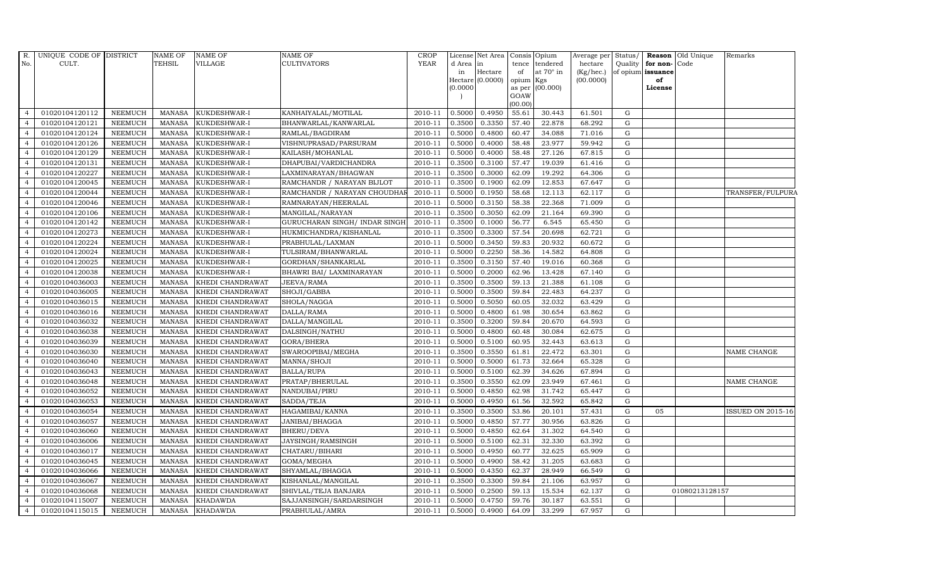| R.             | UNIQUE CODE OF DISTRICT |                | NAME OF       | <b>NAME OF</b>   | <b>NAME OF</b>                 | <b>CROP</b> |           | License Net Area Consis Opium |                |                  | Average per Status/ |             |                              | <b>Reason</b> Old Unique | Remarks            |
|----------------|-------------------------|----------------|---------------|------------------|--------------------------------|-------------|-----------|-------------------------------|----------------|------------------|---------------------|-------------|------------------------------|--------------------------|--------------------|
| No.            | CULT.                   |                | TEHSIL        | VILLAGE          | <b>CULTIVATORS</b>             | <b>YEAR</b> | d Area in |                               | tence          | tendered         | hectare             |             | Quality <b>for non-</b> Code |                          |                    |
|                |                         |                |               |                  |                                |             | in        | $\rm{Hectare}$                | of             | at $70^\circ$ in | (Kg/hec.)           |             | of opium issuance            |                          |                    |
|                |                         |                |               |                  |                                |             | (0.0000)  | $Hectare (0.0000)$            | opium          | Kgs<br>(00.000)  | (00.0000)           |             | of<br>License                |                          |                    |
|                |                         |                |               |                  |                                |             |           |                               | as per<br>GOAW |                  |                     |             |                              |                          |                    |
|                |                         |                |               |                  |                                |             |           |                               | (00.00)        |                  |                     |             |                              |                          |                    |
| $\overline{4}$ | 01020104120112          | <b>NEEMUCH</b> | <b>MANASA</b> | KUKDESHWAR-I     | KANHAIYALAL/MOTILAL            | 2010-11     | 0.5000    | 0.4950                        | 55.61          | 30.443           | 61.501              | G           |                              |                          |                    |
| $\overline{a}$ | 01020104120121          | <b>NEEMUCH</b> | <b>MANASA</b> | KUKDESHWAR-I     | BHANWARLAL/KANWARLAL           | 2010-11     | 0.3500    | 0.3350                        | 57.40          | 22.878           | 68.292              | $\mathbf G$ |                              |                          |                    |
| $\overline{4}$ | 01020104120124          | <b>NEEMUCH</b> | <b>MANASA</b> | KUKDESHWAR-I     | RAMLAL/BAGDIRAM                | 2010-11     | 0.5000    | 0.4800                        | 60.47          | 34.088           | 71.016              | G           |                              |                          |                    |
|                | 01020104120126          | <b>NEEMUCH</b> | <b>MANASA</b> | KUKDESHWAR-I     | VISHNUPRASAD/PARSURAM          | 2010-11     | 0.5000    | 0.4000                        | 58.48          | 23.977           | 59.942              | $\mathbf G$ |                              |                          |                    |
| $\overline{4}$ | 01020104120129          | <b>NEEMUCH</b> | <b>MANASA</b> | KUKDESHWAR-I     | KAILASH/MOHANLAL               | 2010-11     | 0.5000    | 0.4000                        | 58.48          | 27.126           | 67.815              | ${\rm G}$   |                              |                          |                    |
| $\overline{4}$ | 01020104120131          | <b>NEEMUCH</b> | <b>MANASA</b> | KUKDESHWAR-I     | DHAPUBAI/VARDICHANDRA          | 2010-11     | 0.3500    | 0.3100                        | 57.47          | 19.039           | 61.416              | G           |                              |                          |                    |
| $\overline{4}$ | 01020104120227          | <b>NEEMUCH</b> | <b>MANASA</b> | KUKDESHWAR-I     | LAXMINARAYAN/BHAGWAN           | 2010-11     | 0.3500    | 0.3000                        | 62.09          | 19.292           | 64.306              | $\mathbf G$ |                              |                          |                    |
| $\overline{a}$ | 01020104120045          | <b>NEEMUCH</b> | <b>MANASA</b> | KUKDESHWAR-I     | RAMCHANDR / NARAYAN BIJLOT     | 2010-11     | 0.3500    | 0.1900                        | 62.09          | 12.853           | 67.647              | G           |                              |                          |                    |
|                | 01020104120044          | <b>NEEMUCH</b> | <b>MANASA</b> | KUKDESHWAR-I     | RAMCHANDR / NARAYAN CHOUDHA    | 2010-11     | 0.500     | 0.1950                        | 58.68          | 12.113           | 62.117              | G           |                              |                          | TRANSFER/FULPURA   |
| $\overline{4}$ | 01020104120046          | <b>NEEMUCH</b> | <b>MANASA</b> | KUKDESHWAR-I     | RAMNARAYAN/HEERALAL            | 2010-11     | 0.5000    | 0.3150                        | 58.38          | 22.368           | 71.009              | ${\rm G}$   |                              |                          |                    |
| $\overline{4}$ | 01020104120106          | <b>NEEMUCH</b> | <b>MANASA</b> | KUKDESHWAR-I     | MANGILAL/NARAYAN               | 2010-11     | 0.3500    | 0.3050                        | 62.09          | 21.164           | 69.390              | G           |                              |                          |                    |
| $\overline{4}$ | 01020104120142          | <b>NEEMUCH</b> | <b>MANASA</b> | KUKDESHWAR-I     | GURUCHARAN SINGH / INDAR SINGH | 2010-11     | 0.3500    | 0.1000                        | 56.77          | 6.545            | 65.450              | $\mathbf G$ |                              |                          |                    |
| $\overline{4}$ | 01020104120273          | <b>NEEMUCH</b> | <b>MANASA</b> | KUKDESHWAR-I     | HUKMICHANDRA/KISHANLAL         | 2010-11     | 0.3500    | 0.3300                        | 57.54          | 20.698           | 62.721              | $\mathbf G$ |                              |                          |                    |
| $\overline{4}$ | 01020104120224          | <b>NEEMUCH</b> | <b>MANASA</b> | KUKDESHWAR-I     | PRABHULAL/LAXMAN               | 2010-11     | 0.5000    | 0.3450                        | 59.83          | 20.932           | 60.672              | G           |                              |                          |                    |
| $\overline{4}$ | 01020104120024          | <b>NEEMUCH</b> | <b>MANASA</b> | KUKDESHWAR-I     | TULSIRAM/BHANWARLAL            | 2010-11     | 0.5000    | 0.2250                        | 58.36          | 14.582           | 64.808              | ${\rm G}$   |                              |                          |                    |
| $\overline{4}$ | 01020104120025          | <b>NEEMUCH</b> | <b>MANASA</b> | KUKDESHWAR-I     | GORDHAN/SHANKARLAL             | 2010-11     | 0.3500    | 0.3150                        | 57.40          | 19.016           | 60.368              | G           |                              |                          |                    |
| $\overline{4}$ | 01020104120038          | <b>NEEMUCH</b> | <b>MANASA</b> | KUKDESHWAR-I     | BHAWRI BAI/ LAXMINARAYAN       | 2010-11     | 0.5000    | 0.2000                        | 62.96          | 13.428           | 67.140              | $\mathbf G$ |                              |                          |                    |
| $\overline{4}$ | 01020104036003          | <b>NEEMUCH</b> | MANASA        | KHEDI CHANDRAWAT | JEEVA/RAMA                     | 2010-11     | 0.3500    | 0.3500                        | 59.13          | 21.388           | 61.108              | G           |                              |                          |                    |
| $\overline{4}$ | 01020104036005          | <b>NEEMUCH</b> | <b>MANASA</b> | KHEDI CHANDRAWAT | SHOJI/GABBA                    | 2010-11     | 0.5000    | 0.3500                        | 59.84          | 22.483           | 64.237              | $\mathbf G$ |                              |                          |                    |
| $\overline{4}$ | 01020104036015          | <b>NEEMUCH</b> | <b>MANASA</b> | KHEDI CHANDRAWAT | SHOLA/NAGGA                    | 2010-11     | 0.5000    | 0.5050                        | 60.05          | 32.032           | 63.429              | $\mathbf G$ |                              |                          |                    |
| 4              | 01020104036016          | <b>NEEMUCH</b> | <b>MANASA</b> | KHEDI CHANDRAWAT | DALLA/RAMA                     | 2010-11     | 0.5000    | 0.4800                        | 61.98          | 30.654           | 63.862              | G           |                              |                          |                    |
| $\overline{4}$ | 01020104036032          | <b>NEEMUCH</b> | <b>MANASA</b> | KHEDI CHANDRAWAT | DALLA/MANGILAL                 | 2010-11     | 0.3500    | 0.3200                        | 59.84          | 20.670           | 64.593              | ${\rm G}$   |                              |                          |                    |
| $\overline{4}$ | 01020104036038          | <b>NEEMUCH</b> | <b>MANASA</b> | KHEDI CHANDRAWAT | DALSINGH/NATHU                 | 2010-11     | 0.5000    | 0.4800                        | 60.48          | 30.084           | 62.675              | G           |                              |                          |                    |
| $\overline{4}$ | 01020104036039          | <b>NEEMUCH</b> | <b>MANASA</b> | KHEDI CHANDRAWAT | GORA/BHERA                     | 2010-11     | 0.5000    | 0.5100                        | 60.95          | 32.443           | 63.613              | $\mathbf G$ |                              |                          |                    |
| $\overline{4}$ | 01020104036030          | <b>NEEMUCH</b> | <b>MANASA</b> | KHEDI CHANDRAWAT | SWAROOPIBAI/MEGHA              | 2010-11     | 0.3500    | 0.3550                        | 61.81          | 22.472           | 63.301              | G           |                              |                          | NAME CHANGE        |
| 4              | 01020104036040          | <b>NEEMUCH</b> | <b>MANASA</b> | KHEDI CHANDRAWAT | MANNA/SHOJI                    | 2010-11     | 0.5000    | 0.5000                        | 61.73          | 32.664           | 65.328              | G           |                              |                          |                    |
| $\overline{4}$ | 01020104036043          | <b>NEEMUCH</b> | <b>MANASA</b> | KHEDI CHANDRAWAT | <b>BALLA/RUPA</b>              | 2010-11     | 0.5000    | 0.5100                        | 62.39          | 34.626           | 67.894              | $\mathbf G$ |                              |                          |                    |
| $\overline{4}$ | 01020104036048          | <b>NEEMUCH</b> | <b>MANASA</b> | KHEDI CHANDRAWAT | PRATAP/BHERULAL                | 2010-11     | 0.3500    | 0.3550                        | 62.09          | 23.949           | 67.461              | G           |                              |                          | <b>NAME CHANGE</b> |
| $\overline{4}$ | 01020104036052          | <b>NEEMUCH</b> | <b>MANASA</b> | KHEDI CHANDRAWAT | NANDUBAI/PIRU                  | 2010-11     | 0.5000    | 0.4850                        | 62.98          | 31.742           | 65.447              | $\mathbf G$ |                              |                          |                    |
|                | 01020104036053          | <b>NEEMUCH</b> | <b>MANASA</b> | KHEDI CHANDRAWAT | SADDA/TEJA                     | 2010-11     | 0.5000    | 0.4950                        | 61.56          | 32.592           | 65.842              | G           |                              |                          |                    |
| $\overline{4}$ | 01020104036054          | <b>NEEMUCH</b> | <b>MANASA</b> | KHEDI CHANDRAWAT | HAGAMIBAI/KANNA                | 2010-11     | 0.3500    | 0.3500                        | 53.86          | 20.101           | 57.431              | G           | 05                           |                          | ISSUED ON 2015-16  |
| $\overline{4}$ | 01020104036057          | <b>NEEMUCH</b> | <b>MANASA</b> | KHEDI CHANDRAWAT | JANIBAI/BHAGGA                 | 2010-11     | 0.5000    | 0.4850                        | 57.77          | 30.956           | 63.826              | $\mathbf G$ |                              |                          |                    |
| $\overline{4}$ | 01020104036060          | <b>NEEMUCH</b> | <b>MANASA</b> | KHEDI CHANDRAWAT | BHERU/DEVA                     | 2010-11     | 0.5000    | 0.4850                        | 62.64          | 31.302           | 64.540              | ${\rm G}$   |                              |                          |                    |
| $\overline{4}$ | 01020104036006          | <b>NEEMUCH</b> | <b>MANASA</b> | KHEDI CHANDRAWAT | JAYSINGH/RAMSINGH              | 2010-11     | 0.5000    | 0.5100                        | 62.31          | 32.330           | 63.392              | $\mathbf G$ |                              |                          |                    |
| $\overline{a}$ | 01020104036017          | <b>NEEMUCH</b> | <b>MANASA</b> | KHEDI CHANDRAWAT | CHATARU/BIHARI                 | 2010-11     | 0.5000    | 0.4950                        | 60.77          | 32.625           | 65.909              | $\mathbf G$ |                              |                          |                    |
| $\overline{4}$ | 01020104036045          | <b>NEEMUCH</b> | <b>MANASA</b> | KHEDI CHANDRAWAT | GOMA/MEGHA                     | 2010-11     | 0.5000    | 0.4900                        | 58.42          | 31.205           | 63.683              | G           |                              |                          |                    |
| $\overline{4}$ | 01020104036066          | <b>NEEMUCH</b> | <b>MANASA</b> | KHEDI CHANDRAWAT | SHYAMLAL/BHAGGA                | 2010-11     | 0.5000    | 0.4350                        | 62.37          | 28.949           | 66.549              | G           |                              |                          |                    |
| $\overline{4}$ | 01020104036067          | <b>NEEMUCH</b> | <b>MANASA</b> | KHEDI CHANDRAWAT | KISHANLAL/MANGILAL             | 2010-11     | 0.3500    | 0.3300                        | 59.84          | 21.106           | 63.957              | G           |                              |                          |                    |
| $\overline{4}$ | 01020104036068          | <b>NEEMUCH</b> | <b>MANASA</b> | KHEDI CHANDRAWAT | SHIVLAL/TEJA BANJARA           | 2010-11     | 0.5000    | 0.2500                        | 59.13          | 15.534           | 62.137              | $\mathbf G$ |                              | 01080213128157           |                    |
| $\overline{4}$ | 01020104115007          | <b>NEEMUCH</b> | <b>MANASA</b> | <b>KHADAWDA</b>  | SAJJANSINGH/SARDARSINGH        | 2010-11     | 0.5000    | 0.4750                        | 59.76          | 30.187           | 63.551              | $\mathbf G$ |                              |                          |                    |
| $\overline{4}$ | 01020104115015          | NEEMUCH        | <b>MANASA</b> | <b>KHADAWDA</b>  | PRABHULAL/AMRA                 | 2010-11     | 0.5000    | 0.4900                        | 64.09          | 33.299           | 67.957              | G           |                              |                          |                    |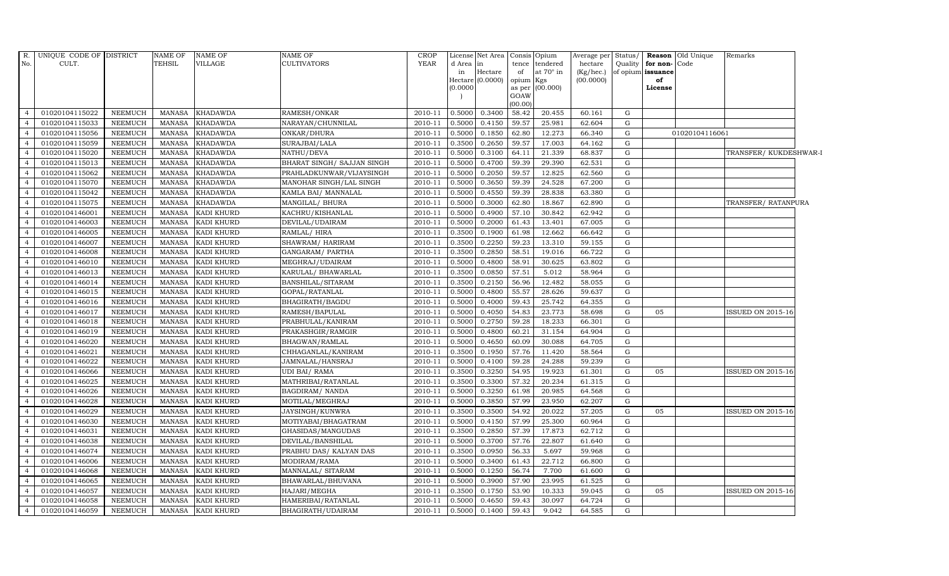| R.             | UNIQUE CODE OF DISTRICT |                | <b>NAME OF</b> | <b>NAME OF</b>    | NAME OF                    | <b>CROP</b> | License  | Net Area |           | Consis Opium     | Average per Status/ |           |                   | Reason Old Unique | Remarks                  |  |
|----------------|-------------------------|----------------|----------------|-------------------|----------------------------|-------------|----------|----------|-----------|------------------|---------------------|-----------|-------------------|-------------------|--------------------------|--|
| No.            | CULT.                   |                | <b>TEHSIL</b>  | VILLAGE           | CULTIVATORS                | <b>YEAR</b> | d Area   | in       |           | tence tendered   | hectare             |           | Quality for non-  | Code              |                          |  |
|                |                         |                |                |                   |                            |             | in       | Hectare  | of        | at $70^\circ$ in | (Kg/hec.)           |           | of opium issuance |                   |                          |  |
|                |                         |                |                |                   |                            |             | Hectare  | (0.0000) | opium Kgs |                  | (00.0000)           |           | of                |                   |                          |  |
|                |                         |                |                |                   |                            |             | (0.0000) |          | GOAW      | as per (00.000)  |                     |           | License           |                   |                          |  |
|                |                         |                |                |                   |                            |             |          |          | (00.00)   |                  |                     |           |                   |                   |                          |  |
| $\overline{4}$ | 01020104115022          | NEEMUCH        | MANASA         | <b>KHADAWDA</b>   | RAMESH/ONKAR               | 2010-11     | 0.5000   | 0.3400   | 58.42     | 20.455           | 60.161              | G         |                   |                   |                          |  |
|                | 01020104115033          | <b>NEEMUCH</b> | <b>MANASA</b>  | <b>KHADAWDA</b>   | NARAYAN/CHUNNILAL          | 2010-11     | 0.5000   | 0.4150   | 59.57     | 25.981           | 62.604              | G         |                   |                   |                          |  |
|                | 01020104115056          | <b>NEEMUCH</b> | <b>MANASA</b>  | <b>KHADAWDA</b>   | ONKAR/DHURA                | 2010-11     | 0.5000   | 0.1850   | 62.80     | 12.273           | 66.340              | G         |                   | 01020104116061    |                          |  |
|                | 01020104115059          | <b>NEEMUCH</b> | <b>MANASA</b>  | <b>KHADAWDA</b>   | SURAJBAI/LALA              | 2010-11     | 0.3500   | 0.2650   | 59.57     | 17.003           | 64.162              | G         |                   |                   |                          |  |
| $\overline{4}$ | 01020104115020          | <b>NEEMUCH</b> | <b>MANASA</b>  | <b>KHADAWDA</b>   | NATHU/DEVA                 | 2010-11     | 0.5000   | 0.3100   | 64.11     | 21.339           | 68.837              | G         |                   |                   | TRANSFER/KUKDESHWAR-I    |  |
| $\overline{4}$ | 01020104115013          | <b>NEEMUCH</b> | <b>MANASA</b>  | <b>KHADAWDA</b>   | BHARAT SINGH/ SAJJAN SINGH | 2010-11     | 0.5000   | 0.4700   | 59.39     | 29.390           | 62.531              | G         |                   |                   |                          |  |
| $\overline{4}$ | 01020104115062          | <b>NEEMUCH</b> | <b>MANASA</b>  | <b>KHADAWDA</b>   | PRAHLADKUNWAR/VIJAYSINGH   | 2010-11     | 0.5000   | 0.2050   | 59.57     | 12.825           | 62.560              | G         |                   |                   |                          |  |
|                | 01020104115070          | <b>NEEMUCH</b> | <b>MANASA</b>  | <b>KHADAWDA</b>   | MANOHAR SINGH/LAL SINGH    | 2010-11     | 0.5000   | 0.3650   | 59.39     | 24.528           | 67.200              | G         |                   |                   |                          |  |
|                | 01020104115042          | <b>NEEMUCH</b> | <b>MANASA</b>  | <b>KHADAWDA</b>   | KAMLA BAI/ MANNALAL        | 2010-11     | 0.5000   | 0.4550   | 59.39     | 28.838           | 63.380              | ${\rm G}$ |                   |                   |                          |  |
|                | 01020104115075          | <b>NEEMUCH</b> | <b>MANASA</b>  | KHADAWDA          | MANGILAL/ BHURA            | $2010 - 11$ | 0.5000   | 0.3000   | 62.80     | 18.867           | 62.890              | G         |                   |                   | TRANSFER/RATANPURA       |  |
| 4              | 01020104146001          | <b>NEEMUCH</b> | <b>MANASA</b>  | KADI KHURD        | KACHRU/KISHANLAL           | 2010-11     | 0.5000   | 0.4900   | 57.10     | 30.842           | 62.942              | G         |                   |                   |                          |  |
| $\overline{4}$ | 01020104146003          | <b>NEEMUCH</b> | <b>MANASA</b>  | KADI KHURD        | DEVILAL/UDAIRAM            | 2010-11     | 0.5000   | 0.2000   | 61.43     | 13.401           | 67.005              | ${\rm G}$ |                   |                   |                          |  |
| $\overline{a}$ | 01020104146005          | <b>NEEMUCH</b> | <b>MANASA</b>  | <b>KADI KHURD</b> | RAMLAL/HIRA                | 2010-11     | 0.3500   | 0.1900   | 61.98     | 12.662           | 66.642              | G         |                   |                   |                          |  |
|                | 01020104146007          | <b>NEEMUCH</b> | <b>MANASA</b>  | KADI KHURD        | SHAWRAM/HARIRAM            | 2010-11     | 0.3500   | 0.2250   | 59.23     | 13.310           | 59.155              | G         |                   |                   |                          |  |
|                | 01020104146008          | <b>NEEMUCH</b> | <b>MANASA</b>  | KADI KHURD        | GANGARAM/ PARTHA           | 2010-11     | 0.3500   | 0.2850   | 58.51     | 19.016           | 66.722              | G         |                   |                   |                          |  |
| $\overline{4}$ | 01020104146010          | <b>NEEMUCH</b> | <b>MANASA</b>  | KADI KHURD        | MEGHRAJ/UDAIRAM            | 2010-11     | 0.5000   | 0.4800   | 58.91     | 30.625           | 63.802              | G         |                   |                   |                          |  |
| $\overline{4}$ | 01020104146013          | <b>NEEMUCH</b> | MANASA         | KADI KHURD        | KARULAL/ BHAWARLAL         | 2010-11     | 0.3500   | 0.0850   | 57.51     | 5.012            | 58.964              | G         |                   |                   |                          |  |
| $\overline{4}$ | 01020104146014          | <b>NEEMUCH</b> | <b>MANASA</b>  | <b>KADI KHURD</b> | BANSHILAL/SITARAM          | 2010-11     | 0.3500   | 0.2150   | 56.96     | 12.482           | 58.055              | G         |                   |                   |                          |  |
|                | 01020104146015          | <b>NEEMUCH</b> | <b>MANASA</b>  | KADI KHURD        | GOPAL/RATANLAL             | 2010-11     | 0.5000   | 0.4800   | 55.57     | 28.626           | 59.637              | ${\rm G}$ |                   |                   |                          |  |
|                | 01020104146016          | <b>NEEMUCH</b> | <b>MANASA</b>  | KADI KHURD        | BHAGIRATH/BAGDU            | 2010-11     | 0.5000   | 0.4000   | 59.43     | 25.742           | 64.355              | ${\rm G}$ |                   |                   |                          |  |
| $\overline{4}$ | 01020104146017          | <b>NEEMUCH</b> | <b>MANASA</b>  | KADI KHURD        | RAMESH/BAPULAL             | 2010-11     | 0.5000   | 0.4050   | 54.83     | 23.773           | 58.698              | G         | 05                |                   | <b>ISSUED ON 2015-16</b> |  |
| $\overline{4}$ | 01020104146018          | <b>NEEMUCH</b> | MANASA         | KADI KHURD        | PRABHULAL/KANIRAM          | 2010-11     | 0.5000   | 0.2750   | 59.28     | 18.233           | 66.301              | G         |                   |                   |                          |  |
| $\overline{4}$ | 01020104146019          | <b>NEEMUCH</b> | MANASA         | KADI KHURD        | PRAKASHGIR/RAMGIR          | 2010-11     | 0.5000   | 0.4800   | 60.21     | 31.154           | 64.904              | ${\rm G}$ |                   |                   |                          |  |
|                | 01020104146020          | <b>NEEMUCH</b> | <b>MANASA</b>  | KADI KHURD        | BHAGWAN/RAMLAL             | 2010-11     | 0.5000   | 0.4650   | 60.09     | 30.088           | 64.705              | G         |                   |                   |                          |  |
|                | 01020104146021          | <b>NEEMUCH</b> | <b>MANASA</b>  | KADI KHURD        | CHHAGANLAL/KANIRAM         | 2010-11     | 0.3500   | 0.1950   | 57.76     | 11.420           | 58.564              | ${\rm G}$ |                   |                   |                          |  |
| $\overline{4}$ | 01020104146022          | <b>NEEMUCH</b> | <b>MANASA</b>  | KADI KHURD        | JAMNALAL/HANSRAJ           | 2010-11     | 0.5000   | 0.4100   | 59.28     | 24.288           | 59.239              | G         |                   |                   |                          |  |
| $\overline{4}$ | 01020104146066          | <b>NEEMUCH</b> | <b>MANASA</b>  | KADI KHURD        | UDI BAI/RAMA               | 2010-11     | 0.3500   | 0.3250   | 54.95     | 19.923           | 61.301              | G         | 05                |                   | <b>ISSUED ON 2015-16</b> |  |
| $\overline{4}$ | 01020104146025          | <b>NEEMUCH</b> | <b>MANASA</b>  | KADI KHURD        | MATHRIBAI/RATANLAL         | 2010-11     | 0.3500   | 0.3300   | 57.32     | 20.234           | 61.315              | G         |                   |                   |                          |  |
| $\overline{a}$ | 01020104146026          | <b>NEEMUCH</b> | <b>MANASA</b>  | KADI KHURD        | BAGDIRAM/ NANDA            | 2010-11     | 0.5000   | 0.3250   | 61.98     | 20.985           | 64.568              | ${\rm G}$ |                   |                   |                          |  |
|                | 01020104146028          | <b>NEEMUCH</b> | <b>MANASA</b>  | KADI KHURD        | MOTILAL/MEGHRAJ            | 2010-11     | 0.5000   | 0.3850   | 57.99     | 23.950           | 62.207              | G         |                   |                   |                          |  |
|                | 01020104146029          | <b>NEEMUCH</b> | <b>MANASA</b>  | KADI KHURD        | <b>JAYSINGH/KUNWRA</b>     | 2010-11     | 0.3500   | 0.3500   | 54.92     | 20.022           | 57.205              | G         | 05                |                   | <b>ISSUED ON 2015-16</b> |  |
| $\overline{4}$ | 01020104146030          | <b>NEEMUCH</b> | <b>MANASA</b>  | KADI KHURD        | MOTIYABAI/BHAGATRAM        | 2010-11     | 0.5000   | 0.4150   | 57.99     | 25.300           | 60.964              | G         |                   |                   |                          |  |
| $\overline{4}$ | 01020104146031          | <b>NEEMUCH</b> | <b>MANASA</b>  | KADI KHURD        | GHASIDAS/MANGUDAS          | 2010-11     | 0.3500   | 0.2850   | 57.39     | 17.873           | 62.712              | G         |                   |                   |                          |  |
| $\overline{4}$ | 01020104146038          | <b>NEEMUCH</b> | <b>MANASA</b>  | KADI KHURD        | DEVILAL/BANSHILAL          | 2010-11     | 0.5000   | 0.3700   | 57.76     | 22.807           | 61.640              | ${\rm G}$ |                   |                   |                          |  |
|                | 01020104146074          | <b>NEEMUCH</b> | <b>MANASA</b>  | KADI KHURD        | PRABHU DAS/KALYAN DAS      | 2010-11     | 0.3500   | 0.0950   | 56.33     | 5.697            | 59.968              | G         |                   |                   |                          |  |
|                | 01020104146006          | <b>NEEMUCH</b> | <b>MANASA</b>  | KADI KHURD        | MODIRAM/RAMA               | 2010-11     | 0.5000   | 0.3400   | 61.43     | 22.712           | 66.800              | G         |                   |                   |                          |  |
| 4              | 01020104146068          | <b>NEEMUCH</b> | <b>MANASA</b>  | KADI KHURD        | MANNALAL/ SITARAM          | 2010-11     | 0.5000   | 0.1250   | 56.74     | 7.700            | 61.600              | G         |                   |                   |                          |  |
| $\overline{4}$ | 01020104146065          | <b>NEEMUCH</b> | <b>MANASA</b>  | KADI KHURD        | BHAWARLAL/BHUVANA          | 2010-11     | 0.5000   | 0.3900   | 57.90     | 23.995           | 61.525              | G         |                   |                   |                          |  |
| $\overline{a}$ | 01020104146057          | <b>NEEMUCH</b> | <b>MANASA</b>  | KADI KHURD        | HAJARI/MEGHA               | 2010-11     | 0.3500   | 0.1750   | 53.90     | 10.333           | 59.045              | G         | 05                |                   | <b>ISSUED ON 2015-16</b> |  |
|                | 01020104146058          | <b>NEEMUCH</b> | <b>MANASA</b>  | KADI KHURD        | HAMERIBAI/RATANLAL         | 2010-11     | 0.5000   | 0.4650   | 59.43     | 30.097           | 64.724              | G         |                   |                   |                          |  |
| $\overline{4}$ | 01020104146059          | <b>NEEMUCH</b> | MANASA         | KADI KHURD        | BHAGIRATH/UDAIRAM          | 2010-11     | 0.5000   | 0.1400   | 59.43     | 9.042            | 64.585              | G         |                   |                   |                          |  |
|                |                         |                |                |                   |                            |             |          |          |           |                  |                     |           |                   |                   |                          |  |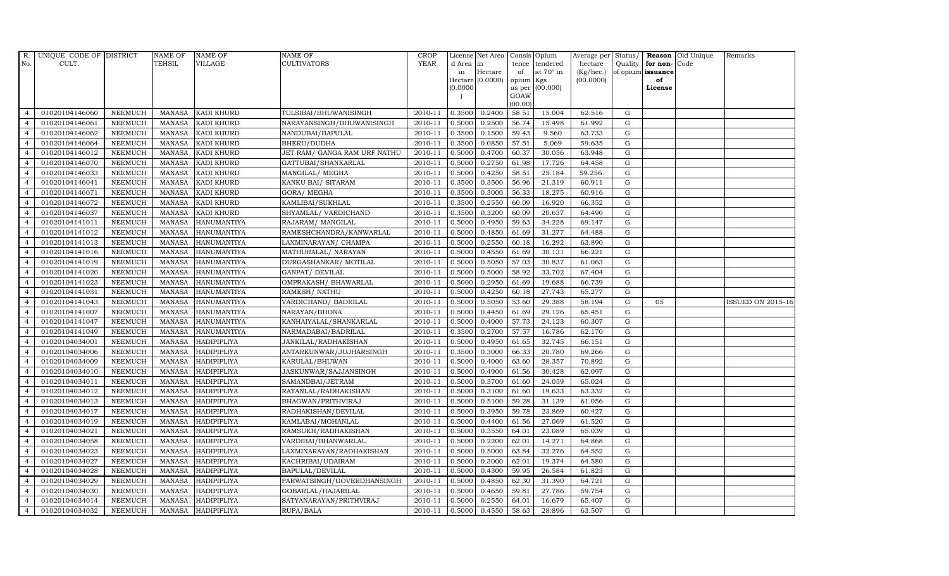| R.             | UNIQUE CODE OF DISTRICT |                | <b>NAME OF</b> | <b>NAME OF</b>     | <b>NAME OF</b>               | CROP        |           | License Net Area   Consis   Opium |           |                  | Average per Status/ |             |                   | <b>Reason</b> Old Unique | Remarks                  |
|----------------|-------------------------|----------------|----------------|--------------------|------------------------------|-------------|-----------|-----------------------------------|-----------|------------------|---------------------|-------------|-------------------|--------------------------|--------------------------|
| No.            | CULT.                   |                | <b>TEHSIL</b>  | <b>VILLAGE</b>     | <b>CULTIVATORS</b>           | <b>YEAR</b> | d Area in |                                   |           | tence tendered   | hectare             | Quality     | for non-          | Code                     |                          |
|                |                         |                |                |                    |                              |             | in        | Hectare                           | of        | at $70^\circ$ in | (Kg/hec.)           |             | of opium issuance |                          |                          |
|                |                         |                |                |                    |                              |             |           | Hectare (0.0000)                  | opium Kgs |                  | (00.0000)           |             | of                |                          |                          |
|                |                         |                |                |                    |                              |             | (0.0000)  |                                   | GOAW      | as per (00.000)  |                     |             | License           |                          |                          |
|                |                         |                |                |                    |                              |             |           |                                   | (00.00)   |                  |                     |             |                   |                          |                          |
| $\overline{4}$ | 01020104146060          | <b>NEEMUCH</b> | MANASA         | <b>KADI KHURD</b>  | TULSIBAI/BHUWANISINGH        | 2010-11     | 0.3500    | 0.2400                            | 58.51     | 15.004           | 62.516              | $\mathbf G$ |                   |                          |                          |
| $\overline{a}$ | 01020104146061          | <b>NEEMUCH</b> | MANASA         | <b>KADI KHURD</b>  | NARAYANSINGH/BHUWANISINGH    | 2010-11     | 0.5000    | 0.2500                            | 56.74     | 15.498           | 61.992              | ${\rm G}$   |                   |                          |                          |
| $\overline{4}$ | 01020104146062          | <b>NEEMUCH</b> | <b>MANASA</b>  | <b>KADI KHURD</b>  | NANDUBAI/BAPULAL             | 2010-11     | 0.3500    | 0.1500                            | 59.43     | 9.560            | 63.733              | G           |                   |                          |                          |
|                | 01020104146064          | <b>NEEMUCH</b> | MANASA         | KADI KHURD         | BHERU/DUDHA                  | 2010-11     | 0.3500    | 0.0850                            | 57.51     | 5.069            | 59.635              | $\mathbf G$ |                   |                          |                          |
| $\overline{4}$ | 01020104146012          | <b>NEEMUCH</b> | <b>MANASA</b>  | KADI KHURD         | JET RAM/ GANGA RAM URF NATHU | 2010-11     | 0.5000    | 0.4700                            | 60.37     | 30.056           | 63.948              | ${\rm G}$   |                   |                          |                          |
| $\overline{4}$ | 01020104146070          | <b>NEEMUCH</b> | MANASA         | <b>KADI KHURD</b>  | GATTUBAI/SHANKARLAL          | 2010-11     | 0.5000    | 0.2750                            | 61.98     | 17.726           | 64.458              | $\mathbf G$ |                   |                          |                          |
| $\overline{4}$ | 01020104146033          | <b>NEEMUCH</b> | MANASA         | KADI KHURD         | MANGILAL/ MEGHA              | 2010-11     | 0.5000    | 0.4250                            | 58.51     | 25.184           | 59.256.             | $\mathbf G$ |                   |                          |                          |
| $\overline{4}$ | 01020104146041          | <b>NEEMUCH</b> | <b>MANASA</b>  | KADI KHURD         | KANKU BAI/ SITARAM           | 2010-11     | 0.3500    | 0.3500                            | 56.96     | 21.319           | 60.911              | $\mathbf G$ |                   |                          |                          |
| $\overline{4}$ | 01020104146071          | <b>NEEMUCH</b> | MANASA         | <b>KADI KHURD</b>  | GORA/ MEGHA                  | 2010-11     | 0.3500    | 0.3000                            | 56.33     | 18.275           | 60.916              | $\mathbf G$ |                   |                          |                          |
| $\overline{4}$ | 01020104146072          | <b>NEEMUCH</b> | <b>MANASA</b>  | KADI KHURD         | KAMLIBAI/SUKHLAL             | 2010-11     | 0.3500    | 0.2550                            | 60.09     | 16.920           | 66.352              | ${\bf G}$   |                   |                          |                          |
| $\overline{4}$ | 01020104146037          | <b>NEEMUCH</b> | <b>MANASA</b>  | KADI KHURD         | SHYAMLAL/ VARDICHAND         | 2010-11     | 0.3500    | 0.3200                            | 60.09     | 20.637           | 64.490              | ${\rm G}$   |                   |                          |                          |
| $\overline{4}$ | 01020104141011          | <b>NEEMUCH</b> | MANASA         | <b>HANUMANTIYA</b> | RAJARAM / MANGILAL           | 2010-11     | 0.5000    | 0.4950                            | 59.63     | 34.228           | 69.147              | $\mathbf G$ |                   |                          |                          |
| $\overline{4}$ | 01020104141012          | <b>NEEMUCH</b> | <b>MANASA</b>  | <b>HANUMANTIYA</b> | RAMESHCHANDRA/KANWARLAL      | 2010-11     | 0.5000    | 0.4850                            | 61.69     | 31.277           | 64.488              | $\mathbf G$ |                   |                          |                          |
| $\overline{4}$ | 01020104141013          | <b>NEEMUCH</b> | MANASA         | HANUMANTIYA        | LAXMINARAYAN / CHAMPA        | 2010-11     | 0.5000    | 0.2550                            | 60.18     | 16.292           | 63.890              | G           |                   |                          |                          |
| $\overline{4}$ | 01020104141016          | <b>NEEMUCH</b> | <b>MANASA</b>  | <b>HANUMANTIYA</b> | MATHURALAL/ NARAYAN          | 2010-11     | 0.5000    | 0.4550                            | 61.69     | 30.131           | 66.221              | G           |                   |                          |                          |
| $\overline{4}$ | 01020104141019          | <b>NEEMUCH</b> | <b>MANASA</b>  | <b>HANUMANTIYA</b> | DURGASHANKAR/ MOTILAL        | 2010-11     | 0.5000    | 0.5050                            | 57.03     | 30.837           | 61.063              | ${\rm G}$   |                   |                          |                          |
| $\overline{4}$ | 01020104141020          | <b>NEEMUCH</b> | MANASA         | <b>HANUMANTIYA</b> | GANPAT/ DEVILAL              | 2010-11     | 0.5000    | 0.5000                            | 58.92     | 33.702           | 67.404              | ${\rm G}$   |                   |                          |                          |
| $\overline{4}$ | 01020104141023          | <b>NEEMUCH</b> | MANASA         | <b>HANUMANTIYA</b> | OMPRAKASH / BHAWARLAL        | 2010-11     | 0.5000    | 0.2950                            | 61.69     | 19.688           | 66.739              | G           |                   |                          |                          |
| $\overline{4}$ | 01020104141031          | <b>NEEMUCH</b> | MANASA         | <b>HANUMANTIYA</b> | RAMESH/ NATHU                | 2010-11     | 0.5000    | 0.4250                            | 60.18     | 27.743           | 65.277              | $\mathbf G$ |                   |                          |                          |
| $\overline{4}$ | 01020104141043          | <b>NEEMUCH</b> | <b>MANASA</b>  | <b>HANUMANTIYA</b> | VARDICHAND/ BADRILAL         | 2010-11     | 0.5000    | 0.5050                            | 53.60     | 29.388           | 58.194              | $\mathbf G$ | 05                |                          | <b>ISSUED ON 2015-16</b> |
| 4              | 01020104141007          | <b>NEEMUCH</b> | <b>MANASA</b>  | <b>HANUMANTIYA</b> | NARAYAN/BHONA                | 2010-11     | 0.5000    | 0.4450                            | 61.69     | 29.126           | 65.451              | ${\rm G}$   |                   |                          |                          |
| $\overline{4}$ | 01020104141047          | <b>NEEMUCH</b> | <b>MANASA</b>  | <b>HANUMANTIYA</b> | KANHAIYALAL/SHANKARLAL       | 2010-11     | 0.5000    | 0.4000                            | 57.73     | 24.123           | 60.307              | ${\rm G}$   |                   |                          |                          |
| $\overline{4}$ | 01020104141049          | <b>NEEMUCH</b> | MANASA         | <b>HANUMANTIYA</b> | NARMADABAI/BADRILAL          | 2010-11     | 0.3500    | 0.2700                            | 57.57     | 16.786           | 62.170              | G           |                   |                          |                          |
| $\overline{4}$ | 01020104034001          | <b>NEEMUCH</b> | <b>MANASA</b>  | HADIPIPLIYA        | JANKILAL/RADHAKISHAN         | 2010-11     | 0.5000    | 0.4950                            | 61.65     | 32.745           | 66.151              | $\mathbf G$ |                   |                          |                          |
| $\overline{4}$ | 01020104034006          | <b>NEEMUCH</b> | <b>MANASA</b>  | HADIPIPLIYA        | ANTARKUNWAR/JUJHARSINGH      | 2010-11     | 0.3500    | 0.3000                            | 66.33     | 20.780           | 69.266              | $\mathbf G$ |                   |                          |                          |
| $\overline{4}$ | 01020104034009          | <b>NEEMUCH</b> | <b>MANASA</b>  | <b>HADIPIPLIYA</b> | KARULAL/BHUWAN               | 2010-11     | 0.5000    | 0.4000                            | 63.60     | 28.357           | 70.892              | G           |                   |                          |                          |
| $\overline{4}$ | 01020104034010          | <b>NEEMUCH</b> | <b>MANASA</b>  | HADIPIPLIYA        | JASKUNWAR/SAJJANSINGH        | 2010-11     | 0.5000    | 0.4900                            | 61.56     | 30.428           | 62.097              | ${\rm G}$   |                   |                          |                          |
| $\overline{4}$ | 01020104034011          | <b>NEEMUCH</b> | MANASA         | HADIPIPLIYA        | SAMANDBAI/JETRAM             | 2010-11     | 0.5000    | 0.3700                            | 61.60     | 24.059           | 65.024              | G           |                   |                          |                          |
| $\overline{4}$ | 01020104034012          | <b>NEEMUCH</b> | <b>MANASA</b>  | HADIPIPLIYA        | RATANLAL/RADHAKISHAN         | 2010-11     | 0.5000    | 0.3100                            | 61.60     | 19.633           | 63.332              | $\mathbf G$ |                   |                          |                          |
| $\overline{4}$ | 01020104034013          | <b>NEEMUCH</b> | MANASA         | <b>HADIPIPLIYA</b> | BHAGWAN/PRITHVIRAJ           | 2010-11     | 0.5000    | 0.5100                            | 59.28     | 31.139           | 61.056              | $\mathbf G$ |                   |                          |                          |
| $\overline{4}$ | 01020104034017          | <b>NEEMUCH</b> | MANASA         | <b>HADIPIPLIYA</b> | RADHAKISHAN/DEVILAL          | 2010-11     | 0.5000    | 0.3950                            | 59.78     | 23.869           | 60.427              | G           |                   |                          |                          |
| $\overline{4}$ | 01020104034019          | <b>NEEMUCH</b> | MANASA         | HADIPIPLIYA        | KAMLABAI/MOHANLAL            | 2010-11     | 0.5000    | 0.4400                            | 61.56     | 27.069           | 61.520              | ${\rm G}$   |                   |                          |                          |
| $\overline{4}$ | 01020104034021          | <b>NEEMUCH</b> | MANASA         | <b>HADIPIPLIYA</b> | RAMSUKH/RADHAKISHAN          | 2010-11     | 0.5000    | 0.3550                            | 64.01     | 23.089           | 65.039              | $\mathbf G$ |                   |                          |                          |
| $\overline{4}$ | 01020104034058          | <b>NEEMUCH</b> | <b>MANASA</b>  | HADIPIPLIYA        | VARDIBAI/BHANWARLAL          | 2010-11     | 0.5000    | 0.2200                            | 62.01     | 14.271           | 64.868              | $\mathbf G$ |                   |                          |                          |
| $\overline{4}$ | 01020104034023          | <b>NEEMUCH</b> | <b>MANASA</b>  | <b>HADIPIPLIYA</b> | LAXMINARAYAN/RADHAKISHAN     | 2010-11     | 0.5000    | 0.5000                            | 63.84     | 32.276           | 64.552              | $\mathbf G$ |                   |                          |                          |
| $\overline{4}$ | 01020104034027          | <b>NEEMUCH</b> | <b>MANASA</b>  | <b>HADIPIPLIYA</b> | KACHRIBAI/UDAIRAM            | 2010-11     | 0.5000    | 0.3000                            | 62.01     | 19.374           | 64.580              | ${\rm G}$   |                   |                          |                          |
| $\overline{4}$ | 01020104034028          | <b>NEEMUCH</b> | <b>MANASA</b>  | HADIPIPLIYA        | BAPULAL/DEVILAL              | 2010-11     | 0.5000    | 0.4300                            | 59.95     | 26.584           | 61.823              | ${\rm G}$   |                   |                          |                          |
| $\overline{4}$ | 01020104034029          | <b>NEEMUCH</b> | MANASA         | <b>HADIPIPLIYA</b> | PARWATSINGH/GOVERDHANSINGH   | 2010-11     | 0.5000    | 0.4850                            | 62.30     | 31.390           | 64.721              | $\mathbf G$ |                   |                          |                          |
| $\overline{4}$ | 01020104034030          | <b>NEEMUCH</b> | <b>MANASA</b>  | HADIPIPLIYA        | GOBARLAL/HAJARILAL           | 2010-11     | 0.5000    | 0.4650                            | 59.81     | 27.786           | 59.754              | $\mathbf G$ |                   |                          |                          |
| $\overline{4}$ | 01020104034014          | <b>NEEMUCH</b> | <b>MANASA</b>  | HADIPIPLIYA        | SATYANARAYAN/PRITHVIRAJ      | 2010-11     | 0.5000    | 0.2550                            | 64.01     | 16.679           | 65.407              | $\mathbf G$ |                   |                          |                          |
| $\overline{4}$ | 01020104034032          | <b>NEEMUCH</b> |                | MANASA HADIPIPLIYA | RUPA/BALA                    | 2010-11     | 0.5000    | 0.4550                            | 58.63     | 28.896           | 63.507              | G           |                   |                          |                          |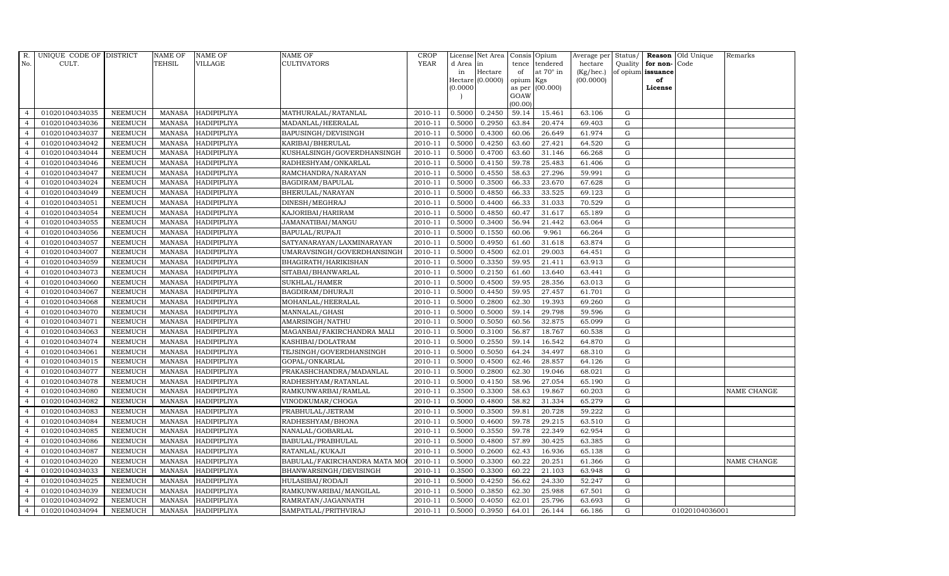| R.             | UNIQUE CODE OF DISTRICT |                | <b>NAME OF</b> | <b>NAME OF</b>     | <b>NAME OF</b>               | CROP    |           | License Net Area   Consis   Opium |                 |                  | Average per | Status/     | Reason            | Old Unique     | Remarks     |
|----------------|-------------------------|----------------|----------------|--------------------|------------------------------|---------|-----------|-----------------------------------|-----------------|------------------|-------------|-------------|-------------------|----------------|-------------|
| No.            | CULT.                   |                | <b>TEHSIL</b>  | <b>VILLAGE</b>     | <b>CULTIVATORS</b>           | YEAR    | d Area in |                                   |                 | tence tendered   | hectare     | Quality     | for non-          | Code           |             |
|                |                         |                |                |                    |                              |         | in        | Hectare                           | of              | at $70^\circ$ in | (Kg/hec.)   |             | of opium issuance |                |             |
|                |                         |                |                |                    |                              |         |           | Hectare (0.0000)                  | opium Kgs       |                  | (00.0000)   |             | of                |                |             |
|                |                         |                |                |                    |                              |         | (0.0000)  |                                   |                 | as per (00.000)  |             |             | License           |                |             |
|                |                         |                |                |                    |                              |         |           |                                   | GOAW<br>(00.00) |                  |             |             |                   |                |             |
| $\overline{4}$ | 01020104034035          | <b>NEEMUCH</b> |                | MANASA HADIPIPLIYA | MATHURALAL/RATANLAL          | 2010-11 | 0.5000    | 0.2450                            | 59.14           | 15.461           | 63.106      | $\mathbf G$ |                   |                |             |
| $\overline{a}$ | 01020104034036          | <b>NEEMUCH</b> | MANASA         | <b>HADIPIPLIYA</b> | MADANLAL/HEERALAL            | 2010-11 | 0.5000    | 0.2950                            | 63.84           | 20.474           | 69.403      | ${\rm G}$   |                   |                |             |
| $\overline{4}$ | 01020104034037          | <b>NEEMUCH</b> | <b>MANASA</b>  | HADIPIPLIYA        | BAPUSINGH/DEVISINGH          | 2010-11 | 0.5000    | 0.4300                            | 60.06           | 26.649           | 61.974      | G           |                   |                |             |
|                | 01020104034042          | <b>NEEMUCH</b> | MANASA         | <b>HADIPIPLIYA</b> | KARIBAI/BHERULAL             | 2010-11 | 0.5000    | 0.4250                            | 63.60           | 27.421           | 64.520      | $\mathbf G$ |                   |                |             |
| $\overline{4}$ | 01020104034044          | <b>NEEMUCH</b> | <b>MANASA</b>  | <b>HADIPIPLIYA</b> | KUSHALSINGH/GOVERDHANSINGH   | 2010-11 | 0.5000    | 0.4700                            | 63.60           | 31.146           | 66.268      | ${\rm G}$   |                   |                |             |
| $\overline{4}$ | 01020104034046          | <b>NEEMUCH</b> | <b>MANASA</b>  | <b>HADIPIPLIYA</b> | RADHESHYAM/ONKARLAL          | 2010-11 | 0.5000    | 0.4150                            | 59.78           | 25.483           | 61.406      | $\mathbf G$ |                   |                |             |
| $\overline{4}$ | 01020104034047          | <b>NEEMUCH</b> | <b>MANASA</b>  | HADIPIPLIYA        | RAMCHANDRA/NARAYAN           | 2010-11 | 0.5000    | 0.4550                            | 58.63           | 27.296           | 59.991      | $\mathbf G$ |                   |                |             |
| $\overline{4}$ | 01020104034024          | <b>NEEMUCH</b> | <b>MANASA</b>  | <b>HADIPIPLIYA</b> | BAGDIRAM/BAPULAL             | 2010-11 | 0.5000    | 0.3500                            | 66.33           | 23.670           | 67.628      | $\mathbf G$ |                   |                |             |
|                | 01020104034049          | <b>NEEMUCH</b> | MANASA         | HADIPIPLIYA        | BHERULAL/NARAYAN             | 2010-11 | 0.5000    | 0.4850                            | 66.33           | 33.525           | 69.123      | $\mathbf G$ |                   |                |             |
| $\overline{4}$ | 01020104034051          | <b>NEEMUCH</b> | <b>MANASA</b>  | HADIPIPLIYA        | DINESH/MEGHRAJ               | 2010-11 | 0.5000    | 0.4400                            | 66.33           | 31.033           | 70.529      | ${\bf G}$   |                   |                |             |
| $\overline{4}$ | 01020104034054          | <b>NEEMUCH</b> | <b>MANASA</b>  | HADIPIPLIYA        | KAJORIBAI/HARIRAM            | 2010-11 | 0.5000    | 0.4850                            | 60.47           | 31.617           | 65.189      | ${\rm G}$   |                   |                |             |
| $\overline{4}$ | 01020104034055          | <b>NEEMUCH</b> | MANASA         | HADIPIPLIYA        | JAMANATIBAI/MANGU            | 2010-11 | 0.5000    | 0.3400                            | 56.94           | 21.442           | 63.064      | ${\rm G}$   |                   |                |             |
| $\overline{4}$ | 01020104034056          | <b>NEEMUCH</b> | <b>MANASA</b>  | HADIPIPLIYA        | BAPULAL/RUPAJI               | 2010-11 | 0.5000    | 0.1550                            | 60.06           | 9.961            | 66.264      | $\mathbf G$ |                   |                |             |
| $\overline{4}$ | 01020104034057          | <b>NEEMUCH</b> | MANASA         | HADIPIPLIYA        | SATYANARAYAN/LAXMINARAYAN    | 2010-11 | 0.5000    | 0.4950                            | 61.60           | 31.618           | 63.874      | G           |                   |                |             |
| $\overline{4}$ | 01020104034007          | <b>NEEMUCH</b> | <b>MANASA</b>  | HADIPIPLIYA        | UMARAVSINGH/GOVERDHANSINGH   | 2010-11 | 0.5000    | 0.4500                            | 62.01           | 29.003           | 64.451      | G           |                   |                |             |
| $\overline{4}$ | 01020104034059          | <b>NEEMUCH</b> | MANASA         | <b>HADIPIPLIYA</b> | BHAGIRATH/HARIKISHAN         | 2010-11 | 0.5000    | 0.3350                            | 59.95           | 21.411           | 63.913      | ${\rm G}$   |                   |                |             |
| $\overline{4}$ | 01020104034073          | <b>NEEMUCH</b> | MANASA         | <b>HADIPIPLIYA</b> | SITABAI/BHANWARLAL           | 2010-11 | 0.5000    | 0.2150                            | 61.60           | 13.640           | 63.441      | G           |                   |                |             |
| $\overline{4}$ | 01020104034060          | <b>NEEMUCH</b> | MANASA         | <b>HADIPIPLIYA</b> | SUKHLAL/HAMER                | 2010-11 | 0.5000    | 0.4500                            | 59.95           | 28.356           | 63.013      | G           |                   |                |             |
| $\overline{4}$ | 01020104034067          | <b>NEEMUCH</b> | <b>MANASA</b>  | <b>HADIPIPLIYA</b> | BAGDIRAM/DHURAJI             | 2010-11 | 0.5000    | 0.4450                            | 59.95           | 27.457           | 61.701      | $\mathbf G$ |                   |                |             |
| $\overline{4}$ | 01020104034068          | <b>NEEMUCH</b> | <b>MANASA</b>  | <b>HADIPIPLIYA</b> | MOHANLAL/HEERALAL            | 2010-11 | 0.5000    | 0.2800                            | 62.30           | 19.393           | 69.260      | G           |                   |                |             |
| 4              | 01020104034070          | <b>NEEMUCH</b> | <b>MANASA</b>  | HADIPIPLIYA        | MANNALAL/GHASI               | 2010-11 | 0.5000    | 0.5000                            | 59.14           | 29.798           | 59.596      | ${\rm G}$   |                   |                |             |
| $\overline{4}$ | 01020104034071          | <b>NEEMUCH</b> | <b>MANASA</b>  | HADIPIPLIYA        | AMARSINGH/NATHU              | 2010-11 | 0.5000    | 0.5050                            | 60.56           | 32.875           | 65.099      | ${\rm G}$   |                   |                |             |
| $\overline{4}$ | 01020104034063          | <b>NEEMUCH</b> | MANASA         | HADIPIPLIYA        | MAGANBAI/FAKIRCHANDRA MALI   | 2010-11 | 0.5000    | 0.3100                            | 56.87           | 18.767           | 60.538      | G           |                   |                |             |
| $\overline{4}$ | 01020104034074          | <b>NEEMUCH</b> | <b>MANASA</b>  | HADIPIPLIYA        | KASHIBAI/DOLATRAM            | 2010-11 | 0.5000    | 0.2550                            | 59.14           | 16.542           | 64.870      | $\mathbf G$ |                   |                |             |
| $\overline{4}$ | 01020104034061          | <b>NEEMUCH</b> | <b>MANASA</b>  | <b>HADIPIPLIYA</b> | TEJSINGH/GOVERDHANSINGH      | 2010-11 | 0.5000    | 0.5050                            | 64.24           | 34.497           | 68.310      | ${\rm G}$   |                   |                |             |
| $\overline{4}$ | 01020104034015          | <b>NEEMUCH</b> | <b>MANASA</b>  | <b>HADIPIPLIYA</b> | GOPAL/ONKARLAL               | 2010-11 | 0.5000    | 0.4500                            | 62.46           | 28.857           | 64.126      | G           |                   |                |             |
| $\overline{4}$ | 01020104034077          | <b>NEEMUCH</b> | <b>MANASA</b>  | HADIPIPLIYA        | PRAKASHCHANDRA/MADANLAL      | 2010-11 | 0.5000    | 0.2800                            | 62.30           | 19.046           | 68.021      | ${\rm G}$   |                   |                |             |
| $\overline{4}$ | 01020104034078          | <b>NEEMUCH</b> | MANASA         | HADIPIPLIYA        | RADHESHYAM/RATANLAL          | 2010-11 | 0.5000    | 0.4150                            | 58.96           | 27.054           | 65.190      | $\mathbf G$ |                   |                |             |
| $\overline{4}$ | 01020104034080          | <b>NEEMUCH</b> | <b>MANASA</b>  | <b>HADIPIPLIYA</b> | RAMKUNWARBAI/RAMLAL          | 2010-11 | 0.3500    | 0.3300                            | 58.63           | 19.867           | 60.203      | $\mathbf G$ |                   |                | NAME CHANGE |
| $\overline{4}$ | 01020104034082          | <b>NEEMUCH</b> | <b>MANASA</b>  | <b>HADIPIPLIYA</b> | VINODKUMAR/CHOGA             | 2010-11 | 0.5000    | 0.4800                            | 58.82           | 31.334           | 65.279      | $\mathbf G$ |                   |                |             |
| $\overline{4}$ | 01020104034083          | <b>NEEMUCH</b> | MANASA         | <b>HADIPIPLIYA</b> | PRABHULAL/JETRAM             | 2010-11 | 0.5000    | 0.3500                            | 59.81           | 20.728           | 59.222      | G           |                   |                |             |
| $\overline{4}$ | 01020104034084          | <b>NEEMUCH</b> | MANASA         | HADIPIPLIYA        | RADHESHYAM/BHONA             | 2010-11 | 0.5000    | 0.4600                            | 59.78           | 29.215           | 63.510      | ${\rm G}$   |                   |                |             |
| $\overline{4}$ | 01020104034085          | <b>NEEMUCH</b> | <b>MANASA</b>  | <b>HADIPIPLIYA</b> | NANALAL/GOBARLAL             | 2010-11 | 0.5000    | 0.3550                            | 59.78           | 22.349           | 62.954      | $\mathbf G$ |                   |                |             |
| $\overline{4}$ | 01020104034086          | <b>NEEMUCH</b> | <b>MANASA</b>  | HADIPIPLIYA        | BABULAL/PRABHULAL            | 2010-11 | 0.5000    | 0.4800                            | 57.89           | 30.425           | 63.385      | $\mathbf G$ |                   |                |             |
| $\overline{4}$ | 01020104034087          | <b>NEEMUCH</b> | <b>MANASA</b>  | <b>HADIPIPLIYA</b> | RATANLAL/KUKAJI              | 2010-11 | 0.5000    | 0.2600                            | 62.43           | 16.936           | 65.138      | $\mathbf G$ |                   |                |             |
| $\overline{4}$ | 01020104034020          | <b>NEEMUCH</b> | <b>MANASA</b>  | <b>HADIPIPLIYA</b> | BABULAL/FAKIRCHANDRA MATA MC | 2010-11 | 0.5000    | 0.3300                            | 60.22           | 20.251           | 61.366      | ${\rm G}$   |                   |                | NAME CHANGE |
| $\overline{4}$ | 01020104034033          | <b>NEEMUCH</b> | <b>MANASA</b>  | HADIPIPLIYA        | BHANWARSINGH/DEVISINGH       | 2010-11 | 0.3500    | 0.3300                            | 60.22           | 21.103           | 63.948      | ${\rm G}$   |                   |                |             |
| $\overline{4}$ | 01020104034025          | <b>NEEMUCH</b> | MANASA         | <b>HADIPIPLIYA</b> | HULASIBAI/RODAJI             | 2010-11 | 0.5000    | 0.4250                            | 56.62           | 24.330           | 52.247      | ${\rm G}$   |                   |                |             |
| $\overline{4}$ | 01020104034039          | <b>NEEMUCH</b> | <b>MANASA</b>  | HADIPIPLIYA        | RAMKUNWARIBAI/MANGILAL       | 2010-11 | 0.5000    | 0.3850                            | 62.30           | 25.988           | 67.501      | G           |                   |                |             |
| $\overline{4}$ | 01020104034092          | <b>NEEMUCH</b> | <b>MANASA</b>  | <b>HADIPIPLIYA</b> | RAMRATAN/JAGANNATH           | 2010-11 | 0.5000    | 0.4050                            | 62.01           | 25.796           | 63.693      | $\mathbf G$ |                   |                |             |
| $\overline{4}$ | 01020104034094          | <b>NEEMUCH</b> |                | MANASA HADIPIPLIYA | SAMPATLAL/PRITHVIRAJ         | 2010-11 | 0.5000    | 0.3950                            | 64.01           | 26.144           | 66.186      | G           |                   | 01020104036001 |             |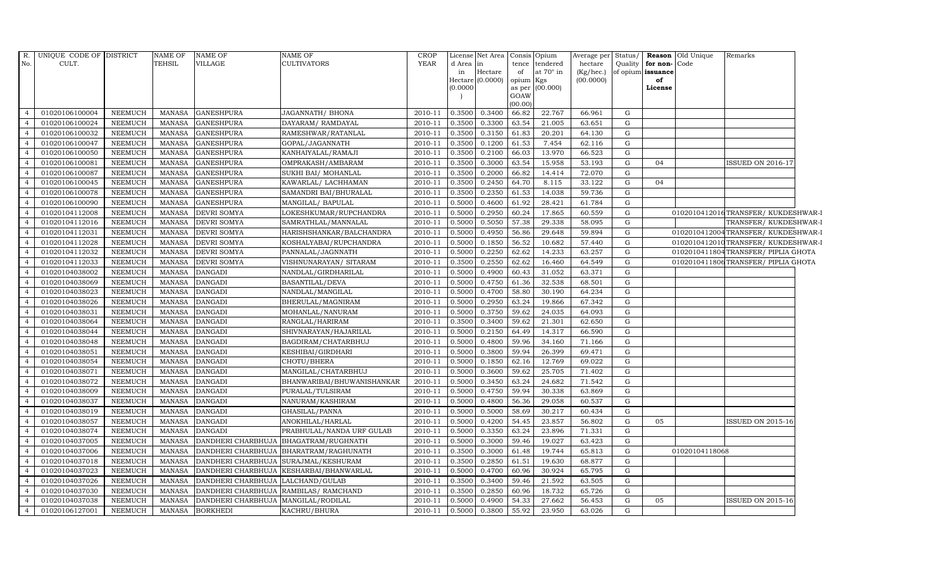|                | R. UNIQUE CODE OF DISTRICT |                | NAME OF       | <b>NAME OF</b>     | NAME OF                    | <b>CROP</b> | License  | Net Area |           | Consis Opium     | Average per | Status/   |                   | <b>Reason</b> Old Unique | Remarks                            |  |
|----------------|----------------------------|----------------|---------------|--------------------|----------------------------|-------------|----------|----------|-----------|------------------|-------------|-----------|-------------------|--------------------------|------------------------------------|--|
| No.            | CULT.                      |                | TEHSIL        | <b>VILLAGE</b>     | CULTIVATORS                | <b>YEAR</b> | d Area   | in       |           | tence tendered   | hectare     | Quality   | for non-Code      |                          |                                    |  |
|                |                            |                |               |                    |                            |             | in       | Hectare  | of        | at $70^\circ$ in | (Kg/hec.)   |           | of opium issuance |                          |                                    |  |
|                |                            |                |               |                    |                            |             | Hectare  | (0.0000) | opium Kgs |                  | (00.0000)   |           | of                |                          |                                    |  |
|                |                            |                |               |                    |                            |             | (0.0000) |          | GOAW      | as per (00.000)  |             |           | License           |                          |                                    |  |
|                |                            |                |               |                    |                            |             |          |          | (00.00)   |                  |             |           |                   |                          |                                    |  |
| $\overline{4}$ | 01020106100004             | NEEMUCH        | MANASA        | <b>GANESHPURA</b>  | JAGANNATH/ BHONA           | 2010-11     | 0.3500   | 0.3400   | 66.82     | 22.767           | 66.961      | G         |                   |                          |                                    |  |
| $\overline{4}$ | 01020106100024             | <b>NEEMUCH</b> | <b>MANASA</b> | <b>GANESHPURA</b>  | DAYARAM/ RAMDAYAL          | 2010-11     | 0.3500   | 0.3300   | 63.54     | 21.005           | 63.651      | G         |                   |                          |                                    |  |
| $\overline{4}$ | 01020106100032             | <b>NEEMUCH</b> | <b>MANASA</b> | <b>GANESHPURA</b>  | RAMESHWAR/RATANLAL         | 2010-11     | 0.3500   | 0.3150   | 61.83     | 20.201           | 64.130      | G         |                   |                          |                                    |  |
|                | 01020106100047             | <b>NEEMUCH</b> | <b>MANASA</b> | <b>GANESHPURA</b>  | GOPAL/JAGANNATH            | 2010-11     | 0.3500   | 0.1200   | 61.53     | 7.454            | 62.116      | G         |                   |                          |                                    |  |
|                | 01020106100050             | <b>NEEMUCH</b> | <b>MANASA</b> | <b>GANESHPURA</b>  | KANHAIYALAL/RAMAJI         | 2010-11     | 0.3500   | 0.2100   | 66.03     | 13.970           | 66.523      | ${\rm G}$ |                   |                          |                                    |  |
| 4              | 01020106100081             | <b>NEEMUCH</b> | <b>MANASA</b> | <b>GANESHPURA</b>  | OMPRAKASH/AMBARAM          | 2010-11     | 0.3500   | 0.3000   | 63.54     | 15.958           | 53.193      | G         | 04                |                          | <b>ISSUED ON 2016-17</b>           |  |
| $\overline{4}$ | 01020106100087             | <b>NEEMUCH</b> | <b>MANASA</b> | <b>GANESHPURA</b>  | SUKHI BAI/ MOHANLAL        | 2010-11     | 0.3500   | 0.2000   | 66.82     | 14.414           | 72.070      | G         |                   |                          |                                    |  |
| $\overline{4}$ | 01020106100045             | <b>NEEMUCH</b> | <b>MANASA</b> | <b>GANESHPURA</b>  | KAWARLAL/LACHHAMAN         | 2010-11     | 0.3500   | 0.2450   | 64.70     | 8.115            | 33.122      | ${\rm G}$ | 04                |                          |                                    |  |
|                | 01020106100078             | <b>NEEMUCH</b> | <b>MANASA</b> | <b>GANESHPURA</b>  | SAMANDRI BAI/BHURALAL      | 2010-11     | 0.3500   | 0.2350   | 61.53     | 14.038           | 59.736      | G         |                   |                          |                                    |  |
|                | 01020106100090             | <b>NEEMUCH</b> | <b>MANASA</b> | <b>GANESHPURA</b>  | MANGILAL/BAPULAL           | 2010-11     | 0.5000   | 0.4600   | 61.92     | 28.421           | 61.784      | ${\rm G}$ |                   |                          |                                    |  |
| $\overline{4}$ | 01020104112008             | <b>NEEMUCH</b> | <b>MANASA</b> | DEVRI SOMYA        | LOKESHKUMAR/RUPCHANDRA     | 2010-11     | 0.5000   | 0.2950   | 60.24     | 17.865           | 60.559      | G         |                   |                          | 0102010412016TRANSFER/KUKDESHWAR-I |  |
| $\overline{4}$ | 01020104112016             | <b>NEEMUCH</b> | <b>MANASA</b> | <b>DEVRI SOMYA</b> | SAMRATHLAL/MANNALAL        | 2010-11     | 0.5000   | 0.5050   | 57.38     | 29.338           | 58.095      | G         |                   |                          | TRANSFER/KUKDESHWAR-I              |  |
| $\overline{4}$ | 01020104112031             | <b>NEEMUCH</b> | <b>MANASA</b> | DEVRI SOMYA        | HARISHSHANKAR/BALCHANDRA   | 2010-11     | 0.5000   | 0.4950   | 56.86     | 29.648           | 59.894      | ${\rm G}$ |                   |                          | 0102010412004TRANSFER/KUKDESHWAR-I |  |
|                | 01020104112028             | <b>NEEMUCH</b> | <b>MANASA</b> | <b>DEVRI SOMYA</b> | KOSHALYABAI/RUPCHANDRA     | 2010-11     | 0.5000   | 0.1850   | 56.52     | 10.682           | 57.440      | G         |                   |                          | 0102010412010TRANSFER/KUKDESHWAR-I |  |
|                | 01020104112032             | <b>NEEMUCH</b> | <b>MANASA</b> | DEVRI SOMYA        | PANNALAL/JAGNNATH          | 2010-11     | 0.5000   | 0.2250   | 62.62     | 14.233           | 63.257      | G         |                   |                          | 0102010411804TRANSFER/PIPLIA GHOTA |  |
| $\overline{4}$ | 01020104112033             | <b>NEEMUCH</b> | <b>MANASA</b> | DEVRI SOMYA        | VISHNUNARAYAN/ SITARAM     | 2010-11     | 0.3500   | 0.2550   | 62.62     | 16.460           | 64.549      | G         |                   |                          | 0102010411806TRANSFER/PIPLIA GHOTA |  |
| $\overline{4}$ | 01020104038002             | <b>NEEMUCH</b> | <b>MANASA</b> | <b>DANGADI</b>     | NANDLAL/GIRDHARILAL        | 2010-11     | 0.5000   | 0.4900   | 60.43     | 31.052           | 63.371      | G         |                   |                          |                                    |  |
| $\overline{4}$ | 01020104038069             | <b>NEEMUCH</b> | <b>MANASA</b> | <b>DANGADI</b>     | BASANTILAL/DEVA            | 2010-11     | 0.5000   | 0.4750   | 61.36     | 32.538           | 68.501      | ${\rm G}$ |                   |                          |                                    |  |
| $\overline{a}$ | 01020104038023             | <b>NEEMUCH</b> | <b>MANASA</b> | <b>DANGADI</b>     | NANDLAL/MANGILAL           | 2010-11     | 0.5000   | 0.4700   | 58.80     | 30.190           | 64.234      | ${\rm G}$ |                   |                          |                                    |  |
|                | 01020104038026             | <b>NEEMUCH</b> | <b>MANASA</b> | <b>DANGADI</b>     | BHERULAL/MAGNIRAM          | 2010-11     | 0.5000   | 0.2950   | 63.24     | 19.866           | 67.342      | G         |                   |                          |                                    |  |
| $\overline{4}$ | 01020104038031             | <b>NEEMUCH</b> | <b>MANASA</b> | <b>DANGADI</b>     | MOHANLAL/NANURAM           | 2010-11     | 0.5000   | 0.3750   | 59.62     | 24.035           | 64.093      | G         |                   |                          |                                    |  |
| $\overline{4}$ | 01020104038064             | <b>NEEMUCH</b> | <b>MANASA</b> | <b>DANGADI</b>     | RANGLAL/HARIRAM            | 2010-11     | 0.3500   | 0.3400   | 59.62     | 21.301           | 62.650      | G         |                   |                          |                                    |  |
| $\overline{4}$ | 01020104038044             | <b>NEEMUCH</b> | <b>MANASA</b> | <b>DANGADI</b>     | SHIVNARAYAN/HAJARILAL      | 2010-11     | 0.5000   | 0.2150   | 64.49     | 14.317           | 66.590      | G         |                   |                          |                                    |  |
| $\overline{a}$ | 01020104038048             | <b>NEEMUCH</b> | <b>MANASA</b> | <b>DANGADI</b>     | BAGDIRAM/CHATARBHUJ        | 2010-11     | 0.5000   | 0.4800   | 59.96     | 34.160           | 71.166      | ${\rm G}$ |                   |                          |                                    |  |
|                | 01020104038051             | <b>NEEMUCH</b> | <b>MANASA</b> | <b>DANGADI</b>     | KESHIBAI/GIRDHARI          | 2010-11     | 0.5000   | 0.3800   | 59.94     | 26.399           | 69.471      | G         |                   |                          |                                    |  |
| 4              | 01020104038054             | <b>NEEMUCH</b> | <b>MANASA</b> | <b>DANGADI</b>     | CHOTU/BHERA                | 2010-11     | 0.5000   | 0.1850   | 62.16     | 12.769           | 69.022      | G         |                   |                          |                                    |  |
| $\overline{4}$ | 01020104038071             | <b>NEEMUCH</b> | <b>MANASA</b> | <b>DANGADI</b>     | MANGILAL/CHATARBHUJ        | 2010-11     | 0.5000   | 0.3600   | 59.62     | 25.705           | 71.402      | G         |                   |                          |                                    |  |
| $\overline{4}$ | 01020104038072             | <b>NEEMUCH</b> | MANASA        | <b>DANGADI</b>     | BHANWARIBAI/BHUWANISHANKAR | 2010-11     | 0.5000   | 0.3450   | 63.24     | 24.682           | 71.542      | G         |                   |                          |                                    |  |
| $\overline{4}$ | 01020104038009             | <b>NEEMUCH</b> | <b>MANASA</b> | <b>DANGADI</b>     | PURALAL/TULSIRAM           | 2010-11     | 0.5000   | 0.4750   | 59.94     | 30.338           | 63.869      | G         |                   |                          |                                    |  |
|                | 01020104038037             | <b>NEEMUCH</b> | <b>MANASA</b> | <b>DANGADI</b>     | NANURAM/KASHIRAM           | 2010-11     | 0.5000   | 0.4800   | 56.36     | 29.058           | 60.537      | G         |                   |                          |                                    |  |
|                | 01020104038019             | <b>NEEMUCH</b> | <b>MANASA</b> | <b>DANGADI</b>     | GHASILAL/PANNA             | 2010-11     | 0.5000   | 0.5000   | 58.69     | 30.217           | 60.434      | G         |                   |                          |                                    |  |
| $\overline{4}$ | 01020104038057             | <b>NEEMUCH</b> | <b>MANASA</b> | <b>DANGADI</b>     | ANOKHILAL/HARLAL           | 2010-11     | 0.5000   | 0.4200   | 54.45     | 23.857           | 56.802      | G         | 05                |                          | <b>ISSUED ON 2015-16</b>           |  |
| $\overline{4}$ | 01020104038074             | <b>NEEMUCH</b> | <b>MANASA</b> | <b>DANGADI</b>     | PRABHULAL/NANDA URF GULAB  | 2010-11     | 0.5000   | 0.3350   | 63.24     | 23.896           | 71.331      | G         |                   |                          |                                    |  |
| $\overline{4}$ | 01020104037005             | <b>NEEMUCH</b> | <b>MANASA</b> | DANDHERI CHARBHUJA | BHAGATRAM/RUGHNATH         | 2010-11     | 0.5000   | 0.3000   | 59.46     | 19.027           | 63.423      | G         |                   |                          |                                    |  |
|                | 01020104037006             | <b>NEEMUCH</b> | <b>MANASA</b> | DANDHERI CHARBHUJA | BHARATRAM/RAGHUNATH        | 2010-11     | 0.3500   | 0.3000   | 61.48     | 19.744           | 65.813      | G         |                   | 01020104118068           |                                    |  |
|                | 01020104037018             | <b>NEEMUCH</b> | <b>MANASA</b> | DANDHERI CHARBHUJA | SURAJMAL/KESHURAM          | 2010-11     | 0.3500   | 0.2850   | 61.51     | 19.630           | 68.877      | G         |                   |                          |                                    |  |
| 4              | 01020104037023             | <b>NEEMUCH</b> | <b>MANASA</b> | DANDHERI CHARBHUJA | KESHARBAI/BHANWARLAL       | 2010-11     | 0.5000   | 0.4700   | 60.96     | 30.924           | 65.795      | G         |                   |                          |                                    |  |
| $\overline{4}$ | 01020104037026             | <b>NEEMUCH</b> | <b>MANASA</b> | DANDHERI CHARBHUJA | LALCHAND/GULAB             | 2010-11     | 0.3500   | 0.3400   | 59.46     | 21.592           | 63.505      | G         |                   |                          |                                    |  |
| $\overline{4}$ | 01020104037030             | <b>NEEMUCH</b> | <b>MANASA</b> | DANDHERI CHARBHUJA | RAMBILAS/ RAMCHAND         | 2010-11     | 0.3500   | 0.2850   | 60.96     | 18.732           | 65.726      | G         |                   |                          |                                    |  |
|                | 01020104037038             | <b>NEEMUCH</b> | <b>MANASA</b> | DANDHERI CHARBHUJA | MANGILAL/RODILAL           | 2010-11     | 0.5000   | 0.4900   | 54.33     | 27.662           | 56.453      | G         | 05                |                          | <b>ISSUED ON 2015-16</b>           |  |
| $\overline{4}$ | 01020106127001             | <b>NEEMUCH</b> | <b>MANASA</b> | <b>BORKHEDI</b>    | KACHRU/BHURA               | 2010-11     | 0.5000   | 0.3800   | 55.92     | 23.950           | 63.026      | G         |                   |                          |                                    |  |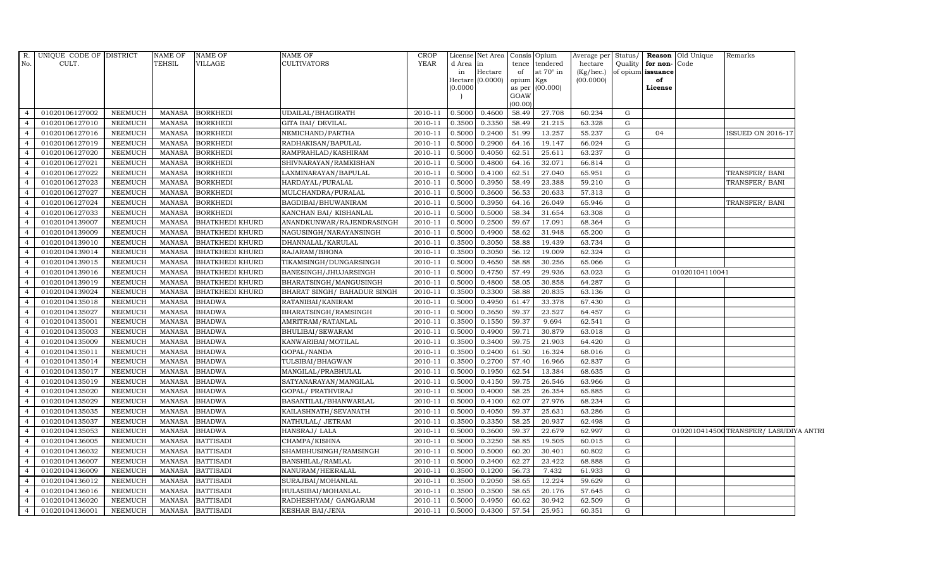| R.<br>No.                        | UNIQUE CODE OF DISTRICT<br>CULT. |                                  | <b>NAME OF</b><br><b>TEHSIL</b> | NAME OF<br>VILLAGE                | <b>NAME OF</b><br><b>CULTIVATORS</b>     | <b>CROP</b><br><b>YEAR</b> | d Area in<br>in<br>(0.0000) | License Net Area<br>Hectare<br>Hectare (0.0000) | of<br>opium Kgs<br>GOAW<br>(00.00) | Consis Opium<br>tence tendered<br>at 70° in<br>as per (00.000) | hectare<br>(Kg/hec.)<br>(00.0000) |                | Quality for non-Code<br>of opium issuance<br>of<br>License | Average per Status/ <b>Reason</b> Old Unique | Remarks                              |  |
|----------------------------------|----------------------------------|----------------------------------|---------------------------------|-----------------------------------|------------------------------------------|----------------------------|-----------------------------|-------------------------------------------------|------------------------------------|----------------------------------------------------------------|-----------------------------------|----------------|------------------------------------------------------------|----------------------------------------------|--------------------------------------|--|
| $\overline{4}$                   | 01020106127002                   | <b>NEEMUCH</b>                   | MANASA                          | <b>BORKHEDI</b>                   | UDAILAL/BHAGIRATH                        | 2010-11                    | 0.5000                      | 0.4600                                          | 58.49                              | 27.708                                                         | 60.234                            | G              |                                                            |                                              |                                      |  |
| $\overline{a}$                   | 01020106127010                   | <b>NEEMUCH</b>                   | MANASA                          | <b>BORKHEDI</b>                   | <b>GITA BAI/ DEVILAL</b>                 | 2010-11                    | 0.3500                      | 0.3350                                          | 58.49                              | 21.215                                                         | 63.328                            | G              |                                                            |                                              |                                      |  |
|                                  | 01020106127016                   | <b>NEEMUCH</b>                   | <b>MANASA</b>                   | <b>BORKHEDI</b>                   | NEMICHAND/PARTHA                         | 2010-11                    | 0.5000                      | 0.2400                                          | 51.99                              | 13.257                                                         | 55.237                            | G              | 04                                                         |                                              | ISSUED ON 2016-17                    |  |
|                                  | 01020106127019                   | <b>NEEMUCH</b>                   | <b>MANASA</b>                   | <b>BORKHEDI</b>                   | RADHAKISAN/BAPULAL                       | 2010-11                    | 0.5000                      | 0.2900                                          | 64.16                              | 19.147                                                         | 66.024                            | G              |                                                            |                                              |                                      |  |
| $\overline{4}$                   | 01020106127020                   | <b>NEEMUCH</b>                   | MANASA                          | <b>BORKHEDI</b>                   | RAMPRAHLAD/KASHIRAM                      | 2010-11                    | 0.5000                      | 0.4050                                          | 62.51                              | 25.611                                                         | 63.237                            | G              |                                                            |                                              |                                      |  |
| $\overline{4}$                   | 01020106127021                   | <b>NEEMUCH</b>                   | <b>MANASA</b>                   | <b>BORKHEDI</b>                   | SHIVNARAYAN/RAMKISHAN                    | 2010-11                    | 0.5000                      | 0.4800                                          | 64.16                              | 32.071                                                         | 66.814                            | G              |                                                            |                                              |                                      |  |
| $\overline{4}$                   | 01020106127022                   | <b>NEEMUCH</b>                   | MANASA                          | <b>BORKHEDI</b>                   | LAXMINARAYAN/BAPULAL                     | 2010-11                    | 0.5000                      | 0.4100                                          | 62.51                              | 27.040                                                         | 65.951                            | ${\rm G}$      |                                                            |                                              | TRANSFER/ BANI                       |  |
|                                  | 01020106127023                   | <b>NEEMUCH</b>                   | <b>MANASA</b>                   | <b>BORKHEDI</b>                   | HARDAYAL/PURALAL                         | 2010-11                    | 0.5000                      | 0.3950                                          | 58.49                              | 23.388                                                         | 59.210                            | ${\rm G}$      |                                                            |                                              | TRANSFER/ BANI                       |  |
|                                  | 01020106127027                   | <b>NEEMUCH</b>                   | <b>MANASA</b>                   | <b>BORKHEDI</b>                   | MULCHANDRA/PURALAL                       | 2010-11                    | 0.5000                      | 0.3600                                          | 56.53                              | 20.633                                                         | 57.313                            | G              |                                                            |                                              |                                      |  |
| 4                                | 01020106127024                   | <b>NEEMUCH</b>                   | <b>MANASA</b>                   | BORKHEDI                          | BAGDIBAI/BHUWANIRAM                      | 2010-11                    | 0.5000                      | 0.3950                                          | 64.16                              | 26.049                                                         | 65.946                            | ${\rm G}$      |                                                            |                                              | TRANSFER/BANI                        |  |
| $\overline{4}$                   | 01020106127033                   | <b>NEEMUCH</b>                   | MANASA                          | <b>BORKHEDI</b>                   | KANCHAN BAI/ KISHANLAL                   | 2010-11                    | 0.5000                      | 0.5000                                          | 58.34                              | 31.654                                                         | 63.308                            | G              |                                                            |                                              |                                      |  |
| $\overline{4}$                   | 01020104139007                   | <b>NEEMUCH</b>                   | <b>MANASA</b>                   | BHATKHEDI KHURD                   | ANANDKUNWAR/RAJENDRASINGH                | 2010-11                    | 0.5000                      | 0.2500                                          | 59.67                              | 17.091                                                         | 68.364                            | G              |                                                            |                                              |                                      |  |
| $\overline{4}$                   | 01020104139009                   | <b>NEEMUCH</b>                   | MANASA                          | <b>BHATKHEDI KHURD</b>            | NAGUSINGH/NARAYANSINGH                   | 2010-11                    | 0.5000                      | 0.4900                                          | 58.62                              | 31.948                                                         | 65.200                            | G              |                                                            |                                              |                                      |  |
|                                  | 01020104139010                   | <b>NEEMUCH</b>                   | <b>MANASA</b>                   | BHATKHEDI KHURD                   | DHANNALAL/KARULAL                        | 2010-11                    | 0.3500                      | 0.3050                                          | 58.88                              | 19.439                                                         | 63.734                            | G              |                                                            |                                              |                                      |  |
| $\overline{a}$                   | 01020104139014                   | <b>NEEMUCH</b>                   | <b>MANASA</b>                   | BHATKHEDI KHURD                   | RAJARAM/BHONA                            | 2010-11                    | 0.3500                      | 0.3050                                          | 56.12                              | 19.009                                                         | 62.324                            | ${\rm G}$      |                                                            |                                              |                                      |  |
| $\overline{4}$                   | 01020104139015                   | <b>NEEMUCH</b>                   | <b>MANASA</b>                   | <b>BHATKHEDI KHURD</b>            | TIKAMSINGH/DUNGARSINGH                   | 2010-11                    | 0.5000                      | 0.4650                                          | 58.88                              | 30.256                                                         | 65.066                            | G              |                                                            |                                              |                                      |  |
| $\overline{4}$                   | 01020104139016                   | <b>NEEMUCH</b>                   | <b>MANASA</b>                   | BHATKHEDI KHURD                   | BANESINGH/JHUJARSINGH                    | 2010-11                    | 0.5000                      | 0.4750                                          | 57.49                              | 29.936                                                         | 63.023                            | G              |                                                            | 01020104110041                               |                                      |  |
| $\overline{4}$                   | 01020104139019                   | <b>NEEMUCH</b>                   | MANASA                          | BHATKHEDI KHURD                   | BHARATSINGH/MANGUSINGH                   | 2010-11                    | 0.5000                      | 0.4800                                          | 58.05                              | 30.858                                                         | 64.287                            | G              |                                                            |                                              |                                      |  |
|                                  | 01020104139024                   | <b>NEEMUCH</b>                   | <b>MANASA</b>                   | BHATKHEDI KHURD                   | BHARAT SINGH / BAHADUR SINGH             | 2010-11                    | 0.3500                      | 0.3300                                          | 58.88                              | 20.835                                                         | 63.136                            | G              |                                                            |                                              |                                      |  |
|                                  | 01020104135018                   | <b>NEEMUCH</b>                   | <b>MANASA</b>                   | BHADWA                            | RATANIBAI/KANIRAM                        | 2010-11                    | 0.5000                      | 0.4950                                          | 61.47                              | 33.378                                                         | 67.430                            | $\mathbf G$    |                                                            |                                              |                                      |  |
| $\overline{4}$                   | 01020104135027                   | <b>NEEMUCH</b>                   | <b>MANASA</b>                   | <b>BHADWA</b>                     | BHARATSINGH/RAMSINGH                     | 2010-11                    | 0.5000                      | 0.3650                                          | 59.37                              | 23.527                                                         | 64.457                            | G              |                                                            |                                              |                                      |  |
| $\overline{4}$                   | 01020104135001                   | <b>NEEMUCH</b>                   | MANASA                          | <b>BHADWA</b>                     | AMRITRAM/RATANLAL                        | 2010-11                    | 0.3500                      | 0.1550                                          | 59.37                              | 9.694                                                          | 62.541                            | G              |                                                            |                                              |                                      |  |
| $\overline{4}$                   | 01020104135003                   | <b>NEEMUCH</b>                   | <b>MANASA</b>                   | BHADWA                            | <b>BHULIBAI/SEWARAM</b>                  | 2010-11                    | 0.5000                      | 0.4900                                          | 59.71                              | 30.879                                                         | 63.018                            | G              |                                                            |                                              |                                      |  |
| $\overline{4}$                   | 01020104135009                   | <b>NEEMUCH</b>                   | <b>MANASA</b>                   | <b>BHADWA</b>                     | KANWARIBAI/MOTILAL                       | 2010-11                    | 0.3500                      | 0.3400                                          | 59.75                              | 21.903                                                         | 64.420                            | G              |                                                            |                                              |                                      |  |
|                                  | 01020104135011                   | <b>NEEMUCH</b>                   | MANASA                          | BHADWA                            | GOPAL/NANDA                              | 2010-11                    | 0.3500                      | 0.2400                                          | 61.50                              | 16.324                                                         | 68.016                            | ${\rm G}$      |                                                            |                                              |                                      |  |
| $\overline{4}$                   | 01020104135014                   | <b>NEEMUCH</b>                   | <b>MANASA</b>                   | <b>BHADWA</b>                     | TULSIBAI/BHAGWAN                         | 2010-11                    | 0.3500                      | 0.2700                                          | 57.40                              | 16.966                                                         | 62.837                            | G              |                                                            |                                              |                                      |  |
| $\overline{4}$<br>$\overline{4}$ | 01020104135017                   | <b>NEEMUCH</b>                   | MANASA                          | <b>BHADWA</b>                     | MANGILAL/PRABHULAL                       | 2010-11                    | 0.5000                      | 0.1950                                          | 62.54                              | 13.384                                                         | 68.635                            | G              |                                                            |                                              |                                      |  |
| $\overline{a}$                   | 01020104135019<br>01020104135020 | <b>NEEMUCH</b>                   | <b>MANASA</b>                   | BHADWA                            | SATYANARAYAN/MANGILAL                    | 2010-11                    | 0.5000                      | 0.4150                                          | 59.75                              | 26.546                                                         | 63.966                            | G<br>${\rm G}$ |                                                            |                                              |                                      |  |
|                                  |                                  | <b>NEEMUCH</b>                   | <b>MANASA</b>                   | <b>BHADWA</b>                     | GOPAL/ PRATHVIRAJ                        | 2010-11                    | 0.5000                      | 0.4000                                          | 58.25                              | 26.354                                                         | 65.885                            |                |                                                            |                                              |                                      |  |
| $\overline{a}$                   | 01020104135029                   | <b>NEEMUCH</b>                   | MANASA<br><b>MANASA</b>         | <b>BHADWA</b>                     | BASANTILAL/BHANWARLAL                    | 2010-11                    | 0.5000                      | 0.4100                                          | 62.07                              | 27.976                                                         | 68.234                            | ${\rm G}$<br>G |                                                            |                                              |                                      |  |
| $\overline{4}$                   | 01020104135035<br>01020104135037 | <b>NEEMUCH</b><br><b>NEEMUCH</b> | <b>MANASA</b>                   | <b>BHADWA</b><br><b>BHADWA</b>    | KAILASHNATH/SEVANATH<br>NATHULAL/ JETRAM | 2010-11<br>2010-11         | 0.5000<br>0.3500            | 0.4050<br>0.3350                                | 59.37<br>58.25                     | 25.631<br>20.937                                               | 63.286<br>62.498                  | ${\rm G}$      |                                                            |                                              |                                      |  |
| $\overline{4}$                   | 01020104135053                   |                                  |                                 |                                   |                                          |                            |                             |                                                 |                                    |                                                                |                                   |                |                                                            |                                              |                                      |  |
| $\overline{4}$                   | 01020104136005                   | <b>NEEMUCH</b><br><b>NEEMUCH</b> | MANASA<br><b>MANASA</b>         | <b>BHADWA</b><br><b>BATTISADI</b> | HANSRAJ/ LALA<br>CHAMPA/KISHNA           | 2010-11<br>2010-11         | 0.5000<br>0.5000            | 0.3600<br>0.3250                                | 59.37<br>58.85                     | 22.679<br>19.505                                               | 62.997<br>60.015                  | ${\rm G}$<br>G |                                                            |                                              | 0102010414500TRANSFER/LASUDIYA ANTRI |  |
|                                  | 01020104136032                   | <b>NEEMUCH</b>                   | MANASA                          | <b>BATTISADI</b>                  | SHAMBHUSINGH/RAMSINGH                    | 2010-11                    | 0.5000                      | 0.5000                                          | 60.20                              | 30.401                                                         | 60.802                            | G              |                                                            |                                              |                                      |  |
| $\overline{a}$                   | 01020104136007                   | <b>NEEMUCH</b>                   | <b>MANASA</b>                   | <b>BATTISADI</b>                  | BANSHILAL/RAMLAL                         | 2010-11                    | 0.5000                      | 0.3400                                          | 62.27                              | 23.422                                                         | 68.888                            | G              |                                                            |                                              |                                      |  |
| $\overline{4}$                   | 01020104136009                   | <b>NEEMUCH</b>                   | <b>MANASA</b>                   | <b>BATTISADI</b>                  | NANURAM/HEERALAL                         | 2010-11                    | 0.3500                      | 0.1200                                          | 56.73                              | 7.432                                                          | 61.933                            | ${\rm G}$      |                                                            |                                              |                                      |  |
| $\overline{4}$                   | 01020104136012                   | <b>NEEMUCH</b>                   | MANASA                          | <b>BATTISADI</b>                  | SURAJBAI/MOHANLAL                        | 2010-11                    | 0.3500                      | 0.2050                                          | 58.65                              | 12.224                                                         | 59.629                            | ${\rm G}$      |                                                            |                                              |                                      |  |
| $\overline{4}$                   | 01020104136016                   | <b>NEEMUCH</b>                   | <b>MANASA</b>                   | <b>BATTISADI</b>                  | HULASIBAI/MOHANLAL                       | 2010-11                    | 0.3500                      | 0.3500                                          | 58.65                              | 20.176                                                         | 57.645                            | ${\rm G}$      |                                                            |                                              |                                      |  |
|                                  | 01020104136020                   | <b>NEEMUCH</b>                   | <b>MANASA</b>                   | <b>BATTISADI</b>                  | RADHESHYAM / GANGARAM                    | 2010-11                    | 0.5000                      | 0.4950                                          | 60.62                              | 30.942                                                         | 62.509                            | $\mathbf G$    |                                                            |                                              |                                      |  |
| $\overline{4}$                   | 01020104136001                   | <b>NEEMUCH</b>                   | MANASA                          | <b>BATTISADI</b>                  | <b>KESHAR BAI/JENA</b>                   | 2010-11                    | 0.5000                      | 0.4300                                          | 57.54                              | 25.951                                                         | 60.351                            | $\mathbf G$    |                                                            |                                              |                                      |  |
|                                  |                                  |                                  |                                 |                                   |                                          |                            |                             |                                                 |                                    |                                                                |                                   |                |                                                            |                                              |                                      |  |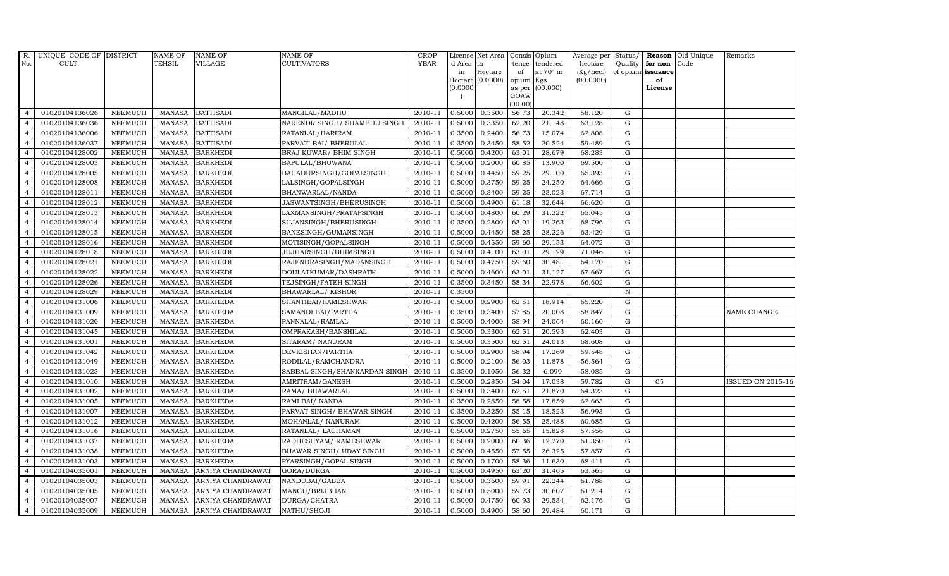| R.             | UNIQUE CODE OF DISTRICT |                | <b>NAME OF</b> | <b>NAME OF</b>    | <b>NAME OF</b>                | CROP        |           | License Net Area   Consis   Opium |           |                  | Average per | Status/      | Reason            | Old Unique | Remarks           |
|----------------|-------------------------|----------------|----------------|-------------------|-------------------------------|-------------|-----------|-----------------------------------|-----------|------------------|-------------|--------------|-------------------|------------|-------------------|
| No.            | CULT.                   |                | <b>TEHSIL</b>  | <b>VILLAGE</b>    | <b>CULTIVATORS</b>            | <b>YEAR</b> | d Area in |                                   |           | tence tendered   | hectare     | Quality      | for non-          | Code       |                   |
|                |                         |                |                |                   |                               |             | in        | Hectare                           | of        | at $70^\circ$ in | (Kg/hec.)   |              | of opium issuance |            |                   |
|                |                         |                |                |                   |                               |             |           | Hectare (0.0000)                  | opium Kgs |                  | (00.0000)   |              | of                |            |                   |
|                |                         |                |                |                   |                               |             | (0.0000)  |                                   | GOAW      | as per (00.000)  |             |              | License           |            |                   |
|                |                         |                |                |                   |                               |             |           |                                   | (00.00)   |                  |             |              |                   |            |                   |
| $\overline{4}$ | 01020104136026          | <b>NEEMUCH</b> |                | MANASA BATTISADI  | MANGILAL/MADHU                | 2010-11     | 0.5000    | 0.3500                            | 56.73     | 20.342           | 58.120      | $\mathbf G$  |                   |            |                   |
| $\overline{a}$ | 01020104136036          | <b>NEEMUCH</b> | MANASA         | <b>BATTISADI</b>  | NARENDR SINGH/ SHAMBHU SINGH  | 2010-11     | 0.5000    | 0.3350                            | 62.20     | 21.148           | 63.128      | ${\rm G}$    |                   |            |                   |
| $\overline{4}$ | 01020104136006          | <b>NEEMUCH</b> | <b>MANASA</b>  | <b>BATTISADI</b>  | RATANLAL/HARIRAM              | 2010-11     | 0.3500    | 0.2400                            | 56.73     | 15.074           | 62.808      | G            |                   |            |                   |
|                | 01020104136037          | <b>NEEMUCH</b> | MANASA         | <b>BATTISADI</b>  | PARVATI BAI/ BHERULAL         | 2010-11     | 0.3500    | 0.3450                            | 58.52     | 20.524           | 59.489      | $\mathbf G$  |                   |            |                   |
| $\overline{4}$ | 01020104128002          | <b>NEEMUCH</b> | <b>MANASA</b>  | <b>BARKHEDI</b>   | BRAJ KUWAR/ BHIM SINGH        | 2010-11     | 0.5000    | 0.4200                            | 63.01     | 28.679           | 68.283      | ${\rm G}$    |                   |            |                   |
| $\overline{4}$ | 01020104128003          | <b>NEEMUCH</b> | MANASA         | <b>BARKHEDI</b>   | BAPULAL/BHUWANA               | 2010-11     | 0.5000    | 0.2000                            | 60.85     | 13.900           | 69.500      | $\mathbf G$  |                   |            |                   |
| $\overline{4}$ | 01020104128005          | <b>NEEMUCH</b> | <b>MANASA</b>  | <b>BARKHEDI</b>   | BAHADURSINGH/GOPALSINGH       | 2010-11     | 0.5000    | 0.4450                            | 59.25     | 29.100           | 65.393      | $\mathbf G$  |                   |            |                   |
| $\overline{4}$ | 01020104128008          | <b>NEEMUCH</b> | <b>MANASA</b>  | <b>BARKHEDI</b>   | LALSINGH/GOPALSINGH           | 2010-11     | 0.5000    | 0.3750                            | 59.25     | 24.250           | 64.666      | $\mathbf G$  |                   |            |                   |
|                | 01020104128011          | <b>NEEMUCH</b> | <b>MANASA</b>  | <b>BARKHEDI</b>   | BHANWARLAL/NANDA              | 2010-11     | 0.5000    | 0.3400                            | 59.25     | 23.023           | 67.714      | $\mathbf G$  |                   |            |                   |
| $\overline{4}$ | 01020104128012          | <b>NEEMUCH</b> | <b>MANASA</b>  | <b>BARKHEDI</b>   | JASWANTSINGH/BHERUSINGH       | 2010-11     | 0.5000    | 0.4900                            | 61.18     | 32.644           | 66.620      | ${\rm G}$    |                   |            |                   |
| $\overline{4}$ | 01020104128013          | <b>NEEMUCH</b> | <b>MANASA</b>  | <b>BARKHEDI</b>   | LAXMANSINGH/PRATAPSINGH       | 2010-11     | 0.5000    | 0.4800                            | 60.29     | 31.222           | 65.045      | ${\rm G}$    |                   |            |                   |
| $\overline{4}$ | 01020104128014          | <b>NEEMUCH</b> | <b>MANASA</b>  | <b>BARKHEDI</b>   | SUJANSINGH/BHERUSINGH         | 2010-11     | 0.3500    | 0.2800                            | 63.01     | 19.263           | 68.796      | ${\rm G}$    |                   |            |                   |
| $\overline{4}$ | 01020104128015          | <b>NEEMUCH</b> | <b>MANASA</b>  | <b>BARKHEDI</b>   | BANESINGH/GUMANSINGH          | 2010-11     | 0.5000    | 0.4450                            | 58.25     | 28.226           | 63.429      | $\mathbf G$  |                   |            |                   |
| $\overline{4}$ | 01020104128016          | <b>NEEMUCH</b> | <b>MANASA</b>  | <b>BARKHEDI</b>   | MOTISINGH/GOPALSINGH          | 2010-11     | 0.5000    | 0.4550                            | 59.60     | 29.153           | 64.072      | G            |                   |            |                   |
| $\overline{4}$ | 01020104128018          | <b>NEEMUCH</b> | <b>MANASA</b>  | <b>BARKHEDI</b>   | JUJHARSINGH/BHIMSINGH         | 2010-11     | 0.5000    | 0.4100                            | 63.01     | 29.129           | 71.046      | G            |                   |            |                   |
| $\overline{4}$ | 01020104128021          | <b>NEEMUCH</b> | <b>MANASA</b>  | <b>BARKHEDI</b>   | RAJENDRASINGH/MADANSINGH      | 2010-11     | 0.5000    | 0.4750                            | 59.60     | 30.481           | 64.170      | ${\rm G}$    |                   |            |                   |
| $\overline{4}$ | 01020104128022          | <b>NEEMUCH</b> | <b>MANASA</b>  | <b>BARKHEDI</b>   | DOULATKUMAR/DASHRATH          | 2010-11     | 0.5000    | 0.4600                            | 63.01     | 31.127           | 67.667      | $\mathbf G$  |                   |            |                   |
| $\overline{4}$ | 01020104128026          | <b>NEEMUCH</b> | MANASA         | <b>BARKHEDI</b>   | TEJSINGH/FATEH SINGH          | 2010-11     | 0.3500    | 0.3450                            | 58.34     | 22.978           | 66.602      | G            |                   |            |                   |
| $\overline{4}$ | 01020104128029          | <b>NEEMUCH</b> | <b>MANASA</b>  | <b>BARKHEDI</b>   | BHAWARLAL/KISHOR              | 2010-11     | 0.3500    |                                   |           |                  |             | $\, {\rm N}$ |                   |            |                   |
| $\overline{4}$ | 01020104131006          | <b>NEEMUCH</b> | <b>MANASA</b>  | <b>BARKHEDA</b>   | SHANTIBAI/RAMESHWAR           | 2010-11     | 0.5000    | 0.2900                            | 62.51     | 18.914           | 65.220      | $\mathbf G$  |                   |            |                   |
| 4              | 01020104131009          | <b>NEEMUCH</b> | <b>MANASA</b>  | <b>BARKHEDA</b>   | SAMANDI BAI/PARTHA            | 2010-11     | 0.3500    | 0.3400                            | 57.85     | 20.008           | 58.847      | ${\rm G}$    |                   |            | NAME CHANGE       |
| $\overline{4}$ | 01020104131020          | <b>NEEMUCH</b> | <b>MANASA</b>  | <b>BARKHEDA</b>   | PANNALAL/RAMLAL               | 2010-11     | 0.5000    | 0.4000                            | 58.94     | 24.064           | 60.160      | ${\rm G}$    |                   |            |                   |
| $\overline{4}$ | 01020104131045          | <b>NEEMUCH</b> | MANASA         | <b>BARKHEDA</b>   | OMPRAKASH/BANSHILAL           | 2010-11     | 0.5000    | 0.3300                            | 62.51     | 20.593           | 62.403      | G            |                   |            |                   |
| $\overline{4}$ | 01020104131001          | <b>NEEMUCH</b> | <b>MANASA</b>  | <b>BARKHEDA</b>   | SITARAM/ NANURAM              | 2010-11     | 0.5000    | 0.3500                            | 62.51     | 24.013           | 68.608      | $\mathbf G$  |                   |            |                   |
|                | 01020104131042          | <b>NEEMUCH</b> | <b>MANASA</b>  | <b>BARKHEDA</b>   | DEVKISHAN/PARTHA              | 2010-11     | 0.5000    | 0.2900                            | 58.94     | 17.269           | 59.548      | $\mathbf G$  |                   |            |                   |
| $\overline{4}$ | 01020104131049          | <b>NEEMUCH</b> | <b>MANASA</b>  | <b>BARKHEDA</b>   | RODILAL/RAMCHANDRA            | 2010-11     | 0.5000    | 0.2100                            | 56.03     | 11.878           | 56.564      | G            |                   |            |                   |
| $\overline{4}$ | 01020104131023          | <b>NEEMUCH</b> | <b>MANASA</b>  | <b>BARKHEDA</b>   | SABBAL SINGH/SHANKARDAN SINGH | 2010-11     | 0.3500    | 0.1050                            | 56.32     | 6.099            | 58.085      | ${\rm G}$    |                   |            |                   |
| $\overline{4}$ | 01020104131010          | <b>NEEMUCH</b> | <b>MANASA</b>  | <b>BARKHEDA</b>   | AMRITRAM/GANESH               | 2010-11     | 0.5000    | 0.2850                            | 54.04     | 17.038           | 59.782      | $\mathbf G$  | 05                |            | ISSUED ON 2015-16 |
| $\overline{4}$ | 01020104131002          | <b>NEEMUCH</b> | <b>MANASA</b>  | <b>BARKHEDA</b>   | RAMA/ BHAWARLAL               | 2010-11     | 0.5000    | 0.3400                            | 62.51     | 21.870           | 64.323      | $\mathbf G$  |                   |            |                   |
| $\overline{4}$ | 01020104131005          | <b>NEEMUCH</b> | <b>MANASA</b>  | <b>BARKHEDA</b>   | RAMI BAI/ NANDA               | 2010-11     | 0.3500    | 0.2850                            | 58.58     | 17.859           | 62.663      | G            |                   |            |                   |
| $\overline{4}$ | 01020104131007          | <b>NEEMUCH</b> | <b>MANASA</b>  | <b>BARKHEDA</b>   | PARVAT SINGH/ BHAWAR SINGH    | 2010-11     | 0.3500    | 0.3250                            | 55.15     | 18.523           | 56.993      | G            |                   |            |                   |
| $\overline{4}$ | 01020104131012          | <b>NEEMUCH</b> | <b>MANASA</b>  | <b>BARKHEDA</b>   | MOHANLAL/ NANURAM             | 2010-11     | 0.5000    | 0.4200                            | 56.55     | 25.488           | 60.685      | ${\rm G}$    |                   |            |                   |
| $\overline{4}$ | 01020104131016          | <b>NEEMUCH</b> | MANASA         | <b>BARKHEDA</b>   | RATANLAL/ LACHAMAN            | 2010-11     | 0.5000    | 0.2750                            | 55.65     | 15.828           | 57.556      | $\mathbf G$  |                   |            |                   |
| $\overline{4}$ | 01020104131037          | <b>NEEMUCH</b> | <b>MANASA</b>  | <b>BARKHEDA</b>   | RADHESHYAM / RAMESHWAR        | 2010-11     | 0.5000    | 0.2000                            | 60.36     | 12.270           | 61.350      | $\mathbf G$  |                   |            |                   |
| $\overline{4}$ | 01020104131038          | <b>NEEMUCH</b> | <b>MANASA</b>  | <b>BARKHEDA</b>   | BHAWAR SINGH / UDAY SINGH     | 2010-11     | 0.5000    | 0.4550                            | 57.55     | 26.325           | 57.857      | $\mathbf G$  |                   |            |                   |
| $\overline{4}$ | 01020104131003          | <b>NEEMUCH</b> | <b>MANASA</b>  | <b>BARKHEDA</b>   | PYARSINGH/GOPAL SINGH         | 2010-11     | 0.5000    | 0.1700                            | 58.36     | 11.630           | 68.411      | ${\rm G}$    |                   |            |                   |
| $\overline{4}$ | 01020104035001          | <b>NEEMUCH</b> | <b>MANASA</b>  | ARNIYA CHANDRAWAT | GORA/DURGA                    | 2010-11     | 0.5000    | 0.4950                            | 63.20     | 31.465           | 63.565      | ${\rm G}$    |                   |            |                   |
| $\overline{4}$ | 01020104035003          | <b>NEEMUCH</b> | <b>MANASA</b>  | ARNIYA CHANDRAWAT | NANDUBAI/GABBA                | 2010-11     | 0.5000    | 0.3600                            | 59.91     | 22.244           | 61.788      | $\mathbf G$  |                   |            |                   |
| $\overline{4}$ | 01020104035005          | <b>NEEMUCH</b> | <b>MANASA</b>  | ARNIYA CHANDRAWAT | MANGU/BRIJBHAN                | 2010-11     | 0.5000    | 0.5000                            | 59.73     | 30.607           | 61.214      | G            |                   |            |                   |
| $\overline{4}$ | 01020104035007          | <b>NEEMUCH</b> | <b>MANASA</b>  | ARNIYA CHANDRAWAT | DURGA/CHATRA                  | 2010-11     | 0.5000    | 0.4750                            | 60.93     | 29.534           | 62.176      | $\mathbf G$  |                   |            |                   |
| $\overline{4}$ | 01020104035009          | <b>NEEMUCH</b> | MANASA         | ARNIYA CHANDRAWAT | NATHU/SHOJI                   | 2010-11     | 0.5000    | 0.4900                            | 58.60     | 29.484           | 60.171      | G            |                   |            |                   |